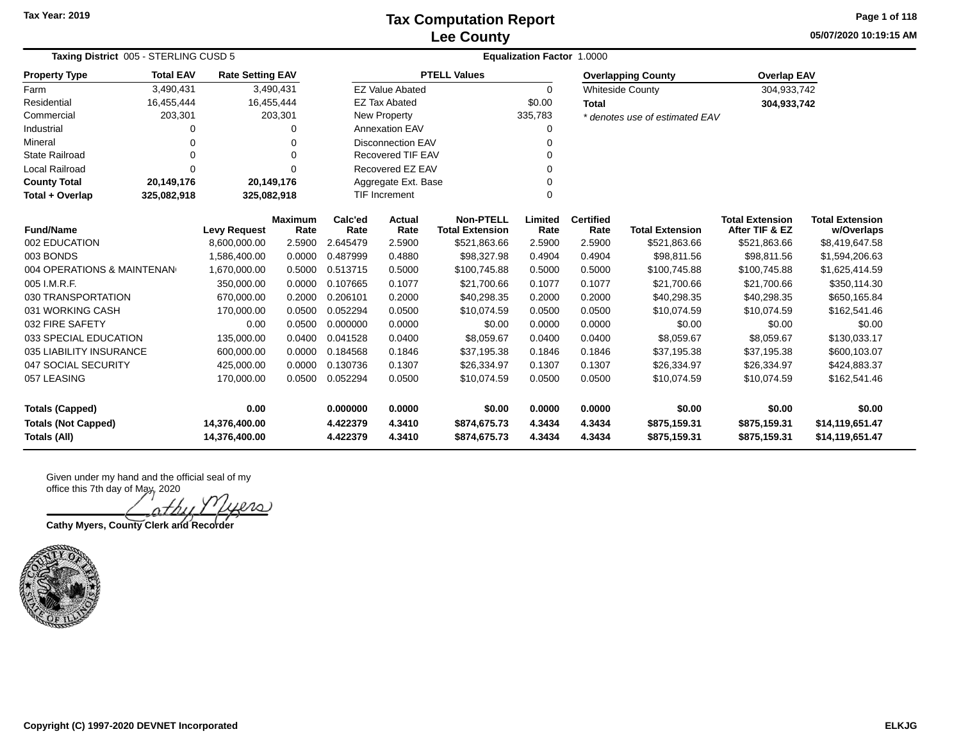### **Lee County Tax Computation Report**

**05/07/2020 10:19:15 AM Page 1 of 118**

| Taxing District 005 - STERLING CUSD 5 | <b>Equalization Factor 1.0000</b>                       |                              |                         |                 |                          |                                            |                 |                          |                                |                                          |                                      |
|---------------------------------------|---------------------------------------------------------|------------------------------|-------------------------|-----------------|--------------------------|--------------------------------------------|-----------------|--------------------------|--------------------------------|------------------------------------------|--------------------------------------|
| <b>Property Type</b>                  | <b>Total EAV</b><br>3,490,431<br>16,455,444<br>203,301  |                              | <b>Rate Setting EAV</b> |                 |                          | <b>PTELL Values</b>                        |                 |                          | <b>Overlapping County</b>      | <b>Overlap EAV</b>                       |                                      |
| Farm                                  |                                                         |                              | 3,490,431               |                 | <b>EZ Value Abated</b>   |                                            | $\Omega$        |                          | <b>Whiteside County</b>        | 304,933,742                              |                                      |
| Residential                           |                                                         | 16,455,444                   |                         |                 | <b>EZ Tax Abated</b>     |                                            | \$0.00          | <b>Total</b>             |                                | 304,933,742                              |                                      |
| Commercial                            |                                                         |                              | 203,301                 |                 | New Property             |                                            | 335,783         |                          | * denotes use of estimated EAV |                                          |                                      |
| Industrial                            | O                                                       |                              | 0                       |                 | <b>Annexation EAV</b>    |                                            |                 |                          |                                |                                          |                                      |
| Mineral                               | $\Omega$                                                |                              | 0                       |                 | <b>Disconnection EAV</b> |                                            |                 |                          |                                |                                          |                                      |
| <b>State Railroad</b>                 | $\Omega$                                                |                              | 0                       |                 | <b>Recovered TIF EAV</b> |                                            |                 |                          |                                |                                          |                                      |
| <b>Local Railroad</b>                 | $\Omega$                                                | Recovered EZ EAV<br>$\Omega$ |                         |                 |                          |                                            |                 |                          |                                |                                          |                                      |
| <b>County Total</b>                   | Aggregate Ext. Base<br>20,149,176<br>20,149,176         |                              |                         |                 |                          |                                            |                 |                          |                                |                                          |                                      |
| Total + Overlap                       | TIF Increment<br>325,082,918<br>325,082,918<br>$\Omega$ |                              |                         |                 |                          |                                            |                 |                          |                                |                                          |                                      |
| <b>Fund/Name</b>                      |                                                         | <b>Levy Request</b>          | <b>Maximum</b><br>Rate  | Calc'ed<br>Rate | Actual<br>Rate           | <b>Non-PTELL</b><br><b>Total Extension</b> | Limited<br>Rate | <b>Certified</b><br>Rate | <b>Total Extension</b>         | <b>Total Extension</b><br>After TIF & EZ | <b>Total Extension</b><br>w/Overlaps |
| 002 EDUCATION                         |                                                         | 8,600,000.00                 | 2.5900                  | 2.645479        | 2.5900                   | \$521,863.66                               | 2.5900          | 2.5900                   | \$521,863.66                   | \$521,863.66                             | \$8,419,647.58                       |
| 003 BONDS                             |                                                         | 1,586,400.00                 | 0.0000                  | 0.487999        | 0.4880                   | \$98,327.98                                | 0.4904          | 0.4904                   | \$98,811.56                    | \$98,811.56                              | \$1,594,206.63                       |
| 004 OPERATIONS & MAINTENAN            |                                                         | 1,670,000.00                 | 0.5000                  | 0.513715        | 0.5000                   | \$100,745.88                               | 0.5000          | 0.5000                   | \$100,745.88                   | \$100,745.88                             | \$1,625,414.59                       |
| 005 I.M.R.F.                          |                                                         | 350,000.00                   | 0.0000                  | 0.107665        | 0.1077                   | \$21,700.66                                | 0.1077          | 0.1077                   | \$21,700.66                    | \$21,700.66                              | \$350,114.30                         |
| 030 TRANSPORTATION                    |                                                         | 670,000.00                   | 0.2000                  | 0.206101        | 0.2000                   | \$40,298.35                                | 0.2000          | 0.2000                   | \$40,298.35                    | \$40,298.35                              | \$650,165.84                         |
| 031 WORKING CASH                      |                                                         | 170,000.00                   | 0.0500                  | 0.052294        | 0.0500                   | \$10,074.59                                | 0.0500          | 0.0500                   | \$10,074.59                    | \$10,074.59                              | \$162,541.46                         |
| 032 FIRE SAFETY                       |                                                         | 0.00                         | 0.0500                  | 0.000000        | 0.0000                   | \$0.00                                     | 0.0000          | 0.0000                   | \$0.00                         | \$0.00                                   | \$0.00                               |
| 033 SPECIAL EDUCATION                 |                                                         | 135,000.00                   | 0.0400                  | 0.041528        | 0.0400                   | \$8,059.67                                 | 0.0400          | 0.0400                   | \$8,059.67                     | \$8,059.67                               | \$130,033.17                         |
| 035 LIABILITY INSURANCE               |                                                         | 600,000.00                   | 0.0000                  | 0.184568        | 0.1846                   | \$37,195.38                                | 0.1846          | 0.1846                   | \$37,195.38                    | \$37,195.38                              | \$600,103.07                         |
| 047 SOCIAL SECURITY                   |                                                         | 425,000.00                   | 0.0000                  | 0.130736        | 0.1307                   | \$26,334.97                                | 0.1307          | 0.1307                   | \$26,334.97                    | \$26,334.97                              | \$424,883.37                         |
| 057 LEASING                           |                                                         | 170,000.00                   | 0.0500                  | 0.052294        | 0.0500                   | \$10,074.59                                | 0.0500          | 0.0500                   | \$10,074.59                    | \$10,074.59                              | \$162,541.46                         |
| <b>Totals (Capped)</b>                |                                                         | 0.00                         |                         | 0.000000        | 0.0000                   | \$0.00                                     | 0.0000          | 0.0000                   | \$0.00                         | \$0.00                                   | \$0.00                               |
| <b>Totals (Not Capped)</b>            |                                                         | 14,376,400.00                |                         | 4.422379        | 4.3410                   | \$874,675.73                               | 4.3434          | 4.3434                   | \$875,159.31                   | \$875,159.31                             | \$14,119,651.47                      |
| <b>Totals (All)</b>                   |                                                         | 14,376,400.00                |                         | 4.422379        | 4.3410                   | \$874,675.73                               | 4.3434          | 4.3434                   | \$875,159.31                   | \$875,159.31                             | \$14,119,651.47                      |

Given under my hand and the official seal of my office this 7th day of May, 2020

ers

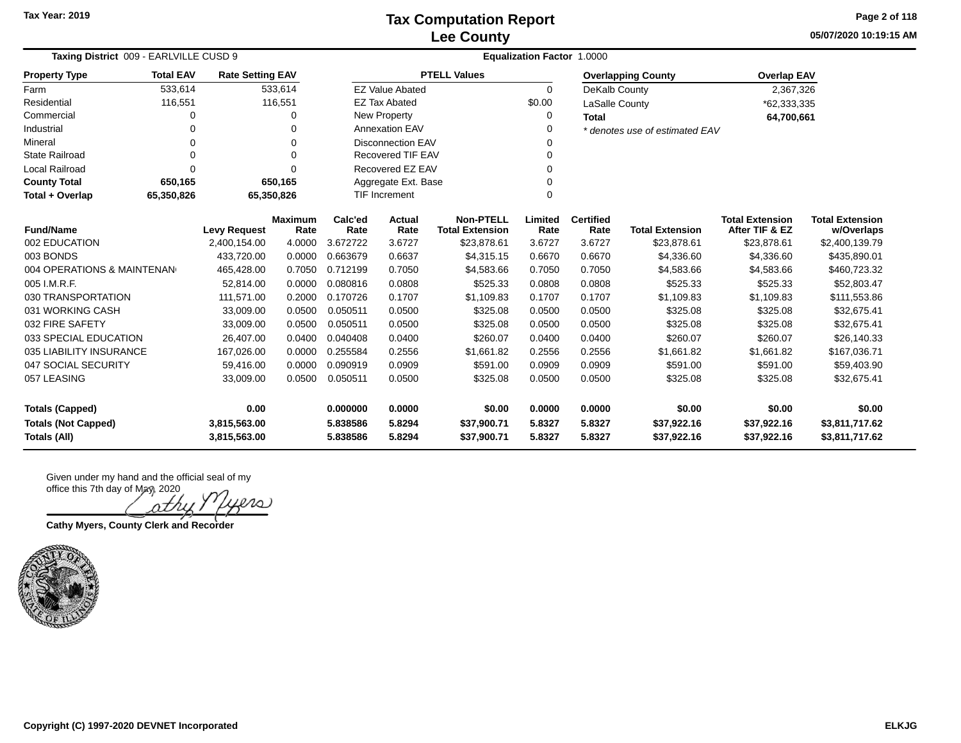**05/07/2020 10:19:15 AM Page 2 of 118**

| Taxing District 009 - EARLVILLE CUSD 9                              |                                                                   |                     |                        | <b>Equalization Factor 1.0000</b> |                          |                                            |                 |                          |                                |                                          |                                      |  |
|---------------------------------------------------------------------|-------------------------------------------------------------------|---------------------|------------------------|-----------------------------------|--------------------------|--------------------------------------------|-----------------|--------------------------|--------------------------------|------------------------------------------|--------------------------------------|--|
| <b>Property Type</b>                                                | <b>Total EAV</b><br><b>Rate Setting EAV</b><br>533,614<br>533,614 |                     |                        |                                   |                          | <b>PTELL Values</b>                        |                 |                          | <b>Overlapping County</b>      | <b>Overlap EAV</b>                       |                                      |  |
| Farm                                                                |                                                                   |                     |                        |                                   | <b>EZ Value Abated</b>   |                                            | $\Omega$        | DeKalb County            |                                | 2,367,326                                |                                      |  |
| Residential                                                         | 116,551                                                           |                     | 116,551                |                                   | <b>EZ Tax Abated</b>     |                                            | \$0.00          | LaSalle County           |                                | *62,333,335                              |                                      |  |
| Commercial                                                          | 0                                                                 |                     | 0                      |                                   | New Property             |                                            | 0               | <b>Total</b>             |                                | 64,700,661                               |                                      |  |
| Industrial                                                          | 0                                                                 |                     | 0                      |                                   | <b>Annexation EAV</b>    |                                            | 0               |                          | * denotes use of estimated EAV |                                          |                                      |  |
| Mineral                                                             | 0                                                                 |                     | $\Omega$               |                                   | <b>Disconnection EAV</b> |                                            | ∩               |                          |                                |                                          |                                      |  |
| <b>State Railroad</b>                                               | 0                                                                 |                     | $\Omega$               |                                   | <b>Recovered TIF EAV</b> |                                            | 0               |                          |                                |                                          |                                      |  |
| Local Railroad                                                      | $\Omega$                                                          |                     | $\Omega$               |                                   | Recovered EZ EAV         |                                            | ∩               |                          |                                |                                          |                                      |  |
| <b>County Total</b>                                                 | 650,165                                                           |                     | 650,165                | Aggregate Ext. Base               |                          |                                            |                 |                          |                                |                                          |                                      |  |
| <b>TIF Increment</b><br>65,350,826<br>65,350,826<br>Total + Overlap |                                                                   |                     |                        |                                   |                          | 0                                          |                 |                          |                                |                                          |                                      |  |
| <b>Fund/Name</b>                                                    |                                                                   | <b>Levy Request</b> | <b>Maximum</b><br>Rate | Calc'ed<br>Rate                   | <b>Actual</b><br>Rate    | <b>Non-PTELL</b><br><b>Total Extension</b> | Limited<br>Rate | <b>Certified</b><br>Rate | <b>Total Extension</b>         | <b>Total Extension</b><br>After TIF & EZ | <b>Total Extension</b><br>w/Overlaps |  |
| 002 EDUCATION                                                       |                                                                   | 2,400,154.00        | 4.0000                 | 3.672722                          | 3.6727                   | \$23,878.61                                | 3.6727          | 3.6727                   | \$23,878.61                    | \$23,878.61                              | \$2,400,139.79                       |  |
| 003 BONDS                                                           |                                                                   | 433,720.00          | 0.0000                 | 0.663679                          | 0.6637                   | \$4,315.15                                 | 0.6670          | 0.6670                   | \$4,336.60                     | \$4,336.60                               | \$435,890.01                         |  |
| 004 OPERATIONS & MAINTENAN                                          |                                                                   | 465,428.00          | 0.7050                 | 0.712199                          | 0.7050                   | \$4,583.66                                 | 0.7050          | 0.7050                   | \$4,583.66                     | \$4,583.66                               | \$460,723.32                         |  |
| 005 I.M.R.F.                                                        |                                                                   | 52,814.00           | 0.0000                 | 0.080816                          | 0.0808                   | \$525.33                                   | 0.0808          | 0.0808                   | \$525.33                       | \$525.33                                 | \$52,803.47                          |  |
| 030 TRANSPORTATION                                                  |                                                                   | 111,571.00          | 0.2000                 | 0.170726                          | 0.1707                   | \$1,109.83                                 | 0.1707          | 0.1707                   | \$1,109.83                     | \$1,109.83                               | \$111,553.86                         |  |
| 031 WORKING CASH                                                    |                                                                   | 33,009.00           | 0.0500                 | 0.050511                          | 0.0500                   | \$325.08                                   | 0.0500          | 0.0500                   | \$325.08                       | \$325.08                                 | \$32,675.41                          |  |
| 032 FIRE SAFETY                                                     |                                                                   | 33,009.00           | 0.0500                 | 0.050511                          | 0.0500                   | \$325.08                                   | 0.0500          | 0.0500                   | \$325.08                       | \$325.08                                 | \$32,675.41                          |  |
| 033 SPECIAL EDUCATION                                               |                                                                   | 26,407.00           | 0.0400                 | 0.040408                          | 0.0400                   | \$260.07                                   | 0.0400          | 0.0400                   | \$260.07                       | \$260.07                                 | \$26,140.33                          |  |
| 035 LIABILITY INSURANCE                                             |                                                                   | 167,026.00          | 0.0000                 | 0.255584                          | 0.2556                   | \$1,661.82                                 | 0.2556          | 0.2556                   | \$1,661.82                     | \$1,661.82                               | \$167,036.71                         |  |
| 047 SOCIAL SECURITY                                                 |                                                                   | 59,416.00           | 0.0000                 | 0.090919                          | 0.0909                   | \$591.00                                   | 0.0909          | 0.0909                   | \$591.00                       | \$591.00                                 | \$59,403.90                          |  |
| 057 LEASING                                                         |                                                                   | 33,009.00           | 0.0500                 | 0.050511                          | 0.0500                   | \$325.08                                   | 0.0500          | 0.0500                   | \$325.08                       | \$325.08                                 | \$32,675.41                          |  |
| 0.00<br><b>Totals (Capped)</b>                                      |                                                                   |                     | 0.000000               | 0.0000                            | \$0.00                   | 0.0000                                     | 0.0000          | \$0.00                   | \$0.00                         | \$0.00                                   |                                      |  |
| <b>Totals (Not Capped)</b>                                          |                                                                   | 3,815,563.00        |                        | 5.838586                          | 5.8294                   | \$37,900.71                                | 5.8327          | 5.8327                   | \$37,922.16                    | \$37,922.16                              | \$3,811,717.62                       |  |
| <b>Totals (All)</b>                                                 |                                                                   | 3,815,563.00        |                        | 5.838586                          | 5.8294                   | \$37,900.71                                | 5.8327          | 5.8327                   | \$37,922.16                    | \$37,922.16                              | \$3,811,717.62                       |  |

20 nthi

**Cathy Myers, County Clerk and Recorder**

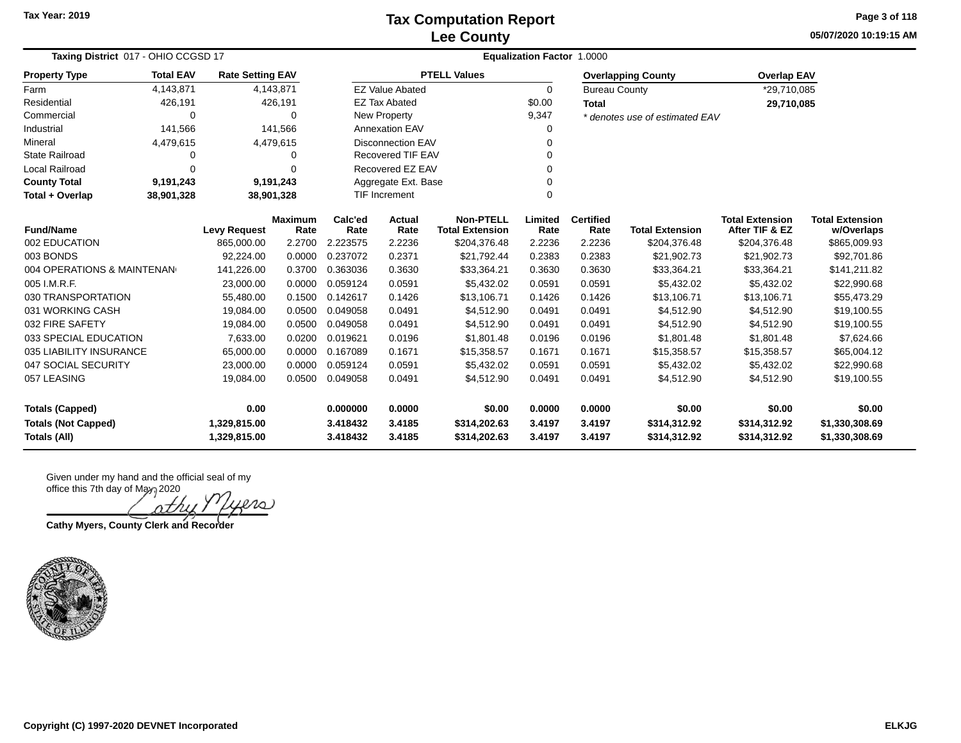**05/07/2020 10:19:15 AM Page 3 of 118**

| Taxing District 017 - OHIO CCGSD 17 |                  |                         |                        | Equalization Factor 1.0000 |                               |                                            |                 |                          |                                |                                          |                                      |  |  |
|-------------------------------------|------------------|-------------------------|------------------------|----------------------------|-------------------------------|--------------------------------------------|-----------------|--------------------------|--------------------------------|------------------------------------------|--------------------------------------|--|--|
| <b>Property Type</b>                | <b>Total EAV</b> | <b>Rate Setting EAV</b> |                        |                            |                               | <b>PTELL Values</b>                        |                 |                          | <b>Overlapping County</b>      | <b>Overlap EAV</b>                       |                                      |  |  |
| Farm                                | 4,143,871        |                         | 4,143,871              |                            | <b>EZ Value Abated</b>        |                                            | 0               | <b>Bureau County</b>     |                                | *29,710,085                              |                                      |  |  |
| Residential                         | 426,191          |                         | 426,191                |                            | <b>EZ Tax Abated</b>          |                                            | \$0.00          | <b>Total</b>             |                                | 29,710,085                               |                                      |  |  |
| Commercial                          | 0                |                         | $\Omega$               |                            | New Property                  |                                            | 9,347           |                          | * denotes use of estimated EAV |                                          |                                      |  |  |
| Industrial                          | 141,566          |                         | 141,566                |                            | <b>Annexation EAV</b>         |                                            | 0               |                          |                                |                                          |                                      |  |  |
| Mineral                             | 4,479,615        |                         | 4,479,615              |                            | <b>Disconnection EAV</b><br>0 |                                            |                 |                          |                                |                                          |                                      |  |  |
| <b>State Railroad</b>               | 0                |                         | 0                      |                            | Recovered TIF EAV             |                                            |                 |                          |                                |                                          |                                      |  |  |
| <b>Local Railroad</b>               | $\Omega$         |                         | $\Omega$               |                            | Recovered EZ EAV              |                                            | O               |                          |                                |                                          |                                      |  |  |
| <b>County Total</b>                 | 9,191,243        |                         | 9,191,243              |                            | Aggregate Ext. Base           |                                            |                 |                          |                                |                                          |                                      |  |  |
| Total + Overlap                     | 38,901,328       | 38,901,328              |                        |                            | <b>TIF Increment</b>          |                                            | $\Omega$        |                          |                                |                                          |                                      |  |  |
| <b>Fund/Name</b>                    |                  | <b>Levy Request</b>     | <b>Maximum</b><br>Rate | Calc'ed<br>Rate            | Actual<br>Rate                | <b>Non-PTELL</b><br><b>Total Extension</b> | Limited<br>Rate | <b>Certified</b><br>Rate | <b>Total Extension</b>         | <b>Total Extension</b><br>After TIF & EZ | <b>Total Extension</b><br>w/Overlaps |  |  |
| 002 EDUCATION                       |                  | 865,000.00              | 2.2700                 | 2.223575                   | 2.2236                        | \$204,376.48                               | 2.2236          | 2.2236                   | \$204,376.48                   | \$204,376.48                             | \$865,009.93                         |  |  |
| 003 BONDS                           |                  | 92,224.00               | 0.0000                 | 0.237072                   | 0.2371                        | \$21,792.44                                | 0.2383          | 0.2383                   | \$21,902.73                    | \$21,902.73                              | \$92,701.86                          |  |  |
| 004 OPERATIONS & MAINTENAN          |                  | 141,226.00              | 0.3700                 | 0.363036                   | 0.3630                        | \$33,364.21                                | 0.3630          | 0.3630                   | \$33,364.21                    | \$33,364.21                              | \$141,211.82                         |  |  |
| 005 I.M.R.F.                        |                  | 23,000.00               | 0.0000                 | 0.059124                   | 0.0591                        | \$5,432.02                                 | 0.0591          | 0.0591                   | \$5,432.02                     | \$5,432.02                               | \$22,990.68                          |  |  |
| 030 TRANSPORTATION                  |                  | 55,480.00               | 0.1500                 | 0.142617                   | 0.1426                        | \$13,106.71                                | 0.1426          | 0.1426                   | \$13,106.71                    | \$13,106.71                              | \$55,473.29                          |  |  |
| 031 WORKING CASH                    |                  | 19,084.00               | 0.0500                 | 0.049058                   | 0.0491                        | \$4,512.90                                 | 0.0491          | 0.0491                   | \$4,512.90                     | \$4,512.90                               | \$19,100.55                          |  |  |
| 032 FIRE SAFETY                     |                  | 19,084.00               | 0.0500                 | 0.049058                   | 0.0491                        | \$4,512.90                                 | 0.0491          | 0.0491                   | \$4,512.90                     | \$4,512.90                               | \$19,100.55                          |  |  |
| 033 SPECIAL EDUCATION               |                  | 7,633.00                | 0.0200                 | 0.019621                   | 0.0196                        | \$1,801.48                                 | 0.0196          | 0.0196                   | \$1,801.48                     | \$1,801.48                               | \$7,624.66                           |  |  |
| 035 LIABILITY INSURANCE             |                  | 65,000.00               | 0.0000                 | 0.167089                   | 0.1671                        | \$15,358.57                                | 0.1671          | 0.1671                   | \$15,358.57                    | \$15,358.57                              | \$65,004.12                          |  |  |
| 047 SOCIAL SECURITY                 |                  | 23,000.00               | 0.0000                 | 0.059124                   | 0.0591                        | \$5,432.02                                 | 0.0591          | 0.0591                   | \$5,432.02                     | \$5,432.02                               | \$22,990.68                          |  |  |
| 057 LEASING                         |                  | 19,084.00               | 0.0500                 | 0.049058                   | 0.0491                        | \$4,512.90                                 | 0.0491          | 0.0491                   | \$4,512.90                     | \$4,512.90                               | \$19,100.55                          |  |  |
| <b>Totals (Capped)</b>              |                  | 0.00                    |                        | 0.000000                   | 0.0000                        | \$0.00                                     | 0.0000          | 0.0000                   | \$0.00                         | \$0.00                                   | \$0.00                               |  |  |
| <b>Totals (Not Capped)</b>          |                  | 1,329,815.00            |                        | 3.418432                   | 3.4185                        | \$314,202.63                               | 3.4197          | 3.4197                   | \$314,312.92                   | \$314,312.92                             | \$1,330,308.69                       |  |  |
| <b>Totals (All)</b>                 |                  | 1,329,815.00            |                        | 3.418432                   | 3.4185                        | \$314,202.63                               | 3.4197          | 3.4197                   | \$314,312.92                   | \$314,312.92                             | \$1,330,308.69                       |  |  |

Given under my hand and the official seal of my office this 7th day of May, 2020

20 J rtri

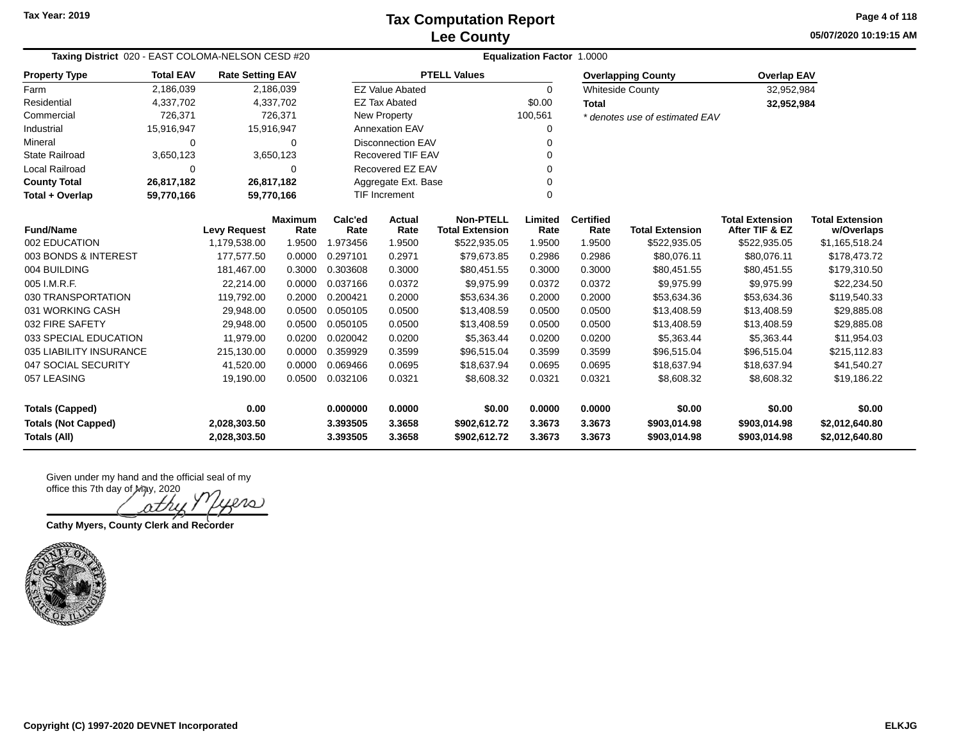**05/07/2020 10:19:15 AM Page 4 of 118**

| Taxing District 020 - EAST COLOMA-NELSON CESD #20<br><b>Total EAV</b><br><b>Rate Setting EAV</b> |            |                     |                        |                 |                          | Equalization Factor 1.0000                 |                 |                          |                                |                                          |                                      |
|--------------------------------------------------------------------------------------------------|------------|---------------------|------------------------|-----------------|--------------------------|--------------------------------------------|-----------------|--------------------------|--------------------------------|------------------------------------------|--------------------------------------|
| <b>Property Type</b>                                                                             |            |                     |                        |                 |                          | <b>PTELL Values</b>                        |                 |                          | <b>Overlapping County</b>      | <b>Overlap EAV</b>                       |                                      |
| Farm                                                                                             | 2,186,039  |                     | 2,186,039              |                 | <b>EZ Value Abated</b>   |                                            | $\Omega$        |                          | <b>Whiteside County</b>        | 32,952,984                               |                                      |
| Residential                                                                                      | 4,337,702  |                     | 4,337,702              |                 | <b>EZ Tax Abated</b>     |                                            | \$0.00          | <b>Total</b>             |                                | 32,952,984                               |                                      |
| Commercial                                                                                       | 726,371    |                     | 726,371                |                 | <b>New Property</b>      |                                            | 100,561         |                          | * denotes use of estimated EAV |                                          |                                      |
| Industrial                                                                                       | 15,916,947 | 15,916,947          |                        |                 | <b>Annexation EAV</b>    |                                            | 0               |                          |                                |                                          |                                      |
| Mineral                                                                                          | $\Omega$   |                     | $\Omega$               |                 | <b>Disconnection EAV</b> |                                            | $\Omega$        |                          |                                |                                          |                                      |
| <b>State Railroad</b>                                                                            | 3,650,123  |                     | 3,650,123              |                 | Recovered TIF EAV        |                                            | 0               |                          |                                |                                          |                                      |
| <b>Local Railroad</b>                                                                            | $\Omega$   |                     | $\Omega$               |                 | Recovered EZ EAV         |                                            | $\Omega$        |                          |                                |                                          |                                      |
| <b>County Total</b>                                                                              | 26,817,182 |                     | 26,817,182             |                 | Aggregate Ext. Base      |                                            | 0               |                          |                                |                                          |                                      |
| Total + Overlap                                                                                  | 59,770,166 | 59,770,166          |                        |                 | TIF Increment            |                                            | 0               |                          |                                |                                          |                                      |
| <b>Fund/Name</b>                                                                                 |            | <b>Levy Request</b> | <b>Maximum</b><br>Rate | Calc'ed<br>Rate | Actual<br>Rate           | <b>Non-PTELL</b><br><b>Total Extension</b> | Limited<br>Rate | <b>Certified</b><br>Rate | <b>Total Extension</b>         | <b>Total Extension</b><br>After TIF & EZ | <b>Total Extension</b><br>w/Overlaps |
| 002 EDUCATION                                                                                    |            | 1,179,538.00        | 1.9500                 | 1.973456        | 1.9500                   | \$522,935.05                               | 1.9500          | 1.9500                   | \$522,935.05                   | \$522,935.05                             | \$1,165,518.24                       |
| 003 BONDS & INTEREST                                                                             |            | 177,577.50          | 0.0000                 | 0.297101        | 0.2971                   | \$79,673.85                                | 0.2986          | 0.2986                   | \$80,076.11                    | \$80,076.11                              | \$178,473.72                         |
| 004 BUILDING                                                                                     |            | 181,467.00          | 0.3000                 | 0.303608        | 0.3000                   | \$80,451.55                                | 0.3000          | 0.3000                   | \$80,451.55                    | \$80,451.55                              | \$179,310.50                         |
| 005 I.M.R.F.                                                                                     |            | 22,214.00           | 0.0000                 | 0.037166        | 0.0372                   | \$9,975.99                                 | 0.0372          | 0.0372                   | \$9,975.99                     | \$9,975.99                               | \$22,234.50                          |
| 030 TRANSPORTATION                                                                               |            | 119,792.00          | 0.2000                 | 0.200421        | 0.2000                   | \$53,634.36                                | 0.2000          | 0.2000                   | \$53,634.36                    | \$53,634.36                              | \$119,540.33                         |
| 031 WORKING CASH                                                                                 |            | 29,948.00           | 0.0500                 | 0.050105        | 0.0500                   | \$13,408.59                                | 0.0500          | 0.0500                   | \$13,408.59                    | \$13,408.59                              | \$29,885.08                          |
| 032 FIRE SAFETY                                                                                  |            | 29,948.00           | 0.0500                 | 0.050105        | 0.0500                   | \$13,408.59                                | 0.0500          | 0.0500                   | \$13,408.59                    | \$13,408.59                              | \$29,885.08                          |
| 033 SPECIAL EDUCATION                                                                            |            | 11,979.00           | 0.0200                 | 0.020042        | 0.0200                   | \$5,363.44                                 | 0.0200          | 0.0200                   | \$5,363.44                     | \$5,363.44                               | \$11,954.03                          |
| 035 LIABILITY INSURANCE                                                                          |            | 215,130.00          | 0.0000                 | 0.359929        | 0.3599                   | \$96,515.04                                | 0.3599          | 0.3599                   | \$96,515.04                    | \$96,515.04                              | \$215,112.83                         |
| 047 SOCIAL SECURITY                                                                              |            | 41,520.00           | 0.0000                 | 0.069466        | 0.0695                   | \$18,637.94                                | 0.0695          | 0.0695                   | \$18,637.94                    | \$18,637.94                              | \$41,540.27                          |
| 057 LEASING                                                                                      |            | 19,190.00           | 0.0500                 | 0.032106        | 0.0321                   | \$8,608.32                                 | 0.0321          | 0.0321                   | \$8,608.32                     | \$8,608.32                               | \$19,186.22                          |
| <b>Totals (Capped)</b>                                                                           |            | 0.00                |                        | 0.000000        | 0.0000                   | \$0.00                                     | 0.0000          | 0.0000                   | \$0.00                         | \$0.00                                   | \$0.00                               |
| <b>Totals (Not Capped)</b>                                                                       |            | 2,028,303.50        |                        | 3.393505        | 3.3658                   | \$902,612.72                               | 3.3673          | 3.3673                   | \$903,014.98                   | \$903,014.98                             | \$2,012,640.80                       |
| <b>Totals (All)</b>                                                                              |            | 2,028,303.50        |                        | 3.393505        | 3.3658                   | \$902,612.72                               | 3.3673          | 3.3673                   | \$903,014.98                   | \$903,014.98                             | \$2,012,640.80                       |

20

**Cathy Myers, County Clerk and Recorder**

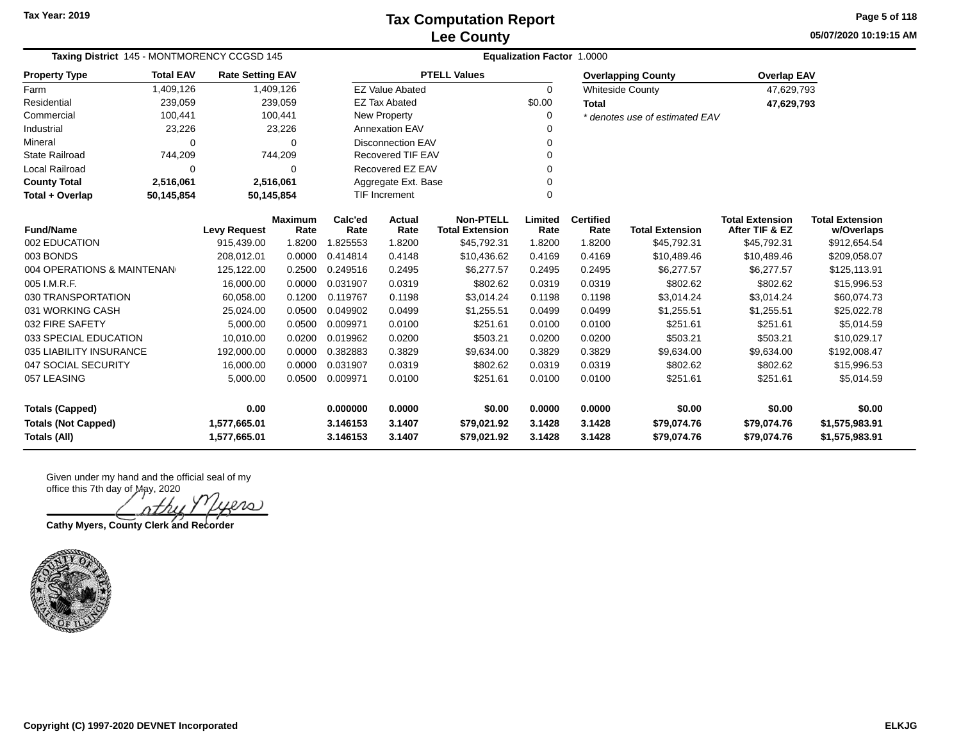**05/07/2020 10:19:15 AM Page 5 of 118**

| Taxing District 145 - MONTMORENCY CCGSD 145<br><b>Total EAV</b> |                                                       |                     |                        | <b>Equalization Factor 1.0000</b> |                          |                                            |                 |                           |                                |                                          |                                      |  |  |
|-----------------------------------------------------------------|-------------------------------------------------------|---------------------|------------------------|-----------------------------------|--------------------------|--------------------------------------------|-----------------|---------------------------|--------------------------------|------------------------------------------|--------------------------------------|--|--|
| <b>Property Type</b>                                            | <b>Rate Setting EAV</b>                               |                     |                        |                                   | <b>PTELL Values</b>      |                                            |                 | <b>Overlapping County</b> | <b>Overlap EAV</b>             |                                          |                                      |  |  |
| Farm                                                            | 1,409,126                                             |                     | 1,409,126              |                                   | <b>EZ Value Abated</b>   |                                            | 0               |                           | <b>Whiteside County</b>        | 47,629,793                               |                                      |  |  |
| Residential                                                     | 239,059                                               |                     | 239,059                |                                   | <b>EZ Tax Abated</b>     |                                            | \$0.00          | <b>Total</b>              |                                | 47,629,793                               |                                      |  |  |
| Commercial                                                      | 100,441                                               |                     | 100,441                |                                   | New Property             |                                            | 0               |                           | * denotes use of estimated EAV |                                          |                                      |  |  |
| Industrial                                                      | 23,226                                                |                     | 23,226                 |                                   | <b>Annexation EAV</b>    |                                            |                 |                           |                                |                                          |                                      |  |  |
| Mineral                                                         | 0                                                     |                     | $\Omega$               |                                   | <b>Disconnection EAV</b> |                                            | O               |                           |                                |                                          |                                      |  |  |
| State Railroad                                                  | 744,209                                               |                     | 744,209                |                                   | Recovered TIF EAV        |                                            | 0               |                           |                                |                                          |                                      |  |  |
| Local Railroad                                                  | 0                                                     |                     | $\Omega$               |                                   | Recovered EZ EAV         |                                            | O               |                           |                                |                                          |                                      |  |  |
| <b>County Total</b>                                             | 2,516,061                                             |                     | 2,516,061              |                                   | Aggregate Ext. Base      |                                            | 0               |                           |                                |                                          |                                      |  |  |
| Total + Overlap                                                 | <b>TIF Increment</b><br>50,145,854<br>50,145,854<br>0 |                     |                        |                                   |                          |                                            |                 |                           |                                |                                          |                                      |  |  |
| <b>Fund/Name</b>                                                |                                                       | <b>Levy Request</b> | <b>Maximum</b><br>Rate | Calc'ed<br>Rate                   | Actual<br>Rate           | <b>Non-PTELL</b><br><b>Total Extension</b> | Limited<br>Rate | <b>Certified</b><br>Rate  | <b>Total Extension</b>         | <b>Total Extension</b><br>After TIF & EZ | <b>Total Extension</b><br>w/Overlaps |  |  |
| 002 EDUCATION                                                   |                                                       | 915,439.00          | 1.8200                 | 1.825553                          | 1.8200                   | \$45,792.31                                | 1.8200          | 1.8200                    | \$45,792.31                    | \$45,792.31                              | \$912,654.54                         |  |  |
| 003 BONDS                                                       |                                                       | 208,012.01          | 0.0000                 | 0.414814                          | 0.4148                   | \$10,436.62                                | 0.4169          | 0.4169                    | \$10,489.46                    | \$10,489.46                              | \$209,058.07                         |  |  |
| 004 OPERATIONS & MAINTENAN                                      |                                                       | 125,122.00          | 0.2500                 | 0.249516                          | 0.2495                   | \$6,277.57                                 | 0.2495          | 0.2495                    | \$6,277.57                     | \$6,277.57                               | \$125,113.91                         |  |  |
| 005 I.M.R.F.                                                    |                                                       | 16,000.00           | 0.0000                 | 0.031907                          | 0.0319                   | \$802.62                                   | 0.0319          | 0.0319                    | \$802.62                       | \$802.62                                 | \$15,996.53                          |  |  |
| 030 TRANSPORTATION                                              |                                                       | 60,058.00           | 0.1200                 | 0.119767                          | 0.1198                   | \$3,014.24                                 | 0.1198          | 0.1198                    | \$3,014.24                     | \$3,014.24                               | \$60,074.73                          |  |  |
| 031 WORKING CASH                                                |                                                       | 25,024.00           | 0.0500                 | 0.049902                          | 0.0499                   | \$1,255.51                                 | 0.0499          | 0.0499                    | \$1,255.51                     | \$1,255.51                               | \$25,022.78                          |  |  |
| 032 FIRE SAFETY                                                 |                                                       | 5,000.00            | 0.0500                 | 0.009971                          | 0.0100                   | \$251.61                                   | 0.0100          | 0.0100                    | \$251.61                       | \$251.61                                 | \$5,014.59                           |  |  |
| 033 SPECIAL EDUCATION                                           |                                                       | 10,010.00           | 0.0200                 | 0.019962                          | 0.0200                   | \$503.21                                   | 0.0200          | 0.0200                    | \$503.21                       | \$503.21                                 | \$10,029.17                          |  |  |
| 035 LIABILITY INSURANCE                                         |                                                       | 192,000.00          | 0.0000                 | 0.382883                          | 0.3829                   | \$9,634.00                                 | 0.3829          | 0.3829                    | \$9,634.00                     | \$9,634.00                               | \$192,008.47                         |  |  |
| 047 SOCIAL SECURITY                                             |                                                       | 16,000.00           | 0.0000                 | 0.031907                          | 0.0319                   | \$802.62                                   | 0.0319          | 0.0319                    | \$802.62                       | \$802.62                                 | \$15,996.53                          |  |  |
| 057 LEASING                                                     |                                                       | 5,000.00            | 0.0500                 | 0.009971                          | 0.0100                   | \$251.61                                   | 0.0100          | 0.0100                    | \$251.61                       | \$251.61                                 | \$5,014.59                           |  |  |
| <b>Totals (Capped)</b>                                          |                                                       | 0.00                |                        | 0.000000                          | 0.0000                   | \$0.00                                     | 0.0000          | 0.0000                    | \$0.00                         | \$0.00                                   | \$0.00                               |  |  |
| <b>Totals (Not Capped)</b>                                      |                                                       | 1,577,665.01        |                        | 3.146153                          | 3.1407                   | \$79,021.92                                | 3.1428          | 3.1428                    | \$79,074.76                    | \$79,074.76                              | \$1,575,983.91                       |  |  |
| Totals (All)                                                    |                                                       | 1,577,665.01        |                        | 3.146153                          | 3.1407                   | \$79,021.92                                | 3.1428          | 3.1428                    | \$79,074.76                    | \$79,074.76                              | \$1,575,983.91                       |  |  |

iero

**Cathy Myers, County Clerk and Recorder**

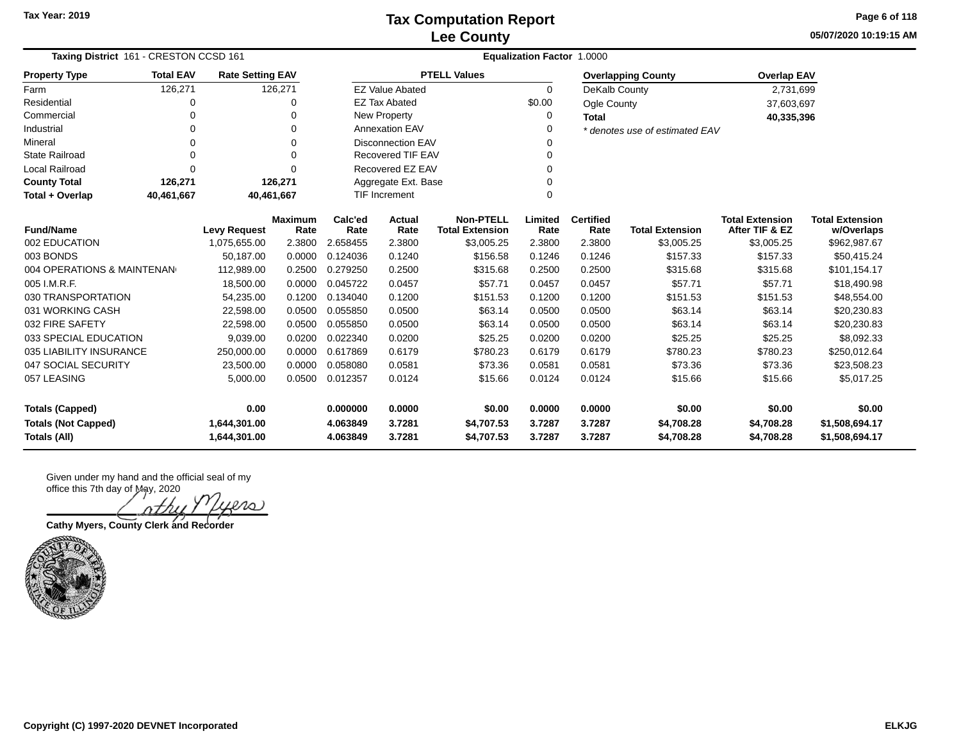**05/07/2020 10:19:15 AM Page 6 of 118**

| Taxing District 161 - CRESTON CCSD 161                                                                                                                             |                                                                   |                     |                        | Equalization Factor 1.0000 |                          |                                            |                 |                          |                                |                                          |                                      |  |
|--------------------------------------------------------------------------------------------------------------------------------------------------------------------|-------------------------------------------------------------------|---------------------|------------------------|----------------------------|--------------------------|--------------------------------------------|-----------------|--------------------------|--------------------------------|------------------------------------------|--------------------------------------|--|
| <b>Property Type</b>                                                                                                                                               | <b>Total EAV</b><br><b>Rate Setting EAV</b><br>126,271<br>126,271 |                     |                        |                            |                          | <b>PTELL Values</b>                        |                 |                          | <b>Overlapping County</b>      | <b>Overlap EAV</b>                       |                                      |  |
| Farm                                                                                                                                                               |                                                                   |                     |                        |                            | <b>EZ Value Abated</b>   |                                            | $\Omega$        | DeKalb County            |                                | 2,731,699                                |                                      |  |
| Residential                                                                                                                                                        | 0                                                                 |                     | 0                      |                            | <b>EZ Tax Abated</b>     |                                            | \$0.00          | Ogle County              |                                | 37,603,697                               |                                      |  |
| Commercial                                                                                                                                                         | $\Omega$                                                          |                     | $\Omega$               |                            | New Property             |                                            | 0               | <b>Total</b>             |                                | 40,335,396                               |                                      |  |
| Industrial                                                                                                                                                         | $\Omega$                                                          |                     | 0                      |                            | <b>Annexation EAV</b>    |                                            | Ω               |                          | * denotes use of estimated EAV |                                          |                                      |  |
| Mineral                                                                                                                                                            | $\Omega$                                                          |                     | $\mathbf 0$            |                            | <b>Disconnection EAV</b> |                                            | O               |                          |                                |                                          |                                      |  |
| <b>State Railroad</b>                                                                                                                                              | $\Omega$                                                          |                     | $\Omega$               |                            | <b>Recovered TIF EAV</b> |                                            | 0               |                          |                                |                                          |                                      |  |
| Local Railroad                                                                                                                                                     | $\Omega$                                                          |                     | $\Omega$               |                            | Recovered EZ EAV         |                                            | 0               |                          |                                |                                          |                                      |  |
| <b>County Total</b>                                                                                                                                                | 126,271                                                           |                     | 126,271                |                            | Aggregate Ext. Base      |                                            | ი               |                          |                                |                                          |                                      |  |
| Total + Overlap                                                                                                                                                    | 40,461,667                                                        | 40,461,667          |                        |                            | <b>TIF Increment</b>     |                                            | 0               |                          |                                |                                          |                                      |  |
| <b>Fund/Name</b>                                                                                                                                                   |                                                                   | <b>Levy Request</b> | <b>Maximum</b><br>Rate | Calc'ed<br>Rate            | Actual<br>Rate           | <b>Non-PTELL</b><br><b>Total Extension</b> | Limited<br>Rate | <b>Certified</b><br>Rate | <b>Total Extension</b>         | <b>Total Extension</b><br>After TIF & EZ | <b>Total Extension</b><br>w/Overlaps |  |
| 002 EDUCATION                                                                                                                                                      |                                                                   | 1,075,655.00        | 2.3800                 | 2.658455                   | 2.3800                   | \$3,005.25                                 | 2.3800          | 2.3800                   | \$3,005.25                     | \$3,005.25                               | \$962,987.67                         |  |
|                                                                                                                                                                    |                                                                   |                     |                        | 0.124036                   |                          |                                            |                 | 0.1246                   | \$157.33                       | \$157.33                                 | \$50,415.24                          |  |
| 003 BONDS<br>50,187.00<br>0.0000<br>0.1240<br>\$156.58<br>0.1246<br>004 OPERATIONS & MAINTENAN<br>112,989.00<br>0.2500<br>0.279250<br>0.2500<br>\$315.68<br>0.2500 |                                                                   | 0.2500              | \$315.68               | \$315.68                   | \$101,154.17             |                                            |                 |                          |                                |                                          |                                      |  |
| 005 I.M.R.F.                                                                                                                                                       |                                                                   | 18,500.00           | 0.0000                 | 0.045722                   | 0.0457                   | \$57.71                                    | 0.0457          | 0.0457                   | \$57.71                        | \$57.71                                  | \$18,490.98                          |  |
| 030 TRANSPORTATION                                                                                                                                                 |                                                                   | 54,235.00           | 0.1200                 | 0.134040                   | 0.1200                   | \$151.53                                   | 0.1200          | 0.1200                   | \$151.53                       | \$151.53                                 | \$48,554.00                          |  |
| 031 WORKING CASH                                                                                                                                                   |                                                                   | 22,598.00           | 0.0500                 | 0.055850                   | 0.0500                   | \$63.14                                    | 0.0500          | 0.0500                   | \$63.14                        | \$63.14                                  | \$20,230.83                          |  |
| 032 FIRE SAFETY                                                                                                                                                    |                                                                   | 22,598.00           | 0.0500                 | 0.055850                   | 0.0500                   | \$63.14                                    | 0.0500          | 0.0500                   | \$63.14                        | \$63.14                                  | \$20,230.83                          |  |
| 033 SPECIAL EDUCATION                                                                                                                                              |                                                                   | 9,039.00            | 0.0200                 | 0.022340                   | 0.0200                   | \$25.25                                    | 0.0200          | 0.0200                   | \$25.25                        | \$25.25                                  | \$8,092.33                           |  |
| 035 LIABILITY INSURANCE                                                                                                                                            |                                                                   | 250,000.00          | 0.0000                 | 0.617869                   | 0.6179                   | \$780.23                                   | 0.6179          | 0.6179                   | \$780.23                       | \$780.23                                 | \$250,012.64                         |  |
| 047 SOCIAL SECURITY                                                                                                                                                |                                                                   | 23,500.00           | 0.0000                 | 0.058080                   | 0.0581                   | \$73.36                                    | 0.0581          | 0.0581                   | \$73.36                        | \$73.36                                  | \$23,508.23                          |  |
| 057 LEASING                                                                                                                                                        |                                                                   | 5,000.00            | 0.0500                 | 0.012357                   | 0.0124                   | \$15.66                                    | 0.0124          | 0.0124                   | \$15.66                        | \$15.66                                  | \$5,017.25                           |  |
| 0.00<br><b>Totals (Capped)</b>                                                                                                                                     |                                                                   |                     |                        | 0.000000                   | 0.0000                   | \$0.00                                     | 0.0000          | 0.0000                   | \$0.00                         | \$0.00                                   | \$0.00                               |  |
| <b>Totals (Not Capped)</b>                                                                                                                                         |                                                                   | 1,644,301.00        |                        | 4.063849                   | 3.7281                   | \$4,707.53                                 | 3.7287          | 3.7287                   | \$4,708.28                     | \$4,708.28                               | \$1,508,694.17                       |  |
| Totals (All)                                                                                                                                                       |                                                                   | 1,644,301.00        |                        | 4.063849                   | 3.7281                   | \$4.707.53                                 | 3.7287          | 3.7287                   | \$4,708.28                     | \$4,708.28                               | \$1,508,694.17                       |  |

Given under my hand and the official seal of my office this 7th day of May, 2020

ers

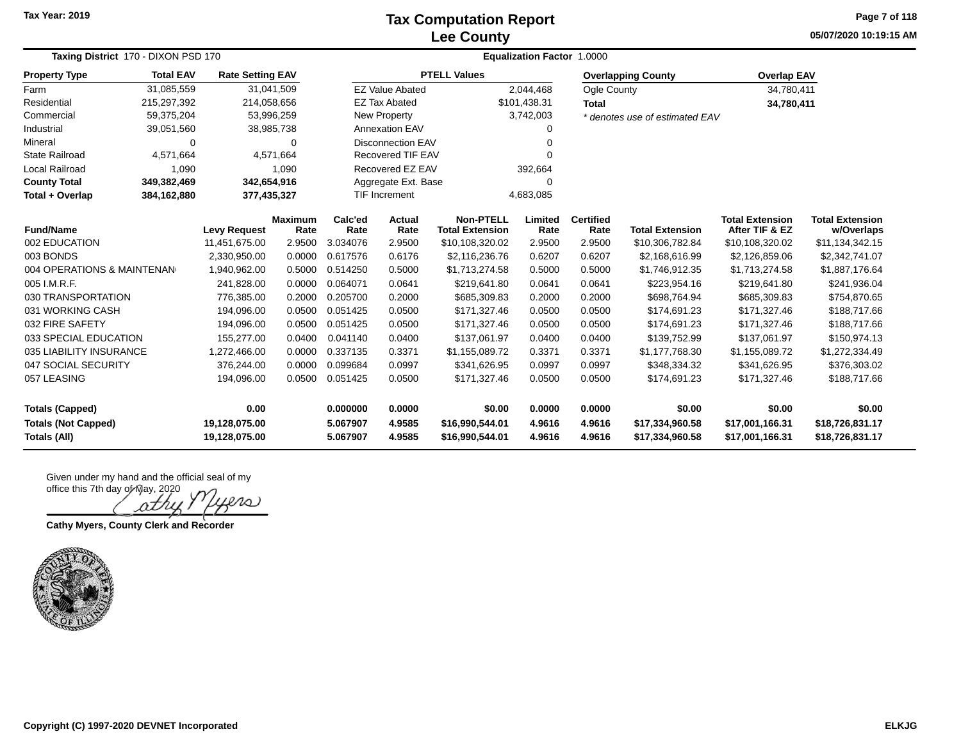#### **Lee County Tax Computation Report**

**05/07/2020 10:19:15 AM Page 7 of 118**

| Taxing District 170 - DIXON PSD 170               | <b>Equalization Factor 1.0000</b> |                                |                        |                      |                          |                                            |                  |                          |                                    |                                          |                                      |
|---------------------------------------------------|-----------------------------------|--------------------------------|------------------------|----------------------|--------------------------|--------------------------------------------|------------------|--------------------------|------------------------------------|------------------------------------------|--------------------------------------|
| <b>Property Type</b>                              | <b>Total EAV</b>                  | <b>Rate Setting EAV</b>        |                        |                      |                          | <b>PTELL Values</b>                        |                  |                          | <b>Overlapping County</b>          | <b>Overlap EAV</b>                       |                                      |
| Farm                                              | 31,085,559                        | 31,041,509                     |                        |                      | <b>EZ Value Abated</b>   |                                            | 2,044,468        | Ogle County              |                                    | 34,780,411                               |                                      |
| Residential                                       | 215,297,392                       | 214,058,656                    |                        |                      | <b>EZ Tax Abated</b>     |                                            | \$101,438.31     | <b>Total</b>             |                                    | 34,780,411                               |                                      |
| Commercial                                        | 59,375,204                        | 53,996,259                     |                        |                      | New Property             |                                            | 3,742,003        |                          | * denotes use of estimated EAV     |                                          |                                      |
| Industrial                                        | 39,051,560                        | 38,985,738                     |                        |                      | <b>Annexation EAV</b>    |                                            |                  |                          |                                    |                                          |                                      |
| Mineral                                           | $\Omega$                          |                                | $\Omega$               |                      | <b>Disconnection EAV</b> |                                            |                  |                          |                                    |                                          |                                      |
| <b>State Railroad</b>                             | 4,571,664                         |                                | 4,571,664              |                      | Recovered TIF EAV        |                                            | 0                |                          |                                    |                                          |                                      |
| Local Railroad                                    | 1,090                             |                                | 1,090                  |                      | Recovered EZ EAV         |                                            | 392,664          |                          |                                    |                                          |                                      |
| <b>County Total</b>                               | 349,382,469                       | 342,654,916                    |                        |                      | Aggregate Ext. Base      |                                            | $\Omega$         |                          |                                    |                                          |                                      |
| Total + Overlap                                   | 384,162,880                       | 377,435,327                    |                        |                      | <b>TIF Increment</b>     |                                            | 4,683,085        |                          |                                    |                                          |                                      |
| <b>Fund/Name</b>                                  |                                   | <b>Levy Request</b>            | <b>Maximum</b><br>Rate | Calc'ed<br>Rate      | Actual<br>Rate           | <b>Non-PTELL</b><br><b>Total Extension</b> | Limited<br>Rate  | <b>Certified</b><br>Rate | <b>Total Extension</b>             | <b>Total Extension</b><br>After TIF & EZ | <b>Total Extension</b><br>w/Overlaps |
| 002 EDUCATION                                     |                                   | 11,451,675.00                  | 2.9500                 | 3.034076             | 2.9500                   | \$10,108,320.02                            | 2.9500           | 2.9500                   | \$10,306,782.84                    | \$10,108,320.02                          | \$11,134,342.15                      |
| 003 BONDS                                         |                                   | 2,330,950.00                   | 0.0000                 | 0.617576             | 0.6176                   | \$2,116,236.76                             | 0.6207           | 0.6207                   | \$2,168,616.99                     | \$2,126,859.06                           | \$2,342,741.07                       |
| 004 OPERATIONS & MAINTENAN                        |                                   | 1,940,962.00                   | 0.5000                 | 0.514250             | 0.5000                   | \$1,713,274.58                             | 0.5000           | 0.5000                   | \$1,746,912.35                     | \$1,713,274.58                           | \$1,887,176.64                       |
| 005 I.M.R.F.                                      |                                   | 241,828.00                     | 0.0000                 | 0.064071             | 0.0641                   | \$219,641.80                               | 0.0641           | 0.0641                   | \$223,954.16                       | \$219,641.80                             | \$241,936.04                         |
| 030 TRANSPORTATION                                |                                   | 776,385.00                     | 0.2000                 | 0.205700             | 0.2000                   | \$685,309.83                               | 0.2000           | 0.2000                   | \$698,764.94                       | \$685,309.83                             | \$754,870.65                         |
| 031 WORKING CASH                                  |                                   | 194,096.00                     | 0.0500                 | 0.051425             | 0.0500                   | \$171,327.46                               | 0.0500           | 0.0500                   | \$174,691.23                       | \$171,327.46                             | \$188,717.66                         |
| 032 FIRE SAFETY                                   |                                   | 194,096.00                     | 0.0500                 | 0.051425             | 0.0500                   | \$171,327.46                               | 0.0500           | 0.0500                   | \$174,691.23                       | \$171,327.46                             | \$188,717.66                         |
| 033 SPECIAL EDUCATION                             |                                   | 155,277.00                     | 0.0400                 | 0.041140             | 0.0400                   | \$137,061.97                               | 0.0400           | 0.0400                   | \$139,752.99                       | \$137,061.97                             | \$150,974.13                         |
| 035 LIABILITY INSURANCE                           |                                   | 1,272,466.00                   | 0.0000                 | 0.337135             | 0.3371                   | \$1,155,089.72                             | 0.3371           | 0.3371                   | \$1,177,768.30                     | \$1,155,089.72                           | \$1,272,334.49                       |
| 047 SOCIAL SECURITY                               |                                   | 376,244.00                     | 0.0000                 | 0.099684             | 0.0997                   | \$341,626.95                               | 0.0997           | 0.0997                   | \$348,334.32                       | \$341,626.95                             | \$376,303.02                         |
| 057 LEASING                                       |                                   | 194,096.00                     | 0.0500                 | 0.051425             | 0.0500                   | \$171,327.46                               | 0.0500           | 0.0500                   | \$174,691.23                       | \$171,327.46                             | \$188,717.66                         |
| <b>Totals (Capped)</b>                            |                                   | 0.00                           |                        | 0.000000             | 0.0000                   | \$0.00                                     | 0.0000           | 0.0000                   | \$0.00                             | \$0.00                                   | \$0.00                               |
| <b>Totals (Not Capped)</b><br><b>Totals (All)</b> |                                   | 19,128,075.00<br>19,128,075.00 |                        | 5.067907<br>5.067907 | 4.9585<br>4.9585         | \$16,990,544.01<br>\$16,990,544.01         | 4.9616<br>4.9616 | 4.9616<br>4.9616         | \$17,334,960.58<br>\$17,334,960.58 | \$17,001,166.31<br>\$17,001,166.31       | \$18,726,831.17<br>\$18,726,831.17   |

نص ath

**Cathy Myers, County Clerk and Recorder**

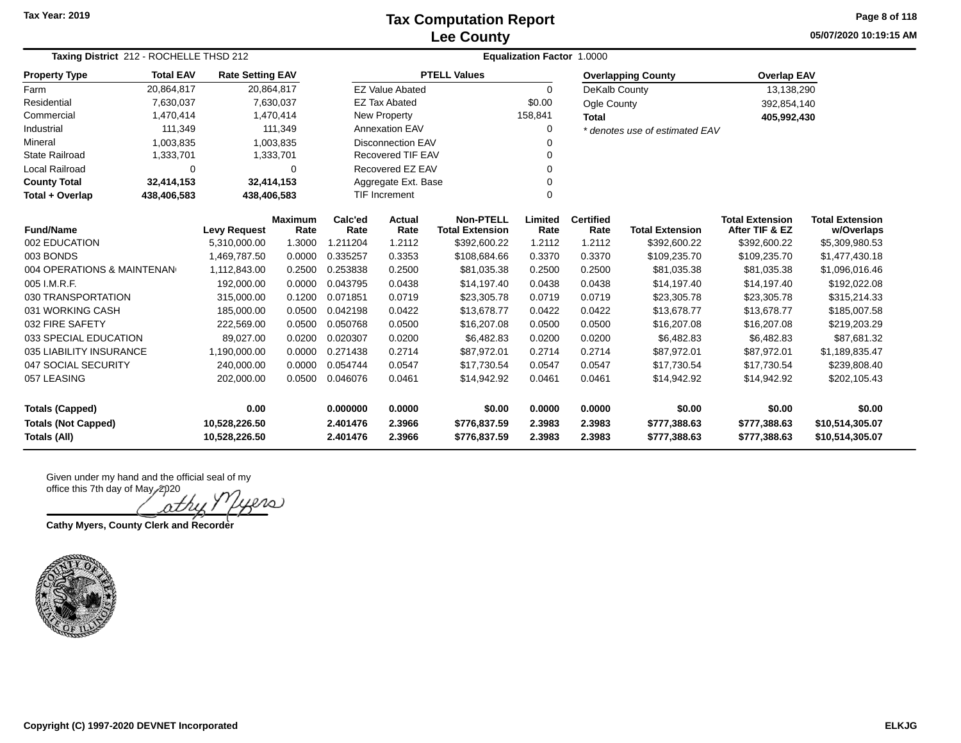### **Lee County Tax Computation Report**

**05/07/2020 10:19:15 AM Page 8 of 118**

| Taxing District 212 - ROCHELLE THSD 212                                            |                  |                         |                        | <b>Equalization Factor</b><br>1.0000 |                          |                                            |                 |                          |                                |                                          |                                      |  |  |
|------------------------------------------------------------------------------------|------------------|-------------------------|------------------------|--------------------------------------|--------------------------|--------------------------------------------|-----------------|--------------------------|--------------------------------|------------------------------------------|--------------------------------------|--|--|
| <b>Property Type</b>                                                               | <b>Total EAV</b> | <b>Rate Setting EAV</b> |                        |                                      |                          | <b>PTELL Values</b>                        |                 |                          | <b>Overlapping County</b>      | <b>Overlap EAV</b>                       |                                      |  |  |
| Farm                                                                               | 20,864,817       |                         | 20,864,817             |                                      | <b>EZ Value Abated</b>   |                                            | 0               | DeKalb County            |                                | 13,138,290                               |                                      |  |  |
| Residential                                                                        | 7,630,037        |                         | 7,630,037              |                                      | <b>EZ Tax Abated</b>     |                                            | \$0.00          | Ogle County              |                                | 392,854,140                              |                                      |  |  |
| Commercial                                                                         | 1,470,414        |                         | 1,470,414              |                                      | <b>New Property</b>      |                                            | 158,841         | <b>Total</b>             |                                | 405,992,430                              |                                      |  |  |
| Industrial                                                                         | 111,349          |                         | 111,349                |                                      | <b>Annexation EAV</b>    |                                            | 0               |                          | * denotes use of estimated EAV |                                          |                                      |  |  |
| Mineral                                                                            | 1,003,835        |                         | 1,003,835              |                                      | <b>Disconnection EAV</b> |                                            | $\Omega$        |                          |                                |                                          |                                      |  |  |
| <b>State Railroad</b>                                                              | 1,333,701        |                         | 1,333,701              |                                      | Recovered TIF EAV        |                                            | 0               |                          |                                |                                          |                                      |  |  |
| Local Railroad                                                                     | 0                |                         | $\Omega$               |                                      | Recovered EZ EAV         |                                            | $\Omega$        |                          |                                |                                          |                                      |  |  |
| <b>County Total</b>                                                                | 32,414,153       |                         | 32,414,153             |                                      | Aggregate Ext. Base      |                                            | 0               |                          |                                |                                          |                                      |  |  |
| Total + Overlap                                                                    | 438,406,583      | 438,406,583             |                        |                                      | TIF Increment            |                                            | 0               |                          |                                |                                          |                                      |  |  |
| <b>Fund/Name</b>                                                                   |                  | <b>Levy Request</b>     | <b>Maximum</b><br>Rate | Calc'ed<br>Rate                      | Actual<br>Rate           | <b>Non-PTELL</b><br><b>Total Extension</b> | Limited<br>Rate | <b>Certified</b><br>Rate | <b>Total Extension</b>         | <b>Total Extension</b><br>After TIF & EZ | <b>Total Extension</b><br>w/Overlaps |  |  |
| 002 EDUCATION                                                                      |                  | 5,310,000.00            | 1.3000                 | .211204<br>1                         | 1.2112                   | \$392,600.22                               | 1.2112          | 1.2112                   | \$392,600.22                   | \$392,600.22                             | \$5,309,980.53                       |  |  |
| 003 BONDS                                                                          |                  | 1,469,787.50            | 0.0000                 | 0.335257                             | 0.3353                   | \$108,684.66                               | 0.3370          | 0.3370                   | \$109,235.70                   | \$109,235.70                             | \$1,477,430.18                       |  |  |
| 004 OPERATIONS & MAINTENAN                                                         |                  | 1,112,843.00            | 0.2500                 | 0.253838                             | 0.2500                   | \$81,035.38                                | 0.2500          | 0.2500                   | \$81,035.38                    | \$81,035.38                              | \$1,096,016.46                       |  |  |
| 005 I.M.R.F.                                                                       |                  | 192.000.00              | 0.0000                 | 0.043795                             | 0.0438                   | \$14,197.40                                | 0.0438          | 0.0438                   | \$14,197.40                    | \$14,197.40                              | \$192,022.08                         |  |  |
| 030 TRANSPORTATION                                                                 |                  | 315,000.00              | 0.1200                 | 0.071851                             | 0.0719                   | \$23,305.78                                | 0.0719          | 0.0719                   | \$23,305.78                    | \$23,305.78                              | \$315,214.33                         |  |  |
| 031 WORKING CASH                                                                   |                  | 185,000.00              | 0.0500                 | 0.042198                             | 0.0422                   | \$13,678.77                                | 0.0422          | 0.0422                   | \$13,678.77                    | \$13,678.77                              | \$185,007.58                         |  |  |
| 032 FIRE SAFETY                                                                    |                  | 222,569.00              | 0.0500                 | 0.050768                             | 0.0500                   | \$16,207.08                                | 0.0500          | 0.0500                   | \$16,207.08                    | \$16,207.08                              | \$219,203.29                         |  |  |
| 033 SPECIAL EDUCATION                                                              |                  | 89,027.00               | 0.0200                 | 0.020307                             | 0.0200                   | \$6,482.83                                 | 0.0200          | 0.0200                   | \$6,482.83                     | \$6,482.83                               | \$87,681.32                          |  |  |
| 035 LIABILITY INSURANCE                                                            |                  | 1,190,000.00            | 0.0000                 | 0.271438                             | 0.2714                   | \$87,972.01                                | 0.2714          | 0.2714                   | \$87,972.01                    | \$87,972.01                              | \$1,189,835.47                       |  |  |
| 047 SOCIAL SECURITY                                                                |                  | 240,000.00              | 0.0000                 | 0.054744                             | 0.0547                   | \$17,730.54                                | 0.0547          | 0.0547                   | \$17,730.54                    | \$17,730.54                              | \$239,808.40                         |  |  |
| 057 LEASING                                                                        |                  | 202,000.00              | 0.0500                 | 0.046076                             | 0.0461                   | \$14,942.92                                | 0.0461          | 0.0461                   | \$14,942.92                    | \$14,942.92                              | \$202,105.43                         |  |  |
| 0.00<br>0.000000<br>0.0000<br>\$0.00<br>0.0000<br><b>Totals (Capped)</b><br>0.0000 |                  |                         |                        |                                      | \$0.00                   | \$0.00                                     | \$0.00          |                          |                                |                                          |                                      |  |  |
| <b>Totals (Not Capped)</b>                                                         |                  | 10,528,226.50           |                        | 2.401476                             | 2.3966                   | \$776,837.59                               | 2.3983          | 2.3983                   | \$777,388.63                   | \$777,388.63<br>\$10,514,305.07          |                                      |  |  |
| Totals (All)                                                                       |                  | 10,528,226.50           |                        | 2.401476                             | 2.3966                   | \$776,837.59                               | 2.3983          | 2.3983                   | \$777,388.63                   | \$777,388.63                             | \$10,514,305.07                      |  |  |

Given under my hand and the official seal of my office this 7th day of May, 2020

20) nth

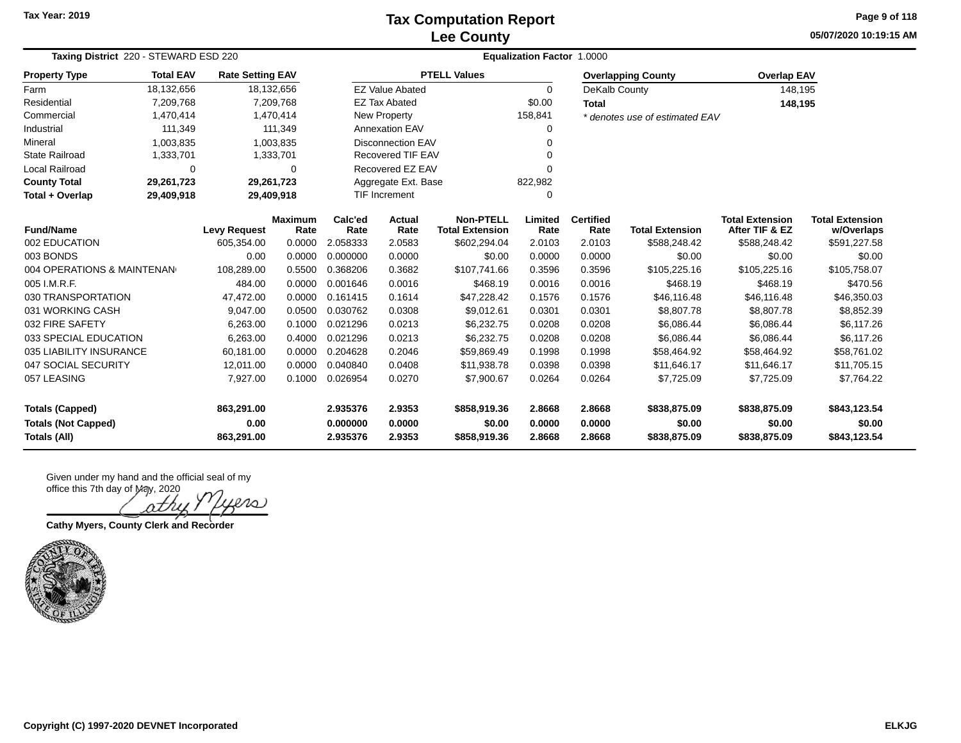### **Lee County Tax Computation Report**

**05/07/2020 10:19:15 AM Page 9 of 118**

| Taxing District 220 - STEWARD ESD 220    |            |                         |                        | Equalization Factor 1.0000 |                          |                                            |                 |                          |                                |                                          |                                      |  |  |
|------------------------------------------|------------|-------------------------|------------------------|----------------------------|--------------------------|--------------------------------------------|-----------------|--------------------------|--------------------------------|------------------------------------------|--------------------------------------|--|--|
| <b>Total EAV</b><br><b>Property Type</b> |            | <b>Rate Setting EAV</b> |                        |                            |                          | <b>PTELL Values</b>                        |                 |                          | <b>Overlapping County</b>      | <b>Overlap EAV</b>                       |                                      |  |  |
| Farm                                     | 18,132,656 |                         | 18,132,656             |                            | <b>EZ Value Abated</b>   |                                            | $\Omega$        | DeKalb County            |                                | 148,195                                  |                                      |  |  |
| Residential                              | 7,209,768  |                         | 7,209,768              |                            | <b>EZ Tax Abated</b>     |                                            | \$0.00          | Total                    |                                | 148,195                                  |                                      |  |  |
| Commercial                               | 1,470,414  |                         | 1,470,414              |                            | <b>New Property</b>      |                                            | 158,841         |                          | * denotes use of estimated EAV |                                          |                                      |  |  |
| Industrial                               | 111,349    |                         | 111,349                |                            | <b>Annexation EAV</b>    |                                            | 0               |                          |                                |                                          |                                      |  |  |
| Mineral                                  | 1,003,835  |                         | 1,003,835              |                            | <b>Disconnection EAV</b> |                                            |                 |                          |                                |                                          |                                      |  |  |
| <b>State Railroad</b>                    | 1,333,701  |                         | 1,333,701              |                            | Recovered TIF EAV        |                                            |                 |                          |                                |                                          |                                      |  |  |
| Local Railroad                           | $\Omega$   |                         | 0                      |                            | Recovered EZ EAV         |                                            |                 |                          |                                |                                          |                                      |  |  |
| <b>County Total</b>                      | 29,261,723 |                         | 29,261,723             |                            | Aggregate Ext. Base      |                                            | 822,982         |                          |                                |                                          |                                      |  |  |
| Total + Overlap                          | 29,409,918 |                         | 29,409,918             |                            | <b>TIF Increment</b>     |                                            | 0               |                          |                                |                                          |                                      |  |  |
| <b>Fund/Name</b>                         |            | <b>Levy Request</b>     | <b>Maximum</b><br>Rate | Calc'ed<br>Rate            | <b>Actual</b><br>Rate    | <b>Non-PTELL</b><br><b>Total Extension</b> | Limited<br>Rate | <b>Certified</b><br>Rate | <b>Total Extension</b>         | <b>Total Extension</b><br>After TIF & EZ | <b>Total Extension</b><br>w/Overlaps |  |  |
| 002 EDUCATION                            |            | 605,354.00              | 0.0000                 | 2.058333                   | 2.0583                   | \$602,294.04                               | 2.0103          | 2.0103                   | \$588,248.42                   | \$588,248.42                             | \$591,227.58                         |  |  |
| 003 BONDS                                |            | 0.00                    | 0.0000                 | 0.000000                   | 0.0000                   | \$0.00                                     | 0.0000          | 0.0000                   | \$0.00                         | \$0.00                                   | \$0.00                               |  |  |
| 004 OPERATIONS & MAINTENAN               |            | 108,289.00              | 0.5500                 | 0.368206                   | 0.3682                   | \$107,741.66                               | 0.3596          | 0.3596                   | \$105,225.16                   | \$105,225.16                             | \$105,758.07                         |  |  |
| 005 I.M.R.F.                             |            | 484.00                  | 0.0000                 | 0.001646                   | 0.0016                   | \$468.19                                   | 0.0016          | 0.0016                   | \$468.19                       | \$468.19                                 | \$470.56                             |  |  |
| 030 TRANSPORTATION                       |            | 47,472.00               | 0.0000                 | 0.161415                   | 0.1614                   | \$47,228.42                                | 0.1576          | 0.1576                   | \$46,116.48                    | \$46,116.48                              | \$46,350.03                          |  |  |
| 031 WORKING CASH                         |            | 9,047.00                | 0.0500                 | 0.030762                   | 0.0308                   | \$9,012.61                                 | 0.0301          | 0.0301                   | \$8,807.78                     | \$8,807.78                               | \$8,852.39                           |  |  |
| 032 FIRE SAFETY                          |            | 6,263.00                | 0.1000                 | 0.021296                   | 0.0213                   | \$6,232.75                                 | 0.0208          | 0.0208                   | \$6,086.44                     | \$6,086.44                               | \$6,117.26                           |  |  |
| 033 SPECIAL EDUCATION                    |            | 6,263.00                | 0.4000                 | 0.021296                   | 0.0213                   | \$6,232.75                                 | 0.0208          | 0.0208                   | \$6,086.44                     | \$6,086.44                               | \$6,117.26                           |  |  |
| 035 LIABILITY INSURANCE                  |            | 60,181.00               | 0.0000                 | 0.204628                   | 0.2046                   | \$59,869.49                                | 0.1998          | 0.1998                   | \$58,464.92                    | \$58,464.92                              | \$58,761.02                          |  |  |
| 047 SOCIAL SECURITY                      |            | 12,011.00               | 0.0000                 | 0.040840                   | 0.0408                   | \$11,938.78                                | 0.0398          | 0.0398                   | \$11,646.17                    | \$11,646.17                              | \$11,705.15                          |  |  |
| 057 LEASING                              |            | 7,927.00                | 0.1000                 | 0.026954                   | 0.0270                   | \$7,900.67                                 | 0.0264          | 0.0264                   | \$7,725.09                     | \$7,725.09                               | \$7,764.22                           |  |  |
| <b>Totals (Capped)</b>                   |            | 863,291.00              |                        | 2.935376                   | 2.9353                   | \$858,919.36                               | 2.8668          | 2.8668                   | \$838,875.09                   | \$838,875.09                             | \$843,123.54                         |  |  |
| <b>Totals (Not Capped)</b>               |            | 0.00                    |                        | 0.000000                   | 0.0000                   | \$0.00                                     | 0.0000          | 0.0000                   | \$0.00                         | \$0.00                                   | \$0.00                               |  |  |
| Totals (All)                             |            | 863,291.00              |                        | 2.935376                   | 2.9353                   | \$858,919.36                               | 2.8668          | 2.8668                   | \$838,875.09                   | \$838,875.09                             | \$843,123.54                         |  |  |

 $\infty$ 

**Cathy Myers, County Clerk and Recorder**

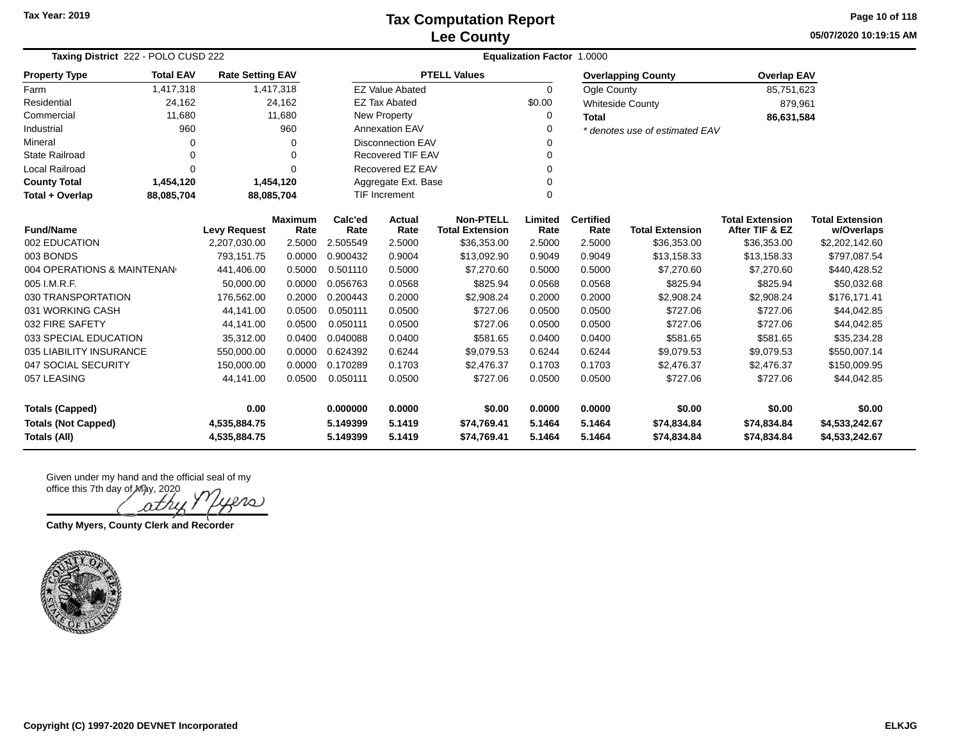**05/07/2020 10:19:15 AM Page 10 of 118**

| Taxing District 222 - POLO CUSD 222 |                                                                       |                     |                        | Equalization Factor 1.0000 |                          |                                            |                 |                          |                                |                                          |                                      |  |
|-------------------------------------|-----------------------------------------------------------------------|---------------------|------------------------|----------------------------|--------------------------|--------------------------------------------|-----------------|--------------------------|--------------------------------|------------------------------------------|--------------------------------------|--|
| <b>Property Type</b>                | <b>Total EAV</b><br><b>Rate Setting EAV</b><br>1,417,318<br>1,417,318 |                     |                        |                            |                          | <b>PTELL Values</b>                        |                 |                          | <b>Overlapping County</b>      | <b>Overlap EAV</b>                       |                                      |  |
| Farm                                |                                                                       |                     |                        |                            | <b>EZ Value Abated</b>   |                                            | 0               | <b>Ogle County</b>       |                                | 85,751,623                               |                                      |  |
| Residential                         | 24,162                                                                |                     | 24,162                 |                            | <b>EZ Tax Abated</b>     |                                            | \$0.00          |                          | <b>Whiteside County</b>        | 879,961                                  |                                      |  |
| Commercial                          | 11,680                                                                |                     | 11,680                 |                            | New Property             |                                            | 0               | <b>Total</b>             |                                | 86,631,584                               |                                      |  |
| Industrial                          | 960                                                                   |                     | 960                    |                            | <b>Annexation EAV</b>    |                                            | 0               |                          | * denotes use of estimated EAV |                                          |                                      |  |
| Mineral                             | 0                                                                     |                     | ∩                      |                            | <b>Disconnection EAV</b> |                                            | O               |                          |                                |                                          |                                      |  |
| <b>State Railroad</b>               | 0                                                                     |                     | $\Omega$               |                            | <b>Recovered TIF EAV</b> |                                            | $\Omega$        |                          |                                |                                          |                                      |  |
| Local Railroad                      | $\Omega$                                                              |                     | $\Omega$               |                            | Recovered EZ EAV         |                                            | O               |                          |                                |                                          |                                      |  |
| <b>County Total</b>                 | 1,454,120                                                             |                     | 1,454,120              |                            |                          | Aggregate Ext. Base                        |                 |                          |                                |                                          |                                      |  |
| Total + Overlap                     | TIF Increment<br>$\Omega$<br>88,085,704<br>88,085,704                 |                     |                        |                            |                          |                                            |                 |                          |                                |                                          |                                      |  |
| <b>Fund/Name</b>                    |                                                                       | <b>Levy Request</b> | <b>Maximum</b><br>Rate | Calc'ed<br>Rate            | <b>Actual</b><br>Rate    | <b>Non-PTELL</b><br><b>Total Extension</b> | Limited<br>Rate | <b>Certified</b><br>Rate | <b>Total Extension</b>         | <b>Total Extension</b><br>After TIF & EZ | <b>Total Extension</b><br>w/Overlaps |  |
| 002 EDUCATION                       |                                                                       | 2,207,030.00        | 2.5000                 | 2.505549                   | 2.5000                   | \$36,353.00                                | 2.5000          | 2.5000                   | \$36,353.00                    | \$36,353.00                              | \$2,202,142.60                       |  |
| 003 BONDS                           |                                                                       | 793,151.75          | 0.0000                 | 0.900432                   | 0.9004                   | \$13,092.90                                | 0.9049          | 0.9049                   | \$13,158.33                    | \$13,158.33                              | \$797,087.54                         |  |
| 004 OPERATIONS & MAINTENAN          |                                                                       | 441,406.00          | 0.5000                 | 0.501110                   | 0.5000                   | \$7,270.60                                 | 0.5000          | 0.5000                   | \$7,270.60                     | \$7,270.60                               | \$440,428.52                         |  |
| 005 I.M.R.F.                        |                                                                       | 50,000.00           | 0.0000                 | 0.056763                   | 0.0568                   | \$825.94                                   | 0.0568          | 0.0568                   | \$825.94                       | \$825.94                                 | \$50,032.68                          |  |
| 030 TRANSPORTATION                  |                                                                       | 176,562.00          | 0.2000                 | 0.200443                   | 0.2000                   | \$2,908.24                                 | 0.2000          | 0.2000                   | \$2,908.24                     | \$2,908.24                               | \$176,171.41                         |  |
| 031 WORKING CASH                    |                                                                       | 44,141.00           | 0.0500                 | 0.050111                   | 0.0500                   | \$727.06                                   | 0.0500          | 0.0500                   | \$727.06                       | \$727.06                                 | \$44,042.85                          |  |
| 032 FIRE SAFETY                     |                                                                       | 44,141.00           | 0.0500                 | 0.050111                   | 0.0500                   | \$727.06                                   | 0.0500          | 0.0500                   | \$727.06                       | \$727.06                                 | \$44,042.85                          |  |
| 033 SPECIAL EDUCATION               |                                                                       | 35.312.00           | 0.0400                 | 0.040088                   | 0.0400                   | \$581.65                                   | 0.0400          | 0.0400                   | \$581.65                       | \$581.65                                 | \$35,234.28                          |  |
| 035 LIABILITY INSURANCE             |                                                                       | 550,000.00          | 0.0000                 | 0.624392                   | 0.6244                   | \$9,079.53                                 | 0.6244          | 0.6244                   | \$9,079.53                     | \$9,079.53                               | \$550,007.14                         |  |
| 047 SOCIAL SECURITY                 |                                                                       | 150,000.00          | 0.0000                 | 0.170289                   | 0.1703                   | \$2,476.37                                 | 0.1703          | 0.1703                   | \$2,476.37                     | \$2,476.37                               | \$150,009.95                         |  |
| 057 LEASING                         |                                                                       | 44,141.00           | 0.0500                 | 0.050111                   | 0.0500                   | \$727.06                                   | 0.0500          | 0.0500                   | \$727.06                       | \$727.06                                 | \$44,042.85                          |  |
| 0.00<br><b>Totals (Capped)</b>      |                                                                       |                     | 0.000000               | 0.0000                     | \$0.00                   | 0.0000                                     | 0.0000          | \$0.00                   | \$0.00                         | \$0.00                                   |                                      |  |
| <b>Totals (Not Capped)</b>          |                                                                       | 4,535,884.75        |                        | 5.149399                   | 5.1419                   | \$74,769.41                                | 5.1464          | 5.1464                   | \$74,834.84                    | \$74,834.84                              | \$4,533,242.67                       |  |
| <b>Totals (All)</b>                 | 4,535,884.75                                                          |                     | 5.149399               | 5.1419                     | \$74,769.41              | 5.1464                                     | 5.1464          | \$74.834.84              | \$74.834.84                    | \$4,533,242.67                           |                                      |  |

oτn

**Cathy Myers, County Clerk and Recorder**

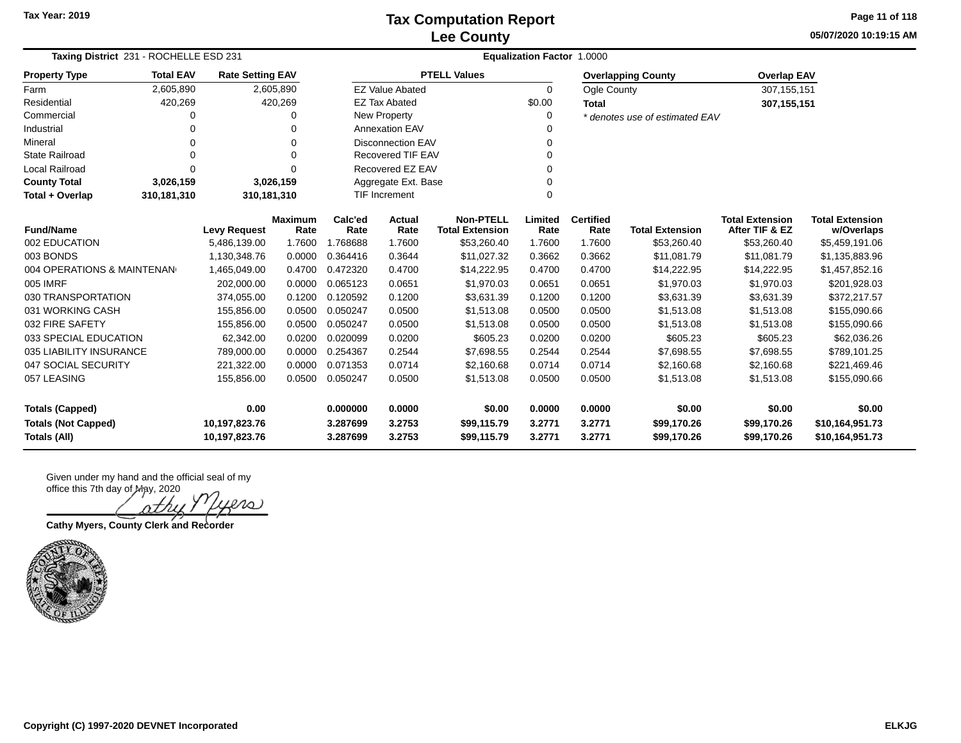**05/07/2020 10:19:15 AM Page 11 of 118**

| Taxing District 231 - ROCHELLE ESD 231      |                                                                       |                     |                        | <b>Equalization Factor 1.0000</b> |                          |                                            |                 |                          |                                |                                          |                                      |  |  |  |
|---------------------------------------------|-----------------------------------------------------------------------|---------------------|------------------------|-----------------------------------|--------------------------|--------------------------------------------|-----------------|--------------------------|--------------------------------|------------------------------------------|--------------------------------------|--|--|--|
| <b>Property Type</b>                        | <b>Total EAV</b><br><b>Rate Setting EAV</b><br>2,605,890<br>2,605,890 |                     |                        |                                   |                          | <b>PTELL Values</b>                        |                 |                          | <b>Overlapping County</b>      | <b>Overlap EAV</b>                       |                                      |  |  |  |
| Farm                                        |                                                                       |                     |                        |                                   | <b>EZ Value Abated</b>   |                                            | $\Omega$        | Ogle County              |                                | 307, 155, 151                            |                                      |  |  |  |
| Residential                                 | 420,269                                                               |                     | 420,269                |                                   | <b>EZ Tax Abated</b>     |                                            | \$0.00          | <b>Total</b>             |                                | 307, 155, 151                            |                                      |  |  |  |
| Commercial                                  | 0                                                                     |                     |                        |                                   | New Property             |                                            | 0               |                          | * denotes use of estimated EAV |                                          |                                      |  |  |  |
| Industrial                                  | 0                                                                     |                     |                        |                                   | <b>Annexation EAV</b>    |                                            |                 |                          |                                |                                          |                                      |  |  |  |
| Mineral                                     | 0                                                                     |                     | $\Omega$               |                                   | <b>Disconnection EAV</b> |                                            | 0               |                          |                                |                                          |                                      |  |  |  |
| <b>State Railroad</b>                       | 0                                                                     |                     | 0                      |                                   | Recovered TIF EAV        |                                            |                 |                          |                                |                                          |                                      |  |  |  |
| Local Railroad                              | 0                                                                     |                     | O                      |                                   | Recovered EZ EAV         |                                            | $\Omega$        |                          |                                |                                          |                                      |  |  |  |
| <b>County Total</b>                         | 3,026,159                                                             |                     | 3,026,159              |                                   | Aggregate Ext. Base      |                                            | 0               |                          |                                |                                          |                                      |  |  |  |
| Total + Overlap                             | 310,181,310                                                           | 310,181,310         |                        | <b>TIF Increment</b><br>0         |                          |                                            |                 |                          |                                |                                          |                                      |  |  |  |
| <b>Fund/Name</b>                            |                                                                       | <b>Levy Request</b> | <b>Maximum</b><br>Rate | Calc'ed<br>Rate                   | <b>Actual</b><br>Rate    | <b>Non-PTELL</b><br><b>Total Extension</b> | Limited<br>Rate | <b>Certified</b><br>Rate | <b>Total Extension</b>         | <b>Total Extension</b><br>After TIF & EZ | <b>Total Extension</b><br>w/Overlaps |  |  |  |
| 002 EDUCATION                               |                                                                       | 5,486,139.00        | 1.7600                 | 1.768688                          | 1.7600                   | \$53,260.40                                | 1.7600          | 1.7600                   | \$53,260.40                    | \$53,260.40                              | \$5,459,191.06                       |  |  |  |
| 003 BONDS                                   |                                                                       | 1,130,348.76        | 0.0000                 | 0.364416                          | 0.3644                   | \$11,027.32                                | 0.3662          | 0.3662                   | \$11,081.79                    | \$11,081.79                              | \$1,135,883.96                       |  |  |  |
| 004 OPERATIONS & MAINTENAN                  |                                                                       | 1,465,049.00        | 0.4700                 | 0.472320                          | 0.4700                   | \$14,222.95                                | 0.4700          | 0.4700                   | \$14,222.95                    | \$14,222.95                              | \$1,457,852.16                       |  |  |  |
| 005 IMRF                                    |                                                                       | 202,000.00          | 0.0000                 | 0.065123                          | 0.0651                   | \$1,970.03                                 | 0.0651          | 0.0651                   | \$1,970.03                     | \$1,970.03                               | \$201,928.03                         |  |  |  |
| 030 TRANSPORTATION                          |                                                                       | 374,055.00          | 0.1200                 | 0.120592                          | 0.1200                   | \$3,631.39                                 | 0.1200          | 0.1200                   | \$3,631.39                     | \$3,631.39                               | \$372,217.57                         |  |  |  |
| 031 WORKING CASH                            |                                                                       | 155,856.00          | 0.0500                 | 0.050247                          | 0.0500                   | \$1,513.08                                 | 0.0500          | 0.0500                   | \$1,513.08                     | \$1,513.08                               | \$155,090.66                         |  |  |  |
| 032 FIRE SAFETY                             |                                                                       | 155,856.00          | 0.0500                 | 0.050247                          | 0.0500                   | \$1,513.08                                 | 0.0500          | 0.0500                   | \$1,513.08                     | \$1,513.08                               | \$155,090.66                         |  |  |  |
| 033 SPECIAL EDUCATION                       |                                                                       | 62,342.00           | 0.0200                 | 0.020099                          | 0.0200                   | \$605.23                                   | 0.0200          | 0.0200                   | \$605.23                       | \$605.23                                 | \$62,036.26                          |  |  |  |
| 035 LIABILITY INSURANCE                     |                                                                       | 789,000.00          | 0.0000                 | 0.254367                          | 0.2544                   | \$7,698.55                                 | 0.2544          | 0.2544                   | \$7,698.55                     | \$7,698.55                               | \$789,101.25                         |  |  |  |
| 047 SOCIAL SECURITY                         |                                                                       | 221,322.00          | 0.0000                 | 0.071353                          | 0.0714                   | \$2,160.68                                 | 0.0714          | 0.0714                   | \$2,160.68                     | \$2,160.68                               | \$221,469.46                         |  |  |  |
| 057 LEASING                                 |                                                                       | 155,856.00          | 0.0500                 | 0.050247                          | 0.0500                   | \$1,513.08                                 | 0.0500          | 0.0500                   | \$1,513.08                     | \$1,513.08                               | \$155,090.66                         |  |  |  |
| 0.00<br><b>Totals (Capped)</b>              |                                                                       |                     |                        | 0.000000                          | 0.0000                   | \$0.00                                     | 0.0000          | 0.0000                   | \$0.00                         | \$0.00                                   | \$0.00                               |  |  |  |
| <b>Totals (Not Capped)</b><br>10,197,823.76 |                                                                       |                     | 3.287699               | 3.2753                            | \$99,115.79              | 3.2771                                     | 3.2771          | \$99,170.26              | \$99,170.26                    | \$10,164,951.73                          |                                      |  |  |  |
| <b>Totals (All)</b>                         |                                                                       | 10,197,823.76       |                        | 3.287699                          | 3.2753                   | \$99,115.79                                | 3.2771          | 3.2771                   | \$99,170.26                    | \$99,170.26                              | \$10,164,951.73                      |  |  |  |

 $\infty$ ν7

**Cathy Myers, County Clerk and Recorder**

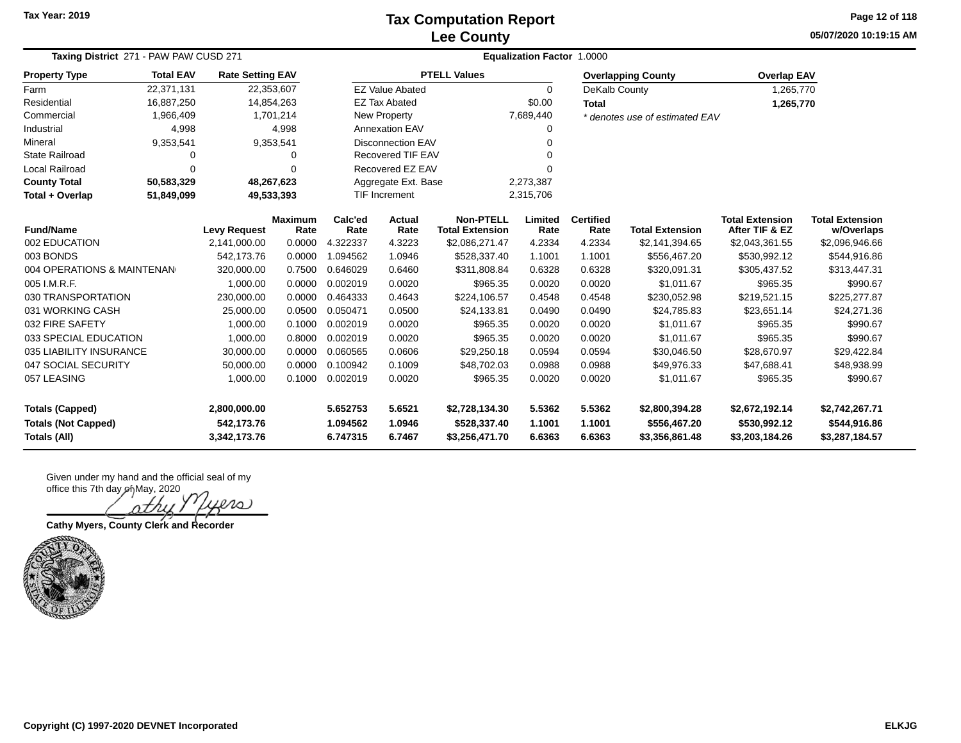### **Lee County Tax Computation Report**

**05/07/2020 10:19:15 AM Page 12 of 118**

| Taxing District 271 - PAW PAW CUSD 271 |                                                                         |                     |                        |                      | <b>Equalization Factor 1.0000</b> |                                            |                 |                          |                                |                                          |                                      |  |  |  |
|----------------------------------------|-------------------------------------------------------------------------|---------------------|------------------------|----------------------|-----------------------------------|--------------------------------------------|-----------------|--------------------------|--------------------------------|------------------------------------------|--------------------------------------|--|--|--|
| <b>Property Type</b>                   | <b>Total EAV</b><br><b>Rate Setting EAV</b><br>22,371,131<br>22,353,607 |                     |                        |                      |                                   | <b>PTELL Values</b>                        |                 |                          | <b>Overlapping County</b>      | <b>Overlap EAV</b>                       |                                      |  |  |  |
| Farm                                   |                                                                         |                     |                        |                      | <b>EZ Value Abated</b>            |                                            | $\Omega$        | DeKalb County            |                                | 1,265,770                                |                                      |  |  |  |
| Residential                            | 16,887,250                                                              |                     | 14,854,263             |                      | <b>EZ Tax Abated</b>              |                                            | \$0.00          | <b>Total</b>             |                                | 1,265,770                                |                                      |  |  |  |
| Commercial                             | 1,966,409                                                               |                     | 1,701,214              |                      | <b>New Property</b>               |                                            | 7,689,440       |                          | * denotes use of estimated EAV |                                          |                                      |  |  |  |
| Industrial                             | 4,998                                                                   |                     | 4,998                  |                      | <b>Annexation EAV</b>             |                                            | 0               |                          |                                |                                          |                                      |  |  |  |
| Mineral                                | 9,353,541                                                               |                     | 9,353,541              |                      | <b>Disconnection EAV</b>          |                                            | U               |                          |                                |                                          |                                      |  |  |  |
| <b>State Railroad</b>                  | 0                                                                       |                     | 0                      |                      | <b>Recovered TIF EAV</b>          |                                            |                 |                          |                                |                                          |                                      |  |  |  |
| Local Railroad                         | $\Omega$                                                                |                     | $\Omega$               |                      | Recovered EZ EAV                  |                                            | U               |                          |                                |                                          |                                      |  |  |  |
| <b>County Total</b>                    | 50,583,329                                                              | 48,267,623          |                        |                      | Aggregate Ext. Base<br>2,273,387  |                                            |                 |                          |                                |                                          |                                      |  |  |  |
| Total + Overlap                        | 51,849,099<br>49,533,393                                                |                     |                        | <b>TIF Increment</b> |                                   | 2,315,706                                  |                 |                          |                                |                                          |                                      |  |  |  |
| <b>Fund/Name</b>                       |                                                                         | <b>Levy Request</b> | <b>Maximum</b><br>Rate | Calc'ed<br>Rate      | Actual<br>Rate                    | <b>Non-PTELL</b><br><b>Total Extension</b> | Limited<br>Rate | <b>Certified</b><br>Rate | <b>Total Extension</b>         | <b>Total Extension</b><br>After TIF & EZ | <b>Total Extension</b><br>w/Overlaps |  |  |  |
| 002 EDUCATION                          |                                                                         | 2,141,000.00        | 0.0000                 | 4.322337             | 4.3223                            | \$2,086,271.47                             | 4.2334          | 4.2334                   | \$2,141,394.65                 | \$2,043,361.55                           | \$2,096,946.66                       |  |  |  |
| 003 BONDS                              |                                                                         | 542,173.76          | 0.0000                 | 1.094562             | 1.0946                            | \$528,337.40                               | 1.1001          | 1.1001                   | \$556,467.20                   | \$530,992.12                             | \$544,916.86                         |  |  |  |
| 004 OPERATIONS & MAINTENAN             |                                                                         | 320,000.00          | 0.7500                 | 0.646029             | 0.6460                            | \$311,808.84                               | 0.6328          | 0.6328                   | \$320,091.31                   | \$305,437.52                             | \$313,447.31                         |  |  |  |
| 005 I.M.R.F.                           |                                                                         | 1,000.00            | 0.0000                 | 0.002019             | 0.0020                            | \$965.35                                   | 0.0020          | 0.0020                   | \$1,011.67                     | \$965.35                                 | \$990.67                             |  |  |  |
| 030 TRANSPORTATION                     |                                                                         | 230,000.00          | 0.0000                 | 0.464333             | 0.4643                            | \$224,106.57                               | 0.4548          | 0.4548                   | \$230,052.98                   | \$219,521.15                             | \$225,277.87                         |  |  |  |
| 031 WORKING CASH                       |                                                                         | 25,000.00           | 0.0500                 | 0.050471             | 0.0500                            | \$24,133.81                                | 0.0490          | 0.0490                   | \$24,785.83                    | \$23,651.14                              | \$24,271.36                          |  |  |  |
| 032 FIRE SAFETY                        |                                                                         | 1,000.00            | 0.1000                 | 0.002019             | 0.0020                            | \$965.35                                   | 0.0020          | 0.0020                   | \$1,011.67                     | \$965.35                                 | \$990.67                             |  |  |  |
| 033 SPECIAL EDUCATION                  |                                                                         | 1,000.00            | 0.8000                 | 0.002019             | 0.0020                            | \$965.35                                   | 0.0020          | 0.0020                   | \$1,011.67                     | \$965.35                                 | \$990.67                             |  |  |  |
| 035 LIABILITY INSURANCE                |                                                                         | 30,000.00           | 0.0000                 | 0.060565             | 0.0606                            | \$29,250.18                                | 0.0594          | 0.0594                   | \$30,046.50                    | \$28,670.97                              | \$29,422.84                          |  |  |  |
| 047 SOCIAL SECURITY                    |                                                                         | 50,000.00           | 0.0000                 | 0.100942             | 0.1009                            | \$48,702.03                                | 0.0988          | 0.0988                   | \$49,976.33                    | \$47,688.41                              | \$48,938.99                          |  |  |  |
| 057 LEASING                            |                                                                         | 1,000.00            | 0.1000                 | 0.002019             | 0.0020                            | \$965.35                                   | 0.0020          | 0.0020                   | \$1,011.67                     | \$965.35                                 | \$990.67                             |  |  |  |
| <b>Totals (Capped)</b>                 |                                                                         | 2,800,000.00        |                        | 5.652753             | 5.6521                            | \$2,728,134.30                             | 5.5362          | 5.5362                   | \$2,800,394.28                 | \$2,672,192.14                           | \$2,742,267.71                       |  |  |  |
| <b>Totals (Not Capped)</b>             |                                                                         | 542,173.76          |                        | 1.094562             | 1.0946                            | \$528,337.40                               | 1.1001          | 1.1001                   | \$556,467.20                   | \$530,992.12                             | \$544,916.86                         |  |  |  |
| Totals (All)                           |                                                                         | 3,342,173.76        |                        | 6.747315             | 6.7467                            | \$3,256,471.70                             | 6.6363          | 6.6363                   | \$3,356,861.48                 | \$3,203,184.26                           | \$3,287,184.57                       |  |  |  |

atru Ders

**Cathy Myers, County Clerk and Recorder**

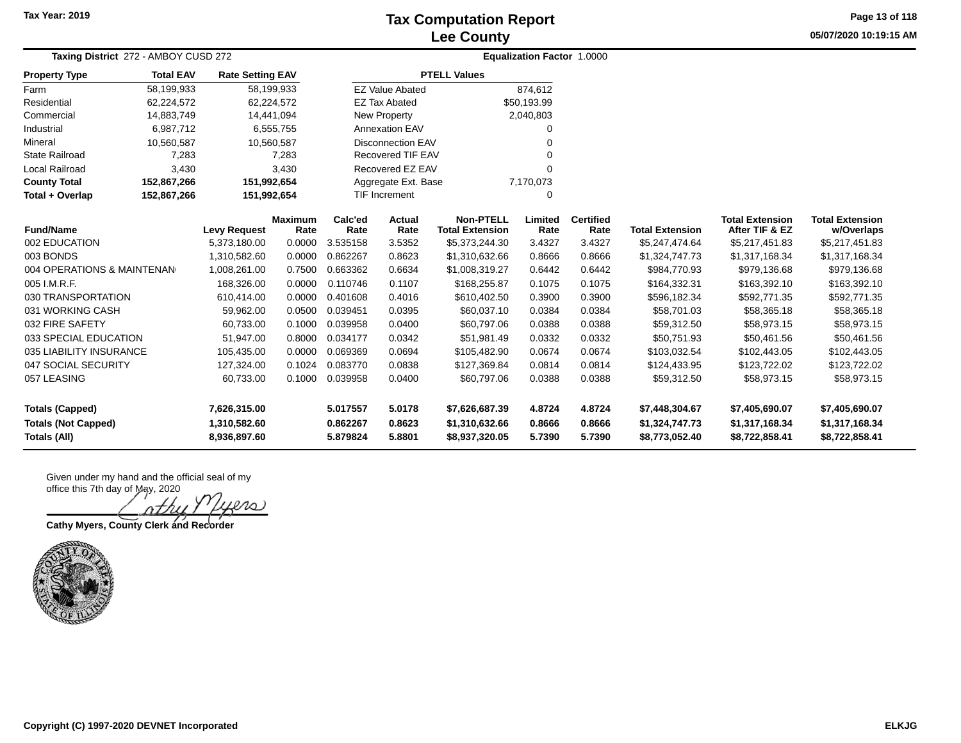# **Lee County Tax Computation Report**

**05/07/2020 10:19:15 AM Page 13 of 118**

| Taxing District 272 - AMBOY CUSD 272 |                  |                         | <b>Equalization Factor 1.0000</b> |                     |                           |                                            |                 |                          |                        |                                          |                                      |  |
|--------------------------------------|------------------|-------------------------|-----------------------------------|---------------------|---------------------------|--------------------------------------------|-----------------|--------------------------|------------------------|------------------------------------------|--------------------------------------|--|
| <b>Property Type</b>                 | <b>Total EAV</b> | <b>Rate Setting EAV</b> |                                   |                     |                           | <b>PTELL Values</b>                        |                 |                          |                        |                                          |                                      |  |
| Farm                                 | 58,199,933       |                         | 58,199,933                        |                     | <b>EZ Value Abated</b>    |                                            | 874,612         |                          |                        |                                          |                                      |  |
| Residential                          | 62,224,572       |                         | 62,224,572                        |                     | <b>EZ Tax Abated</b>      |                                            | \$50,193.99     |                          |                        |                                          |                                      |  |
| Commercial                           | 14,883,749       |                         | 14,441,094                        |                     | New Property              |                                            | 2,040,803       |                          |                        |                                          |                                      |  |
| Industrial                           | 6,987,712        |                         | 6,555,755                         |                     | <b>Annexation EAV</b>     |                                            |                 |                          |                        |                                          |                                      |  |
| Mineral                              | 10,560,587       |                         | 10,560,587                        |                     | <b>Disconnection EAV</b>  |                                            |                 |                          |                        |                                          |                                      |  |
| State Railroad                       | 7,283            |                         | 7,283                             |                     | Recovered TIF EAV         |                                            |                 |                          |                        |                                          |                                      |  |
| Local Railroad                       | 3,430            |                         | 3,430                             | Recovered EZ EAV    |                           |                                            |                 |                          |                        |                                          |                                      |  |
| <b>County Total</b>                  | 152,867,266      | 151,992,654             |                                   | Aggregate Ext. Base |                           |                                            | 7,170,073       |                          |                        |                                          |                                      |  |
| Total + Overlap                      | 152,867,266      | 151,992,654             |                                   |                     | <b>TIF Increment</b><br>0 |                                            |                 |                          |                        |                                          |                                      |  |
| <b>Fund/Name</b>                     |                  | <b>Levy Request</b>     | <b>Maximum</b><br>Rate            | Calc'ed<br>Rate     | Actual<br>Rate            | <b>Non-PTELL</b><br><b>Total Extension</b> | Limited<br>Rate | <b>Certified</b><br>Rate | <b>Total Extension</b> | <b>Total Extension</b><br>After TIF & EZ | <b>Total Extension</b><br>w/Overlaps |  |
| 002 EDUCATION                        |                  | 5,373,180.00            | 0.0000                            | 3.535158            | 3.5352                    | \$5,373,244.30                             | 3.4327          | 3.4327                   | \$5,247,474.64         | \$5,217,451.83                           | \$5,217,451.83                       |  |
| 003 BONDS                            |                  | 1,310,582.60            | 0.0000                            | 0.862267            | 0.8623                    | \$1,310,632.66                             | 0.8666          | 0.8666                   | \$1,324,747.73         | \$1,317,168.34                           | \$1,317,168.34                       |  |
| 004 OPERATIONS & MAINTENAN           |                  | 1,008,261.00            | 0.7500                            | 0.663362            | 0.6634                    | \$1,008,319.27                             | 0.6442          | 0.6442                   | \$984,770.93           | \$979,136.68                             | \$979,136.68                         |  |
| 005 I.M.R.F.                         |                  | 168,326.00              | 0.0000                            | 0.110746            | 0.1107                    | \$168,255.87                               | 0.1075          | 0.1075                   | \$164,332.31           | \$163,392.10                             | \$163,392.10                         |  |
| 030 TRANSPORTATION                   |                  | 610,414.00              | 0.0000                            | 0.401608            | 0.4016                    | \$610,402.50                               | 0.3900          | 0.3900                   | \$596,182.34           | \$592,771.35                             | \$592,771.35                         |  |
| 031 WORKING CASH                     |                  | 59,962.00               | 0.0500                            | 0.039451            | 0.0395                    | \$60,037.10                                | 0.0384          | 0.0384                   | \$58,701.03            | \$58,365.18                              | \$58,365.18                          |  |
| 032 FIRE SAFETY                      |                  | 60,733.00               | 0.1000                            | 0.039958            | 0.0400                    | \$60,797.06                                | 0.0388          | 0.0388                   | \$59,312.50            | \$58,973.15                              | \$58,973.15                          |  |
| 033 SPECIAL EDUCATION                |                  | 51,947.00               | 0.8000                            | 0.034177            | 0.0342                    | \$51,981.49                                | 0.0332          | 0.0332                   | \$50,751.93            | \$50,461.56                              | \$50,461.56                          |  |
| 035 LIABILITY INSURANCE              |                  | 105,435.00              | 0.0000                            | 0.069369            | 0.0694                    | \$105,482.90                               | 0.0674          | 0.0674                   | \$103,032.54           | \$102,443.05                             | \$102,443.05                         |  |
| 047 SOCIAL SECURITY                  |                  | 127.324.00              | 0.1024                            | 0.083770            | 0.0838                    | \$127,369.84                               | 0.0814          | 0.0814                   | \$124,433.95           | \$123,722.02                             | \$123,722.02                         |  |
| 057 LEASING                          |                  | 60,733.00               | 0.1000                            | 0.039958            | 0.0400                    | \$60,797.06                                | 0.0388          | 0.0388                   | \$59,312.50            | \$58,973.15                              | \$58,973.15                          |  |
| <b>Totals (Capped)</b>               |                  | 7,626,315.00            |                                   | 5.017557            | 5.0178                    | \$7,626,687.39                             | 4.8724          | 4.8724                   | \$7,448,304.67         | \$7,405,690.07                           | \$7,405,690.07                       |  |
| <b>Totals (Not Capped)</b>           |                  | 1,310,582.60            |                                   | 0.862267            | 0.8623                    | \$1,310,632.66                             | 0.8666          | 0.8666                   | \$1,324,747.73         | \$1,317,168.34                           | \$1,317,168.34                       |  |
| <b>Totals (All)</b>                  |                  | 8,936,897.60            |                                   | 5.879824            | 5.8801                    | \$8,937,320.05                             | 5.7390          | 5.7390                   | \$8,773,052.40         | \$8,722,858.41                           | \$8,722,858.41                       |  |

Given under my hand and the official seal of my office this 7th day of May, 2020

 $\infty$ 

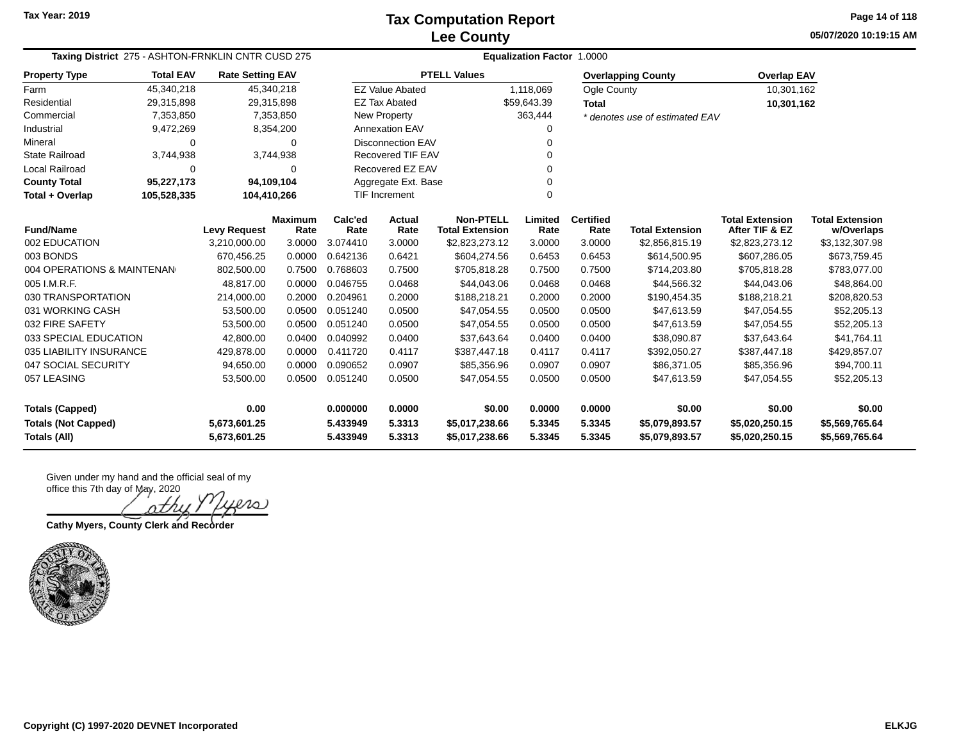**05/07/2020 10:19:15 AM Page 14 of 118**

| Taxing District 275 - ASHTON-FRNKLIN CNTR CUSD 275<br><b>Rate Setting EAV</b> |                  |                     |                        |                 | Equalization Factor 1.0000 |                                            |                 |                          |                                |                                          |                                      |  |  |  |
|-------------------------------------------------------------------------------|------------------|---------------------|------------------------|-----------------|----------------------------|--------------------------------------------|-----------------|--------------------------|--------------------------------|------------------------------------------|--------------------------------------|--|--|--|
| <b>Property Type</b>                                                          | <b>Total EAV</b> |                     |                        |                 |                            | <b>PTELL Values</b>                        |                 |                          | <b>Overlapping County</b>      | <b>Overlap EAV</b>                       |                                      |  |  |  |
| Farm                                                                          | 45,340,218       |                     | 45,340,218             |                 | <b>EZ Value Abated</b>     |                                            | 1,118,069       | Ogle County              |                                | 10,301,162                               |                                      |  |  |  |
| Residential                                                                   | 29,315,898       |                     | 29,315,898             |                 | <b>EZ Tax Abated</b>       |                                            | \$59,643.39     | Total                    |                                | 10,301,162                               |                                      |  |  |  |
| Commercial                                                                    | 7,353,850        |                     | 7,353,850              |                 | New Property               |                                            | 363,444         |                          | * denotes use of estimated EAV |                                          |                                      |  |  |  |
| Industrial                                                                    | 9,472,269        |                     | 8,354,200              |                 | <b>Annexation EAV</b>      |                                            | 0               |                          |                                |                                          |                                      |  |  |  |
| Mineral                                                                       | 0                |                     | 0                      |                 | <b>Disconnection EAV</b>   |                                            | $\Omega$        |                          |                                |                                          |                                      |  |  |  |
| <b>State Railroad</b>                                                         | 3,744,938        |                     | 3,744,938              |                 | Recovered TIF EAV          |                                            | $\Omega$        |                          |                                |                                          |                                      |  |  |  |
| Local Railroad                                                                | 0                |                     | 0                      |                 | Recovered EZ EAV           |                                            | $\Omega$        |                          |                                |                                          |                                      |  |  |  |
| <b>County Total</b>                                                           | 95,227,173       |                     | 94,109,104             |                 | Aggregate Ext. Base<br>0   |                                            |                 |                          |                                |                                          |                                      |  |  |  |
| Total + Overlap                                                               | 105,528,335      | 104,410,266         |                        |                 | <b>TIF Increment</b>       |                                            | $\Omega$        |                          |                                |                                          |                                      |  |  |  |
| <b>Fund/Name</b>                                                              |                  | <b>Levy Request</b> | <b>Maximum</b><br>Rate | Calc'ed<br>Rate | Actual<br>Rate             | <b>Non-PTELL</b><br><b>Total Extension</b> | Limited<br>Rate | <b>Certified</b><br>Rate | <b>Total Extension</b>         | <b>Total Extension</b><br>After TIF & EZ | <b>Total Extension</b><br>w/Overlaps |  |  |  |
| 002 EDUCATION                                                                 |                  | 3,210,000.00        | 3.0000                 | 3.074410        | 3.0000                     | \$2,823,273.12                             | 3.0000          | 3.0000                   | \$2,856,815.19                 | \$2,823,273.12                           | \$3,132,307.98                       |  |  |  |
| 003 BONDS                                                                     |                  | 670,456.25          | 0.0000                 | 0.642136        | 0.6421                     | \$604,274.56                               | 0.6453          | 0.6453                   | \$614,500.95                   | \$607,286.05                             | \$673,759.45                         |  |  |  |
| 004 OPERATIONS & MAINTENAN                                                    |                  | 802,500.00          | 0.7500                 | 0.768603        | 0.7500                     | \$705,818.28                               | 0.7500          | 0.7500                   | \$714,203.80                   | \$705,818.28                             | \$783,077.00                         |  |  |  |
| 005 I.M.R.F.                                                                  |                  | 48,817.00           | 0.0000                 | 0.046755        | 0.0468                     | \$44,043.06                                | 0.0468          | 0.0468                   | \$44,566.32                    | \$44,043.06                              | \$48,864.00                          |  |  |  |
| 030 TRANSPORTATION                                                            |                  | 214,000.00          | 0.2000                 | 0.204961        | 0.2000                     | \$188,218.21                               | 0.2000          | 0.2000                   | \$190,454.35                   | \$188,218.21                             | \$208,820.53                         |  |  |  |
| 031 WORKING CASH                                                              |                  | 53,500.00           | 0.0500                 | 0.051240        | 0.0500                     | \$47,054.55                                | 0.0500          | 0.0500                   | \$47,613.59                    | \$47,054.55                              | \$52,205.13                          |  |  |  |
| 032 FIRE SAFETY                                                               |                  | 53,500.00           | 0.0500                 | 0.051240        | 0.0500                     | \$47,054.55                                | 0.0500          | 0.0500                   | \$47,613.59                    | \$47,054.55                              | \$52,205.13                          |  |  |  |
| 033 SPECIAL EDUCATION                                                         |                  | 42,800.00           | 0.0400                 | 0.040992        | 0.0400                     | \$37,643.64                                | 0.0400          | 0.0400                   | \$38,090.87                    | \$37,643.64                              | \$41,764.11                          |  |  |  |
| 035 LIABILITY INSURANCE                                                       |                  | 429,878.00          | 0.0000                 | 0.411720        | 0.4117                     | \$387,447.18                               | 0.4117          | 0.4117                   | \$392,050.27                   | \$387,447.18                             | \$429,857.07                         |  |  |  |
| 047 SOCIAL SECURITY                                                           |                  | 94,650.00           | 0.0000                 | 0.090652        | 0.0907                     | \$85,356.96                                | 0.0907          | 0.0907                   | \$86,371.05                    | \$85,356.96                              | \$94,700.11                          |  |  |  |
| 057 LEASING                                                                   |                  | 53,500.00           | 0.0500                 | 0.051240        | 0.0500                     | \$47,054.55                                | 0.0500          | 0.0500                   | \$47,613.59                    | \$47,054.55                              | \$52,205.13                          |  |  |  |
| <b>Totals (Capped)</b>                                                        |                  | 0.00                |                        | 0.000000        | 0.0000                     | \$0.00                                     | 0.0000          | 0.0000                   | \$0.00                         | \$0.00                                   | \$0.00                               |  |  |  |
| <b>Totals (Not Capped)</b><br>5,673,601.25                                    |                  |                     |                        | 5.433949        | 5.3313                     | \$5,017,238.66                             | 5.3345          | 5.3345                   | \$5,079,893.57                 | \$5,020,250.15                           | \$5,569,765.64                       |  |  |  |
| Totals (All)                                                                  |                  | 5,673,601.25        |                        | 5.433949        | 5.3313                     | \$5,017,238.66                             | 5.3345          | 5.3345                   | \$5,079,893.57                 | \$5,020,250.15                           | \$5,569,765.64                       |  |  |  |

Given under my hand and the official seal of my office this 7th day of May, 2020

20 )

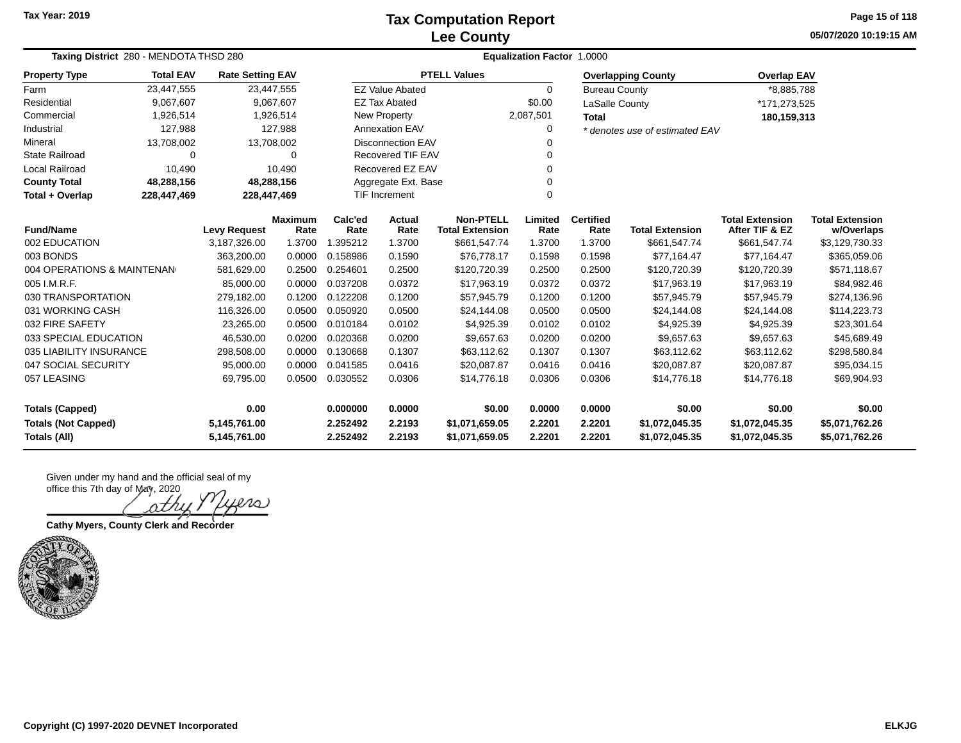### **Lee County Tax Computation Report**

**05/07/2020 10:19:15 AM Page 15 of 118**

| Taxing District 280 - MENDOTA THSD 280 | <b>Equalization Factor 1.0000</b> |                         |                        |                 |                                  |                                            |                 |                          |                                |                                          |                                      |
|----------------------------------------|-----------------------------------|-------------------------|------------------------|-----------------|----------------------------------|--------------------------------------------|-----------------|--------------------------|--------------------------------|------------------------------------------|--------------------------------------|
| <b>Property Type</b>                   | <b>Total EAV</b>                  | <b>Rate Setting EAV</b> |                        |                 |                                  | <b>PTELL Values</b>                        |                 |                          | <b>Overlapping County</b>      | <b>Overlap EAV</b>                       |                                      |
| Farm                                   | 23,447,555                        |                         | 23,447,555             |                 | <b>EZ Value Abated</b>           |                                            | 0               | <b>Bureau County</b>     |                                | *8,885,788                               |                                      |
| Residential                            | 9,067,607                         |                         | 9,067,607              |                 | <b>EZ Tax Abated</b>             |                                            | \$0.00          | LaSalle County           |                                | *171,273,525                             |                                      |
| Commercial                             | 1,926,514                         |                         | 1,926,514              |                 | New Property                     |                                            | 2,087,501       | <b>Total</b>             |                                | 180,159,313                              |                                      |
| Industrial                             | 127,988                           |                         | 127,988                |                 | Annexation EAV                   |                                            | $\Omega$        |                          | * denotes use of estimated EAV |                                          |                                      |
| Mineral                                | 13,708,002                        |                         | 13,708,002             |                 | <b>Disconnection EAV</b><br>O    |                                            |                 |                          |                                |                                          |                                      |
| <b>State Railroad</b>                  | 0                                 |                         | $\Omega$               |                 | Recovered TIF EAV                |                                            |                 |                          |                                |                                          |                                      |
| Local Railroad                         | 10,490                            |                         | 10,490                 |                 | Recovered EZ EAV<br>O            |                                            |                 |                          |                                |                                          |                                      |
| <b>County Total</b>                    | 48,288,156                        | 48,288,156              |                        |                 | Aggregate Ext. Base              |                                            |                 |                          |                                |                                          |                                      |
| Total + Overlap                        | 228,447,469                       | 228,447,469             |                        |                 | <b>TIF Increment</b><br>$\Omega$ |                                            |                 |                          |                                |                                          |                                      |
| <b>Fund/Name</b>                       | <b>Levy Request</b>               |                         | <b>Maximum</b><br>Rate | Calc'ed<br>Rate | Actual<br>Rate                   | <b>Non-PTELL</b><br><b>Total Extension</b> | Limited<br>Rate | <b>Certified</b><br>Rate | <b>Total Extension</b>         | <b>Total Extension</b><br>After TIF & EZ | <b>Total Extension</b><br>w/Overlaps |
| 002 EDUCATION                          |                                   | 3,187,326.00            | 1.3700                 | 1.395212        | 1.3700                           | \$661,547.74                               | 1.3700          | 1.3700                   | \$661,547.74                   | \$661,547.74                             | \$3,129,730.33                       |
| 003 BONDS                              |                                   | 363,200.00              | 0.0000                 | 0.158986        | 0.1590                           | \$76,778.17                                | 0.1598          | 0.1598                   | \$77,164.47                    | \$77,164.47                              | \$365,059.06                         |
| 004 OPERATIONS & MAINTENAN             |                                   | 581,629.00              | 0.2500                 | 0.254601        | 0.2500                           | \$120,720.39                               | 0.2500          | 0.2500                   | \$120,720.39                   | \$120,720.39                             | \$571,118.67                         |
| 005 I.M.R.F.                           |                                   | 85,000.00               | 0.0000                 | 0.037208        | 0.0372                           | \$17,963.19                                | 0.0372          | 0.0372                   | \$17,963.19                    | \$17,963.19                              | \$84,982.46                          |
| 030 TRANSPORTATION                     |                                   | 279,182.00              | 0.1200                 | 0.122208        | 0.1200                           | \$57,945.79                                | 0.1200          | 0.1200                   | \$57,945.79                    | \$57,945.79                              | \$274,136.96                         |
| 031 WORKING CASH                       |                                   | 116,326.00              | 0.0500                 | 0.050920        | 0.0500                           | \$24,144.08                                | 0.0500          | 0.0500                   | \$24,144.08                    | \$24,144.08                              | \$114,223.73                         |
| 032 FIRE SAFETY                        |                                   | 23,265.00               | 0.0500                 | 0.010184        | 0.0102                           | \$4,925.39                                 | 0.0102          | 0.0102                   | \$4,925.39                     | \$4,925.39                               | \$23,301.64                          |
| 033 SPECIAL EDUCATION                  |                                   | 46,530.00               | 0.0200                 | 0.020368        | 0.0200                           | \$9,657.63                                 | 0.0200          | 0.0200                   | \$9,657.63                     | \$9,657.63                               | \$45,689.49                          |
| 035 LIABILITY INSURANCE                |                                   | 298,508.00              | 0.0000                 | 0.130668        | 0.1307                           | \$63,112.62                                | 0.1307          | 0.1307                   | \$63,112.62                    | \$63,112.62                              | \$298,580.84                         |
| 047 SOCIAL SECURITY                    |                                   | 95,000.00               | 0.0000                 | 0.041585        | 0.0416                           | \$20,087.87                                | 0.0416          | 0.0416                   | \$20,087.87                    | \$20,087.87                              | \$95,034.15                          |
| 057 LEASING                            |                                   | 69,795.00               | 0.0500                 | 0.030552        | 0.0306                           | \$14,776.18                                | 0.0306          | 0.0306                   | \$14,776.18                    | \$14,776.18                              | \$69,904.93                          |
| 0.00<br><b>Totals (Capped)</b>         |                                   |                         | 0.000000               | 0.0000          | \$0.00                           | 0.0000                                     | 0.0000          | \$0.00                   | \$0.00                         | \$0.00                                   |                                      |
| <b>Totals (Not Capped)</b>             |                                   | 5,145,761.00            |                        | 2.252492        | 2.2193                           | \$1,071,659.05                             | 2.2201          | 2.2201                   | \$1,072,045.35                 | \$1,072,045.35                           | \$5,071,762.26                       |
| Totals (All)<br>5,145,761.00           |                                   |                         |                        | 2.252492        | 2.2193                           | \$1,071,659.05                             | 2.2201          | 2.2201                   | \$1,072,045.35                 | \$1,072,045.35                           | \$5,071,762.26                       |

20

**Cathy Myers, County Clerk and Recorder**

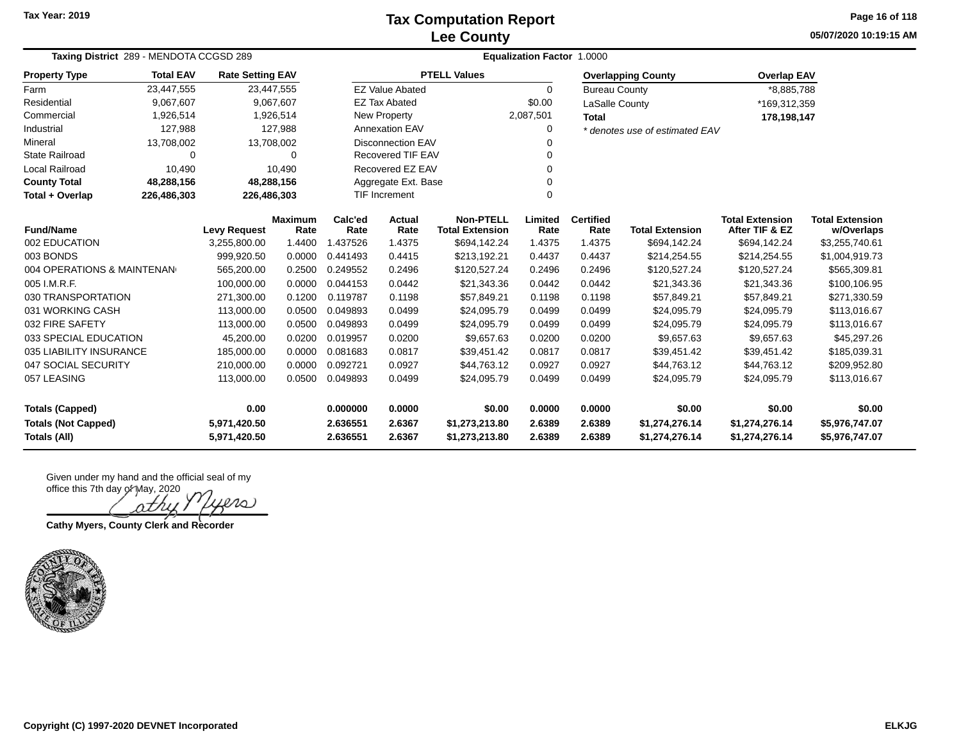### **Lee County Tax Computation Report**

**05/07/2020 10:19:15 AM Page 16 of 118**

| Taxing District 289 - MENDOTA CCGSD 289    |                  |                                     |                        |                 | <b>Equalization Factor 1.0000</b> |                                            |                 |                          |                                |                                          |                                      |  |  |  |
|--------------------------------------------|------------------|-------------------------------------|------------------------|-----------------|-----------------------------------|--------------------------------------------|-----------------|--------------------------|--------------------------------|------------------------------------------|--------------------------------------|--|--|--|
| <b>Property Type</b>                       | <b>Total EAV</b> | <b>Rate Setting EAV</b>             |                        |                 |                                   | <b>PTELL Values</b>                        |                 |                          | <b>Overlapping County</b>      | <b>Overlap EAV</b>                       |                                      |  |  |  |
| Farm                                       | 23,447,555       | 23,447,555                          |                        |                 | <b>EZ Value Abated</b>            |                                            | $\Omega$        | <b>Bureau County</b>     |                                | *8,885,788                               |                                      |  |  |  |
| Residential                                | 9,067,607        |                                     | 9,067,607              |                 | <b>EZ Tax Abated</b>              |                                            | \$0.00          | LaSalle County           |                                | *169,312,359                             |                                      |  |  |  |
| Commercial                                 | 1,926,514        |                                     | 1,926,514              |                 | <b>New Property</b>               |                                            | 2,087,501       | <b>Total</b>             |                                | 178,198,147                              |                                      |  |  |  |
| Industrial                                 | 127,988          |                                     | 127,988                |                 | Annexation EAV                    |                                            | 0               |                          | * denotes use of estimated EAV |                                          |                                      |  |  |  |
| Mineral                                    | 13,708,002       | 13,708,002                          |                        |                 | <b>Disconnection EAV</b><br>O     |                                            |                 |                          |                                |                                          |                                      |  |  |  |
| <b>State Railroad</b>                      | 0                |                                     | $\Omega$               |                 | <b>Recovered TIF EAV</b>          |                                            |                 |                          |                                |                                          |                                      |  |  |  |
| Local Railroad                             | 10,490           |                                     | 10,490                 |                 | Recovered EZ EAV<br>0             |                                            |                 |                          |                                |                                          |                                      |  |  |  |
| <b>County Total</b>                        | 48,288,156       | 48,288,156                          |                        |                 | Aggregate Ext. Base               |                                            |                 |                          |                                |                                          |                                      |  |  |  |
| Total + Overlap                            | 226,486,303      | 226,486,303                         |                        |                 | <b>TIF Increment</b><br>$\Omega$  |                                            |                 |                          |                                |                                          |                                      |  |  |  |
| <b>Fund/Name</b>                           |                  |                                     | <b>Maximum</b><br>Rate | Calc'ed<br>Rate | Actual<br>Rate                    | <b>Non-PTELL</b><br><b>Total Extension</b> | Limited<br>Rate | <b>Certified</b><br>Rate | <b>Total Extension</b>         | <b>Total Extension</b><br>After TIF & EZ | <b>Total Extension</b><br>w/Overlaps |  |  |  |
| 002 EDUCATION                              |                  | <b>Levy Request</b><br>3,255,800.00 | 1.4400                 | 1.437526        | 1.4375                            | \$694,142.24                               | 1.4375          | 1.4375                   | \$694,142.24                   | \$694,142.24                             | \$3,255,740.61                       |  |  |  |
| 003 BONDS                                  |                  | 999,920.50                          | 0.0000                 | 0.441493        | 0.4415                            | \$213,192.21                               | 0.4437          | 0.4437                   | \$214,254.55                   | \$214,254.55                             | \$1,004,919.73                       |  |  |  |
| 004 OPERATIONS & MAINTENAN                 |                  | 565,200.00                          | 0.2500                 | 0.249552        | 0.2496                            | \$120,527.24                               | 0.2496          | 0.2496                   | \$120,527.24                   | \$120,527.24                             | \$565,309.81                         |  |  |  |
| 005 I.M.R.F.                               |                  | 100,000.00                          | 0.0000                 | 0.044153        | 0.0442                            | \$21,343.36                                | 0.0442          | 0.0442                   | \$21,343.36                    | \$21,343.36                              | \$100,106.95                         |  |  |  |
| 030 TRANSPORTATION                         |                  | 271,300.00                          | 0.1200                 | 0.119787        | 0.1198                            | \$57,849.21                                | 0.1198          | 0.1198                   | \$57,849.21                    | \$57,849.21                              | \$271,330.59                         |  |  |  |
| 031 WORKING CASH                           |                  | 113,000.00                          | 0.0500                 | 0.049893        | 0.0499                            | \$24,095.79                                | 0.0499          | 0.0499                   | \$24,095.79                    | \$24,095.79                              | \$113,016.67                         |  |  |  |
| 032 FIRE SAFETY                            |                  | 113,000.00                          | 0.0500                 | 0.049893        | 0.0499                            | \$24,095.79                                | 0.0499          | 0.0499                   | \$24,095.79                    | \$24,095.79                              | \$113,016.67                         |  |  |  |
| 033 SPECIAL EDUCATION                      |                  | 45,200.00                           | 0.0200                 | 0.019957        | 0.0200                            | \$9,657.63                                 | 0.0200          | 0.0200                   | \$9,657.63                     | \$9,657.63                               | \$45,297.26                          |  |  |  |
| 035 LIABILITY INSURANCE                    |                  | 185,000.00                          | 0.0000                 | 0.081683        | 0.0817                            | \$39,451.42                                | 0.0817          | 0.0817                   | \$39,451.42                    | \$39,451.42                              | \$185,039.31                         |  |  |  |
| 047 SOCIAL SECURITY                        |                  | 210,000.00                          | 0.0000                 | 0.092721        | 0.0927                            | \$44,763.12                                | 0.0927          | 0.0927                   | \$44,763.12                    | \$44,763.12                              | \$209,952.80                         |  |  |  |
| 057 LEASING                                |                  | 113,000.00                          | 0.0500                 | 0.049893        | 0.0499                            | \$24,095.79                                | 0.0499          | 0.0499                   | \$24,095.79                    | \$24,095.79                              | \$113,016.67                         |  |  |  |
| 0.00<br><b>Totals (Capped)</b>             |                  |                                     | 0.000000               | 0.0000          | \$0.00                            | 0.0000                                     | 0.0000          | \$0.00                   | \$0.00                         | \$0.00                                   |                                      |  |  |  |
| <b>Totals (Not Capped)</b><br>5,971,420.50 |                  |                                     | 2.636551               | 2.6367          | \$1,273,213.80                    | 2.6389                                     | 2.6389          | \$1,274,276.14           | \$1,274,276.14                 | \$5,976,747.07                           |                                      |  |  |  |
| Totals (All)<br>5,971,420.50               |                  |                                     |                        | 2.636551        | 2.6367                            | \$1,273,213.80                             | 2.6389          | 2.6389                   | \$1,274,276.14                 | \$1,274,276.14                           | \$5,976,747.07                       |  |  |  |

ers

**Cathy Myers, County Clerk and Recorder**

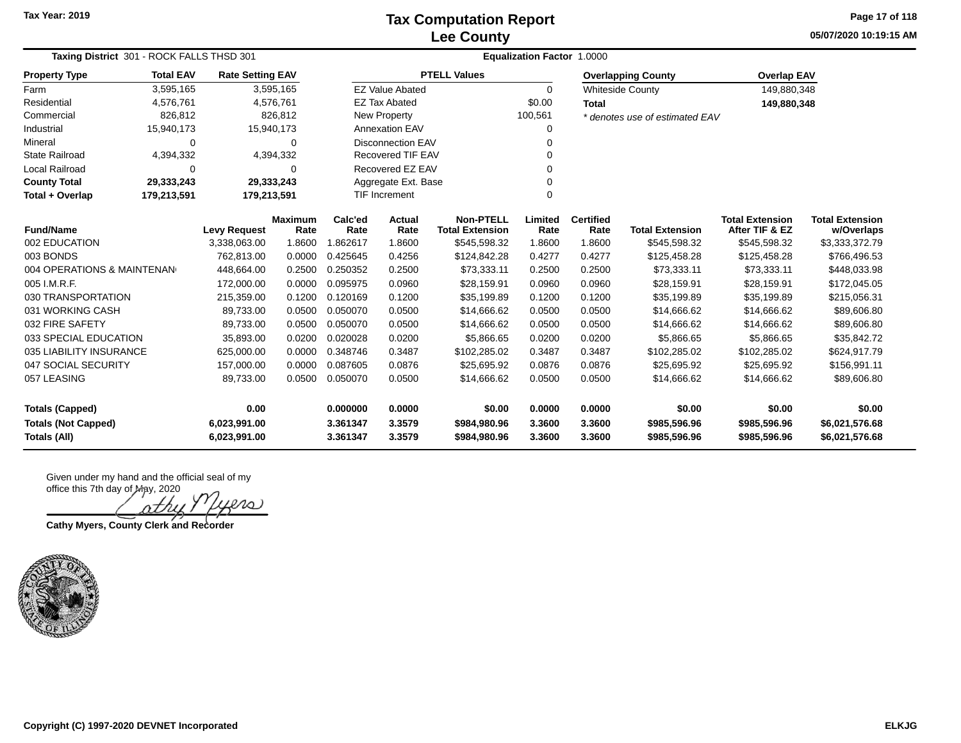**05/07/2020 10:19:15 AM Page 17 of 118**

| Taxing District 301 - ROCK FALLS THSD 301 |                  |                         |                        |                      | <b>Equalization Factor 1.0000</b> |                                            |                 |                          |                                |                                          |                                      |  |  |  |
|-------------------------------------------|------------------|-------------------------|------------------------|----------------------|-----------------------------------|--------------------------------------------|-----------------|--------------------------|--------------------------------|------------------------------------------|--------------------------------------|--|--|--|
| <b>Property Type</b>                      | <b>Total EAV</b> | <b>Rate Setting EAV</b> |                        |                      |                                   | <b>PTELL Values</b>                        |                 |                          | <b>Overlapping County</b>      | <b>Overlap EAV</b>                       |                                      |  |  |  |
| Farm                                      | 3,595,165        |                         | 3,595,165              |                      | <b>EZ Value Abated</b>            |                                            | $\Omega$        |                          | <b>Whiteside County</b>        | 149,880,348                              |                                      |  |  |  |
| Residential                               | 4,576,761        |                         | 4,576,761              |                      | <b>EZ Tax Abated</b>              |                                            | \$0.00          | <b>Total</b>             |                                | 149,880,348                              |                                      |  |  |  |
| Commercial                                | 826,812          |                         | 826,812                |                      | New Property                      |                                            | 100,561         |                          | * denotes use of estimated EAV |                                          |                                      |  |  |  |
| Industrial                                | 15,940,173       | 15,940,173              |                        |                      | <b>Annexation EAV</b>             |                                            |                 |                          |                                |                                          |                                      |  |  |  |
| Mineral                                   | $\Omega$         |                         | 0                      |                      | <b>Disconnection EAV</b>          |                                            |                 |                          |                                |                                          |                                      |  |  |  |
| <b>State Railroad</b>                     | 4,394,332        |                         | 4,394,332              |                      | <b>Recovered TIF EAV</b>          |                                            |                 |                          |                                |                                          |                                      |  |  |  |
| Local Railroad                            | $\Omega$         |                         | 0                      | Recovered EZ EAV     |                                   |                                            |                 |                          |                                |                                          |                                      |  |  |  |
| <b>County Total</b>                       | 29,333,243       | 29,333,243              |                        |                      | Aggregate Ext. Base               |                                            |                 |                          |                                |                                          |                                      |  |  |  |
| Total + Overlap                           | 179,213,591      | 179,213,591             |                        | <b>TIF Increment</b> |                                   |                                            | $\Omega$        |                          |                                |                                          |                                      |  |  |  |
| <b>Fund/Name</b>                          |                  | <b>Levy Request</b>     | <b>Maximum</b><br>Rate | Calc'ed<br>Rate      | Actual<br>Rate                    | <b>Non-PTELL</b><br><b>Total Extension</b> | Limited<br>Rate | <b>Certified</b><br>Rate | <b>Total Extension</b>         | <b>Total Extension</b><br>After TIF & EZ | <b>Total Extension</b><br>w/Overlaps |  |  |  |
| 002 EDUCATION                             |                  | 3,338,063.00            | 1.8600                 | 1.862617             | 1.8600                            | \$545,598.32                               | 1.8600          | 1.8600                   | \$545,598.32                   | \$545,598.32                             | \$3,333,372.79                       |  |  |  |
| 003 BONDS                                 |                  | 762,813.00              | 0.0000                 | 0.425645             | 0.4256                            | \$124,842.28                               | 0.4277          | 0.4277                   | \$125,458.28                   | \$125,458.28                             | \$766,496.53                         |  |  |  |
| 004 OPERATIONS & MAINTENAN                |                  | 448,664.00              | 0.2500                 | 0.250352             | 0.2500                            | \$73,333.11                                | 0.2500          | 0.2500                   | \$73,333.11                    | \$73,333.11                              | \$448,033.98                         |  |  |  |
| 005 I.M.R.F.                              |                  | 172,000.00              | 0.0000                 | 0.095975             | 0.0960                            | \$28,159.91                                | 0.0960          | 0.0960                   | \$28,159.91                    | \$28,159.91                              | \$172,045.05                         |  |  |  |
| 030 TRANSPORTATION                        |                  | 215,359.00              | 0.1200                 | 0.120169             | 0.1200                            | \$35,199.89                                | 0.1200          | 0.1200                   | \$35,199.89                    | \$35,199.89                              | \$215,056.31                         |  |  |  |
| 031 WORKING CASH                          |                  | 89,733.00               | 0.0500                 | 0.050070             | 0.0500                            | \$14,666.62                                | 0.0500          | 0.0500                   | \$14,666.62                    | \$14,666.62                              | \$89,606.80                          |  |  |  |
| 032 FIRE SAFETY                           |                  | 89,733.00               | 0.0500                 | 0.050070             | 0.0500                            | \$14,666.62                                | 0.0500          | 0.0500                   | \$14,666.62                    | \$14,666.62                              | \$89,606.80                          |  |  |  |
| 033 SPECIAL EDUCATION                     |                  | 35,893.00               | 0.0200                 | 0.020028             | 0.0200                            | \$5,866.65                                 | 0.0200          | 0.0200                   | \$5,866.65                     | \$5,866.65                               | \$35,842.72                          |  |  |  |
| 035 LIABILITY INSURANCE                   |                  | 625,000.00              | 0.0000                 | 0.348746             | 0.3487                            | \$102,285.02                               | 0.3487          | 0.3487                   | \$102,285.02                   | \$102,285.02                             | \$624,917.79                         |  |  |  |
| 047 SOCIAL SECURITY                       |                  | 157,000.00              | 0.0000                 | 0.087605             | 0.0876                            | \$25,695.92                                | 0.0876          | 0.0876                   | \$25,695.92                    | \$25,695.92                              | \$156,991.11                         |  |  |  |
| 057 LEASING                               |                  | 89,733.00               | 0.0500                 | 0.050070             | 0.0500                            | \$14,666.62                                | 0.0500          | 0.0500                   | \$14,666.62                    | \$14,666.62                              | \$89,606.80                          |  |  |  |
| <b>Totals (Capped)</b>                    |                  | 0.00                    |                        | 0.000000             | 0.0000                            | \$0.00                                     | 0.0000          | 0.0000                   | \$0.00                         | \$0.00                                   | \$0.00                               |  |  |  |
| <b>Totals (Not Capped)</b>                |                  | 6,023,991.00            |                        | 3.361347             | 3.3579                            | \$984,980.96                               | 3.3600          | 3.3600                   | \$985,596.96                   | \$985,596.96                             | \$6,021,576.68                       |  |  |  |
| Totals (All)                              |                  | 6,023,991.00            |                        | 3.361347             | 3.3579                            | \$984,980.96                               | 3.3600          | 3.3600                   | \$985,596.96                   | \$985,596.96                             | \$6,021,576.68                       |  |  |  |

ശ്വ îΤ

**Cathy Myers, County Clerk and Recorder**

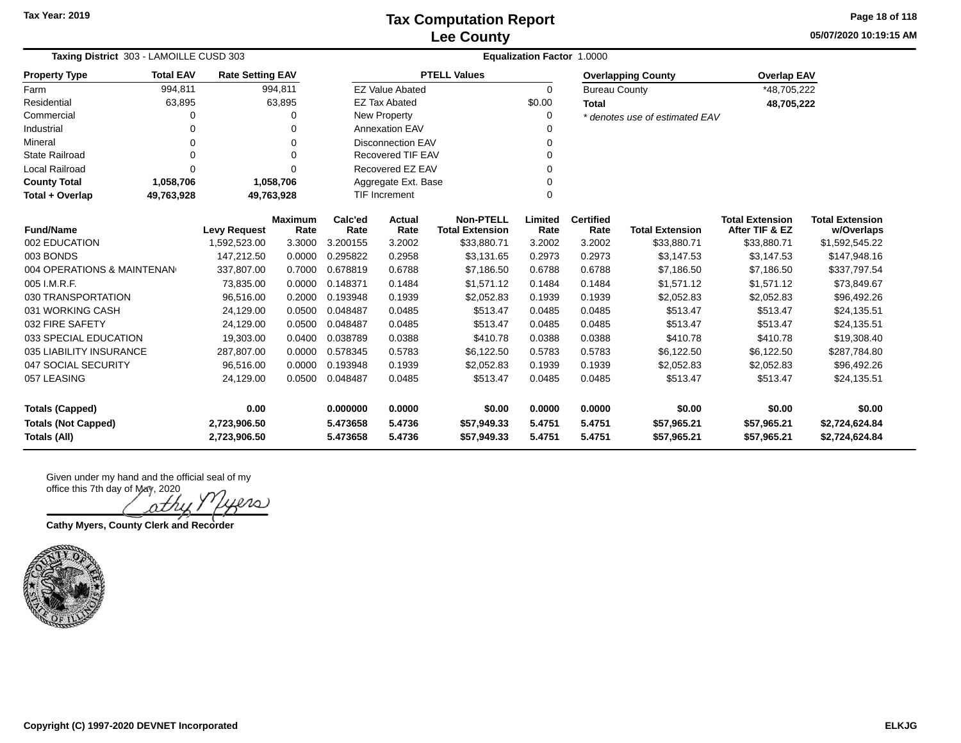**05/07/2020 10:19:15 AM Page 18 of 118**

| Taxing District 303 - LAMOILLE CUSD 303 |                                                                   |                         |                 |                     | <b>Equalization Factor 1.0000</b>          |                     |                          |                        |                                          |                                      |                |  |  |  |
|-----------------------------------------|-------------------------------------------------------------------|-------------------------|-----------------|---------------------|--------------------------------------------|---------------------|--------------------------|------------------------|------------------------------------------|--------------------------------------|----------------|--|--|--|
| <b>Property Type</b>                    | <b>Total EAV</b>                                                  | <b>Rate Setting EAV</b> |                 |                     |                                            | <b>PTELL Values</b> |                          |                        | <b>Overlapping County</b>                | <b>Overlap EAV</b>                   |                |  |  |  |
| Farm                                    | 994,811                                                           |                         | 994,811         |                     | <b>EZ Value Abated</b>                     |                     | $\Omega$                 | <b>Bureau County</b>   |                                          | *48,705,222                          |                |  |  |  |
| Residential                             | 63,895                                                            |                         | 63,895          |                     | <b>EZ Tax Abated</b>                       |                     | \$0.00                   | <b>Total</b>           |                                          | 48,705,222                           |                |  |  |  |
| Commercial                              | O                                                                 |                         | 0               |                     | <b>New Property</b>                        |                     | 0                        |                        | * denotes use of estimated EAV           |                                      |                |  |  |  |
| Industrial                              | 0                                                                 |                         | 0               |                     | <b>Annexation EAV</b>                      |                     | 0                        |                        |                                          |                                      |                |  |  |  |
| Mineral                                 | 0                                                                 |                         | 0               |                     | <b>Disconnection EAV</b>                   |                     | 0                        |                        |                                          |                                      |                |  |  |  |
| <b>State Railroad</b>                   | 0                                                                 |                         | $\Omega$        |                     | <b>Recovered TIF EAV</b><br>0              |                     |                          |                        |                                          |                                      |                |  |  |  |
| <b>Local Railroad</b>                   | $\Omega$                                                          |                         | $\Omega$        |                     | Recovered EZ EAV                           |                     | 0                        |                        |                                          |                                      |                |  |  |  |
| <b>County Total</b>                     | 1,058,706                                                         |                         | 1,058,706       | Aggregate Ext. Base |                                            |                     | 0                        |                        |                                          |                                      |                |  |  |  |
| Total + Overlap                         | 49,763,928                                                        | 49,763,928              |                 |                     | <b>TIF Increment</b>                       |                     | 0                        |                        |                                          |                                      |                |  |  |  |
|                                         | <b>Maximum</b><br><b>Fund/Name</b><br><b>Levy Request</b><br>Rate |                         | Calc'ed<br>Rate | Actual<br>Rate      | <b>Non-PTELL</b><br><b>Total Extension</b> | Limited<br>Rate     | <b>Certified</b><br>Rate | <b>Total Extension</b> | <b>Total Extension</b><br>After TIF & EZ | <b>Total Extension</b><br>w/Overlaps |                |  |  |  |
| 002 EDUCATION                           |                                                                   | 1,592,523.00            | 3.3000          | 3.200155            | 3.2002                                     | \$33,880.71         | 3.2002                   | 3.2002                 | \$33,880.71                              | \$33,880.71                          | \$1,592,545.22 |  |  |  |
| 003 BONDS                               |                                                                   | 147,212.50              | 0.0000          | 0.295822            | 0.2958                                     | \$3,131.65          | 0.2973                   | 0.2973                 | \$3,147.53                               | \$3,147.53                           | \$147,948.16   |  |  |  |
| 004 OPERATIONS & MAINTENAN              |                                                                   | 337,807.00              | 0.7000          | 0.678819            | 0.6788                                     | \$7,186.50          | 0.6788                   | 0.6788                 | \$7,186.50                               | \$7,186.50                           | \$337,797.54   |  |  |  |
| 005 I.M.R.F.                            |                                                                   | 73,835.00               | 0.0000          | 0.148371            | 0.1484                                     | \$1,571.12          | 0.1484                   | 0.1484                 | \$1.571.12                               | \$1.571.12                           | \$73,849.67    |  |  |  |
| 030 TRANSPORTATION                      |                                                                   | 96,516.00               | 0.2000          | 0.193948            | 0.1939                                     | \$2,052.83          | 0.1939                   | 0.1939                 | \$2,052.83                               | \$2,052.83                           | \$96,492.26    |  |  |  |
| 031 WORKING CASH                        |                                                                   | 24,129.00               | 0.0500          | 0.048487            | 0.0485                                     | \$513.47            | 0.0485                   | 0.0485                 | \$513.47                                 | \$513.47                             | \$24,135.51    |  |  |  |
| 032 FIRE SAFETY                         |                                                                   | 24,129.00               | 0.0500          | 0.048487            | 0.0485                                     | \$513.47            | 0.0485                   | 0.0485                 | \$513.47                                 | \$513.47                             | \$24,135.51    |  |  |  |
| 033 SPECIAL EDUCATION                   |                                                                   | 19,303.00               | 0.0400          | 0.038789            | 0.0388                                     | \$410.78            | 0.0388                   | 0.0388                 | \$410.78                                 | \$410.78                             | \$19,308.40    |  |  |  |
| 035 LIABILITY INSURANCE                 |                                                                   | 287,807.00              | 0.0000          | 0.578345            | 0.5783                                     | \$6,122.50          | 0.5783                   | 0.5783                 | \$6,122.50                               | \$6,122.50                           | \$287,784.80   |  |  |  |
| 047 SOCIAL SECURITY                     |                                                                   | 96,516.00               | 0.0000          | 0.193948            | 0.1939                                     | \$2,052.83          | 0.1939                   | 0.1939                 | \$2,052.83                               | \$2,052.83                           | \$96,492.26    |  |  |  |
| 057 LEASING                             |                                                                   | 24,129.00               | 0.0500          | 0.048487            | 0.0485                                     | \$513.47            | 0.0485                   | 0.0485                 | \$513.47                                 | \$513.47                             | \$24,135.51    |  |  |  |
| 0.00<br><b>Totals (Capped)</b>          |                                                                   |                         | 0.000000        | 0.0000              | \$0.00                                     | 0.0000              | 0.0000                   | \$0.00                 | \$0.00                                   | \$0.00                               |                |  |  |  |
| <b>Totals (Not Capped)</b>              |                                                                   | 2,723,906.50            |                 | 5.473658            | 5.4736                                     | \$57,949.33         | 5.4751                   | 5.4751                 | \$57,965.21                              | \$57,965.21                          | \$2,724,624.84 |  |  |  |
| <b>Totals (All)</b>                     | 2,723,906.50                                                      |                         | 5.473658        | 5.4736              | \$57,949.33                                | 5.4751              | 5.4751                   | \$57,965.21            | \$57,965.21                              | \$2,724,624.84                       |                |  |  |  |

rs

**Cathy Myers, County Clerk and Recorder**

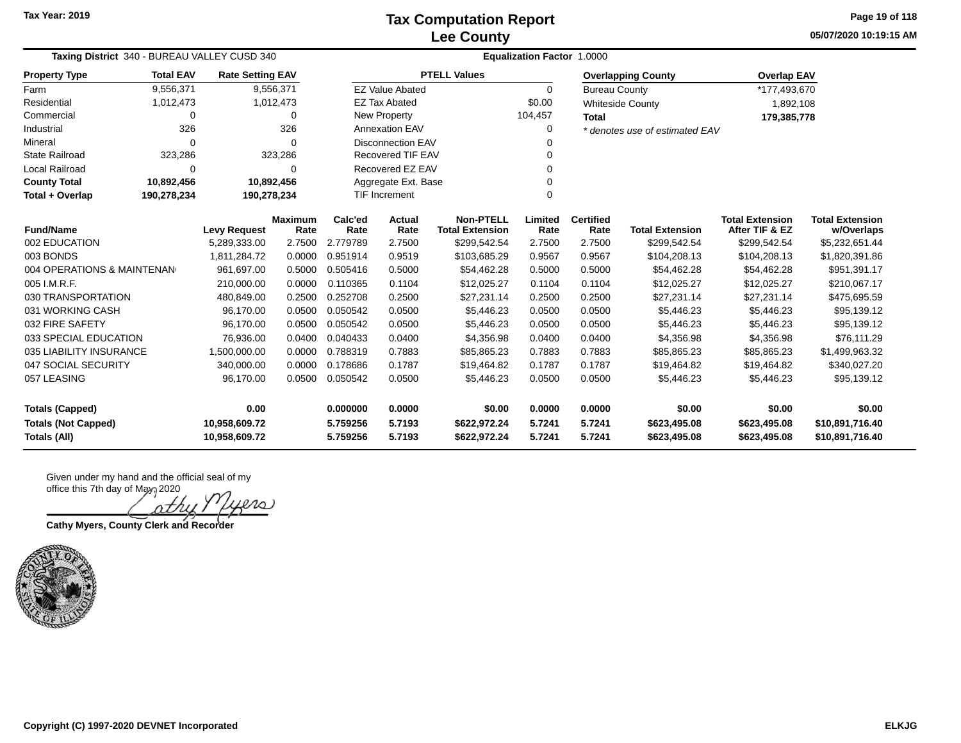**05/07/2020 10:19:15 AM Page 19 of 118**

| Taxing District 340 - BUREAU VALLEY CUSD 340 |                  |                                     |                        |                 | <b>Equalization Factor 1.0000</b> |                                            |                 |                          |                                |                                          |                                      |  |  |  |
|----------------------------------------------|------------------|-------------------------------------|------------------------|-----------------|-----------------------------------|--------------------------------------------|-----------------|--------------------------|--------------------------------|------------------------------------------|--------------------------------------|--|--|--|
| <b>Property Type</b>                         | <b>Total EAV</b> | <b>Rate Setting EAV</b>             |                        |                 |                                   | <b>PTELL Values</b>                        |                 |                          | <b>Overlapping County</b>      | <b>Overlap EAV</b>                       |                                      |  |  |  |
| Farm                                         | 9,556,371        |                                     | 9,556,371              |                 | <b>EZ Value Abated</b>            |                                            | 0               | <b>Bureau County</b>     |                                | *177,493,670                             |                                      |  |  |  |
| Residential                                  | 1,012,473        |                                     | 1,012,473              |                 | <b>EZ Tax Abated</b>              |                                            | \$0.00          |                          | <b>Whiteside County</b>        | 1,892,108                                |                                      |  |  |  |
| Commercial                                   | 0                |                                     | 0                      |                 | New Property                      |                                            | 104,457         | Total                    |                                | 179,385,778                              |                                      |  |  |  |
| Industrial                                   | 326              |                                     | 326                    |                 | <b>Annexation EAV</b>             |                                            | 0               |                          | * denotes use of estimated EAV |                                          |                                      |  |  |  |
| Mineral                                      | $\Omega$         |                                     | $\Omega$               |                 | <b>Disconnection EAV</b><br>0     |                                            |                 |                          |                                |                                          |                                      |  |  |  |
| <b>State Railroad</b>                        | 323,286          |                                     | 323,286                |                 | <b>Recovered TIF EAV</b><br>0     |                                            |                 |                          |                                |                                          |                                      |  |  |  |
| Local Railroad                               | 0                |                                     | $\Omega$               |                 | Recovered EZ EAV<br>0             |                                            |                 |                          |                                |                                          |                                      |  |  |  |
| <b>County Total</b>                          | 10,892,456       | 10,892,456                          |                        |                 | Aggregate Ext. Base               |                                            |                 |                          |                                |                                          |                                      |  |  |  |
| Total + Overlap                              | 190,278,234      | 190,278,234                         |                        |                 | TIF Increment<br>0                |                                            |                 |                          |                                |                                          |                                      |  |  |  |
| <b>Fund/Name</b>                             |                  |                                     | <b>Maximum</b><br>Rate | Calc'ed<br>Rate | Actual<br>Rate                    | <b>Non-PTELL</b><br><b>Total Extension</b> | Limited<br>Rate | <b>Certified</b><br>Rate | <b>Total Extension</b>         | <b>Total Extension</b><br>After TIF & EZ | <b>Total Extension</b><br>w/Overlaps |  |  |  |
| 002 EDUCATION                                |                  | <b>Levy Request</b><br>5,289,333.00 | 2.7500                 | 2.779789        | 2.7500                            | \$299,542.54                               | 2.7500          | 2.7500                   | \$299,542.54                   | \$299,542.54                             | \$5,232,651.44                       |  |  |  |
| 003 BONDS                                    |                  | 1,811,284.72                        | 0.0000                 | 0.951914        | 0.9519                            | \$103,685.29                               | 0.9567          | 0.9567                   | \$104,208.13                   | \$104,208.13                             | \$1,820,391.86                       |  |  |  |
| 004 OPERATIONS & MAINTENAN                   |                  | 961,697.00                          | 0.5000                 | 0.505416        | 0.5000                            | \$54,462.28                                | 0.5000          | 0.5000                   | \$54,462.28                    | \$54,462.28                              | \$951,391.17                         |  |  |  |
| 005 I.M.R.F.                                 |                  | 210,000.00                          | 0.0000                 | 0.110365        | 0.1104                            | \$12,025.27                                | 0.1104          | 0.1104                   | \$12,025.27                    | \$12,025.27                              | \$210,067.17                         |  |  |  |
| 030 TRANSPORTATION                           |                  | 480,849.00                          | 0.2500                 | 0.252708        | 0.2500                            | \$27,231.14                                | 0.2500          | 0.2500                   | \$27,231.14                    | \$27,231.14                              | \$475,695.59                         |  |  |  |
| 031 WORKING CASH                             |                  | 96,170.00                           | 0.0500                 | 0.050542        | 0.0500                            | \$5,446.23                                 | 0.0500          | 0.0500                   | \$5,446.23                     | \$5,446.23                               | \$95,139.12                          |  |  |  |
| 032 FIRE SAFETY                              |                  | 96,170.00                           | 0.0500                 | 0.050542        | 0.0500                            | \$5,446.23                                 | 0.0500          | 0.0500                   | \$5,446.23                     | \$5,446.23                               | \$95,139.12                          |  |  |  |
| 033 SPECIAL EDUCATION                        |                  | 76,936.00                           | 0.0400                 | 0.040433        | 0.0400                            | \$4,356.98                                 | 0.0400          | 0.0400                   | \$4,356.98                     | \$4,356.98                               | \$76,111.29                          |  |  |  |
| 035 LIABILITY INSURANCE                      |                  | 1,500,000.00                        | 0.0000                 | 0.788319        | 0.7883                            | \$85,865.23                                | 0.7883          | 0.7883                   | \$85,865.23                    | \$85,865.23                              | \$1,499,963.32                       |  |  |  |
| 047 SOCIAL SECURITY                          |                  | 340,000.00                          | 0.0000                 | 0.178686        | 0.1787                            | \$19,464.82                                | 0.1787          | 0.1787                   | \$19,464.82                    | \$19,464.82                              | \$340,027.20                         |  |  |  |
| 057 LEASING                                  |                  | 96,170.00                           | 0.0500                 | 0.050542        | 0.0500                            | \$5,446.23                                 | 0.0500          | 0.0500                   | \$5,446.23                     | \$5,446.23                               | \$95,139.12                          |  |  |  |
| 0.00<br><b>Totals (Capped)</b>               |                  |                                     | 0.000000               | 0.0000          | \$0.00                            | 0.0000                                     | 0.0000          | \$0.00                   | \$0.00                         | \$0.00                                   |                                      |  |  |  |
| <b>Totals (Not Capped)</b><br>10,958,609.72  |                  |                                     |                        | 5.759256        | 5.7193                            | \$622,972.24                               | 5.7241          | 5.7241                   | \$623,495.08                   | \$623,495.08                             | \$10,891,716.40                      |  |  |  |
| <b>Totals (All)</b>                          |                  | 10,958,609.72                       |                        | 5.759256        | 5.7193                            | \$622,972.24                               | 5.7241          | 5.7241                   | \$623,495.08                   | \$623,495.08                             | \$10,891,716.40                      |  |  |  |

ശ്വ nth

**Cathy Myers, County Clerk and Recorder**

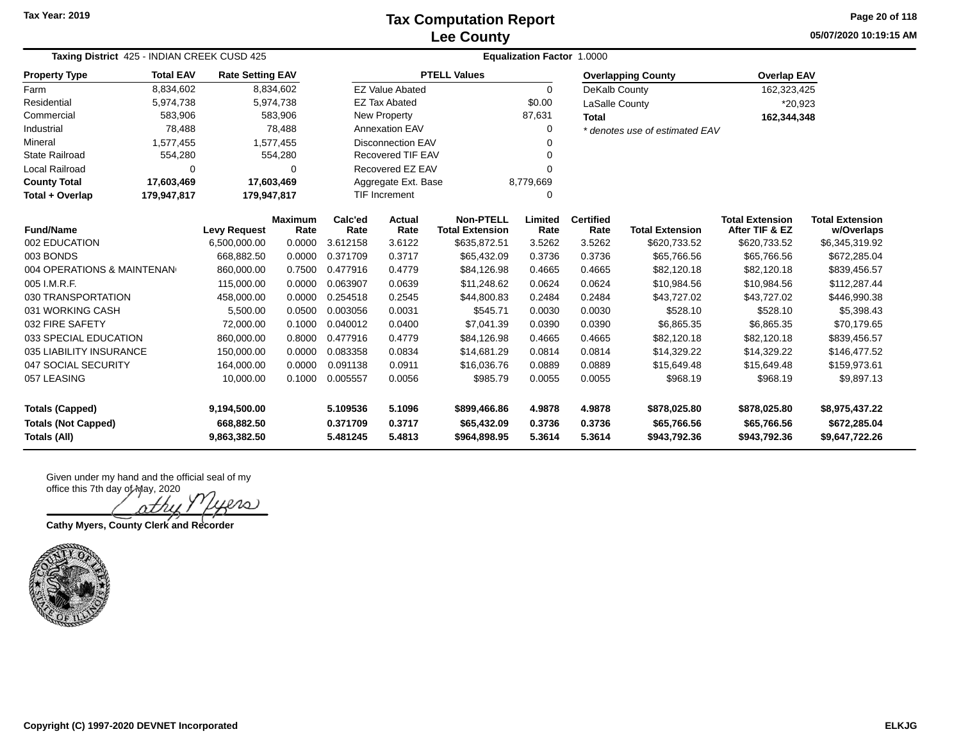**05/07/2020 10:19:15 AM Page 20 of 118**

| <b>Taxing District</b> 425 - INDIAN CREEK CUSD 425 |                  |                         |                        |                 | <b>Equalization Factor 1.0000</b> |                                            |                 |                          |                                |                                          |                                      |  |  |  |  |
|----------------------------------------------------|------------------|-------------------------|------------------------|-----------------|-----------------------------------|--------------------------------------------|-----------------|--------------------------|--------------------------------|------------------------------------------|--------------------------------------|--|--|--|--|
| <b>Property Type</b>                               | <b>Total EAV</b> | <b>Rate Setting EAV</b> |                        |                 |                                   | <b>PTELL Values</b>                        |                 |                          | <b>Overlapping County</b>      | <b>Overlap EAV</b>                       |                                      |  |  |  |  |
| Farm                                               | 8,834,602        |                         | 8,834,602              |                 | <b>EZ Value Abated</b>            |                                            | $\Omega$        | DeKalb County            |                                | 162,323,425                              |                                      |  |  |  |  |
| Residential                                        | 5,974,738        |                         | 5,974,738              |                 | <b>EZ Tax Abated</b>              |                                            | \$0.00          | LaSalle County           |                                | *20,923                                  |                                      |  |  |  |  |
| Commercial                                         | 583,906          |                         | 583,906                |                 | New Property                      |                                            | 87,631          | <b>Total</b>             |                                | 162,344,348                              |                                      |  |  |  |  |
| Industrial                                         | 78,488           |                         | 78,488                 |                 | <b>Annexation EAV</b>             |                                            | $\Omega$        |                          | * denotes use of estimated EAV |                                          |                                      |  |  |  |  |
| Mineral                                            | 1,577,455        |                         | 1,577,455              |                 | <b>Disconnection EAV</b>          |                                            |                 |                          |                                |                                          |                                      |  |  |  |  |
| <b>State Railroad</b>                              | 554,280          |                         | 554,280                |                 | <b>Recovered TIF EAV</b>          |                                            |                 |                          |                                |                                          |                                      |  |  |  |  |
| <b>Local Railroad</b>                              | 0                |                         | 0                      |                 | Recovered EZ EAV                  |                                            | ∩               |                          |                                |                                          |                                      |  |  |  |  |
| <b>County Total</b>                                | 17,603,469       | 17,603,469              |                        |                 | Aggregate Ext. Base               |                                            | 8,779,669       |                          |                                |                                          |                                      |  |  |  |  |
| Total + Overlap                                    | 179,947,817      | 179,947,817             |                        |                 | <b>TIF Increment</b>              | ∩                                          |                 |                          |                                |                                          |                                      |  |  |  |  |
| <b>Fund/Name</b>                                   |                  | <b>Levy Request</b>     | <b>Maximum</b><br>Rate | Calc'ed<br>Rate | <b>Actual</b><br>Rate             | <b>Non-PTELL</b><br><b>Total Extension</b> | Limited<br>Rate | <b>Certified</b><br>Rate | <b>Total Extension</b>         | <b>Total Extension</b><br>After TIF & EZ | <b>Total Extension</b><br>w/Overlaps |  |  |  |  |
| 002 EDUCATION                                      |                  | 6,500,000.00            | 0.0000                 | 3.612158        | 3.6122                            | \$635,872.51                               | 3.5262          | 3.5262                   | \$620,733.52                   | \$620,733.52                             | \$6,345,319.92                       |  |  |  |  |
| 003 BONDS                                          |                  | 668,882.50              | 0.0000                 | 0.371709        | 0.3717                            | \$65,432.09                                | 0.3736          | 0.3736                   | \$65,766.56                    | \$65,766.56                              | \$672,285.04                         |  |  |  |  |
| 004 OPERATIONS & MAINTENAN                         |                  | 860,000.00              | 0.7500                 | 0.477916        | 0.4779                            | \$84,126.98                                | 0.4665          | 0.4665                   | \$82,120.18                    | \$82,120.18                              | \$839,456.57                         |  |  |  |  |
| 005 I.M.R.F.                                       |                  | 115,000.00              | 0.0000                 | 0.063907        | 0.0639                            | \$11,248.62                                | 0.0624          | 0.0624                   | \$10,984.56                    | \$10,984.56                              | \$112,287.44                         |  |  |  |  |
| 030 TRANSPORTATION                                 |                  | 458,000.00              | 0.0000                 | 0.254518        | 0.2545                            | \$44,800.83                                | 0.2484          | 0.2484                   | \$43,727.02                    | \$43,727.02                              | \$446,990.38                         |  |  |  |  |
| 031 WORKING CASH                                   |                  | 5,500.00                | 0.0500                 | 0.003056        | 0.0031                            | \$545.71                                   | 0.0030          | 0.0030                   | \$528.10                       | \$528.10                                 | \$5,398.43                           |  |  |  |  |
| 032 FIRE SAFETY                                    |                  | 72,000.00               | 0.1000                 | 0.040012        | 0.0400                            | \$7,041.39                                 | 0.0390          | 0.0390                   | \$6,865.35                     | \$6,865.35                               | \$70,179.65                          |  |  |  |  |
| 033 SPECIAL EDUCATION                              |                  | 860,000.00              | 0.8000                 | 0.477916        | 0.4779                            | \$84,126.98                                | 0.4665          | 0.4665                   | \$82,120.18                    | \$82,120.18                              | \$839,456.57                         |  |  |  |  |
| 035 LIABILITY INSURANCE                            |                  | 150,000.00              | 0.0000                 | 0.083358        | 0.0834                            | \$14,681.29                                | 0.0814          | 0.0814                   | \$14,329.22                    | \$14,329.22                              | \$146,477.52                         |  |  |  |  |
| 047 SOCIAL SECURITY                                |                  | 164,000.00              | 0.0000                 | 0.091138        | 0.0911                            | \$16,036.76                                | 0.0889          | 0.0889                   | \$15,649.48                    | \$15,649.48                              | \$159,973.61                         |  |  |  |  |
| 057 LEASING                                        |                  | 10,000.00               | 0.1000                 | 0.005557        | 0.0056                            | \$985.79                                   | 0.0055          | 0.0055                   | \$968.19                       | \$968.19                                 | \$9,897.13                           |  |  |  |  |
| <b>Totals (Capped)</b><br>9,194,500.00             |                  |                         | 5.109536               | 5.1096          | \$899,466.86                      | 4.9878                                     | 4.9878          | \$878,025.80             | \$878,025.80                   | \$8,975,437.22                           |                                      |  |  |  |  |
| <b>Totals (Not Capped)</b>                         |                  | 668,882.50              |                        | 0.371709        | 0.3717                            | \$65,432.09                                | 0.3736          | 0.3736                   | \$65,766.56                    | \$65,766.56                              | \$672,285.04                         |  |  |  |  |
| <b>Totals (All)</b>                                | 9,863,382.50     |                         | 5.481245               | 5.4813          | \$964,898.95                      | 5.3614                                     | 5.3614          | \$943,792.36             | \$943,792.36                   | \$9,647,722.26                           |                                      |  |  |  |  |

iers)

**Cathy Myers, County Clerk and Recorder**

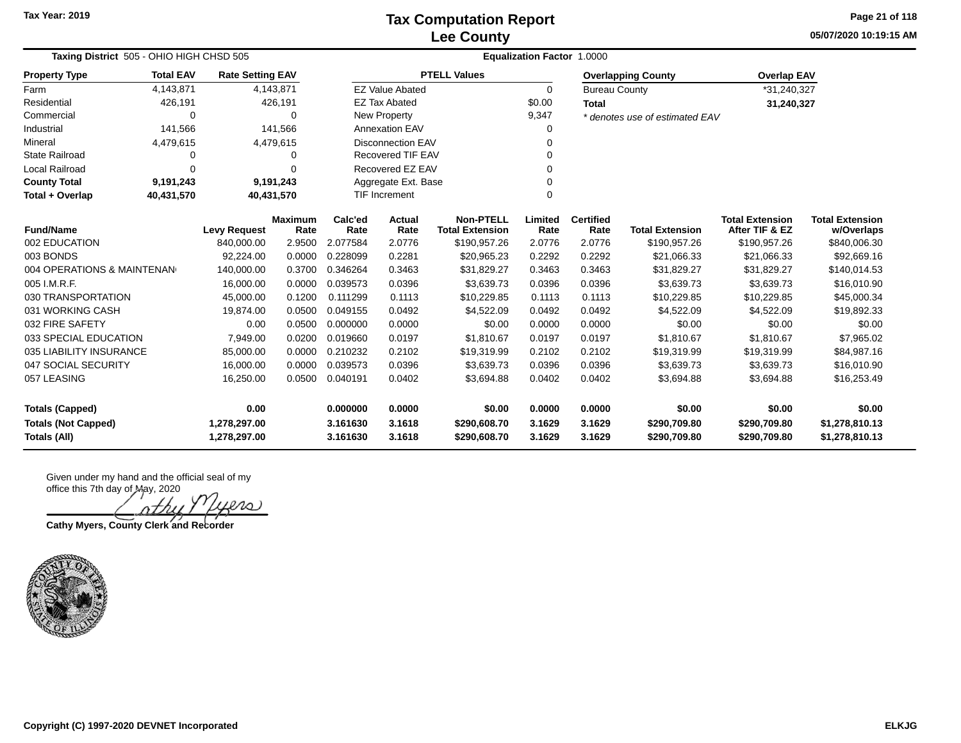**05/07/2020 10:19:15 AM Page 21 of 118**

| <b>Taxing District</b> 505 - OHIO HIGH CHSD 505 |                          |                         |                        |                 | <b>Equalization Factor 1.0000</b> |                                            |                 |                          |                                |                                          |                                      |  |  |  |
|-------------------------------------------------|--------------------------|-------------------------|------------------------|-----------------|-----------------------------------|--------------------------------------------|-----------------|--------------------------|--------------------------------|------------------------------------------|--------------------------------------|--|--|--|
| <b>Property Type</b>                            | <b>Total EAV</b>         | <b>Rate Setting EAV</b> |                        |                 |                                   | <b>PTELL Values</b>                        |                 |                          | <b>Overlapping County</b>      | <b>Overlap EAV</b>                       |                                      |  |  |  |
| Farm                                            | 4,143,871                |                         | 4,143,871              |                 | <b>EZ Value Abated</b>            |                                            | $\Omega$        | <b>Bureau County</b>     |                                | *31,240,327                              |                                      |  |  |  |
| Residential                                     | 426,191                  |                         | 426,191                |                 | <b>EZ Tax Abated</b>              |                                            | \$0.00          | <b>Total</b>             |                                | 31,240,327                               |                                      |  |  |  |
| Commercial                                      | 0                        |                         | $\Omega$               |                 | <b>New Property</b>               |                                            | 9,347           |                          | * denotes use of estimated EAV |                                          |                                      |  |  |  |
| Industrial                                      | 141,566                  |                         | 141,566                |                 | <b>Annexation EAV</b>             |                                            | $\Omega$        |                          |                                |                                          |                                      |  |  |  |
| Mineral                                         | 4,479,615                |                         | 4,479,615              |                 | <b>Disconnection EAV</b><br>0     |                                            |                 |                          |                                |                                          |                                      |  |  |  |
| <b>State Railroad</b>                           | 0                        |                         | 0                      |                 | <b>Recovered TIF EAV</b>          |                                            | $\Omega$        |                          |                                |                                          |                                      |  |  |  |
| Local Railroad                                  | 0                        |                         | $\Omega$               |                 | Recovered EZ EAV                  |                                            | $\Omega$        |                          |                                |                                          |                                      |  |  |  |
| <b>County Total</b>                             | 9,191,243                |                         | 9,191,243              |                 | Aggregate Ext. Base               |                                            | $\Omega$        |                          |                                |                                          |                                      |  |  |  |
| Total + Overlap                                 | 40,431,570<br>40,431,570 |                         |                        |                 | <b>TIF Increment</b>              |                                            | $\Omega$        |                          |                                |                                          |                                      |  |  |  |
| <b>Fund/Name</b>                                |                          | <b>Levy Request</b>     | <b>Maximum</b><br>Rate | Calc'ed<br>Rate | Actual<br>Rate                    | <b>Non-PTELL</b><br><b>Total Extension</b> | Limited<br>Rate | <b>Certified</b><br>Rate | <b>Total Extension</b>         | <b>Total Extension</b><br>After TIF & EZ | <b>Total Extension</b><br>w/Overlaps |  |  |  |
| 002 EDUCATION                                   |                          | 840,000.00              | 2.9500                 | 2.077584        | 2.0776                            | \$190,957.26                               | 2.0776          | 2.0776                   | \$190,957.26                   | \$190,957.26                             | \$840,006.30                         |  |  |  |
| 003 BONDS                                       |                          | 92,224.00               | 0.0000                 | 0.228099        | 0.2281                            | \$20,965.23                                | 0.2292          | 0.2292                   | \$21,066.33                    | \$21,066.33                              | \$92,669.16                          |  |  |  |
| 004 OPERATIONS & MAINTENAN                      |                          | 140,000.00              | 0.3700                 | 0.346264        | 0.3463                            | \$31,829.27                                | 0.3463          | 0.3463                   | \$31,829.27                    | \$31,829.27                              | \$140,014.53                         |  |  |  |
| 005 I.M.R.F.                                    |                          | 16,000.00               | 0.0000                 | 0.039573        | 0.0396                            | \$3,639.73                                 | 0.0396          | 0.0396                   | \$3,639.73                     | \$3,639.73                               | \$16,010.90                          |  |  |  |
| 030 TRANSPORTATION                              |                          | 45,000.00               | 0.1200                 | 0.111299        | 0.1113                            | \$10,229.85                                | 0.1113          | 0.1113                   | \$10,229.85                    | \$10,229.85                              | \$45,000.34                          |  |  |  |
| 031 WORKING CASH                                |                          | 19,874.00               | 0.0500                 | 0.049155        | 0.0492                            | \$4,522.09                                 | 0.0492          | 0.0492                   | \$4,522.09                     | \$4,522.09                               | \$19,892.33                          |  |  |  |
| 032 FIRE SAFETY                                 |                          | 0.00                    | 0.0500                 | 0.000000        | 0.0000                            | \$0.00                                     | 0.0000          | 0.0000                   | \$0.00                         | \$0.00                                   | \$0.00                               |  |  |  |
| 033 SPECIAL EDUCATION                           |                          | 7,949.00                | 0.0200                 | 0.019660        | 0.0197                            | \$1,810.67                                 | 0.0197          | 0.0197                   | \$1,810.67                     | \$1,810.67                               | \$7,965.02                           |  |  |  |
| 035 LIABILITY INSURANCE                         |                          | 85,000.00               | 0.0000                 | 0.210232        | 0.2102                            | \$19,319.99                                | 0.2102          | 0.2102                   | \$19,319.99                    | \$19,319.99                              | \$84,987.16                          |  |  |  |
| 047 SOCIAL SECURITY                             |                          | 16,000.00               | 0.0000                 | 0.039573        | 0.0396                            | \$3,639.73                                 | 0.0396          | 0.0396                   | \$3,639.73                     | \$3,639.73                               | \$16,010.90                          |  |  |  |
| 057 LEASING                                     |                          | 16,250.00               | 0.0500                 | 0.040191        | 0.0402                            | \$3,694.88                                 | 0.0402          | 0.0402                   | \$3,694.88                     | \$3,694.88                               | \$16,253.49                          |  |  |  |
| <b>Totals (Capped)</b>                          |                          | 0.00                    |                        | 0.000000        | 0.0000                            | \$0.00                                     | 0.0000          | 0.0000                   | \$0.00                         | \$0.00                                   | \$0.00                               |  |  |  |
| <b>Totals (Not Capped)</b>                      |                          | 1,278,297.00            |                        | 3.161630        | 3.1618                            | \$290,608.70                               | 3.1629          | 3.1629                   | \$290,709.80                   | \$290,709.80                             | \$1,278,810.13                       |  |  |  |
| <b>Totals (All)</b>                             |                          | 1,278,297.00            |                        | 3.161630        | 3.1618                            | \$290,608.70                               | 3.1629          | 3.1629                   | \$290,709.80                   | \$290,709.80                             | \$1,278,810.13                       |  |  |  |

ers

**Cathy Myers, County Clerk and Recorder**

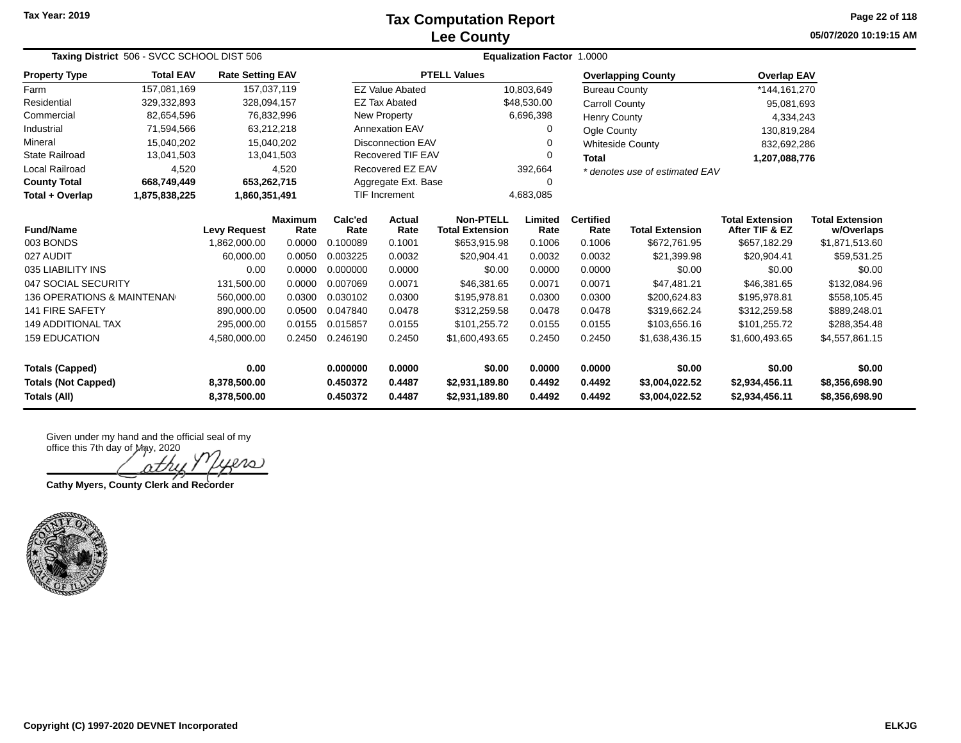#### **Lee County Tax Computation Report**

**05/07/2020 10:19:15 AM Page 22 of 118**

| Taxing District 506 - SVCC SCHOOL DIST 506 |                     |                              |                        |                          | Equalization Factor 1.0000        |                                            |                              |                                |                                  |                                          |                                      |  |  |
|--------------------------------------------|---------------------|------------------------------|------------------------|--------------------------|-----------------------------------|--------------------------------------------|------------------------------|--------------------------------|----------------------------------|------------------------------------------|--------------------------------------|--|--|
| <b>Property Type</b>                       | <b>Total EAV</b>    | <b>Rate Setting EAV</b>      |                        |                          |                                   | <b>PTELL Values</b>                        |                              |                                | <b>Overlapping County</b>        | <b>Overlap EAV</b>                       |                                      |  |  |
| Farm                                       | 157,081,169         |                              | 157,037,119            |                          | <b>EZ Value Abated</b>            |                                            | 10,803,649                   | <b>Bureau County</b>           |                                  | *144,161,270                             |                                      |  |  |
| Residential                                | 329,332,893         | 328,094,157                  |                        |                          | <b>EZ Tax Abated</b>              |                                            | \$48,530.00                  |                                | <b>Carroll County</b>            | 95,081,693                               |                                      |  |  |
| Commercial                                 | 82,654,596          |                              | 76,832,996             |                          | New Property                      |                                            |                              | <b>Henry County</b>            |                                  | 4,334,243                                |                                      |  |  |
| Industrial                                 | 71,594,566          |                              | 63,212,218             |                          | <b>Annexation EAV</b>             |                                            |                              | Ogle County                    |                                  | 130,819,284                              |                                      |  |  |
| Mineral                                    | 15,040,202          |                              | 15,040,202             | <b>Disconnection EAV</b> |                                   |                                            | 0<br><b>Whiteside County</b> |                                |                                  | 832,692,286                              |                                      |  |  |
| <b>State Railroad</b>                      | 13,041,503          |                              | 13,041,503             | <b>Recovered TIF EAV</b> |                                   |                                            | $\Omega$<br><b>Total</b>     |                                |                                  | 1,207,088,776                            |                                      |  |  |
| <b>Local Railroad</b>                      | 4,520               |                              | 4,520                  |                          | Recovered EZ EAV<br>392,664       |                                            |                              | * denotes use of estimated EAV |                                  |                                          |                                      |  |  |
| <b>County Total</b>                        | 668,749,449         |                              | 653,262,715            |                          | Aggregate Ext. Base<br>0          |                                            |                              |                                |                                  |                                          |                                      |  |  |
| Total + Overlap                            | 1,875,838,225       | 1,860,351,491                |                        |                          | <b>TIF Increment</b><br>4,683,085 |                                            |                              |                                |                                  |                                          |                                      |  |  |
| <b>Fund/Name</b>                           | <b>Levy Request</b> |                              | <b>Maximum</b><br>Rate | Calc'ed<br>Rate          | <b>Actual</b><br>Rate             | <b>Non-PTELL</b><br><b>Total Extension</b> | Limited<br>Rate              | <b>Certified</b><br>Rate       | <b>Total Extension</b>           | <b>Total Extension</b><br>After TIF & EZ | <b>Total Extension</b><br>w/Overlaps |  |  |
| 003 BONDS                                  |                     | 1,862,000.00                 | 0.0000                 | 0.100089                 | 0.1001                            | \$653,915.98                               | 0.1006                       | 0.1006                         | \$672,761.95                     | \$657,182.29                             | \$1,871,513.60                       |  |  |
| 027 AUDIT                                  |                     | 60.000.00                    | 0.0050                 | 0.003225                 | 0.0032                            | \$20,904.41                                | 0.0032                       | 0.0032                         | \$21,399.98                      | \$20,904.41                              | \$59,531.25                          |  |  |
| 035 LIABILITY INS                          |                     | 0.00                         | 0.0000                 | 0.000000                 | 0.0000                            | \$0.00                                     | 0.0000                       | 0.0000                         | \$0.00                           | \$0.00                                   | \$0.00                               |  |  |
| 047 SOCIAL SECURITY                        |                     | 131,500.00                   | 0.0000                 | 0.007069                 | 0.0071                            | \$46,381.65                                | 0.0071                       | 0.0071                         | \$47,481.21                      | \$46,381.65                              | \$132,084.96                         |  |  |
| 136 OPERATIONS & MAINTENAN                 |                     | 560,000.00                   | 0.0300                 | 0.030102                 | 0.0300                            | \$195,978.81                               | 0.0300                       | 0.0300                         | \$200,624.83                     | \$195,978.81                             | \$558,105.45                         |  |  |
| <b>141 FIRE SAFETY</b>                     |                     | 890,000.00                   | 0.0500                 | 0.047840                 | 0.0478                            | \$312,259.58                               | 0.0478                       | 0.0478                         | \$319,662.24                     | \$312,259.58                             | \$889,248.01                         |  |  |
| <b>149 ADDITIONAL TAX</b>                  |                     | 295,000.00                   | 0.0155                 | 0.015857                 | 0.0155                            | \$101,255.72                               | 0.0155                       | 0.0155                         | \$103,656.16                     | \$101,255.72                             | \$288,354.48                         |  |  |
| <b>159 EDUCATION</b>                       |                     | 4,580,000.00                 | 0.2450                 | 0.246190                 | 0.2450<br>\$1,600,493.65          |                                            | 0.2450                       | 0.2450                         | \$1,638,436.15                   | \$1,600,493.65                           | \$4,557,861.15                       |  |  |
| <b>Totals (Capped)</b>                     |                     | 0.00                         |                        | 0.000000                 | 0.0000                            | \$0.00                                     | 0.0000                       | 0.0000                         | \$0.00                           | \$0.00                                   | \$0.00                               |  |  |
| <b>Totals (Not Capped)</b><br>Totals (All) |                     | 8,378,500.00<br>8,378,500.00 |                        | 0.450372<br>0.450372     | 0.4487<br>0.4487                  | \$2,931,189.80<br>\$2,931,189.80           | 0.4492<br>0.4492             | 0.4492<br>0.4492               | \$3,004,022.52<br>\$3,004,022.52 | \$2,934,456.11<br>\$2,934,456.11         | \$8,356,698.90<br>\$8,356,698.90     |  |  |

Given under my hand and the official seal of my

office this 7th day of May, 2020 20 oth

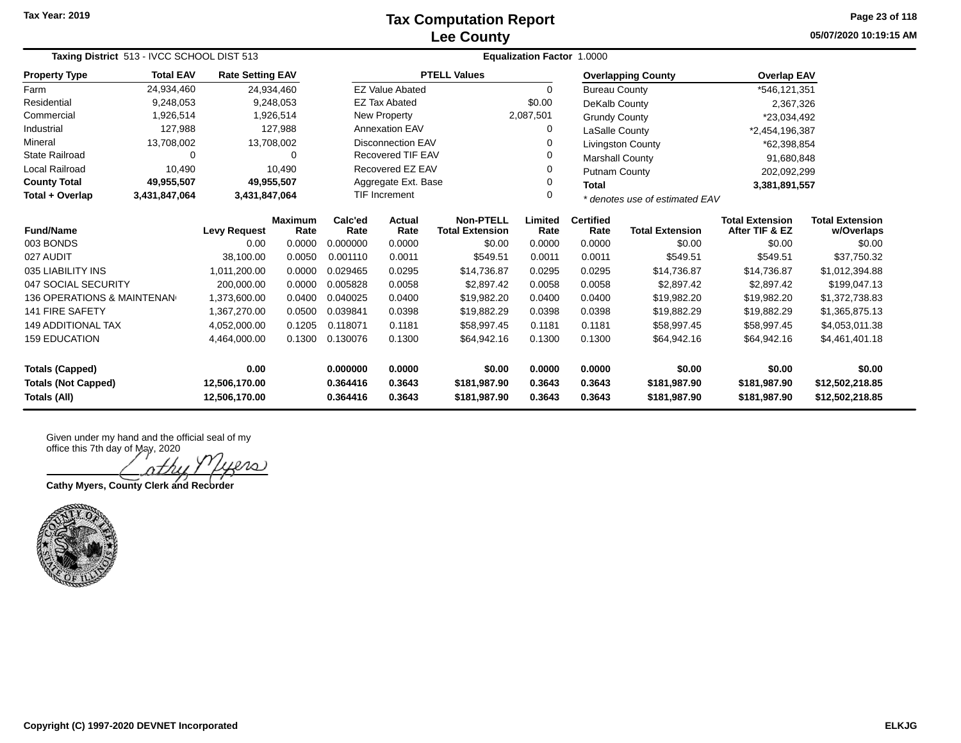### **Lee County Tax Computation Report**

**05/07/2020 10:19:15 AM Page 23 of 118**

| Taxing District 513 - IVCC SCHOOL DIST 513                                    |                  |                         |                                    |                                                       | Equalization Factor 1.0000 |                                            |                  |                                |                           |                                          |                                      |  |  |
|-------------------------------------------------------------------------------|------------------|-------------------------|------------------------------------|-------------------------------------------------------|----------------------------|--------------------------------------------|------------------|--------------------------------|---------------------------|------------------------------------------|--------------------------------------|--|--|
| <b>Property Type</b>                                                          | <b>Total EAV</b> | <b>Rate Setting EAV</b> |                                    |                                                       |                            | <b>PTELL Values</b>                        |                  |                                | <b>Overlapping County</b> | <b>Overlap EAV</b>                       |                                      |  |  |
| Farm                                                                          | 24,934,460       |                         | 24,934,460                         |                                                       | <b>EZ Value Abated</b>     |                                            | $\Omega$         | <b>Bureau County</b>           |                           | *546,121,351                             |                                      |  |  |
| Residential                                                                   | 9,248,053        |                         | 9,248,053                          |                                                       | <b>EZ Tax Abated</b>       |                                            | \$0.00           | DeKalb County                  |                           | 2,367,326                                |                                      |  |  |
| Commercial                                                                    | 1,926,514        |                         | 1,926,514                          |                                                       | New Property               |                                            | 2,087,501        | <b>Grundy County</b>           |                           | *23,034,492                              |                                      |  |  |
| Industrial                                                                    | 127,988          |                         | 127,988                            |                                                       | <b>Annexation EAV</b>      |                                            | 0                | LaSalle County                 |                           | *2,454,196,387                           |                                      |  |  |
| Mineral                                                                       | 13,708,002       |                         | 13,708,002                         |                                                       | <b>Disconnection EAV</b>   |                                            | 0                |                                | <b>Livingston County</b>  | *62,398,854                              |                                      |  |  |
| <b>State Railroad</b>                                                         | 0                |                         | 0                                  |                                                       | <b>Recovered TIF EAV</b>   |                                            | 0                | <b>Marshall County</b>         |                           | 91,680,848                               |                                      |  |  |
| <b>Local Railroad</b>                                                         | 10,490           |                         | 10.490                             |                                                       | Recovered EZ EAV           |                                            |                  | Putnam County                  |                           | 202,092,299                              |                                      |  |  |
| <b>County Total</b>                                                           | 49,955,507       |                         | 49,955,507                         | Aggregate Ext. Base<br>0                              |                            |                                            | <b>Total</b>     |                                | 3,381,891,557             |                                          |                                      |  |  |
| Total + Overlap                                                               | 3,431,847,064    | 3,431,847,064           |                                    | <b>TIF Increment</b><br>0                             |                            |                                            |                  | * denotes use of estimated EAV |                           |                                          |                                      |  |  |
| <b>Fund/Name</b>                                                              |                  | <b>Levy Request</b>     | Calc'ed<br>Maximum<br>Rate<br>Rate |                                                       | Actual<br>Rate             | <b>Non-PTELL</b><br><b>Total Extension</b> | Limited<br>Rate  | <b>Certified</b><br>Rate       | <b>Total Extension</b>    | <b>Total Extension</b><br>After TIF & EZ | <b>Total Extension</b><br>w/Overlaps |  |  |
| 003 BONDS                                                                     |                  | 0.00                    | 0.0000                             | 0.000000                                              | 0.0000                     | \$0.00                                     | 0.0000           | 0.0000                         | \$0.00                    | \$0.00                                   | \$0.00                               |  |  |
| 027 AUDIT                                                                     |                  | 38,100.00               | 0.0050                             | 0.001110                                              | 0.0011                     | \$549.51                                   | 0.0011           | 0.0011                         | \$549.51                  | \$549.51                                 | \$37,750.32                          |  |  |
| 035 LIABILITY INS                                                             |                  | 1,011,200.00            | 0.0000                             | 0.029465                                              | 0.0295                     | \$14,736.87                                | 0.0295           | 0.0295                         | \$14,736.87               | \$14,736.87                              | \$1,012,394.88                       |  |  |
| 047 SOCIAL SECURITY                                                           |                  | 200,000.00              | 0.0000                             | 0.005828                                              | 0.0058                     | \$2,897.42                                 | 0.0058           | 0.0058                         | \$2,897.42                | \$2,897.42                               | \$199,047.13                         |  |  |
| <b>136 OPERATIONS &amp; MAINTENAN</b>                                         |                  | 1,373,600.00            | 0.0400                             | 0.040025                                              | 0.0400                     | \$19,982.20                                | 0.0400           | 0.0400                         | \$19,982.20               | \$19,982.20                              | \$1,372,738.83                       |  |  |
| 141 FIRE SAFETY                                                               |                  | 1,367,270.00            | 0.0500                             | 0.039841                                              | 0.0398                     | \$19,882.29                                | 0.0398           | 0.0398                         | \$19,882.29               | \$19,882.29                              | \$1,365,875.13                       |  |  |
| <b>149 ADDITIONAL TAX</b>                                                     |                  | 4,052,000.00            | 0.1205                             | 0.118071                                              | 0.1181                     | \$58,997.45                                | 0.1181           | 0.1181                         | \$58,997.45               | \$58,997.45                              | \$4,053,011.38                       |  |  |
| <b>159 EDUCATION</b>                                                          |                  | 4,464,000.00            | 0.1300                             | 0.130076<br>0.1300<br>\$64,942.16<br>0.1300<br>0.1300 |                            | \$64,942.16                                | \$64,942.16      | \$4,461,401.18                 |                           |                                          |                                      |  |  |
| 0.00<br><b>Totals (Capped)</b><br><b>Totals (Not Capped)</b><br>12,506,170.00 |                  |                         | 0.000000<br>0.364416               | 0.0000<br>0.3643                                      | \$0.00<br>\$181,987.90     | 0.0000<br>0.3643                           | 0.0000<br>0.3643 | \$0.00<br>\$181,987.90         | \$0.00<br>\$181,987.90    | \$0.00<br>\$12,502,218.85                |                                      |  |  |
| Totals (All)<br>12,506,170.00                                                 |                  |                         | 0.364416                           | 0.3643                                                | \$181,987.90               | 0.3643                                     | 0.3643           | \$181,987.90                   | \$181,987.90              | \$12,502,218.85                          |                                      |  |  |

Given under my hand and the official seal of my office this 7th day of May, 2020

 $\infty$ 

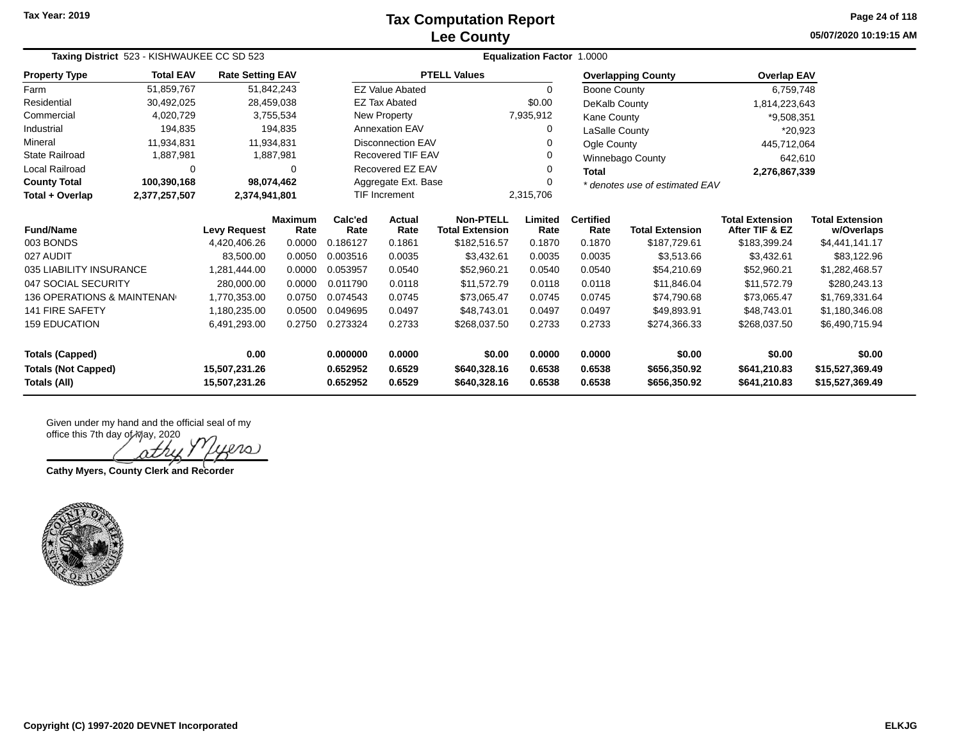### **Lee County Tax Computation Report**

**05/07/2020 10:19:15 AM Page 24 of 118**

| Taxing District 523 - KISHWAUKEE CC SD 523 |                  |                                |                        |                                   |                        |                                            |                  |                                |                              |                                          |                                      |
|--------------------------------------------|------------------|--------------------------------|------------------------|-----------------------------------|------------------------|--------------------------------------------|------------------|--------------------------------|------------------------------|------------------------------------------|--------------------------------------|
| <b>Property Type</b>                       | <b>Total EAV</b> | <b>Rate Setting EAV</b>        |                        |                                   |                        | <b>PTELL Values</b>                        |                  |                                | <b>Overlapping County</b>    | <b>Overlap EAV</b>                       |                                      |
| Farm                                       | 51,859,767       |                                | 51,842,243             |                                   | <b>EZ Value Abated</b> |                                            | $\Omega$         | Boone County                   |                              | 6,759,748                                |                                      |
| Residential                                | 30,492,025       |                                | 28,459,038             |                                   | <b>EZ Tax Abated</b>   |                                            | \$0.00           | DeKalb County                  |                              | 1,814,223,643                            |                                      |
| Commercial                                 | 4,020,729        |                                | 3,755,534              |                                   | New Property           |                                            | 7,935,912        | Kane County                    |                              | *9,508,351                               |                                      |
| Industrial                                 | 194,835          |                                | 194,835                | <b>Annexation EAV</b>             |                        |                                            |                  | LaSalle County                 |                              | *20,923                                  |                                      |
| Mineral                                    | 11,934,831       |                                | 11.934.831             | <b>Disconnection EAV</b>          |                        |                                            | Ogle County      |                                | 445,712,064                  |                                          |                                      |
| <b>State Railroad</b>                      | 1,887,981        |                                | 1,887,981              | <b>Recovered TIF EAV</b>          |                        |                                            | Winnebago County | 642,610                        |                              |                                          |                                      |
| Local Railroad                             | $\Omega$         |                                | 0                      | Recovered EZ EAV                  |                        | Total                                      |                  | 2,276,867,339                  |                              |                                          |                                      |
| <b>County Total</b>                        | 100,390,168      |                                | 98,074,462             | Aggregate Ext. Base               |                        |                                            |                  | * denotes use of estimated EAV |                              |                                          |                                      |
| Total + Overlap                            | 2,377,257,507    | 2,374,941,801                  |                        | <b>TIF Increment</b><br>2,315,706 |                        |                                            |                  |                                |                              |                                          |                                      |
| <b>Fund/Name</b>                           |                  | <b>Levy Request</b>            | <b>Maximum</b><br>Rate | Calc'ed<br>Rate                   | Actual<br>Rate         | <b>Non-PTELL</b><br><b>Total Extension</b> | Limited<br>Rate  | <b>Certified</b><br>Rate       | <b>Total Extension</b>       | <b>Total Extension</b><br>After TIF & EZ | <b>Total Extension</b><br>w/Overlaps |
| 003 BONDS                                  |                  | 4,420,406.26                   | 0.0000                 | 0.186127                          | 0.1861                 | \$182,516.57                               | 0.1870           | 0.1870                         | \$187,729.61                 | \$183,399.24                             | \$4,441,141.17                       |
| 027 AUDIT                                  |                  | 83,500.00                      | 0.0050                 | 0.003516                          | 0.0035                 | \$3,432.61                                 | 0.0035           | 0.0035                         | \$3,513.66                   | \$3,432.61                               | \$83,122.96                          |
| 035 LIABILITY INSURANCE                    |                  | 1,281,444.00                   | 0.0000                 | 0.053957                          | 0.0540                 | \$52,960.21                                | 0.0540           | 0.0540                         | \$54,210.69                  | \$52,960.21                              | \$1,282,468.57                       |
| 047 SOCIAL SECURITY                        |                  | 280,000.00                     | 0.0000                 | 0.011790                          | 0.0118                 | \$11,572.79                                | 0.0118           | 0.0118                         | \$11,846.04                  | \$11,572.79                              | \$280,243.13                         |
| <b>136 OPERATIONS &amp; MAINTENAN</b>      |                  | 1,770,353.00                   | 0.0750                 | 0.074543                          | 0.0745                 | \$73,065.47                                | 0.0745           | 0.0745                         | \$74,790.68                  | \$73,065.47                              | \$1,769,331.64                       |
| <b>141 FIRE SAFETY</b>                     |                  | 1,180,235.00                   | 0.0500                 | 0.049695                          | 0.0497                 | \$48,743.01                                | 0.0497           | 0.0497                         | \$49,893.91                  | \$48,743.01                              | \$1,180,346.08                       |
| <b>159 EDUCATION</b>                       |                  | 6,491,293.00                   | 0.2750                 | 0.273324                          | 0.2733                 | \$268.037.50                               | 0.2733           | 0.2733                         | \$274,366.33                 | \$268.037.50                             | \$6,490,715.94                       |
| <b>Totals (Capped)</b>                     |                  | 0.00                           |                        | 0.000000                          | 0.0000                 | \$0.00                                     | 0.0000           | 0.0000                         | \$0.00                       | \$0.00                                   | \$0.00                               |
| <b>Totals (Not Capped)</b><br>Totals (All) |                  | 15,507,231.26<br>15,507,231.26 |                        | 0.652952<br>0.652952              | 0.6529<br>0.6529       | \$640,328.16<br>\$640,328.16               | 0.6538<br>0.6538 | 0.6538<br>0.6538               | \$656,350.92<br>\$656,350.92 | \$641,210.83<br>\$641,210.83             | \$15,527,369.49<br>\$15,527,369.49   |

Given under my hand and the official seal of my

office this 7th day of May, 2020 ers

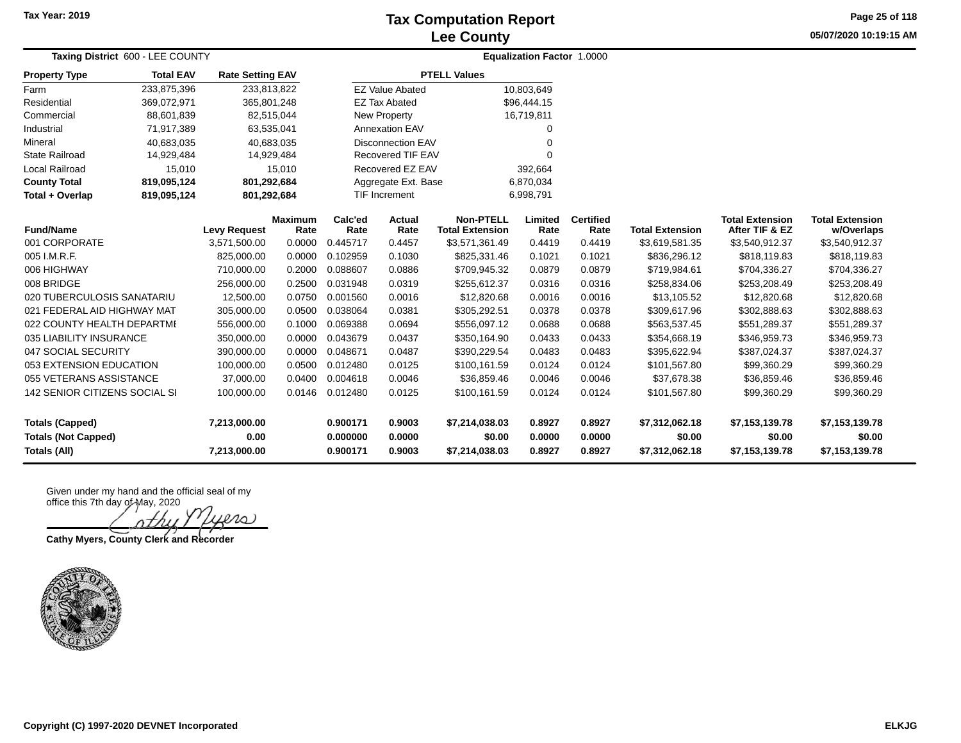### **Lee County Tax Computation Report**

**05/07/2020 10:19:15 AM Page 25 of 118**

| Taxing District 600 - LEE COUNTY                     |                  |                         | <b>Equalization Factor 1.0000</b> |                      |                          |                                            |                  |                          |                          |                                          |                                      |
|------------------------------------------------------|------------------|-------------------------|-----------------------------------|----------------------|--------------------------|--------------------------------------------|------------------|--------------------------|--------------------------|------------------------------------------|--------------------------------------|
| <b>Property Type</b>                                 | <b>Total EAV</b> | <b>Rate Setting EAV</b> |                                   |                      |                          | <b>PTELL Values</b>                        |                  |                          |                          |                                          |                                      |
| Farm                                                 | 233,875,396      |                         | 233,813,822                       |                      | <b>EZ Value Abated</b>   |                                            | 10,803,649       |                          |                          |                                          |                                      |
| Residential                                          | 369,072,971      | 365,801,248             |                                   |                      | <b>EZ Tax Abated</b>     |                                            | \$96,444.15      |                          |                          |                                          |                                      |
| Commercial                                           | 88,601,839       |                         | 82,515,044                        |                      | New Property             |                                            | 16,719,811       |                          |                          |                                          |                                      |
| Industrial                                           | 71,917,389       |                         | 63,535,041                        |                      | <b>Annexation EAV</b>    |                                            | 0                |                          |                          |                                          |                                      |
| Mineral                                              | 40,683,035       |                         | 40,683,035                        |                      | <b>Disconnection EAV</b> |                                            | $\Omega$         |                          |                          |                                          |                                      |
| <b>State Railroad</b>                                | 14,929,484       |                         | 14,929,484                        |                      | <b>Recovered TIF EAV</b> |                                            | $\Omega$         |                          |                          |                                          |                                      |
| <b>Local Railroad</b>                                | 15,010           | 15,010                  |                                   | Recovered EZ EAV     |                          |                                            | 392,664          |                          |                          |                                          |                                      |
| <b>County Total</b>                                  | 819,095,124      | 801,292,684             |                                   |                      | Aggregate Ext. Base      |                                            | 6,870,034        |                          |                          |                                          |                                      |
| Total + Overlap                                      | 819,095,124      | 801,292,684             |                                   |                      | TIF Increment            |                                            | 6,998,791        |                          |                          |                                          |                                      |
| <b>Fund/Name</b>                                     |                  | <b>Levy Request</b>     | <b>Maximum</b><br>Rate            | Calc'ed<br>Rate      | <b>Actual</b><br>Rate    | <b>Non-PTELL</b><br><b>Total Extension</b> | Limited<br>Rate  | <b>Certified</b><br>Rate | <b>Total Extension</b>   | <b>Total Extension</b><br>After TIF & EZ | <b>Total Extension</b><br>w/Overlaps |
| 001 CORPORATE                                        |                  | 3,571,500.00            | 0.0000                            | 0.445717             | 0.4457                   | \$3,571,361.49                             | 0.4419           | 0.4419                   | \$3,619,581.35           | \$3,540,912.37                           | \$3,540,912.37                       |
| 005 I.M.R.F.                                         |                  | 825,000.00              | 0.0000                            | 0.102959             | 0.1030                   | \$825,331.46                               | 0.1021           | 0.1021                   | \$836,296.12             | \$818,119.83                             | \$818,119.83                         |
| 006 HIGHWAY                                          |                  | 710,000.00              | 0.2000                            | 0.088607             | 0.0886                   | \$709,945.32                               | 0.0879           | 0.0879                   | \$719,984.61             | \$704,336.27                             | \$704,336.27                         |
| 008 BRIDGE                                           |                  | 256,000.00              | 0.2500                            | 0.031948             | 0.0319                   | \$255,612.37                               | 0.0316           | 0.0316                   | \$258,834.06             | \$253,208.49                             | \$253,208.49                         |
| 020 TUBERCULOSIS SANATARIU                           |                  | 12,500.00               | 0.0750                            | 0.001560             | 0.0016                   | \$12,820.68                                | 0.0016           | 0.0016                   | \$13,105.52              | \$12,820.68                              | \$12,820.68                          |
| 021 FEDERAL AID HIGHWAY MAT                          |                  | 305,000.00              | 0.0500                            | 0.038064             | 0.0381                   | \$305,292.51                               | 0.0378           | 0.0378                   | \$309,617.96             | \$302,888.63                             | \$302,888.63                         |
| 022 COUNTY HEALTH DEPARTMI                           |                  | 556,000.00              | 0.1000                            | 0.069388             | 0.0694                   | \$556,097.12                               | 0.0688           | 0.0688                   | \$563,537.45             | \$551,289.37                             | \$551,289.37                         |
| 035 LIABILITY INSURANCE                              |                  | 350,000.00              | 0.0000                            | 0.043679             | 0.0437                   | \$350,164.90                               | 0.0433           | 0.0433                   | \$354,668.19             | \$346,959.73                             | \$346,959.73                         |
| 047 SOCIAL SECURITY                                  |                  | 390,000.00              | 0.0000                            | 0.048671             | 0.0487                   | \$390,229.54                               | 0.0483           | 0.0483                   | \$395,622.94             | \$387,024.37                             | \$387,024.37                         |
| 053 EXTENSION EDUCATION                              |                  | 100,000.00              | 0.0500                            | 0.012480             | 0.0125                   | \$100,161.59                               | 0.0124           | 0.0124                   | \$101,567.80             | \$99,360.29                              | \$99,360.29                          |
| 055 VETERANS ASSISTANCE                              |                  | 37,000.00               | 0.0400                            | 0.004618             | 0.0046                   | \$36,859.46                                | 0.0046           | 0.0046                   | \$37,678.38              | \$36,859.46                              | \$36,859.46                          |
| 142 SENIOR CITIZENS SOCIAL SI                        |                  | 100,000.00              | 0.0146                            | 0.012480             | 0.0125                   | \$100,161.59                               | 0.0124           | 0.0124                   | \$101,567.80             | \$99,360.29                              | \$99,360.29                          |
| <b>Totals (Capped)</b><br><b>Totals (Not Capped)</b> |                  | 7,213,000.00<br>0.00    |                                   | 0.900171<br>0.000000 | 0.9003<br>0.0000         | \$7,214,038.03<br>\$0.00                   | 0.8927<br>0.0000 | 0.8927<br>0.0000         | \$7,312,062.18<br>\$0.00 | \$7,153,139.78<br>\$0.00                 | \$7,153,139.78<br>\$0.00             |
| <b>Totals (All)</b>                                  |                  | 7,213,000.00            |                                   | 0.900171             | 0.9003                   | \$7,214,038.03                             | 0.8927           | 0.8927                   | \$7,312,062.18           | \$7,153,139.78                           | \$7,153,139.78                       |

 $\n \ \omega$ 

**Cathy Myers, County Clerk and Recorder**

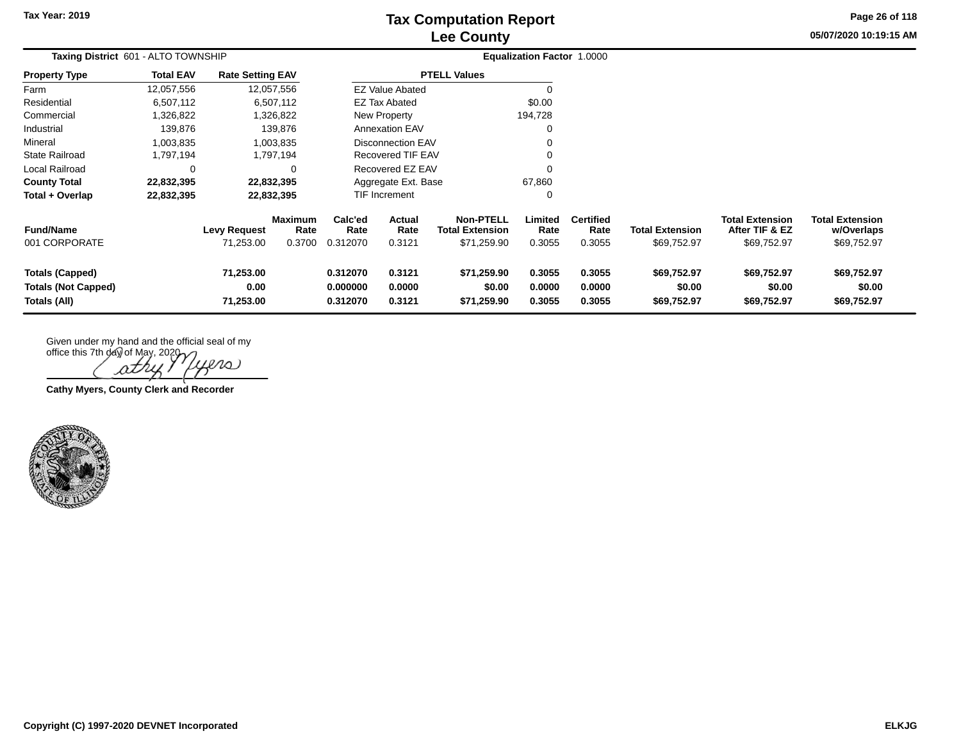**05/07/2020 10:19:15 AM Page 26 of 118**

| Taxing District 601 - ALTO TOWNSHIP                                  |                  |                                  |                                  |                                  |                            |                                                    | Equalization Factor 1.0000 |                                    |                                       |                                                         |                                                     |
|----------------------------------------------------------------------|------------------|----------------------------------|----------------------------------|----------------------------------|----------------------------|----------------------------------------------------|----------------------------|------------------------------------|---------------------------------------|---------------------------------------------------------|-----------------------------------------------------|
| <b>Property Type</b>                                                 | <b>Total EAV</b> | <b>Rate Setting EAV</b>          |                                  |                                  |                            | <b>PTELL Values</b>                                |                            |                                    |                                       |                                                         |                                                     |
| Farm                                                                 | 12,057,556       |                                  | 12,057,556                       |                                  | <b>EZ Value Abated</b>     |                                                    |                            |                                    |                                       |                                                         |                                                     |
| Residential                                                          | 6,507,112        |                                  | 6,507,112                        |                                  | EZ Tax Abated              |                                                    | \$0.00                     |                                    |                                       |                                                         |                                                     |
| Commercial                                                           | 1,326,822        |                                  | 1,326,822                        |                                  | New Property               |                                                    | 194,728                    |                                    |                                       |                                                         |                                                     |
| Industrial                                                           | 139,876          |                                  | 139,876                          |                                  | <b>Annexation EAV</b>      |                                                    |                            |                                    |                                       |                                                         |                                                     |
| Mineral                                                              | 1,003,835        |                                  | 1,003,835                        |                                  | <b>Disconnection EAV</b>   |                                                    |                            |                                    |                                       |                                                         |                                                     |
| <b>State Railroad</b>                                                | 1,797,194        |                                  | 1,797,194                        |                                  | <b>Recovered TIF EAV</b>   |                                                    |                            |                                    |                                       |                                                         |                                                     |
| Local Railroad                                                       | 0                |                                  | 0                                |                                  | Recovered EZ EAV           |                                                    |                            |                                    |                                       |                                                         |                                                     |
| <b>County Total</b>                                                  | 22,832,395       |                                  | 22,832,395                       |                                  | Aggregate Ext. Base        |                                                    | 67,860                     |                                    |                                       |                                                         |                                                     |
| Total + Overlap                                                      | 22,832,395       |                                  | 22,832,395                       |                                  | <b>TIF Increment</b>       |                                                    | 0                          |                                    |                                       |                                                         |                                                     |
| <b>Fund/Name</b><br>001 CORPORATE                                    |                  | <b>Levy Request</b><br>71,253.00 | <b>Maximum</b><br>Rate<br>0.3700 | Calc'ed<br>Rate<br>0.312070      | Actual<br>Rate<br>0.3121   | Non-PTELL<br><b>Total Extension</b><br>\$71,259.90 | Limited<br>Rate<br>0.3055  | <b>Certified</b><br>Rate<br>0.3055 | <b>Total Extension</b><br>\$69,752.97 | <b>Total Extension</b><br>After TIF & EZ<br>\$69,752.97 | <b>Total Extension</b><br>w/Overlaps<br>\$69,752.97 |
| <b>Totals (Capped)</b><br><b>Totals (Not Capped)</b><br>Totals (All) |                  | 71,253.00<br>0.00<br>71,253.00   |                                  | 0.312070<br>0.000000<br>0.312070 | 0.3121<br>0.0000<br>0.3121 | \$71,259.90<br>\$0.00<br>\$71,259.90               | 0.3055<br>0.0000<br>0.3055 | 0.3055<br>0.0000<br>0.3055         | \$69,752.97<br>\$0.00<br>\$69,752.97  | \$69,752.97<br>\$0.00<br>\$69,752.97                    | \$69,752.97<br>\$0.00<br>\$69,752.97                |

Given under my hand and the official seal of my

office this 7th day of May, 2020 ers Ωī

**Cathy Myers, County Clerk and Recorder**

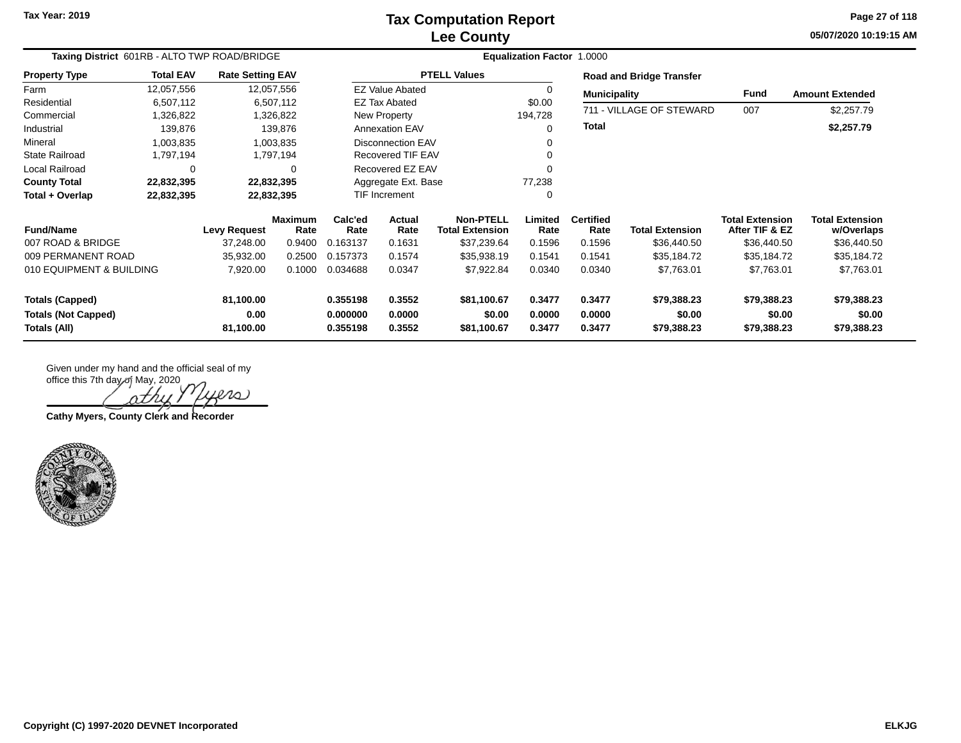# **Lee County Tax Computation Report**

**05/07/2020 10:19:15 AM Page 27 of 118**

| Taxing District 601RB - ALTO TWP ROAD/BRIDGE |                  |                         |                        | Equalization Factor 1.0000 |                          |                                            |                 |                          |                                 |                                          |                                      |  |
|----------------------------------------------|------------------|-------------------------|------------------------|----------------------------|--------------------------|--------------------------------------------|-----------------|--------------------------|---------------------------------|------------------------------------------|--------------------------------------|--|
| <b>Property Type</b>                         | <b>Total EAV</b> | <b>Rate Setting EAV</b> |                        |                            |                          | <b>PTELL Values</b>                        |                 |                          | <b>Road and Bridge Transfer</b> |                                          |                                      |  |
| Farm                                         | 12,057,556       |                         | 12,057,556             |                            | <b>EZ Value Abated</b>   |                                            | 0               | <b>Municipality</b>      |                                 | Fund                                     | <b>Amount Extended</b>               |  |
| Residential                                  | 6,507,112        |                         | 6,507,112              |                            | EZ Tax Abated            |                                            | \$0.00          |                          |                                 |                                          |                                      |  |
| Commercial                                   | 1,326,822        |                         | 1,326,822              |                            | New Property             |                                            | 194,728         |                          | 711 - VILLAGE OF STEWARD        | 007                                      | \$2,257.79                           |  |
| Industrial                                   | 139,876          |                         | 139,876                |                            | <b>Annexation EAV</b>    |                                            | 0               | <b>Total</b>             |                                 |                                          | \$2,257.79                           |  |
| Mineral                                      | 1,003,835        |                         | 1,003,835              |                            | <b>Disconnection EAV</b> |                                            |                 |                          |                                 |                                          |                                      |  |
| <b>State Railroad</b>                        | 1,797,194        |                         | 1,797,194              |                            | Recovered TIF EAV        |                                            |                 |                          |                                 |                                          |                                      |  |
| Local Railroad                               | 0                |                         | $\Omega$               |                            | Recovered EZ EAV         |                                            | ∩               |                          |                                 |                                          |                                      |  |
| <b>County Total</b>                          | 22,832,395       |                         | 22,832,395             |                            | Aggregate Ext. Base      |                                            | 77,238          |                          |                                 |                                          |                                      |  |
| Total + Overlap                              | 22,832,395       |                         | 22,832,395             | <b>TIF Increment</b>       |                          |                                            | 0               |                          |                                 |                                          |                                      |  |
| <b>Fund/Name</b>                             |                  | Levy Request            | <b>Maximum</b><br>Rate | Calc'ed<br>Rate            | Actual<br>Rate           | <b>Non-PTELL</b><br><b>Total Extension</b> | Limited<br>Rate | <b>Certified</b><br>Rate | <b>Total Extension</b>          | <b>Total Extension</b><br>After TIF & EZ | <b>Total Extension</b><br>w/Overlaps |  |
| 007 ROAD & BRIDGE                            |                  | 37,248.00               | 0.9400                 | 0.163137                   | 0.1631                   | \$37,239.64                                | 0.1596          | 0.1596                   | \$36,440.50                     | \$36,440.50                              | \$36,440.50                          |  |
| 009 PERMANENT ROAD                           |                  | 35,932.00               | 0.2500                 | 0.157373                   | 0.1574                   | \$35,938.19                                | 0.1541          | 0.1541                   | \$35,184.72                     | \$35,184.72                              | \$35,184.72                          |  |
| 010 EQUIPMENT & BUILDING                     |                  | 7,920.00                | 0.1000                 | 0.034688                   | 0.0347                   | \$7,922.84                                 | 0.0340          | 0.0340                   | \$7,763.01                      | \$7,763.01                               | \$7,763.01                           |  |
| <b>Totals (Capped)</b>                       |                  | 81,100.00               |                        | 0.355198                   | 0.3552                   | \$81,100.67                                | 0.3477          | 0.3477                   | \$79,388.23                     | \$79,388.23                              | \$79,388.23                          |  |
| <b>Totals (Not Capped)</b>                   |                  | 0.00                    |                        | 0.000000                   | 0.0000                   | \$0.00                                     | 0.0000          | 0.0000                   | \$0.00                          | \$0.00                                   | \$0.00                               |  |
| Totals (All)                                 |                  | 81,100.00               |                        | 0.355198                   | 0.3552                   | \$81,100.67                                | 0.3477          | 0.3477                   | \$79,388.23                     | \$79,388.23                              | \$79,388.23                          |  |

iers

**Cathy Myers, County Clerk and Recorder**

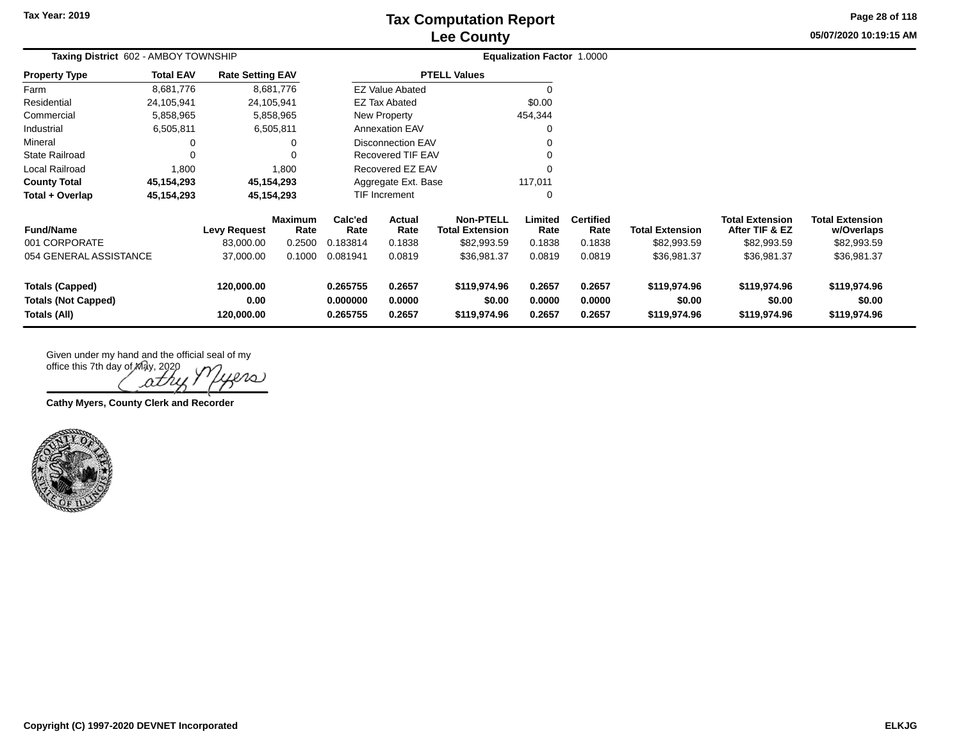# **Lee County Tax Computation Report**

**05/07/2020 10:19:15 AMPage 28 of 118**

| Taxing District 602 - AMBOY TOWNSHIP                                 |                  |                                  |                        |                                  |                            |                                            | Equalization Factor 1.0000 |                            |                                        |                                          |                                        |  |
|----------------------------------------------------------------------|------------------|----------------------------------|------------------------|----------------------------------|----------------------------|--------------------------------------------|----------------------------|----------------------------|----------------------------------------|------------------------------------------|----------------------------------------|--|
| <b>Property Type</b>                                                 | <b>Total EAV</b> | <b>Rate Setting EAV</b>          |                        |                                  |                            | <b>PTELL Values</b>                        |                            |                            |                                        |                                          |                                        |  |
| Farm                                                                 | 8,681,776        |                                  | 8,681,776              |                                  | <b>EZ Value Abated</b>     |                                            | C                          |                            |                                        |                                          |                                        |  |
| Residential                                                          | 24,105,941       |                                  | 24,105,941             |                                  | EZ Tax Abated              |                                            | \$0.00                     |                            |                                        |                                          |                                        |  |
| Commercial                                                           | 5,858,965        |                                  | 5,858,965              |                                  | New Property               |                                            | 454,344                    |                            |                                        |                                          |                                        |  |
| Industrial                                                           | 6,505,811        |                                  | 6,505,811              |                                  | <b>Annexation EAV</b>      |                                            | 0                          |                            |                                        |                                          |                                        |  |
| Mineral                                                              | $\Omega$         |                                  | 0                      |                                  | <b>Disconnection EAV</b>   |                                            | 0                          |                            |                                        |                                          |                                        |  |
| <b>State Railroad</b>                                                | $\Omega$         |                                  | $\Omega$               |                                  | <b>Recovered TIF EAV</b>   |                                            | 0                          |                            |                                        |                                          |                                        |  |
| Local Railroad                                                       | 1,800            |                                  | 1,800                  |                                  | Recovered EZ EAV           |                                            | $\mathbf 0$                |                            |                                        |                                          |                                        |  |
| <b>County Total</b>                                                  | 45,154,293       |                                  | 45,154,293             |                                  | Aggregate Ext. Base        |                                            | 117,011                    |                            |                                        |                                          |                                        |  |
| Total + Overlap                                                      | 45,154,293       |                                  | 45,154,293             |                                  | TIF Increment              |                                            | $\mathbf 0$                |                            |                                        |                                          |                                        |  |
| <b>Fund/Name</b>                                                     |                  | <b>Levy Request</b>              | <b>Maximum</b><br>Rate | Calc'ed<br>Rate                  | <b>Actual</b><br>Rate      | <b>Non-PTELL</b><br><b>Total Extension</b> | Limited<br>Rate            | <b>Certified</b><br>Rate   | <b>Total Extension</b>                 | <b>Total Extension</b><br>After TIF & EZ | <b>Total Extension</b><br>w/Overlaps   |  |
| 001 CORPORATE                                                        |                  | 83,000.00                        | 0.2500                 | 0.183814                         | 0.1838                     | \$82,993.59                                | 0.1838                     | 0.1838                     | \$82,993.59                            | \$82,993.59                              | \$82,993.59                            |  |
| 054 GENERAL ASSISTANCE                                               |                  | 37,000.00                        | 0.1000                 | 0.081941                         | 0.0819                     | \$36,981.37                                | 0.0819                     | 0.0819                     | \$36,981.37                            | \$36,981.37                              | \$36,981.37                            |  |
| <b>Totals (Capped)</b><br><b>Totals (Not Capped)</b><br>Totals (All) |                  | 120,000.00<br>0.00<br>120,000.00 |                        | 0.265755<br>0.000000<br>0.265755 | 0.2657<br>0.0000<br>0.2657 | \$119,974.96<br>\$0.00<br>\$119,974.96     | 0.2657<br>0.0000<br>0.2657 | 0.2657<br>0.0000<br>0.2657 | \$119,974.96<br>\$0.00<br>\$119,974.96 | \$119,974.96<br>\$0.00<br>\$119,974.96   | \$119,974.96<br>\$0.00<br>\$119,974.96 |  |

Given under my hand and the official seal of my

office this 7th day of May, 2020  $201$ 

**Cathy Myers, County Clerk and Recorder**

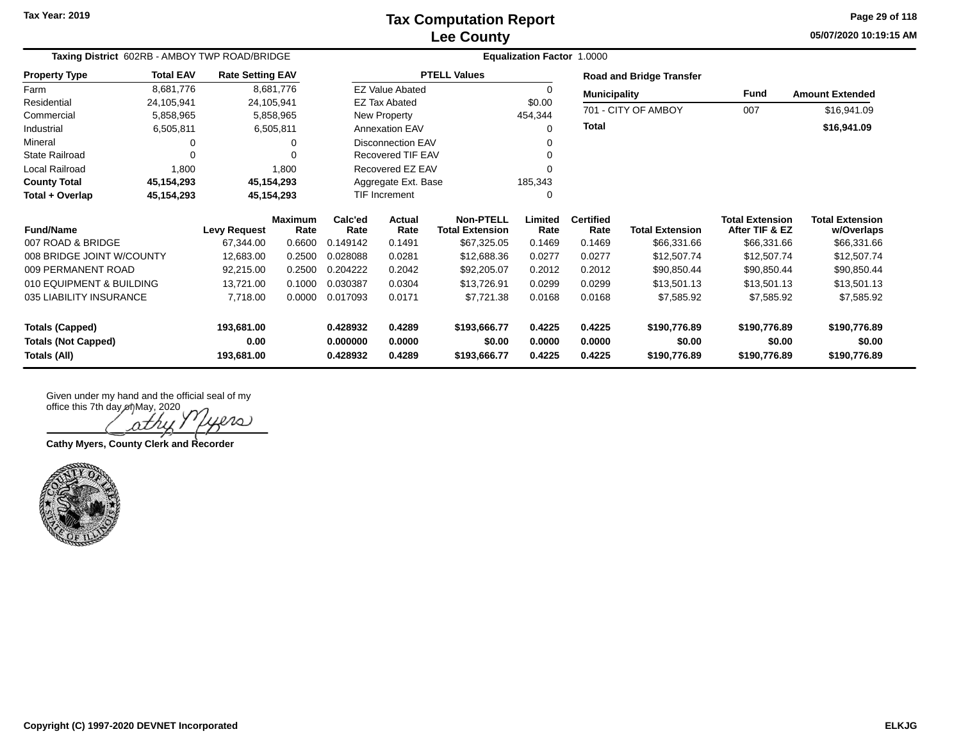**05/07/2020 10:19:15 AM Page 29 of 118**

| Taxing District 602RB - AMBOY TWP ROAD/BRIDGE |                  |                         |                 |                 | <b>Equalization Factor 1.0000</b> |                                            |                 |                          |                                 |                                          |                                      |  |
|-----------------------------------------------|------------------|-------------------------|-----------------|-----------------|-----------------------------------|--------------------------------------------|-----------------|--------------------------|---------------------------------|------------------------------------------|--------------------------------------|--|
| <b>Property Type</b>                          | <b>Total EAV</b> | <b>Rate Setting EAV</b> |                 |                 |                                   | <b>PTELL Values</b>                        |                 |                          | <b>Road and Bridge Transfer</b> |                                          |                                      |  |
| Farm                                          | 8,681,776        |                         | 8,681,776       |                 | <b>EZ Value Abated</b>            |                                            | $\Omega$        | <b>Municipality</b>      |                                 | Fund                                     | <b>Amount Extended</b>               |  |
| Residential                                   | 24,105,941       |                         | 24,105,941      |                 | <b>EZ Tax Abated</b>              |                                            | \$0.00          |                          | 701 - CITY OF AMBOY             | 007                                      |                                      |  |
| Commercial                                    | 5,858,965        |                         | 5,858,965       |                 | New Property                      |                                            | 454,344         |                          |                                 |                                          | \$16,941.09                          |  |
| Industrial                                    | 6,505,811        |                         | 6,505,811       |                 | <b>Annexation EAV</b>             |                                            | 0               | Total                    |                                 |                                          | \$16,941.09                          |  |
| Mineral                                       |                  |                         |                 |                 | <b>Disconnection EAV</b>          |                                            |                 |                          |                                 |                                          |                                      |  |
| <b>State Railroad</b>                         | $\Omega$         |                         |                 |                 | Recovered TIF EAV                 |                                            |                 |                          |                                 |                                          |                                      |  |
| Local Railroad                                | 1,800            |                         | 1,800           |                 | Recovered EZ EAV                  |                                            | ∩               |                          |                                 |                                          |                                      |  |
| <b>County Total</b>                           | 45,154,293       |                         | 45,154,293      |                 | Aggregate Ext. Base               |                                            | 185,343         |                          |                                 |                                          |                                      |  |
| Total + Overlap                               | 45,154,293       |                         | 45,154,293      |                 | TIF Increment                     |                                            | ∩               |                          |                                 |                                          |                                      |  |
| <b>Fund/Name</b>                              |                  | <b>Levy Request</b>     | Maximum<br>Rate | Calc'ed<br>Rate | Actual<br>Rate                    | <b>Non-PTELL</b><br><b>Total Extension</b> | Limited<br>Rate | <b>Certified</b><br>Rate | <b>Total Extension</b>          | <b>Total Extension</b><br>After TIF & EZ | <b>Total Extension</b><br>w/Overlaps |  |
| 007 ROAD & BRIDGE                             |                  | 67.344.00               | 0.6600          | 0.149142        | 0.1491                            | \$67,325.05                                | 0.1469          | 0.1469                   | \$66,331.66                     | \$66,331.66                              | \$66,331.66                          |  |
| 008 BRIDGE JOINT W/COUNTY                     |                  | 12,683.00               | 0.2500          | 0.028088        | 0.0281                            | \$12,688.36                                | 0.0277          | 0.0277                   | \$12,507.74                     | \$12,507.74                              | \$12,507.74                          |  |
| 009 PERMANENT ROAD                            |                  | 92,215.00               | 0.2500          | 0.204222        | 0.2042                            | \$92,205.07                                | 0.2012          | 0.2012                   | \$90,850.44                     | \$90,850.44                              | \$90,850.44                          |  |
| 010 EQUIPMENT & BUILDING                      |                  | 13,721.00               | 0.1000          | 0.030387        | 0.0304                            | \$13,726.91                                | 0.0299          | 0.0299                   | \$13,501.13                     | \$13,501.13                              | \$13,501.13                          |  |
| 035 LIABILITY INSURANCE                       |                  | 7,718.00                | 0.0000          | 0.017093        | 0.0171                            | \$7,721.38                                 | 0.0168          | 0.0168                   | \$7,585.92                      | \$7,585.92                               | \$7,585.92                           |  |
| <b>Totals (Capped)</b>                        |                  | 193,681.00              |                 | 0.428932        | 0.4289                            | \$193,666.77                               | 0.4225          | 0.4225                   | \$190,776.89                    | \$190,776.89                             | \$190,776.89                         |  |
| <b>Totals (Not Capped)</b>                    |                  | 0.00                    |                 | 0.000000        | 0.0000                            | \$0.00                                     | 0.0000          | 0.0000                   | \$0.00                          | \$0.00                                   | \$0.00                               |  |
| Totals (All)                                  |                  | 193,681.00              |                 | 0.428932        | 0.4289                            | \$193,666.77                               | 0.4225          | 0.4225                   | \$190,776.89                    | \$190,776.89                             | \$190,776.89                         |  |

 $\ell\ell\omega$ ρtΛ

**Cathy Myers, County Clerk and Recorder**

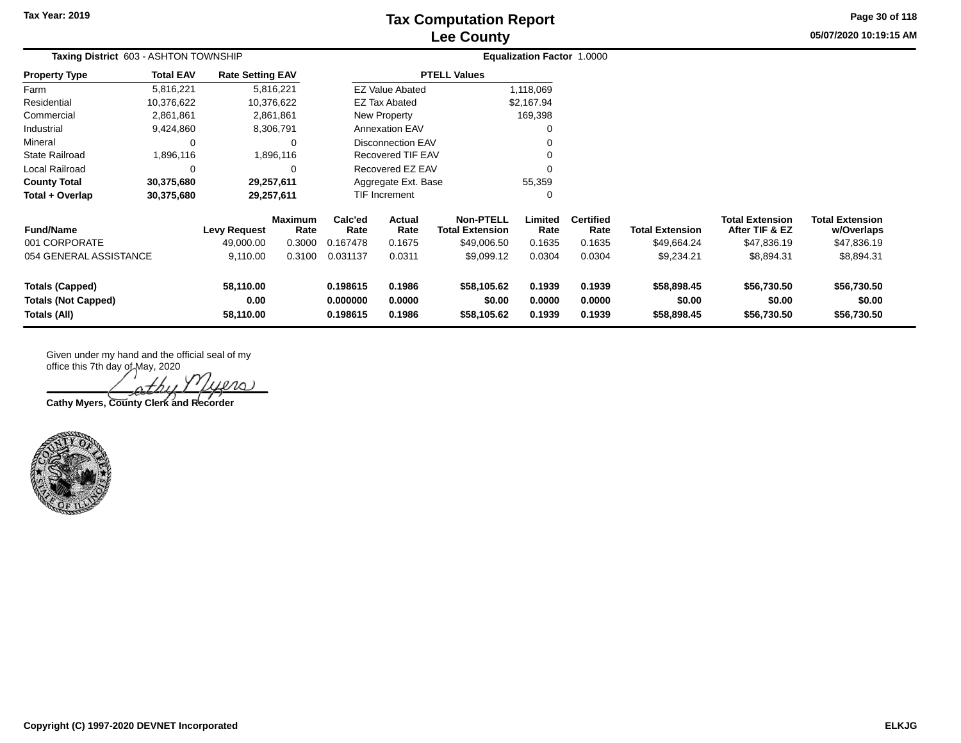# **Lee County Tax Computation Report**

**05/07/2020 10:19:15 AM Page 30 of 118**

| Taxing District 603 - ASHTON TOWNSHIP                                                                  |                                               |                         |                                                                |                |                                            |                            | Equalization Factor 1.0000 |                                      |                                          |                                      |             |  |
|--------------------------------------------------------------------------------------------------------|-----------------------------------------------|-------------------------|----------------------------------------------------------------|----------------|--------------------------------------------|----------------------------|----------------------------|--------------------------------------|------------------------------------------|--------------------------------------|-------------|--|
| <b>Property Type</b>                                                                                   | <b>Total EAV</b>                              | <b>Rate Setting EAV</b> |                                                                |                |                                            | <b>PTELL Values</b>        |                            |                                      |                                          |                                      |             |  |
| Farm                                                                                                   | 5,816,221                                     |                         | 5,816,221                                                      |                | <b>EZ Value Abated</b>                     |                            | 1,118,069                  |                                      |                                          |                                      |             |  |
| Residential                                                                                            | 10,376,622                                    |                         | 10,376,622                                                     |                | <b>EZ Tax Abated</b>                       |                            | \$2,167.94                 |                                      |                                          |                                      |             |  |
| Commercial                                                                                             | 2,861,861                                     |                         | 2,861,861                                                      |                | New Property                               |                            | 169,398                    |                                      |                                          |                                      |             |  |
| Industrial                                                                                             | 9,424,860                                     |                         | 8,306,791                                                      |                | <b>Annexation EAV</b>                      |                            | 0                          |                                      |                                          |                                      |             |  |
| Mineral                                                                                                | $\Omega$                                      |                         | 0                                                              |                | Disconnection EAV                          |                            | 0                          |                                      |                                          |                                      |             |  |
| <b>State Railroad</b>                                                                                  | 1,896,116                                     |                         | 1,896,116                                                      |                | Recovered TIF EAV                          |                            | 0                          |                                      |                                          |                                      |             |  |
| Local Railroad                                                                                         |                                               |                         | $\Omega$                                                       |                | Recovered EZ EAV                           |                            | 0                          |                                      |                                          |                                      |             |  |
| <b>County Total</b>                                                                                    | 30,375,680                                    |                         | 29,257,611                                                     |                | Aggregate Ext. Base                        |                            | 55,359                     |                                      |                                          |                                      |             |  |
| Total + Overlap                                                                                        | 30,375,680                                    |                         | 29,257,611                                                     |                | TIF Increment                              |                            | 0                          |                                      |                                          |                                      |             |  |
| <b>Fund/Name</b>                                                                                       | <b>Maximum</b><br><b>Levy Request</b><br>Rate |                         | Calc'ed<br>Rate                                                | Actual<br>Rate | <b>Non-PTELL</b><br><b>Total Extension</b> | Limited<br>Rate            | <b>Certified</b><br>Rate   | <b>Total Extension</b>               | <b>Total Extension</b><br>After TIF & EZ | <b>Total Extension</b><br>w/Overlaps |             |  |
| 001 CORPORATE                                                                                          |                                               | 49,000.00               | 0.3000                                                         | 0.167478       | 0.1675                                     | \$49,006.50                | 0.1635                     | 0.1635                               | \$49,664.24                              | \$47,836.19                          | \$47,836.19 |  |
| 054 GENERAL ASSISTANCE                                                                                 |                                               | 9,110.00                | 0.3100                                                         | 0.031137       | 0.0311                                     | \$9,099.12                 | 0.0304                     | 0.0304                               | \$9,234.21                               | \$8,894.31                           | \$8,894.31  |  |
| <b>Totals (Capped)</b><br>58,110.00<br><b>Totals (Not Capped)</b><br>0.00<br>Totals (All)<br>58,110.00 |                                               |                         | 0.198615<br>0.1986<br>0.000000<br>0.0000<br>0.1986<br>0.198615 |                | \$58,105.62<br>\$0.00<br>\$58,105.62       | 0.1939<br>0.0000<br>0.1939 | 0.1939<br>0.0000<br>0.1939 | \$58,898.45<br>\$0.00<br>\$58,898.45 | \$56,730.50<br>\$0.00<br>\$56,730.50     | \$56,730.50<br>\$0.00<br>\$56,730.50 |             |  |

 $\infty$ 

**Cathy Myers, County Clerk and Recorder**

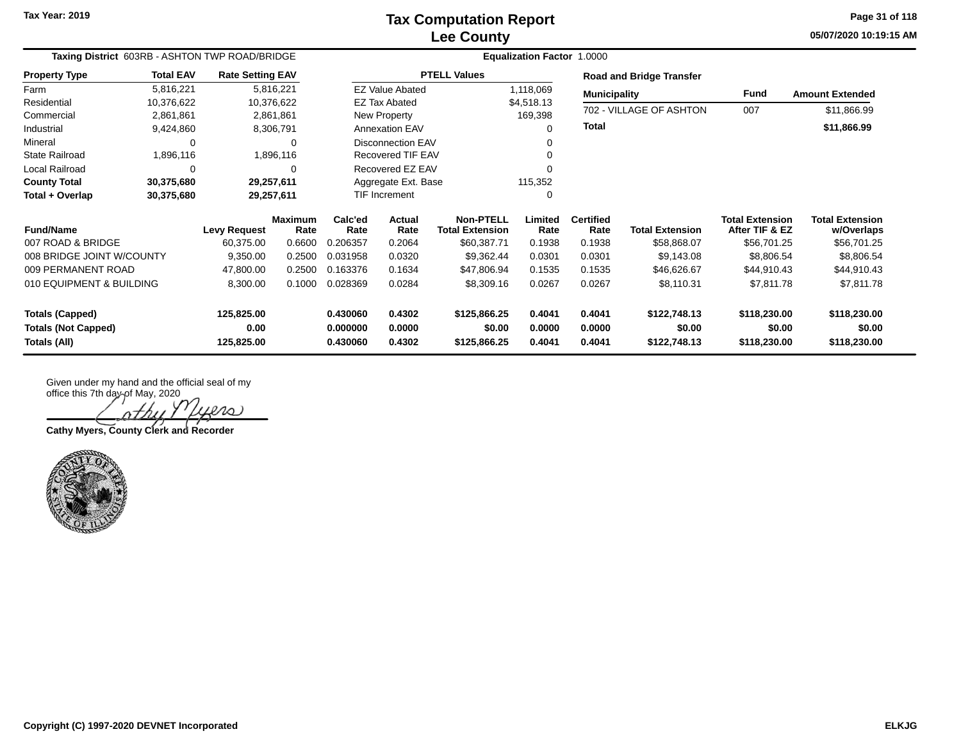**05/07/2020 10:19:15 AM Page 31 of 118**

| Taxing District 603RB - ASHTON TWP ROAD/BRIDGE |                     | <b>Equalization Factor 1.0000</b> |                        |                          |                        |                                            |                 |                          |                                 |                                          |                                      |
|------------------------------------------------|---------------------|-----------------------------------|------------------------|--------------------------|------------------------|--------------------------------------------|-----------------|--------------------------|---------------------------------|------------------------------------------|--------------------------------------|
| <b>Property Type</b>                           | <b>Total EAV</b>    | <b>Rate Setting EAV</b>           |                        |                          |                        | <b>PTELL Values</b>                        |                 |                          | <b>Road and Bridge Transfer</b> |                                          |                                      |
| Farm                                           | 5,816,221           |                                   | 5,816,221              |                          | <b>EZ Value Abated</b> |                                            | 1,118,069       | <b>Municipality</b>      |                                 | Fund                                     | <b>Amount Extended</b>               |
| Residential                                    | 10,376,622          | 10,376,622                        |                        |                          | <b>EZ Tax Abated</b>   |                                            | \$4,518.13      |                          | 702 - VILLAGE OF ASHTON         | 007                                      |                                      |
| Commercial                                     | 2,861,861           |                                   | 2,861,861              |                          | New Property           |                                            | 169,398         |                          |                                 |                                          | \$11,866.99                          |
| Industrial                                     | 9,424,860           |                                   | 8,306,791              |                          | <b>Annexation EAV</b>  |                                            | ∩               | <b>Total</b>             |                                 |                                          | \$11,866.99                          |
| Mineral                                        | 0                   |                                   | 0                      | <b>Disconnection EAV</b> |                        |                                            |                 |                          |                                 |                                          |                                      |
| <b>State Railroad</b>                          | 1,896,116           |                                   | 1,896,116              |                          | Recovered TIF EAV      |                                            |                 |                          |                                 |                                          |                                      |
| Local Railroad                                 | $\Omega$            |                                   | 0                      |                          | Recovered EZ EAV       |                                            |                 |                          |                                 |                                          |                                      |
| <b>County Total</b>                            | 30,375,680          | 29,257,611                        |                        | Aggregate Ext. Base      |                        |                                            | 115,352         |                          |                                 |                                          |                                      |
| Total + Overlap                                | 30,375,680          | 29,257,611                        |                        |                          | TIF Increment          |                                            | 0               |                          |                                 |                                          |                                      |
| <b>Fund/Name</b>                               | <b>Levy Request</b> |                                   | <b>Maximum</b><br>Rate | Calc'ed<br>Rate          | Actual<br>Rate         | <b>Non-PTELL</b><br><b>Total Extension</b> | Limited<br>Rate | <b>Certified</b><br>Rate | <b>Total Extension</b>          | <b>Total Extension</b><br>After TIF & EZ | <b>Total Extension</b><br>w/Overlaps |
| 007 ROAD & BRIDGE                              |                     | 60,375.00                         | 0.6600                 | 0.206357                 | 0.2064                 | \$60,387.71                                | 0.1938          | 0.1938                   | \$58,868.07                     | \$56,701.25                              | \$56,701.25                          |
| 008 BRIDGE JOINT W/COUNTY                      |                     | 9,350.00                          | 0.2500                 | 0.031958                 | 0.0320                 | \$9,362.44                                 | 0.0301          | 0.0301                   | \$9,143.08                      | \$8,806.54                               | \$8,806.54                           |
| 009 PERMANENT ROAD                             |                     | 47,800.00                         | 0.2500                 | 0.163376                 | 0.1634                 | \$47,806.94                                | 0.1535          | 0.1535                   | \$46,626.67                     | \$44,910.43                              | \$44,910.43                          |
| 010 EQUIPMENT & BUILDING                       |                     | 8,300.00                          | 0.1000                 | 0.028369                 | 0.0284                 | \$8,309.16                                 | 0.0267          | 0.0267                   | \$8,110.31                      | \$7,811.78                               | \$7,811.78                           |
| <b>Totals (Capped)</b>                         |                     | 125,825.00                        |                        | 0.430060                 | 0.4302                 | \$125,866.25                               | 0.4041          | 0.4041                   | \$122,748.13                    | \$118,230.00                             | \$118,230.00                         |
| <b>Totals (Not Capped)</b>                     |                     | 0.00                              |                        | 0.000000                 | 0.0000                 | \$0.00                                     | 0.0000          | 0.0000                   | \$0.00                          | \$0.00                                   | \$0.00                               |
| Totals (All)                                   |                     | 125,825.00                        |                        | 0.430060                 | 0.4302                 | \$125,866.25                               | 0.4041          | 0.4041                   | \$122,748.13                    | \$118,230.00                             | \$118,230.00                         |

iero

**Cathy Myers, County Clerk and Recorder**

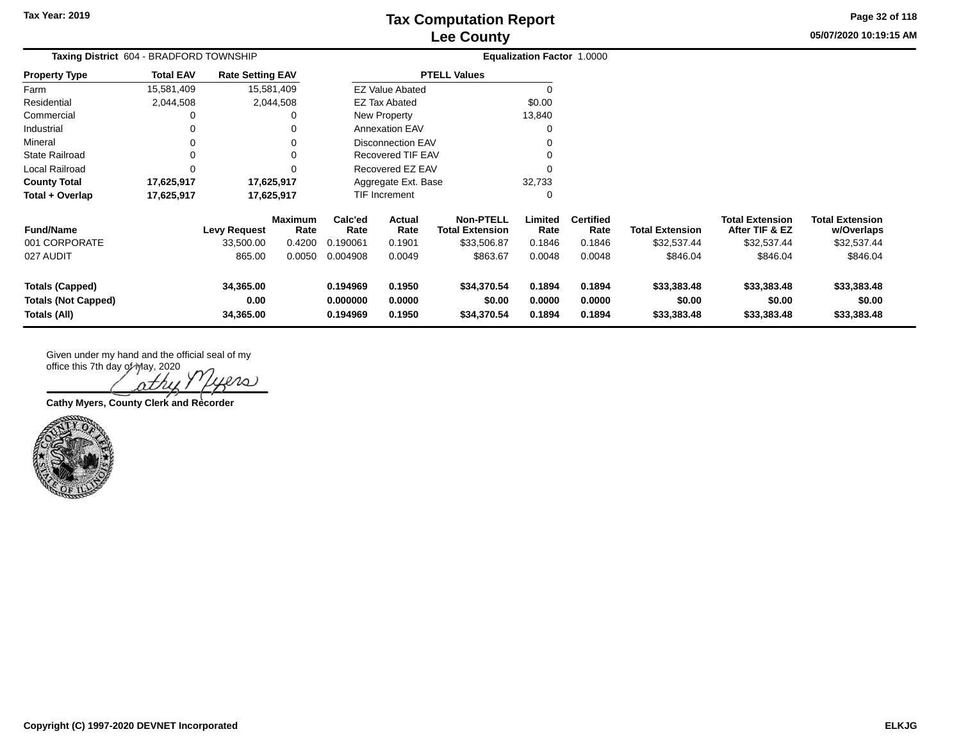**05/07/2020 10:19:15 AM Page 32 of 118**

| Taxing District 604 - BRADFORD TOWNSHIP                              |                  |                                |                 |                                  |                            |                                            | <b>Equalization Factor 1.0000</b> |                            |                                      |                                          |                                      |
|----------------------------------------------------------------------|------------------|--------------------------------|-----------------|----------------------------------|----------------------------|--------------------------------------------|-----------------------------------|----------------------------|--------------------------------------|------------------------------------------|--------------------------------------|
| <b>Property Type</b>                                                 | <b>Total EAV</b> | <b>Rate Setting EAV</b>        |                 |                                  |                            | <b>PTELL Values</b>                        |                                   |                            |                                      |                                          |                                      |
| Farm                                                                 | 15,581,409       | 15,581,409                     |                 |                                  | <b>EZ Value Abated</b>     |                                            |                                   |                            |                                      |                                          |                                      |
| Residential                                                          | 2,044,508        |                                | 2,044,508       |                                  | <b>EZ Tax Abated</b>       |                                            | \$0.00                            |                            |                                      |                                          |                                      |
| Commercial                                                           |                  |                                |                 |                                  | New Property               |                                            | 13,840                            |                            |                                      |                                          |                                      |
| Industrial                                                           |                  |                                |                 |                                  | <b>Annexation EAV</b>      |                                            |                                   |                            |                                      |                                          |                                      |
| Mineral                                                              |                  |                                |                 |                                  | <b>Disconnection EAV</b>   |                                            |                                   |                            |                                      |                                          |                                      |
| <b>State Railroad</b>                                                | 0                |                                |                 |                                  | Recovered TIF EAV          |                                            |                                   |                            |                                      |                                          |                                      |
| Local Railroad                                                       | 0                |                                |                 |                                  | Recovered EZ EAV           |                                            |                                   |                            |                                      |                                          |                                      |
| <b>County Total</b>                                                  | 17,625,917       | 17,625,917                     |                 |                                  | Aggregate Ext. Base        |                                            | 32,733                            |                            |                                      |                                          |                                      |
| Total + Overlap                                                      | 17,625,917       | 17,625,917                     |                 |                                  | TIF Increment              |                                            |                                   |                            |                                      |                                          |                                      |
| <b>Fund/Name</b>                                                     |                  | <b>Levy Request</b>            | Maximum<br>Rate | Calc'ed<br>Rate                  | Actual<br>Rate             | <b>Non-PTELL</b><br><b>Total Extension</b> | Limited<br>Rate                   | <b>Certified</b><br>Rate   | <b>Total Extension</b>               | <b>Total Extension</b><br>After TIF & EZ | <b>Total Extension</b><br>w/Overlaps |
| 001 CORPORATE                                                        |                  | 33,500.00                      | 0.4200          | 0.190061                         | 0.1901                     | \$33,506.87                                | 0.1846                            | 0.1846                     | \$32,537.44                          | \$32,537.44                              | \$32,537.44                          |
| 027 AUDIT                                                            |                  | 865.00                         | 0.0050          | 0.004908                         | 0.0049                     | \$863.67                                   | 0.0048                            | 0.0048                     | \$846.04                             | \$846.04                                 | \$846.04                             |
| <b>Totals (Capped)</b><br><b>Totals (Not Capped)</b><br>Totals (All) |                  | 34,365.00<br>0.00<br>34,365.00 |                 | 0.194969<br>0.000000<br>0.194969 | 0.1950<br>0.0000<br>0.1950 | \$34,370.54<br>\$0.00<br>\$34,370.54       | 0.1894<br>0.0000<br>0.1894        | 0.1894<br>0.0000<br>0.1894 | \$33,383.48<br>\$0.00<br>\$33,383.48 | \$33,383.48<br>\$0.00<br>\$33,383.48     | \$33,383.48<br>\$0.00<br>\$33,383.48 |

Given under my hand and the official seal of my

office this 7th day of May, 2020  $20.$ ΛZ

**Cathy Myers, County Clerk and Recorder**

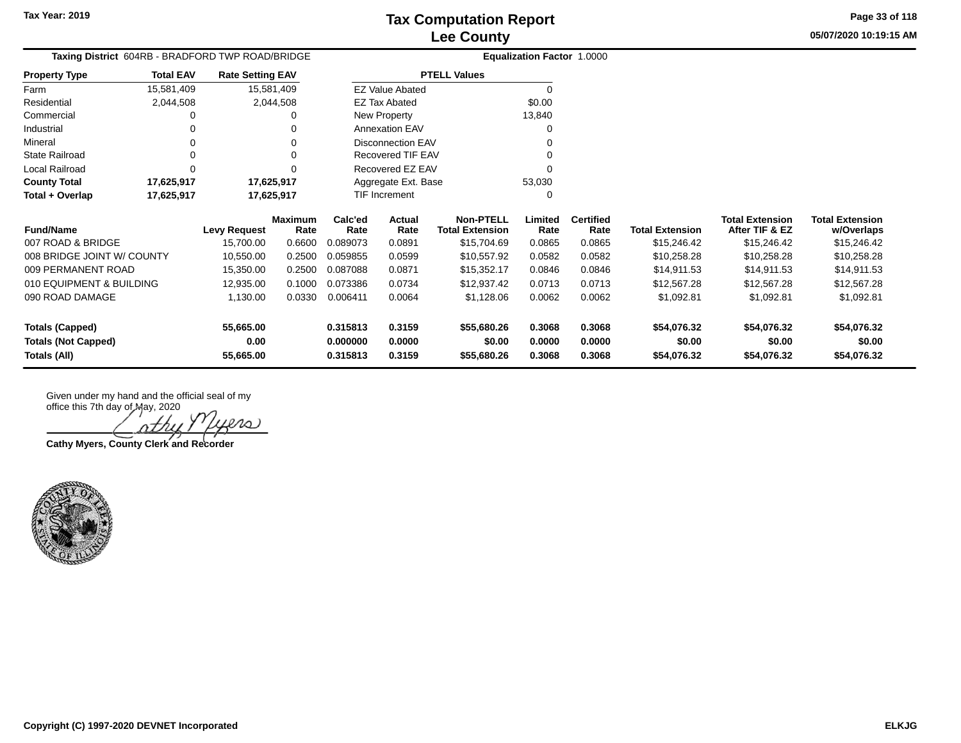**05/07/2020 10:19:15 AM Page 33 of 118**

| <b>Taxing District</b> 604RB - BRADFORD TWP ROAD/BRIDGE |                  |                         |                        |                 |                          |                                            | <b>Equalization Factor 1.0000</b> |                          |                        |                                          |                                      |
|---------------------------------------------------------|------------------|-------------------------|------------------------|-----------------|--------------------------|--------------------------------------------|-----------------------------------|--------------------------|------------------------|------------------------------------------|--------------------------------------|
| <b>Property Type</b>                                    | <b>Total EAV</b> | <b>Rate Setting EAV</b> |                        |                 |                          | <b>PTELL Values</b>                        |                                   |                          |                        |                                          |                                      |
| Farm                                                    | 15,581,409       | 15,581,409              |                        |                 | <b>EZ Value Abated</b>   |                                            | $\Omega$                          |                          |                        |                                          |                                      |
| Residential                                             | 2,044,508        |                         | 2,044,508              |                 | <b>EZ Tax Abated</b>     |                                            | \$0.00                            |                          |                        |                                          |                                      |
| Commercial                                              |                  |                         | 0                      |                 | New Property             |                                            | 13,840                            |                          |                        |                                          |                                      |
| Industrial                                              | 0                |                         |                        |                 | <b>Annexation EAV</b>    |                                            | O                                 |                          |                        |                                          |                                      |
| Mineral                                                 |                  |                         |                        |                 | <b>Disconnection EAV</b> |                                            |                                   |                          |                        |                                          |                                      |
| <b>State Railroad</b>                                   | 0                |                         | $\Omega$               |                 | Recovered TIF EAV        |                                            | ∩                                 |                          |                        |                                          |                                      |
| Local Railroad                                          | 0                |                         | 0                      |                 | Recovered EZ EAV         |                                            |                                   |                          |                        |                                          |                                      |
| <b>County Total</b>                                     | 17,625,917       | 17,625,917              |                        |                 | Aggregate Ext. Base      |                                            | 53,030                            |                          |                        |                                          |                                      |
| Total + Overlap                                         | 17,625,917       | 17,625,917              |                        |                 | TIF Increment            |                                            | 0                                 |                          |                        |                                          |                                      |
| <b>Fund/Name</b>                                        |                  | <b>Levy Request</b>     | <b>Maximum</b><br>Rate | Calc'ed<br>Rate | Actual<br>Rate           | <b>Non-PTELL</b><br><b>Total Extension</b> | Limited<br>Rate                   | <b>Certified</b><br>Rate | <b>Total Extension</b> | <b>Total Extension</b><br>After TIF & EZ | <b>Total Extension</b><br>w/Overlaps |
| 007 ROAD & BRIDGE                                       |                  | 15,700.00               | 0.6600                 | 0.089073        | 0.0891                   | \$15,704.69                                | 0.0865                            | 0.0865                   | \$15,246.42            | \$15,246.42                              | \$15,246.42                          |
| 008 BRIDGE JOINT W/ COUNTY                              |                  | 10,550.00               | 0.2500                 | 0.059855        | 0.0599                   | \$10,557.92                                | 0.0582                            | 0.0582                   | \$10,258.28            | \$10,258.28                              | \$10,258.28                          |
| 009 PERMANENT ROAD                                      |                  | 15,350.00               | 0.2500                 | 0.087088        | 0.0871                   | \$15,352.17                                | 0.0846                            | 0.0846                   | \$14,911.53            | \$14,911.53                              | \$14,911.53                          |
| 010 EQUIPMENT & BUILDING                                |                  | 12,935.00               | 0.1000                 | 0.073386        | 0.0734                   | \$12,937.42                                | 0.0713                            | 0.0713                   | \$12,567.28            | \$12,567.28                              | \$12,567.28                          |
| 090 ROAD DAMAGE                                         |                  | 1,130.00                | 0.0330                 | 0.006411        | 0.0064                   | \$1,128.06                                 | 0.0062                            | 0.0062                   | \$1,092.81             | \$1,092.81                               | \$1,092.81                           |
| Totals (Capped)                                         |                  | 55,665.00               |                        | 0.315813        | 0.3159                   | \$55,680.26                                | 0.3068                            | 0.3068                   | \$54,076.32            | \$54,076.32                              | \$54,076.32                          |
| <b>Totals (Not Capped)</b>                              |                  | 0.00                    |                        | 0.000000        | 0.0000                   | \$0.00                                     | 0.0000                            | 0.0000                   | \$0.00                 | \$0.00                                   | \$0.00                               |
| Totals (All)                                            |                  | 55,665.00               |                        | 0.315813        | 0.3159                   | \$55,680.26                                | 0.3068                            | 0.3068                   | \$54,076.32            | \$54,076.32                              | \$54,076.32                          |

'athy iers

**Cathy Myers, County Clerk and Recorder**

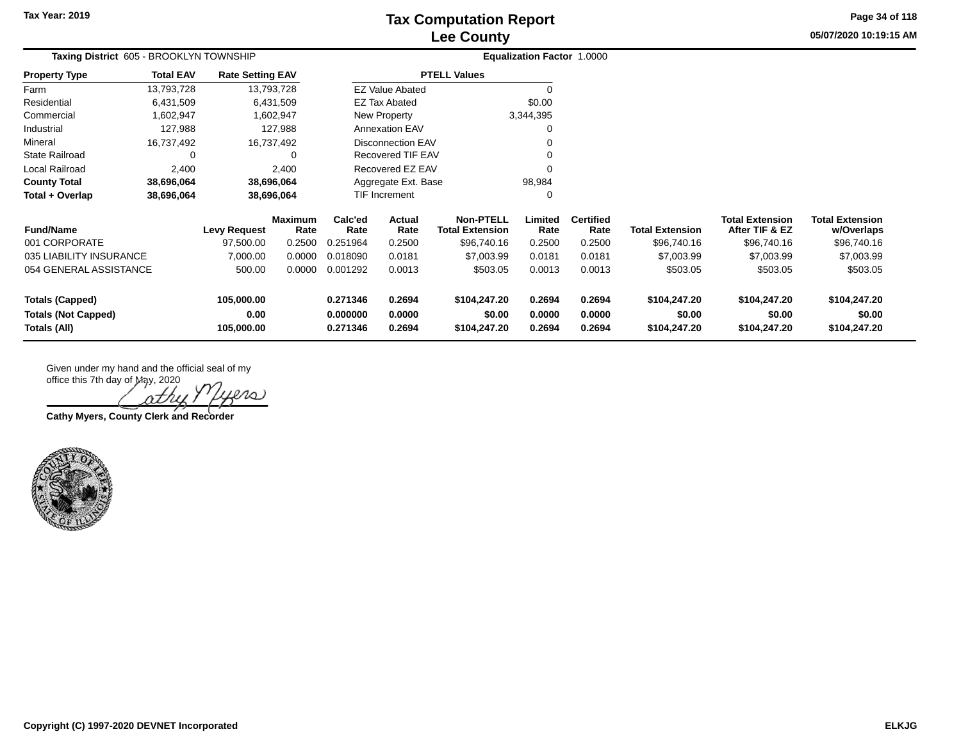# **Lee County Tax Computation Report**

**05/07/2020 10:19:15 AM Page 34 of 118**

| Taxing District 605 - BROOKLYN TOWNSHIP<br><b>Total EAV</b><br><b>Rate Setting EAV</b> |            |                     |                        |                      |                          |                                            | <b>Equalization Factor 1.0000</b> |                          |                        |                                          |                                      |
|----------------------------------------------------------------------------------------|------------|---------------------|------------------------|----------------------|--------------------------|--------------------------------------------|-----------------------------------|--------------------------|------------------------|------------------------------------------|--------------------------------------|
| <b>Property Type</b>                                                                   |            |                     |                        |                      |                          | <b>PTELL Values</b>                        |                                   |                          |                        |                                          |                                      |
| Farm                                                                                   | 13,793,728 |                     | 13,793,728             |                      | <b>EZ Value Abated</b>   |                                            |                                   |                          |                        |                                          |                                      |
| Residential                                                                            | 6,431,509  |                     | 6,431,509              |                      | <b>EZ Tax Abated</b>     |                                            | \$0.00                            |                          |                        |                                          |                                      |
| Commercial                                                                             | 1,602,947  |                     | 1,602,947              |                      | New Property             |                                            | 3,344,395                         |                          |                        |                                          |                                      |
| Industrial                                                                             | 127,988    |                     | 127,988                |                      | <b>Annexation EAV</b>    |                                            | 0                                 |                          |                        |                                          |                                      |
| Mineral                                                                                | 16,737,492 |                     | 16,737,492             |                      | <b>Disconnection EAV</b> |                                            | $\Omega$                          |                          |                        |                                          |                                      |
| State Railroad                                                                         | 0          |                     | 0                      |                      | <b>Recovered TIF EAV</b> |                                            |                                   |                          |                        |                                          |                                      |
| Local Railroad                                                                         | 2,400      |                     | 2,400                  |                      | Recovered EZ EAV         |                                            |                                   |                          |                        |                                          |                                      |
| <b>County Total</b>                                                                    | 38,696,064 |                     | 38,696,064             |                      | Aggregate Ext. Base      |                                            | 98,984                            |                          |                        |                                          |                                      |
| Total + Overlap                                                                        | 38,696,064 |                     | 38,696,064             | TIF Increment        |                          |                                            | 0                                 |                          |                        |                                          |                                      |
| <b>Fund/Name</b>                                                                       |            | <b>Levy Request</b> | <b>Maximum</b><br>Rate | Calc'ed<br>Rate      | <b>Actual</b><br>Rate    | <b>Non-PTELL</b><br><b>Total Extension</b> | Limited<br>Rate                   | <b>Certified</b><br>Rate | <b>Total Extension</b> | <b>Total Extension</b><br>After TIF & EZ | <b>Total Extension</b><br>w/Overlaps |
| 001 CORPORATE                                                                          |            | 97,500.00           | 0.2500                 | 0.251964             | 0.2500                   | \$96,740.16                                | 0.2500                            | 0.2500                   | \$96,740.16            | \$96,740.16                              | \$96,740.16                          |
| 035 LIABILITY INSURANCE                                                                |            | 7,000.00            | 0.0000                 | 0.018090             | 0.0181                   | \$7,003.99                                 | 0.0181                            | 0.0181                   | \$7,003.99             | \$7,003.99                               | \$7,003.99                           |
| 054 GENERAL ASSISTANCE                                                                 |            | 500.00              | 0.0000                 | 0.001292             | 0.0013                   | \$503.05                                   | 0.0013                            | 0.0013                   | \$503.05               | \$503.05                                 | \$503.05                             |
| <b>Totals (Capped)</b><br><b>Totals (Not Capped)</b>                                   |            | 105,000.00<br>0.00  |                        | 0.271346<br>0.000000 | 0.2694<br>0.0000         | \$104,247.20<br>\$0.00                     | 0.2694<br>0.0000                  | 0.2694<br>0.0000         | \$104,247.20<br>\$0.00 | \$104,247.20<br>\$0.00                   | \$104,247.20<br>\$0.00               |
| Totals (All)                                                                           |            | 105,000.00          |                        | 0.271346             | 0.2694                   | \$104,247.20                               | 0.2694                            | 0.2694                   | \$104,247.20           | \$104,247.20                             | \$104,247.20                         |

 $P$  $O$ )

**Cathy Myers, County Clerk and Recorder**

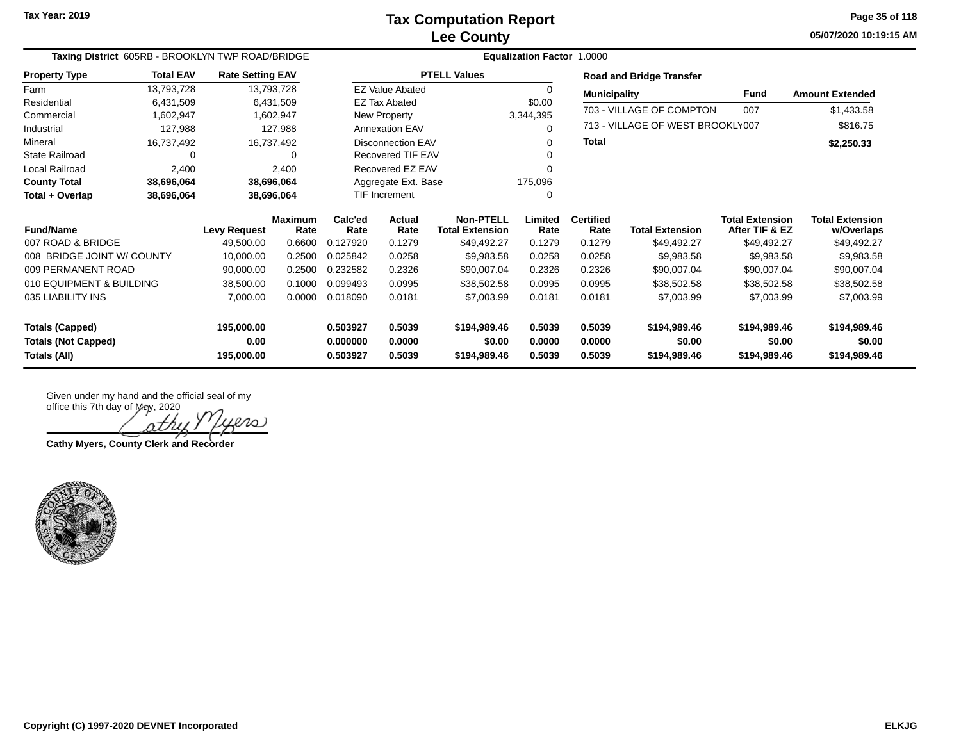**05/07/2020 10:19:15 AM Page 35 of 118**

| Taxing District 605RB - BROOKLYN TWP ROAD/BRIDGE |                  |                         |                        |                      | <b>Equalization Factor</b><br>1.0000 |                                            |                 |                          |                                  |                                          |                                      |  |  |  |
|--------------------------------------------------|------------------|-------------------------|------------------------|----------------------|--------------------------------------|--------------------------------------------|-----------------|--------------------------|----------------------------------|------------------------------------------|--------------------------------------|--|--|--|
| <b>Property Type</b>                             | <b>Total EAV</b> | <b>Rate Setting EAV</b> |                        |                      |                                      | <b>PTELL Values</b>                        |                 |                          | <b>Road and Bridge Transfer</b>  |                                          |                                      |  |  |  |
| Farm                                             | 13,793,728       |                         | 13,793,728             |                      | <b>EZ Value Abated</b>               |                                            | $\Omega$        | <b>Municipality</b>      |                                  | Fund                                     | <b>Amount Extended</b>               |  |  |  |
| Residential                                      | 6,431,509        |                         | 6,431,509              |                      | <b>EZ Tax Abated</b>                 |                                            | \$0.00          |                          |                                  |                                          |                                      |  |  |  |
| Commercial                                       | 1,602,947        |                         | 1,602,947              |                      | New Property                         |                                            | 3,344,395       |                          | 703 - VILLAGE OF COMPTON         | 007                                      | \$1,433.58                           |  |  |  |
| Industrial                                       | 127,988          |                         | 127,988                |                      | <b>Annexation EAV</b>                |                                            | 0               |                          | 713 - VILLAGE OF WEST BROOKLY007 |                                          | \$816.75                             |  |  |  |
| Mineral                                          | 16,737,492       |                         | 16,737,492             |                      | <b>Disconnection EAV</b>             |                                            | 0               | <b>Total</b>             |                                  |                                          | \$2,250.33                           |  |  |  |
| <b>State Railroad</b>                            | $\Omega$         |                         | $\Omega$               |                      | Recovered TIF EAV                    |                                            |                 |                          |                                  |                                          |                                      |  |  |  |
| Local Railroad                                   | 2,400            |                         | 2,400                  |                      | Recovered EZ EAV                     |                                            |                 |                          |                                  |                                          |                                      |  |  |  |
| <b>County Total</b>                              | 38,696,064       |                         | 38,696,064             |                      | Aggregate Ext. Base                  |                                            | 175,096         |                          |                                  |                                          |                                      |  |  |  |
| Total + Overlap                                  | 38,696,064       | 38,696,064              |                        | <b>TIF Increment</b> |                                      |                                            | 0               |                          |                                  |                                          |                                      |  |  |  |
| <b>Fund/Name</b>                                 |                  | <b>Levy Request</b>     | <b>Maximum</b><br>Rate | Calc'ed<br>Rate      | Actual<br>Rate                       | <b>Non-PTELL</b><br><b>Total Extension</b> | Limited<br>Rate | <b>Certified</b><br>Rate | <b>Total Extension</b>           | <b>Total Extension</b><br>After TIF & EZ | <b>Total Extension</b><br>w/Overlaps |  |  |  |
| 007 ROAD & BRIDGE                                |                  | 49,500.00               | 0.6600                 | 0.127920             | 0.1279                               | \$49,492.27                                | 0.1279          | 0.1279                   | \$49,492.27                      | \$49,492.27                              | \$49,492.27                          |  |  |  |
| 008 BRIDGE JOINT W/ COUNTY                       |                  | 10,000.00               | 0.2500                 | 0.025842             | 0.0258                               | \$9,983.58                                 | 0.0258          | 0.0258                   | \$9,983.58                       | \$9,983.58                               | \$9,983.58                           |  |  |  |
| 009 PERMANENT ROAD                               |                  | 90,000.00               | 0.2500                 | 0.232582             | 0.2326                               | \$90,007.04                                | 0.2326          | 0.2326                   | \$90,007.04                      | \$90,007.04                              | \$90,007.04                          |  |  |  |
| 010 EQUIPMENT & BUILDING                         |                  | 38,500.00               | 0.1000                 | 0.099493             | 0.0995                               | \$38,502.58                                | 0.0995          | 0.0995                   | \$38,502.58                      | \$38,502.58                              | \$38,502.58                          |  |  |  |
| 035 LIABILITY INS                                |                  | 7,000.00                | 0.0000<br>0.018090     |                      | 0.0181                               | \$7,003.99                                 | 0.0181          | 0.0181                   | \$7,003.99                       | \$7,003.99                               | \$7,003.99                           |  |  |  |
| <b>Totals (Capped)</b>                           |                  | 195,000.00              |                        | 0.503927             | 0.5039                               | \$194,989.46                               | 0.5039          | 0.5039                   | \$194,989.46                     | \$194,989.46                             | \$194,989.46                         |  |  |  |
| <b>Totals (Not Capped)</b>                       |                  | 0.00                    |                        | 0.000000             | 0.0000                               | \$0.00                                     | 0.0000          | 0.0000                   | \$0.00                           | \$0.00                                   | \$0.00                               |  |  |  |
| Totals (All)                                     |                  | 195,000.00              |                        | 0.503927             | 0.5039                               | \$194,989.46                               | 0.5039          | 0.5039                   | \$194,989.46                     | \$194,989.46                             | \$194,989.46                         |  |  |  |

nth

**Cathy Myers, County Clerk and Recorder**

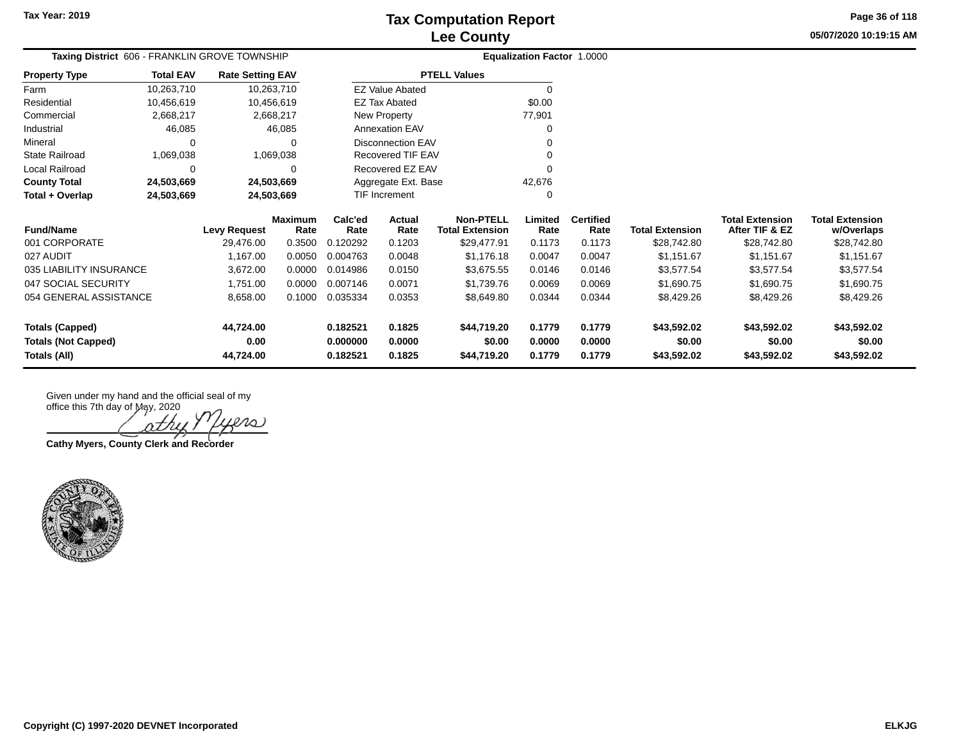**05/07/2020 10:19:15 AM Page 36 of 118**

| Taxing District 606 - FRANKLIN GROVE TOWNSHIP |                  |                         |                 |                 |                          |                                            | <b>Equalization Factor 1.0000</b> |                          |                        |                                          |                                      |
|-----------------------------------------------|------------------|-------------------------|-----------------|-----------------|--------------------------|--------------------------------------------|-----------------------------------|--------------------------|------------------------|------------------------------------------|--------------------------------------|
| <b>Property Type</b>                          | <b>Total EAV</b> | <b>Rate Setting EAV</b> |                 |                 |                          | <b>PTELL Values</b>                        |                                   |                          |                        |                                          |                                      |
| Farm                                          | 10,263,710       | 10,263,710              |                 |                 | <b>EZ Value Abated</b>   |                                            | 0                                 |                          |                        |                                          |                                      |
| Residential                                   | 10,456,619       | 10,456,619              |                 |                 | <b>EZ Tax Abated</b>     |                                            | \$0.00                            |                          |                        |                                          |                                      |
| Commercial                                    | 2,668,217        |                         | 2,668,217       |                 | New Property             |                                            | 77,901                            |                          |                        |                                          |                                      |
| Industrial                                    | 46,085           |                         | 46,085          |                 | Annexation EAV           |                                            |                                   |                          |                        |                                          |                                      |
| Mineral                                       | $\Omega$         |                         |                 |                 | <b>Disconnection EAV</b> |                                            |                                   |                          |                        |                                          |                                      |
| <b>State Railroad</b>                         | 1,069,038        |                         | 1,069,038       |                 | Recovered TIF EAV        |                                            |                                   |                          |                        |                                          |                                      |
| Local Railroad                                | O                |                         | $\Omega$        |                 | Recovered EZ EAV         |                                            |                                   |                          |                        |                                          |                                      |
| <b>County Total</b>                           | 24,503,669       | 24,503,669              |                 |                 | Aggregate Ext. Base      |                                            | 42,676                            |                          |                        |                                          |                                      |
| Total + Overlap                               | 24,503,669       | 24,503,669              |                 |                 | <b>TIF Increment</b>     |                                            |                                   |                          |                        |                                          |                                      |
| <b>Fund/Name</b>                              |                  | <b>Levy Request</b>     | Maximum<br>Rate | Calc'ed<br>Rate | Actual<br>Rate           | <b>Non-PTELL</b><br><b>Total Extension</b> | Limited<br>Rate                   | <b>Certified</b><br>Rate | <b>Total Extension</b> | <b>Total Extension</b><br>After TIF & EZ | <b>Total Extension</b><br>w/Overlaps |
| 001 CORPORATE                                 |                  | 29,476.00               | 0.3500          | 0.120292        | 0.1203                   | \$29,477.91                                | 0.1173                            | 0.1173                   | \$28,742.80            | \$28,742.80                              | \$28,742.80                          |
| 027 AUDIT                                     |                  | 1,167.00                | 0.0050          | 0.004763        | 0.0048                   | \$1,176.18                                 | 0.0047                            | 0.0047                   | \$1,151.67             | \$1,151.67                               | \$1,151.67                           |
| 035 LIABILITY INSURANCE                       |                  | 3,672.00                | 0.0000          | 0.014986        | 0.0150                   | \$3,675.55                                 | 0.0146                            | 0.0146                   | \$3,577.54             | \$3,577.54                               | \$3,577.54                           |
| 047 SOCIAL SECURITY                           |                  | 1,751.00                | 0.0000          | 0.007146        | 0.0071                   | \$1,739.76                                 | 0.0069                            | 0.0069                   | \$1,690.75             | \$1,690.75                               | \$1,690.75                           |
| 054 GENERAL ASSISTANCE                        |                  | 8,658.00                | 0.1000          | 0.035334        | 0.0353                   | \$8,649.80                                 | 0.0344                            | 0.0344                   | \$8,429.26             | \$8,429.26                               | \$8,429.26                           |
| <b>Totals (Capped)</b>                        |                  | 44,724.00               |                 | 0.182521        | 0.1825                   | \$44,719.20                                | 0.1779                            | 0.1779                   | \$43,592.02            | \$43,592.02                              | \$43,592.02                          |
| <b>Totals (Not Capped)</b>                    |                  | 0.00                    |                 | 0.000000        | 0.0000                   | \$0.00                                     | 0.0000                            | 0.0000                   | \$0.00                 | \$0.00                                   | \$0.00                               |
| Totals (All)                                  |                  | 44,724.00               |                 | 0.182521        | 0.1825                   | \$44,719.20                                | 0.1779                            | 0.1779                   | \$43,592.02            | \$43,592.02                              | \$43,592.02                          |

nthi

**Cathy Myers, County Clerk and Recorder**

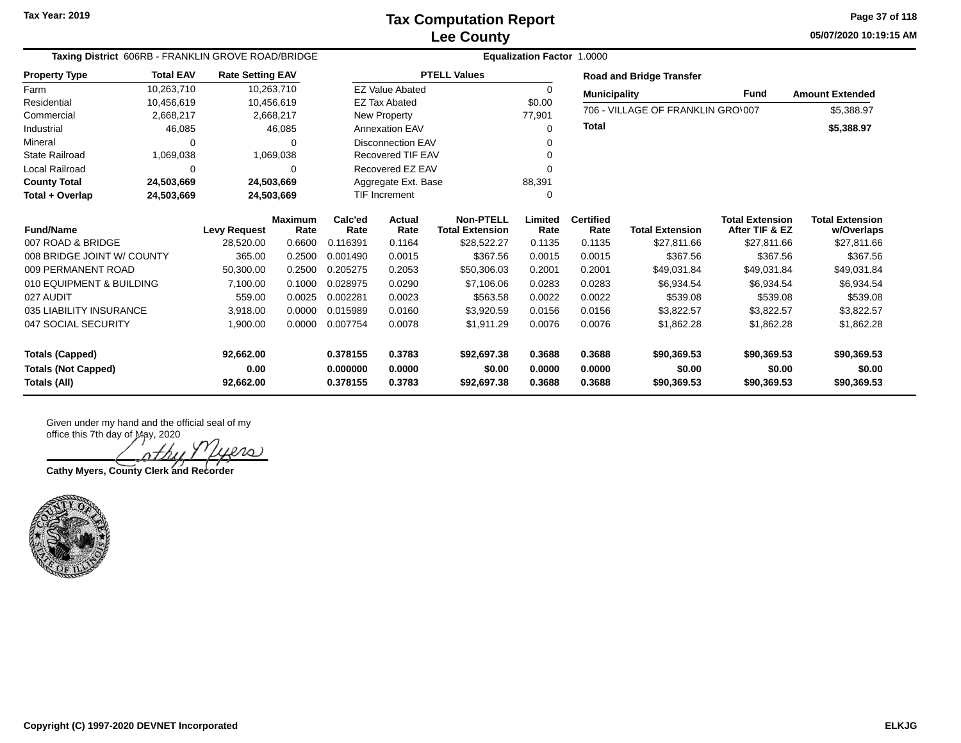**05/07/2020 10:19:15 AM Page 37 of 118**

| Taxing District 606RB - FRANKLIN GROVE ROAD/BRIDGE |                  |                         |                        |                 |                          |                                            |                 |                          |                                   |                                          |                                      |
|----------------------------------------------------|------------------|-------------------------|------------------------|-----------------|--------------------------|--------------------------------------------|-----------------|--------------------------|-----------------------------------|------------------------------------------|--------------------------------------|
| <b>Property Type</b>                               | <b>Total EAV</b> | <b>Rate Setting EAV</b> |                        |                 |                          | <b>PTELL Values</b>                        |                 |                          | <b>Road and Bridge Transfer</b>   |                                          |                                      |
| Farm                                               | 10,263,710       |                         | 10,263,710             |                 | <b>EZ Value Abated</b>   |                                            | 0               | <b>Municipality</b>      |                                   | <b>Fund</b>                              | <b>Amount Extended</b>               |
| Residential                                        | 10,456,619       |                         | 10,456,619             |                 | <b>EZ Tax Abated</b>     |                                            | \$0.00          |                          | 706 - VILLAGE OF FRANKLIN GRO'007 |                                          |                                      |
| Commercial                                         | 2,668,217        |                         | 2,668,217              |                 | New Property             |                                            | 77,901          |                          |                                   |                                          | \$5,388.97                           |
| Industrial                                         | 46,085           |                         | 46,085                 |                 | <b>Annexation EAV</b>    |                                            | 0               | <b>Total</b>             |                                   |                                          | \$5,388.97                           |
| Mineral                                            | $\Omega$         |                         | 0                      |                 | <b>Disconnection EAV</b> |                                            | 0               |                          |                                   |                                          |                                      |
| <b>State Railroad</b>                              | 1,069,038        |                         | 1,069,038              |                 | <b>Recovered TIF EAV</b> |                                            |                 |                          |                                   |                                          |                                      |
| <b>Local Railroad</b>                              | 0                |                         | $\Omega$               |                 | Recovered EZ EAV         |                                            |                 |                          |                                   |                                          |                                      |
| <b>County Total</b>                                | 24,503,669       |                         | 24,503,669             |                 | Aggregate Ext. Base      |                                            |                 |                          |                                   |                                          |                                      |
| Total + Overlap                                    | 24,503,669       |                         | 24,503,669             |                 | TIF Increment            |                                            | 0               |                          |                                   |                                          |                                      |
| <b>Fund/Name</b>                                   |                  | <b>Levy Request</b>     | <b>Maximum</b><br>Rate | Calc'ed<br>Rate | <b>Actual</b><br>Rate    | <b>Non-PTELL</b><br><b>Total Extension</b> | Limited<br>Rate | <b>Certified</b><br>Rate | <b>Total Extension</b>            | <b>Total Extension</b><br>After TIF & EZ | <b>Total Extension</b><br>w/Overlaps |
| 007 ROAD & BRIDGE                                  |                  | 28,520.00               | 0.6600                 | 0.116391        | 0.1164                   | \$28,522.27                                | 0.1135          | 0.1135                   | \$27,811.66                       | \$27,811.66                              | \$27,811.66                          |
| 008 BRIDGE JOINT W/ COUNTY                         |                  | 365.00                  | 0.2500                 | 0.001490        | 0.0015                   | \$367.56                                   | 0.0015          | 0.0015                   | \$367.56                          | \$367.56                                 | \$367.56                             |
| 009 PERMANENT ROAD                                 |                  | 50,300.00               | 0.2500                 | 0.205275        | 0.2053                   | \$50,306.03                                | 0.2001          | 0.2001                   | \$49,031.84                       | \$49,031.84                              | \$49,031.84                          |
| 010 EQUIPMENT & BUILDING                           |                  | 7,100.00                | 0.1000                 | 0.028975        | 0.0290                   | \$7,106.06                                 | 0.0283          | 0.0283                   | \$6,934.54                        | \$6,934.54                               | \$6,934.54                           |
| 027 AUDIT                                          |                  | 559.00                  | 0.0025                 | 0.002281        | 0.0023                   | \$563.58                                   | 0.0022          | 0.0022                   | \$539.08                          | \$539.08                                 | \$539.08                             |
| 035 LIABILITY INSURANCE                            |                  | 3,918.00                | 0.0000                 | 0.015989        | 0.0160                   | \$3,920.59                                 | 0.0156          | 0.0156                   | \$3,822.57                        | \$3,822.57                               | \$3,822.57                           |
| 047 SOCIAL SECURITY                                |                  | 1,900.00                | 0.0000                 | 0.007754        | 0.0078                   | \$1,911.29                                 | 0.0076          | 0.0076                   | \$1,862.28                        | \$1,862.28                               | \$1,862.28                           |
| <b>Totals (Capped)</b>                             |                  | 92,662.00               |                        | 0.378155        | 0.3783                   | \$92,697.38                                | 0.3688          | 0.3688                   | \$90,369.53                       | \$90,369.53                              | \$90,369.53                          |
| <b>Totals (Not Capped)</b>                         |                  | 0.00                    |                        | 0.000000        | 0.0000                   | \$0.00                                     | 0.0000          | 0.0000                   | \$0.00                            | \$0.00                                   | \$0.00                               |
| Totals (All)                                       |                  | 92,662.00               |                        | 0.378155        | 0.3783                   | \$92,697.38                                | 0.3688          | 0.3688                   | \$90,369.53                       | \$90,369.53                              | \$90,369.53                          |

Given under my hand and the official seal of my office this 7th day of May, 2020

lero)

**Cathy Myers, County Clerk and Recorder**

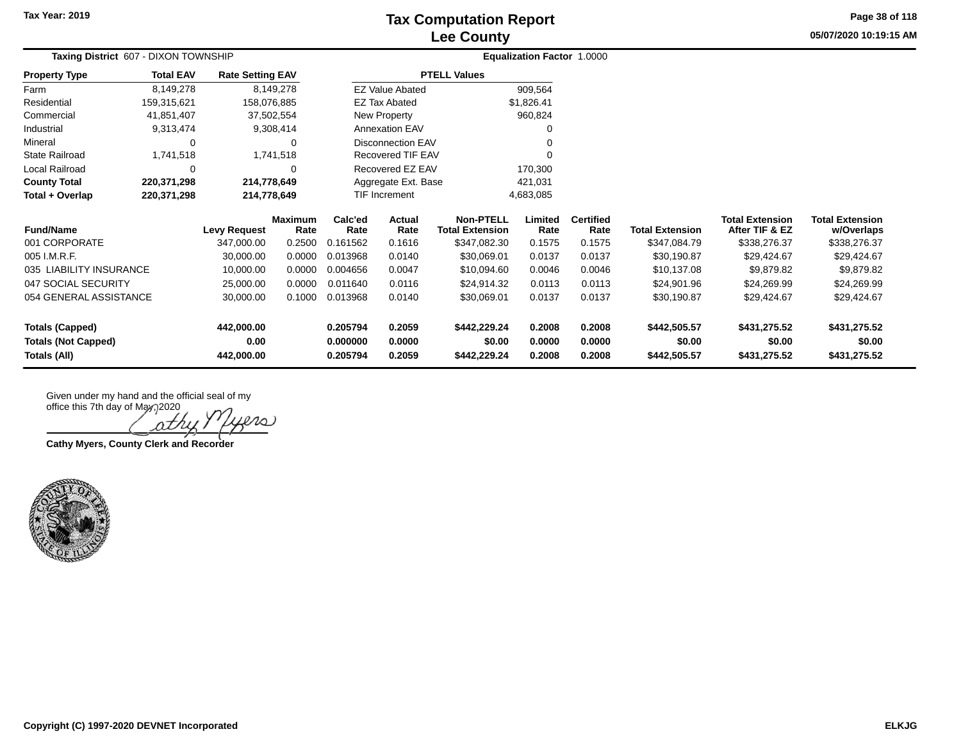**Tax Year: 2019**

# **Lee County Tax Computation Report**

**05/07/2020 10:19:15 AM Page 38 of 118**

| Taxing District 607 - DIXON TOWNSHIP |                  |                         |                        |                 |                          |                                            | Equalization Factor 1.0000 |                          |                        |                                          |                                      |  |
|--------------------------------------|------------------|-------------------------|------------------------|-----------------|--------------------------|--------------------------------------------|----------------------------|--------------------------|------------------------|------------------------------------------|--------------------------------------|--|
| <b>Property Type</b>                 | <b>Total EAV</b> | <b>Rate Setting EAV</b> |                        |                 |                          | <b>PTELL Values</b>                        |                            |                          |                        |                                          |                                      |  |
| Farm                                 | 8,149,278        |                         | 8,149,278              |                 | <b>EZ Value Abated</b>   |                                            | 909,564                    |                          |                        |                                          |                                      |  |
| Residential                          | 159,315,621      | 158,076,885             |                        |                 | <b>EZ Tax Abated</b>     |                                            | \$1,826.41                 |                          |                        |                                          |                                      |  |
| Commercial                           | 41,851,407       |                         | 37,502,554             |                 | New Property             |                                            | 960,824                    |                          |                        |                                          |                                      |  |
| Industrial                           | 9,313,474        |                         | 9,308,414              |                 | Annexation EAV           |                                            |                            |                          |                        |                                          |                                      |  |
| Mineral                              | ∩                |                         | 0                      |                 | <b>Disconnection EAV</b> |                                            |                            |                          |                        |                                          |                                      |  |
| <b>State Railroad</b>                | 1,741,518        |                         | 1,741,518              |                 | Recovered TIF EAV        |                                            |                            |                          |                        |                                          |                                      |  |
| Local Railroad                       | 0                |                         | 0                      |                 | Recovered EZ EAV         |                                            | 170,300                    |                          |                        |                                          |                                      |  |
| <b>County Total</b>                  | 220,371,298      | 214,778,649             |                        |                 | Aggregate Ext. Base      |                                            | 421,031                    |                          |                        |                                          |                                      |  |
| Total + Overlap                      | 220,371,298      | 214,778,649             |                        |                 | <b>TIF Increment</b>     |                                            | 4,683,085                  |                          |                        |                                          |                                      |  |
| <b>Fund/Name</b>                     |                  | <b>Levy Request</b>     | <b>Maximum</b><br>Rate | Calc'ed<br>Rate | Actual<br>Rate           | <b>Non-PTELL</b><br><b>Total Extension</b> | Limited<br>Rate            | <b>Certified</b><br>Rate | <b>Total Extension</b> | <b>Total Extension</b><br>After TIF & EZ | <b>Total Extension</b><br>w/Overlaps |  |
| 001 CORPORATE                        |                  | 347,000.00              | 0.2500                 | 0.161562        | 0.1616                   | \$347,082.30                               | 0.1575                     | 0.1575                   | \$347,084.79           | \$338,276.37                             | \$338,276.37                         |  |
| 005 I.M.R.F.                         |                  | 30,000.00               | 0.0000                 | 0.013968        | 0.0140                   | \$30,069.01                                | 0.0137                     | 0.0137                   | \$30,190.87            | \$29,424.67                              | \$29,424.67                          |  |
| 035 LIABILITY INSURANCE              |                  | 10,000.00               | 0.0000                 | 0.004656        | 0.0047                   | \$10,094.60                                | 0.0046                     | 0.0046                   | \$10,137.08            | \$9,879.82                               | \$9,879.82                           |  |
| 047 SOCIAL SECURITY                  |                  | 25,000.00               | 0.0000                 | 0.011640        | 0.0116                   | \$24,914.32                                | 0.0113                     | 0.0113                   | \$24,901.96            | \$24,269.99                              | \$24,269.99                          |  |
| 054 GENERAL ASSISTANCE               |                  | 30,000.00               | 0.1000                 | 0.013968        | 0.0140                   | \$30,069.01                                | 0.0137                     | 0.0137                   | \$30,190.87            | \$29,424.67                              | \$29,424.67                          |  |
| <b>Totals (Capped)</b>               |                  | 442,000.00              |                        | 0.205794        | 0.2059                   | \$442,229.24                               | 0.2008                     | 0.2008                   | \$442,505.57           | \$431,275.52                             | \$431,275.52                         |  |
| <b>Totals (Not Capped)</b>           |                  | 0.00                    |                        | 0.000000        | 0.0000                   | \$0.00                                     | 0.0000                     | 0.0000                   | \$0.00                 | \$0.00                                   | \$0.00                               |  |
| Totals (All)                         |                  | 442,000.00              |                        | 0.205794        | 0.2059                   | \$442,229.24                               | 0.2008                     | 0.2008                   | \$442,505.57           | \$431,275.52                             | \$431,275.52                         |  |

ath

**Cathy Myers, County Clerk and Recorder**

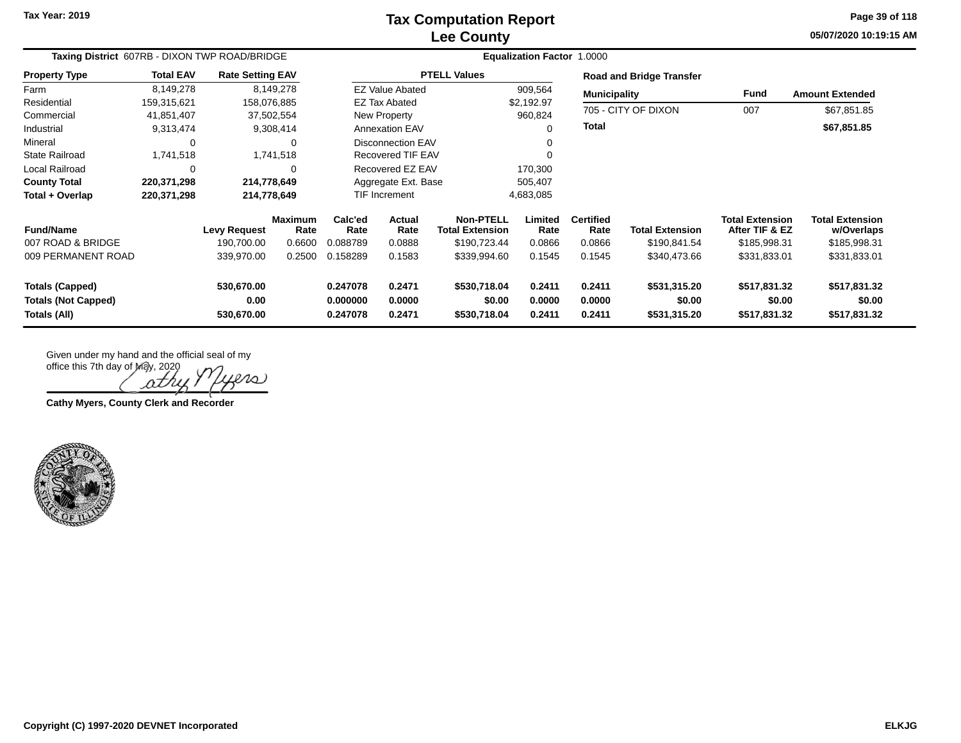**Tax Year: 2019**

#### **Lee County Tax Computation Report**

**05/07/2020 10:19:15 AM Page 39 of 118**

| Taxing District 607RB - DIXON TWP ROAD/BRIDGE        |                  |                         |                        |                                              |                        |                                            |                  |                          |                                 |                                          |                                      |
|------------------------------------------------------|------------------|-------------------------|------------------------|----------------------------------------------|------------------------|--------------------------------------------|------------------|--------------------------|---------------------------------|------------------------------------------|--------------------------------------|
| <b>Property Type</b>                                 | <b>Total EAV</b> | <b>Rate Setting EAV</b> |                        |                                              |                        | <b>PTELL Values</b>                        |                  |                          | <b>Road and Bridge Transfer</b> |                                          |                                      |
| Farm                                                 | 8,149,278        |                         | 8,149,278              |                                              | <b>EZ Value Abated</b> |                                            | 909,564          | <b>Municipality</b>      |                                 | Fund                                     | <b>Amount Extended</b>               |
| Residential                                          | 159,315,621      | 158,076,885             |                        |                                              | <b>EZ Tax Abated</b>   |                                            | \$2,192.97       |                          |                                 |                                          |                                      |
| Commercial                                           | 41,851,407       |                         | 37,502,554             |                                              | New Property           |                                            | 960,824          |                          | 705 - CITY OF DIXON             | 007                                      | \$67,851.85                          |
| Industrial                                           | 9,313,474        |                         | 9,308,414              |                                              | <b>Annexation EAV</b>  |                                            |                  | Total                    |                                 |                                          | \$67,851.85                          |
| Mineral                                              | $\Omega$         |                         | $\Omega$               |                                              | Disconnection EAV      |                                            |                  |                          |                                 |                                          |                                      |
| <b>State Railroad</b>                                | 1,741,518        |                         | 1,741,518              |                                              | Recovered TIF EAV      |                                            |                  |                          |                                 |                                          |                                      |
| Local Railroad                                       | 0                |                         | $\Omega$               |                                              | Recovered EZ EAV       |                                            | 170,300          |                          |                                 |                                          |                                      |
| <b>County Total</b>                                  | 220,371,298      | 214,778,649             |                        |                                              | Aggregate Ext. Base    |                                            | 505,407          |                          |                                 |                                          |                                      |
| Total + Overlap                                      | 220,371,298      | 214,778,649             |                        |                                              | TIF Increment          |                                            | 4,683,085        |                          |                                 |                                          |                                      |
| <b>Fund/Name</b>                                     |                  | <b>Levy Request</b>     | <b>Maximum</b><br>Rate | Calc'ed<br>Rate                              | Actual<br>Rate         | <b>Non-PTELL</b><br><b>Total Extension</b> | Limited<br>Rate  | <b>Certified</b><br>Rate | <b>Total Extension</b>          | <b>Total Extension</b><br>After TIF & EZ | <b>Total Extension</b><br>w/Overlaps |
| 007 ROAD & BRIDGE                                    |                  | 190,700.00              | 0.6600                 | 0.088789                                     | 0.0888                 | \$190,723.44                               | 0.0866           | 0.0866                   | \$190,841.54                    | \$185,998.31                             | \$185,998.31                         |
| 009 PERMANENT ROAD                                   |                  | 339,970.00              | 0.2500                 | 0.158289                                     | 0.1583                 | \$339,994.60                               | 0.1545           | 0.1545                   | \$340,473.66                    | \$331,833.01                             | \$331,833.01                         |
| <b>Totals (Capped)</b><br><b>Totals (Not Capped)</b> |                  | 530,670.00<br>0.00      |                        | 0.247078<br>0.2471<br>0.000000<br>0.0000     |                        | \$530,718.04<br>\$0.00                     | 0.2411<br>0.0000 | 0.2411<br>0.0000         | \$531,315.20<br>\$0.00          | \$517,831.32<br>\$0.00                   | \$517,831.32<br>\$0.00               |
| Totals (All)                                         |                  | 530,670.00              |                        | \$530,718.04<br>0.2411<br>0.247078<br>0.2471 |                        | 0.2411                                     | \$531,315.20     | \$517,831.32             | \$517,831.32                    |                                          |                                      |

Given under my hand and the official seal of my

office this 7th day of May, 2020 o J Ω

**Cathy Myers, County Clerk and Recorder**

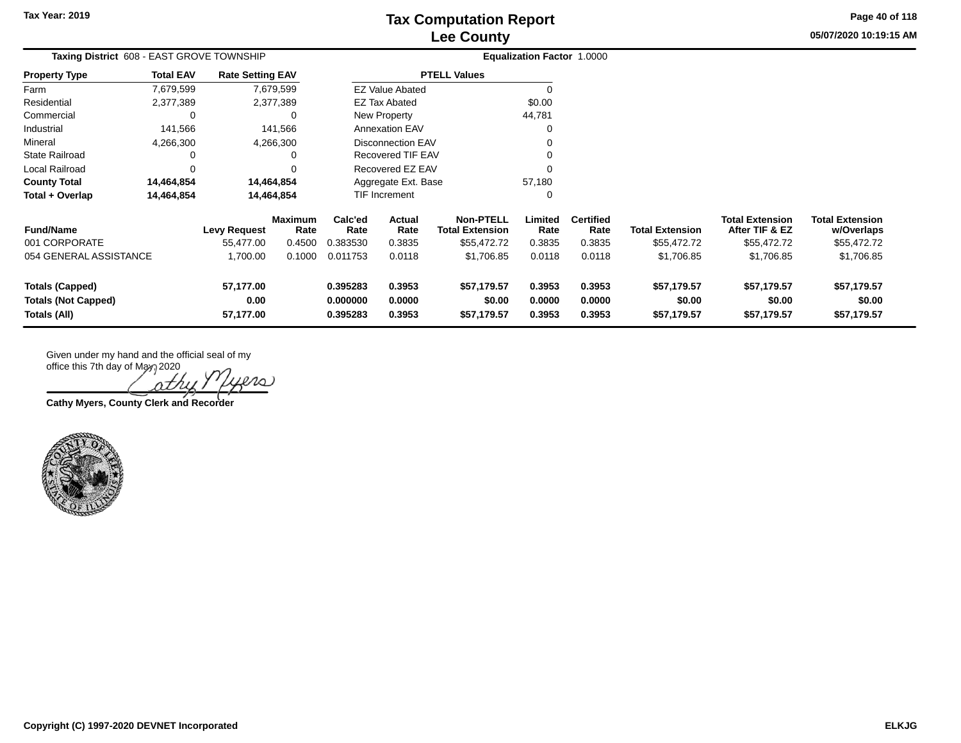**05/07/2020 10:19:15 AM Page 40 of 118**

| Taxing District 608 - EAST GROVE TOWNSHIP |                  |                         |                 |                     |                          |                                            | <b>Equalization Factor 1.0000</b> |                          |                        |                                          |                                      |
|-------------------------------------------|------------------|-------------------------|-----------------|---------------------|--------------------------|--------------------------------------------|-----------------------------------|--------------------------|------------------------|------------------------------------------|--------------------------------------|
| <b>Property Type</b>                      | <b>Total EAV</b> | <b>Rate Setting EAV</b> |                 |                     |                          | <b>PTELL Values</b>                        |                                   |                          |                        |                                          |                                      |
| Farm                                      | 7,679,599        |                         | 7,679,599       |                     | <b>EZ Value Abated</b>   |                                            | $\Omega$                          |                          |                        |                                          |                                      |
| Residential                               | 2,377,389        |                         | 2,377,389       |                     | <b>EZ Tax Abated</b>     |                                            | \$0.00                            |                          |                        |                                          |                                      |
| Commercial                                | 0                |                         | 0               |                     | New Property             |                                            | 44,781                            |                          |                        |                                          |                                      |
| Industrial                                | 141,566          |                         | 141,566         |                     | <b>Annexation EAV</b>    |                                            | O                                 |                          |                        |                                          |                                      |
| Mineral                                   | 4,266,300        |                         | 4,266,300       |                     | <b>Disconnection EAV</b> |                                            | 0                                 |                          |                        |                                          |                                      |
| <b>State Railroad</b>                     | 0                |                         | 0               |                     | Recovered TIF EAV        |                                            | ∩                                 |                          |                        |                                          |                                      |
| Local Railroad                            | 0                |                         | 0               | Recovered EZ EAV    |                          |                                            |                                   |                          |                        |                                          |                                      |
| <b>County Total</b>                       | 14,464,854       | 14,464,854              |                 | Aggregate Ext. Base |                          |                                            | 57,180                            |                          |                        |                                          |                                      |
| Total + Overlap                           | 14,464,854       | 14,464,854              |                 | TIF Increment       |                          |                                            | 0                                 |                          |                        |                                          |                                      |
| <b>Fund/Name</b>                          |                  | <b>Levy Request</b>     | Maximum<br>Rate | Calc'ed<br>Rate     | Actual<br>Rate           | <b>Non-PTELL</b><br><b>Total Extension</b> | Limited<br>Rate                   | <b>Certified</b><br>Rate | <b>Total Extension</b> | <b>Total Extension</b><br>After TIF & EZ | <b>Total Extension</b><br>w/Overlaps |
| 001 CORPORATE                             |                  | 55,477.00               | 0.4500          | 0.383530            | 0.3835                   | \$55,472.72                                | 0.3835                            | 0.3835                   | \$55,472.72            | \$55,472.72                              | \$55,472.72                          |
| 054 GENERAL ASSISTANCE                    |                  | 1,700.00                | 0.1000          | 0.011753            | 0.0118                   | \$1,706.85                                 | 0.0118                            | 0.0118                   | \$1,706.85             | \$1,706.85                               | \$1,706.85                           |
| <b>Totals (Capped)</b>                    |                  | 57,177.00               |                 | 0.395283            | 0.3953                   | \$57,179.57                                | 0.3953                            | 0.3953                   | \$57,179.57            | \$57,179.57                              | \$57,179.57                          |
| <b>Totals (Not Capped)</b>                |                  | 0.00                    |                 | 0.000000            | 0.0000                   | \$0.00                                     | 0.0000                            | 0.0000                   | \$0.00                 | \$0.00                                   | \$0.00                               |
| Totals (All)<br>57,177.00                 |                  |                         | 0.395283        | 0.3953              | \$57,179.57              | 0.3953                                     | 0.3953                            | \$57,179.57              | \$57,179.57            | \$57,179.57                              |                                      |

Ω οt

**Cathy Myers, County Clerk and Recorder**

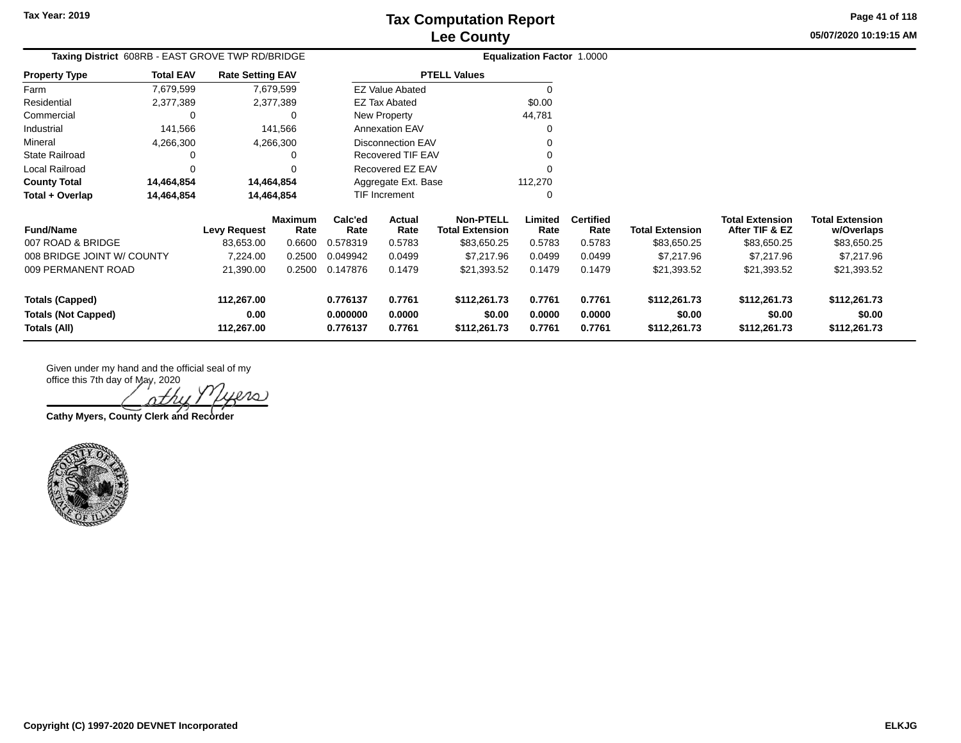**05/07/2020 10:19:15 AMPage 41 of 118**

| Taxing District 608RB - EAST GROVE TWP RD/BRIDGE |                                 |                         |                 |                      | <b>Equalization Factor 1.0000</b> |                                            |                 |                          |                        |                                          |                                      |
|--------------------------------------------------|---------------------------------|-------------------------|-----------------|----------------------|-----------------------------------|--------------------------------------------|-----------------|--------------------------|------------------------|------------------------------------------|--------------------------------------|
| <b>Property Type</b>                             | <b>Total EAV</b>                | <b>Rate Setting EAV</b> |                 |                      |                                   | <b>PTELL Values</b>                        |                 |                          |                        |                                          |                                      |
| Farm                                             | 7,679,599                       |                         | 7,679,599       |                      | <b>EZ Value Abated</b>            |                                            | $\Omega$        |                          |                        |                                          |                                      |
| Residential                                      | 2,377,389                       |                         | 2,377,389       |                      | <b>EZ Tax Abated</b>              |                                            | \$0.00          |                          |                        |                                          |                                      |
| Commercial                                       | C                               |                         | 0               |                      | New Property                      |                                            | 44,781          |                          |                        |                                          |                                      |
| Industrial                                       | 141,566                         |                         | 141,566         |                      | Annexation EAV                    |                                            | ∩               |                          |                        |                                          |                                      |
| Mineral                                          | 4,266,300                       |                         | 4,266,300       |                      | <b>Disconnection EAV</b>          |                                            |                 |                          |                        |                                          |                                      |
| <b>State Railroad</b>                            | C                               |                         | 0               |                      | Recovered TIF EAV                 |                                            |                 |                          |                        |                                          |                                      |
| Local Railroad                                   | C                               |                         | O               |                      | Recovered EZ EAV                  |                                            |                 |                          |                        |                                          |                                      |
| <b>County Total</b>                              | 14,464,854                      |                         | 14,464,854      |                      | Aggregate Ext. Base               |                                            | 112,270         |                          |                        |                                          |                                      |
| Total + Overlap                                  | 14,464,854<br>14,464,854        |                         |                 | <b>TIF Increment</b> |                                   | 0                                          |                 |                          |                        |                                          |                                      |
| <b>Fund/Name</b>                                 |                                 | <b>Levy Request</b>     | Maximum<br>Rate | Calc'ed<br>Rate      | Actual<br>Rate                    | <b>Non-PTELL</b><br><b>Total Extension</b> | Limited<br>Rate | <b>Certified</b><br>Rate | <b>Total Extension</b> | <b>Total Extension</b><br>After TIF & EZ | <b>Total Extension</b><br>w/Overlaps |
| 007 ROAD & BRIDGE                                |                                 | 83,653.00               | 0.6600          | 0.578319             | 0.5783                            | \$83,650.25                                | 0.5783          | 0.5783                   | \$83,650.25            | \$83,650.25                              | \$83,650.25                          |
| 008 BRIDGE JOINT W/ COUNTY                       |                                 | 7,224.00                | 0.2500          | 0.049942             | 0.0499                            | \$7,217.96                                 | 0.0499          | 0.0499                   | \$7,217.96             | \$7,217.96                               | \$7,217.96                           |
|                                                  | 009 PERMANENT ROAD<br>21,390.00 |                         | 0.2500          | 0.147876             | 0.1479                            | \$21,393.52                                | 0.1479          | 0.1479                   | \$21,393.52            | \$21,393.52                              | \$21,393.52                          |
| <b>Totals (Capped)</b>                           |                                 | 112,267.00              |                 | 0.776137             | 0.7761                            | \$112,261.73                               | 0.7761          | 0.7761                   | \$112,261.73           | \$112,261.73                             | \$112,261.73                         |
| <b>Totals (Not Capped)</b><br>0.00               |                                 | 0.000000                | 0.0000          | \$0.00               | 0.0000                            | 0.0000                                     | \$0.00          | \$0.00                   | \$0.00                 |                                          |                                      |
| Totals (All)<br>112,267.00                       |                                 | 0.776137                | 0.7761          | \$112,261.73         | 0.7761                            | 0.7761                                     | \$112,261.73    | \$112,261.73             | \$112,261.73           |                                          |                                      |

 $\infty$ 

**Cathy Myers, County Clerk and Recorder**

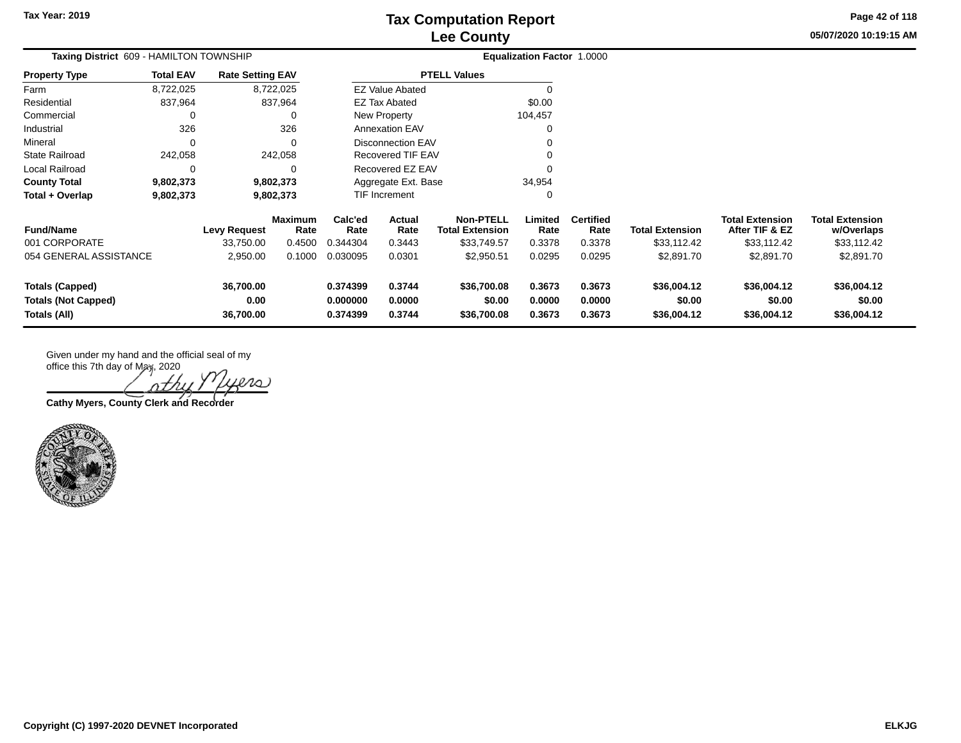**05/07/2020 10:19:15 AM Page 42 of 118**

| Taxing District 609 - HAMILTON TOWNSHIP         |                  |                            |                        |                                             |                          |                                            | <b>Equalization Factor 1.0000</b> |                          |                        |                                          |                                      |
|-------------------------------------------------|------------------|----------------------------|------------------------|---------------------------------------------|--------------------------|--------------------------------------------|-----------------------------------|--------------------------|------------------------|------------------------------------------|--------------------------------------|
| <b>Property Type</b>                            | <b>Total EAV</b> | <b>Rate Setting EAV</b>    |                        |                                             |                          | <b>PTELL Values</b>                        |                                   |                          |                        |                                          |                                      |
| Farm                                            | 8,722,025        |                            | 8,722,025              |                                             | <b>EZ Value Abated</b>   |                                            |                                   |                          |                        |                                          |                                      |
| Residential                                     | 837,964          |                            | 837,964                |                                             | <b>EZ Tax Abated</b>     |                                            | \$0.00                            |                          |                        |                                          |                                      |
| Commercial                                      | 0                |                            | 0                      |                                             | New Property             |                                            | 104,457                           |                          |                        |                                          |                                      |
| Industrial                                      | 326              |                            | 326                    |                                             | <b>Annexation EAV</b>    |                                            |                                   |                          |                        |                                          |                                      |
| Mineral                                         | 0                |                            | $\Omega$               |                                             | <b>Disconnection EAV</b> |                                            |                                   |                          |                        |                                          |                                      |
| <b>State Railroad</b>                           | 242,058          |                            | 242,058                |                                             | Recovered TIF EAV        |                                            |                                   |                          |                        |                                          |                                      |
| Local Railroad                                  | 0                |                            | 0                      | Recovered EZ EAV                            |                          |                                            |                                   |                          |                        |                                          |                                      |
| <b>County Total</b>                             | 9,802,373        |                            | 9,802,373              | 34,954<br>Aggregate Ext. Base               |                          |                                            |                                   |                          |                        |                                          |                                      |
| Total + Overlap                                 | 9,802,373        |                            | 9,802,373              |                                             | TIF Increment            |                                            |                                   |                          |                        |                                          |                                      |
| <b>Fund/Name</b>                                |                  | <b>Levy Request</b>        | <b>Maximum</b><br>Rate | Calc'ed<br>Rate                             | Actual<br>Rate           | <b>Non-PTELL</b><br><b>Total Extension</b> | Limited<br>Rate                   | <b>Certified</b><br>Rate | <b>Total Extension</b> | <b>Total Extension</b><br>After TIF & EZ | <b>Total Extension</b><br>w/Overlaps |
| 001 CORPORATE                                   |                  | 33,750.00                  | 0.4500                 | 0.344304                                    | 0.3443                   | \$33,749.57                                | 0.3378                            | 0.3378                   | \$33,112.42            | \$33,112.42                              | \$33,112.42                          |
| 054 GENERAL ASSISTANCE                          |                  | 2,950.00                   | 0.1000                 | 0.030095                                    | 0.0301                   | \$2,950.51                                 | 0.0295                            | 0.0295                   | \$2,891.70             | \$2,891.70                               | \$2,891.70                           |
| 36,700.00<br>0.374399<br><b>Totals (Capped)</b> |                  | 0.3744                     | \$36,700.08            | 0.3673                                      | 0.3673                   | \$36,004.12                                | \$36,004.12                       | \$36,004.12              |                        |                                          |                                      |
| <b>Totals (Not Capped)</b>                      |                  | 0.00<br>0.000000<br>0.0000 |                        |                                             | \$0.00                   | 0.0000                                     | 0.0000                            | \$0.00                   | \$0.00                 | \$0.00                                   |                                      |
| Totals (All)                                    |                  | 36,700.00                  |                        | 0.374399<br>0.3744<br>\$36,700.08<br>0.3673 |                          |                                            | 0.3673                            | \$36,004.12              | \$36,004.12            | \$36,004.12                              |                                      |

Given under my hand and the official seal of my

office this 7th day of May, 2020 nth

**Cathy Myers, County Clerk and Recorder**

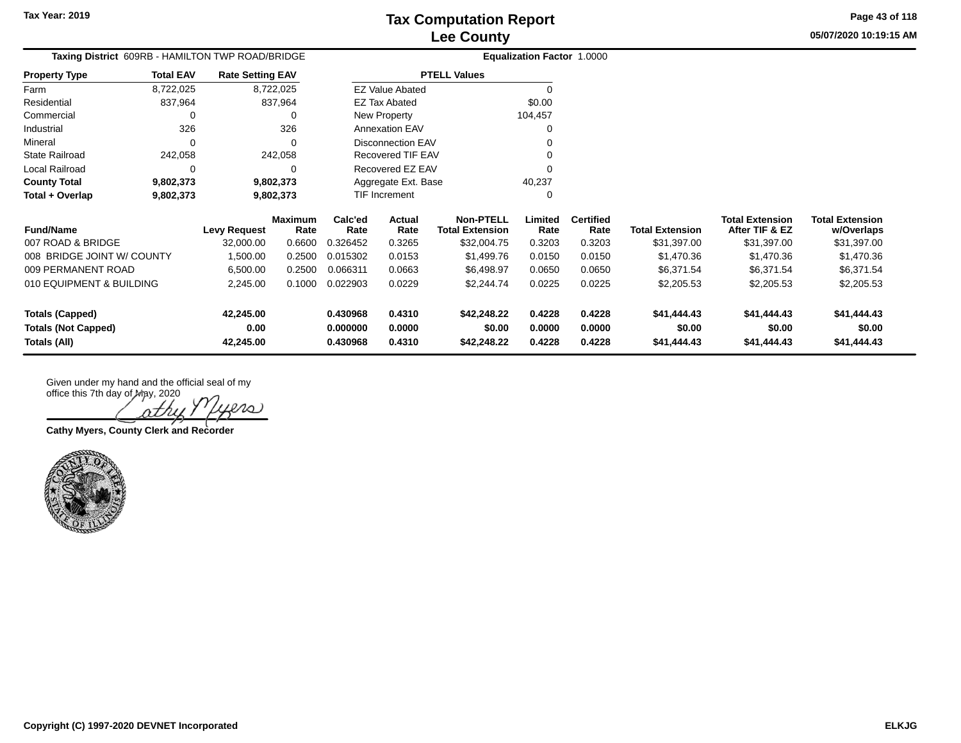**05/07/2020 10:19:15 AM Page 43 of 118**

|                       |                  | Taxing District 609RB - HAMILTON TWP ROAD/BRIDGE |                 |                        |                                            | Equalization Factor 1.0000 |                          |    |
|-----------------------|------------------|--------------------------------------------------|-----------------|------------------------|--------------------------------------------|----------------------------|--------------------------|----|
| <b>Property Type</b>  | <b>Total EAV</b> | <b>Rate Setting EAV</b>                          |                 |                        | <b>PTELL Values</b>                        |                            |                          |    |
| Farm                  | 8,722,025        | 8,722,025                                        |                 | <b>EZ Value Abated</b> |                                            | 0                          |                          |    |
| Residential           | 837.964          | 837.964                                          |                 | EZ Tax Abated          |                                            | \$0.00                     |                          |    |
| Commercial            | 0                | 0                                                |                 | New Property           |                                            | 104,457                    |                          |    |
| Industrial            | 326              | 326                                              |                 | <b>Annexation EAV</b>  |                                            | 0                          |                          |    |
| Mineral               | 0                | 0                                                |                 | Disconnection EAV      |                                            | 0                          |                          |    |
| <b>State Railroad</b> | 242.058          | 242.058                                          |                 | Recovered TIF EAV      |                                            | 0                          |                          |    |
| Local Railroad        | 0                | 0                                                |                 | Recovered EZ EAV       |                                            | 0                          |                          |    |
| <b>County Total</b>   | 9,802,373        | 9,802,373                                        |                 | Aggregate Ext. Base    |                                            | 40.237                     |                          |    |
| Total + Overlap       | 9,802,373        | 9,802,373                                        |                 | <b>TIF Increment</b>   |                                            | 0                          |                          |    |
| <b>Fund/Name</b>      |                  | <b>Maximum</b><br>Rate<br>Levy Request           | Calc'ed<br>Rate | Actual<br>Rate         | <b>Non-PTELL</b><br><b>Total Extension</b> | Limited<br>Rate            | <b>Certified</b><br>Rate | Тο |

| <b>Fund/Name</b>           | Levy Request | <b>Maximum</b><br>Rate | Calc'ed<br>Rate | Actual<br>Rate | <b>Non-PTELL</b><br>Total Extension | Limited<br>Rate | <b>Certified</b><br>Rate | <b>Total Extension</b> | <b>Total Extension</b><br>After TIF & EZ | <b>Total Extension</b><br>w/Overlaps |
|----------------------------|--------------|------------------------|-----------------|----------------|-------------------------------------|-----------------|--------------------------|------------------------|------------------------------------------|--------------------------------------|
| 007 ROAD & BRIDGE          | 32,000.00    | 0.6600                 | 0.326452        | 0.3265         | \$32,004.75                         | 0.3203          | 0.3203                   | \$31,397.00            | \$31,397.00                              | \$31,397.00                          |
| 008 BRIDGE JOINT W/ COUNTY | 1,500.00     | 0.2500                 | 0.015302        | 0.0153         | \$1,499.76                          | 0.0150          | 0.0150                   | \$1,470.36             | \$1,470.36                               | \$1,470.36                           |
| 009 PERMANENT ROAD         | 6,500.00     | 0.2500                 | 0.066311        | 0.0663         | \$6,498.97                          | 0.0650          | 0.0650                   | \$6,371.54             | \$6,371.54                               | \$6,371.54                           |
| 010 EQUIPMENT & BUILDING   | 2.245.00     | 0.1000                 | 0.022903        | 0.0229         | \$2,244.74                          | 0.0225          | 0.0225                   | \$2,205.53             | \$2,205.53                               | \$2,205.53                           |
| <b>Totals (Capped)</b>     | 42.245.00    |                        | 0.430968        | 0.4310         | \$42,248,22                         | 0.4228          | 0.4228                   | \$41,444,43            | \$41,444,43                              | \$41,444.43                          |
| <b>Totals (Not Capped)</b> | 0.00         |                        | 0.000000        | 0.0000         | \$0.00                              | 0.0000          | 0.0000                   | \$0.00                 | \$0.00                                   | \$0.00                               |
| Totals (All)               | 42,245.00    |                        | 0.430968        | 0.4310         | \$42,248,22                         | 0.4228          | 0.4228                   | \$41,444,43            | \$41,444.43                              | \$41,444.43                          |

ശ്വ

**Cathy Myers, County Clerk and Recorder**

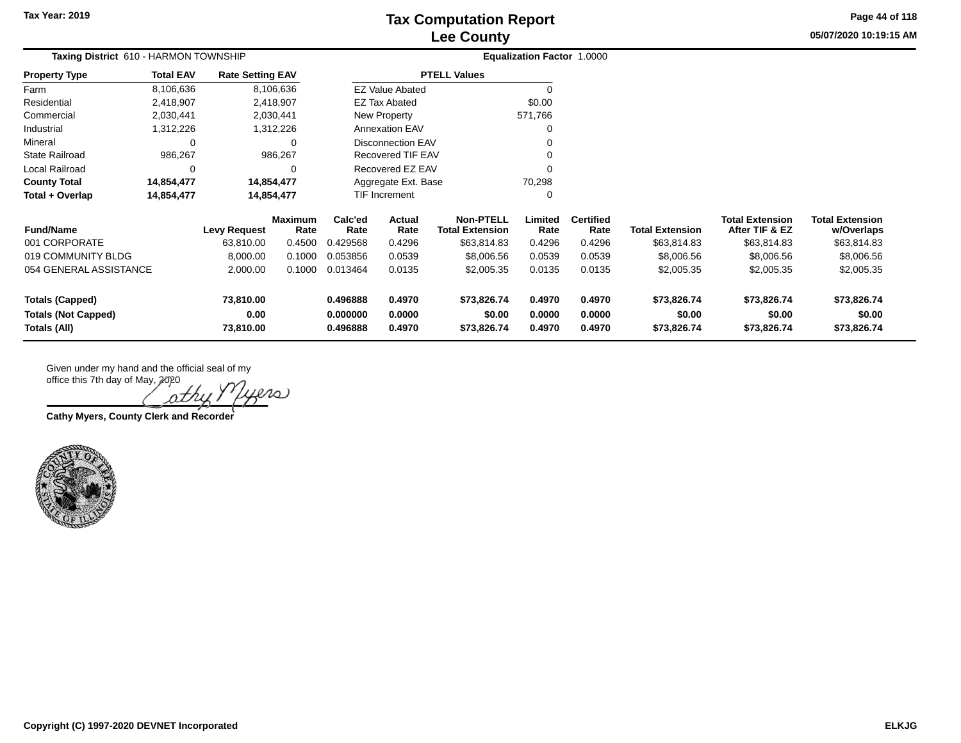**Tax Year: 2019**

# **Lee County Tax Computation Report**

**05/07/2020 10:19:15 AM Page 44 of 118**

| <b>Rate Setting EAV</b><br>8,106,636<br>2,418,907                                                                                     |                                                          |                               | <b>PTELL Values</b>                             |                                                              |                          |                        |                                          |                                      |
|---------------------------------------------------------------------------------------------------------------------------------------|----------------------------------------------------------|-------------------------------|-------------------------------------------------|--------------------------------------------------------------|--------------------------|------------------------|------------------------------------------|--------------------------------------|
|                                                                                                                                       |                                                          |                               |                                                 |                                                              |                          |                        |                                          |                                      |
|                                                                                                                                       | <b>EZ Value Abated</b><br>\$0.00<br><b>EZ Tax Abated</b> |                               |                                                 | $\Omega$                                                     |                          |                        |                                          |                                      |
|                                                                                                                                       |                                                          |                               |                                                 |                                                              |                          |                        |                                          |                                      |
| 2,030,441                                                                                                                             |                                                          |                               |                                                 |                                                              |                          |                        |                                          |                                      |
| 1,312,226                                                                                                                             |                                                          |                               |                                                 | $\Omega$                                                     |                          |                        |                                          |                                      |
| 0                                                                                                                                     |                                                          |                               |                                                 | 0                                                            |                          |                        |                                          |                                      |
| 986,267                                                                                                                               |                                                          |                               |                                                 | $\Omega$                                                     |                          |                        |                                          |                                      |
|                                                                                                                                       | Recovered EZ EAV                                         |                               |                                                 |                                                              |                          |                        |                                          |                                      |
| 14,854,477                                                                                                                            |                                                          | 70,298<br>Aggregate Ext. Base |                                                 |                                                              |                          |                        |                                          |                                      |
| 14,854,477                                                                                                                            | TIF Increment<br>0                                       |                               |                                                 |                                                              |                          |                        |                                          |                                      |
| <b>Maximum</b><br>Rate                                                                                                                | Calc'ed<br>Rate                                          | Actual<br>Rate                | <b>Non-PTELL</b><br><b>Total Extension</b>      | Limited<br>Rate                                              | <b>Certified</b><br>Rate | <b>Total Extension</b> | <b>Total Extension</b><br>After TIF & EZ | <b>Total Extension</b><br>w/Overlaps |
| 63,810.00<br>0.4500                                                                                                                   | 0.429568                                                 | 0.4296                        | \$63,814.83                                     | 0.4296                                                       | 0.4296                   | \$63,814.83            | \$63,814.83                              | \$63,814.83                          |
| 8,000.00<br>0.1000                                                                                                                    | 0.053856                                                 | 0.0539                        | \$8,006.56                                      | 0.0539                                                       | 0.0539                   | \$8,006.56             | \$8,006.56                               | \$8,006.56                           |
| 2,000.00<br>0.1000                                                                                                                    | 0.013464                                                 | 0.0135                        | \$2,005.35                                      | 0.0135                                                       | 0.0135                   | \$2,005.35             | \$2,005.35                               | \$2,005.35                           |
| <b>Totals (Capped)</b><br>73,810.00<br>0.496888<br>0.4970<br>0.00<br>0.000000<br>0.0000<br><b>Totals (Not Capped)</b><br>Totals (All) |                                                          | \$73,826.74<br>\$0.00         | 0.4970<br>0.0000                                | 0.4970<br>0.0000                                             | \$73,826.74<br>\$0.00    | \$73,826.74<br>\$0.00  | \$73,826.74<br>\$0.00<br>\$73,826.74     |                                      |
|                                                                                                                                       | <b>Levy Request</b><br>73,810.00                         | 0.496888                      | New Property<br><b>Annexation EAV</b><br>0.4970 | <b>Disconnection EAV</b><br>Recovered TIF EAV<br>\$73,826.74 | 571,766<br>0.4970        | 0.4970                 | \$73,826.74                              | \$73,826.74                          |

**Lers** 

**Cathy Myers, County Clerk and Recorder**

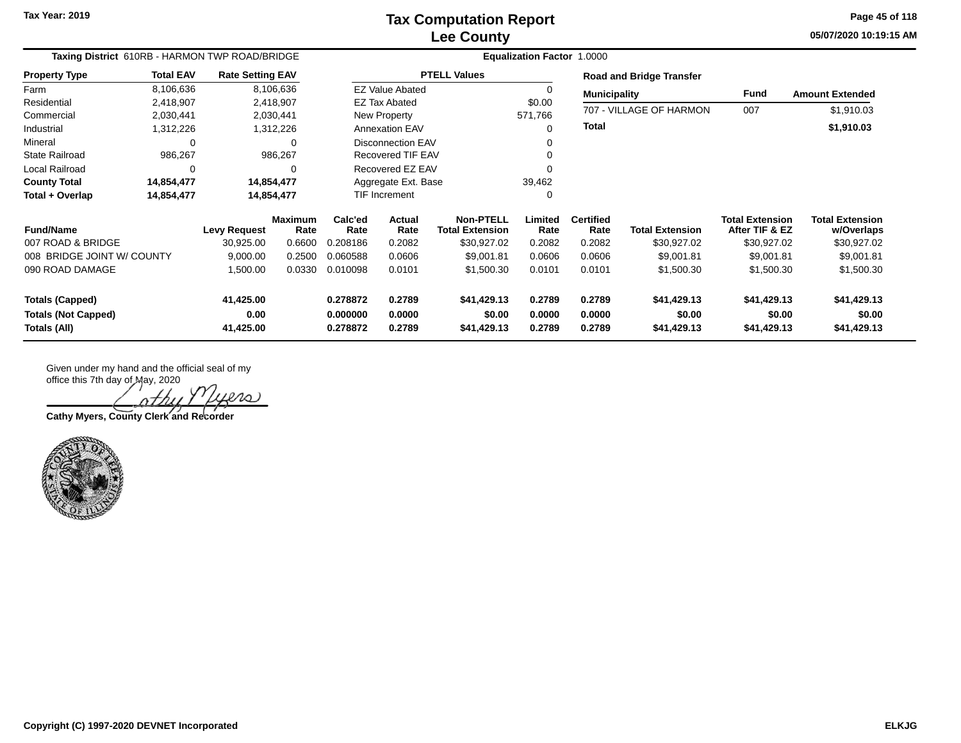**05/07/2020 10:19:15 AM Page 45 of 118**

| Taxing District 610RB - HARMON TWP ROAD/BRIDGE  |                  |                         |                        | <b>Equalization Factor 1.0000</b> |                          |                                            |                  |                          |                                 |                                          |                                      |  |
|-------------------------------------------------|------------------|-------------------------|------------------------|-----------------------------------|--------------------------|--------------------------------------------|------------------|--------------------------|---------------------------------|------------------------------------------|--------------------------------------|--|
| <b>Property Type</b>                            | <b>Total EAV</b> | <b>Rate Setting EAV</b> |                        |                                   |                          | <b>PTELL Values</b>                        |                  |                          | <b>Road and Bridge Transfer</b> |                                          |                                      |  |
| Farm                                            | 8,106,636        |                         | 8,106,636              |                                   | <b>EZ Value Abated</b>   |                                            | 0                | <b>Municipality</b>      |                                 | <b>Fund</b>                              | <b>Amount Extended</b>               |  |
| Residential                                     | 2,418,907        |                         | 2,418,907              |                                   | <b>EZ Tax Abated</b>     |                                            | \$0.00           |                          |                                 |                                          |                                      |  |
| Commercial                                      | 2,030,441        |                         | 2,030,441              |                                   | New Property             |                                            | 571,766          |                          | 707 - VILLAGE OF HARMON         | 007                                      | \$1,910.03                           |  |
| Industrial                                      | 1,312,226        |                         | 1,312,226              |                                   | <b>Annexation EAV</b>    |                                            | $\Omega$         | <b>Total</b>             |                                 |                                          | \$1,910.03                           |  |
| Mineral                                         | 0                |                         | 0                      |                                   | <b>Disconnection EAV</b> |                                            | $\Omega$         |                          |                                 |                                          |                                      |  |
| <b>State Railroad</b>                           | 986,267          |                         | 986,267                |                                   | Recovered TIF EAV        |                                            | $\Omega$         |                          |                                 |                                          |                                      |  |
| Local Railroad                                  | 0                |                         | $\Omega$               |                                   | Recovered EZ EAV         |                                            | $\Omega$         |                          |                                 |                                          |                                      |  |
| <b>County Total</b>                             | 14,854,477       |                         | 14,854,477             | Aggregate Ext. Base               |                          |                                            | 39,462           |                          |                                 |                                          |                                      |  |
| Total + Overlap                                 | 14,854,477       |                         | 14,854,477             |                                   | <b>TIF Increment</b>     |                                            | 0                |                          |                                 |                                          |                                      |  |
| <b>Fund/Name</b>                                |                  | <b>Levy Request</b>     | <b>Maximum</b><br>Rate | Calc'ed<br>Rate                   | Actual<br>Rate           | <b>Non-PTELL</b><br><b>Total Extension</b> | Limited<br>Rate  | <b>Certified</b><br>Rate | <b>Total Extension</b>          | <b>Total Extension</b><br>After TIF & EZ | <b>Total Extension</b><br>w/Overlaps |  |
| 007 ROAD & BRIDGE                               |                  | 30,925.00               | 0.6600                 | 0.208186                          | 0.2082                   | \$30,927.02                                | 0.2082           | 0.2082                   | \$30,927.02                     | \$30,927.02                              | \$30,927.02                          |  |
| 008 BRIDGE JOINT W/ COUNTY                      |                  | 9,000.00                | 0.2500                 | 0.060588                          | 0.0606                   | \$9,001.81                                 | 0.0606           | 0.0606                   | \$9,001.81                      | \$9,001.81                               | \$9,001.81                           |  |
| 090 ROAD DAMAGE                                 | 1,500.00         |                         | 0.0330                 | 0.010098                          | 0.0101                   | \$1,500.30                                 | 0.0101           | 0.0101                   | \$1,500.30                      | \$1,500.30                               | \$1,500.30                           |  |
| 41,425.00<br>0.278872<br><b>Totals (Capped)</b> |                  | 0.2789                  | \$41,429.13            | 0.2789                            | 0.2789                   | \$41,429.13                                | \$41,429.13      | \$41,429.13              |                                 |                                          |                                      |  |
| <b>Totals (Not Capped)</b><br>Totals (All)      |                  | 0.00<br>41,425.00       |                        | 0.000000<br>0.278872              | 0.0000<br>0.2789         | \$0.00<br>\$41,429.13                      | 0.0000<br>0.2789 | 0.0000<br>0.2789         | \$0.00<br>\$41,429.13           | \$0.00<br>\$41,429.13                    | \$0.00<br>\$41,429.13                |  |

 $\infty$ 

**Cathy Myers, County Clerk and Recorder**

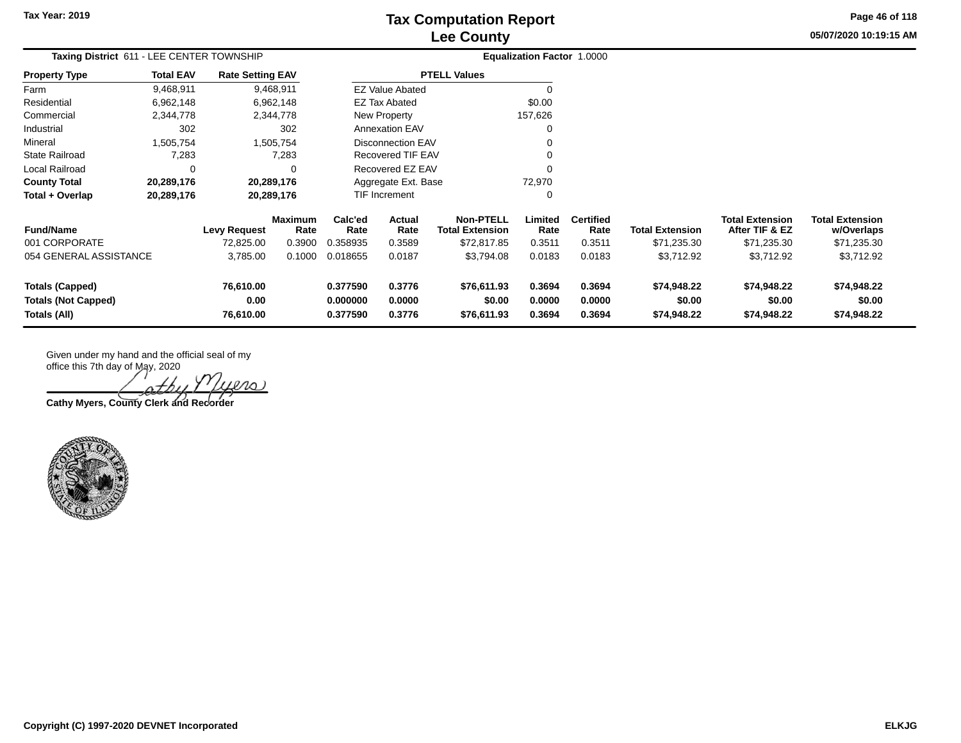**05/07/2020 10:19:15 AM Page 46 of 118**

| Taxing District 611 - LEE CENTER TOWNSHIP      |                  |                         |                 |                     |                          |                                            | <b>Equalization Factor 1.0000</b> |                          |                        |                                          |                                      |
|------------------------------------------------|------------------|-------------------------|-----------------|---------------------|--------------------------|--------------------------------------------|-----------------------------------|--------------------------|------------------------|------------------------------------------|--------------------------------------|
| <b>Property Type</b>                           | <b>Total EAV</b> | <b>Rate Setting EAV</b> |                 |                     |                          | <b>PTELL Values</b>                        |                                   |                          |                        |                                          |                                      |
| Farm                                           | 9,468,911        |                         | 9,468,911       |                     | <b>EZ Value Abated</b>   |                                            |                                   |                          |                        |                                          |                                      |
| Residential                                    | 6,962,148        |                         | 6,962,148       |                     | EZ Tax Abated            |                                            | \$0.00                            |                          |                        |                                          |                                      |
| Commercial                                     | 2,344,778        |                         | 2,344,778       |                     | New Property             |                                            | 157,626                           |                          |                        |                                          |                                      |
| Industrial                                     | 302              |                         | 302             |                     | <b>Annexation EAV</b>    |                                            |                                   |                          |                        |                                          |                                      |
| Mineral                                        | .505,754         |                         | 1,505,754       |                     | <b>Disconnection EAV</b> |                                            |                                   |                          |                        |                                          |                                      |
| <b>State Railroad</b>                          | 7,283            |                         | 7,283           |                     | Recovered TIF EAV        |                                            |                                   |                          |                        |                                          |                                      |
| Local Railroad                                 | 0                |                         | 0               |                     | Recovered EZ EAV         |                                            |                                   |                          |                        |                                          |                                      |
| <b>County Total</b>                            | 20,289,176       |                         | 20,289,176      | Aggregate Ext. Base |                          |                                            | 72,970                            |                          |                        |                                          |                                      |
| Total + Overlap                                | 20,289,176       |                         | 20,289,176      |                     | TIF Increment            |                                            | 0                                 |                          |                        |                                          |                                      |
| <b>Fund/Name</b>                               |                  | Levy Request            | Maximum<br>Rate | Calc'ed<br>Rate     | Actual<br>Rate           | <b>Non-PTELL</b><br><b>Total Extension</b> | Limited<br>Rate                   | <b>Certified</b><br>Rate | <b>Total Extension</b> | <b>Total Extension</b><br>After TIF & EZ | <b>Total Extension</b><br>w/Overlaps |
| 001 CORPORATE                                  |                  | 72,825.00               | 0.3900          | 0.358935            | 0.3589                   | \$72,817.85                                | 0.3511                            | 0.3511                   | \$71,235.30            | \$71,235.30                              | \$71,235.30                          |
| 054 GENERAL ASSISTANCE                         |                  | 3,785.00                | 0.1000          | 0.018655            | 0.0187                   | \$3,794.08                                 | 0.0183                            | 0.0183                   | \$3,712.92             | \$3,712.92                               | \$3,712.92                           |
| <b>Totals (Capped)</b>                         |                  | 76,610.00               |                 | 0.377590            | 0.3776                   | \$76,611.93                                | 0.3694                            | 0.3694                   | \$74,948.22            | \$74,948.22                              | \$74,948.22                          |
| <b>Totals (Not Capped)</b><br>0.00<br>0.000000 |                  |                         |                 | 0.0000              | \$0.00                   | 0.0000                                     | 0.0000                            | \$0.00                   | \$0.00                 | \$0.00                                   |                                      |
| Totals (All)                                   |                  | 76,610.00               |                 | 0.377590            | 0.3776                   | \$76,611.93                                | 0.3694                            | 0.3694                   | \$74,948.22            | \$74,948.22                              | \$74,948.22                          |

 $\infty$ 

**Cathy Myers, County Clerk and Recorder**

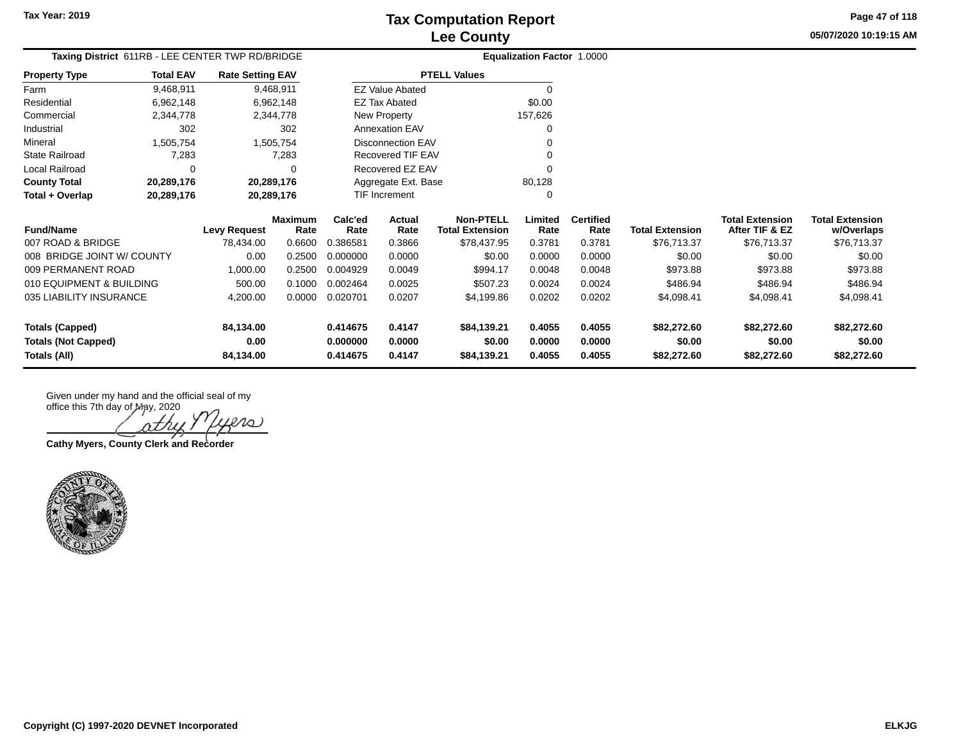**05/07/2020 10:19:15 AMPage 47 of 118**

| Taxing District 611RB - LEE CENTER TWP RD/BRIDGE          |                  |                         |                 |                 |                          |                                            | <b>Equalization Factor 1.0000</b> |                          |                        |                                          |                                      |
|-----------------------------------------------------------|------------------|-------------------------|-----------------|-----------------|--------------------------|--------------------------------------------|-----------------------------------|--------------------------|------------------------|------------------------------------------|--------------------------------------|
| <b>Property Type</b>                                      | <b>Total EAV</b> | <b>Rate Setting EAV</b> |                 |                 |                          | <b>PTELL Values</b>                        |                                   |                          |                        |                                          |                                      |
| Farm                                                      | 9,468,911        |                         | 9,468,911       |                 | <b>EZ Value Abated</b>   |                                            | $\Omega$                          |                          |                        |                                          |                                      |
| Residential                                               | 6,962,148        |                         | 6,962,148       |                 | EZ Tax Abated            |                                            | \$0.00                            |                          |                        |                                          |                                      |
| Commercial                                                | 2,344,778        |                         | 2,344,778       |                 | New Property             |                                            | 157,626                           |                          |                        |                                          |                                      |
| Industrial                                                | 302              |                         | 302             |                 | <b>Annexation EAV</b>    |                                            |                                   |                          |                        |                                          |                                      |
| Mineral                                                   | 1,505,754        |                         | 1,505,754       |                 | <b>Disconnection EAV</b> |                                            |                                   |                          |                        |                                          |                                      |
| <b>State Railroad</b>                                     | 7,283            |                         | 7,283           |                 | Recovered TIF EAV        |                                            |                                   |                          |                        |                                          |                                      |
| Local Railroad                                            | 0                |                         | ∩               |                 | Recovered EZ EAV         |                                            |                                   |                          |                        |                                          |                                      |
| <b>County Total</b>                                       | 20,289,176       | 20,289,176              |                 |                 | Aggregate Ext. Base      |                                            | 80,128                            |                          |                        |                                          |                                      |
| Total + Overlap<br>20,289,176                             |                  | 20,289,176              |                 |                 | <b>TIF Increment</b>     |                                            | ∩                                 |                          |                        |                                          |                                      |
| <b>Fund/Name</b>                                          |                  | Levy Request            | Maximum<br>Rate | Calc'ed<br>Rate | Actual<br>Rate           | <b>Non-PTELL</b><br><b>Total Extension</b> | Limited<br>Rate                   | <b>Certified</b><br>Rate | <b>Total Extension</b> | <b>Total Extension</b><br>After TIF & EZ | <b>Total Extension</b><br>w/Overlaps |
| 007 ROAD & BRIDGE                                         |                  | 78,434.00               | 0.6600          | 0.386581        | 0.3866                   | \$78,437.95                                | 0.3781                            | 0.3781                   | \$76,713.37            | \$76,713.37                              | \$76,713.37                          |
| 008 BRIDGE JOINT W/ COUNTY                                |                  | 0.00                    | 0.2500          | 0.000000        | 0.0000                   | \$0.00                                     | 0.0000                            | 0.0000                   | \$0.00                 | \$0.00                                   | \$0.00                               |
| 009 PERMANENT ROAD                                        |                  | 1,000.00                | 0.2500          | 0.004929        | 0.0049                   | \$994.17                                   | 0.0048                            | 0.0048                   | \$973.88               | \$973.88                                 | \$973.88                             |
| 010 EQUIPMENT & BUILDING                                  |                  | 500.00                  | 0.1000          | 0.002464        | 0.0025                   | \$507.23                                   | 0.0024                            | 0.0024                   | \$486.94               | \$486.94                                 | \$486.94                             |
| 035 LIABILITY INSURANCE<br>0.0000<br>4,200.00<br>0.020701 |                  | 0.0207                  | \$4,199.86      | 0.0202          | 0.0202                   | \$4,098.41                                 | \$4,098.41                        | \$4,098.41               |                        |                                          |                                      |
| <b>Totals (Capped)</b>                                    |                  | 84,134.00               |                 | 0.414675        | 0.4147                   | \$84,139.21                                | 0.4055                            | 0.4055                   | \$82,272.60            | \$82,272.60                              | \$82,272.60                          |
| <b>Totals (Not Capped)</b>                                |                  | 0.00                    |                 | 0.000000        | 0.0000                   | \$0.00                                     | 0.0000                            | 0.0000                   | \$0.00                 | \$0.00                                   | \$0.00                               |
| Totals (All)                                              |                  | 84,134.00               |                 | 0.414675        | 0.4147                   | \$84,139.21                                | 0.4055                            | 0.4055                   | \$82,272.60            | \$82,272.60                              | \$82,272.60                          |

20 nth

**Cathy Myers, County Clerk and Recorder**

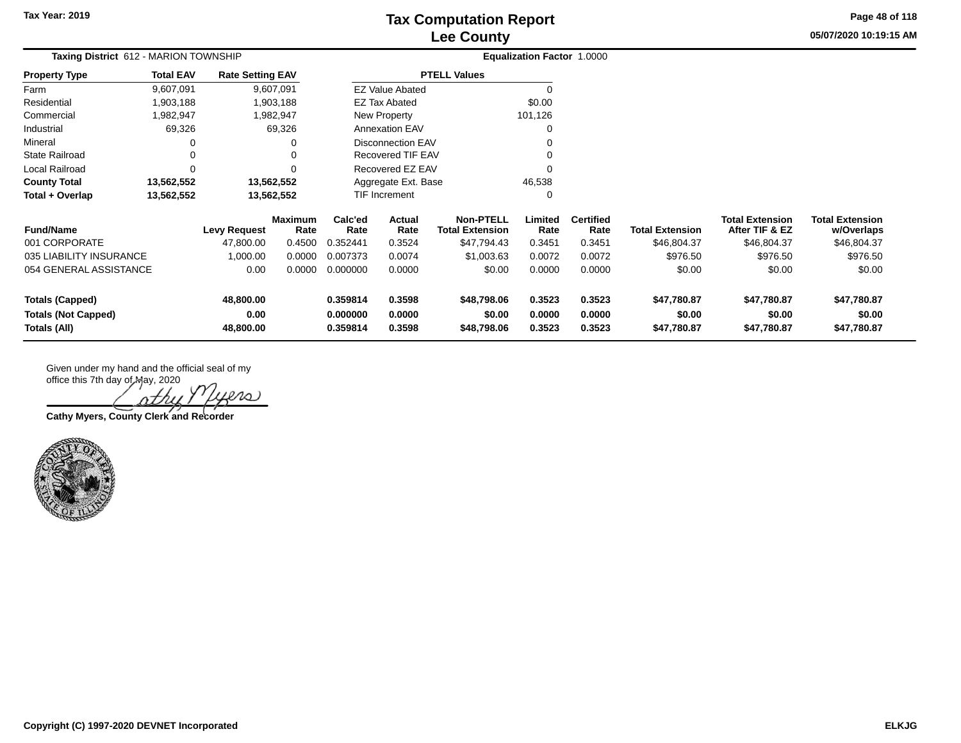**05/07/2020 10:19:15 AM Page 48 of 118**

|                            | Taxing District 612 - MARION TOWNSHIP |                         |                        |                 |                          |                                            | <b>Equalization Factor 1.0000</b> |                          |                        |                                          |                                      |
|----------------------------|---------------------------------------|-------------------------|------------------------|-----------------|--------------------------|--------------------------------------------|-----------------------------------|--------------------------|------------------------|------------------------------------------|--------------------------------------|
| <b>Property Type</b>       | <b>Total EAV</b>                      | <b>Rate Setting EAV</b> |                        |                 |                          | <b>PTELL Values</b>                        |                                   |                          |                        |                                          |                                      |
| Farm                       | 9,607,091                             |                         | 9,607,091              |                 | <b>EZ Value Abated</b>   |                                            | 0                                 |                          |                        |                                          |                                      |
| Residential                | 1,903,188                             |                         | 1,903,188              |                 | <b>EZ Tax Abated</b>     |                                            | \$0.00                            |                          |                        |                                          |                                      |
| Commercial                 | 1,982,947                             |                         | 1,982,947              |                 | New Property             |                                            | 101,126                           |                          |                        |                                          |                                      |
| Industrial                 | 69,326                                |                         | 69,326                 |                 | <b>Annexation EAV</b>    |                                            | 0                                 |                          |                        |                                          |                                      |
| Mineral                    | 0                                     |                         | 0                      |                 | <b>Disconnection EAV</b> |                                            | 0                                 |                          |                        |                                          |                                      |
| <b>State Railroad</b>      | 0                                     |                         | 0                      |                 | Recovered TIF EAV        |                                            | 0                                 |                          |                        |                                          |                                      |
| Local Railroad             | $\Omega$                              |                         | 0                      |                 | Recovered EZ EAV         |                                            | 0                                 |                          |                        |                                          |                                      |
| <b>County Total</b>        | 13,562,552                            |                         | 13,562,552             |                 | Aggregate Ext. Base      |                                            | 46,538                            |                          |                        |                                          |                                      |
| Total + Overlap            | 13,562,552                            |                         | 13,562,552             |                 | TIF Increment            |                                            | 0                                 |                          |                        |                                          |                                      |
| <b>Fund/Name</b>           |                                       | <b>Levy Request</b>     | <b>Maximum</b><br>Rate | Calc'ed<br>Rate | Actual<br>Rate           | <b>Non-PTELL</b><br><b>Total Extension</b> | Limited<br>Rate                   | <b>Certified</b><br>Rate | <b>Total Extension</b> | <b>Total Extension</b><br>After TIF & EZ | <b>Total Extension</b><br>w/Overlaps |
| 001 CORPORATE              |                                       | 47,800.00               | 0.4500                 | 0.352441        | 0.3524                   | \$47,794.43                                | 0.3451                            | 0.3451                   | \$46,804.37            | \$46,804.37                              | \$46,804.37                          |
| 035 LIABILITY INSURANCE    |                                       | 1,000.00                | 0.0000                 | 0.007373        | 0.0074                   | \$1,003.63                                 | 0.0072                            | 0.0072                   | \$976.50               | \$976.50                                 | \$976.50                             |
|                            | 054 GENERAL ASSISTANCE<br>0.00        |                         | 0.0000                 | 0.000000        | 0.0000                   | \$0.00                                     | 0.0000                            | 0.0000                   | \$0.00                 | \$0.00                                   | \$0.00                               |
| <b>Totals (Capped)</b>     |                                       | 48,800.00               |                        | 0.359814        | 0.3598                   | \$48,798.06                                | 0.3523                            | 0.3523                   | \$47,780.87            | \$47,780.87                              | \$47,780.87                          |
| <b>Totals (Not Capped)</b> | 0.00                                  |                         |                        | 0.000000        | 0.0000                   | \$0.00                                     | 0.0000                            | 0.0000                   | \$0.00                 | \$0.00                                   | \$0.00                               |
| 48,800.00<br>Totals (All)  |                                       | 0.359814                | 0.3598                 | \$48,798.06     | 0.3523                   | 0.3523                                     | \$47,780.87                       | \$47,780.87              | \$47,780.87            |                                          |                                      |

 $l$ 10)

**Cathy Myers, County Clerk and Recorder**

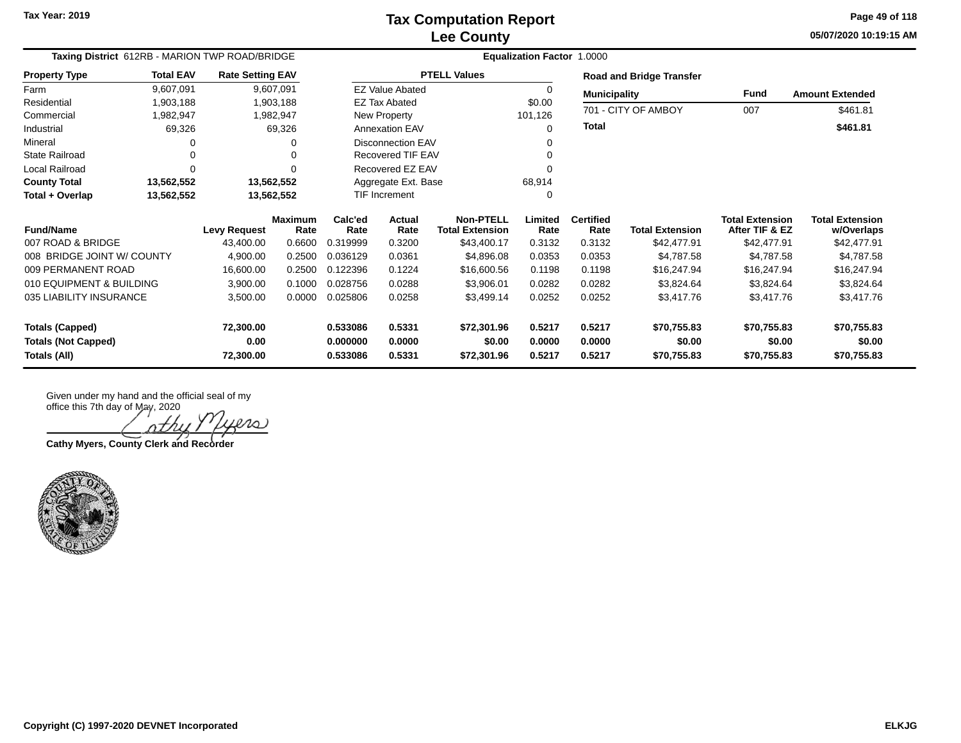**05/07/2020 10:19:15 AM Page 49 of 118**

| Taxing District 612RB - MARION TWP ROAD/BRIDGE |                  |                         |                        |                 | <b>Equalization Factor 1.0000</b> |                                            |                 |                          |                                 |                                          |                                      |  |  |
|------------------------------------------------|------------------|-------------------------|------------------------|-----------------|-----------------------------------|--------------------------------------------|-----------------|--------------------------|---------------------------------|------------------------------------------|--------------------------------------|--|--|
| <b>Property Type</b>                           | <b>Total EAV</b> | <b>Rate Setting EAV</b> |                        |                 |                                   | <b>PTELL Values</b>                        |                 |                          | <b>Road and Bridge Transfer</b> |                                          |                                      |  |  |
| Farm                                           | 9,607,091        |                         | 9,607,091              |                 | <b>EZ Value Abated</b>            |                                            | 0               | <b>Municipality</b>      |                                 | Fund                                     | <b>Amount Extended</b>               |  |  |
| Residential                                    | 1,903,188        |                         | 1,903,188              |                 | <b>EZ Tax Abated</b>              |                                            | \$0.00          |                          | 701 - CITY OF AMBOY             | 007                                      |                                      |  |  |
| Commercial                                     | 1,982,947        |                         | 1,982,947              |                 | New Property                      |                                            | 101,126         |                          |                                 |                                          | \$461.81                             |  |  |
| Industrial                                     | 69,326           |                         | 69,326                 |                 | <b>Annexation EAV</b>             |                                            | 0               | <b>Total</b>             |                                 |                                          | \$461.81                             |  |  |
| Mineral                                        |                  |                         |                        |                 | <b>Disconnection EAV</b>          |                                            |                 |                          |                                 |                                          |                                      |  |  |
| <b>State Railroad</b>                          |                  |                         |                        |                 | Recovered TIF EAV                 |                                            |                 |                          |                                 |                                          |                                      |  |  |
| Local Railroad                                 | $\Omega$         |                         |                        |                 | Recovered EZ EAV                  |                                            | 0               |                          |                                 |                                          |                                      |  |  |
| <b>County Total</b>                            | 13,562,552       |                         | 13,562,552             |                 | Aggregate Ext. Base               |                                            | 68,914          |                          |                                 |                                          |                                      |  |  |
| Total + Overlap                                | 13,562,552       |                         | 13,562,552             |                 | TIF Increment                     |                                            |                 |                          |                                 |                                          |                                      |  |  |
| <b>Fund/Name</b>                               |                  | <b>Levy Request</b>     | <b>Maximum</b><br>Rate | Calc'ed<br>Rate | Actual<br>Rate                    | <b>Non-PTELL</b><br><b>Total Extension</b> | Limited<br>Rate | <b>Certified</b><br>Rate | <b>Total Extension</b>          | <b>Total Extension</b><br>After TIF & EZ | <b>Total Extension</b><br>w/Overlaps |  |  |
| 007 ROAD & BRIDGE                              |                  | 43,400.00               | 0.6600                 | 0.319999        | 0.3200                            | \$43,400.17                                | 0.3132          | 0.3132                   | \$42,477.91                     | \$42,477.91                              | \$42,477.91                          |  |  |
| 008 BRIDGE JOINT W/ COUNTY                     |                  | 4,900.00                | 0.2500                 | 0.036129        | 0.0361                            | \$4,896.08                                 | 0.0353          | 0.0353                   | \$4,787.58                      | \$4,787.58                               | \$4,787.58                           |  |  |
| 009 PERMANENT ROAD                             |                  | 16,600.00               | 0.2500                 | 0.122396        | 0.1224                            | \$16,600.56                                | 0.1198          | 0.1198                   | \$16,247.94                     | \$16,247.94                              | \$16,247.94                          |  |  |
| 010 EQUIPMENT & BUILDING                       |                  | 3,900.00                | 0.1000                 | 0.028756        | 0.0288                            | \$3,906.01                                 | 0.0282          | 0.0282                   | \$3,824.64                      | \$3,824.64                               | \$3,824.64                           |  |  |
| 035 LIABILITY INSURANCE                        |                  | 3,500.00                | 0.0000                 | 0.025806        | 0.0258                            | \$3,499.14                                 | 0.0252          | 0.0252                   | \$3,417.76                      | \$3,417.76                               | \$3,417.76                           |  |  |
| <b>Totals (Capped)</b>                         |                  | 72,300.00               |                        | 0.533086        | 0.5331                            | \$72,301.96                                | 0.5217          | 0.5217                   | \$70,755.83                     | \$70,755.83                              | \$70,755.83                          |  |  |
| <b>Totals (Not Capped)</b>                     |                  | 0.00                    |                        | 0.000000        | 0.0000                            | \$0.00                                     | 0.0000          | 0.0000                   | \$0.00                          | \$0.00                                   | \$0.00                               |  |  |
| Totals (All)                                   |                  | 72,300.00               |                        | 0.533086        | 0.5331                            | \$72,301.96                                | 0.5217          | 0.5217                   | \$70,755.83                     | \$70,755.83                              | \$70,755.83                          |  |  |

nth  $2\Omega$ 

**Cathy Myers, County Clerk and Recorder**

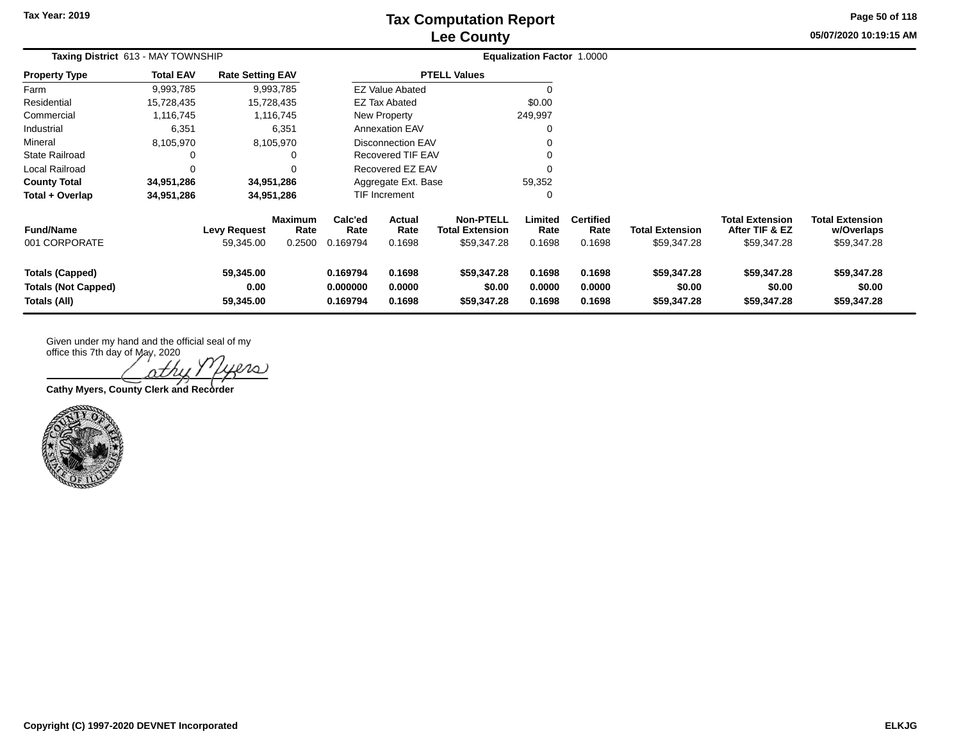**05/07/2020 10:19:15 AM Page 50 of 118**

| Taxing District 613 - MAY TOWNSHIP                                   |                  |                                  |                                  | <b>Equalization Factor 1.0000</b> |                                 |                                                           |                            |                                    |                                      |                                                         |                                                     |
|----------------------------------------------------------------------|------------------|----------------------------------|----------------------------------|-----------------------------------|---------------------------------|-----------------------------------------------------------|----------------------------|------------------------------------|--------------------------------------|---------------------------------------------------------|-----------------------------------------------------|
| <b>Property Type</b>                                                 | <b>Total EAV</b> | <b>Rate Setting EAV</b>          |                                  |                                   |                                 | <b>PTELL Values</b>                                       |                            |                                    |                                      |                                                         |                                                     |
| Farm                                                                 | 9,993,785        |                                  | 9,993,785                        |                                   | <b>EZ Value Abated</b>          |                                                           |                            |                                    |                                      |                                                         |                                                     |
| Residential                                                          | 15,728,435       |                                  | 15,728,435                       |                                   | EZ Tax Abated                   |                                                           | \$0.00                     |                                    |                                      |                                                         |                                                     |
| Commercial                                                           | 1,116,745        |                                  | 1,116,745                        |                                   | New Property                    |                                                           | 249,997                    |                                    |                                      |                                                         |                                                     |
| Industrial                                                           | 6,351            |                                  | 6,351                            |                                   | <b>Annexation EAV</b>           |                                                           | $\Omega$                   |                                    |                                      |                                                         |                                                     |
| Mineral                                                              | 8,105,970        |                                  | 8,105,970                        |                                   | Disconnection EAV               |                                                           | $\Omega$                   |                                    |                                      |                                                         |                                                     |
| <b>State Railroad</b>                                                |                  |                                  | 0                                |                                   | <b>Recovered TIF EAV</b>        |                                                           | $\Omega$                   |                                    |                                      |                                                         |                                                     |
| Local Railroad                                                       | $\Omega$         |                                  |                                  |                                   | Recovered EZ EAV                |                                                           | $\Omega$                   |                                    |                                      |                                                         |                                                     |
| <b>County Total</b>                                                  | 34,951,286       |                                  | 34,951,286                       |                                   | Aggregate Ext. Base             |                                                           | 59,352                     |                                    |                                      |                                                         |                                                     |
| Total + Overlap                                                      | 34,951,286       |                                  | 34,951,286                       |                                   | TIF Increment                   |                                                           | 0                          |                                    |                                      |                                                         |                                                     |
| <b>Fund/Name</b><br>001 CORPORATE                                    |                  | <b>Levy Request</b><br>59,345.00 | <b>Maximum</b><br>Rate<br>0.2500 | Calc'ed<br>Rate<br>0.169794       | <b>Actual</b><br>Rate<br>0.1698 | <b>Non-PTELL</b><br><b>Total Extension</b><br>\$59,347.28 | Limited<br>Rate<br>0.1698  | <b>Certified</b><br>Rate<br>0.1698 | Total Extension<br>\$59,347.28       | <b>Total Extension</b><br>After TIF & EZ<br>\$59,347.28 | <b>Total Extension</b><br>w/Overlaps<br>\$59,347.28 |
| <b>Totals (Capped)</b><br><b>Totals (Not Capped)</b><br>Totals (All) |                  | 59,345.00<br>0.00<br>59,345.00   |                                  | 0.169794<br>0.000000<br>0.169794  | 0.1698<br>0.0000<br>0.1698      | \$59,347.28<br>\$0.00<br>\$59,347.28                      | 0.1698<br>0.0000<br>0.1698 | 0.1698<br>0.0000<br>0.1698         | \$59,347.28<br>\$0.00<br>\$59,347.28 | \$59,347.28<br>\$0.00<br>\$59,347.28                    | \$59,347.28<br>\$0.00<br>\$59,347.28                |

Given under my hand and the official seal of my

office this 7th day of May, 2020 20 ) othi

**Cathy Myers, County Clerk and Recorder**

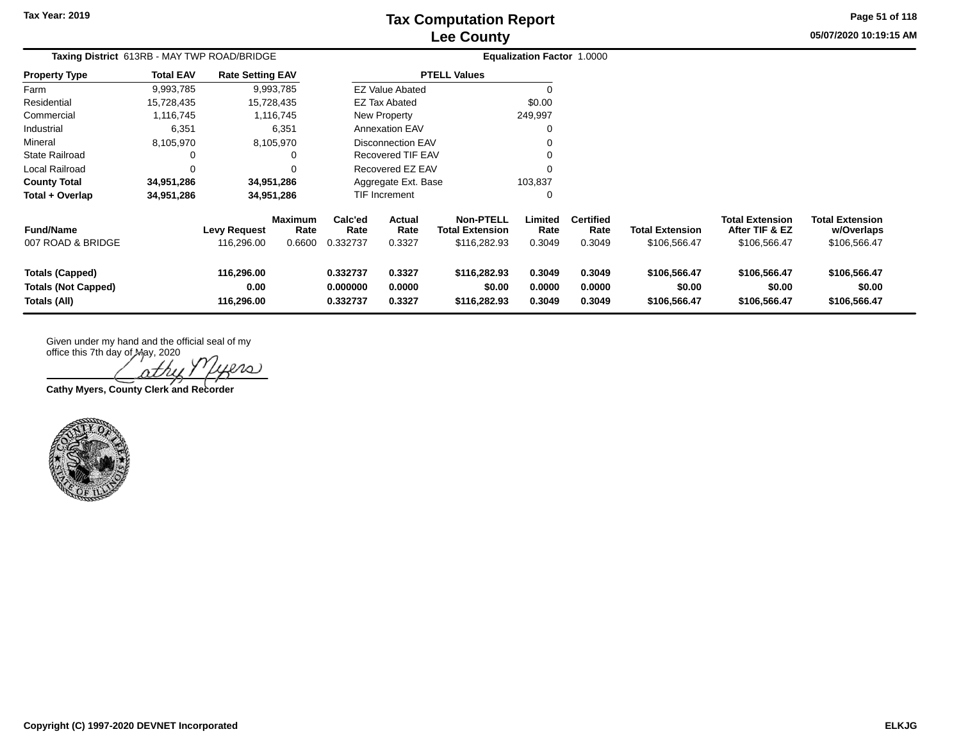**Tax Year: 2019**

# **Lee County Tax Computation Report**

**05/07/2020 10:19:15 AM Page 51 of 118**

| Taxing District 613RB - MAY TWP ROAD/BRIDGE                          |                  |                                   |                                  |                                  |                                                    |                                        | <b>Equalization Factor 1.0000</b> |                                    |                                        |                                                          |                                                      |  |
|----------------------------------------------------------------------|------------------|-----------------------------------|----------------------------------|----------------------------------|----------------------------------------------------|----------------------------------------|-----------------------------------|------------------------------------|----------------------------------------|----------------------------------------------------------|------------------------------------------------------|--|
| <b>Property Type</b>                                                 | <b>Total EAV</b> | <b>Rate Setting EAV</b>           |                                  |                                  |                                                    | <b>PTELL Values</b>                    |                                   |                                    |                                        |                                                          |                                                      |  |
| Farm                                                                 | 9,993,785        |                                   | 9,993,785                        |                                  | <b>EZ Value Abated</b>                             |                                        |                                   |                                    |                                        |                                                          |                                                      |  |
| Residential                                                          | 15,728,435       |                                   | 15,728,435                       |                                  | EZ Tax Abated                                      |                                        | \$0.00                            |                                    |                                        |                                                          |                                                      |  |
| Commercial                                                           | 1,116,745        |                                   | 1,116,745                        |                                  | <b>New Property</b>                                |                                        | 249,997                           |                                    |                                        |                                                          |                                                      |  |
| Industrial                                                           | 6,351            |                                   | 6,351                            |                                  | <b>Annexation EAV</b>                              |                                        |                                   |                                    |                                        |                                                          |                                                      |  |
| Mineral                                                              | 8,105,970        |                                   | 8,105,970                        |                                  | Disconnection EAV                                  |                                        |                                   |                                    |                                        |                                                          |                                                      |  |
| <b>State Railroad</b>                                                | 0                |                                   |                                  |                                  | <b>Recovered TIF EAV</b>                           |                                        | 0                                 |                                    |                                        |                                                          |                                                      |  |
| Local Railroad                                                       | $\Omega$         |                                   |                                  |                                  | Recovered EZ EAV                                   |                                        | $\Omega$                          |                                    |                                        |                                                          |                                                      |  |
| <b>County Total</b>                                                  | 34,951,286       |                                   | 34,951,286                       |                                  | Aggregate Ext. Base                                |                                        | 103,837                           |                                    |                                        |                                                          |                                                      |  |
| Total + Overlap                                                      | 34,951,286       |                                   | 34,951,286                       |                                  | TIF Increment                                      |                                        | 0                                 |                                    |                                        |                                                          |                                                      |  |
| <b>Fund/Name</b><br>007 ROAD & BRIDGE                                |                  | <b>Levy Request</b><br>116,296.00 | <b>Maximum</b><br>Rate<br>0.6600 | Calc'ed<br>Rate<br>0.332737      | Actual<br><b>Total Extension</b><br>Rate<br>0.3327 |                                        | Limited<br>Rate<br>0.3049         | <b>Certified</b><br>Rate<br>0.3049 | <b>Total Extension</b><br>\$106,566.47 | <b>Total Extension</b><br>After TIF & EZ<br>\$106,566.47 | <b>Total Extension</b><br>w/Overlaps<br>\$106,566.47 |  |
| <b>Totals (Capped)</b><br><b>Totals (Not Capped)</b><br>Totals (All) |                  | 116,296.00<br>0.00<br>116,296.00  |                                  | 0.332737<br>0.000000<br>0.332737 | 0.3327<br>0.0000<br>0.3327                         | \$116,282.93<br>\$0.00<br>\$116,282.93 | 0.3049<br>0.0000<br>0.3049        | 0.3049<br>0.0000<br>0.3049         | \$106,566.47<br>\$0.00<br>\$106,566.47 | \$106,566.47<br>\$0.00<br>\$106,566.47                   | \$106,566.47<br>\$0.00<br>\$106,566.47               |  |

Given under my hand and the official seal of my

office this 7th day of May, 2020 ers othu

**Cathy Myers, County Clerk and Recorder**

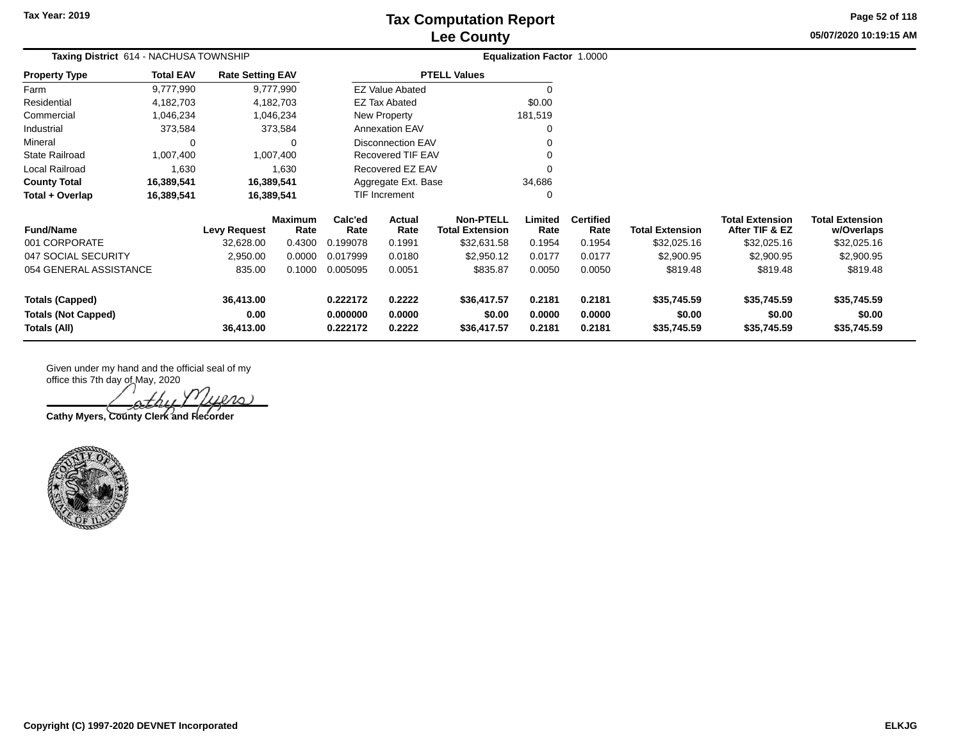**05/07/2020 10:19:15 AM Page 52 of 118**

| Taxing District 614 - NACHUSA TOWNSHIP                          |                  |                         |                        | <b>Equalization Factor 1.0000</b> |                          |                                            |                       |                          |                        |                                          |                                      |
|-----------------------------------------------------------------|------------------|-------------------------|------------------------|-----------------------------------|--------------------------|--------------------------------------------|-----------------------|--------------------------|------------------------|------------------------------------------|--------------------------------------|
| <b>Property Type</b>                                            | <b>Total EAV</b> | <b>Rate Setting EAV</b> |                        |                                   |                          | <b>PTELL Values</b>                        |                       |                          |                        |                                          |                                      |
| Farm                                                            | 9,777,990        |                         | 9,777,990              |                                   | <b>EZ Value Abated</b>   |                                            | 0                     |                          |                        |                                          |                                      |
| Residential                                                     | 4,182,703        |                         | 4,182,703              |                                   | <b>EZ Tax Abated</b>     |                                            | \$0.00                |                          |                        |                                          |                                      |
| Commercial                                                      | 1,046,234        |                         | 1,046,234              |                                   | New Property             |                                            | 181,519               |                          |                        |                                          |                                      |
| Industrial                                                      | 373,584          |                         | 373,584                |                                   | <b>Annexation EAV</b>    |                                            | 0                     |                          |                        |                                          |                                      |
| Mineral                                                         | 0                |                         | 0                      |                                   | <b>Disconnection EAV</b> |                                            | 0                     |                          |                        |                                          |                                      |
| <b>State Railroad</b>                                           | 1,007,400        |                         | 1,007,400              |                                   | Recovered TIF EAV        |                                            | $\Omega$              |                          |                        |                                          |                                      |
| Local Railroad                                                  | 1,630            |                         | 1,630                  |                                   | Recovered EZ EAV         |                                            | $\Omega$              |                          |                        |                                          |                                      |
| <b>County Total</b>                                             | 16,389,541       |                         | 16,389,541             |                                   | Aggregate Ext. Base      |                                            | 34,686                |                          |                        |                                          |                                      |
| Total + Overlap<br>16,389,541<br>16,389,541                     |                  |                         |                        | TIF Increment                     |                          | 0                                          |                       |                          |                        |                                          |                                      |
| <b>Fund/Name</b>                                                |                  | <b>Levy Request</b>     | <b>Maximum</b><br>Rate | Calc'ed<br>Rate                   | Actual<br>Rate           | <b>Non-PTELL</b><br><b>Total Extension</b> | Limited<br>Rate       | <b>Certified</b><br>Rate | <b>Total Extension</b> | <b>Total Extension</b><br>After TIF & EZ | <b>Total Extension</b><br>w/Overlaps |
| 001 CORPORATE                                                   |                  | 32,628.00               | 0.4300                 | 0.199078                          | 0.1991                   | \$32,631.58                                | 0.1954                | 0.1954                   | \$32,025.16            | \$32,025.16                              | \$32,025.16                          |
| 047 SOCIAL SECURITY                                             |                  | 2,950.00                | 0.0000                 | 0.017999                          | 0.0180                   | \$2,950.12                                 | 0.0177                | 0.0177                   | \$2,900.95             | \$2,900.95                               | \$2,900.95                           |
| 054 GENERAL ASSISTANCE                                          |                  | 835.00                  | 0.1000                 | 0.005095                          | 0.0051                   | \$835.87                                   | 0.0050                | 0.0050                   | \$819.48               | \$819.48                                 | \$819.48                             |
| <b>Totals (Capped)</b>                                          |                  | 36,413.00               |                        | 0.222172                          | 0.2222                   | \$36,417.57                                | 0.2181                | 0.2181                   | \$35,745.59            | \$35,745.59                              | \$35,745.59                          |
| 0.00<br><b>Totals (Not Capped)</b><br>Totals (All)<br>36,413.00 |                  | 0.000000<br>0.222172    | 0.0000<br>0.2222       | \$0.00<br>\$36,417.57             | 0.0000<br>0.2181         | 0.0000<br>0.2181                           | \$0.00<br>\$35,745.59 | \$0.00<br>\$35,745.59    | \$0.00<br>\$35,745.59  |                                          |                                      |

**Cathy Myers, County Clerk and Recorder**

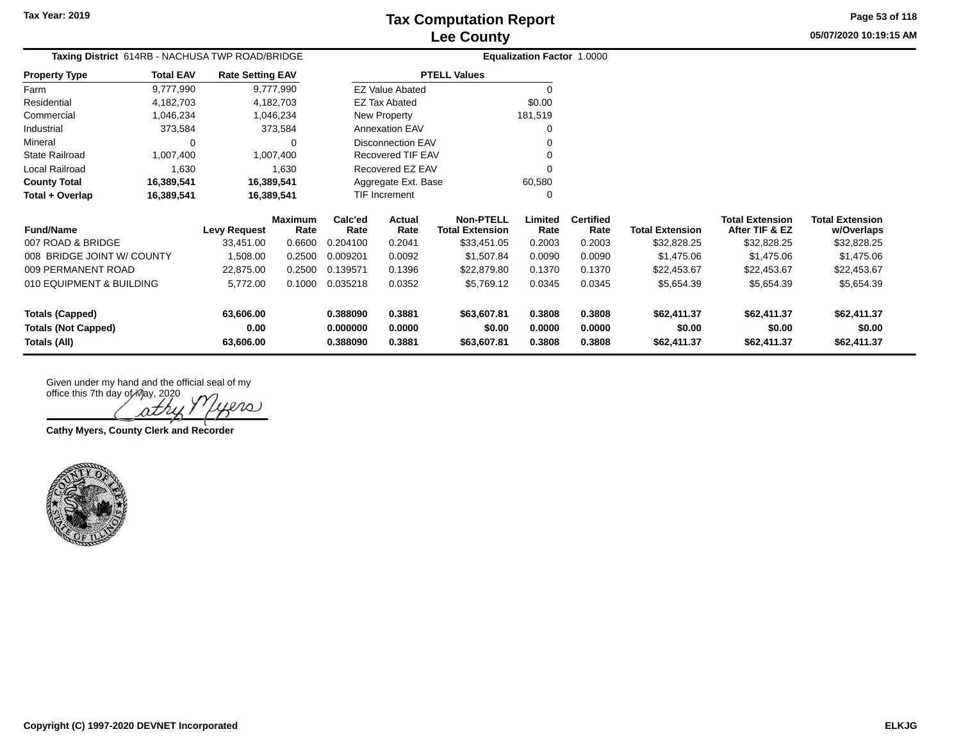**05/07/2020 10:19:15 AMPage 53 of 118**

| Taxing District 614RB - NACHUSA TWP ROAD/BRIDGE |                  |                         |                        |                 | <b>Equalization Factor 1.0000</b> |                                            |                 |                          |                        |                                          |                                      |
|-------------------------------------------------|------------------|-------------------------|------------------------|-----------------|-----------------------------------|--------------------------------------------|-----------------|--------------------------|------------------------|------------------------------------------|--------------------------------------|
| Property Type                                   | <b>Total EAV</b> | <b>Rate Setting EAV</b> |                        |                 |                                   | <b>PTELL Values</b>                        |                 |                          |                        |                                          |                                      |
| Farm                                            | 9,777,990        |                         | 9,777,990              |                 | <b>EZ Value Abated</b>            |                                            | $\Omega$        |                          |                        |                                          |                                      |
| Residential                                     | 4,182,703        |                         | 4,182,703              |                 | <b>EZ Tax Abated</b>              |                                            | \$0.00          |                          |                        |                                          |                                      |
| Commercial                                      | 1,046,234        |                         | 1,046,234              |                 | New Property                      |                                            | 181,519         |                          |                        |                                          |                                      |
| Industrial                                      | 373,584          |                         | 373,584                |                 | Annexation EAV                    |                                            |                 |                          |                        |                                          |                                      |
| Mineral                                         | 0                |                         |                        |                 | <b>Disconnection EAV</b>          |                                            |                 |                          |                        |                                          |                                      |
| State Railroad                                  | 1,007,400        |                         | 1,007,400              |                 | Recovered TIF EAV                 |                                            |                 |                          |                        |                                          |                                      |
| Local Railroad                                  | 1,630            |                         | 1,630                  |                 | Recovered EZ EAV                  |                                            |                 |                          |                        |                                          |                                      |
| <b>County Total</b><br>16,389,541               |                  | 16,389,541              |                        |                 | Aggregate Ext. Base               |                                            | 60,580          |                          |                        |                                          |                                      |
| Total + Overlap                                 | 16,389,541       | 16,389,541              |                        |                 | TIF Increment                     |                                            | O               |                          |                        |                                          |                                      |
| <b>Fund/Name</b>                                |                  | <b>Levy Request</b>     | <b>Maximum</b><br>Rate | Calc'ed<br>Rate | Actual<br>Rate                    | <b>Non-PTELL</b><br><b>Total Extension</b> | Limited<br>Rate | <b>Certified</b><br>Rate | <b>Total Extension</b> | <b>Total Extension</b><br>After TIF & EZ | <b>Total Extension</b><br>w/Overlaps |
| 007 ROAD & BRIDGE                               |                  | 33,451.00               | 0.6600                 | 0.204100        | 0.2041                            | \$33,451.05                                | 0.2003          | 0.2003                   | \$32,828.25            | \$32,828.25                              | \$32,828.25                          |
| 008 BRIDGE JOINT W/ COUNTY                      |                  | 1,508.00                | 0.2500                 | 0.009201        | 0.0092                            | \$1,507.84                                 | 0.0090          | 0.0090                   | \$1,475.06             | \$1,475.06                               | \$1,475.06                           |
| 009 PERMANENT ROAD                              |                  | 22,875.00               | 0.2500                 | 0.139571        | 0.1396                            | \$22,879.80                                | 0.1370          | 0.1370                   | \$22,453.67            | \$22,453.67                              | \$22,453.67                          |
| 010 EQUIPMENT & BUILDING                        |                  | 5,772.00                | 0.1000                 | 0.035218        | 0.0352                            | \$5,769.12                                 | 0.0345          | 0.0345                   | \$5,654.39             | \$5,654.39                               | \$5,654.39                           |
| Totals (Capped)                                 |                  | 63,606.00               |                        | 0.388090        | 0.3881                            | \$63,607.81                                | 0.3808          | 0.3808                   | \$62,411.37            | \$62,411.37                              | \$62,411.37                          |
| <b>Totals (Not Capped)</b>                      |                  | 0.00                    |                        | 0.000000        | 0.0000                            | \$0.00                                     | 0.0000          | 0.0000                   | \$0.00                 | \$0.00                                   | \$0.00                               |
| Totals (All)                                    |                  | 63,606.00               |                        | 0.388090        | 0.3881                            | \$63,607.81                                | 0.3808          | 0.3808                   | \$62,411.37            | \$62,411.37                              | \$62,411.37                          |

othy ers

**Cathy Myers, County Clerk and Recorder**

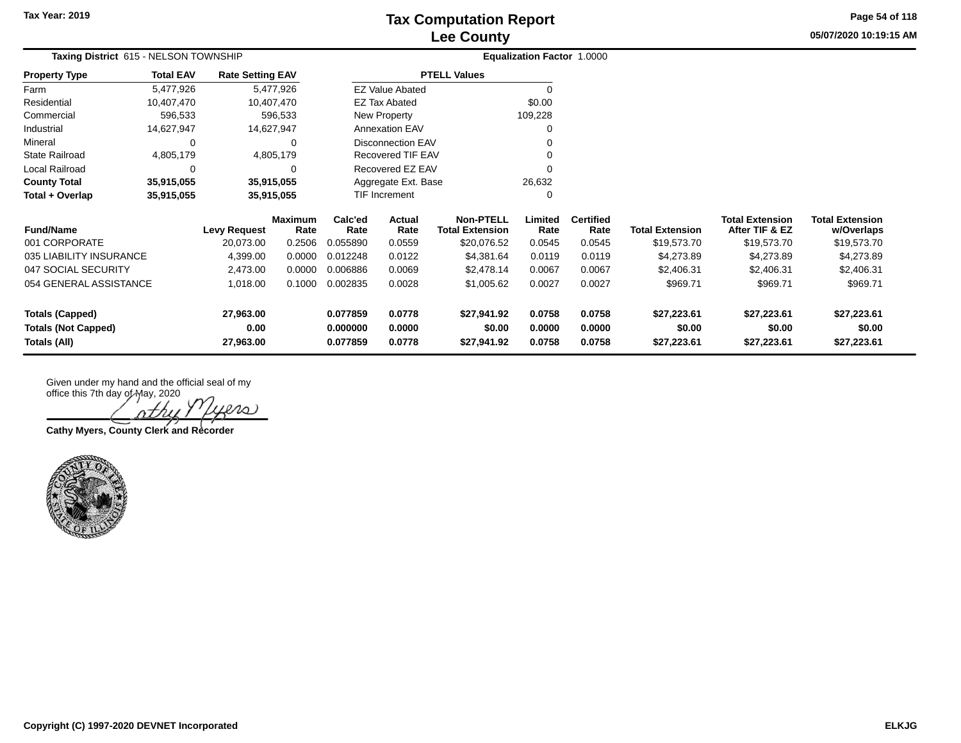**05/07/2020 10:19:15 AM Page 54 of 118**

| Taxing District 615 - NELSON TOWNSHIP      |                  |                         |                 |                      |                          |                                            | <b>Equalization Factor 1.0000</b> |                          |                        |                                          |                                      |
|--------------------------------------------|------------------|-------------------------|-----------------|----------------------|--------------------------|--------------------------------------------|-----------------------------------|--------------------------|------------------------|------------------------------------------|--------------------------------------|
| <b>Property Type</b>                       | <b>Total EAV</b> | <b>Rate Setting EAV</b> |                 |                      |                          | <b>PTELL Values</b>                        |                                   |                          |                        |                                          |                                      |
| Farm                                       | 5,477,926        |                         | 5,477,926       |                      | <b>EZ Value Abated</b>   |                                            | 0                                 |                          |                        |                                          |                                      |
| Residential                                | 10,407,470       |                         | 10,407,470      |                      | <b>EZ Tax Abated</b>     |                                            | \$0.00                            |                          |                        |                                          |                                      |
| Commercial                                 | 596,533          |                         | 596,533         |                      | New Property             |                                            | 109,228                           |                          |                        |                                          |                                      |
| Industrial                                 | 14,627,947       | 14,627,947              |                 |                      | Annexation EAV           |                                            | 0                                 |                          |                        |                                          |                                      |
| Mineral                                    | $\Omega$         |                         | $\Omega$        |                      | <b>Disconnection EAV</b> |                                            |                                   |                          |                        |                                          |                                      |
| State Railroad                             | 4,805,179        |                         | 4,805,179       |                      | Recovered TIF EAV        |                                            |                                   |                          |                        |                                          |                                      |
| Local Railroad                             | 0                |                         | 0<br>35,915,055 |                      | Recovered EZ EAV         |                                            | $\Omega$                          |                          |                        |                                          |                                      |
| <b>County Total</b>                        | 35,915,055       |                         |                 |                      | Aggregate Ext. Base      |                                            | 26,632                            |                          |                        |                                          |                                      |
| Total + Overlap                            | 35,915,055       | 35,915,055              |                 |                      | TIF Increment            |                                            | $\Omega$                          |                          |                        |                                          |                                      |
| <b>Fund/Name</b>                           |                  | <b>Levy Request</b>     | Maximum<br>Rate | Calc'ed<br>Rate      | Actual<br>Rate           | <b>Non-PTELL</b><br><b>Total Extension</b> | Limited<br>Rate                   | <b>Certified</b><br>Rate | <b>Total Extension</b> | <b>Total Extension</b><br>After TIF & EZ | <b>Total Extension</b><br>w/Overlaps |
| 001 CORPORATE                              |                  | 20,073.00               | 0.2506          | 0.055890             | 0.0559                   | \$20,076.52                                | 0.0545                            | 0.0545                   | \$19,573.70            | \$19,573.70                              | \$19,573.70                          |
| 035 LIABILITY INSURANCE                    |                  | 4,399.00                | 0.0000          | 0.012248             | 0.0122                   | \$4,381.64                                 | 0.0119                            | 0.0119                   | \$4,273.89             | \$4,273.89                               | \$4,273.89                           |
| 047 SOCIAL SECURITY                        |                  | 2,473.00                | 0.0000          | 0.006886             | 0.0069                   | \$2,478.14                                 | 0.0067                            | 0.0067                   | \$2,406.31             | \$2,406.31                               | \$2,406.31                           |
| 054 GENERAL ASSISTANCE                     |                  | 1,018.00                | 0.1000          | 0.002835             | 0.0028                   | \$1,005.62                                 | 0.0027                            | 0.0027                   | \$969.71               | \$969.71                                 | \$969.71                             |
| <b>Totals (Capped)</b>                     |                  | 27,963.00               |                 | 0.077859             | 0.0778                   | \$27,941.92                                | 0.0758                            | 0.0758                   | \$27,223.61            | \$27,223.61                              | \$27,223.61                          |
| <b>Totals (Not Capped)</b><br>Totals (All) |                  | 0.00<br>27,963.00       |                 | 0.000000<br>0.077859 | 0.0000<br>0.0778         | \$0.00<br>\$27,941.92                      | 0.0000<br>0.0758                  | 0.0000<br>0.0758         | \$0.00<br>\$27,223.61  | \$0.00<br>\$27,223.61                    | \$0.00<br>\$27,223.61                |

 $ln \circ$ 

**Cathy Myers, County Clerk and Recorder**

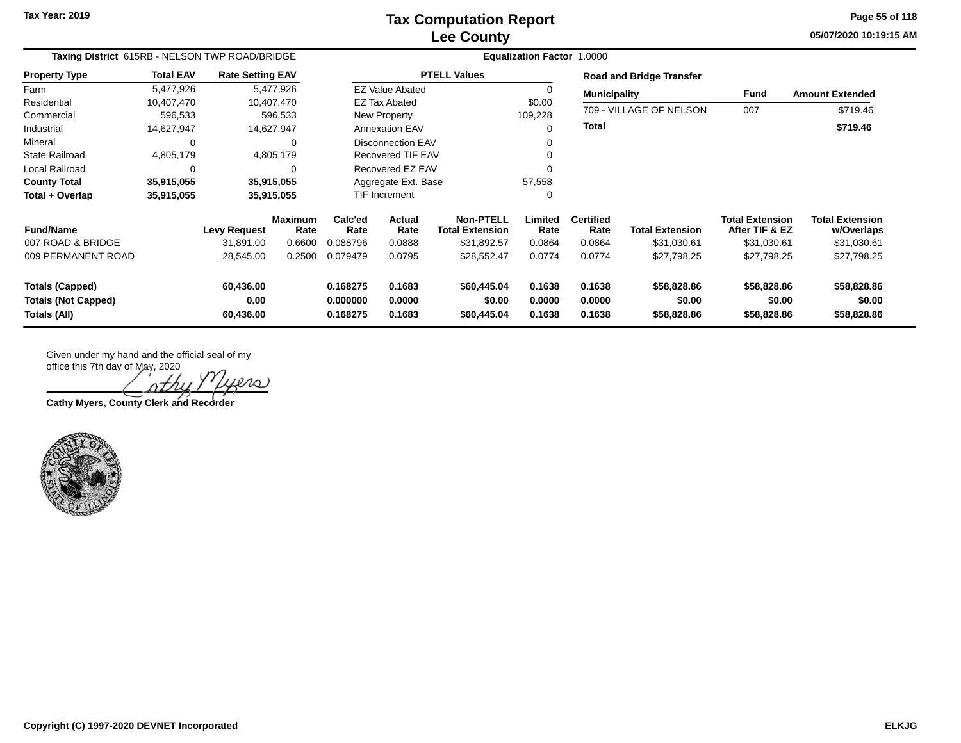**05/07/2020 10:19:15 AM Page 55 of 118**

| Taxing District 615RB - NELSON TWP ROAD/BRIDGE       |                  |                         |                        | Equalization Factor 1.0000               |                          |                                            |                  |                          |                                 |                                          |                                      |  |
|------------------------------------------------------|------------------|-------------------------|------------------------|------------------------------------------|--------------------------|--------------------------------------------|------------------|--------------------------|---------------------------------|------------------------------------------|--------------------------------------|--|
| <b>Property Type</b>                                 | <b>Total EAV</b> | <b>Rate Setting EAV</b> |                        |                                          |                          | <b>PTELL Values</b>                        |                  |                          | <b>Road and Bridge Transfer</b> |                                          |                                      |  |
| Farm                                                 | 5.477.926        |                         | 5,477,926              |                                          | <b>EZ Value Abated</b>   |                                            |                  | <b>Municipality</b>      |                                 | Fund                                     | <b>Amount Extended</b>               |  |
| Residential                                          | 10.407.470       |                         | 10,407,470             |                                          | EZ Tax Abated            |                                            | \$0.00           |                          |                                 |                                          |                                      |  |
| Commercial                                           | 596,533          |                         | 596,533                |                                          | New Property             |                                            | 109,228          |                          | 709 - VILLAGE OF NELSON         | 007                                      | \$719.46                             |  |
| Industrial                                           | 14,627,947       |                         | 14,627,947             |                                          | <b>Annexation EAV</b>    |                                            | 0                | <b>Total</b>             |                                 |                                          | \$719.46                             |  |
| Mineral                                              | 0                |                         | 0                      |                                          | <b>Disconnection EAV</b> |                                            |                  |                          |                                 |                                          |                                      |  |
| <b>State Railroad</b>                                | 4,805,179        |                         | 4,805,179              |                                          | <b>Recovered TIF EAV</b> |                                            |                  |                          |                                 |                                          |                                      |  |
| <b>Local Railroad</b>                                | 0                |                         | 0                      |                                          | Recovered EZ EAV         |                                            |                  |                          |                                 |                                          |                                      |  |
| <b>County Total</b>                                  | 35,915,055       |                         | 35,915,055             |                                          | Aggregate Ext. Base      |                                            | 57,558           |                          |                                 |                                          |                                      |  |
| Total + Overlap                                      | 35,915,055       |                         | 35,915,055             |                                          | TIF Increment            |                                            | 0                |                          |                                 |                                          |                                      |  |
| <b>Fund/Name</b>                                     |                  | <b>Levy Request</b>     | <b>Maximum</b><br>Rate | Calc'ed<br>Rate                          | Actual<br>Rate           | <b>Non-PTELL</b><br><b>Total Extension</b> | Limited<br>Rate  | <b>Certified</b><br>Rate | <b>Total Extension</b>          | <b>Total Extension</b><br>After TIF & EZ | <b>Total Extension</b><br>w/Overlaps |  |
| 007 ROAD & BRIDGE                                    |                  | 31.891.00               | 0.6600                 | 0.088796                                 | 0.0888                   | \$31,892.57                                | 0.0864           | 0.0864                   | \$31,030.61                     | \$31,030.61                              | \$31,030.61                          |  |
| 009 PERMANENT ROAD                                   |                  | 28,545.00               | 0.2500                 | 0.079479                                 | 0.0795                   | \$28,552.47                                | 0.0774           | 0.0774                   | \$27,798.25                     | \$27,798.25                              | \$27,798.25                          |  |
| <b>Totals (Capped)</b><br><b>Totals (Not Capped)</b> |                  | 60,436.00<br>0.00       |                        | 0.168275<br>0.1683<br>0.000000<br>0.0000 |                          | \$60,445.04<br>\$0.00                      | 0.1638<br>0.0000 | 0.1638<br>0.0000         | \$58,828.86<br>\$0.00           | \$58,828.86<br>\$0.00                    | \$58,828.86<br>\$0.00                |  |
| Totals (All)                                         |                  | 60,436.00               |                        | 0.168275<br>0.1683<br>\$60,445.04        |                          |                                            | 0.1638           | 0.1638                   | \$58,828.86                     | \$58,828.86                              | \$58,828.86                          |  |

ΛŹ

**Cathy Myers, County Clerk and Recorder**

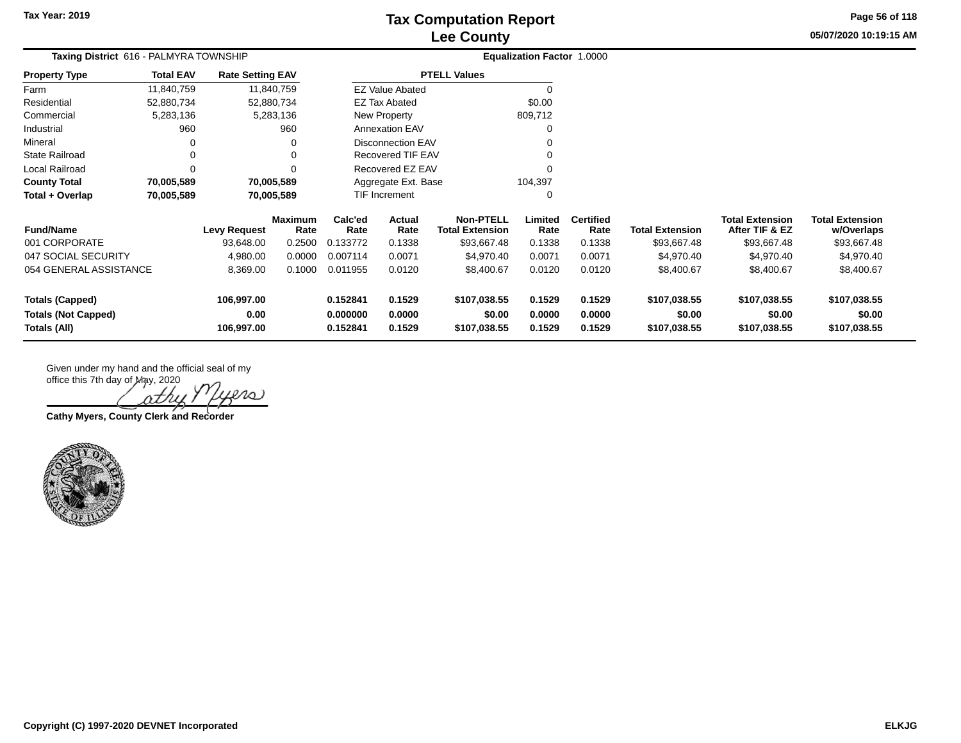**05/07/2020 10:19:15 AM Page 56 of 118**

| <b>Taxing District</b> 616 - PALMYRA TOWNSHIP |                  |                         |                        |                 |                        |                                            | <b>Equalization Factor 1.0000</b> |                          |                        |                                          |                                      |
|-----------------------------------------------|------------------|-------------------------|------------------------|-----------------|------------------------|--------------------------------------------|-----------------------------------|--------------------------|------------------------|------------------------------------------|--------------------------------------|
| <b>Property Type</b>                          | <b>Total EAV</b> | <b>Rate Setting EAV</b> |                        |                 |                        | <b>PTELL Values</b>                        |                                   |                          |                        |                                          |                                      |
| Farm                                          | 11,840,759       |                         | 11,840,759             |                 | <b>EZ Value Abated</b> |                                            | $\Omega$                          |                          |                        |                                          |                                      |
| Residential                                   | 52,880,734       |                         | 52,880,734             |                 | <b>EZ Tax Abated</b>   |                                            | \$0.00                            |                          |                        |                                          |                                      |
| Commercial                                    | 5,283,136        |                         | 5,283,136              |                 | New Property           |                                            | 809,712                           |                          |                        |                                          |                                      |
| Industrial                                    | 960              |                         | 960                    |                 | <b>Annexation EAV</b>  |                                            |                                   |                          |                        |                                          |                                      |
| Mineral                                       |                  |                         |                        |                 | Disconnection EAV      |                                            |                                   |                          |                        |                                          |                                      |
| <b>State Railroad</b>                         |                  |                         | 0                      |                 | Recovered TIF EAV      |                                            |                                   |                          |                        |                                          |                                      |
| Local Railroad                                |                  |                         | $\Omega$               |                 | Recovered EZ EAV       |                                            |                                   |                          |                        |                                          |                                      |
| <b>County Total</b>                           | 70,005,589       |                         | 70,005,589             |                 | Aggregate Ext. Base    |                                            | 104,397                           |                          |                        |                                          |                                      |
| Total + Overlap                               | 70,005,589       |                         | 70,005,589             |                 | TIF Increment          |                                            | 0                                 |                          |                        |                                          |                                      |
| <b>Fund/Name</b>                              |                  | <b>Levy Request</b>     | <b>Maximum</b><br>Rate | Calc'ed<br>Rate | Actual<br>Rate         | <b>Non-PTELL</b><br><b>Total Extension</b> | Limited<br>Rate                   | <b>Certified</b><br>Rate | <b>Total Extension</b> | <b>Total Extension</b><br>After TIF & EZ | <b>Total Extension</b><br>w/Overlaps |
| 001 CORPORATE                                 |                  | 93,648.00               | 0.2500                 | 0.133772        | 0.1338                 | \$93,667.48                                | 0.1338                            | 0.1338                   | \$93,667.48            | \$93,667.48                              | \$93,667.48                          |
| 047 SOCIAL SECURITY                           |                  | 4,980.00                | 0.0000                 | 0.007114        | 0.0071                 | \$4,970.40                                 | 0.0071                            | 0.0071                   | \$4,970.40             | \$4,970.40                               | \$4,970.40                           |
| 054 GENERAL ASSISTANCE                        |                  | 8,369.00                | 0.1000                 | 0.011955        | 0.0120                 | \$8,400.67                                 | 0.0120                            | 0.0120                   | \$8,400.67             | \$8,400.67                               | \$8,400.67                           |
| Totals (Capped)                               |                  | 106,997.00              |                        | 0.152841        | 0.1529                 | \$107,038.55                               | 0.1529                            | 0.1529                   | \$107,038.55           | \$107,038.55                             | \$107,038.55                         |
| <b>Totals (Not Capped)</b>                    |                  | 0.00                    |                        | 0.000000        | 0.0000                 | \$0.00                                     | 0.0000                            | 0.0000                   | \$0.00                 | \$0.00                                   | \$0.00                               |
| Totals (All)                                  |                  | 106,997.00              |                        | 0.152841        | 0.1529                 | \$107,038.55                               | 0.1529                            | 0.1529                   | \$107,038.55           | \$107,038.55                             | \$107,038.55                         |

 $\ell$ 10)

**Cathy Myers, County Clerk and Recorder**

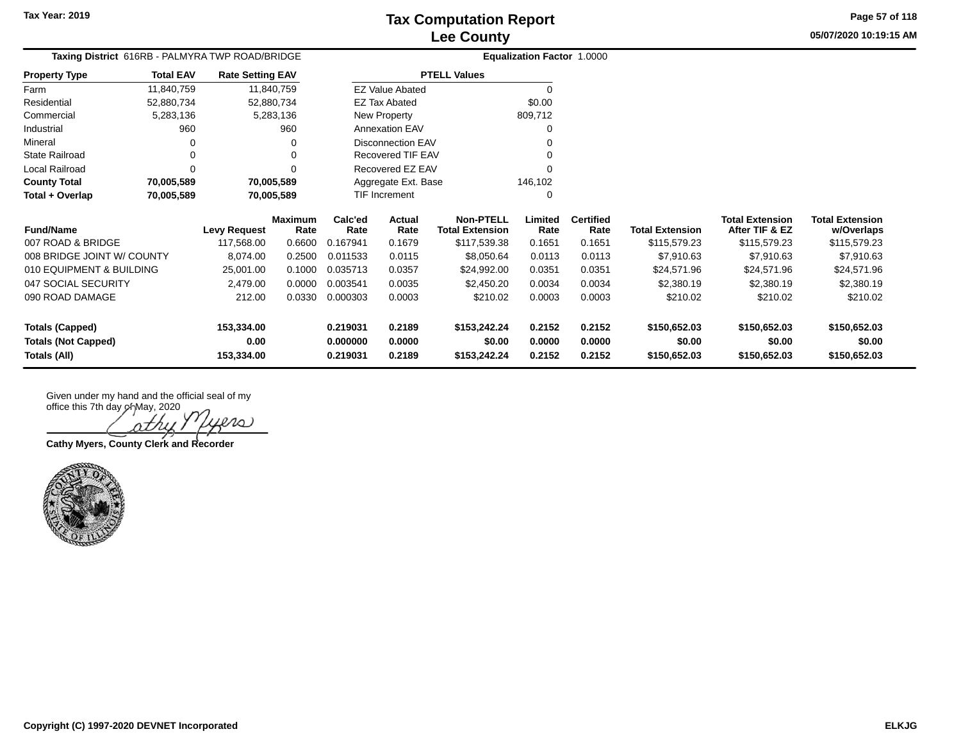**05/07/2020 10:19:15 AMPage 57 of 118**

| Taxing District 616RB - PALMYRA TWP ROAD/BRIDGE |                  |                         |                        |                 | <b>Equalization Factor 1.0000</b> |                                            |                 |                          |                        |                                          |                                      |
|-------------------------------------------------|------------------|-------------------------|------------------------|-----------------|-----------------------------------|--------------------------------------------|-----------------|--------------------------|------------------------|------------------------------------------|--------------------------------------|
| <b>Property Type</b>                            | <b>Total EAV</b> | <b>Rate Setting EAV</b> |                        |                 |                                   | <b>PTELL Values</b>                        |                 |                          |                        |                                          |                                      |
| Farm                                            | 11,840,759       | 11,840,759              |                        |                 | <b>EZ Value Abated</b>            |                                            | $\Omega$        |                          |                        |                                          |                                      |
| Residential                                     | 52,880,734       | 52,880,734              |                        |                 | <b>EZ Tax Abated</b>              |                                            | \$0.00          |                          |                        |                                          |                                      |
| Commercial                                      | 5,283,136        |                         | 5,283,136              |                 | New Property                      |                                            | 809,712         |                          |                        |                                          |                                      |
| Industrial                                      | 960              |                         | 960                    |                 | <b>Annexation EAV</b>             |                                            |                 |                          |                        |                                          |                                      |
| Mineral                                         | $\Omega$         |                         | O                      |                 | <b>Disconnection EAV</b>          |                                            |                 |                          |                        |                                          |                                      |
| <b>State Railroad</b>                           | $\Omega$         |                         | ∩                      |                 | Recovered TIF EAV                 |                                            |                 |                          |                        |                                          |                                      |
| Local Railroad                                  | 0                |                         |                        |                 | Recovered EZ EAV                  |                                            |                 |                          |                        |                                          |                                      |
| <b>County Total</b><br>70,005,589               |                  | 70,005,589              |                        |                 | Aggregate Ext. Base               |                                            | 146,102         |                          |                        |                                          |                                      |
| Total + Overlap                                 | 70,005,589       | 70,005,589              |                        |                 | TIF Increment                     |                                            | O               |                          |                        |                                          |                                      |
| <b>Fund/Name</b>                                |                  | <b>Levy Request</b>     | <b>Maximum</b><br>Rate | Calc'ed<br>Rate | Actual<br>Rate                    | <b>Non-PTELL</b><br><b>Total Extension</b> | Limited<br>Rate | <b>Certified</b><br>Rate | <b>Total Extension</b> | <b>Total Extension</b><br>After TIF & EZ | <b>Total Extension</b><br>w/Overlaps |
| 007 ROAD & BRIDGE                               |                  | 117,568.00              | 0.6600                 | 0.167941        | 0.1679                            | \$117,539.38                               | 0.1651          | 0.1651                   | \$115,579.23           | \$115,579.23                             | \$115,579.23                         |
| 008 BRIDGE JOINT W/ COUNTY                      |                  | 8,074.00                | 0.2500                 | 0.011533        | 0.0115                            | \$8,050.64                                 | 0.0113          | 0.0113                   | \$7,910.63             | \$7,910.63                               | \$7,910.63                           |
| 010 EQUIPMENT & BUILDING                        |                  | 25,001.00               | 0.1000                 | 0.035713        | 0.0357                            | \$24,992.00                                | 0.0351          | 0.0351                   | \$24,571.96            | \$24,571.96                              | \$24,571.96                          |
| 047 SOCIAL SECURITY                             |                  | 2,479.00                | 0.0000                 | 0.003541        | 0.0035                            | \$2,450.20                                 | 0.0034          | 0.0034                   | \$2,380.19             | \$2,380.19                               | \$2,380.19                           |
| 090 ROAD DAMAGE                                 |                  | 212.00                  | 0.0330                 | 0.000303        | 0.0003                            | \$210.02                                   | 0.0003          | 0.0003                   | \$210.02               | \$210.02                                 | \$210.02                             |
| <b>Totals (Capped)</b>                          |                  | 153,334.00              |                        | 0.219031        | 0.2189                            | \$153,242.24                               | 0.2152          | 0.2152                   | \$150,652.03           | \$150,652.03                             | \$150,652.03                         |
| <b>Totals (Not Capped)</b>                      |                  | 0.00                    |                        | 0.000000        | 0.0000                            | \$0.00                                     | 0.0000          | 0.0000                   | \$0.00                 | \$0.00                                   | \$0.00                               |

**Totals (All) 153,334.00 0.219031 0.2189 \$153,242.24 0.2152 0.2152 \$150,652.03 \$150,652.03 \$150,652.03**

 $\infty$ 

**Cathy Myers, County Clerk and Recorder**

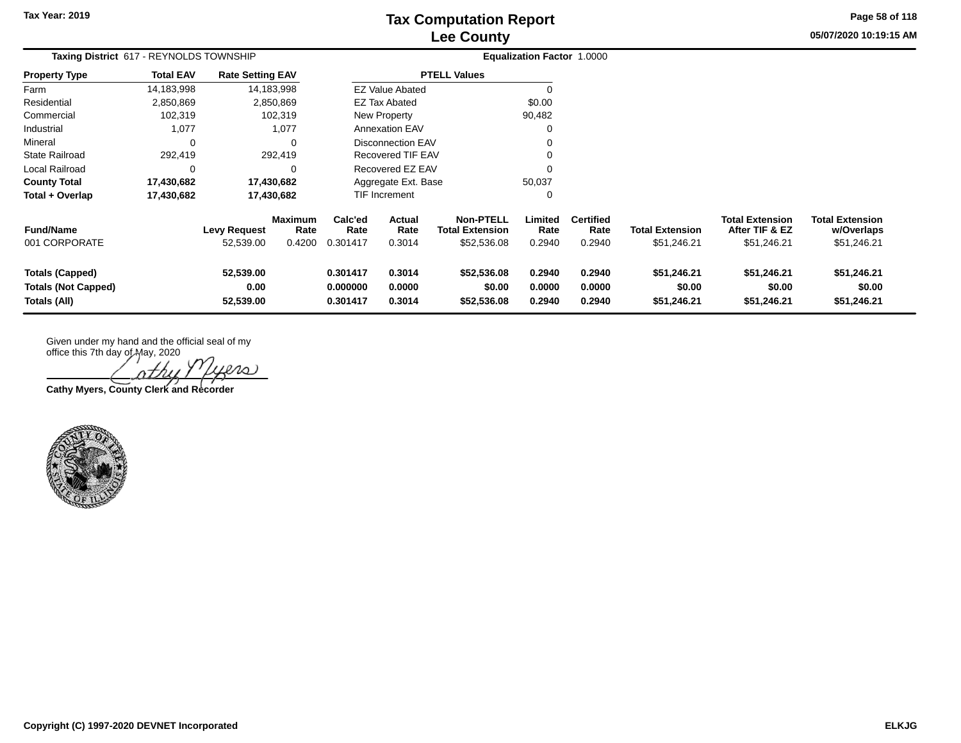**05/07/2020 10:19:15 AM Page 58 of 118**

| Taxing District 617 - REYNOLDS TOWNSHIP                              |                  |                                  |                                  |                                  |                            |                                                           | Equalization Factor 1.0000 |                                    |                                      |                                                         |                                                     |  |
|----------------------------------------------------------------------|------------------|----------------------------------|----------------------------------|----------------------------------|----------------------------|-----------------------------------------------------------|----------------------------|------------------------------------|--------------------------------------|---------------------------------------------------------|-----------------------------------------------------|--|
| <b>Property Type</b>                                                 | <b>Total EAV</b> | <b>Rate Setting EAV</b>          |                                  |                                  |                            | <b>PTELL Values</b>                                       |                            |                                    |                                      |                                                         |                                                     |  |
| Farm                                                                 | 14,183,998       |                                  | 14,183,998                       |                                  | <b>EZ Value Abated</b>     |                                                           | 0                          |                                    |                                      |                                                         |                                                     |  |
| Residential                                                          | 2,850,869        |                                  | 2,850,869                        |                                  | <b>EZ Tax Abated</b>       |                                                           | \$0.00                     |                                    |                                      |                                                         |                                                     |  |
| Commercial                                                           | 102,319          |                                  | 102,319                          |                                  | New Property               |                                                           | 90,482                     |                                    |                                      |                                                         |                                                     |  |
| Industrial                                                           | 1,077            |                                  | 1,077                            |                                  | <b>Annexation EAV</b>      |                                                           | 0                          |                                    |                                      |                                                         |                                                     |  |
| Mineral                                                              | $\Omega$         |                                  | $\Omega$                         |                                  | Disconnection EAV          |                                                           | 0                          |                                    |                                      |                                                         |                                                     |  |
| <b>State Railroad</b>                                                | 292,419          |                                  | 292,419                          |                                  | Recovered TIF EAV          |                                                           | 0                          |                                    |                                      |                                                         |                                                     |  |
| Local Railroad                                                       | $\Omega$         |                                  | $\Omega$                         |                                  | Recovered EZ EAV           |                                                           | 0                          |                                    |                                      |                                                         |                                                     |  |
| <b>County Total</b>                                                  | 17,430,682       |                                  | 17,430,682                       |                                  | Aggregate Ext. Base        |                                                           | 50,037                     |                                    |                                      |                                                         |                                                     |  |
| Total + Overlap                                                      | 17,430,682       |                                  | 17,430,682                       |                                  | TIF Increment              |                                                           | 0                          |                                    |                                      |                                                         |                                                     |  |
| <b>Fund/Name</b><br>001 CORPORATE                                    |                  | <b>Levy Request</b><br>52,539.00 | <b>Maximum</b><br>Rate<br>0.4200 | Calc'ed<br>Rate<br>0.301417      | Actual<br>Rate<br>0.3014   | <b>Non-PTELL</b><br><b>Total Extension</b><br>\$52,536.08 | Limited<br>Rate<br>0.2940  | <b>Certified</b><br>Rate<br>0.2940 | Total Extension<br>\$51,246.21       | <b>Total Extension</b><br>After TIF & EZ<br>\$51,246.21 | <b>Total Extension</b><br>w/Overlaps<br>\$51,246.21 |  |
| <b>Totals (Capped)</b><br><b>Totals (Not Capped)</b><br>Totals (All) |                  | 52,539.00<br>0.00<br>52,539.00   |                                  | 0.301417<br>0.000000<br>0.301417 | 0.3014<br>0.0000<br>0.3014 | \$52,536.08<br>\$0.00<br>\$52,536.08                      | 0.2940<br>0.0000<br>0.2940 | 0.2940<br>0.0000<br>0.2940         | \$51,246.21<br>\$0.00<br>\$51,246.21 | \$51,246.21<br>\$0.00<br>\$51,246.21                    | \$51,246.21<br>\$0.00<br>\$51,246.21                |  |

Given under my hand and the official seal of my

office this 7th day of May, 2020 iero

**Cathy Myers, County Clerk and Recorder**

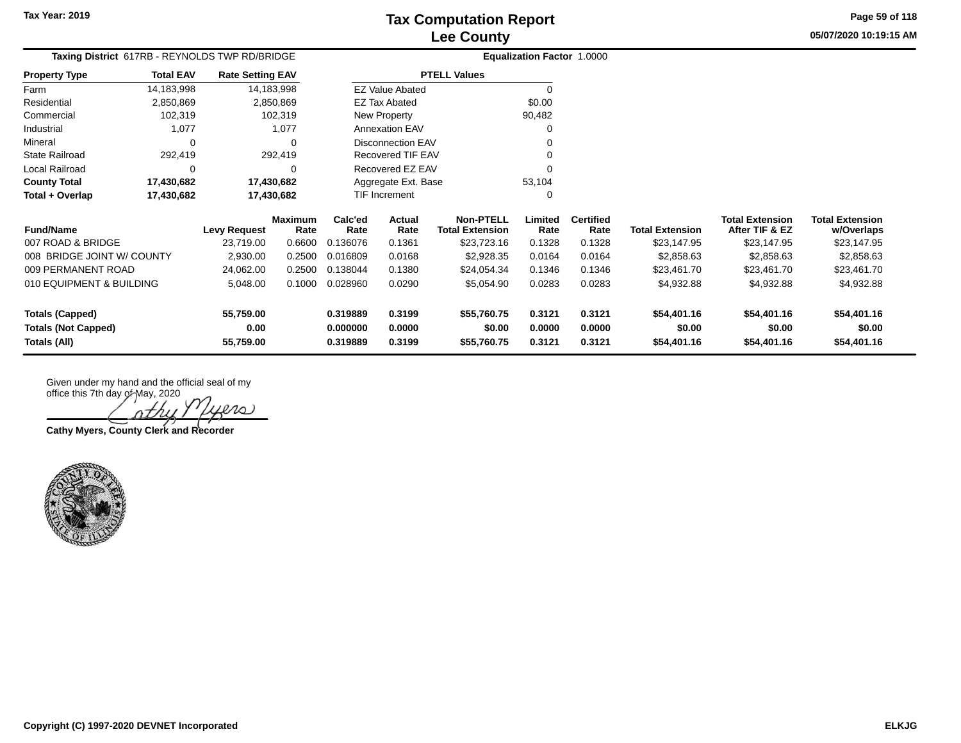2,930.00 0.2500 0.016809 0.0168 \$2,928.35 0.0164 0.0164 \$2,858.63 \$2,858.63 \$2,858.63

5,048.00 0.1000 0.028960 0.0290 \$5,054.90 0.0283 0.0283 \$4,932.88 \$4,932.88 \$4,932.88

24,062.00 0.2500 0.138044 0.1380 \$24,054.34 0.1346 0.1346 \$23,461.70 \$23,461.70 \$23,461.70

**Totals (Capped) 55,759.00 0.319889 0.3199 \$55,760.75 0.3121 0.3121 \$54,401.16 \$54,401.16 \$54,401.16 Totals (Not Capped) 0.00 0.000000 0.0000 \$0.00 0.0000 0.0000 \$0.00 \$0.00 \$0.00 Totals (All) 55,759.00 0.319889 0.3199 \$55,760.75 0.3121 0.3121 \$54,401.16 \$54,401.16 \$54,401.16**

**05/07/2020 10:19:15 AMPage 59 of 118**

| Taxing District 617RB - REYNOLDS TWP RD/BRIDGE |                  |                         |                |          | <b>Equalization Factor 1.0000</b> |                        |         |                  |                        |                        |                        |
|------------------------------------------------|------------------|-------------------------|----------------|----------|-----------------------------------|------------------------|---------|------------------|------------------------|------------------------|------------------------|
| <b>Property Type</b>                           | <b>Total EAV</b> | <b>Rate Setting EAV</b> |                |          |                                   | <b>PTELL Values</b>    |         |                  |                        |                        |                        |
| Farm                                           | 14,183,998       |                         | 14,183,998     |          | <b>EZ Value Abated</b>            |                        |         |                  |                        |                        |                        |
| Residential                                    | 2,850,869        |                         | 2.850.869      |          | EZ Tax Abated                     |                        | \$0.00  |                  |                        |                        |                        |
| Commercial                                     | 102,319          |                         | 102,319        |          | New Property                      |                        | 90,482  |                  |                        |                        |                        |
| Industrial                                     | 1,077            |                         | 1,077          |          | <b>Annexation EAV</b>             |                        | 0       |                  |                        |                        |                        |
| Mineral                                        |                  |                         |                |          | <b>Disconnection EAV</b>          |                        |         |                  |                        |                        |                        |
| <b>State Railroad</b>                          | 292.419          |                         | 292.419        |          | Recovered TIF EAV                 |                        |         |                  |                        |                        |                        |
| Local Railroad                                 |                  |                         |                |          | Recovered EZ EAV                  |                        | 0       |                  |                        |                        |                        |
| <b>County Total</b>                            | 17,430,682       | 17.430.682              |                |          | Aggregate Ext. Base               |                        | 53,104  |                  |                        |                        |                        |
| Total + Overlap                                | 17,430,682       | 17.430.682              |                |          | <b>TIF Increment</b>              |                        | 0       |                  |                        |                        |                        |
|                                                |                  |                         | <b>Maximum</b> | Calc'ed  | Actual                            | <b>Non-PTELL</b>       | Limited | <b>Certified</b> |                        | <b>Total Extension</b> | <b>Total Extension</b> |
| <b>Fund/Name</b>                               |                  | <b>Levy Request</b>     | Rate           | Rate     | Rate                              | <b>Total Extension</b> | Rate    | Rate             | <b>Total Extension</b> | After TIF & EZ         | w/Overlaps             |
| 007 ROAD & BRIDGE                              |                  | 23.719.00               | 0.6600         | 0.136076 | 0.1361                            | \$23,723.16            | 0.1328  | 0.1328           | \$23,147.95            | \$23,147.95            | \$23,147.95            |

Given under my hand and the official seal of my office this 7th day of May, 2020

leno)

**Cathy Myers, County Clerk and Recorder**



008 BRIDGE JOINT W/ COUNTY

010 EQUIPMENT & BUILDING

009 PERMANENT ROAD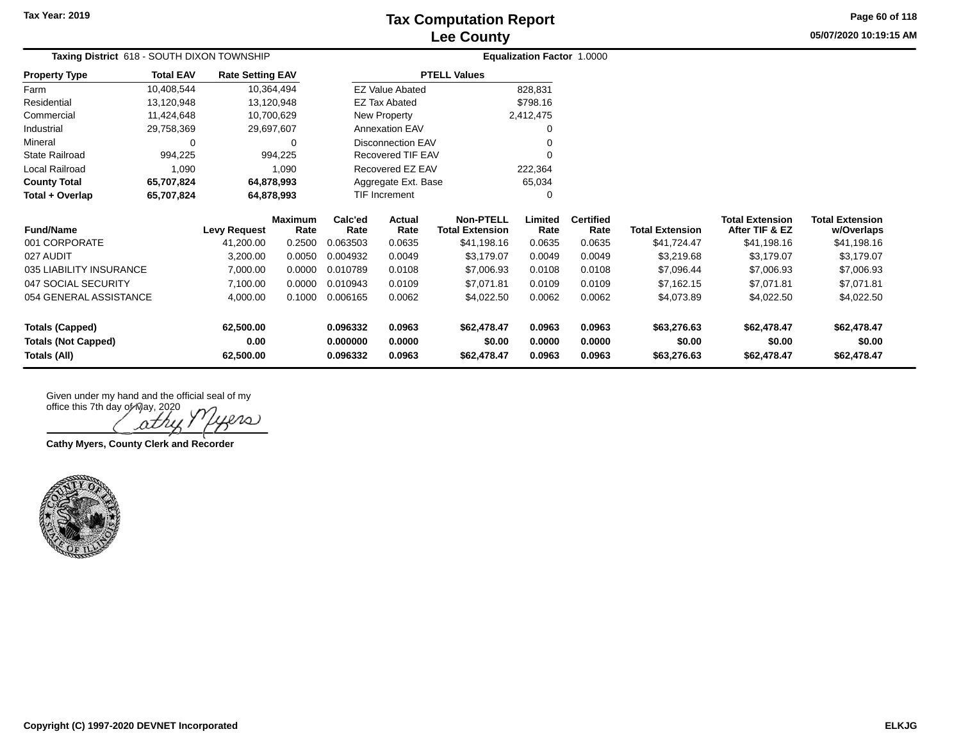**Tax Year: 2019**

# **Lee County Tax Computation Report**

**05/07/2020 10:19:15 AMPage 60 of 118**

| Taxing District 618 - SOUTH DIXON TOWNSHIP           | <b>Equalization Factor 1.0000</b> |                         |                        |                          |                          |                                     |                  |                          |                        |                                          |                                      |
|------------------------------------------------------|-----------------------------------|-------------------------|------------------------|--------------------------|--------------------------|-------------------------------------|------------------|--------------------------|------------------------|------------------------------------------|--------------------------------------|
| <b>Property Type</b>                                 | <b>Total EAV</b>                  | <b>Rate Setting EAV</b> |                        |                          |                          | <b>PTELL Values</b>                 |                  |                          |                        |                                          |                                      |
| Farm                                                 | 10,408,544                        |                         | 10,364,494             |                          | <b>EZ Value Abated</b>   |                                     | 828,831          |                          |                        |                                          |                                      |
| Residential                                          | 13,120,948                        |                         | 13,120,948             |                          | <b>EZ Tax Abated</b>     |                                     | \$798.16         |                          |                        |                                          |                                      |
| Commercial                                           | 11,424,648                        |                         | 10,700,629             |                          | New Property             |                                     | 2,412,475        |                          |                        |                                          |                                      |
| Industrial                                           | 29,758,369                        |                         | 29,697,607             |                          | <b>Annexation EAV</b>    |                                     | 0                |                          |                        |                                          |                                      |
| Mineral                                              | 0                                 |                         | 0                      |                          | <b>Disconnection EAV</b> |                                     | $\Omega$         |                          |                        |                                          |                                      |
| <b>State Railroad</b>                                | 994,225                           |                         | 994,225                | <b>Recovered TIF EAV</b> |                          |                                     | $\Omega$         |                          |                        |                                          |                                      |
| Local Railroad                                       | 1,090                             |                         | 1,090                  |                          | Recovered EZ EAV         |                                     | 222,364          |                          |                        |                                          |                                      |
| <b>County Total</b>                                  | 65,707,824                        |                         | 64,878,993             | Aggregate Ext. Base      |                          |                                     | 65,034           |                          |                        |                                          |                                      |
| Total + Overlap                                      | 65,707,824                        |                         | 64,878,993             | <b>TIF Increment</b>     |                          |                                     | 0                |                          |                        |                                          |                                      |
| <b>Fund/Name</b>                                     |                                   | <b>Levy Request</b>     | <b>Maximum</b><br>Rate | Calc'ed<br>Rate          | <b>Actual</b><br>Rate    | Non-PTELL<br><b>Total Extension</b> | Limited<br>Rate  | <b>Certified</b><br>Rate | <b>Total Extension</b> | <b>Total Extension</b><br>After TIF & EZ | <b>Total Extension</b><br>w/Overlaps |
| 001 CORPORATE                                        |                                   | 41,200.00               | 0.2500                 | 0.063503                 | 0.0635                   | \$41,198.16                         | 0.0635           | 0.0635                   | \$41,724.47            | \$41,198.16                              | \$41,198.16                          |
| 027 AUDIT                                            |                                   | 3,200.00                | 0.0050                 | 0.004932                 | 0.0049                   | \$3,179.07                          | 0.0049           | 0.0049                   | \$3,219.68             | \$3,179.07                               | \$3,179.07                           |
| 035 LIABILITY INSURANCE                              |                                   | 7,000.00                | 0.0000                 | 0.010789                 | 0.0108                   | \$7,006.93                          | 0.0108           | 0.0108                   | \$7,096.44             | \$7,006.93                               | \$7,006.93                           |
| 047 SOCIAL SECURITY                                  |                                   | 7,100.00                | 0.0000                 | 0.010943                 | 0.0109                   | \$7,071.81                          | 0.0109           | 0.0109                   | \$7,162.15             | \$7,071.81                               | \$7,071.81                           |
| 054 GENERAL ASSISTANCE                               |                                   | 4,000.00                | 0.1000                 | 0.006165                 | 0.0062                   | \$4,022.50                          | 0.0062           | 0.0062                   | \$4,073.89             | \$4,022.50                               | \$4,022.50                           |
| <b>Totals (Capped)</b><br><b>Totals (Not Capped)</b> |                                   | 62,500.00<br>0.00       |                        | 0.096332<br>0.000000     | 0.0963<br>0.0000         | \$62,478.47<br>\$0.00               | 0.0963<br>0.0000 | 0.0963<br>0.0000         | \$63,276.63<br>\$0.00  | \$62,478.47<br>\$0.00                    | \$62,478.47<br>\$0.00                |
| Totals (All)                                         |                                   | 62,500.00               |                        | 0.096332                 | 0.0963                   | \$62,478.47                         | 0.0963           | 0.0963                   | \$63,276.63            | \$62,478.47                              | \$62,478.47                          |

 $\infty$ ΩΖ

**Cathy Myers, County Clerk and Recorder**

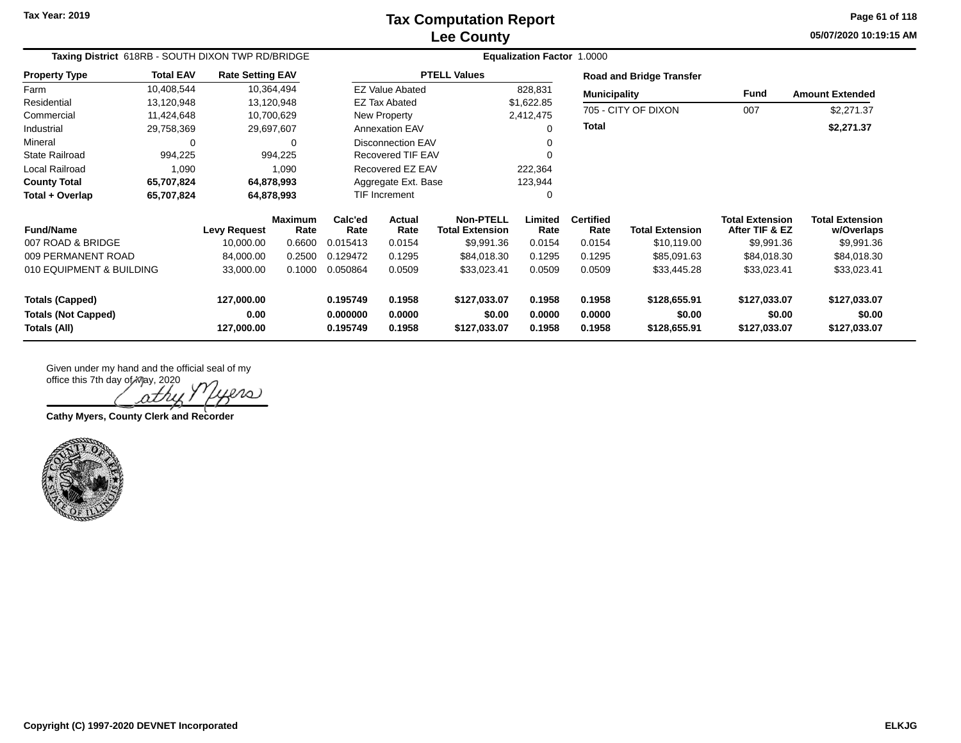**05/07/2020 10:19:15 AM Page 61 of 118**

| Taxing District 618RB - SOUTH DIXON TWP RD/BRIDGE |                  |                         |                        | <b>Equalization Factor 1.0000</b> |                          |                                            |                  |                          |                                 |                                          |                                      |  |
|---------------------------------------------------|------------------|-------------------------|------------------------|-----------------------------------|--------------------------|--------------------------------------------|------------------|--------------------------|---------------------------------|------------------------------------------|--------------------------------------|--|
| <b>Property Type</b>                              | <b>Total EAV</b> | <b>Rate Setting EAV</b> |                        |                                   |                          | <b>PTELL Values</b>                        |                  |                          | <b>Road and Bridge Transfer</b> |                                          |                                      |  |
| Farm                                              | 10,408,544       | 10,364,494              |                        |                                   | <b>EZ Value Abated</b>   |                                            | 828,831          | <b>Municipality</b>      |                                 | Fund                                     | <b>Amount Extended</b>               |  |
| Residential                                       | 13,120,948       | 13,120,948              |                        |                                   | <b>EZ Tax Abated</b>     |                                            | \$1,622.85       |                          | 705 - CITY OF DIXON             | 007                                      |                                      |  |
| Commercial                                        | 11,424,648       | 10,700,629              |                        |                                   | New Property             |                                            | 2,412,475        |                          |                                 |                                          | \$2,271.37                           |  |
| Industrial                                        | 29,758,369       | 29,697,607              |                        |                                   | <b>Annexation EAV</b>    |                                            |                  | <b>Total</b>             |                                 |                                          | \$2,271.37                           |  |
| Mineral                                           | $\Omega$         |                         | 0                      |                                   | <b>Disconnection EAV</b> |                                            |                  |                          |                                 |                                          |                                      |  |
| <b>State Railroad</b>                             | 994,225          |                         | 994,225                |                                   | <b>Recovered TIF EAV</b> |                                            |                  |                          |                                 |                                          |                                      |  |
| Local Railroad                                    | 1,090            |                         | 1,090                  |                                   | Recovered EZ EAV         |                                            | 222,364          |                          |                                 |                                          |                                      |  |
| 64,878,993<br><b>County Total</b><br>65,707,824   |                  |                         |                        | Aggregate Ext. Base               |                          | 123,944                                    |                  |                          |                                 |                                          |                                      |  |
| Total + Overlap                                   | 65,707,824       | 64,878,993              |                        | <b>TIF Increment</b>              |                          |                                            |                  |                          |                                 |                                          |                                      |  |
| <b>Fund/Name</b>                                  |                  | <b>Levy Request</b>     | <b>Maximum</b><br>Rate | Calc'ed<br>Rate                   | <b>Actual</b><br>Rate    | <b>Non-PTELL</b><br><b>Total Extension</b> | Limited<br>Rate  | <b>Certified</b><br>Rate | <b>Total Extension</b>          | <b>Total Extension</b><br>After TIF & EZ | <b>Total Extension</b><br>w/Overlaps |  |
| 007 ROAD & BRIDGE                                 |                  | 10,000.00               | 0.6600                 | 0.015413                          | 0.0154                   | \$9,991.36                                 | 0.0154           | 0.0154                   | \$10,119.00                     | \$9,991.36                               | \$9,991.36                           |  |
| 009 PERMANENT ROAD                                |                  | 84,000.00               | 0.2500                 | 0.129472                          | 0.1295                   | \$84,018.30                                | 0.1295           | 0.1295                   | \$85,091.63                     | \$84,018.30                              | \$84,018.30                          |  |
| 010 EQUIPMENT & BUILDING                          |                  | 33,000.00               | 0.1000                 | 0.050864                          | 0.0509                   | \$33,023.41                                | 0.0509           | 0.0509                   | \$33,445.28                     | \$33,023.41                              | \$33,023.41                          |  |
| <b>Totals (Capped)</b>                            |                  | 127,000.00              |                        | 0.195749                          | 0.1958                   | \$127,033.07                               | 0.1958           | 0.1958                   | \$128,655.91                    | \$127,033.07                             | \$127,033.07                         |  |
| <b>Totals (Not Capped)</b><br>Totals (All)        |                  | 0.00<br>127,000.00      |                        | 0.000000<br>0.195749              | 0.0000<br>0.1958         | \$0.00<br>\$127,033.07                     | 0.0000<br>0.1958 | 0.0000<br>0.1958         | \$0.00<br>\$128,655.91          | \$0.00<br>\$127,033.07                   | \$0.00<br>\$127,033.07               |  |

iero

**Cathy Myers, County Clerk and Recorder**

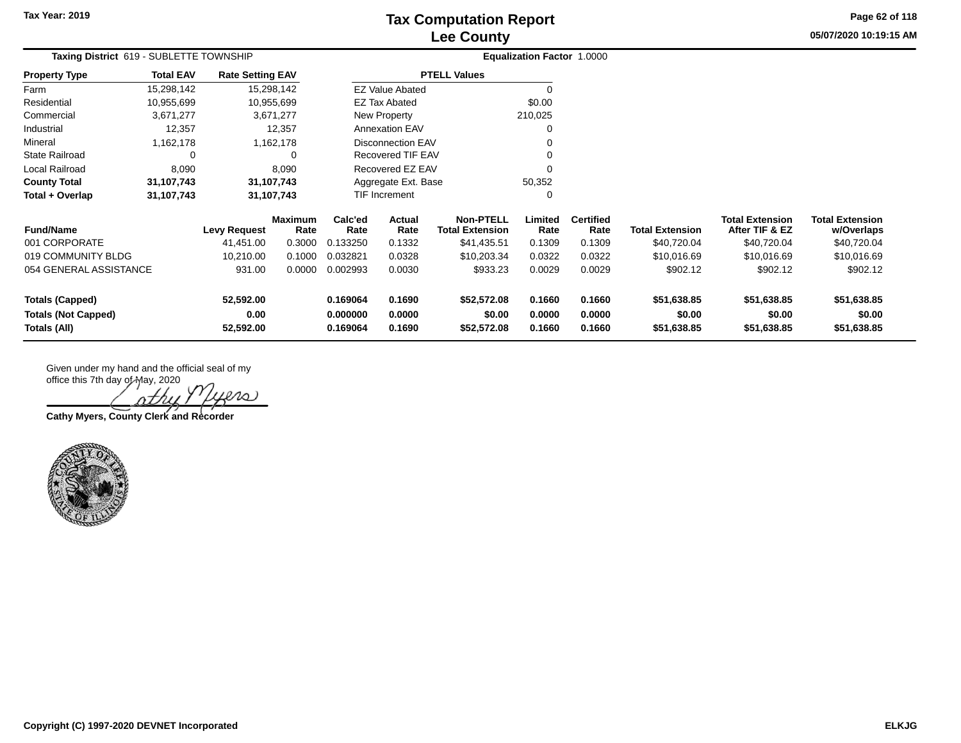**05/07/2020 10:19:15 AM Page 62 of 118**

| Taxing District 619 - SUBLETTE TOWNSHIP                                                 |                                        | Equalization Factor 1.0000 |                       |                  |                                               |                       |                          |                        |                                          |                                      |             |
|-----------------------------------------------------------------------------------------|----------------------------------------|----------------------------|-----------------------|------------------|-----------------------------------------------|-----------------------|--------------------------|------------------------|------------------------------------------|--------------------------------------|-------------|
| <b>Property Type</b>                                                                    | <b>Total EAV</b>                       | <b>Rate Setting EAV</b>    |                       |                  |                                               | <b>PTELL Values</b>   |                          |                        |                                          |                                      |             |
| Farm                                                                                    | 15,298,142                             |                            | 15,298,142            |                  | <b>EZ Value Abated</b>                        |                       | 0                        |                        |                                          |                                      |             |
| Residential                                                                             | 10,955,699                             |                            | 10,955,699            |                  | <b>EZ Tax Abated</b>                          |                       | \$0.00                   |                        |                                          |                                      |             |
| Commercial                                                                              | 3,671,277                              |                            | 3,671,277             |                  | New Property                                  |                       | 210,025                  |                        |                                          |                                      |             |
| Industrial                                                                              | 12,357                                 |                            | 12,357                |                  | <b>Annexation EAV</b>                         |                       | 0                        |                        |                                          |                                      |             |
| Mineral                                                                                 | 1,162,178                              |                            | 1,162,178             |                  | <b>Disconnection EAV</b><br>Recovered TIF EAV |                       |                          |                        |                                          |                                      |             |
| <b>State Railroad</b>                                                                   | $\Omega$                               |                            | 0                     |                  |                                               |                       | ∩                        |                        |                                          |                                      |             |
| Local Railroad<br>8,090                                                                 |                                        |                            | 8,090                 | Recovered EZ EAV |                                               |                       | $\Omega$                 |                        |                                          |                                      |             |
| <b>County Total</b>                                                                     | 31,107,743                             | 31,107,743                 |                       |                  | Aggregate Ext. Base                           |                       | 50,352                   |                        |                                          |                                      |             |
| Total + Overlap                                                                         | 31,107,743                             | 31,107,743                 |                       | TIF Increment    |                                               |                       | 0                        |                        |                                          |                                      |             |
| <b>Fund/Name</b>                                                                        | Maximum<br>Rate<br><b>Levy Request</b> |                            | Calc'ed<br>Rate       | Actual<br>Rate   | <b>Non-PTELL</b><br><b>Total Extension</b>    | Limited<br>Rate       | <b>Certified</b><br>Rate | <b>Total Extension</b> | <b>Total Extension</b><br>After TIF & EZ | <b>Total Extension</b><br>w/Overlaps |             |
| 001 CORPORATE                                                                           |                                        | 41,451.00                  | 0.3000                | 0.133250         | 0.1332                                        | \$41,435.51           | 0.1309                   | 0.1309                 | \$40,720.04                              | \$40,720.04                          | \$40,720.04 |
| 019 COMMUNITY BLDG                                                                      |                                        | 10,210.00                  | 0.1000                | 0.032821         | 0.0328                                        | \$10,203.34           | 0.0322                   | 0.0322                 | \$10,016.69                              | \$10,016.69                          | \$10,016.69 |
| 054 GENERAL ASSISTANCE                                                                  |                                        | 931.00                     | 0.0000                | 0.002993         | 0.0030                                        | \$933.23              | 0.0029                   | 0.0029                 | \$902.12                                 | \$902.12                             | \$902.12    |
| 52,592.00<br><b>Totals (Capped)</b>                                                     |                                        |                            |                       | 0.169064         | 0.1690                                        | \$52,572.08           | 0.1660                   | 0.1660                 | \$51,638.85                              | \$51,638.85                          | \$51,638.85 |
| <b>Totals (Not Capped)</b><br>0.00<br>0.000000<br>Totals (All)<br>52,592.00<br>0.169064 |                                        | 0.0000<br>0.1690           | \$0.00<br>\$52,572.08 | 0.0000<br>0.1660 | 0.0000<br>0.1660                              | \$0.00<br>\$51,638.85 | \$0.00<br>\$51,638.85    | \$0.00<br>\$51,638.85  |                                          |                                      |             |

 $lno$ 

**Cathy Myers, County Clerk and Recorder**

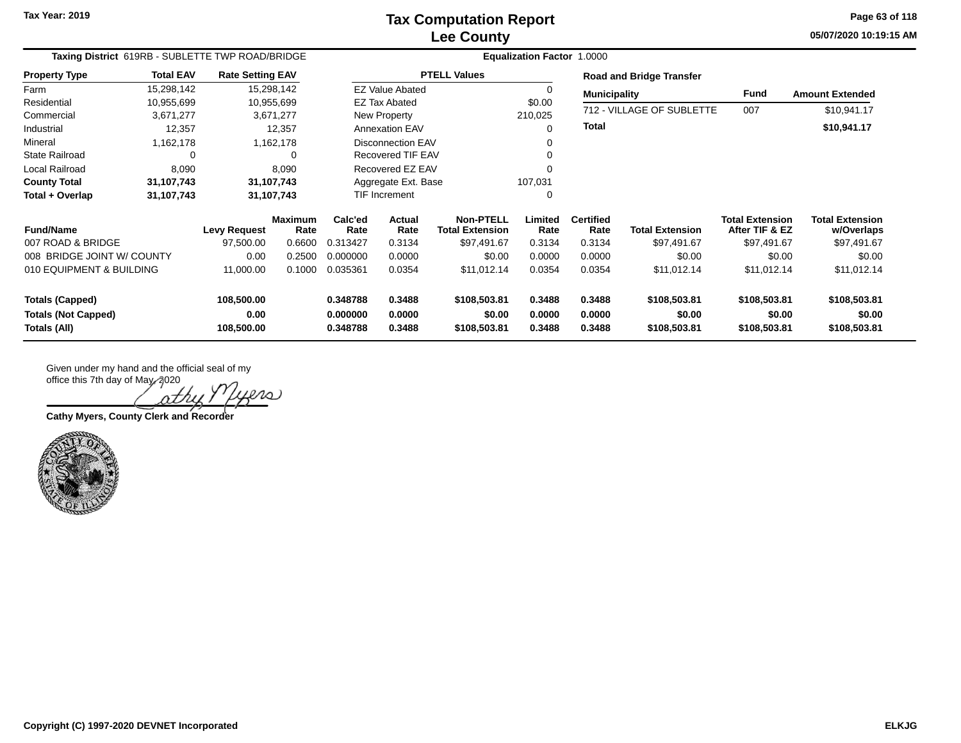**05/07/2020 10:19:15 AM Page 63 of 118**

| Taxing District 619RB - SUBLETTE TWP ROAD/BRIDGE |                  |                         |                        | Equalization Factor 1.0000 |                          |                                            |                 |                          |                                 |                                          |                                      |  |
|--------------------------------------------------|------------------|-------------------------|------------------------|----------------------------|--------------------------|--------------------------------------------|-----------------|--------------------------|---------------------------------|------------------------------------------|--------------------------------------|--|
| <b>Property Type</b>                             | <b>Total EAV</b> | <b>Rate Setting EAV</b> |                        |                            |                          | <b>PTELL Values</b>                        |                 |                          | <b>Road and Bridge Transfer</b> |                                          |                                      |  |
| Farm                                             | 15,298,142       |                         | 15,298,142             |                            | <b>EZ Value Abated</b>   |                                            | 0               | <b>Municipality</b>      |                                 | Fund                                     | <b>Amount Extended</b>               |  |
| Residential                                      | 10,955,699       |                         | 10,955,699             |                            | EZ Tax Abated            |                                            | \$0.00          |                          | 712 - VILLAGE OF SUBLETTE       |                                          |                                      |  |
| Commercial                                       | 3,671,277        |                         | 3,671,277              |                            | New Property             |                                            | 210,025         |                          |                                 | 007                                      | \$10,941.17                          |  |
| Industrial                                       | 12,357           |                         | 12,357                 |                            | <b>Annexation EAV</b>    |                                            | 0               | <b>Total</b>             |                                 |                                          | \$10,941.17                          |  |
| Mineral                                          | 1,162,178        |                         | 1,162,178              |                            | <b>Disconnection EAV</b> |                                            |                 |                          |                                 |                                          |                                      |  |
| <b>State Railroad</b>                            | 0                |                         | $\Omega$               |                            | Recovered TIF EAV        |                                            |                 |                          |                                 |                                          |                                      |  |
| Local Railroad                                   | 8,090            |                         | 8,090                  |                            | Recovered EZ EAV         |                                            |                 |                          |                                 |                                          |                                      |  |
| <b>County Total</b>                              | 31,107,743       |                         | 31,107,743             |                            | Aggregate Ext. Base      |                                            | 107,031         |                          |                                 |                                          |                                      |  |
| Total + Overlap                                  | 31,107,743       | 31,107,743              |                        | <b>TIF Increment</b><br>0  |                          |                                            |                 |                          |                                 |                                          |                                      |  |
| <b>Fund/Name</b>                                 |                  | <b>Levy Request</b>     | <b>Maximum</b><br>Rate | Calc'ed<br>Rate            | <b>Actual</b><br>Rate    | <b>Non-PTELL</b><br><b>Total Extension</b> | Limited<br>Rate | <b>Certified</b><br>Rate | <b>Total Extension</b>          | <b>Total Extension</b><br>After TIF & EZ | <b>Total Extension</b><br>w/Overlaps |  |
| 007 ROAD & BRIDGE                                |                  | 97,500.00               | 0.6600                 | 0.313427                   | 0.3134                   | \$97,491.67                                | 0.3134          | 0.3134                   | \$97,491.67                     | \$97,491.67                              | \$97,491.67                          |  |
| 008 BRIDGE JOINT W/ COUNTY                       |                  | 0.00                    | 0.2500                 | 0.000000                   | 0.0000                   | \$0.00                                     | 0.0000          | 0.0000                   | \$0.00                          | \$0.00                                   | \$0.00                               |  |
| 010 EQUIPMENT & BUILDING                         |                  | 11,000.00               | 0.1000                 | 0.035361                   | 0.0354                   | \$11,012.14                                | 0.0354          | 0.0354                   | \$11,012.14                     | \$11,012.14                              | \$11,012.14                          |  |
| <b>Totals (Capped)</b>                           |                  | 108,500.00              |                        | 0.348788                   | 0.3488                   | \$108,503.81                               | 0.3488          | 0.3488                   | \$108,503.81                    | \$108,503.81                             | \$108,503.81                         |  |
| <b>Totals (Not Capped)</b>                       |                  | 0.00                    |                        | 0.000000                   | 0.0000                   | \$0.00                                     | 0.0000          | 0.0000                   | \$0.00                          | \$0.00                                   | \$0.00                               |  |
| Totals (All)                                     |                  | 108,500.00              |                        | 0.348788                   | 0.3488                   | \$108,503.81                               | 0.3488          | 0.3488                   | \$108,503.81                    | \$108,503.81                             | \$108,503.81                         |  |

ers **Cathy Myers, County Clerk and Recorder**

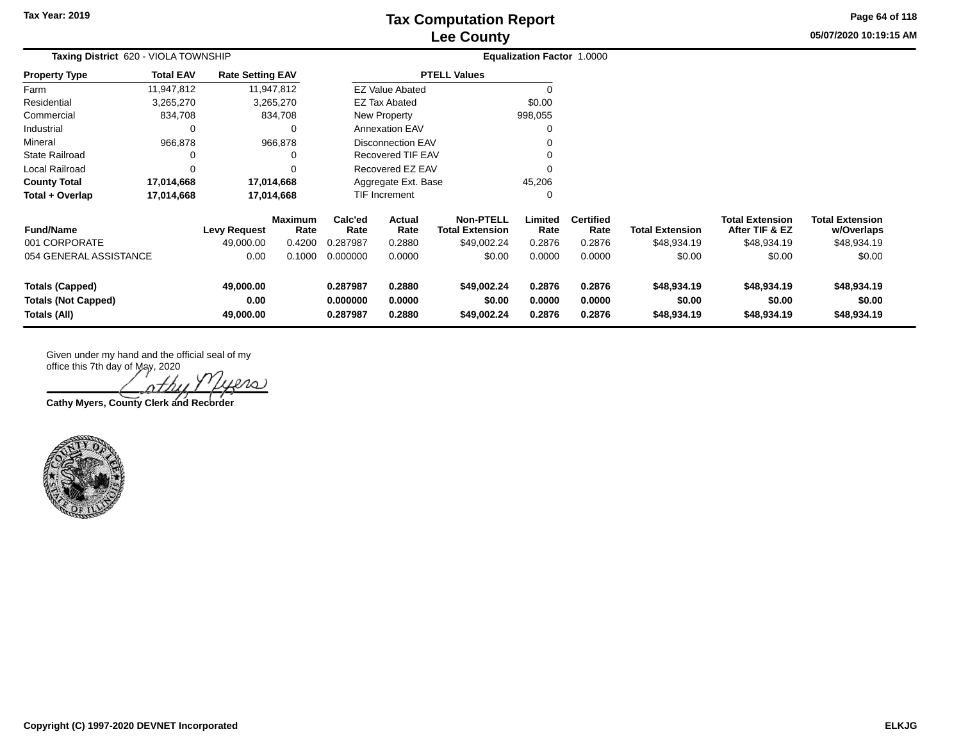**05/07/2020 10:19:15 AM Page 64 of 118**

|                                                                      | Taxing District 620 - VIOLA TOWNSHIP |                                |                        |                                  |                                               | <b>Equalization Factor 1.0000</b>          |                            |                            |                                      |                                          |                                      |  |
|----------------------------------------------------------------------|--------------------------------------|--------------------------------|------------------------|----------------------------------|-----------------------------------------------|--------------------------------------------|----------------------------|----------------------------|--------------------------------------|------------------------------------------|--------------------------------------|--|
| <b>Property Type</b>                                                 | <b>Total EAV</b>                     | <b>Rate Setting EAV</b>        |                        |                                  |                                               | <b>PTELL Values</b>                        |                            |                            |                                      |                                          |                                      |  |
| Farm                                                                 | 11,947,812                           |                                | 11,947,812             |                                  | <b>EZ Value Abated</b>                        |                                            |                            |                            |                                      |                                          |                                      |  |
| Residential                                                          | 3,265,270                            |                                | 3,265,270              |                                  | <b>EZ Tax Abated</b>                          |                                            | \$0.00                     |                            |                                      |                                          |                                      |  |
| Commercial                                                           | 834,708                              |                                | 834,708                |                                  | New Property                                  |                                            | 998,055                    |                            |                                      |                                          |                                      |  |
| Industrial                                                           | 0                                    |                                |                        |                                  | <b>Annexation EAV</b>                         |                                            | 0                          |                            |                                      |                                          |                                      |  |
| Mineral                                                              | 966,878                              |                                | 966,878                |                                  | <b>Disconnection EAV</b><br>Recovered TIF EAV |                                            |                            |                            |                                      |                                          |                                      |  |
| <b>State Railroad</b>                                                |                                      |                                |                        |                                  |                                               |                                            |                            |                            |                                      |                                          |                                      |  |
| Local Railroad                                                       | $\Omega$                             |                                |                        | Recovered EZ EAV                 |                                               |                                            |                            |                            |                                      |                                          |                                      |  |
| <b>County Total</b>                                                  | 17,014,668                           |                                | 17,014,668             | Aggregate Ext. Base              |                                               |                                            | 45,206                     |                            |                                      |                                          |                                      |  |
| Total + Overlap                                                      | 17,014,668                           |                                | 17,014,668             |                                  | TIF Increment                                 |                                            | 0                          |                            |                                      |                                          |                                      |  |
| <b>Fund/Name</b>                                                     |                                      | <b>Levy Request</b>            | <b>Maximum</b><br>Rate | Calc'ed<br>Rate                  | Actual<br>Rate                                | <b>Non-PTELL</b><br><b>Total Extension</b> | Limited<br>Rate            | <b>Certified</b><br>Rate   | <b>Total Extension</b>               | <b>Total Extension</b><br>After TIF & EZ | <b>Total Extension</b><br>w/Overlaps |  |
| 001 CORPORATE                                                        |                                      | 49,000.00                      | 0.4200                 | 0.287987                         | 0.2880                                        | \$49,002.24                                | 0.2876                     | 0.2876                     | \$48,934.19                          | \$48,934.19                              | \$48,934.19                          |  |
| 054 GENERAL ASSISTANCE                                               |                                      | 0.00                           | 0.1000                 | 0.000000                         | 0.0000                                        | \$0.00                                     | 0.0000                     | 0.0000                     | \$0.00                               | \$0.00                                   | \$0.00                               |  |
| <b>Totals (Capped)</b><br><b>Totals (Not Capped)</b><br>Totals (All) |                                      | 49,000.00<br>0.00<br>49,000.00 |                        | 0.287987<br>0.000000<br>0.287987 | 0.2880<br>0.0000<br>0.2880                    | \$49,002.24<br>\$0.00<br>\$49,002.24       | 0.2876<br>0.0000<br>0.2876 | 0.2876<br>0.0000<br>0.2876 | \$48,934.19<br>\$0.00<br>\$48,934.19 | \$48,934.19<br>\$0.00<br>\$48,934.19     | \$48,934.19<br>\$0.00<br>\$48,934.19 |  |

20 Λ7

**Cathy Myers, County Clerk and Recorder**

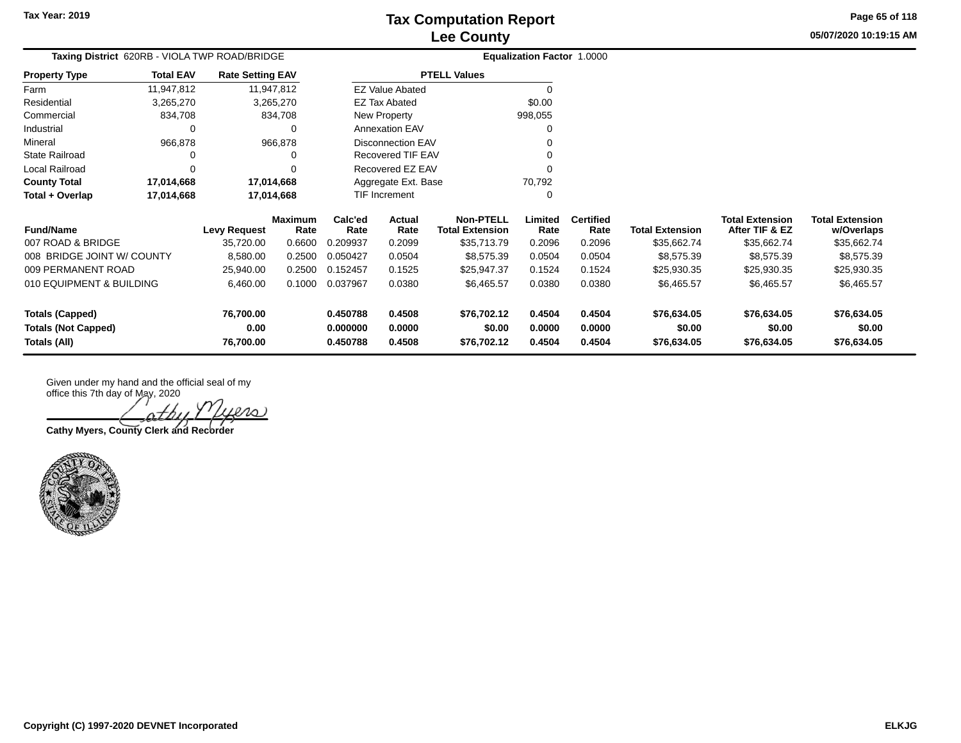**Totals (Capped) 76,700.00 0.450788 0.4508 \$76,702.12 0.4504 0.4504 \$76,634.05 \$76,634.05 \$76,634.05 Totals (Not Capped) 0.00 0.000000 0.0000 \$0.00 0.0000 0.0000 \$0.00 \$0.00 \$0.00 Totals (All) 76,700.00 0.450788 0.4508 \$76,702.12 0.4504 0.4504 \$76,634.05 \$76,634.05 \$76,634.05**

**05/07/2020 10:19:15 AMPage 65 of 118**

| Taxing District 620RB - VIOLA TWP ROAD/BRIDGE |                         |                 |                 | <b>Equalization Factor 1.0000</b> |                                            |                 |                          |                        |                                          |                                      |
|-----------------------------------------------|-------------------------|-----------------|-----------------|-----------------------------------|--------------------------------------------|-----------------|--------------------------|------------------------|------------------------------------------|--------------------------------------|
| <b>Total EAV</b><br>Property Type             | <b>Rate Setting EAV</b> |                 |                 |                                   | <b>PTELL Values</b>                        |                 |                          |                        |                                          |                                      |
| Farm<br>11,947,812                            |                         | 11,947,812      |                 | <b>EZ Value Abated</b>            |                                            |                 |                          |                        |                                          |                                      |
| Residential<br>3,265,270                      |                         | 3,265,270       |                 | EZ Tax Abated                     |                                            | \$0.00          |                          |                        |                                          |                                      |
| Commercial<br>834,708                         |                         | 834,708         |                 | New Property                      |                                            | 998,055         |                          |                        |                                          |                                      |
| Industrial<br>0                               |                         | 0               |                 | <b>Annexation EAV</b>             |                                            |                 |                          |                        |                                          |                                      |
| Mineral<br>966,878                            |                         | 966,878         |                 | <b>Disconnection EAV</b>          |                                            |                 |                          |                        |                                          |                                      |
| State Railroad                                |                         |                 |                 | Recovered TIF EAV                 |                                            |                 |                          |                        |                                          |                                      |
| Local Railroad<br>$\Omega$                    |                         |                 |                 | Recovered EZ EAV                  |                                            |                 |                          |                        |                                          |                                      |
| <b>County Total</b><br>17,014,668             |                         | 17,014,668      |                 | Aggregate Ext. Base               |                                            | 70,792          |                          |                        |                                          |                                      |
| 17,014,668<br>Total + Overlap                 |                         | 17,014,668      |                 | TIF Increment                     |                                            | 0               |                          |                        |                                          |                                      |
| <b>Fund/Name</b>                              | Levy Request            | Maximum<br>Rate | Calc'ed<br>Rate | Actual<br>Rate                    | <b>Non-PTELL</b><br><b>Total Extension</b> | Limited<br>Rate | <b>Certified</b><br>Rate | <b>Total Extension</b> | <b>Total Extension</b><br>After TIF & EZ | <b>Total Extension</b><br>w/Overlaps |
| 007 ROAD & BRIDGE                             | 35,720.00               | 0.6600          | 0.209937        | 0.2099                            | \$35,713.79                                | 0.2096          | 0.2096                   | \$35,662.74            | \$35,662.74                              | \$35,662.74                          |
| 008 BRIDGE JOINT W/ COUNTY                    | 8,580.00                | 0.2500          | 0.050427        | 0.0504                            | \$8,575.39                                 | 0.0504          | 0.0504                   | \$8,575.39             | \$8,575.39                               | \$8,575.39                           |
| 009 PERMANENT ROAD                            | 25,940.00               | 0.2500          | 0.152457        | 0.1525                            | \$25,947.37                                | 0.1524          | 0.1524                   | \$25,930.35            | \$25,930.35                              | \$25,930.35                          |
| 010 EQUIPMENT & BUILDING                      | 6,460.00                | 0.1000          | 0.037967        | 0.0380                            | \$6,465.57                                 | 0.0380          | 0.0380                   | \$6,465.57             | \$6,465.57                               | \$6,465.57                           |

**Cathy Myers, County Clerk and Recorder**

office this 7th day of May, 2020

Given under my hand and the official seal of my

 $\ell$ 10)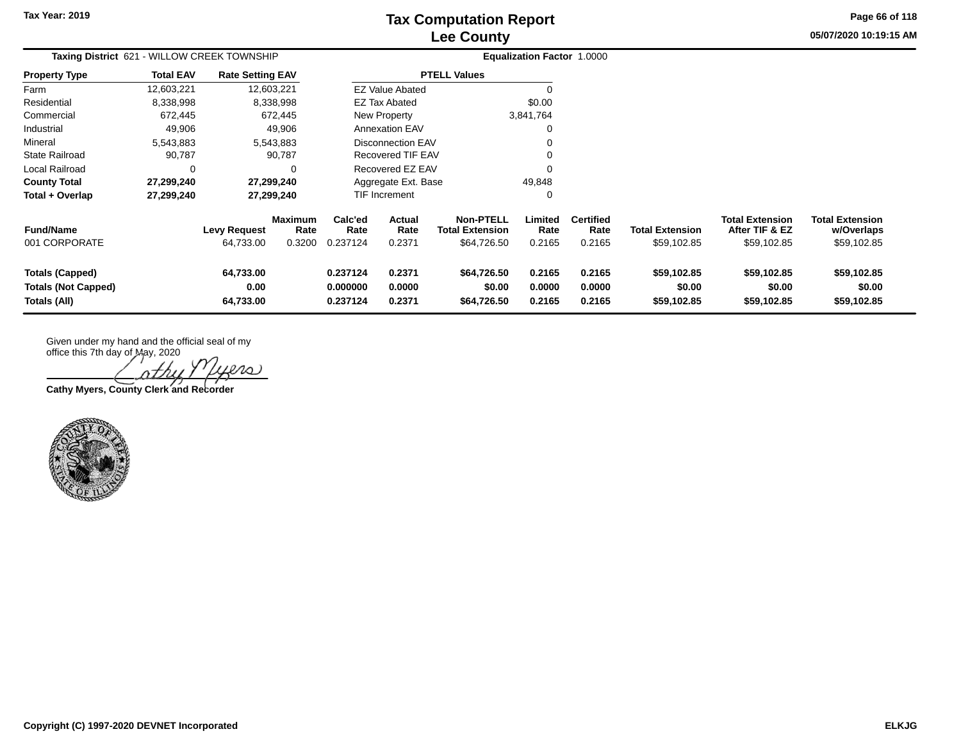**05/07/2020 10:19:15 AM Page 66 of 118**

| Taxing District 621 - WILLOW CREEK TOWNSHIP                   |                  |                                  |                                  | Equalization Factor 1.0000                           |                                |                                                           |                            |                                    |                                       |                                                  |                                                     |
|---------------------------------------------------------------|------------------|----------------------------------|----------------------------------|------------------------------------------------------|--------------------------------|-----------------------------------------------------------|----------------------------|------------------------------------|---------------------------------------|--------------------------------------------------|-----------------------------------------------------|
| <b>Property Type</b>                                          | <b>Total EAV</b> | <b>Rate Setting EAV</b>          |                                  |                                                      |                                | <b>PTELL Values</b>                                       |                            |                                    |                                       |                                                  |                                                     |
| Farm                                                          | 12,603,221       |                                  | 12,603,221                       |                                                      | <b>EZ Value Abated</b>         |                                                           |                            |                                    |                                       |                                                  |                                                     |
| Residential                                                   | 8,338,998        |                                  | 8,338,998                        |                                                      | \$0.00<br><b>EZ Tax Abated</b> |                                                           |                            |                                    |                                       |                                                  |                                                     |
| Commercial                                                    | 672,445          |                                  | 672,445                          |                                                      | New Property<br>3,841,764      |                                                           |                            |                                    |                                       |                                                  |                                                     |
| Industrial                                                    | 49,906           |                                  | 49,906                           |                                                      | <b>Annexation EAV</b>          |                                                           |                            |                                    |                                       |                                                  |                                                     |
| Mineral                                                       | 5,543,883        |                                  | 5,543,883                        | <b>Disconnection EAV</b><br><b>Recovered TIF EAV</b> |                                |                                                           |                            |                                    |                                       |                                                  |                                                     |
| <b>State Railroad</b>                                         | 90,787           |                                  | 90,787                           |                                                      |                                |                                                           |                            |                                    |                                       |                                                  |                                                     |
| Local Railroad                                                | 0                |                                  | 0                                |                                                      | Recovered EZ EAV               |                                                           |                            |                                    |                                       |                                                  |                                                     |
| <b>County Total</b>                                           | 27,299,240       |                                  | 27,299,240                       |                                                      | 49,848<br>Aggregate Ext. Base  |                                                           |                            |                                    |                                       |                                                  |                                                     |
| Total + Overlap                                               | 27,299,240       |                                  | 27,299,240                       |                                                      | TIF Increment                  |                                                           |                            |                                    |                                       |                                                  |                                                     |
| <b>Fund/Name</b><br>001 CORPORATE                             |                  | <b>Levy Request</b><br>64,733.00 | <b>Maximum</b><br>Rate<br>0.3200 | Calc'ed<br>Rate<br>0.237124                          | Actual<br>Rate<br>0.2371       | <b>Non-PTELL</b><br><b>Total Extension</b><br>\$64,726.50 | Limited<br>Rate<br>0.2165  | <b>Certified</b><br>Rate<br>0.2165 | <b>Total Extension</b><br>\$59,102.85 | Total Extension<br>After TIF & EZ<br>\$59,102.85 | <b>Total Extension</b><br>w/Overlaps<br>\$59,102.85 |
| Totals (Capped)<br><b>Totals (Not Capped)</b><br>Totals (All) |                  | 64,733.00<br>0.00<br>64,733.00   |                                  | 0.237124<br>0.000000<br>0.237124                     | 0.2371<br>0.0000<br>0.2371     | \$64,726.50<br>\$0.00<br>\$64,726.50                      | 0.2165<br>0.0000<br>0.2165 | 0.2165<br>0.0000<br>0.2165         | \$59,102.85<br>\$0.00<br>\$59,102.85  | \$59,102.85<br>\$0.00<br>\$59,102.85             | \$59,102.85<br>\$0.00<br>\$59,102.85                |

Given under my hand and the official seal of my

office this 7th day of May, 2020 ers

**Cathy Myers, County Clerk and Recorder**

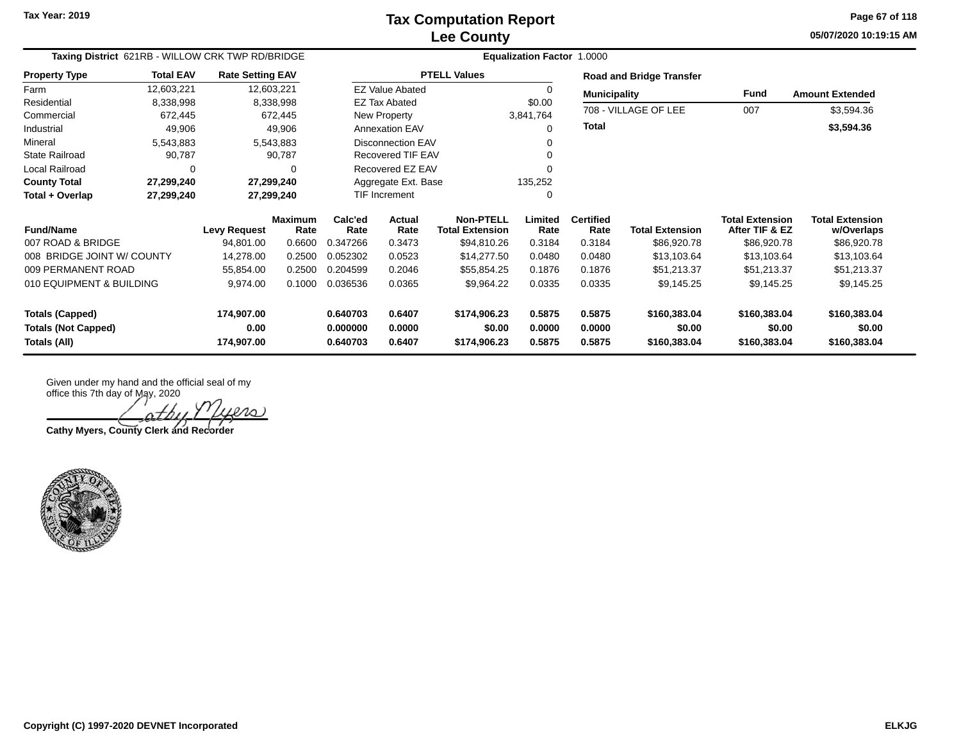**05/07/2020 10:19:15 AM Page 67 of 118**

| Taxing District 621RB - WILLOW CRK TWP RD/BRIDGE | <b>Equalization Factor 1.0000</b> |                         |                 |                     |                          |                                            |                 |                          |                                 |                                          |                                      |
|--------------------------------------------------|-----------------------------------|-------------------------|-----------------|---------------------|--------------------------|--------------------------------------------|-----------------|--------------------------|---------------------------------|------------------------------------------|--------------------------------------|
| <b>Property Type</b>                             | <b>Total EAV</b>                  | <b>Rate Setting EAV</b> |                 |                     |                          | <b>PTELL Values</b>                        |                 |                          | <b>Road and Bridge Transfer</b> |                                          |                                      |
| Farm                                             | 12,603,221                        | 12,603,221              |                 |                     | <b>EZ Value Abated</b>   |                                            | $\Omega$        | <b>Municipality</b>      |                                 | <b>Fund</b>                              | <b>Amount Extended</b>               |
| Residential                                      | 8,338,998                         |                         | 8,338,998       |                     | <b>EZ Tax Abated</b>     |                                            | \$0.00          |                          | 708 - VILLAGE OF LEE            |                                          |                                      |
| Commercial                                       | 672,445                           |                         | 672,445         |                     | New Property             |                                            | 3,841,764       |                          |                                 | 007                                      | \$3,594.36                           |
| Industrial                                       | 49,906                            |                         | 49,906          |                     | <b>Annexation EAV</b>    |                                            |                 | <b>Total</b>             |                                 |                                          | \$3,594.36                           |
| Mineral                                          | 5,543,883                         |                         | 5,543,883       |                     | <b>Disconnection EAV</b> |                                            |                 |                          |                                 |                                          |                                      |
| <b>State Railroad</b>                            | 90,787                            |                         | 90,787          |                     | Recovered TIF EAV        |                                            |                 |                          |                                 |                                          |                                      |
| Local Railroad                                   | 0                                 |                         | 0               |                     | Recovered EZ EAV         |                                            |                 |                          |                                 |                                          |                                      |
| <b>County Total</b>                              | 27,299,240                        |                         | 27,299,240      | Aggregate Ext. Base |                          |                                            | 135,252         |                          |                                 |                                          |                                      |
| Total + Overlap                                  | 27,299,240                        |                         | 27,299,240      | TIF Increment       |                          |                                            | 0               |                          |                                 |                                          |                                      |
| <b>Fund/Name</b>                                 |                                   | <b>Levy Request</b>     | Maximum<br>Rate | Calc'ed<br>Rate     | Actual<br>Rate           | <b>Non-PTELL</b><br><b>Total Extension</b> | Limited<br>Rate | <b>Certified</b><br>Rate | <b>Total Extension</b>          | <b>Total Extension</b><br>After TIF & EZ | <b>Total Extension</b><br>w/Overlaps |
| 007 ROAD & BRIDGE                                |                                   | 94,801.00               | 0.6600          | 0.347266            | 0.3473                   | \$94,810.26                                | 0.3184          | 0.3184                   | \$86,920.78                     | \$86,920.78                              | \$86,920.78                          |
| 008 BRIDGE JOINT W/ COUNTY                       |                                   | 14,278.00               | 0.2500          | 0.052302            | 0.0523                   | \$14,277.50                                | 0.0480          | 0.0480                   | \$13,103.64                     | \$13,103.64                              | \$13,103.64                          |
| 009 PERMANENT ROAD                               |                                   | 55,854.00               | 0.2500          | 0.204599            | 0.2046                   | \$55,854.25                                | 0.1876          | 0.1876                   | \$51,213.37                     | \$51,213.37                              | \$51,213.37                          |
| 010 EQUIPMENT & BUILDING                         |                                   | 9,974.00                | 0.1000          | 0.036536            | 0.0365                   | \$9,964.22                                 | 0.0335          | 0.0335                   | \$9,145.25                      | \$9,145.25                               | \$9,145.25                           |
| <b>Totals (Capped)</b>                           |                                   | 174,907.00              |                 | 0.640703            | 0.6407                   | \$174,906.23                               | 0.5875          | 0.5875                   | \$160,383.04                    | \$160,383.04                             | \$160,383.04                         |
| <b>Totals (Not Capped)</b>                       |                                   | 0.00                    |                 | 0.000000            | 0.0000                   | \$0.00                                     | 0.0000          | 0.0000                   | \$0.00                          | \$0.00                                   | \$0.00                               |
| Totals (All)                                     |                                   | 174,907.00              |                 | 0.640703            | 0.6407                   | \$174,906.23                               | 0.5875          | 0.5875                   | \$160,383.04                    | \$160,383.04                             | \$160,383.04                         |

 $P$  $O$ )

**Cathy Myers, County Clerk and Recorder**

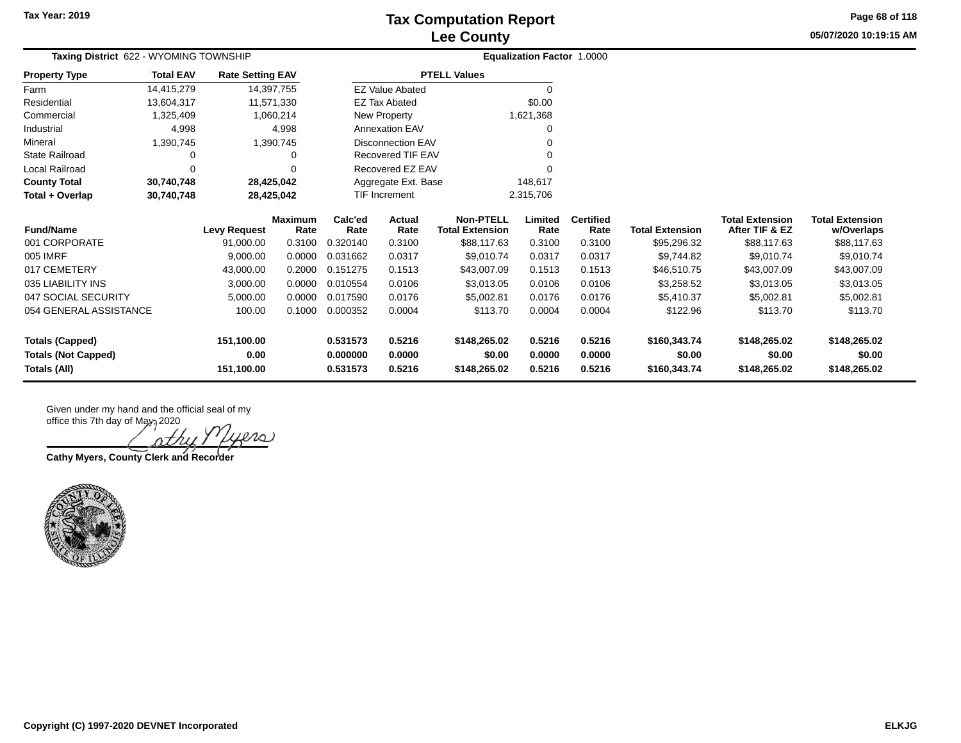**05/07/2020 10:19:15 AM Page 68 of 118**

| Taxing District 622 - WYOMING TOWNSHIP |                  |                         |                        | <b>Equalization Factor 1.0000</b> |                          |                                            |                 |                          |                        |                                          |                                      |
|----------------------------------------|------------------|-------------------------|------------------------|-----------------------------------|--------------------------|--------------------------------------------|-----------------|--------------------------|------------------------|------------------------------------------|--------------------------------------|
| <b>Property Type</b>                   | <b>Total EAV</b> | <b>Rate Setting EAV</b> |                        |                                   |                          | <b>PTELL Values</b>                        |                 |                          |                        |                                          |                                      |
| Farm                                   | 14,415,279       |                         | 14,397,755             |                                   | <b>EZ Value Abated</b>   |                                            | $\Omega$        |                          |                        |                                          |                                      |
| Residential                            | 13,604,317       |                         | 11,571,330             |                                   | <b>EZ Tax Abated</b>     |                                            | \$0.00          |                          |                        |                                          |                                      |
| Commercial                             | 1,325,409        |                         | 1,060,214              |                                   | New Property             |                                            | 1,621,368       |                          |                        |                                          |                                      |
| Industrial                             | 4,998            |                         | 4,998                  |                                   | <b>Annexation EAV</b>    |                                            |                 |                          |                        |                                          |                                      |
| Mineral                                | 1,390,745        |                         | 1,390,745              |                                   | <b>Disconnection EAV</b> |                                            |                 |                          |                        |                                          |                                      |
| <b>State Railroad</b>                  | 0                |                         | 0                      |                                   | <b>Recovered TIF EAV</b> |                                            |                 |                          |                        |                                          |                                      |
| Local Railroad                         | $\Omega$         |                         | U                      |                                   | Recovered EZ EAV         |                                            |                 |                          |                        |                                          |                                      |
| <b>County Total</b>                    | 30,740,748       |                         | 28,425,042             |                                   | Aggregate Ext. Base      |                                            | 148,617         |                          |                        |                                          |                                      |
| Total + Overlap                        | 30,740,748       |                         | 28,425,042             |                                   | <b>TIF Increment</b>     |                                            | 2,315,706       |                          |                        |                                          |                                      |
| <b>Fund/Name</b>                       |                  | <b>Levy Request</b>     | <b>Maximum</b><br>Rate | Calc'ed<br>Rate                   | <b>Actual</b><br>Rate    | <b>Non-PTELL</b><br><b>Total Extension</b> | Limited<br>Rate | <b>Certified</b><br>Rate | <b>Total Extension</b> | <b>Total Extension</b><br>After TIF & EZ | <b>Total Extension</b><br>w/Overlaps |
| 001 CORPORATE                          |                  | 91.000.00               | 0.3100                 | 0.320140                          | 0.3100                   | \$88,117.63                                | 0.3100          | 0.3100                   | \$95,296.32            | \$88,117.63                              | \$88,117.63                          |
| 005 IMRF                               |                  | 9,000.00                | 0.0000                 | 0.031662                          | 0.0317                   | \$9,010.74                                 | 0.0317          | 0.0317                   | \$9,744.82             | \$9,010.74                               | \$9,010.74                           |
| 017 CEMETERY                           |                  | 43,000.00               | 0.2000                 | 0.151275                          | 0.1513                   | \$43,007.09                                | 0.1513          | 0.1513                   | \$46,510.75            | \$43,007.09                              | \$43,007.09                          |
| 035 LIABILITY INS                      |                  | 3,000.00                | 0.0000                 | 0.010554                          | 0.0106                   | \$3,013.05                                 | 0.0106          | 0.0106                   | \$3,258.52             | \$3,013.05                               | \$3,013.05                           |
| 047 SOCIAL SECURITY                    |                  | 5,000.00                | 0.0000                 | 0.017590                          | 0.0176                   | \$5,002.81                                 | 0.0176          | 0.0176                   | \$5,410.37             | \$5,002.81                               | \$5,002.81                           |
| 054 GENERAL ASSISTANCE                 |                  | 100.00                  | 0.1000                 | 0.000352                          | 0.0004                   | \$113.70                                   | 0.0004          | 0.0004                   | \$122.96               | \$113.70                                 | \$113.70                             |
| <b>Totals (Capped)</b>                 |                  | 151,100.00              |                        | 0.531573                          | 0.5216                   | \$148,265.02                               | 0.5216          | 0.5216                   | \$160,343.74           | \$148,265.02                             | \$148,265.02                         |
| <b>Totals (Not Capped)</b>             |                  | 0.00                    |                        | 0.000000                          | 0.0000                   | \$0.00                                     | 0.0000          | 0.0000                   | \$0.00                 | \$0.00                                   | \$0.00                               |
| Totals (All)                           |                  | 151,100.00              |                        | 0.531573                          | 0.5216                   | \$148,265.02                               | 0.5216          | 0.5216                   | \$160,343.74           | \$148,265.02                             | \$148,265.02                         |

Given under my hand and the official seal of my office this 7th day of May, 2020

**Cathy Myers, County Clerk and Recorder**

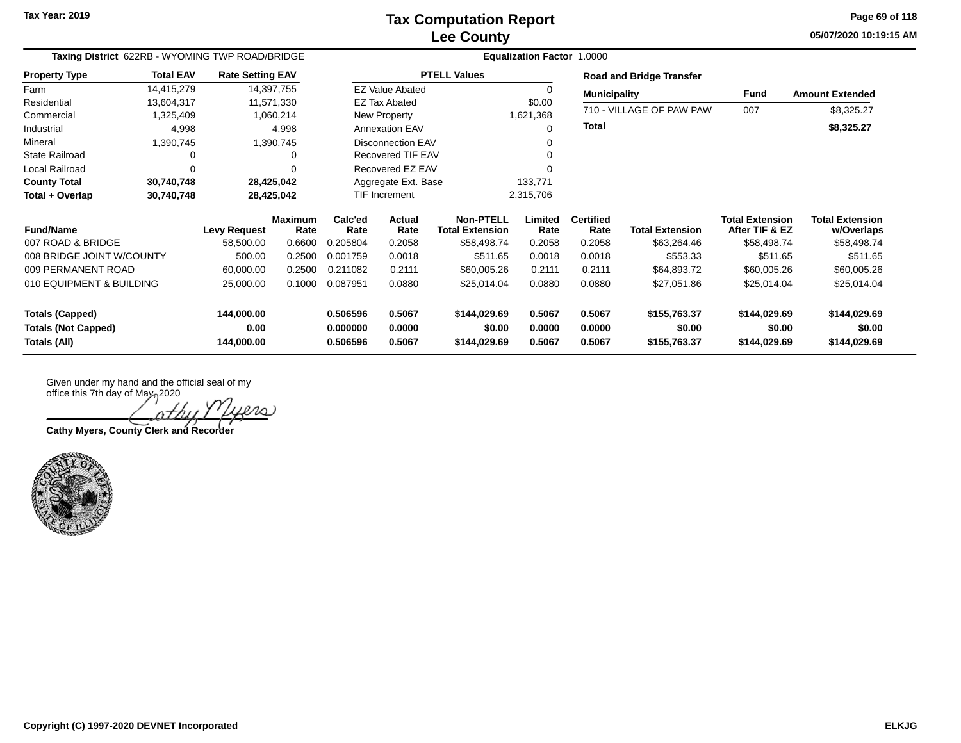**05/07/2020 10:19:15 AM Page 69 of 118**

| Taxing District 622RB - WYOMING TWP ROAD/BRIDGE |                  |                         |                 | Equalization Factor 1.0000 |                          |                                            |                 |                          |                                 |                                          |                                      |  |
|-------------------------------------------------|------------------|-------------------------|-----------------|----------------------------|--------------------------|--------------------------------------------|-----------------|--------------------------|---------------------------------|------------------------------------------|--------------------------------------|--|
| <b>Property Type</b>                            | <b>Total EAV</b> | <b>Rate Setting EAV</b> |                 |                            |                          | <b>PTELL Values</b>                        |                 |                          | <b>Road and Bridge Transfer</b> |                                          |                                      |  |
| Farm                                            | 14,415,279       |                         | 14,397,755      |                            | <b>EZ Value Abated</b>   |                                            | 0               | <b>Municipality</b>      |                                 | Fund                                     | <b>Amount Extended</b>               |  |
| Residential                                     | 13,604,317       |                         | 11,571,330      |                            | <b>EZ Tax Abated</b>     |                                            | \$0.00          |                          | 710 - VILLAGE OF PAW PAW        | 007                                      |                                      |  |
| Commercial                                      | 1,325,409        |                         | 1,060,214       |                            | New Property             |                                            | 1,621,368       |                          |                                 |                                          | \$8,325.27                           |  |
| Industrial                                      | 4,998            |                         | 4,998           |                            | <b>Annexation EAV</b>    |                                            | 0               | <b>Total</b>             |                                 |                                          | \$8,325.27                           |  |
| Mineral                                         | 1,390,745        |                         | 1,390,745       |                            | <b>Disconnection EAV</b> |                                            |                 |                          |                                 |                                          |                                      |  |
| <b>State Railroad</b>                           | 0                |                         | 0               |                            | Recovered TIF EAV        |                                            |                 |                          |                                 |                                          |                                      |  |
| Local Railroad                                  | $\Omega$         |                         |                 |                            | Recovered EZ EAV         |                                            |                 |                          |                                 |                                          |                                      |  |
| <b>County Total</b>                             | 30,740,748       |                         | 28,425,042      |                            | Aggregate Ext. Base      |                                            | 133,771         |                          |                                 |                                          |                                      |  |
| Total + Overlap                                 | 30,740,748       |                         | 28,425,042      |                            | <b>TIF Increment</b>     |                                            | 2,315,706       |                          |                                 |                                          |                                      |  |
| <b>Fund/Name</b>                                |                  | <b>Levy Request</b>     | Maximum<br>Rate | Calc'ed<br>Rate            | Actual<br>Rate           | <b>Non-PTELL</b><br><b>Total Extension</b> | Limited<br>Rate | <b>Certified</b><br>Rate | <b>Total Extension</b>          | <b>Total Extension</b><br>After TIF & EZ | <b>Total Extension</b><br>w/Overlaps |  |
| 007 ROAD & BRIDGE                               |                  | 58,500.00               | 0.6600          | 0.205804                   | 0.2058                   | \$58,498.74                                | 0.2058          | 0.2058                   | \$63,264.46                     | \$58,498.74                              | \$58,498.74                          |  |
| 008 BRIDGE JOINT W/COUNTY                       |                  | 500.00                  | 0.2500          | 0.001759                   | 0.0018                   | \$511.65                                   | 0.0018          | 0.0018                   | \$553.33                        | \$511.65                                 | \$511.65                             |  |
| 009 PERMANENT ROAD                              |                  | 60,000.00               | 0.2500          | 0.211082                   | 0.2111                   | \$60,005.26                                | 0.2111          | 0.2111                   | \$64,893.72                     | \$60,005.26                              | \$60,005.26                          |  |
| 010 EQUIPMENT & BUILDING                        |                  | 25,000.00               | 0.1000          | 0.087951                   | 0.0880                   | \$25,014.04                                | 0.0880          | 0.0880                   | \$27,051.86                     | \$25,014.04                              | \$25,014.04                          |  |
| <b>Totals (Capped)</b>                          |                  | 144,000.00              |                 | 0.506596                   | 0.5067                   | \$144,029.69                               | 0.5067          | 0.5067                   | \$155,763.37                    | \$144,029.69                             | \$144,029.69                         |  |
| <b>Totals (Not Capped)</b>                      |                  | 0.00                    |                 | 0.000000                   | 0.0000                   | \$0.00                                     | 0.0000          | 0.0000                   | \$0.00                          | \$0.00                                   | \$0.00                               |  |
| Totals (All)                                    |                  | 144,000.00              |                 | 0.506596                   | 0.5067                   | \$144,029.69                               | 0.5067          | 0.5067                   | \$155,763.37                    | \$144,029.69                             | \$144,029.69                         |  |

 $\ell\ell\omega$ nth

**Cathy Myers, County Clerk and Recorder**

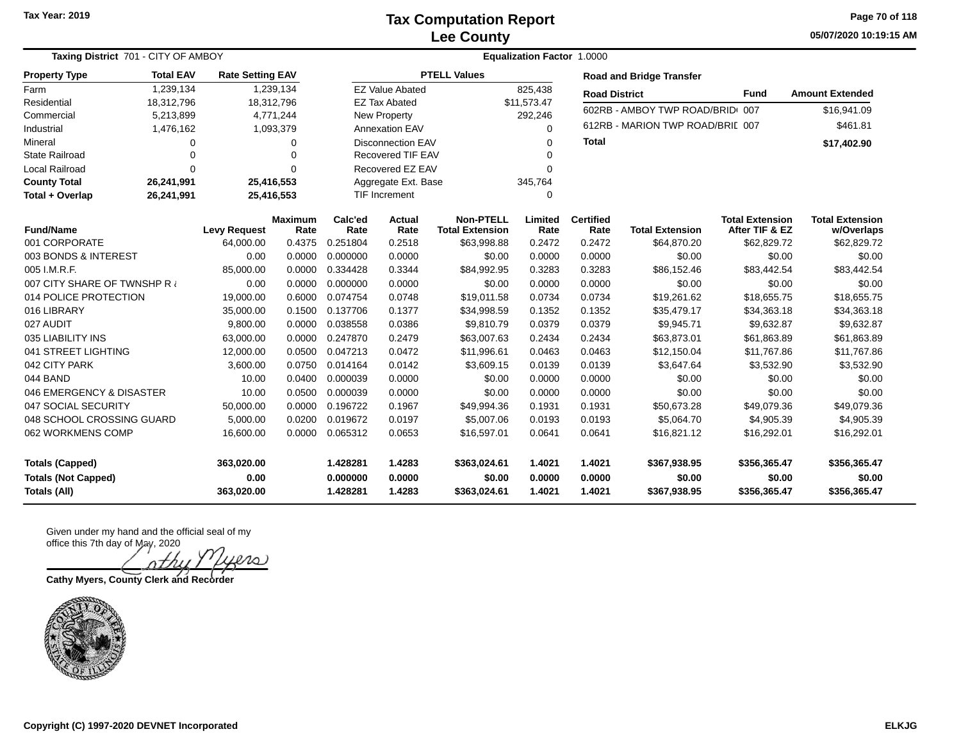**Tax Year: 2019**

#### **Lee County Tax Computation Report**

**05/07/2020 10:19:15 AM Page 70 of 118**

| Taxing District 701 - CITY OF AMBOY                                         |            | <b>Equalization Factor 1.0000</b> |                        |                                  |                            |                                            |                            |                            |                                        |                                          |                                        |
|-----------------------------------------------------------------------------|------------|-----------------------------------|------------------------|----------------------------------|----------------------------|--------------------------------------------|----------------------------|----------------------------|----------------------------------------|------------------------------------------|----------------------------------------|
| <b>Total EAV</b><br><b>Property Type</b><br>1,239,134                       |            | <b>Rate Setting EAV</b>           |                        |                                  |                            | <b>PTELL Values</b>                        |                            |                            | <b>Road and Bridge Transfer</b>        |                                          |                                        |
| Farm                                                                        |            |                                   | 1,239,134              |                                  | <b>EZ Value Abated</b>     |                                            | 825,438                    | <b>Road District</b>       |                                        | <b>Fund</b>                              | <b>Amount Extended</b>                 |
| Residential                                                                 | 18,312,796 |                                   | 18,312,796             |                                  | <b>EZ Tax Abated</b>       |                                            | \$11,573.47                |                            | 602RB - AMBOY TWP ROAD/BRID 007        |                                          | \$16,941.09                            |
| Commercial                                                                  | 5,213,899  |                                   | 4,771,244              |                                  | New Property               |                                            | 292,246                    |                            |                                        |                                          |                                        |
| Industrial                                                                  | 1,476,162  |                                   | 1,093,379              |                                  | <b>Annexation EAV</b>      |                                            | $\Omega$                   |                            | 612RB - MARION TWP ROAD/BRIL 007       |                                          | \$461.81                               |
| Mineral                                                                     | $\Omega$   |                                   | 0                      |                                  | <b>Disconnection EAV</b>   |                                            |                            | <b>Total</b>               |                                        |                                          | \$17,402.90                            |
| <b>State Railroad</b>                                                       | $\Omega$   |                                   | $\Omega$               |                                  | Recovered TIF EAV          |                                            |                            |                            |                                        |                                          |                                        |
| Local Railroad                                                              | $\Omega$   |                                   | $\Omega$               |                                  | Recovered EZ EAV           |                                            | $\Omega$                   |                            |                                        |                                          |                                        |
| <b>County Total</b>                                                         | 26,241,991 |                                   | 25,416,553             |                                  | Aggregate Ext. Base        |                                            | 345,764                    |                            |                                        |                                          |                                        |
| Total + Overlap                                                             | 26,241,991 |                                   | 25,416,553             |                                  | <b>TIF Increment</b>       |                                            | $\Omega$                   |                            |                                        |                                          |                                        |
| <b>Fund/Name</b>                                                            |            | <b>Levy Request</b>               | <b>Maximum</b><br>Rate | Calc'ed<br>Rate                  | Actual<br>Rate             | <b>Non-PTELL</b><br><b>Total Extension</b> | Limited<br>Rate            | <b>Certified</b><br>Rate   | <b>Total Extension</b>                 | <b>Total Extension</b><br>After TIF & EZ | <b>Total Extension</b><br>w/Overlaps   |
| 001 CORPORATE                                                               |            | 64,000.00                         | 0.4375                 | 0.251804                         | 0.2518                     | \$63,998.88                                | 0.2472                     | 0.2472                     | \$64,870.20                            | \$62,829.72                              | \$62,829.72                            |
| 003 BONDS & INTEREST                                                        |            | 0.00                              | 0.0000                 | 0.000000                         | 0.0000                     | \$0.00                                     | 0.0000                     | 0.0000                     | \$0.00                                 | \$0.00                                   | \$0.00                                 |
| 005 I.M.R.F.                                                                |            | 85,000.00                         | 0.0000                 | 0.334428                         | 0.3344                     | \$84,992.95                                | 0.3283                     | 0.3283                     | \$86,152.46                            | \$83,442.54                              | \$83,442.54                            |
| 007 CITY SHARE OF TWNSHP R                                                  |            | 0.00                              | 0.0000                 | 0.000000                         | 0.0000                     | \$0.00                                     | 0.0000                     | 0.0000                     | \$0.00                                 | \$0.00                                   | \$0.00                                 |
| 014 POLICE PROTECTION                                                       |            | 19,000.00                         | 0.6000                 | 0.074754                         | 0.0748                     | \$19,011.58                                | 0.0734                     | 0.0734                     | \$19,261.62                            | \$18,655.75                              | \$18,655.75                            |
| 016 LIBRARY                                                                 |            | 35,000.00                         | 0.1500                 | 0.137706                         | 0.1377                     | \$34,998.59                                | 0.1352                     | 0.1352                     | \$35,479.17                            | \$34,363.18                              | \$34,363.18                            |
| 027 AUDIT                                                                   |            | 9,800.00                          | 0.0000                 | 0.038558                         | 0.0386                     | \$9,810.79                                 | 0.0379                     | 0.0379                     | \$9,945.71                             | \$9,632.87                               | \$9,632.87                             |
| 035 LIABILITY INS                                                           |            | 63,000.00                         | 0.0000                 | 0.247870                         | 0.2479                     | \$63,007.63                                | 0.2434                     | 0.2434                     | \$63,873.01                            | \$61,863.89                              | \$61,863.89                            |
| 041 STREET LIGHTING                                                         |            | 12,000.00                         | 0.0500                 | 0.047213                         | 0.0472                     | \$11,996.61                                | 0.0463                     | 0.0463                     | \$12,150.04                            | \$11,767.86                              | \$11,767.86                            |
| 042 CITY PARK                                                               |            | 3,600.00                          | 0.0750                 | 0.014164                         | 0.0142                     | \$3,609.15                                 | 0.0139                     | 0.0139                     | \$3,647.64                             | \$3,532.90                               | \$3,532.90                             |
| 044 BAND                                                                    |            | 10.00                             | 0.0400                 | 0.000039                         | 0.0000                     | \$0.00                                     | 0.0000                     | 0.0000                     | \$0.00                                 | \$0.00                                   | \$0.00                                 |
| 046 EMERGENCY & DISASTER                                                    |            | 10.00                             | 0.0500                 | 0.000039                         | 0.0000                     | \$0.00                                     | 0.0000                     | 0.0000                     | \$0.00                                 | \$0.00                                   | \$0.00                                 |
| 047 SOCIAL SECURITY                                                         |            | 50,000.00                         | 0.0000                 | 0.196722                         | 0.1967                     | \$49,994.36                                | 0.1931                     | 0.1931                     | \$50,673.28                            | \$49,079.36                              | \$49,079.36                            |
| 048 SCHOOL CROSSING GUARD                                                   |            | 5,000.00                          | 0.0200                 | 0.019672                         | 0.0197                     | \$5,007.06                                 | 0.0193                     | 0.0193                     | \$5,064.70                             | \$4,905.39                               | \$4,905.39                             |
| 062 WORKMENS COMP                                                           |            | 16,600.00                         | 0.0000                 | 0.065312                         | 0.0653                     | \$16,597.01                                | 0.0641                     | 0.0641                     | \$16,821.12                            | \$16,292.01                              | \$16,292.01                            |
| <b>Totals (Capped)</b><br><b>Totals (Not Capped)</b><br><b>Totals (All)</b> |            | 363,020.00<br>0.00<br>363,020.00  |                        | 1.428281<br>0.000000<br>1.428281 | 1.4283<br>0.0000<br>1.4283 | \$363,024.61<br>\$0.00<br>\$363,024.61     | 1.4021<br>0.0000<br>1.4021 | 1.4021<br>0.0000<br>1.4021 | \$367,938.95<br>\$0.00<br>\$367,938.95 | \$356,365.47<br>\$0.00<br>\$356,365.47   | \$356,365.47<br>\$0.00<br>\$356,365.47 |

Given under my hand and the official seal of my office this 7th day of May, 2020

 $\Omega$ . nthi

**Cathy Myers, County Clerk and Recorder**

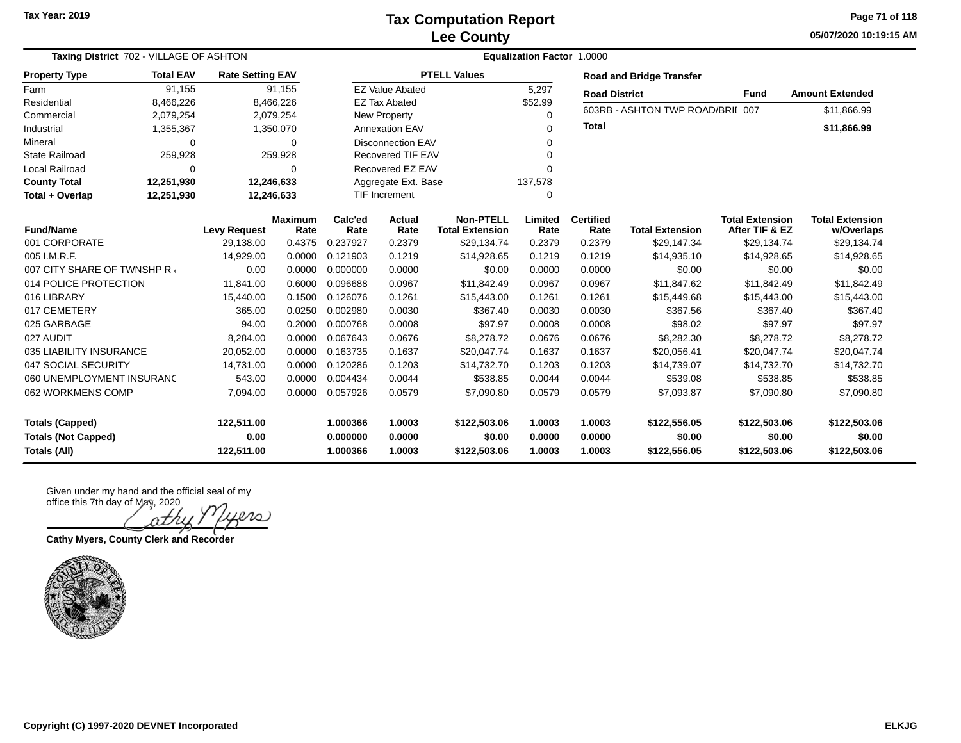**05/07/2020 10:19:15 AM Page 71 of 118**

| Taxing District 702 - VILLAGE OF ASHTON    | <b>Equalization Factor 1.0000</b> |                         |                        |                      |                                      |                                            |                  |                          |                                  |                                          |                                      |
|--------------------------------------------|-----------------------------------|-------------------------|------------------------|----------------------|--------------------------------------|--------------------------------------------|------------------|--------------------------|----------------------------------|------------------------------------------|--------------------------------------|
| <b>Property Type</b>                       | <b>Total EAV</b>                  | <b>Rate Setting EAV</b> |                        |                      |                                      | <b>PTELL Values</b>                        |                  |                          | <b>Road and Bridge Transfer</b>  |                                          |                                      |
| Farm                                       | 91,155                            |                         | 91,155                 |                      | <b>EZ Value Abated</b>               |                                            | 5,297            | <b>Road District</b>     |                                  | <b>Fund</b>                              | <b>Amount Extended</b>               |
| Residential                                | 8,466,226                         |                         | 8,466,226              |                      | <b>EZ Tax Abated</b>                 |                                            | \$52.99          |                          | 603RB - ASHTON TWP ROAD/BRII 007 |                                          | \$11,866.99                          |
| Commercial                                 | 2,079,254                         |                         | 2,079,254              |                      | New Property                         |                                            | $\Omega$         |                          |                                  |                                          |                                      |
| Industrial                                 | 1,355,367                         |                         | 1,350,070              |                      | <b>Annexation EAV</b>                |                                            | $\Omega$         | <b>Total</b>             |                                  |                                          | \$11,866.99                          |
| Mineral                                    | 0                                 |                         | 0                      |                      | <b>Disconnection EAV</b>             |                                            | $\Omega$         |                          |                                  |                                          |                                      |
| <b>State Railroad</b>                      | 259,928                           |                         | 259,928                |                      | <b>Recovered TIF EAV</b><br>$\Omega$ |                                            |                  |                          |                                  |                                          |                                      |
| Local Railroad                             | $\Omega$                          |                         | 0                      |                      | Recovered EZ EAV<br>$\Omega$         |                                            |                  |                          |                                  |                                          |                                      |
| <b>County Total</b>                        | 12,251,930                        |                         | 12,246,633             |                      | Aggregate Ext. Base                  |                                            | 137,578          |                          |                                  |                                          |                                      |
| Total + Overlap                            | 12,251,930                        |                         | 12,246,633             |                      | <b>TIF Increment</b><br>0            |                                            |                  |                          |                                  |                                          |                                      |
| <b>Fund/Name</b>                           |                                   | <b>Levy Request</b>     | <b>Maximum</b><br>Rate | Calc'ed<br>Rate      | Actual<br>Rate                       | <b>Non-PTELL</b><br><b>Total Extension</b> | Limited<br>Rate  | <b>Certified</b><br>Rate | <b>Total Extension</b>           | <b>Total Extension</b><br>After TIF & EZ | <b>Total Extension</b><br>w/Overlaps |
| 001 CORPORATE                              |                                   | 29,138.00               | 0.4375                 | 0.237927             | 0.2379                               | \$29,134.74                                | 0.2379           | 0.2379                   | \$29,147.34                      | \$29,134.74                              | \$29,134.74                          |
| 005 I.M.R.F.                               |                                   | 14,929.00               | 0.0000                 | 0.121903             | 0.1219                               | \$14,928.65                                | 0.1219           | 0.1219                   | \$14,935.10                      | \$14,928.65                              | \$14,928.65                          |
| 007 CITY SHARE OF TWNSHP R                 |                                   | 0.00                    | 0.0000                 | 0.000000             | 0.0000                               | \$0.00                                     | 0.0000           | 0.0000                   | \$0.00                           | \$0.00                                   | \$0.00                               |
| 014 POLICE PROTECTION                      |                                   | 11,841.00               | 0.6000                 | 0.096688             | 0.0967                               | \$11,842.49                                | 0.0967           | 0.0967                   | \$11,847.62                      | \$11,842.49                              | \$11,842.49                          |
| 016 LIBRARY                                |                                   | 15,440.00               | 0.1500                 | 0.126076             | 0.1261                               | \$15,443.00                                | 0.1261           | 0.1261                   | \$15,449.68                      | \$15,443.00                              | \$15,443.00                          |
| 017 CEMETERY                               |                                   | 365.00                  | 0.0250                 | 0.002980             | 0.0030                               | \$367.40                                   | 0.0030           | 0.0030                   | \$367.56                         | \$367.40                                 | \$367.40                             |
| 025 GARBAGE                                |                                   | 94.00                   | 0.2000                 | 0.000768             | 0.0008                               | \$97.97                                    | 0.0008           | 0.0008                   | \$98.02                          | \$97.97                                  | \$97.97                              |
| 027 AUDIT                                  |                                   | 8,284.00                | 0.0000                 | 0.067643             | 0.0676                               | \$8,278.72                                 | 0.0676           | 0.0676                   | \$8,282.30                       | \$8,278.72                               | \$8,278.72                           |
| 035 LIABILITY INSURANCE                    |                                   | 20,052.00               | 0.0000                 | 0.163735             | 0.1637                               | \$20,047.74                                | 0.1637           | 0.1637                   | \$20,056.41                      | \$20,047.74                              | \$20,047.74                          |
| 047 SOCIAL SECURITY                        |                                   | 14,731.00               | 0.0000                 | 0.120286             | 0.1203                               | \$14,732.70                                | 0.1203           | 0.1203                   | \$14,739.07                      | \$14,732.70                              | \$14,732.70                          |
| 060 UNEMPLOYMENT INSURANC                  |                                   | 543.00                  | 0.0000                 | 0.004434             | 0.0044                               | \$538.85                                   | 0.0044           | 0.0044                   | \$539.08                         | \$538.85                                 | \$538.85                             |
| 062 WORKMENS COMP                          |                                   | 7,094.00                | 0.0000                 | 0.057926             | 0.0579                               | \$7,090.80                                 | 0.0579           | 0.0579                   | \$7,093.87                       | \$7,090.80                               | \$7,090.80                           |
| <b>Totals (Capped)</b>                     |                                   | 122,511.00              |                        | 1.000366             | 1.0003                               | \$122,503.06                               | 1.0003           | 1.0003                   | \$122,556.05                     | \$122,503.06                             | \$122,503.06                         |
| <b>Totals (Not Capped)</b><br>Totals (All) |                                   | 0.00<br>122,511.00      |                        | 0.000000<br>1.000366 | 0.0000<br>1.0003                     | \$0.00<br>\$122,503.06                     | 0.0000<br>1.0003 | 0.0000<br>1.0003         | \$0.00<br>\$122,556.05           | \$0.00<br>\$122,503.06                   | \$0.00<br>\$122,503.06               |
|                                            |                                   |                         |                        |                      |                                      |                                            |                  |                          |                                  |                                          |                                      |

**Cathy Myers, County Clerk and Recorder**

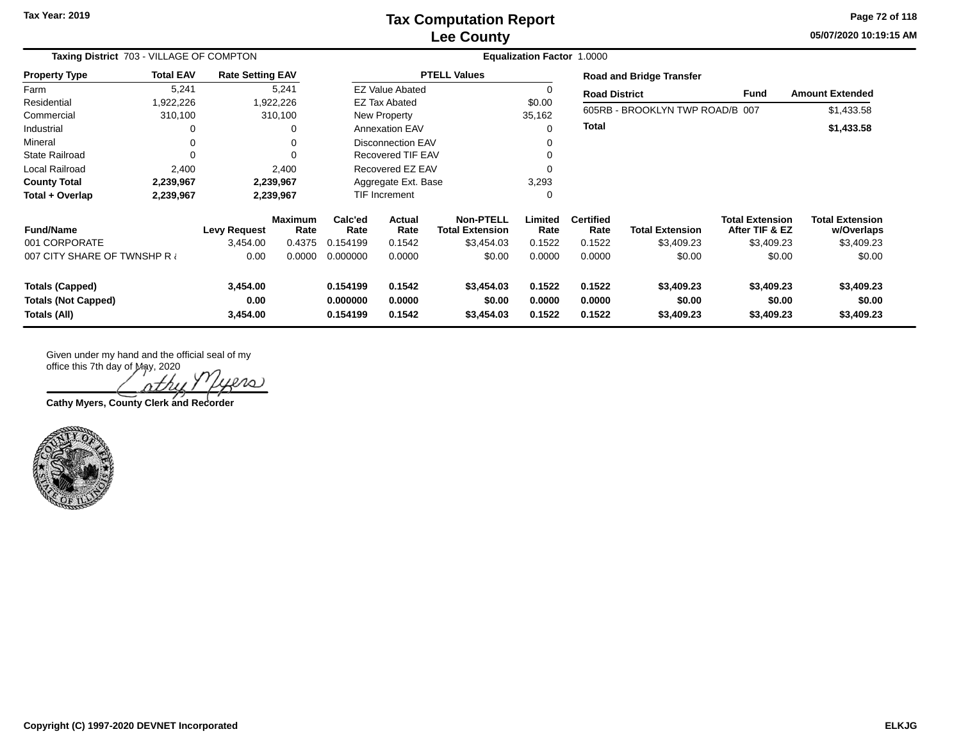**05/07/2020 10:19:15 AM Page 72 of 118**

| Taxing District 703 - VILLAGE OF COMPTON                             |                  |                              |                        | <b>Equalization Factor 1.0000</b> |                            |                                            |                            |                            |                                    |                                          |                                      |  |
|----------------------------------------------------------------------|------------------|------------------------------|------------------------|-----------------------------------|----------------------------|--------------------------------------------|----------------------------|----------------------------|------------------------------------|------------------------------------------|--------------------------------------|--|
| <b>Property Type</b>                                                 | <b>Total EAV</b> | <b>Rate Setting EAV</b>      |                        | <b>PTELL Values</b>               |                            |                                            |                            |                            | <b>Road and Bridge Transfer</b>    |                                          |                                      |  |
| Farm                                                                 | 5,241            | 5,241                        |                        | <b>EZ Value Abated</b>            |                            |                                            |                            |                            | <b>Road District</b>               |                                          | <b>Amount Extended</b>               |  |
| Residential                                                          | 922,226.         | 1,922,226                    |                        | <b>EZ Tax Abated</b>              |                            |                                            | \$0.00                     |                            | 605RB - BROOKLYN TWP ROAD/B 007    |                                          |                                      |  |
| Commercial                                                           | 310,100          | 310,100                      |                        | New Property                      |                            |                                            | 35,162                     |                            |                                    |                                          | \$1,433.58                           |  |
| Industrial                                                           | 0                | 0                            |                        | <b>Annexation EAV</b>             |                            |                                            |                            | Total                      |                                    |                                          | \$1,433.58                           |  |
| Mineral                                                              | $\Omega$         |                              |                        | <b>Disconnection EAV</b>          |                            |                                            |                            |                            |                                    |                                          |                                      |  |
| <b>State Railroad</b>                                                | 0                |                              |                        | <b>Recovered TIF EAV</b>          |                            |                                            |                            |                            |                                    |                                          |                                      |  |
| Local Railroad                                                       | 2,400            | 2,400                        |                        | Recovered EZ EAV                  |                            |                                            |                            |                            |                                    |                                          |                                      |  |
| <b>County Total</b>                                                  | 2,239,967        | 2,239,967                    |                        | Aggregate Ext. Base               |                            | 3,293                                      |                            |                            |                                    |                                          |                                      |  |
| Total + Overlap                                                      | 2,239,967        | 2,239,967                    |                        | <b>TIF Increment</b>              |                            |                                            |                            |                            |                                    |                                          |                                      |  |
| <b>Fund/Name</b>                                                     |                  | <b>Levy Request</b>          | <b>Maximum</b><br>Rate | Calc'ed<br>Rate                   | Actual<br>Rate             | <b>Non-PTELL</b><br><b>Total Extension</b> | Limited<br>Rate            | <b>Certified</b><br>Rate   | <b>Total Extension</b>             | <b>Total Extension</b><br>After TIF & EZ | <b>Total Extension</b><br>w/Overlaps |  |
| 001 CORPORATE                                                        |                  | 3,454.00                     | 0.4375                 | 0.154199                          | 0.1542                     | \$3,454.03                                 | 0.1522                     | 0.1522                     | \$3,409.23                         | \$3,409.23                               | \$3,409.23                           |  |
| 007 CITY SHARE OF TWNSHP R                                           |                  | 0.00                         | 0.0000                 | 0.000000                          | 0.0000                     | \$0.00                                     | 0.0000                     | 0.0000                     | \$0.00                             | \$0.00                                   | \$0.00                               |  |
| <b>Totals (Capped)</b><br><b>Totals (Not Capped)</b><br>Totals (All) |                  | 3,454.00<br>0.00<br>3,454.00 |                        | 0.154199<br>0.000000<br>0.154199  | 0.1542<br>0.0000<br>0.1542 | \$3,454.03<br>\$0.00<br>\$3,454.03         | 0.1522<br>0.0000<br>0.1522 | 0.1522<br>0.0000<br>0.1522 | \$3,409.23<br>\$0.00<br>\$3,409.23 | \$3,409.23<br>\$0.00<br>\$3,409.23       | \$3,409.23<br>\$0.00<br>\$3,409.23   |  |

Given under my hand and the official seal of my

office this 7th day of May, 2020 ヘナガ

**Cathy Myers, County Clerk and Recorder**

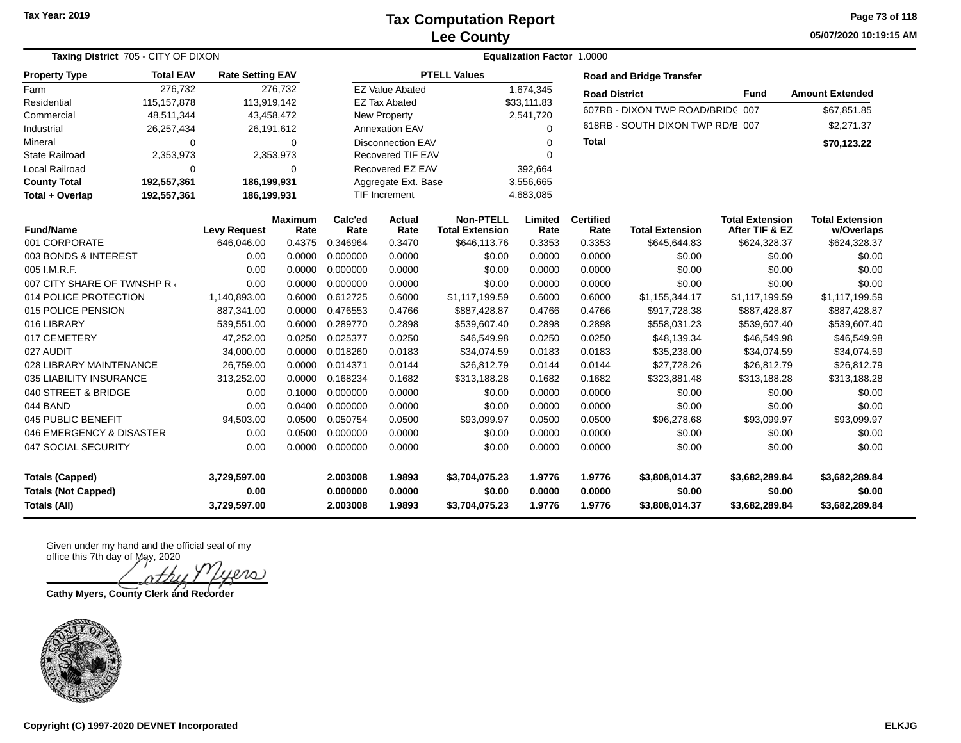**05/07/2020 10:19:15 AM Page 73 of 118**

|                            | <b>Taxing District 705 - CITY OF DIXON</b>             |                     |                 |                                  |                          |                                            | <b>Equalization Factor 1.0000</b> |                          |                                  |                                          |                                      |
|----------------------------|--------------------------------------------------------|---------------------|-----------------|----------------------------------|--------------------------|--------------------------------------------|-----------------------------------|--------------------------|----------------------------------|------------------------------------------|--------------------------------------|
| <b>Property Type</b>       | <b>Total EAV</b><br><b>Rate Setting EAV</b><br>276,732 |                     |                 |                                  |                          | <b>PTELL Values</b>                        |                                   |                          | <b>Road and Bridge Transfer</b>  |                                          |                                      |
| Farm                       | 276,732                                                |                     |                 |                                  | <b>EZ Value Abated</b>   |                                            | 1,674,345                         | <b>Road District</b>     |                                  | <b>Fund</b>                              | <b>Amount Extended</b>               |
| Residential                | 115, 157, 878                                          | 113,919,142         |                 |                                  | <b>EZ Tax Abated</b>     |                                            | \$33,111.83                       |                          | 607RB - DIXON TWP ROAD/BRIDC 007 |                                          | \$67,851.85                          |
| Commercial                 | 48,511,344                                             |                     | 43,458,472      |                                  | <b>New Property</b>      |                                            | 2,541,720                         |                          |                                  |                                          |                                      |
| Industrial                 | 26,257,434                                             |                     | 26,191,612      |                                  | <b>Annexation EAV</b>    |                                            | $\Omega$                          |                          | 618RB - SOUTH DIXON TWP RD/B 007 |                                          | \$2,271.37                           |
| Mineral                    | $\Omega$                                               |                     | 0               |                                  | <b>Disconnection EAV</b> |                                            | 0                                 | <b>Total</b>             |                                  |                                          | \$70,123.22                          |
| <b>State Railroad</b>      | 2,353,973                                              |                     | 2,353,973       |                                  | <b>Recovered TIF EAV</b> |                                            | ∩                                 |                          |                                  |                                          |                                      |
| Local Railroad             | $\Omega$                                               |                     | 0               |                                  | Recovered EZ EAV         |                                            | 392,664                           |                          |                                  |                                          |                                      |
| <b>County Total</b>        | 192,557,361                                            | 186,199,931         |                 | 3,556,665<br>Aggregate Ext. Base |                          |                                            |                                   |                          |                                  |                                          |                                      |
| Total + Overlap            | 192,557,361                                            | 186,199,931         |                 |                                  | <b>TIF Increment</b>     |                                            | 4,683,085                         |                          |                                  |                                          |                                      |
| <b>Fund/Name</b>           |                                                        | <b>Levy Request</b> | Maximum<br>Rate | Calc'ed<br>Rate                  | Actual<br>Rate           | <b>Non-PTELL</b><br><b>Total Extension</b> | Limited<br>Rate                   | <b>Certified</b><br>Rate | <b>Total Extension</b>           | <b>Total Extension</b><br>After TIF & EZ | <b>Total Extension</b><br>w/Overlaps |
| 001 CORPORATE              |                                                        | 646,046.00          | 0.4375          | 0.346964                         | 0.3470                   | \$646,113.76                               | 0.3353                            | 0.3353                   | \$645,644.83                     | \$624,328.37                             | \$624,328.37                         |
| 003 BONDS & INTEREST       |                                                        | 0.00                | 0.0000          | 0.000000                         | 0.0000                   | \$0.00                                     | 0.0000                            | 0.0000                   | \$0.00                           | \$0.00                                   | \$0.00                               |
| 005 I.M.R.F.               |                                                        | 0.00                | 0.0000          | 0.000000                         | 0.0000                   | \$0.00                                     | 0.0000                            | 0.0000                   | \$0.00                           | \$0.00                                   | \$0.00                               |
| 007 CITY SHARE OF TWNSHP R |                                                        | 0.00                | 0.0000          | 0.000000                         | 0.0000                   | \$0.00                                     | 0.0000                            | 0.0000                   | \$0.00                           | \$0.00                                   | \$0.00                               |
| 014 POLICE PROTECTION      |                                                        | 1,140,893.00        | 0.6000          | 0.612725                         | 0.6000                   | \$1,117,199.59                             | 0.6000                            | 0.6000                   | \$1,155,344.17                   | \$1,117,199.59                           | \$1,117,199.59                       |
| 015 POLICE PENSION         |                                                        | 887,341.00          | 0.0000          | 0.476553                         | 0.4766                   | \$887,428.87                               | 0.4766                            | 0.4766                   | \$917,728.38                     | \$887,428.87                             | \$887,428.87                         |
| 016 LIBRARY                |                                                        | 539,551.00          | 0.6000          | 0.289770                         | 0.2898                   | \$539,607.40                               | 0.2898                            | 0.2898                   | \$558,031.23                     | \$539,607.40                             | \$539,607.40                         |
| 017 CEMETERY               |                                                        | 47,252.00           | 0.0250          | 0.025377                         | 0.0250                   | \$46,549.98                                | 0.0250                            | 0.0250                   | \$48,139.34                      | \$46,549.98                              | \$46,549.98                          |
| 027 AUDIT                  |                                                        | 34,000.00           | 0.0000          | 0.018260                         | 0.0183                   | \$34,074.59                                | 0.0183                            | 0.0183                   | \$35,238.00                      | \$34,074.59                              | \$34,074.59                          |
| 028 LIBRARY MAINTENANCE    |                                                        | 26,759.00           | 0.0000          | 0.014371                         | 0.0144                   | \$26,812.79                                | 0.0144                            | 0.0144                   | \$27,728.26                      | \$26,812.79                              | \$26,812.79                          |
| 035 LIABILITY INSURANCE    |                                                        | 313,252.00          | 0.0000          | 0.168234                         | 0.1682                   | \$313,188.28                               | 0.1682                            | 0.1682                   | \$323,881.48                     | \$313,188.28                             | \$313,188.28                         |
| 040 STREET & BRIDGE        |                                                        | 0.00                | 0.1000          | 0.000000                         | 0.0000                   | \$0.00                                     | 0.0000                            | 0.0000                   | \$0.00                           | \$0.00                                   | \$0.00                               |
| 044 BAND                   |                                                        | 0.00                | 0.0400          | 0.000000                         | 0.0000                   | \$0.00                                     | 0.0000                            | 0.0000                   | \$0.00                           | \$0.00                                   | \$0.00                               |
| 045 PUBLIC BENEFIT         |                                                        | 94,503.00           | 0.0500          | 0.050754                         | 0.0500                   | \$93,099.97                                | 0.0500                            | 0.0500                   | \$96,278.68                      | \$93,099.97                              | \$93,099.97                          |
| 046 EMERGENCY & DISASTER   |                                                        | 0.00                | 0.0500          | 0.000000                         | 0.0000                   | \$0.00                                     | 0.0000                            | 0.0000                   | \$0.00                           | \$0.00                                   | \$0.00                               |
| 047 SOCIAL SECURITY        |                                                        | 0.00                | 0.0000          | 0.000000                         | 0.0000                   | \$0.00                                     | 0.0000                            | 0.0000                   | \$0.00                           | \$0.00                                   | \$0.00                               |
| <b>Totals (Capped)</b>     |                                                        | 3,729,597.00        |                 | 2.003008                         | 1.9893                   | \$3,704,075.23                             | 1.9776                            | 1.9776                   | \$3,808,014.37                   | \$3,682,289.84                           | \$3,682,289.84                       |
| <b>Totals (Not Capped)</b> |                                                        | 0.00                |                 | 0.000000                         | 0.0000                   | \$0.00                                     | 0.0000                            | 0.0000                   | \$0.00                           | \$0.00                                   | \$0.00                               |
| Totals (All)               |                                                        | 3,729,597.00        |                 | 2.003008                         | 1.9893                   | \$3,704,075.23                             | 1.9776                            | 1.9776                   | \$3,808,014.37                   | \$3,682,289.84                           | \$3,682,289.84                       |

Given under my hand and the official seal of my office this 7th day of May, 2020

 $\infty$  )

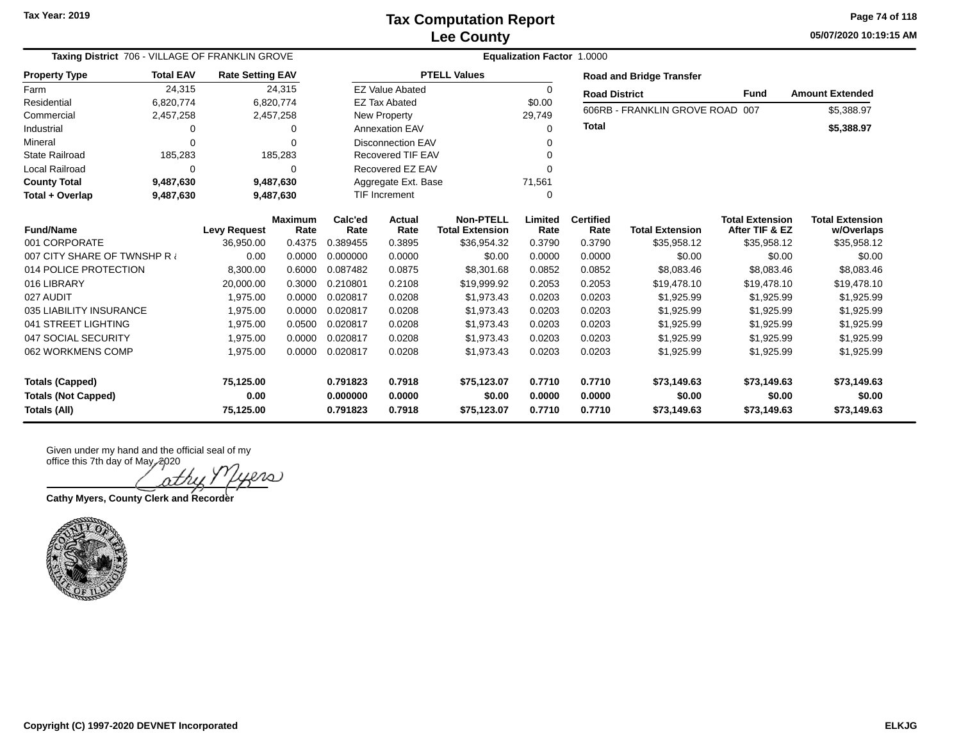**05/07/2020 10:19:15 AM Page 74 of 118**

| Taxing District 706 - VILLAGE OF FRANKLIN GROVE |                  |                                   |                        |                 | Equalization Factor 1.0000 |                                            |                 |                          |                                 |                                          |                                      |  |  |  |
|-------------------------------------------------|------------------|-----------------------------------|------------------------|-----------------|----------------------------|--------------------------------------------|-----------------|--------------------------|---------------------------------|------------------------------------------|--------------------------------------|--|--|--|
| <b>Property Type</b>                            | <b>Total EAV</b> | <b>Rate Setting EAV</b>           |                        |                 |                            | <b>PTELL Values</b>                        |                 |                          | <b>Road and Bridge Transfer</b> |                                          |                                      |  |  |  |
| Farm                                            | 24,315           |                                   | 24,315                 |                 | <b>EZ Value Abated</b>     |                                            | 0               | <b>Road District</b>     |                                 | <b>Fund</b>                              | <b>Amount Extended</b>               |  |  |  |
| Residential                                     | 6,820,774        |                                   | 6,820,774              |                 | <b>EZ Tax Abated</b>       |                                            | \$0.00          |                          | 606RB - FRANKLIN GROVE ROAD 007 |                                          |                                      |  |  |  |
| Commercial                                      | 2,457,258        |                                   | 2,457,258              |                 | New Property               |                                            | 29,749          |                          |                                 |                                          | \$5,388.97                           |  |  |  |
| Industrial                                      | 0                |                                   | 0                      |                 | <b>Annexation EAV</b>      |                                            | $\Omega$        | <b>Total</b>             |                                 |                                          | \$5,388.97                           |  |  |  |
| Mineral                                         | $\Omega$         |                                   | $\Omega$               |                 | <b>Disconnection EAV</b>   |                                            |                 |                          |                                 |                                          |                                      |  |  |  |
| <b>State Railroad</b>                           | 185,283          |                                   | 185,283                |                 | <b>Recovered TIF EAV</b>   |                                            |                 |                          |                                 |                                          |                                      |  |  |  |
| <b>Local Railroad</b>                           | $\Omega$         |                                   | 0                      |                 | Recovered EZ EAV           |                                            | $\Omega$        |                          |                                 |                                          |                                      |  |  |  |
| <b>County Total</b>                             | 9,487,630        |                                   | 9,487,630              |                 | Aggregate Ext. Base        |                                            | 71,561          |                          |                                 |                                          |                                      |  |  |  |
| Total + Overlap                                 | 9,487,630        | <b>TIF Increment</b><br>9,487,630 |                        |                 |                            | 0                                          |                 |                          |                                 |                                          |                                      |  |  |  |
| <b>Fund/Name</b>                                |                  | <b>Levy Request</b>               | <b>Maximum</b><br>Rate | Calc'ed<br>Rate | Actual<br>Rate             | <b>Non-PTELL</b><br><b>Total Extension</b> | Limited<br>Rate | <b>Certified</b><br>Rate | <b>Total Extension</b>          | <b>Total Extension</b><br>After TIF & EZ | <b>Total Extension</b><br>w/Overlaps |  |  |  |
| 001 CORPORATE                                   |                  | 36,950.00                         | 0.4375                 | 0.389455        | 0.3895                     | \$36,954.32                                | 0.3790          | 0.3790                   | \$35,958.12                     | \$35,958.12                              | \$35,958.12                          |  |  |  |
| 007 CITY SHARE OF TWNSHP R                      |                  | 0.00                              | 0.0000                 | 0.000000        | 0.0000                     | \$0.00                                     | 0.0000          | 0.0000                   | \$0.00                          | \$0.00                                   | \$0.00                               |  |  |  |
| 014 POLICE PROTECTION                           |                  | 8,300.00                          | 0.6000                 | 0.087482        | 0.0875                     | \$8,301.68                                 | 0.0852          | 0.0852                   | \$8,083.46                      | \$8,083.46                               | \$8,083.46                           |  |  |  |
| 016 LIBRARY                                     |                  | 20,000.00                         | 0.3000                 | 0.210801        | 0.2108                     | \$19,999.92                                | 0.2053          | 0.2053                   | \$19,478.10                     | \$19,478.10                              | \$19,478.10                          |  |  |  |
| 027 AUDIT                                       |                  | 1,975.00                          | 0.0000                 | 0.020817        | 0.0208                     | \$1,973.43                                 | 0.0203          | 0.0203                   | \$1,925.99                      | \$1,925.99                               | \$1,925.99                           |  |  |  |
| 035 LIABILITY INSURANCE                         |                  | 1,975.00                          | 0.0000                 | 0.020817        | 0.0208                     | \$1,973.43                                 | 0.0203          | 0.0203                   | \$1,925.99                      | \$1,925.99                               | \$1,925.99                           |  |  |  |
| 041 STREET LIGHTING                             |                  | 1,975.00                          | 0.0500                 | 0.020817        | 0.0208                     | \$1,973.43                                 | 0.0203          | 0.0203                   | \$1,925.99                      | \$1,925.99                               | \$1,925.99                           |  |  |  |
| 047 SOCIAL SECURITY                             |                  | 1,975.00                          | 0.0000                 | 0.020817        | 0.0208                     | \$1,973.43                                 | 0.0203          | 0.0203                   | \$1,925.99                      | \$1,925.99                               | \$1,925.99                           |  |  |  |
| 062 WORKMENS COMP                               |                  | 1,975.00                          | 0.0000                 | 0.020817        | 0.0208                     | \$1,973.43                                 | 0.0203          | 0.0203                   | \$1,925.99                      | \$1,925.99                               | \$1,925.99                           |  |  |  |
| <b>Totals (Capped)</b>                          |                  | 75,125.00                         |                        | 0.791823        | 0.7918                     | \$75,123.07                                | 0.7710          | 0.7710                   | \$73,149.63                     | \$73,149.63                              | \$73,149.63                          |  |  |  |
| <b>Totals (Not Capped)</b>                      |                  | 0.00                              |                        | 0.000000        | 0.0000                     | \$0.00                                     | 0.0000          | 0.0000                   | \$0.00                          | \$0.00                                   | \$0.00                               |  |  |  |
| <b>Totals (All)</b>                             |                  | 75,125.00                         |                        | 0.791823        | 0.7918                     | \$75,123.07                                | 0.7710          | 0.7710                   | \$73,149.63                     | \$73,149.63                              | \$73,149.63                          |  |  |  |

Given under my hand and the official seal of my

office this 7th day of May, 2020 iers

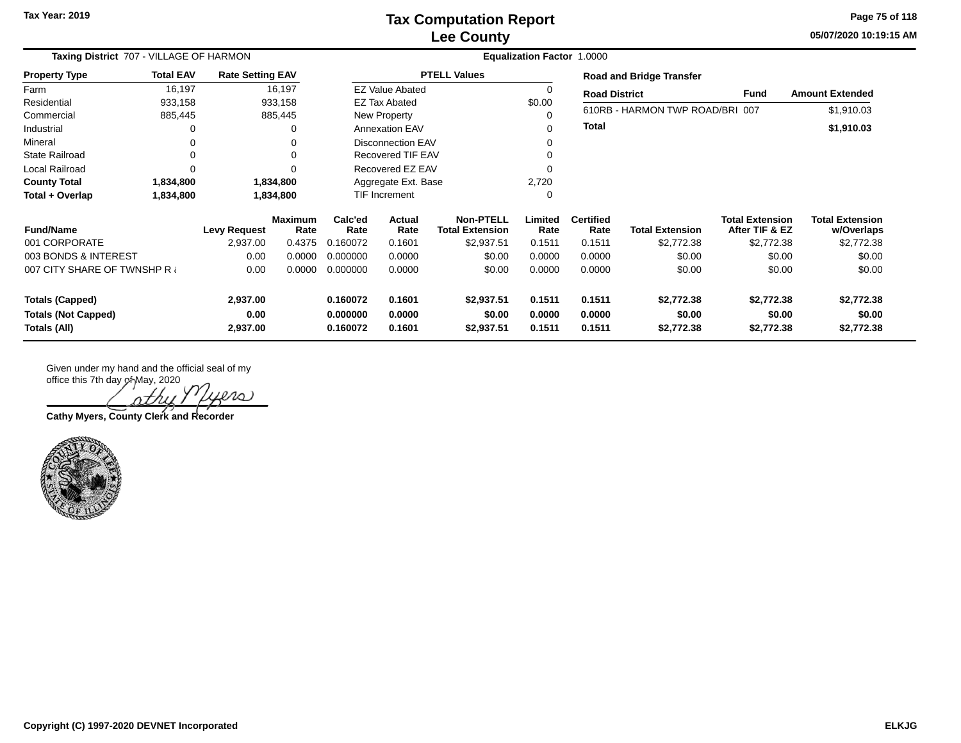**05/07/2020 10:19:15 AM Page 75 of 118**

| Taxing District 707 - VILLAGE OF HARMON    |                  |                         |                        | <b>Equalization Factor 1.0000</b> |                          |                                            |                  |                          |                                 |                                          |                                      |
|--------------------------------------------|------------------|-------------------------|------------------------|-----------------------------------|--------------------------|--------------------------------------------|------------------|--------------------------|---------------------------------|------------------------------------------|--------------------------------------|
| <b>Property Type</b>                       | <b>Total EAV</b> | <b>Rate Setting EAV</b> |                        |                                   |                          | <b>PTELL Values</b>                        |                  |                          | <b>Road and Bridge Transfer</b> |                                          |                                      |
| Farm                                       | 16,197           |                         | 16,197                 |                                   | <b>EZ Value Abated</b>   |                                            | 0                | <b>Road District</b>     |                                 | Fund                                     | <b>Amount Extended</b>               |
| Residential                                | 933,158          |                         | 933,158                |                                   | <b>EZ Tax Abated</b>     |                                            | \$0.00           |                          |                                 |                                          |                                      |
| Commercial                                 | 885,445          |                         | 885,445                |                                   | New Property             |                                            |                  |                          | 610RB - HARMON TWP ROAD/BRI 007 |                                          | \$1,910.03                           |
| Industrial                                 | 0                |                         | 0                      |                                   | <b>Annexation EAV</b>    |                                            |                  | <b>Total</b>             |                                 |                                          | \$1,910.03                           |
| Mineral                                    | 0                |                         |                        |                                   | <b>Disconnection EAV</b> |                                            |                  |                          |                                 |                                          |                                      |
| <b>State Railroad</b>                      | $\Omega$         |                         | $\Omega$               |                                   | Recovered TIF EAV        |                                            |                  |                          |                                 |                                          |                                      |
| Local Railroad                             | $\Omega$         |                         |                        |                                   | Recovered EZ EAV         |                                            |                  |                          |                                 |                                          |                                      |
| <b>County Total</b>                        | 1,834,800        |                         | 1,834,800              | Aggregate Ext. Base               |                          |                                            | 2,720            |                          |                                 |                                          |                                      |
| Total + Overlap                            | 1,834,800        |                         | 1,834,800              |                                   | TIF Increment            |                                            |                  |                          |                                 |                                          |                                      |
| <b>Fund/Name</b>                           |                  | <b>Levy Request</b>     | <b>Maximum</b><br>Rate | Calc'ed<br>Rate                   | Actual<br>Rate           | <b>Non-PTELL</b><br><b>Total Extension</b> | Limited<br>Rate  | <b>Certified</b><br>Rate | <b>Total Extension</b>          | <b>Total Extension</b><br>After TIF & EZ | <b>Total Extension</b><br>w/Overlaps |
| 001 CORPORATE                              |                  | 2,937.00                | 0.4375                 | 0.160072                          | 0.1601                   | \$2,937.51                                 | 0.1511           | 0.1511                   | \$2,772.38                      | \$2,772.38                               | \$2,772.38                           |
| 003 BONDS & INTEREST                       |                  | 0.00                    | 0.0000                 | 0.000000                          | 0.0000                   | \$0.00                                     | 0.0000           | 0.0000                   | \$0.00                          | \$0.00                                   | \$0.00                               |
| 007 CITY SHARE OF TWNSHP R                 |                  | 0.00                    | 0.0000                 | 0.000000                          | 0.0000                   | \$0.00                                     | 0.0000           | 0.0000                   | \$0.00                          | \$0.00                                   | \$0.00                               |
| <b>Totals (Capped)</b>                     |                  | 2,937.00                |                        | 0.160072                          | 0.1601                   | \$2,937.51                                 | 0.1511           | 0.1511                   | \$2,772.38                      | \$2,772.38                               | \$2,772.38                           |
| <b>Totals (Not Capped)</b><br>Totals (All) |                  | 0.00<br>2,937.00        |                        | 0.000000<br>0.160072              | 0.0000<br>0.1601         | \$0.00<br>\$2,937.51                       | 0.0000<br>0.1511 | 0.0000<br>0.1511         | \$0.00<br>\$2,772.38            | \$0.00<br>\$2,772.38                     | \$0.00<br>\$2,772.38                 |

 $200$ 

**Cathy Myers, County Clerk and Recorder**

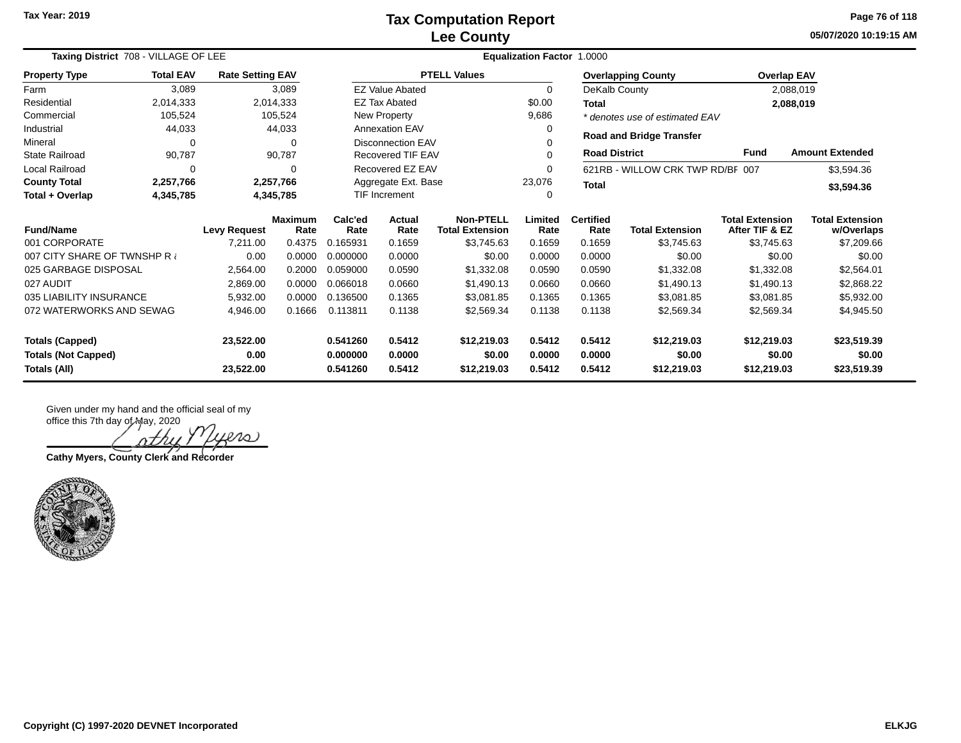**05/07/2020 10:19:15 AM Page 76 of 118**

| Taxing District 708 - VILLAGE OF LEE |                     |                         |                        | <b>Equalization Factor 1.0000</b> |                          |                                            |                                |                          |                                  |                                          |                                      |  |
|--------------------------------------|---------------------|-------------------------|------------------------|-----------------------------------|--------------------------|--------------------------------------------|--------------------------------|--------------------------|----------------------------------|------------------------------------------|--------------------------------------|--|
| <b>Property Type</b>                 | <b>Total EAV</b>    | <b>Rate Setting EAV</b> |                        |                                   |                          | <b>PTELL Values</b>                        |                                |                          | <b>Overlapping County</b>        | <b>Overlap EAV</b>                       |                                      |  |
| Farm                                 | 3,089               |                         | 3,089                  |                                   | <b>EZ Value Abated</b>   |                                            | $\mathbf 0$                    | DeKalb County            |                                  |                                          | 2,088,019                            |  |
| Residential                          | 2,014,333           |                         | 2,014,333              |                                   | <b>EZ Tax Abated</b>     |                                            | \$0.00                         | Total                    |                                  |                                          | 2,088,019                            |  |
| Commercial                           | 105,524             |                         | 105,524                |                                   | New Property             |                                            | 9,686                          |                          | * denotes use of estimated EAV   |                                          |                                      |  |
| Industrial                           | 44,033              |                         | 44,033                 |                                   | <b>Annexation EAV</b>    |                                            | $\Omega$                       |                          | <b>Road and Bridge Transfer</b>  |                                          |                                      |  |
| Mineral                              | $\Omega$            |                         | $\Omega$               |                                   | <b>Disconnection EAV</b> |                                            |                                |                          |                                  |                                          |                                      |  |
| <b>State Railroad</b>                | 90,787              |                         | 90,787                 |                                   | Recovered TIF EAV        |                                            |                                | <b>Road District</b>     |                                  | <b>Fund</b>                              | <b>Amount Extended</b>               |  |
| Local Railroad                       | $\Omega$            |                         | $\Omega$               |                                   | Recovered EZ EAV         |                                            |                                |                          | 621RB - WILLOW CRK TWP RD/BF 007 |                                          | \$3,594.36                           |  |
| <b>County Total</b>                  | 2,257,766           |                         | 2,257,766              | Aggregate Ext. Base               |                          |                                            | 23,076                         | <b>Total</b>             |                                  |                                          | \$3,594.36                           |  |
| Total + Overlap                      | 4,345,785           |                         | 4,345,785              | <b>TIF Increment</b>              |                          |                                            |                                |                          |                                  |                                          |                                      |  |
| <b>Fund/Name</b>                     | <b>Levy Request</b> |                         | <b>Maximum</b><br>Rate | Calc'ed<br>Rate                   | <b>Actual</b><br>Rate    | <b>Non-PTELL</b><br><b>Total Extension</b> | Limited<br>Rate                | <b>Certified</b><br>Rate | <b>Total Extension</b>           | <b>Total Extension</b><br>After TIF & EZ | <b>Total Extension</b><br>w/Overlaps |  |
| 001 CORPORATE                        |                     | 7,211.00                | 0.4375                 | 0.165931                          | 0.1659                   | \$3,745.63                                 | 0.1659                         | 0.1659                   | \$3,745.63                       | \$3,745.63                               | \$7,209.66                           |  |
| 007 CITY SHARE OF TWNSHP R           |                     | 0.00                    | 0.0000                 | 0.000000                          | 0.0000                   | \$0.00                                     | 0.0000                         | 0.0000                   | \$0.00                           | \$0.00                                   | \$0.00                               |  |
| 025 GARBAGE DISPOSAL                 |                     | 2,564.00                | 0.2000                 | 0.059000                          | 0.0590                   | \$1,332.08                                 | 0.0590                         | 0.0590                   | \$1,332.08                       | \$1,332.08                               | \$2,564.01                           |  |
| 027 AUDIT                            |                     | 2,869.00                | 0.0000                 | 0.066018                          | 0.0660                   | \$1,490.13                                 | 0.0660                         | 0.0660                   | \$1,490.13                       | \$1,490.13                               | \$2,868.22                           |  |
| 035 LIABILITY INSURANCE              |                     | 5,932.00                | 0.0000                 | 0.136500                          | 0.1365                   | \$3,081.85                                 | 0.1365                         | 0.1365                   | \$3,081.85                       | \$3,081.85                               | \$5,932.00                           |  |
| 072 WATERWORKS AND SEWAG             |                     | 4,946.00                | 0.1666                 | 0.113811                          | 0.1138                   | \$2,569.34                                 | 0.1138<br>0.1138<br>\$2,569.34 |                          | \$2,569.34                       | \$4,945.50                               |                                      |  |
| <b>Totals (Capped)</b><br>23,522.00  |                     |                         |                        | 0.541260                          | 0.5412                   | \$12,219.03                                | 0.5412                         | 0.5412                   | \$12,219.03                      | \$12,219.03                              | \$23,519.39                          |  |
| <b>Totals (Not Capped)</b><br>0.00   |                     |                         |                        | 0.000000                          | 0.0000                   | \$0.00                                     | 0.0000                         | 0.0000                   | \$0.00                           | \$0.00                                   | \$0.00                               |  |
| Totals (All)<br>23,522.00            |                     |                         |                        | 0.541260                          | 0.5412                   | \$12,219.03                                | 0.5412                         | 0.5412                   | \$12,219.03                      | \$12,219.03                              | \$23,519.39                          |  |

Given under my hand and the official seal of my office this 7th day of May, 2020

 $\infty$ 

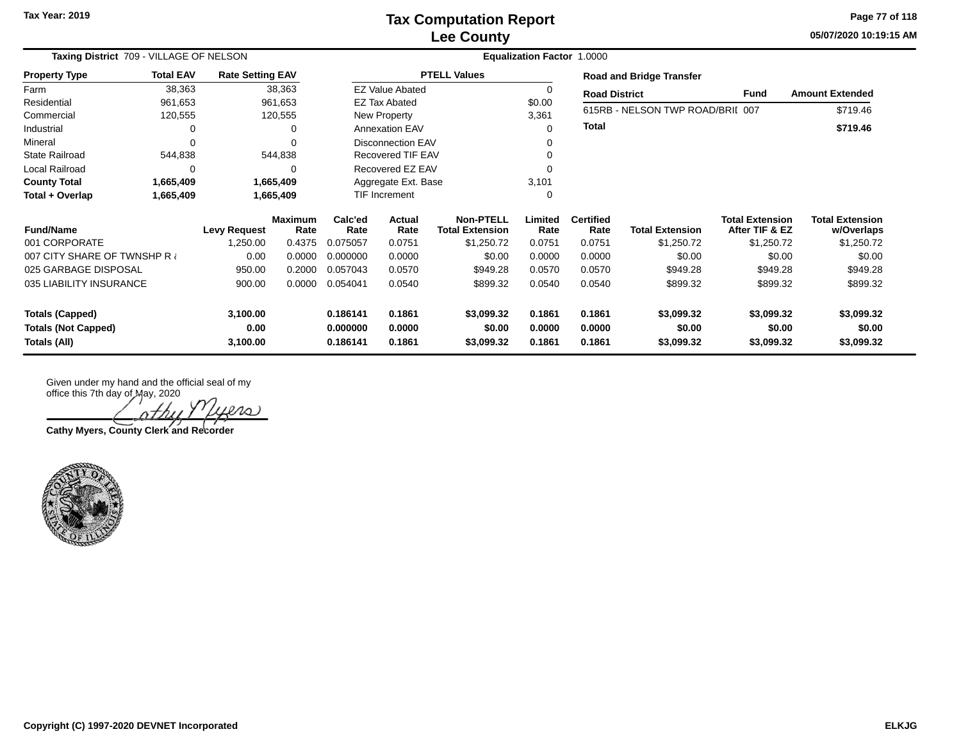**05/07/2020 10:19:15 AM Page 77 of 118**

| Taxing District 709 - VILLAGE OF NELSON<br><b>Total EAV</b><br><b>Rate Setting EAV</b> |           |                     |                        |                 | <b>Equalization Factor 1.0000</b> |                                            |                 |                          |                                  |                                          |                                      |  |  |
|----------------------------------------------------------------------------------------|-----------|---------------------|------------------------|-----------------|-----------------------------------|--------------------------------------------|-----------------|--------------------------|----------------------------------|------------------------------------------|--------------------------------------|--|--|
| <b>Property Type</b>                                                                   |           |                     |                        |                 |                                   | <b>PTELL Values</b>                        |                 |                          | <b>Road and Bridge Transfer</b>  |                                          |                                      |  |  |
| Farm                                                                                   | 38,363    |                     | 38,363                 |                 | <b>EZ Value Abated</b>            |                                            |                 | <b>Road District</b>     |                                  | Fund                                     | <b>Amount Extended</b>               |  |  |
| Residential                                                                            | 961,653   |                     | 961,653                |                 | <b>EZ Tax Abated</b>              |                                            | \$0.00          |                          | 615RB - NELSON TWP ROAD/BRII 007 |                                          | \$719.46                             |  |  |
| Commercial                                                                             | 120,555   |                     | 120,555                |                 | New Property                      |                                            | 3,361           |                          |                                  |                                          |                                      |  |  |
| Industrial                                                                             | 0         |                     |                        |                 | <b>Annexation EAV</b>             |                                            |                 | <b>Total</b>             |                                  |                                          | \$719.46                             |  |  |
| Mineral                                                                                | $\Omega$  |                     | $\Omega$               |                 | <b>Disconnection EAV</b>          |                                            |                 |                          |                                  |                                          |                                      |  |  |
| <b>State Railroad</b>                                                                  | 544,838   |                     | 544,838                |                 | Recovered TIF EAV                 |                                            |                 |                          |                                  |                                          |                                      |  |  |
| Local Railroad                                                                         | $\Omega$  |                     |                        |                 | Recovered EZ EAV                  |                                            |                 |                          |                                  |                                          |                                      |  |  |
| <b>County Total</b>                                                                    | 1,665,409 |                     | 1,665,409              |                 | Aggregate Ext. Base               |                                            |                 |                          |                                  |                                          |                                      |  |  |
| Total + Overlap                                                                        | 1,665,409 |                     | 1,665,409              |                 | <b>TIF Increment</b>              |                                            |                 |                          |                                  |                                          |                                      |  |  |
| <b>Fund/Name</b>                                                                       |           | <b>Levy Request</b> | <b>Maximum</b><br>Rate | Calc'ed<br>Rate | <b>Actual</b><br>Rate             | <b>Non-PTELL</b><br><b>Total Extension</b> | Limited<br>Rate | <b>Certified</b><br>Rate | <b>Total Extension</b>           | <b>Total Extension</b><br>After TIF & EZ | <b>Total Extension</b><br>w/Overlaps |  |  |
| 001 CORPORATE                                                                          |           | 1,250.00            | 0.4375                 | 0.075057        | 0.0751                            | \$1,250.72                                 | 0.0751          | 0.0751                   | \$1,250.72                       | \$1,250.72                               | \$1,250.72                           |  |  |
| 007 CITY SHARE OF TWNSHP R                                                             |           | 0.00                | 0.0000                 | 0.000000        | 0.0000                            | \$0.00                                     | 0.0000          | 0.0000                   | \$0.00                           | \$0.00                                   | \$0.00                               |  |  |
| 025 GARBAGE DISPOSAL                                                                   |           | 950.00              | 0.2000                 | 0.057043        | 0.0570                            | \$949.28                                   | 0.0570          | 0.0570                   | \$949.28                         | \$949.28                                 | \$949.28                             |  |  |
| 035 LIABILITY INSURANCE                                                                |           | 900.00              | 0.0000                 | 0.054041        | 0.0540                            | \$899.32                                   | 0.0540          | 0.0540                   | \$899.32                         | \$899.32                                 | \$899.32                             |  |  |
| <b>Totals (Capped)</b>                                                                 |           | 3,100.00            |                        | 0.186141        | 0.1861                            | \$3,099.32                                 | 0.1861          | 0.1861                   | \$3,099.32                       | \$3,099.32                               | \$3,099.32                           |  |  |
| 0.00<br><b>Totals (Not Capped)</b>                                                     |           |                     | 0.000000               | 0.0000          | \$0.00                            | 0.0000                                     | 0.0000          | \$0.00                   | \$0.00                           | \$0.00                                   |                                      |  |  |
| Totals (All)                                                                           |           | 3,100.00            |                        | 0.186141        | 0.1861                            | \$3,099.32                                 | 0.1861          | 0.1861                   | \$3,099.32                       | \$3,099.32                               | \$3,099.32                           |  |  |

iero

**Cathy Myers, County Clerk and Recorder**

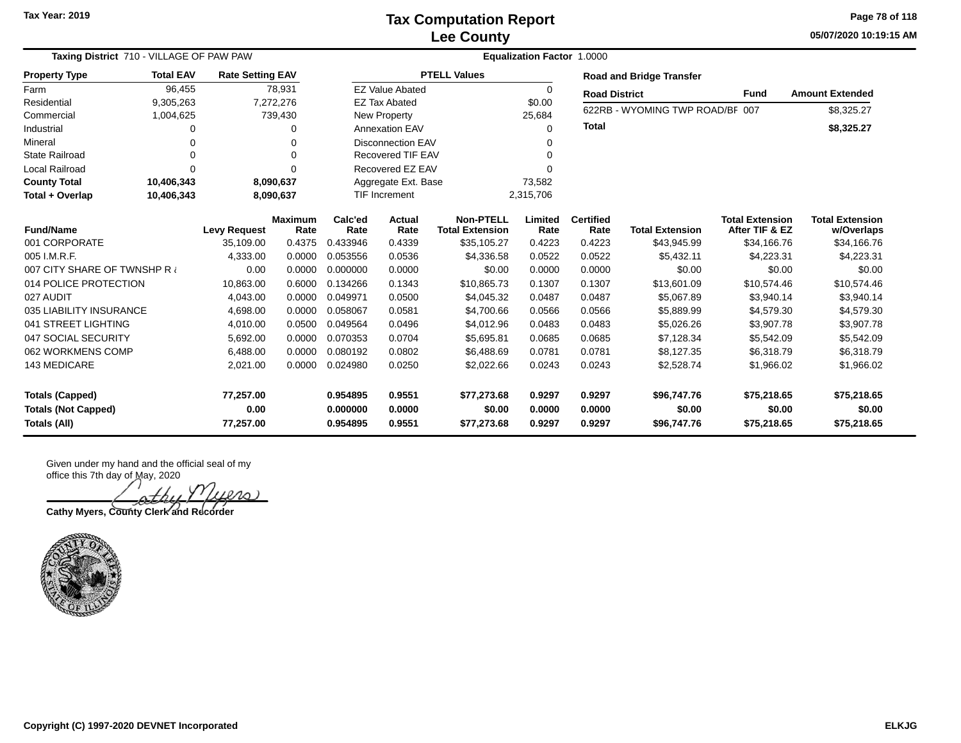**05/07/2020 10:19:15 AM Page 78 of 118**

| <b>Taxing District</b> 710 - VILLAGE OF PAW PAW<br><b>Rate Setting EAV</b> |                  |                                |                        |                                  |                            |                                            | <b>Equalization Factor 1.0000</b> |                            |                                      |                                          |                                      |
|----------------------------------------------------------------------------|------------------|--------------------------------|------------------------|----------------------------------|----------------------------|--------------------------------------------|-----------------------------------|----------------------------|--------------------------------------|------------------------------------------|--------------------------------------|
| <b>Property Type</b>                                                       | <b>Total EAV</b> |                                |                        |                                  |                            | <b>PTELL Values</b>                        |                                   |                            | <b>Road and Bridge Transfer</b>      |                                          |                                      |
| Farm                                                                       | 96,455           |                                | 78,931                 |                                  | <b>EZ Value Abated</b>     |                                            | $\Omega$                          | <b>Road District</b>       |                                      | Fund                                     | <b>Amount Extended</b>               |
| Residential                                                                | 9,305,263        |                                | 7,272,276              |                                  | <b>EZ Tax Abated</b>       |                                            | \$0.00                            |                            | 622RB - WYOMING TWP ROAD/BF 007      |                                          | \$8,325.27                           |
| Commercial                                                                 | 1,004,625        |                                | 739,430                |                                  | New Property               |                                            | 25,684                            |                            |                                      |                                          |                                      |
| Industrial                                                                 | 0                |                                | 0                      |                                  | <b>Annexation EAV</b>      |                                            | 0                                 | <b>Total</b>               |                                      |                                          | \$8,325.27                           |
| Mineral                                                                    | 0                |                                | 0                      |                                  | <b>Disconnection EAV</b>   |                                            |                                   |                            |                                      |                                          |                                      |
| <b>State Railroad</b>                                                      | 0                |                                | $\Omega$               |                                  | Recovered TIF EAV          |                                            | 0                                 |                            |                                      |                                          |                                      |
| Local Railroad                                                             | $\Omega$         |                                | $\Omega$               |                                  | Recovered EZ EAV           |                                            |                                   |                            |                                      |                                          |                                      |
| <b>County Total</b>                                                        | 10,406,343       |                                | 8,090,637              |                                  | Aggregate Ext. Base        |                                            | 73,582                            |                            |                                      |                                          |                                      |
| Total + Overlap                                                            | 10,406,343       |                                | 8,090,637              |                                  | 2,315,706<br>TIF Increment |                                            |                                   |                            |                                      |                                          |                                      |
| <b>Fund/Name</b>                                                           |                  | <b>Levy Request</b>            | <b>Maximum</b><br>Rate | Calc'ed<br>Rate                  | Actual<br>Rate             | <b>Non-PTELL</b><br><b>Total Extension</b> | Limited<br>Rate                   | <b>Certified</b><br>Rate   | <b>Total Extension</b>               | <b>Total Extension</b><br>After TIF & EZ | <b>Total Extension</b><br>w/Overlaps |
| 001 CORPORATE                                                              |                  | 35.109.00                      | 0.4375                 | 0.433946                         | 0.4339                     | \$35,105.27                                | 0.4223                            | 0.4223                     | \$43,945.99                          | \$34,166.76                              | \$34,166.76                          |
| 005 I.M.R.F.                                                               |                  | 4,333.00                       | 0.0000                 | 0.053556                         | 0.0536                     | \$4,336.58                                 | 0.0522                            | 0.0522                     | \$5,432.11                           | \$4,223.31                               | \$4,223.31                           |
| 007 CITY SHARE OF TWNSHP R                                                 |                  | 0.00                           | 0.0000                 | 0.000000                         | 0.0000                     | \$0.00                                     | 0.0000                            | 0.0000                     | \$0.00                               | \$0.00                                   | \$0.00                               |
| 014 POLICE PROTECTION                                                      |                  | 10,863.00                      | 0.6000                 | 0.134266                         | 0.1343                     | \$10,865.73                                | 0.1307                            | 0.1307                     | \$13,601.09                          | \$10,574.46                              | \$10,574.46                          |
| 027 AUDIT                                                                  |                  | 4,043.00                       | 0.0000                 | 0.049971                         | 0.0500                     | \$4,045.32                                 | 0.0487                            | 0.0487                     | \$5,067.89                           | \$3,940.14                               | \$3,940.14                           |
| 035 LIABILITY INSURANCE                                                    |                  | 4,698.00                       | 0.0000                 | 0.058067                         | 0.0581                     | \$4,700.66                                 | 0.0566                            | 0.0566                     | \$5,889.99                           | \$4,579.30                               | \$4,579.30                           |
| 041 STREET LIGHTING                                                        |                  | 4,010.00                       | 0.0500                 | 0.049564                         | 0.0496                     | \$4,012.96                                 | 0.0483                            | 0.0483                     | \$5,026.26                           | \$3,907.78                               | \$3,907.78                           |
| 047 SOCIAL SECURITY                                                        |                  | 5,692.00                       | 0.0000                 | 0.070353                         | 0.0704                     | \$5,695.81                                 | 0.0685                            | 0.0685                     | \$7,128.34                           | \$5,542.09                               | \$5,542.09                           |
| 062 WORKMENS COMP                                                          |                  | 6,488.00                       | 0.0000                 | 0.080192                         | 0.0802                     | \$6,488.69                                 | 0.0781                            | 0.0781                     | \$8,127.35                           | \$6,318.79                               | \$6,318.79                           |
| <b>143 MEDICARE</b>                                                        |                  | 2,021.00                       | 0.0000                 | 0.024980                         | 0.0250                     | \$2,022.66                                 | 0.0243                            | 0.0243                     | \$2,528.74                           | \$1,966.02                               | \$1,966.02                           |
| <b>Totals (Capped)</b><br><b>Totals (Not Capped)</b><br>Totals (All)       |                  | 77,257.00<br>0.00<br>77,257.00 |                        | 0.954895<br>0.000000<br>0.954895 | 0.9551<br>0.0000<br>0.9551 | \$77,273.68<br>\$0.00<br>\$77,273.68       | 0.9297<br>0.0000<br>0.9297        | 0.9297<br>0.0000<br>0.9297 | \$96,747.76<br>\$0.00<br>\$96,747.76 | \$75,218.65<br>\$0.00<br>\$75,218.65     | \$75,218.65<br>\$0.00<br>\$75,218.65 |

Given under my hand and the official seal of my office this 7th day of May, 2020

1ers)

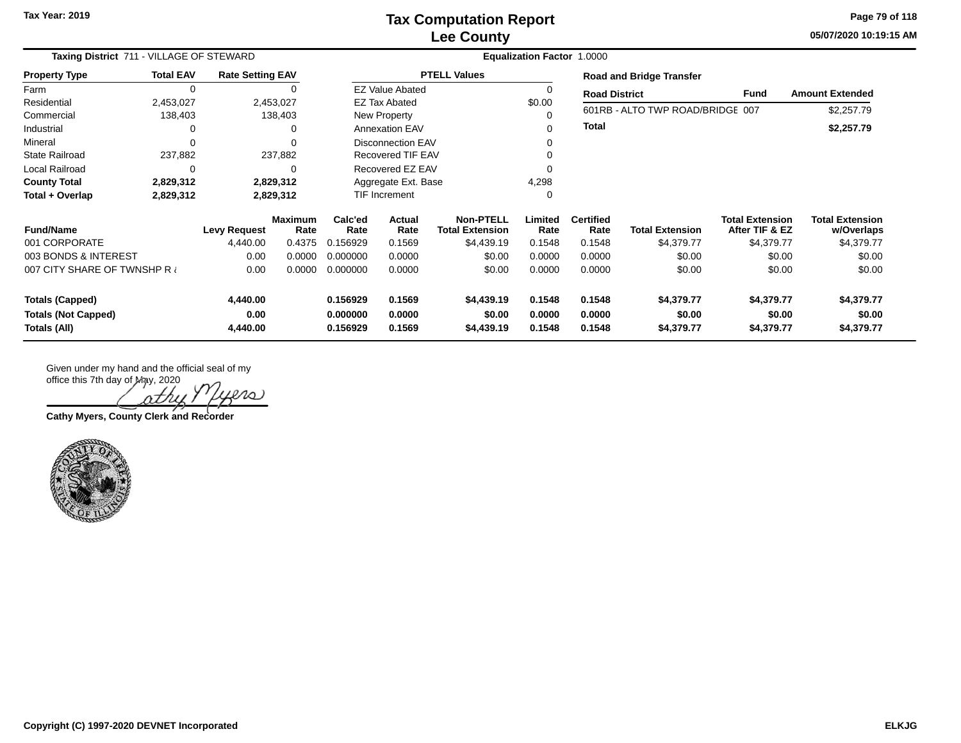**05/07/2020 10:19:15 AM Page 79 of 118**

| Taxing District 711 - VILLAGE OF STEWARD   |                  |                         |                        | <b>Equalization Factor 1.0000</b> |                          |                                            |                  |                          |                                  |                                          |                                      |  |
|--------------------------------------------|------------------|-------------------------|------------------------|-----------------------------------|--------------------------|--------------------------------------------|------------------|--------------------------|----------------------------------|------------------------------------------|--------------------------------------|--|
| <b>Property Type</b>                       | <b>Total EAV</b> | <b>Rate Setting EAV</b> |                        |                                   |                          | <b>PTELL Values</b>                        |                  |                          | <b>Road and Bridge Transfer</b>  |                                          |                                      |  |
| Farm                                       | 0                |                         |                        |                                   | <b>EZ Value Abated</b>   |                                            |                  | <b>Road District</b>     |                                  | Fund                                     | <b>Amount Extended</b>               |  |
| Residential                                | 2,453,027        |                         | 2,453,027              |                                   | <b>EZ Tax Abated</b>     |                                            | \$0.00           |                          |                                  |                                          |                                      |  |
| Commercial                                 | 138,403          |                         | 138,403                |                                   | New Property             |                                            |                  |                          | 601RB - ALTO TWP ROAD/BRIDGE 007 |                                          | \$2,257.79                           |  |
| Industrial                                 | 0                |                         | 0                      |                                   | <b>Annexation EAV</b>    |                                            |                  | <b>Total</b>             |                                  |                                          | \$2,257.79                           |  |
| Mineral                                    | 0                |                         |                        |                                   | <b>Disconnection EAV</b> |                                            |                  |                          |                                  |                                          |                                      |  |
| <b>State Railroad</b>                      | 237,882          |                         | 237,882                |                                   | Recovered TIF EAV        |                                            |                  |                          |                                  |                                          |                                      |  |
| Local Railroad                             | 0                |                         | 0                      |                                   | Recovered EZ EAV         |                                            |                  |                          |                                  |                                          |                                      |  |
| <b>County Total</b>                        | 2,829,312        |                         | 2,829,312              |                                   | Aggregate Ext. Base      |                                            | 4,298            |                          |                                  |                                          |                                      |  |
| Total + Overlap                            | 2,829,312        |                         | 2,829,312              |                                   | <b>TIF Increment</b>     |                                            |                  |                          |                                  |                                          |                                      |  |
| <b>Fund/Name</b>                           |                  | <b>Levy Request</b>     | <b>Maximum</b><br>Rate | Calc'ed<br>Rate                   | Actual<br>Rate           | <b>Non-PTELL</b><br><b>Total Extension</b> | Limited<br>Rate  | <b>Certified</b><br>Rate | <b>Total Extension</b>           | <b>Total Extension</b><br>After TIF & EZ | <b>Total Extension</b><br>w/Overlaps |  |
| 001 CORPORATE                              |                  | 4,440.00                | 0.4375                 | 0.156929                          | 0.1569                   | \$4,439.19                                 | 0.1548           | 0.1548                   | \$4,379.77                       | \$4,379.77                               | \$4,379.77                           |  |
| 003 BONDS & INTEREST                       |                  | 0.00                    | 0.0000                 | 0.000000                          | 0.0000                   | \$0.00                                     | 0.0000           | 0.0000                   | \$0.00                           | \$0.00                                   | \$0.00                               |  |
| 007 CITY SHARE OF TWNSHP R                 |                  | 0.00                    | 0.0000                 | 0.000000                          | 0.0000                   | \$0.00                                     | 0.0000           | 0.0000                   | \$0.00                           | \$0.00                                   | \$0.00                               |  |
| <b>Totals (Capped)</b>                     |                  | 4,440.00                |                        | 0.156929                          | 0.1569                   | \$4,439.19                                 | 0.1548           | 0.1548                   | \$4,379.77                       | \$4,379.77                               | \$4,379.77                           |  |
| <b>Totals (Not Capped)</b><br>Totals (All) |                  | 0.00<br>4,440.00        |                        | 0.000000<br>0.156929              | 0.0000<br>0.1569         | \$0.00<br>\$4,439.19                       | 0.0000<br>0.1548 | 0.0000<br>0.1548         | \$0.00<br>\$4,379.77             | \$0.00<br>\$4,379.77                     | \$0.00<br>\$4,379.77                 |  |

 $P$  $O$ )

**Cathy Myers, County Clerk and Recorder**

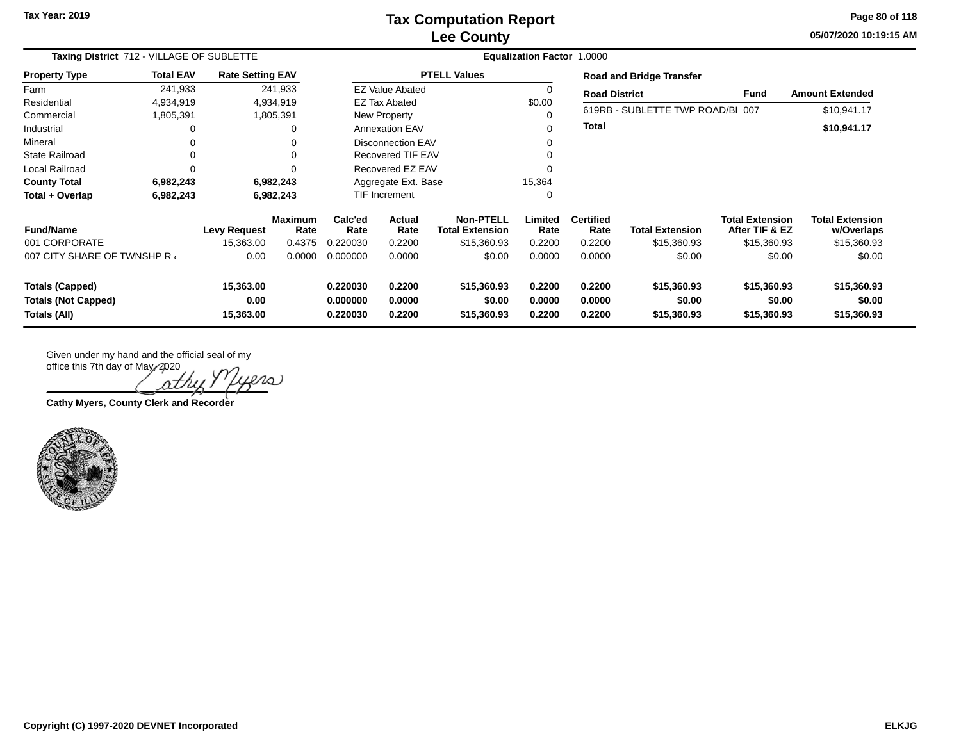## **Lee County Tax Computation Report**

**05/07/2020 10:19:15 AMPage 80 of 118**

| Taxing District 712 - VILLAGE OF SUBLETTE<br><b>Rate Setting EAV</b> |                  |                                   |                        | <b>Equalization Factor 1.0000</b> |                            |                                            |                            |                            |                                      |                                          |                                      |  |  |
|----------------------------------------------------------------------|------------------|-----------------------------------|------------------------|-----------------------------------|----------------------------|--------------------------------------------|----------------------------|----------------------------|--------------------------------------|------------------------------------------|--------------------------------------|--|--|
| <b>Property Type</b>                                                 | <b>Total EAV</b> |                                   |                        |                                   |                            | <b>PTELL Values</b>                        |                            |                            | <b>Road and Bridge Transfer</b>      |                                          |                                      |  |  |
| Farm                                                                 | 241,933          |                                   | 241,933                |                                   | <b>EZ Value Abated</b>     |                                            | 0                          | <b>Road District</b>       |                                      | <b>Fund</b>                              | <b>Amount Extended</b>               |  |  |
| Residential                                                          | 4,934,919        |                                   | 4,934,919              |                                   | <b>EZ Tax Abated</b>       |                                            | \$0.00                     |                            |                                      |                                          |                                      |  |  |
| Commercial                                                           | 1,805,391        |                                   | 1,805,391              |                                   | <b>New Property</b>        |                                            | 0                          |                            | 619RB - SUBLETTE TWP ROAD/BI 007     |                                          | \$10,941.17                          |  |  |
| Industrial                                                           |                  |                                   |                        |                                   | <b>Annexation EAV</b>      |                                            | 0                          | <b>Total</b>               |                                      |                                          | \$10,941.17                          |  |  |
| Mineral                                                              |                  |                                   |                        |                                   | Disconnection EAV          |                                            | 0                          |                            |                                      |                                          |                                      |  |  |
| <b>State Railroad</b>                                                |                  |                                   |                        |                                   | <b>Recovered TIF EAV</b>   |                                            |                            |                            |                                      |                                          |                                      |  |  |
| Local Railroad                                                       |                  |                                   |                        |                                   | Recovered EZ EAV           |                                            |                            |                            |                                      |                                          |                                      |  |  |
| <b>County Total</b>                                                  | 6,982,243        |                                   | 6,982,243              |                                   | Aggregate Ext. Base        |                                            | 15,364                     |                            |                                      |                                          |                                      |  |  |
| Total + Overlap                                                      | 6,982,243        | <b>TIF Increment</b><br>6,982,243 |                        |                                   |                            | 0                                          |                            |                            |                                      |                                          |                                      |  |  |
| <b>Fund/Name</b>                                                     |                  | <b>Levy Request</b>               | <b>Maximum</b><br>Rate | Calc'ed<br>Rate                   | <b>Actual</b><br>Rate      | <b>Non-PTELL</b><br><b>Total Extension</b> | Limited<br>Rate            | <b>Certified</b><br>Rate   | <b>Total Extension</b>               | <b>Total Extension</b><br>After TIF & EZ | <b>Total Extension</b><br>w/Overlaps |  |  |
| 001 CORPORATE                                                        |                  | 15,363.00                         | 0.4375                 | 0.220030                          | 0.2200                     | \$15,360.93                                | 0.2200                     | 0.2200                     | \$15,360.93                          | \$15,360.93                              | \$15,360.93                          |  |  |
| 007 CITY SHARE OF TWNSHP R                                           |                  | 0.00                              | 0.0000                 | 0.000000                          | 0.0000                     | \$0.00                                     | 0.0000                     | 0.0000                     | \$0.00                               | \$0.00                                   | \$0.00                               |  |  |
| <b>Totals (Capped)</b><br><b>Totals (Not Capped)</b><br>Totals (All) |                  | 15,363.00<br>0.00<br>15,363.00    |                        | 0.220030<br>0.000000<br>0.220030  | 0.2200<br>0.0000<br>0.2200 | \$15,360.93<br>\$0.00<br>\$15,360.93       | 0.2200<br>0.0000<br>0.2200 | 0.2200<br>0.0000<br>0.2200 | \$15,360.93<br>\$0.00<br>\$15,360.93 | \$15,360.93<br>\$0.00<br>\$15,360.93     | \$15,360.93<br>\$0.00<br>\$15,360.93 |  |  |

office this 7th day of May, 2020  $\omega$ ρt

**Cathy Myers, County Clerk and Recorder**

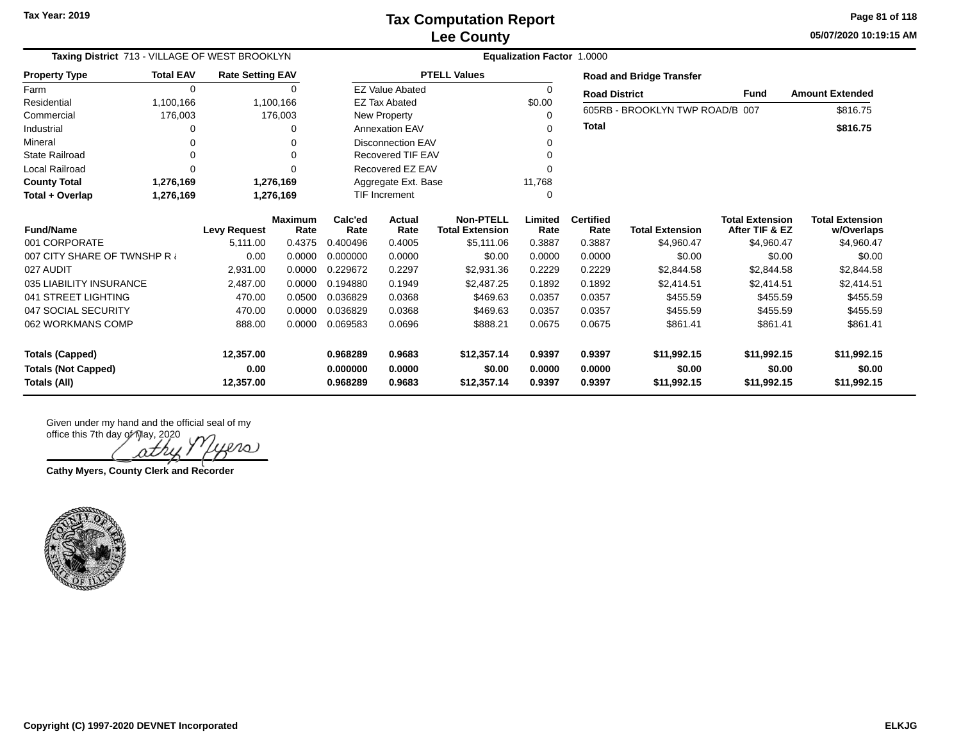**05/07/2020 10:19:15 AM Page 81 of 118**

| Taxing District 713 - VILLAGE OF WEST BROOKLYN |                        |                         |                        |                          | <b>Equalization Factor 1.0000</b> |                                            |                 |                          |                                 |                                          |                                      |
|------------------------------------------------|------------------------|-------------------------|------------------------|--------------------------|-----------------------------------|--------------------------------------------|-----------------|--------------------------|---------------------------------|------------------------------------------|--------------------------------------|
| <b>Property Type</b>                           | <b>Total EAV</b>       | <b>Rate Setting EAV</b> |                        |                          |                                   | <b>PTELL Values</b>                        |                 |                          | <b>Road and Bridge Transfer</b> |                                          |                                      |
| Farm                                           | $\Omega$               |                         | 0                      |                          | <b>EZ Value Abated</b>            |                                            | 0               | <b>Road District</b>     |                                 | Fund                                     | <b>Amount Extended</b>               |
| Residential                                    | 1,100,166              |                         | 1,100,166              |                          | <b>EZ Tax Abated</b>              |                                            | \$0.00          |                          | 605RB - BROOKLYN TWP ROAD/B 007 |                                          | \$816.75                             |
| Commercial                                     | 176,003                |                         | 176,003                |                          | New Property                      |                                            | 0               |                          |                                 |                                          |                                      |
| Industrial                                     |                        |                         | $\Omega$               |                          | <b>Annexation EAV</b>             |                                            | ∩               | <b>Total</b>             |                                 |                                          | \$816.75                             |
| Mineral                                        |                        |                         | 0                      |                          | <b>Disconnection EAV</b>          |                                            | 0               |                          |                                 |                                          |                                      |
| <b>State Railroad</b>                          |                        |                         | 0                      | <b>Recovered TIF EAV</b> |                                   |                                            | $\Omega$        |                          |                                 |                                          |                                      |
| <b>Local Railroad</b>                          | $\Omega$               |                         | 0                      |                          | Recovered EZ EAV                  |                                            | $\Omega$        |                          |                                 |                                          |                                      |
| <b>County Total</b>                            | 1,276,169              |                         | 1,276,169              | Aggregate Ext. Base      |                                   |                                            | 11,768          |                          |                                 |                                          |                                      |
| Total + Overlap                                | 1,276,169<br>1,276,169 |                         |                        |                          | TIF Increment                     |                                            | 0               |                          |                                 |                                          |                                      |
| <b>Fund/Name</b>                               |                        | <b>Levy Request</b>     | <b>Maximum</b><br>Rate | Calc'ed<br>Rate          | Actual<br>Rate                    | <b>Non-PTELL</b><br><b>Total Extension</b> | Limited<br>Rate | <b>Certified</b><br>Rate | <b>Total Extension</b>          | <b>Total Extension</b><br>After TIF & EZ | <b>Total Extension</b><br>w/Overlaps |
| 001 CORPORATE                                  |                        | 5,111.00                | 0.4375                 | 0.400496                 | 0.4005                            | \$5,111.06                                 | 0.3887          | 0.3887                   | \$4,960.47                      | \$4,960.47                               | \$4,960.47                           |
| 007 CITY SHARE OF TWNSHP R                     |                        | 0.00                    | 0.0000                 | 0.000000                 | 0.0000                            | \$0.00                                     | 0.0000          | 0.0000                   | \$0.00                          | \$0.00                                   | \$0.00                               |
| 027 AUDIT                                      |                        | 2,931.00                | 0.0000                 | 0.229672                 | 0.2297                            | \$2,931.36                                 | 0.2229          | 0.2229                   | \$2,844.58                      | \$2,844.58                               | \$2,844.58                           |
| 035 LIABILITY INSURANCE                        |                        | 2,487.00                | 0.0000                 | 0.194880                 | 0.1949                            | \$2,487.25                                 | 0.1892          | 0.1892                   | \$2,414.51                      | \$2,414.51                               | \$2,414.51                           |
| 041 STREET LIGHTING                            |                        | 470.00                  | 0.0500                 | 0.036829                 | 0.0368                            | \$469.63                                   | 0.0357          | 0.0357                   | \$455.59                        | \$455.59                                 | \$455.59                             |
| 047 SOCIAL SECURITY                            |                        | 470.00                  | 0.0000                 | 0.036829                 | 0.0368                            | \$469.63                                   | 0.0357          | 0.0357                   | \$455.59                        | \$455.59                                 | \$455.59                             |
| 062 WORKMANS COMP                              |                        | 888.00                  | 0.0000                 | 0.069583                 | 0.0696                            | \$888.21                                   | 0.0675          | 0.0675                   | \$861.41                        | \$861.41                                 | \$861.41                             |
| <b>Totals (Capped)</b>                         |                        | 12,357.00               |                        | 0.968289                 | 0.9683                            | \$12,357.14                                | 0.9397          | 0.9397                   | \$11,992.15                     | \$11,992.15                              | \$11,992.15                          |
| <b>Totals (Not Capped)</b>                     |                        | 0.00                    |                        | 0.000000                 | 0.0000                            | \$0.00                                     | 0.0000          | 0.0000                   | \$0.00                          | \$0.00                                   | \$0.00                               |
| Totals (All)                                   |                        | 12,357.00               |                        | 0.968289                 | 0.9683                            | \$12,357.14                                | 0.9397          | 0.9397                   | \$11,992.15                     | \$11,992.15                              | \$11,992.15                          |

Given under my hand and the official seal of my

office this 7th day of May, 2020 ers

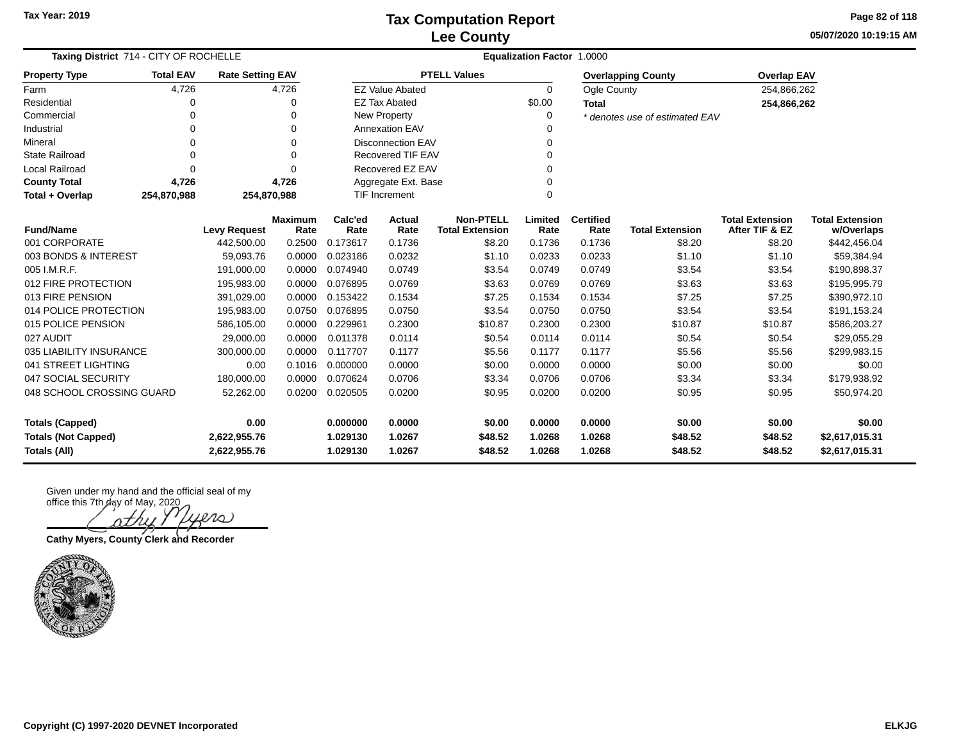**05/07/2020 10:19:15 AM Page 82 of 118**

| Taxing District 714 - CITY OF ROCHELLE     |                     |                         |                        |                 | Equalization Factor 1.0000 |                                            |                 |                          |                                |                                          |                                      |
|--------------------------------------------|---------------------|-------------------------|------------------------|-----------------|----------------------------|--------------------------------------------|-----------------|--------------------------|--------------------------------|------------------------------------------|--------------------------------------|
| <b>Property Type</b>                       | <b>Total EAV</b>    | <b>Rate Setting EAV</b> |                        |                 |                            | <b>PTELL Values</b>                        |                 |                          | <b>Overlapping County</b>      | <b>Overlap EAV</b>                       |                                      |
| Farm                                       | 4,726               |                         | 4,726                  |                 | <b>EZ Value Abated</b>     |                                            | $\Omega$        | Ogle County              |                                | 254,866,262                              |                                      |
| Residential                                | 0                   |                         | 0                      |                 | <b>EZ Tax Abated</b>       |                                            | \$0.00          | <b>Total</b>             |                                | 254,866,262                              |                                      |
| Commercial                                 | $\Omega$            |                         | 0                      |                 | New Property               |                                            | 0               |                          | * denotes use of estimated EAV |                                          |                                      |
| Industrial                                 | $\Omega$            |                         | $\Omega$               |                 | <b>Annexation EAV</b>      |                                            | 0               |                          |                                |                                          |                                      |
| Mineral                                    | $\Omega$            |                         | $\Omega$               |                 | <b>Disconnection EAV</b>   |                                            | 0               |                          |                                |                                          |                                      |
| <b>State Railroad</b>                      | $\Omega$            |                         | $\Omega$               |                 | Recovered TIF EAV          |                                            | 0               |                          |                                |                                          |                                      |
| Local Railroad                             | $\Omega$            |                         | $\Omega$               |                 | Recovered EZ EAV           |                                            | 0               |                          |                                |                                          |                                      |
| <b>County Total</b>                        | 4,726               |                         | 4,726                  |                 | Aggregate Ext. Base        |                                            | 0               |                          |                                |                                          |                                      |
| Total + Overlap                            | 254,870,988         | 254,870,988             |                        |                 | <b>TIF Increment</b>       |                                            | 0               |                          |                                |                                          |                                      |
| <b>Fund/Name</b>                           | <b>Levy Request</b> |                         | <b>Maximum</b><br>Rate | Calc'ed<br>Rate | Actual<br>Rate             | <b>Non-PTELL</b><br><b>Total Extension</b> | Limited<br>Rate | <b>Certified</b><br>Rate | <b>Total Extension</b>         | <b>Total Extension</b><br>After TIF & EZ | <b>Total Extension</b><br>w/Overlaps |
| 001 CORPORATE                              |                     | 442,500.00              | 0.2500                 | 0.173617        | 0.1736                     | \$8.20                                     | 0.1736          | 0.1736                   | \$8.20                         | \$8.20                                   | \$442,456.04                         |
| 003 BONDS & INTEREST                       |                     | 59.093.76               | 0.0000                 | 0.023186        | 0.0232                     | \$1.10                                     | 0.0233          | 0.0233                   | \$1.10                         | \$1.10                                   | \$59,384.94                          |
| 005 I.M.R.F.                               |                     | 191,000.00              | 0.0000                 | 0.074940        | 0.0749                     | \$3.54                                     | 0.0749          | 0.0749                   | \$3.54                         | \$3.54                                   | \$190,898.37                         |
| 012 FIRE PROTECTION                        |                     | 195,983.00              | 0.0000                 | 0.076895        | 0.0769                     | \$3.63                                     | 0.0769          | 0.0769                   | \$3.63                         | \$3.63                                   | \$195,995.79                         |
| 013 FIRE PENSION                           |                     | 391,029.00              | 0.0000                 | 0.153422        | 0.1534                     | \$7.25                                     | 0.1534          | 0.1534                   | \$7.25                         | \$7.25                                   | \$390,972.10                         |
| 014 POLICE PROTECTION                      |                     | 195,983.00              | 0.0750                 | 0.076895        | 0.0750                     | \$3.54                                     | 0.0750          | 0.0750                   | \$3.54                         | \$3.54                                   | \$191,153.24                         |
| 015 POLICE PENSION                         |                     | 586,105.00              | 0.0000                 | 0.229961        | 0.2300                     | \$10.87                                    | 0.2300          | 0.2300                   | \$10.87                        | \$10.87                                  | \$586,203.27                         |
| 027 AUDIT                                  |                     | 29,000.00               | 0.0000                 | 0.011378        | 0.0114                     | \$0.54                                     | 0.0114          | 0.0114                   | \$0.54                         | \$0.54                                   | \$29,055.29                          |
| 035 LIABILITY INSURANCE                    |                     | 300,000.00              | 0.0000                 | 0.117707        | 0.1177                     | \$5.56                                     | 0.1177          | 0.1177                   | \$5.56                         | \$5.56                                   | \$299,983.15                         |
| 041 STREET LIGHTING                        |                     | 0.00                    | 0.1016                 | 0.000000        | 0.0000                     | \$0.00                                     | 0.0000          | 0.0000                   | \$0.00                         | \$0.00                                   | \$0.00                               |
| 047 SOCIAL SECURITY                        |                     | 180,000.00              | 0.0000                 | 0.070624        | 0.0706                     | \$3.34                                     | 0.0706          | 0.0706                   | \$3.34                         | \$3.34                                   | \$179,938.92                         |
| 048 SCHOOL CROSSING GUARD<br>52,262.00     |                     | 0.0200                  | 0.020505               | 0.0200          | \$0.95                     | 0.0200                                     | 0.0200          | \$0.95                   | \$0.95                         | \$50,974.20                              |                                      |
| <b>Totals (Capped)</b><br>0.00<br>0.000000 |                     |                         |                        |                 | 0.0000                     | \$0.00                                     | 0.0000          | 0.0000                   | \$0.00                         | \$0.00                                   | \$0.00                               |
| <b>Totals (Not Capped)</b>                 |                     | 2,622,955.76            |                        | 1.029130        | 1.0267                     | \$48.52                                    | 1.0268          | 1.0268                   | \$48.52                        | \$48.52                                  | \$2,617,015.31                       |
| <b>Totals (All)</b>                        |                     | 2,622,955.76            |                        | 1.029130        | 1.0267                     | \$48.52                                    | 1.0268          | 1.0268                   | \$48.52                        | \$48.52                                  | \$2,617,015.31                       |

ers  $\alpha$ .

**Cathy Myers, County Clerk and Recorder**

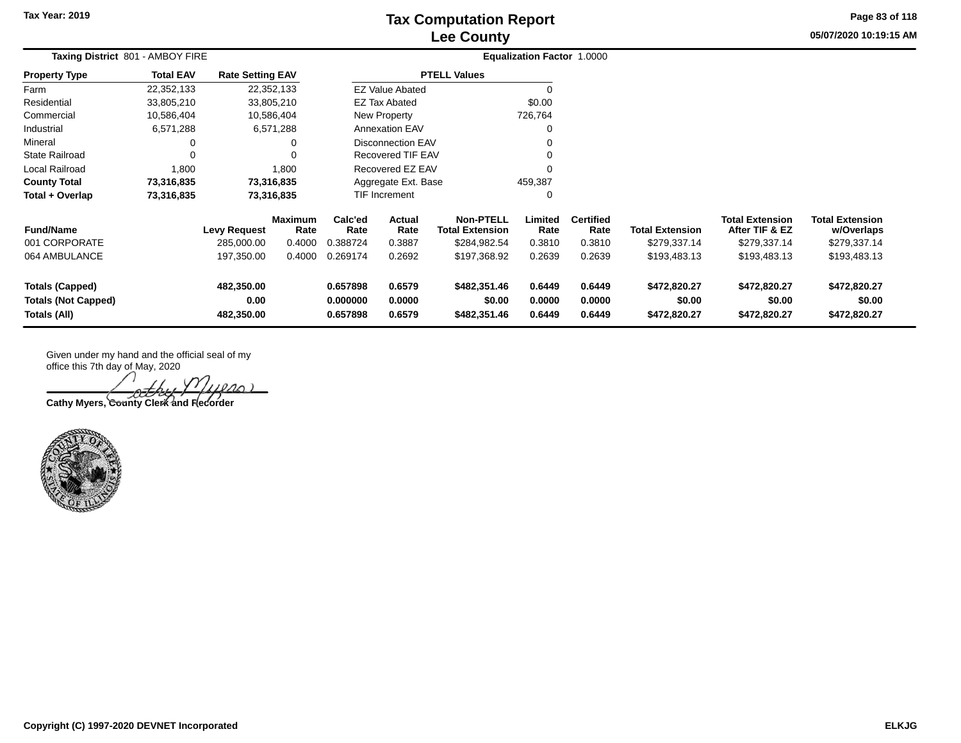## **Lee County Tax Computation Report**

**05/07/2020 10:19:15 AM Page 83 of 118**

| Taxing District 801 - AMBOY FIRE                                     |                  |                                   |                                  | <b>Equalization Factor 1.0000</b> |                                 |                                                            |                            |                                    |                                        |                                                          |                                                      |  |
|----------------------------------------------------------------------|------------------|-----------------------------------|----------------------------------|-----------------------------------|---------------------------------|------------------------------------------------------------|----------------------------|------------------------------------|----------------------------------------|----------------------------------------------------------|------------------------------------------------------|--|
| <b>Property Type</b>                                                 | <b>Total EAV</b> | <b>Rate Setting EAV</b>           |                                  |                                   |                                 | <b>PTELL Values</b>                                        |                            |                                    |                                        |                                                          |                                                      |  |
| Farm                                                                 | 22,352,133       | 22,352,133                        |                                  |                                   | <b>EZ Value Abated</b>          |                                                            |                            |                                    |                                        |                                                          |                                                      |  |
| Residential                                                          | 33,805,210       | 33,805,210                        |                                  |                                   | <b>EZ Tax Abated</b>            |                                                            | \$0.00                     |                                    |                                        |                                                          |                                                      |  |
| Commercial                                                           | 10,586,404       | 10,586,404                        |                                  |                                   | <b>New Property</b>             |                                                            | 726,764                    |                                    |                                        |                                                          |                                                      |  |
| Industrial                                                           | 6,571,288        |                                   | 6,571,288                        |                                   | <b>Annexation EAV</b>           |                                                            |                            |                                    |                                        |                                                          |                                                      |  |
| Mineral                                                              | 0                |                                   |                                  |                                   | <b>Disconnection EAV</b>        |                                                            |                            |                                    |                                        |                                                          |                                                      |  |
| <b>State Railroad</b>                                                | 0                |                                   |                                  |                                   | <b>Recovered TIF EAV</b>        |                                                            |                            |                                    |                                        |                                                          |                                                      |  |
| <b>Local Railroad</b>                                                | 1,800            |                                   | 1,800                            |                                   | Recovered EZ EAV                |                                                            |                            |                                    |                                        |                                                          |                                                      |  |
| <b>County Total</b>                                                  | 73,316,835       | 73,316,835                        |                                  | Aggregate Ext. Base<br>459,387    |                                 |                                                            |                            |                                    |                                        |                                                          |                                                      |  |
| Total + Overlap                                                      | 73,316,835       | 73,316,835                        |                                  |                                   | <b>TIF Increment</b>            |                                                            | $\Omega$                   |                                    |                                        |                                                          |                                                      |  |
| <b>Fund/Name</b><br>001 CORPORATE                                    |                  | <b>Levy Request</b><br>285,000.00 | <b>Maximum</b><br>Rate<br>0.4000 | Calc'ed<br>Rate<br>0.388724       | <b>Actual</b><br>Rate<br>0.3887 | <b>Non-PTELL</b><br><b>Total Extension</b><br>\$284,982.54 | Limited<br>Rate<br>0.3810  | <b>Certified</b><br>Rate<br>0.3810 | <b>Total Extension</b><br>\$279,337.14 | <b>Total Extension</b><br>After TIF & EZ<br>\$279,337.14 | <b>Total Extension</b><br>w/Overlaps<br>\$279,337.14 |  |
| 064 AMBULANCE                                                        |                  | 197,350.00                        | 0.4000                           | 0.269174                          | 0.2692                          | \$197,368.92                                               | 0.2639                     | 0.2639                             | \$193,483.13                           | \$193,483.13                                             | \$193,483.13                                         |  |
| <b>Totals (Capped)</b><br><b>Totals (Not Capped)</b><br>Totals (All) |                  | 482,350.00<br>0.00<br>482,350.00  |                                  | 0.657898<br>0.000000<br>0.657898  | 0.6579<br>0.0000<br>0.6579      | \$482,351.46<br>\$0.00<br>\$482,351.46                     | 0.6449<br>0.0000<br>0.6449 | 0.6449<br>0.0000<br>0.6449         | \$472,820.27<br>\$0.00<br>\$472,820.27 | \$472,820.27<br>\$0.00<br>\$472,820.27                   | \$472,820.27<br>\$0.00<br>\$472,820.27               |  |

 $2001$ Cathy Myers, County Clerk and Recorder



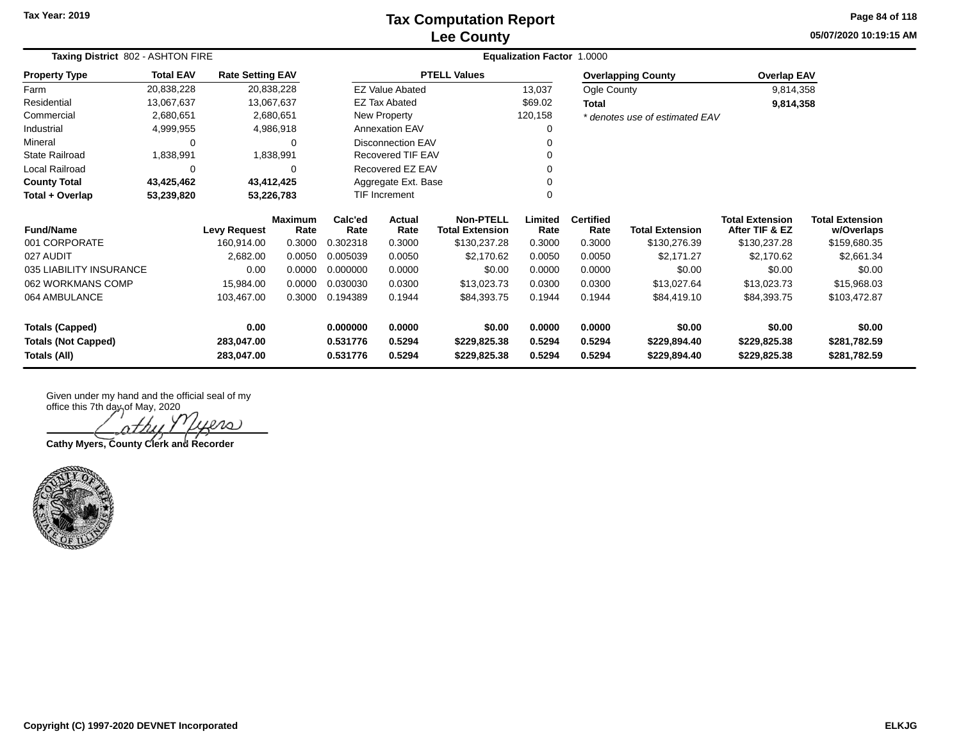### **Lee County Tax Computation Report**

**05/07/2020 10:19:15 AM Page 84 of 118**

| Taxing District 802 - ASHTON FIRE |                          |                         |                        |                 |                        |                                            | <b>Equalization Factor 1.0000</b> |                          |                                |                                          |                                      |
|-----------------------------------|--------------------------|-------------------------|------------------------|-----------------|------------------------|--------------------------------------------|-----------------------------------|--------------------------|--------------------------------|------------------------------------------|--------------------------------------|
| <b>Property Type</b>              | <b>Total EAV</b>         | <b>Rate Setting EAV</b> |                        |                 |                        | <b>PTELL Values</b>                        |                                   |                          | <b>Overlapping County</b>      | <b>Overlap EAV</b>                       |                                      |
| Farm                              | 20,838,228               |                         | 20,838,228             |                 | <b>EZ Value Abated</b> |                                            | 13,037                            | Ogle County              |                                | 9,814,358                                |                                      |
| Residential                       | 13,067,637               |                         | 13,067,637             |                 | <b>EZ Tax Abated</b>   |                                            | \$69.02                           | Total                    |                                | 9,814,358                                |                                      |
| Commercial                        | 2,680,651                |                         | 2,680,651              |                 | New Property           |                                            | 120,158                           |                          | * denotes use of estimated EAV |                                          |                                      |
| Industrial                        | 4,999,955                |                         | 4,986,918              |                 | <b>Annexation EAV</b>  |                                            | $\Omega$                          |                          |                                |                                          |                                      |
| Mineral                           | 0                        |                         | 0                      |                 | Disconnection EAV      |                                            | $\Omega$                          |                          |                                |                                          |                                      |
| <b>State Railroad</b>             | 1,838,991                |                         | 1,838,991              |                 | Recovered TIF EAV      |                                            | 0                                 |                          |                                |                                          |                                      |
| Local Railroad                    | 0                        |                         | $\Omega$               |                 | Recovered EZ EAV       |                                            | $\Omega$                          |                          |                                |                                          |                                      |
| <b>County Total</b>               | 43,425,462<br>43,412,425 |                         |                        |                 | Aggregate Ext. Base    |                                            | $\Omega$                          |                          |                                |                                          |                                      |
| Total + Overlap                   | 53,239,820<br>53,226,783 |                         |                        |                 | <b>TIF Increment</b>   |                                            | $\Omega$                          |                          |                                |                                          |                                      |
| <b>Fund/Name</b>                  |                          | <b>Levy Request</b>     | <b>Maximum</b><br>Rate | Calc'ed<br>Rate | Actual<br>Rate         | <b>Non-PTELL</b><br><b>Total Extension</b> | Limited<br>Rate                   | <b>Certified</b><br>Rate | <b>Total Extension</b>         | <b>Total Extension</b><br>After TIF & EZ | <b>Total Extension</b><br>w/Overlaps |
| 001 CORPORATE                     |                          | 160,914.00              | 0.3000                 | 0.302318        | 0.3000                 | \$130,237.28                               | 0.3000                            | 0.3000                   | \$130,276.39                   | \$130,237.28                             | \$159,680.35                         |
| 027 AUDIT                         |                          | 2,682.00                | 0.0050                 | 0.005039        | 0.0050                 | \$2,170.62                                 | 0.0050                            | 0.0050                   | \$2,171.27                     | \$2,170.62                               | \$2,661.34                           |
| 035 LIABILITY INSURANCE           |                          | 0.00                    | 0.0000                 | 0.000000        | 0.0000                 | \$0.00                                     | 0.0000                            | 0.0000                   | \$0.00                         | \$0.00                                   | \$0.00                               |
| 062 WORKMANS COMP                 |                          | 15,984.00               | 0.0000                 | 0.030030        | 0.0300                 | \$13,023.73                                | 0.0300                            | 0.0300                   | \$13,027.64                    | \$13,023.73                              | \$15,968.03                          |
| 064 AMBULANCE                     |                          | 103,467.00              | 0.3000                 | 0.194389        | 0.1944                 | \$84,393.75                                | 0.1944                            | 0.1944                   | \$84,419.10                    | \$84,393.75                              | \$103,472.87                         |
| <b>Totals (Capped)</b>            |                          | 0.00                    |                        | 0.000000        | 0.0000                 | \$0.00                                     | 0.0000                            | 0.0000                   | \$0.00                         | \$0.00                                   | \$0.00                               |
| <b>Totals (Not Capped)</b>        |                          | 283,047.00              |                        | 0.531776        | 0.5294                 | \$229,825.38                               | 0.5294                            | 0.5294                   | \$229,894.40                   | \$229,825.38                             | \$281,782.59                         |
| Totals (All)                      |                          | 283,047.00              |                        | 0.531776        | 0.5294                 | \$229,825.38                               | 0.5294                            | 0.5294                   | \$229,894.40                   | \$229,825.38                             | \$281,782.59                         |

iers ヘナカ

**Cathy Myers, County Clerk and Recorder**

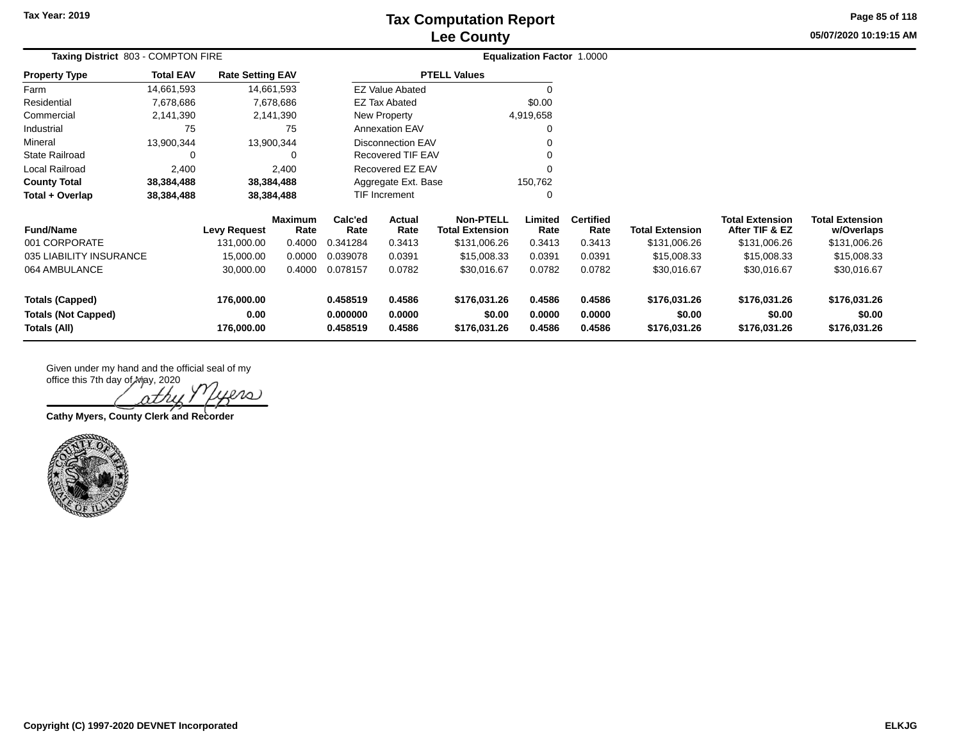## **Lee County Tax Computation Report**

**05/07/2020 10:19:15 AM Page 85 of 118**

| Taxing District 803 - COMPTON FIRE         |                  |                         |                        |                      | <b>Equalization Factor 1.0000</b> |                                            |                  |                          |                        |                                          |                                      |
|--------------------------------------------|------------------|-------------------------|------------------------|----------------------|-----------------------------------|--------------------------------------------|------------------|--------------------------|------------------------|------------------------------------------|--------------------------------------|
| <b>Property Type</b>                       | <b>Total EAV</b> | <b>Rate Setting EAV</b> |                        |                      |                                   | <b>PTELL Values</b>                        |                  |                          |                        |                                          |                                      |
| Farm                                       | 14,661,593       |                         | 14,661,593             |                      | <b>EZ Value Abated</b>            |                                            |                  |                          |                        |                                          |                                      |
| Residential                                | 7,678,686        |                         | 7,678,686              |                      | <b>EZ Tax Abated</b>              |                                            | \$0.00           |                          |                        |                                          |                                      |
| Commercial                                 | 2,141,390        |                         | 2,141,390              |                      | New Property                      |                                            | 4,919,658        |                          |                        |                                          |                                      |
| Industrial                                 | 75               |                         | 75                     |                      | <b>Annexation EAV</b>             |                                            |                  |                          |                        |                                          |                                      |
| Mineral                                    | 13,900,344       |                         | 13,900,344             |                      | <b>Disconnection EAV</b>          |                                            |                  |                          |                        |                                          |                                      |
| <b>State Railroad</b>                      | 0                |                         |                        |                      | Recovered TIF EAV                 |                                            |                  |                          |                        |                                          |                                      |
| Local Railroad                             | 2,400            |                         | 2,400                  |                      | Recovered EZ EAV                  |                                            |                  |                          |                        |                                          |                                      |
| <b>County Total</b>                        | 38,384,488       |                         | 38,384,488             |                      | Aggregate Ext. Base               |                                            | 150,762          |                          |                        |                                          |                                      |
| Total + Overlap                            | 38,384,488       |                         | 38,384,488             | <b>TIF Increment</b> |                                   |                                            |                  |                          |                        |                                          |                                      |
| <b>Fund/Name</b>                           |                  | <b>Levy Request</b>     | <b>Maximum</b><br>Rate | Calc'ed<br>Rate      | Actual<br>Rate                    | <b>Non-PTELL</b><br><b>Total Extension</b> | Limited<br>Rate  | <b>Certified</b><br>Rate | <b>Total Extension</b> | <b>Total Extension</b><br>After TIF & EZ | <b>Total Extension</b><br>w/Overlaps |
| 001 CORPORATE                              |                  | 131,000.00              | 0.4000                 | 0.341284             | 0.3413                            | \$131,006.26                               | 0.3413           | 0.3413                   | \$131,006.26           | \$131,006.26                             | \$131,006.26                         |
| 035 LIABILITY INSURANCE                    |                  | 15,000.00               | 0.0000                 | 0.039078             | 0.0391                            | \$15,008.33                                | 0.0391           | 0.0391                   | \$15,008.33            | \$15,008.33                              | \$15,008.33                          |
| 064 AMBULANCE                              |                  | 30,000.00               | 0.4000                 | 0.078157             | 0.0782                            | \$30,016.67                                | 0.0782           | 0.0782                   | \$30,016.67            | \$30,016.67                              | \$30,016.67                          |
| <b>Totals (Capped)</b>                     |                  | 176,000.00              |                        | 0.458519             | 0.4586                            | \$176,031.26                               | 0.4586           | 0.4586                   | \$176,031.26           | \$176,031.26                             | \$176,031.26                         |
| <b>Totals (Not Capped)</b><br>Totals (All) |                  | 0.00<br>176,000.00      |                        | 0.000000<br>0.458519 | 0.0000<br>0.4586                  | \$0.00<br>\$176,031.26                     | 0.0000<br>0.4586 | 0.0000<br>0.4586         | \$0.00<br>\$176,031.26 | \$0.00<br>\$176,031.26                   | \$0.00<br>\$176,031.26               |

 $ln$ 

**Cathy Myers, County Clerk and Recorder**

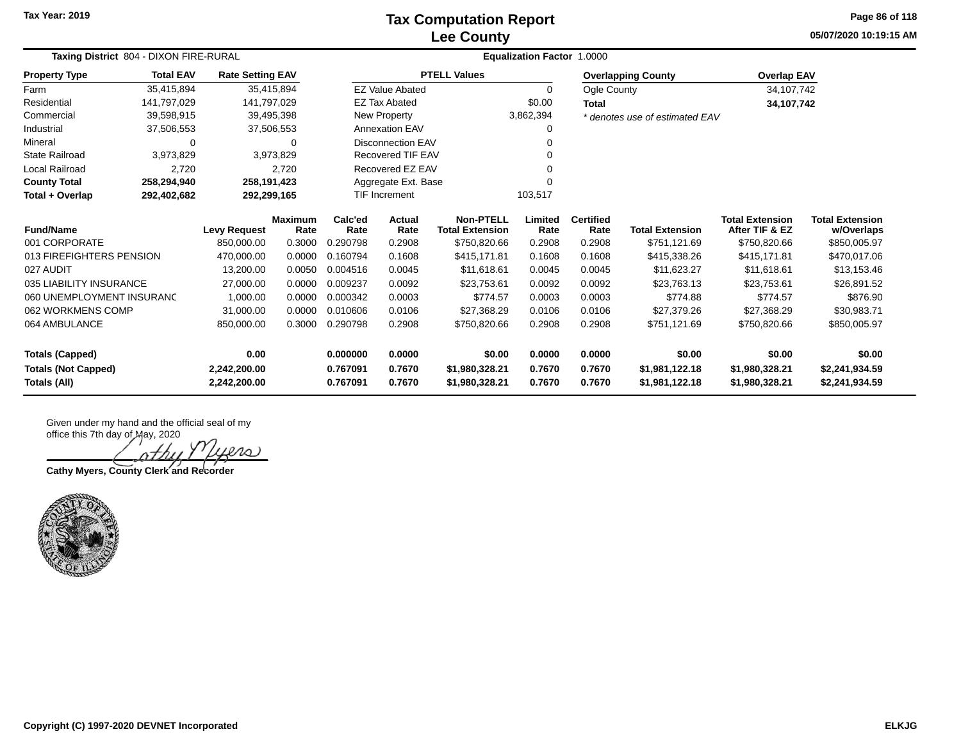### **Lee County Tax Computation Report**

**05/07/2020 10:19:15 AM Page 86 of 118**

|                                            | Taxing District 804 - DIXON FIRE-RURAL |                              |                        |                      |                          | Equalization Factor 1.0000                 |                  |                          |                                  |                                          |                                      |  |  |  |
|--------------------------------------------|----------------------------------------|------------------------------|------------------------|----------------------|--------------------------|--------------------------------------------|------------------|--------------------------|----------------------------------|------------------------------------------|--------------------------------------|--|--|--|
| <b>Property Type</b>                       | <b>Total EAV</b>                       | <b>Rate Setting EAV</b>      |                        |                      |                          | <b>PTELL Values</b>                        |                  |                          | <b>Overlapping County</b>        | <b>Overlap EAV</b>                       |                                      |  |  |  |
| Farm                                       | 35,415,894                             |                              | 35,415,894             |                      | <b>EZ Value Abated</b>   |                                            | $\Omega$         | Ogle County              |                                  | 34, 107, 742                             |                                      |  |  |  |
| Residential                                | 141,797,029                            | 141,797,029                  |                        |                      | <b>EZ Tax Abated</b>     |                                            | \$0.00           | <b>Total</b>             |                                  | 34,107,742                               |                                      |  |  |  |
| Commercial                                 | 39,598,915                             |                              | 39,495,398             |                      | New Property             |                                            | 3,862,394        |                          | * denotes use of estimated EAV   |                                          |                                      |  |  |  |
| Industrial                                 | 37,506,553                             |                              | 37,506,553             |                      | <b>Annexation EAV</b>    |                                            | 0                |                          |                                  |                                          |                                      |  |  |  |
| Mineral                                    | 0                                      |                              | 0                      |                      | <b>Disconnection EAV</b> |                                            | 0                |                          |                                  |                                          |                                      |  |  |  |
| <b>State Railroad</b>                      | 3,973,829                              |                              | 3,973,829              |                      | Recovered TIF EAV        |                                            | $\Omega$         |                          |                                  |                                          |                                      |  |  |  |
| Local Railroad                             | 2,720                                  |                              | 2.720                  |                      | Recovered EZ EAV         |                                            | $\Omega$         |                          |                                  |                                          |                                      |  |  |  |
| <b>County Total</b>                        | 258,294,940                            | 258,191,423                  |                        |                      | Aggregate Ext. Base      |                                            | $\Omega$         |                          |                                  |                                          |                                      |  |  |  |
| Total + Overlap                            | 292,402,682                            | 292,299,165                  |                        |                      | TIF Increment            | 103,517                                    |                  |                          |                                  |                                          |                                      |  |  |  |
| <b>Fund/Name</b>                           |                                        | <b>Levy Request</b>          | <b>Maximum</b><br>Rate | Calc'ed<br>Rate      | <b>Actual</b><br>Rate    | <b>Non-PTELL</b><br><b>Total Extension</b> | Limited<br>Rate  | <b>Certified</b><br>Rate | <b>Total Extension</b>           | <b>Total Extension</b><br>After TIF & EZ | <b>Total Extension</b><br>w/Overlaps |  |  |  |
| 001 CORPORATE                              |                                        | 850,000.00                   | 0.3000                 | 0.290798             | 0.2908                   | \$750,820.66                               | 0.2908           | 0.2908                   | \$751,121.69                     | \$750,820.66                             | \$850,005.97                         |  |  |  |
| 013 FIREFIGHTERS PENSION                   |                                        | 470.000.00                   | 0.0000                 | 0.160794             | 0.1608                   | \$415,171.81                               | 0.1608           | 0.1608                   | \$415,338.26                     | \$415,171.81                             | \$470,017.06                         |  |  |  |
| 027 AUDIT                                  |                                        | 13,200.00                    | 0.0050                 | 0.004516             | 0.0045                   | \$11,618,61                                | 0.0045           | 0.0045                   | \$11,623.27                      | \$11.618.61                              | \$13,153.46                          |  |  |  |
| 035 LIABILITY INSURANCE                    |                                        | 27,000.00                    | 0.0000                 | 0.009237             | 0.0092                   | \$23,753.61                                | 0.0092           | 0.0092                   | \$23,763.13                      | \$23,753.61                              | \$26,891.52                          |  |  |  |
| 060 UNEMPLOYMENT INSURANC                  |                                        | 1,000.00                     | 0.0000                 | 0.000342             | 0.0003                   | \$774.57                                   | 0.0003           | 0.0003                   | \$774.88                         | \$774.57                                 | \$876.90                             |  |  |  |
| 062 WORKMENS COMP                          |                                        | 31,000.00                    | 0.0000                 | 0.010606             | 0.0106                   | \$27,368.29                                | 0.0106           | 0.0106                   | \$27,379.26                      | \$27,368.29                              | \$30,983.71                          |  |  |  |
| 064 AMBULANCE                              |                                        | 850,000.00                   | 0.3000                 | 0.290798             | 0.2908                   | \$750,820.66                               | 0.2908           | 0.2908                   | \$751,121.69                     | \$750,820.66                             | \$850,005.97                         |  |  |  |
| <b>Totals (Capped)</b>                     |                                        | 0.00                         |                        | 0.000000             | 0.0000                   | \$0.00                                     | 0.0000           | 0.0000                   | \$0.00                           | \$0.00                                   | \$0.00                               |  |  |  |
| <b>Totals (Not Capped)</b><br>Totals (All) |                                        | 2,242,200.00<br>2,242,200.00 |                        | 0.767091<br>0.767091 | 0.7670<br>0.7670         | \$1,980,328.21<br>\$1,980,328.21           | 0.7670<br>0.7670 | 0.7670<br>0.7670         | \$1,981,122.18<br>\$1,981,122.18 | \$1,980,328.21<br>\$1,980,328.21         | \$2,241,934.59<br>\$2,241,934.59     |  |  |  |

lero)

**Cathy Myers, County Clerk and Recorder**

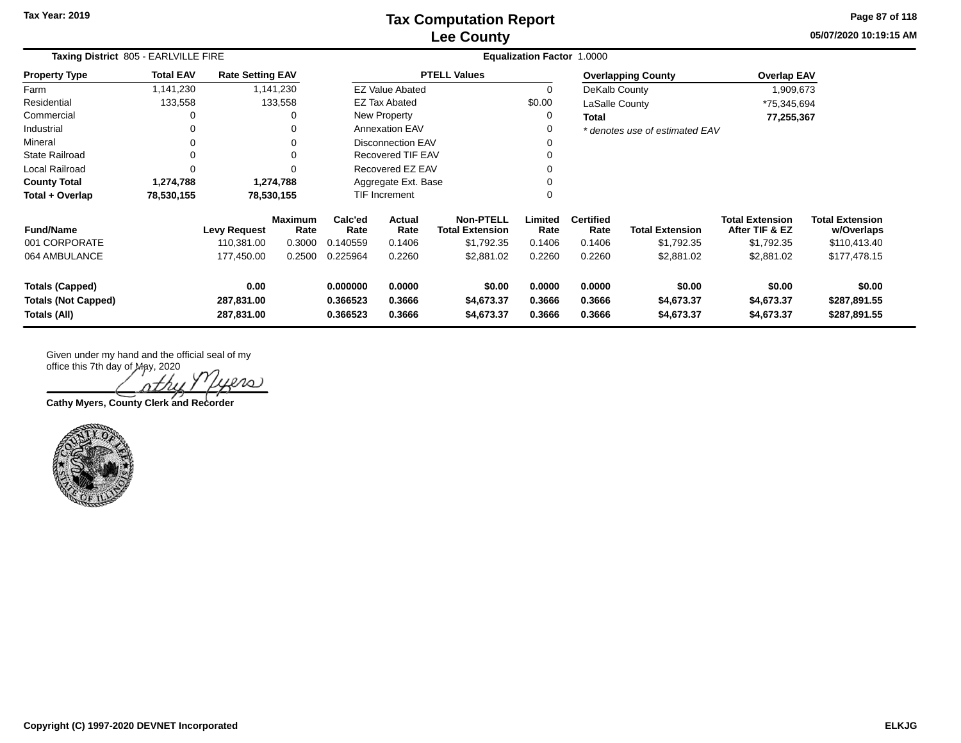**05/07/2020 10:19:15 AMPage 87 of 118**

| Taxing District 805 - EARLVILLE FIRE                                 |                  |                                  |                        |                                  |                                                              |                                    | <b>Equalization Factor 1.0000</b> |                            |                                    |                                          |                                        |
|----------------------------------------------------------------------|------------------|----------------------------------|------------------------|----------------------------------|--------------------------------------------------------------|------------------------------------|-----------------------------------|----------------------------|------------------------------------|------------------------------------------|----------------------------------------|
| <b>Property Type</b>                                                 | <b>Total EAV</b> | <b>Rate Setting EAV</b>          |                        |                                  |                                                              | <b>PTELL Values</b>                |                                   |                            | <b>Overlapping County</b>          | <b>Overlap EAV</b>                       |                                        |
| Farm                                                                 | 1,141,230        |                                  | 1,141,230              |                                  | <b>EZ Value Abated</b>                                       |                                    | $\Omega$                          | DeKalb County              |                                    | 1,909,673                                |                                        |
| Residential                                                          | 133,558          |                                  | 133,558                |                                  | EZ Tax Abated                                                |                                    | \$0.00                            | LaSalle County             |                                    | *75,345,694                              |                                        |
| Commercial                                                           | 0                |                                  | 0                      |                                  | New Property                                                 |                                    | 0                                 | Total                      |                                    | 77,255,367                               |                                        |
| Industrial                                                           | 0                |                                  |                        |                                  | <b>Annexation EAV</b>                                        |                                    | 0                                 |                            | * denotes use of estimated EAV     |                                          |                                        |
| Mineral                                                              | 0                |                                  | 0                      |                                  | <b>Disconnection EAV</b>                                     |                                    |                                   |                            |                                    |                                          |                                        |
| <b>State Railroad</b>                                                | 0                |                                  | $\Omega$               |                                  | <b>Recovered TIF EAV</b>                                     |                                    |                                   |                            |                                    |                                          |                                        |
| <b>Local Railroad</b>                                                | 0                |                                  | $\Omega$               |                                  | Recovered EZ EAV                                             |                                    |                                   |                            |                                    |                                          |                                        |
| <b>County Total</b>                                                  | 1,274,788        |                                  | 1,274,788              |                                  | Aggregate Ext. Base                                          |                                    |                                   |                            |                                    |                                          |                                        |
| Total + Overlap                                                      | 78,530,155       |                                  | 78,530,155             |                                  | TIF Increment                                                |                                    |                                   |                            |                                    |                                          |                                        |
| <b>Fund/Name</b>                                                     |                  | <b>Levy Request</b>              | <b>Maximum</b><br>Rate | Calc'ed<br>Rate                  | <b>Non-PTELL</b><br>Actual<br><b>Total Extension</b><br>Rate |                                    | Limited<br>Rate                   | <b>Certified</b><br>Rate   | <b>Total Extension</b>             | <b>Total Extension</b><br>After TIF & EZ | <b>Total Extension</b><br>w/Overlaps   |
| 001 CORPORATE                                                        |                  | 110,381.00                       | 0.3000                 | 0.140559                         | 0.1406                                                       | \$1,792.35                         | 0.1406                            | 0.1406                     | \$1,792.35                         | \$1,792.35                               | \$110,413.40                           |
| 064 AMBULANCE                                                        |                  | 177,450.00                       | 0.2500                 | 0.225964                         | 0.2260                                                       | \$2,881.02                         | 0.2260                            | 0.2260                     | \$2,881.02                         | \$2,881.02                               | \$177,478.15                           |
| <b>Totals (Capped)</b><br><b>Totals (Not Capped)</b><br>Totals (All) |                  | 0.00<br>287,831.00<br>287,831.00 |                        | 0.000000<br>0.366523<br>0.366523 | 0.0000<br>0.3666<br>0.3666                                   | \$0.00<br>\$4,673.37<br>\$4,673.37 | 0.0000<br>0.3666<br>0.3666        | 0.0000<br>0.3666<br>0.3666 | \$0.00<br>\$4,673.37<br>\$4,673.37 | \$0.00<br>\$4,673.37<br>\$4,673.37       | \$0.00<br>\$287,891.55<br>\$287,891.55 |

 $\Lambda$  ,

**Cathy Myers, County Clerk and Recorder**

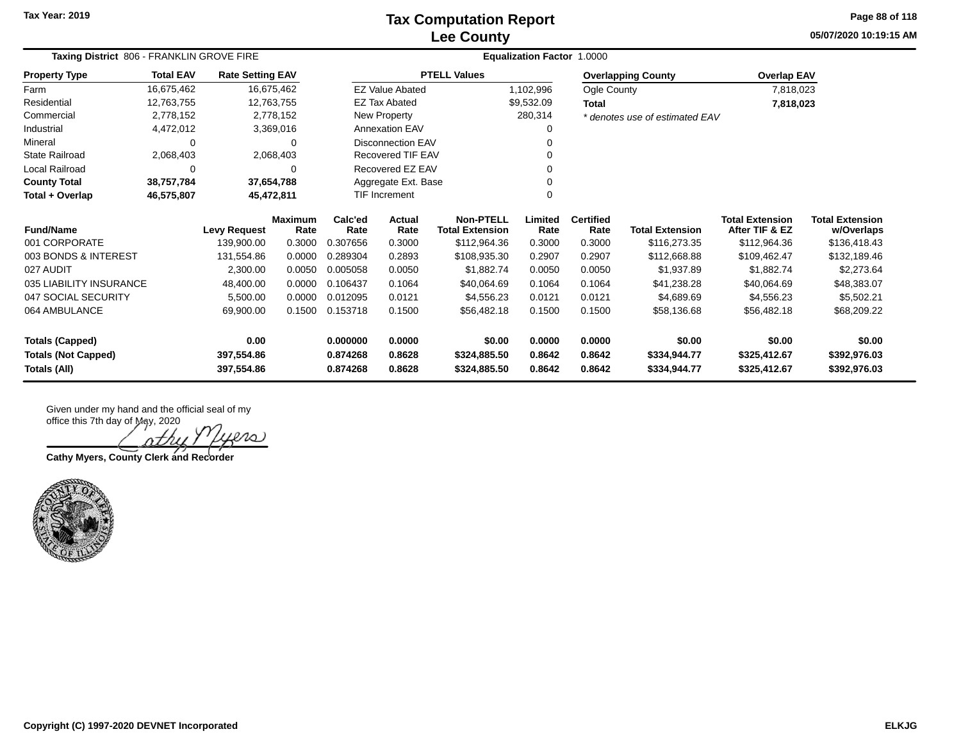### **Lee County Tax Computation Report**

**05/07/2020 10:19:15 AM Page 88 of 118**

|                            | Taxing District 806 - FRANKLIN GROVE FIRE |                         |                        |                 | <b>Equalization Factor 1.0000</b> |                                            |                 |                          |                                |                                          |                                      |  |  |
|----------------------------|-------------------------------------------|-------------------------|------------------------|-----------------|-----------------------------------|--------------------------------------------|-----------------|--------------------------|--------------------------------|------------------------------------------|--------------------------------------|--|--|
| <b>Property Type</b>       | <b>Total EAV</b>                          | <b>Rate Setting EAV</b> |                        |                 |                                   | <b>PTELL Values</b>                        |                 |                          | <b>Overlapping County</b>      | <b>Overlap EAV</b>                       |                                      |  |  |
| Farm                       | 16,675,462                                |                         | 16,675,462             |                 | <b>EZ Value Abated</b>            |                                            | 1,102,996       | Ogle County              |                                | 7,818,023                                |                                      |  |  |
| Residential                | 12,763,755                                |                         | 12,763,755             |                 | <b>EZ Tax Abated</b>              |                                            | \$9,532.09      | Total                    |                                | 7,818,023                                |                                      |  |  |
| Commercial                 | 2,778,152                                 |                         | 2,778,152              |                 | New Property                      |                                            | 280,314         |                          | * denotes use of estimated EAV |                                          |                                      |  |  |
| Industrial                 | 4,472,012                                 |                         | 3,369,016              |                 | <b>Annexation EAV</b>             |                                            | 0               |                          |                                |                                          |                                      |  |  |
| Mineral                    | $\Omega$                                  |                         | $\Omega$               |                 | <b>Disconnection EAV</b>          |                                            |                 |                          |                                |                                          |                                      |  |  |
| <b>State Railroad</b>      | 2,068,403                                 |                         | 2,068,403              |                 | Recovered TIF EAV                 |                                            | 0               |                          |                                |                                          |                                      |  |  |
| Local Railroad             | $\Omega$                                  |                         | $\Omega$               |                 | Recovered EZ EAV                  |                                            | 0               |                          |                                |                                          |                                      |  |  |
| <b>County Total</b>        | 38,757,784                                |                         | 37,654,788             |                 | Aggregate Ext. Base               |                                            |                 |                          |                                |                                          |                                      |  |  |
| Total + Overlap            | 46,575,807                                |                         | 45,472,811             |                 | <b>TIF Increment</b>              |                                            | $\Omega$        |                          |                                |                                          |                                      |  |  |
| <b>Fund/Name</b>           |                                           | <b>Levy Request</b>     | <b>Maximum</b><br>Rate | Calc'ed<br>Rate | Actual<br>Rate                    | <b>Non-PTELL</b><br><b>Total Extension</b> | Limited<br>Rate | <b>Certified</b><br>Rate | <b>Total Extension</b>         | <b>Total Extension</b><br>After TIF & EZ | <b>Total Extension</b><br>w/Overlaps |  |  |
| 001 CORPORATE              |                                           | 139,900.00              | 0.3000                 | 0.307656        | 0.3000                            | \$112,964.36                               | 0.3000          | 0.3000                   | \$116,273.35                   | \$112,964.36                             | \$136,418.43                         |  |  |
| 003 BONDS & INTEREST       |                                           | 131,554.86              | 0.0000                 | 0.289304        | 0.2893                            | \$108,935.30                               | 0.2907          | 0.2907                   | \$112,668.88                   | \$109,462.47                             | \$132,189.46                         |  |  |
| 027 AUDIT                  |                                           | 2,300.00                | 0.0050                 | 0.005058        | 0.0050                            | \$1,882.74                                 | 0.0050          | 0.0050                   | \$1,937.89                     | \$1,882.74                               | \$2,273.64                           |  |  |
| 035 LIABILITY INSURANCE    |                                           | 48,400.00               | 0.0000                 | 0.106437        | 0.1064                            | \$40,064.69                                | 0.1064          | 0.1064                   | \$41,238.28                    | \$40,064.69                              | \$48,383.07                          |  |  |
| 047 SOCIAL SECURITY        |                                           | 5,500.00                | 0.0000                 | 0.012095        | 0.0121                            | \$4,556.23                                 | 0.0121          | 0.0121                   | \$4,689.69                     | \$4,556.23                               | \$5,502.21                           |  |  |
| 064 AMBULANCE              |                                           | 69,900.00               | 0.1500                 | 0.153718        | 0.1500                            | \$56,482.18                                | 0.1500          | 0.1500                   | \$58,136.68                    | \$56,482.18                              | \$68,209.22                          |  |  |
| <b>Totals (Capped)</b>     |                                           | 0.00                    |                        | 0.000000        | 0.0000                            | \$0.00                                     | 0.0000          | 0.0000                   | \$0.00                         | \$0.00                                   | \$0.00                               |  |  |
| <b>Totals (Not Capped)</b> |                                           | 397,554.86              |                        | 0.874268        | 0.8628                            | \$324,885.50                               | 0.8642          | 0.8642                   | \$334,944.77                   | \$325,412.67                             | \$392,976.03                         |  |  |
| Totals (All)               |                                           | 397,554.86              |                        | 0.874268        | 0.8628                            | \$324,885.50                               | 0.8642          | 0.8642                   | \$334,944.77                   | \$325,412.67                             | \$392,976.03                         |  |  |

Given under my hand and the official seal of my office this 7th day of May, 2020

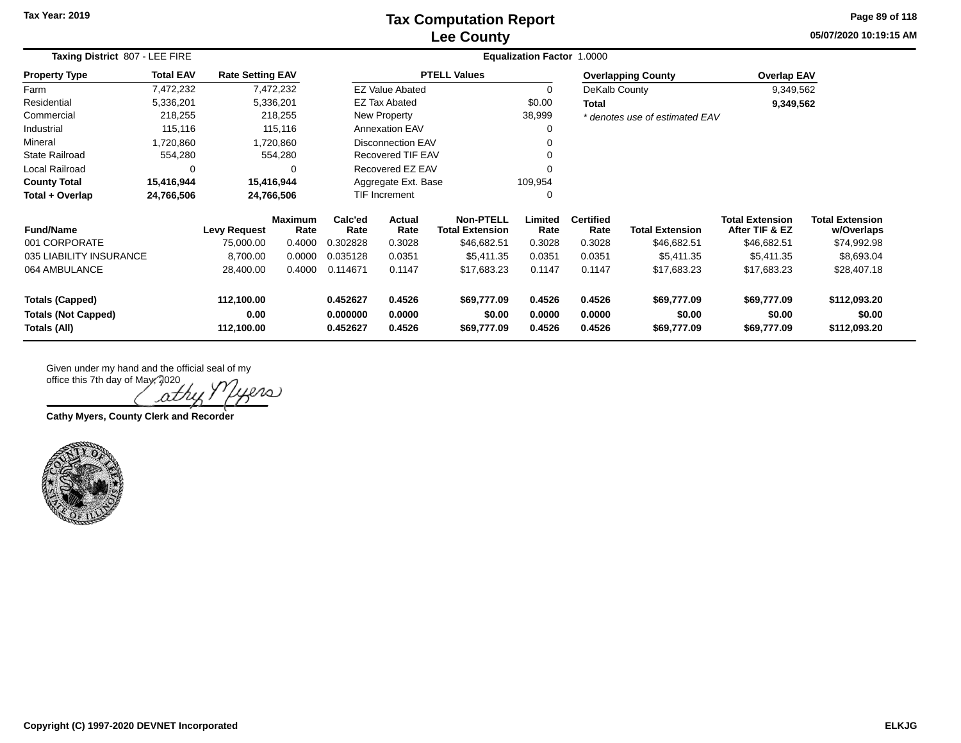### **Lee County Tax Computation Report**

**05/07/2020 10:19:15 AM Page 89 of 118**

| Taxing District 807 - LEE FIRE                       |                  |                         |                        | Equalization Factor 1.0000 |                          |                                            |                  |                          |                                |                                          |                                      |  |  |  |
|------------------------------------------------------|------------------|-------------------------|------------------------|----------------------------|--------------------------|--------------------------------------------|------------------|--------------------------|--------------------------------|------------------------------------------|--------------------------------------|--|--|--|
| <b>Property Type</b>                                 | <b>Total EAV</b> | <b>Rate Setting EAV</b> |                        |                            |                          | <b>PTELL Values</b>                        |                  |                          | <b>Overlapping County</b>      | <b>Overlap EAV</b>                       |                                      |  |  |  |
| Farm                                                 | 7,472,232        |                         | 7,472,232              |                            | <b>EZ Value Abated</b>   |                                            | $\Omega$         | DeKalb County            |                                | 9,349,562                                |                                      |  |  |  |
| Residential                                          | 5,336,201        |                         | 5,336,201              |                            | EZ Tax Abated            |                                            | \$0.00           | Total                    |                                | 9,349,562                                |                                      |  |  |  |
| Commercial                                           | 218,255          |                         | 218,255                |                            | New Property             |                                            | 38,999           |                          | * denotes use of estimated EAV |                                          |                                      |  |  |  |
| Industrial                                           | 115,116          |                         | 115,116                |                            | <b>Annexation EAV</b>    |                                            | 0                |                          |                                |                                          |                                      |  |  |  |
| Mineral                                              | 1,720,860        |                         | 1,720,860              |                            | <b>Disconnection EAV</b> |                                            | 0                |                          |                                |                                          |                                      |  |  |  |
| <b>State Railroad</b>                                | 554,280          |                         | 554,280                |                            | Recovered TIF EAV        |                                            | 0                |                          |                                |                                          |                                      |  |  |  |
| Local Railroad                                       | 0                |                         | ∩                      |                            | Recovered EZ EAV         |                                            | $\Omega$         |                          |                                |                                          |                                      |  |  |  |
| <b>County Total</b>                                  | 15,416,944       |                         | 15,416,944             | Aggregate Ext. Base        |                          |                                            | 109,954          |                          |                                |                                          |                                      |  |  |  |
| Total + Overlap                                      | 24,766,506       |                         | 24,766,506             | <b>TIF Increment</b>       |                          |                                            | 0                |                          |                                |                                          |                                      |  |  |  |
| <b>Fund/Name</b>                                     |                  | <b>Levy Request</b>     | <b>Maximum</b><br>Rate | Calc'ed<br>Rate            | Actual<br>Rate           | <b>Non-PTELL</b><br><b>Total Extension</b> | Limited<br>Rate  | <b>Certified</b><br>Rate | <b>Total Extension</b>         | <b>Total Extension</b><br>After TIF & EZ | <b>Total Extension</b><br>w/Overlaps |  |  |  |
| 001 CORPORATE                                        |                  | 75,000.00               | 0.4000                 | 0.302828                   | 0.3028                   | \$46,682.51                                | 0.3028           | 0.3028                   | \$46,682.51                    | \$46,682.51                              | \$74,992.98                          |  |  |  |
| 035 LIABILITY INSURANCE                              |                  | 8,700.00                | 0.0000                 | 0.035128                   | 0.0351                   | \$5,411.35                                 | 0.0351           | 0.0351                   | \$5,411.35                     | \$5,411.35                               | \$8,693.04                           |  |  |  |
| 064 AMBULANCE                                        |                  | 28,400.00               | 0.4000                 | 0.114671                   | 0.1147                   | \$17,683.23                                | 0.1147           | 0.1147                   | \$17,683.23                    | \$17,683.23                              | \$28,407.18                          |  |  |  |
| <b>Totals (Capped)</b><br><b>Totals (Not Capped)</b> |                  | 112,100.00<br>0.00      |                        | 0.452627<br>0.000000       | 0.4526<br>0.0000         | \$69,777.09<br>\$0.00                      | 0.4526<br>0.0000 | 0.4526<br>0.0000         | \$69,777.09<br>\$0.00          | \$69,777.09<br>\$0.00                    | \$112,093.20<br>\$0.00               |  |  |  |
| Totals (All)                                         |                  | 112,100.00              |                        | 0.452627                   | 0.4526                   | \$69,777.09                                | 0.4526           | 0.4526                   | \$69,777.09                    | \$69,777.09                              | \$112,093.20                         |  |  |  |

 $ln(1)$ ath **Cathy Myers, County Clerk and Recorder**

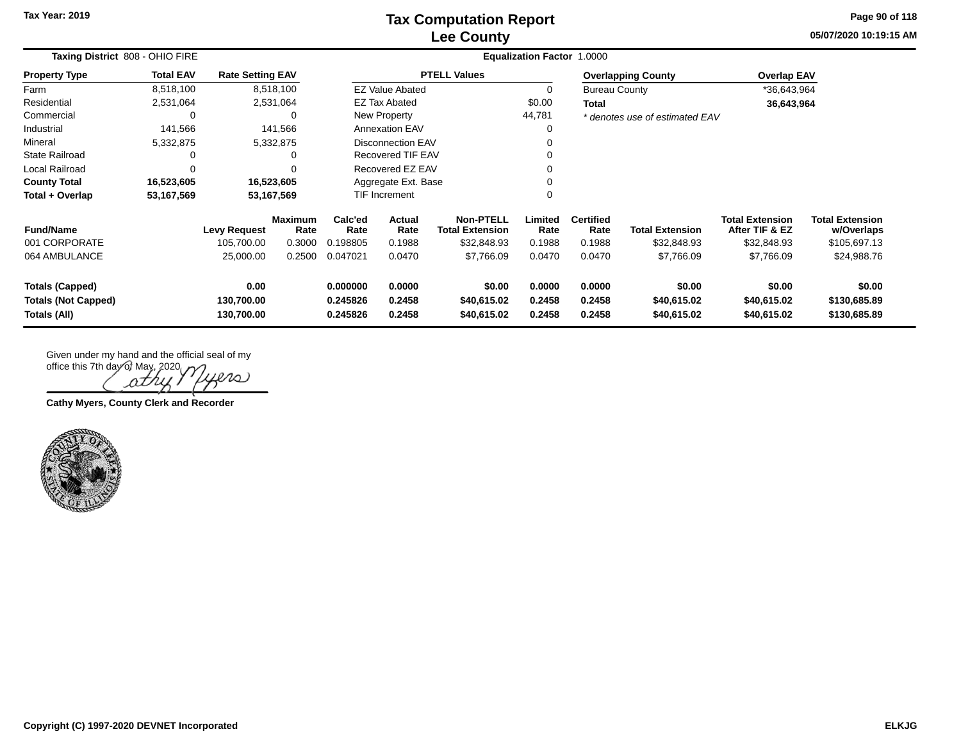## **Lee County Tax Computation Report**

**05/07/2020 10:19:15 AMPage 90 of 118**

| Taxing District 808 - OHIO FIRE                                      | Equalization Factor 1.0000 |                                  |                        |                                                                |                          |                                            |                            |                            |                                      |                                          |                                        |
|----------------------------------------------------------------------|----------------------------|----------------------------------|------------------------|----------------------------------------------------------------|--------------------------|--------------------------------------------|----------------------------|----------------------------|--------------------------------------|------------------------------------------|----------------------------------------|
| <b>Property Type</b>                                                 | <b>Total EAV</b>           | <b>Rate Setting EAV</b>          |                        |                                                                |                          | <b>PTELL Values</b>                        |                            |                            | <b>Overlapping County</b>            | <b>Overlap EAV</b>                       |                                        |
| Farm                                                                 | 8,518,100                  |                                  | 8,518,100              |                                                                | <b>EZ Value Abated</b>   |                                            | 0                          | <b>Bureau County</b>       |                                      | *36,643,964                              |                                        |
| Residential                                                          | 2,531,064                  |                                  | 2,531,064              |                                                                | <b>EZ Tax Abated</b>     |                                            | \$0.00                     | <b>Total</b>               |                                      | 36,643,964                               |                                        |
| Commercial                                                           |                            |                                  | 0                      |                                                                | New Property             |                                            | 44,781                     |                            | * denotes use of estimated EAV       |                                          |                                        |
| Industrial                                                           | 141,566                    |                                  | 141,566                |                                                                | <b>Annexation EAV</b>    |                                            | 0                          |                            |                                      |                                          |                                        |
| Mineral                                                              | 5,332,875                  |                                  | 5,332,875              |                                                                | <b>Disconnection EAV</b> |                                            | 0                          |                            |                                      |                                          |                                        |
| State Railroad                                                       |                            |                                  |                        |                                                                | <b>Recovered TIF EAV</b> |                                            | 0                          |                            |                                      |                                          |                                        |
| Local Railroad                                                       |                            |                                  |                        |                                                                | Recovered EZ EAV         |                                            | 0                          |                            |                                      |                                          |                                        |
| <b>County Total</b>                                                  | 16,523,605                 |                                  | 16,523,605             |                                                                | Aggregate Ext. Base      |                                            | 0                          |                            |                                      |                                          |                                        |
| Total + Overlap                                                      | 53,167,569                 |                                  | 53,167,569             |                                                                | <b>TIF Increment</b>     |                                            | 0                          |                            |                                      |                                          |                                        |
| <b>Fund/Name</b>                                                     |                            | <b>Levy Request</b>              | <b>Maximum</b><br>Rate | Calc'ed<br>Rate                                                | <b>Actual</b><br>Rate    | <b>Non-PTELL</b><br><b>Total Extension</b> | Limited<br>Rate            | <b>Certified</b><br>Rate   | <b>Total Extension</b>               | <b>Total Extension</b><br>After TIF & EZ | <b>Total Extension</b><br>w/Overlaps   |
| 001 CORPORATE                                                        |                            | 105,700.00                       | 0.3000                 | 0.198805                                                       | 0.1988                   | \$32,848.93                                | 0.1988                     | 0.1988                     | \$32,848.93                          | \$32,848.93                              | \$105,697.13                           |
| 064 AMBULANCE                                                        |                            | 25,000.00                        | 0.2500                 | 0.047021                                                       | 0.0470                   | \$7,766.09                                 | 0.0470                     | 0.0470                     | \$7,766.09                           | \$7,766.09                               | \$24,988.76                            |
| <b>Totals (Capped)</b><br><b>Totals (Not Capped)</b><br>Totals (All) |                            | 0.00<br>130,700.00<br>130,700.00 |                        | 0.000000<br>0.0000<br>0.245826<br>0.2458<br>0.2458<br>0.245826 |                          | \$0.00<br>\$40,615.02<br>\$40,615.02       | 0.0000<br>0.2458<br>0.2458 | 0.0000<br>0.2458<br>0.2458 | \$0.00<br>\$40,615.02<br>\$40,615.02 | \$0.00<br>\$40,615.02<br>\$40,615.02     | \$0.00<br>\$130,685.89<br>\$130,685.89 |

office this 7th day of May, 2020 iero ρ

**Cathy Myers, County Clerk and Recorder**

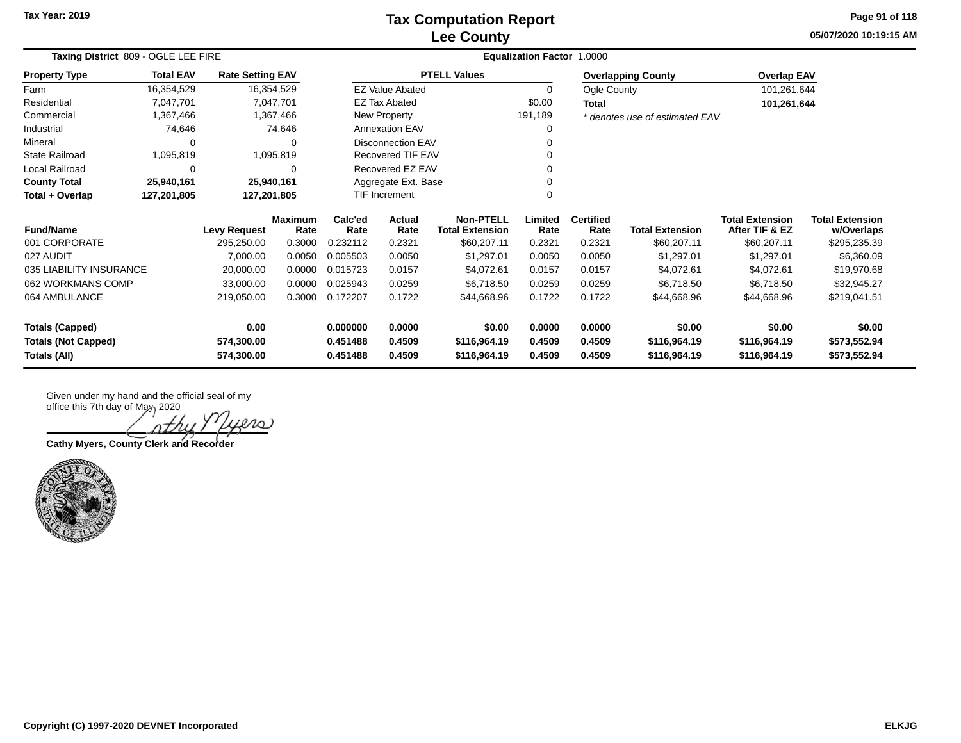## **Lee County Tax Computation Report**

**05/07/2020 10:19:15 AM Page 91 of 118**

| Taxing District 809 - OGLE LEE FIRE | Equalization Factor 1.0000 |                         |                        |                     |                          |                                            |                 |                          |                                |                                          |                                      |
|-------------------------------------|----------------------------|-------------------------|------------------------|---------------------|--------------------------|--------------------------------------------|-----------------|--------------------------|--------------------------------|------------------------------------------|--------------------------------------|
| <b>Property Type</b>                | <b>Total EAV</b>           | <b>Rate Setting EAV</b> |                        |                     |                          | <b>PTELL Values</b>                        |                 |                          | <b>Overlapping County</b>      | <b>Overlap EAV</b>                       |                                      |
| Farm                                | 16,354,529                 | 16,354,529              |                        |                     | <b>EZ Value Abated</b>   |                                            | 0               | Ogle County              |                                | 101,261,644                              |                                      |
| Residential                         | 7,047,701                  |                         | 7,047,701              |                     | EZ Tax Abated            |                                            | \$0.00          | Total                    |                                | 101,261,644                              |                                      |
| Commercial                          | 1,367,466                  |                         | 1,367,466              |                     | New Property             |                                            | 191,189         |                          | * denotes use of estimated EAV |                                          |                                      |
| Industrial                          | 74,646                     |                         | 74,646                 |                     | <b>Annexation EAV</b>    |                                            | 0               |                          |                                |                                          |                                      |
| Mineral                             | 0                          |                         | 0                      |                     | Disconnection EAV        |                                            | $\Omega$        |                          |                                |                                          |                                      |
| State Railroad                      | 1,095,819                  |                         | 1,095,819              |                     | <b>Recovered TIF EAV</b> |                                            |                 |                          |                                |                                          |                                      |
| Local Railroad                      | 0                          |                         | $\Omega$               |                     | Recovered EZ EAV         |                                            | $\Omega$        |                          |                                |                                          |                                      |
| <b>County Total</b>                 | 25,940,161                 | 25,940,161              |                        | Aggregate Ext. Base |                          |                                            | ∩               |                          |                                |                                          |                                      |
| Total + Overlap                     | 127,201,805                | 127,201,805             |                        |                     | <b>TIF Increment</b>     |                                            | $\Omega$        |                          |                                |                                          |                                      |
| <b>Fund/Name</b>                    | <b>Levy Request</b>        |                         | <b>Maximum</b><br>Rate | Calc'ed<br>Rate     | Actual<br>Rate           | <b>Non-PTELL</b><br><b>Total Extension</b> | Limited<br>Rate | <b>Certified</b><br>Rate | <b>Total Extension</b>         | <b>Total Extension</b><br>After TIF & EZ | <b>Total Extension</b><br>w/Overlaps |
| 001 CORPORATE                       |                            | 295,250.00              | 0.3000                 | 0.232112            | 0.2321                   | \$60,207.11                                | 0.2321          | 0.2321                   | \$60,207.11                    | \$60,207.11                              | \$295,235.39                         |
| 027 AUDIT                           |                            | 7,000.00                | 0.0050                 | 0.005503            | 0.0050                   | \$1,297.01                                 | 0.0050          | 0.0050                   | \$1,297.01                     | \$1,297.01                               | \$6,360.09                           |
| 035 LIABILITY INSURANCE             |                            | 20,000.00               | 0.0000                 | 0.015723            | 0.0157                   | \$4,072.61                                 | 0.0157          | 0.0157                   | \$4,072.61                     | \$4,072.61                               | \$19,970.68                          |
| 062 WORKMANS COMP                   |                            | 33,000.00               | 0.0000                 | 0.025943            | 0.0259                   | \$6,718.50                                 | 0.0259          | 0.0259                   | \$6,718.50                     | \$6,718.50                               | \$32,945.27                          |
| 064 AMBULANCE                       |                            | 219,050.00              | 0.3000                 | 0.172207            | 0.1722                   | \$44,668.96                                | 0.1722          | 0.1722                   | \$44,668.96                    | \$44,668.96                              | \$219,041.51                         |
| <b>Totals (Capped)</b>              |                            | 0.00                    |                        | 0.000000            | 0.0000                   | \$0.00                                     | 0.0000          | 0.0000                   | \$0.00                         | \$0.00                                   | \$0.00                               |
| <b>Totals (Not Capped)</b>          |                            | 574,300.00              |                        | 0.451488            | 0.4509                   | \$116,964.19                               | 0.4509          | 0.4509                   | \$116,964.19                   | \$116,964.19                             | \$573,552.94                         |
| Totals (All)                        |                            | 574,300.00              |                        | 0.451488            | 0.4509                   | \$116,964.19                               | 0.4509          | 0.4509                   | \$116,964.19                   | \$116,964.19                             | \$573,552.94                         |

rs

**Cathy Myers, County Clerk and Recorder**

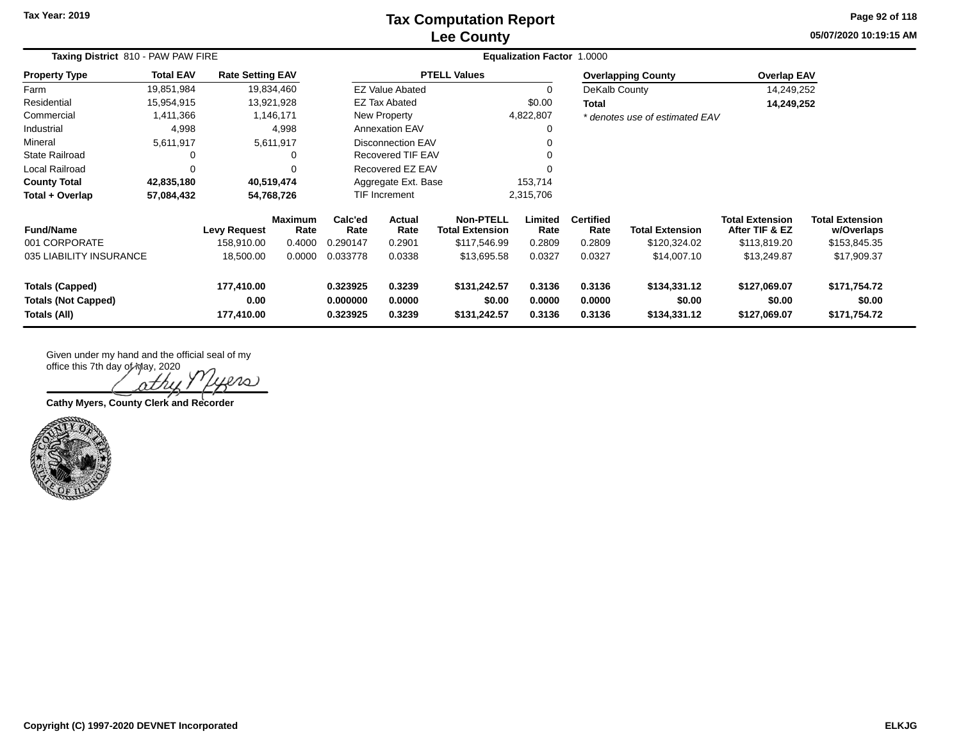## **Lee County Tax Computation Report**

**05/07/2020 10:19:15 AMPage 92 of 118**

| Taxing District 810 - PAW PAW FIRE                                                                       |                  |                                  |                            | <b>Equalization Factor 1.0000</b>      |                            |                                            |                                        |                                        |                                        |                                          |                                      |  |
|----------------------------------------------------------------------------------------------------------|------------------|----------------------------------|----------------------------|----------------------------------------|----------------------------|--------------------------------------------|----------------------------------------|----------------------------------------|----------------------------------------|------------------------------------------|--------------------------------------|--|
| <b>Property Type</b>                                                                                     | <b>Total EAV</b> | <b>Rate Setting EAV</b>          |                            |                                        |                            | <b>PTELL Values</b>                        |                                        |                                        | <b>Overlapping County</b>              | <b>Overlap EAV</b>                       |                                      |  |
| Farm                                                                                                     | 19,851,984       |                                  | 19,834,460                 |                                        | <b>EZ Value Abated</b>     |                                            | $\Omega$                               | DeKalb County                          |                                        | 14,249,252                               |                                      |  |
| Residential                                                                                              | 15,954,915       |                                  | 13,921,928                 |                                        | <b>EZ Tax Abated</b>       |                                            | \$0.00                                 | <b>Total</b>                           |                                        | 14,249,252                               |                                      |  |
| Commercial                                                                                               | 1,411,366        |                                  | 1,146,171                  |                                        | New Property               |                                            | 4,822,807                              |                                        | * denotes use of estimated EAV         |                                          |                                      |  |
| Industrial                                                                                               | 4,998            |                                  | 4,998                      |                                        | <b>Annexation EAV</b>      |                                            | 0                                      |                                        |                                        |                                          |                                      |  |
| Mineral                                                                                                  | 5,611,917        |                                  | 5,611,917                  |                                        | <b>Disconnection EAV</b>   |                                            |                                        |                                        |                                        |                                          |                                      |  |
| <b>State Railroad</b>                                                                                    |                  |                                  |                            |                                        | Recovered TIF EAV          |                                            |                                        |                                        |                                        |                                          |                                      |  |
| Local Railroad                                                                                           | 0                |                                  |                            |                                        | Recovered EZ EAV           |                                            | $\Omega$                               |                                        |                                        |                                          |                                      |  |
| <b>County Total</b>                                                                                      | 42,835,180       |                                  | 40,519,474                 |                                        | Aggregate Ext. Base        |                                            | 153,714                                |                                        |                                        |                                          |                                      |  |
| Total + Overlap                                                                                          | 57,084,432       |                                  | 54,768,726                 |                                        | TIF Increment              |                                            | 2,315,706                              |                                        |                                        |                                          |                                      |  |
| <b>Fund/Name</b>                                                                                         |                  | <b>Levy Request</b>              | <b>Maximum</b><br>Rate     | Calc'ed<br>Rate                        | Actual<br>Rate             | <b>Non-PTELL</b><br><b>Total Extension</b> | Limited<br>Rate                        | <b>Certified</b><br>Rate               | <b>Total Extension</b>                 | <b>Total Extension</b><br>After TIF & EZ | <b>Total Extension</b><br>w/Overlaps |  |
| 001 CORPORATE                                                                                            |                  | 158,910.00                       | 0.4000                     | 0.290147                               | 0.2901                     | \$117,546.99                               | 0.2809                                 | 0.2809                                 | \$120,324.02                           | \$113,819.20                             | \$153,845.35                         |  |
| 035 LIABILITY INSURANCE                                                                                  |                  | 18,500.00                        | 0.0000                     | 0.033778                               | 0.0338                     | \$13,695.58                                | 0.0327                                 | 0.0327                                 | \$14,007.10                            | \$13,249.87                              | \$17,909.37                          |  |
| 177,410.00<br><b>Totals (Capped)</b><br>0.00<br><b>Totals (Not Capped)</b><br>177,410.00<br>Totals (All) |                  | 0.323925<br>0.000000<br>0.323925 | 0.3239<br>0.0000<br>0.3239 | \$131,242.57<br>\$0.00<br>\$131,242.57 | 0.3136<br>0.0000<br>0.3136 | 0.3136<br>0.0000<br>0.3136                 | \$134,331.12<br>\$0.00<br>\$134,331.12 | \$127,069.07<br>\$0.00<br>\$127,069.07 | \$171,754.72<br>\$0.00<br>\$171,754.72 |                                          |                                      |  |

office this 7th day of May, 2020  $2\Omega$ 

**Cathy Myers, County Clerk and Recorder**

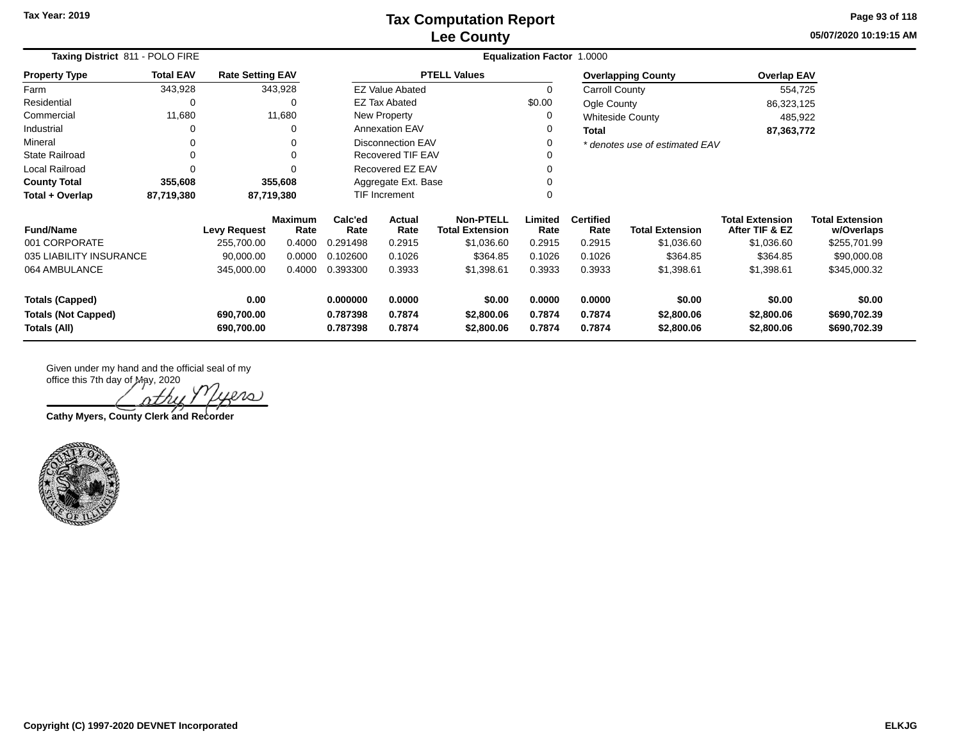**05/07/2020 10:19:15 AM Page 93 of 118**

| Taxing District 811 - POLO FIRE                                      | <b>Equalization Factor 1.0000</b> |                                  |                        |                                  |                            |                                            |                            |                            |                                    |                                          |                                        |
|----------------------------------------------------------------------|-----------------------------------|----------------------------------|------------------------|----------------------------------|----------------------------|--------------------------------------------|----------------------------|----------------------------|------------------------------------|------------------------------------------|----------------------------------------|
| <b>Property Type</b>                                                 | <b>Total EAV</b>                  | <b>Rate Setting EAV</b>          |                        |                                  |                            | <b>PTELL Values</b>                        |                            |                            | <b>Overlapping County</b>          | <b>Overlap EAV</b>                       |                                        |
| Farm                                                                 | 343,928                           |                                  | 343,928                |                                  | <b>EZ Value Abated</b>     |                                            | 0                          | Carroll County             |                                    | 554,725                                  |                                        |
| Residential                                                          | 0                                 |                                  | 0                      |                                  | <b>EZ Tax Abated</b>       |                                            | \$0.00                     | Ogle County                |                                    | 86,323,125                               |                                        |
| Commercial                                                           | 11,680                            |                                  | 11,680                 |                                  | New Property               |                                            |                            |                            | <b>Whiteside County</b>            | 485,922                                  |                                        |
| Industrial                                                           | 0                                 |                                  | 0                      |                                  | <b>Annexation EAV</b>      |                                            |                            | <b>Total</b>               |                                    | 87,363,772                               |                                        |
| Mineral                                                              | $\Omega$                          |                                  | 0                      |                                  | <b>Disconnection EAV</b>   |                                            |                            |                            | * denotes use of estimated EAV     |                                          |                                        |
| <b>State Railroad</b>                                                | $\Omega$                          |                                  | 0                      |                                  | <b>Recovered TIF EAV</b>   |                                            |                            |                            |                                    |                                          |                                        |
| Local Railroad                                                       | $\Omega$                          |                                  | 0                      |                                  | Recovered EZ EAV           |                                            |                            |                            |                                    |                                          |                                        |
| <b>County Total</b>                                                  | 355,608                           |                                  | 355,608                |                                  | Aggregate Ext. Base        |                                            |                            |                            |                                    |                                          |                                        |
| Total + Overlap                                                      | 87,719,380                        |                                  | 87,719,380             | TIF Increment                    |                            |                                            | 0                          |                            |                                    |                                          |                                        |
| <b>Fund/Name</b>                                                     |                                   | <b>Levy Request</b>              | <b>Maximum</b><br>Rate | Calc'ed<br>Rate                  | Actual<br>Rate             | <b>Non-PTELL</b><br><b>Total Extension</b> | Limited<br>Rate            | <b>Certified</b><br>Rate   | <b>Total Extension</b>             | <b>Total Extension</b><br>After TIF & EZ | <b>Total Extension</b><br>w/Overlaps   |
| 001 CORPORATE                                                        |                                   | 255,700.00                       | 0.4000                 | 0.291498                         | 0.2915                     | \$1,036.60                                 | 0.2915                     | 0.2915                     | \$1,036.60                         | \$1,036.60                               | \$255,701.99                           |
| 035 LIABILITY INSURANCE                                              |                                   | 90,000.00                        | 0.0000                 | 0.102600                         | 0.1026                     | \$364.85                                   | 0.1026                     | 0.1026                     | \$364.85                           | \$364.85                                 | \$90,000.08                            |
| 064 AMBULANCE                                                        |                                   | 345,000.00                       | 0.4000                 | 0.393300                         | 0.3933                     | \$1,398.61                                 | 0.3933                     | 0.3933                     | \$1,398.61                         | \$1,398.61                               | \$345,000.32                           |
| <b>Totals (Capped)</b><br><b>Totals (Not Capped)</b><br>Totals (All) |                                   | 0.00<br>690,700.00<br>690,700.00 |                        | 0.000000<br>0.787398<br>0.787398 | 0.0000<br>0.7874<br>0.7874 | \$0.00<br>\$2,800.06<br>\$2,800.06         | 0.0000<br>0.7874<br>0.7874 | 0.0000<br>0.7874<br>0.7874 | \$0.00<br>\$2,800.06<br>\$2,800.06 | \$0.00<br>\$2,800.06<br>\$2,800.06       | \$0.00<br>\$690,702.39<br>\$690,702.39 |

20 J

**Cathy Myers, County Clerk and Recorder**

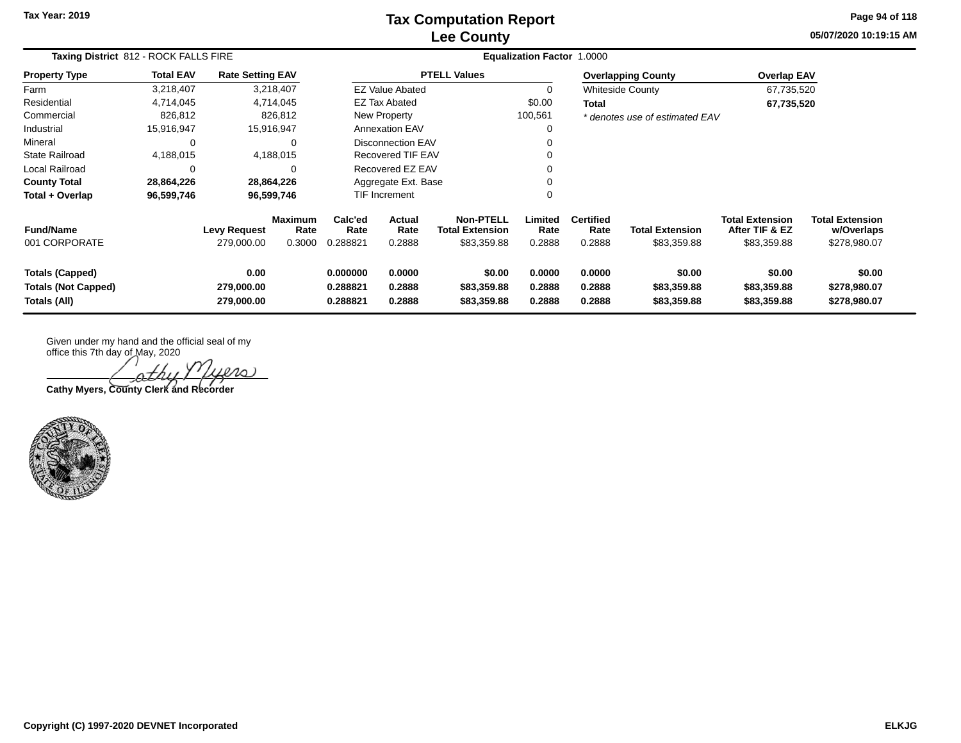## **Lee County Tax Computation Report**

**05/07/2020 10:19:15 AM Page 94 of 118**

| Taxing District 812 - ROCK FALLS FIRE                                | <b>Equalization Factor 1.0000</b> |                                   |                           |                                  |                                 |                                                    |                            |                                    |                                       |                                                         |                                                      |
|----------------------------------------------------------------------|-----------------------------------|-----------------------------------|---------------------------|----------------------------------|---------------------------------|----------------------------------------------------|----------------------------|------------------------------------|---------------------------------------|---------------------------------------------------------|------------------------------------------------------|
| <b>Property Type</b>                                                 | <b>Total EAV</b>                  | <b>Rate Setting EAV</b>           |                           |                                  |                                 | <b>PTELL Values</b>                                |                            |                                    | <b>Overlapping County</b>             | <b>Overlap EAV</b>                                      |                                                      |
| Farm                                                                 | 3,218,407                         | 3,218,407                         |                           |                                  | <b>EZ Value Abated</b>          |                                                    | 0                          |                                    | <b>Whiteside County</b>               | 67,735,520                                              |                                                      |
| Residential                                                          | 4,714,045                         | 4,714,045                         |                           |                                  | <b>EZ Tax Abated</b>            |                                                    | \$0.00                     | Total                              |                                       | 67,735,520                                              |                                                      |
| Commercial                                                           | 826,812                           |                                   | 826,812                   |                                  | New Property                    |                                                    | 100,561                    |                                    | * denotes use of estimated EAV        |                                                         |                                                      |
| Industrial                                                           | 15,916,947                        | 15,916,947                        |                           |                                  | <b>Annexation EAV</b>           |                                                    | 0                          |                                    |                                       |                                                         |                                                      |
| Mineral                                                              | 0                                 |                                   | 0                         |                                  | Disconnection EAV               |                                                    |                            |                                    |                                       |                                                         |                                                      |
| <b>State Railroad</b>                                                | 4,188,015                         |                                   | 4,188,015                 |                                  | <b>Recovered TIF EAV</b>        |                                                    |                            |                                    |                                       |                                                         |                                                      |
| Local Railroad                                                       | 0                                 |                                   | 0                         |                                  | Recovered EZ EAV                |                                                    | 0                          |                                    |                                       |                                                         |                                                      |
| <b>County Total</b>                                                  | 28,864,226                        | 28,864,226                        |                           |                                  | Aggregate Ext. Base             |                                                    |                            |                                    |                                       |                                                         |                                                      |
| Total + Overlap                                                      | 96,599,746                        | 96,599,746                        |                           |                                  | TIF Increment                   |                                                    | 0                          |                                    |                                       |                                                         |                                                      |
| <b>Fund/Name</b><br>001 CORPORATE                                    |                                   | <b>Levy Request</b><br>279,000.00 | Maximum<br>Rate<br>0.3000 | Calc'ed<br>Rate<br>0.288821      | <b>Actual</b><br>Rate<br>0.2888 | Non-PTELL<br><b>Total Extension</b><br>\$83,359.88 | Limited<br>Rate<br>0.2888  | <b>Certified</b><br>Rate<br>0.2888 | <b>Total Extension</b><br>\$83,359.88 | <b>Total Extension</b><br>After TIF & EZ<br>\$83,359.88 | <b>Total Extension</b><br>w/Overlaps<br>\$278,980.07 |
| <b>Totals (Capped)</b><br><b>Totals (Not Capped)</b><br>Totals (All) |                                   | 0.00<br>279,000.00<br>279,000.00  |                           | 0.000000<br>0.288821<br>0.288821 | 0.0000<br>0.2888<br>0.2888      | \$0.00<br>\$83,359.88<br>\$83,359.88               | 0.0000<br>0.2888<br>0.2888 | 0.0000<br>0.2888<br>0.2888         | \$0.00<br>\$83,359.88<br>\$83,359.88  | \$0.00<br>\$83,359.88<br>\$83,359.88                    | \$0.00<br>\$278,980.07<br>\$278,980.07               |

office this 7th day of May, 2020 Lers

**Cathy Myers, County Clerk and Recorder**

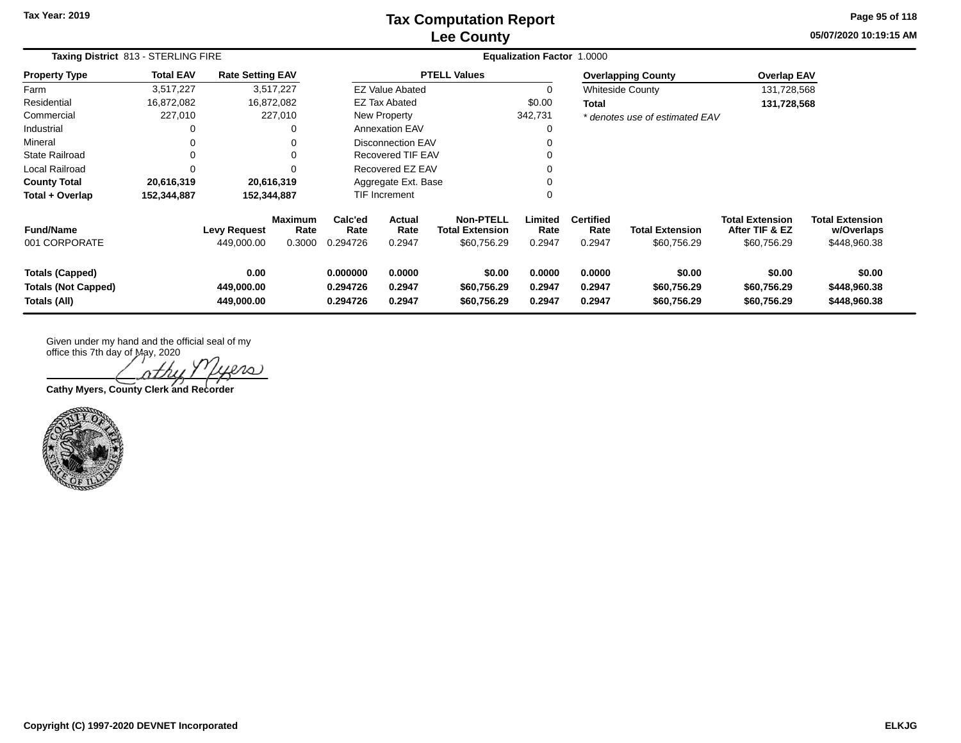# **Lee County Tax Computation Report**

**05/07/2020 10:19:15 AMPage 95 of 118**

| Taxing District 813 - STERLING FIRE                                  |                  | Equalization Factor 1.0000        |                                  |                                  |                                 |                                                    |                            |                                    |                                      |                                                         |                                                      |
|----------------------------------------------------------------------|------------------|-----------------------------------|----------------------------------|----------------------------------|---------------------------------|----------------------------------------------------|----------------------------|------------------------------------|--------------------------------------|---------------------------------------------------------|------------------------------------------------------|
| <b>Property Type</b>                                                 | <b>Total EAV</b> | <b>Rate Setting EAV</b>           |                                  |                                  |                                 | <b>PTELL Values</b>                                |                            |                                    | <b>Overlapping County</b>            | <b>Overlap EAV</b>                                      |                                                      |
| Farm                                                                 | 3.517.227        |                                   | 3,517,227                        |                                  | <b>EZ Value Abated</b>          |                                                    | 0                          |                                    | <b>Whiteside County</b>              | 131,728,568                                             |                                                      |
| Residential                                                          | 16,872,082       | 16,872,082                        |                                  |                                  | EZ Tax Abated                   |                                                    | \$0.00                     | Total                              |                                      | 131,728,568                                             |                                                      |
| Commercial                                                           | 227,010          |                                   | 227,010                          |                                  | New Property                    |                                                    | 342,731                    |                                    | * denotes use of estimated EAV       |                                                         |                                                      |
| Industrial                                                           | 0                |                                   | 0                                |                                  | <b>Annexation EAV</b>           |                                                    | 0                          |                                    |                                      |                                                         |                                                      |
| Mineral                                                              |                  |                                   | 0                                |                                  | <b>Disconnection EAV</b>        |                                                    |                            |                                    |                                      |                                                         |                                                      |
| <b>State Railroad</b>                                                | $\Omega$         |                                   | 0                                | Recovered TIF EAV                |                                 |                                                    | 0                          |                                    |                                      |                                                         |                                                      |
| Local Railroad                                                       | 0                |                                   | $\Omega$                         |                                  | Recovered EZ EAV                |                                                    | 0                          |                                    |                                      |                                                         |                                                      |
| <b>County Total</b>                                                  | 20,616,319       | 20,616,319                        |                                  | Aggregate Ext. Base              |                                 |                                                    |                            |                                    |                                      |                                                         |                                                      |
| Total + Overlap                                                      | 152,344,887      | 152,344,887                       |                                  | <b>TIF Increment</b>             |                                 |                                                    | 0                          |                                    |                                      |                                                         |                                                      |
| <b>Fund/Name</b><br>001 CORPORATE                                    |                  | <b>Levy Request</b><br>449,000.00 | <b>Maximum</b><br>Rate<br>0.3000 | Calc'ed<br>Rate<br>0.294726      | <b>Actual</b><br>Rate<br>0.2947 | <b>Non-PTELL</b><br>Total Extension<br>\$60,756.29 | Limited<br>Rate<br>0.2947  | <b>Certified</b><br>Rate<br>0.2947 | Total Extension<br>\$60,756.29       | <b>Total Extension</b><br>After TIF & EZ<br>\$60,756.29 | <b>Total Extension</b><br>w/Overlaps<br>\$448,960.38 |
| <b>Totals (Capped)</b><br><b>Totals (Not Capped)</b><br>Totals (All) |                  | 0.00<br>449,000.00<br>449,000.00  |                                  | 0.000000<br>0.294726<br>0.294726 | 0.0000<br>0.2947<br>0.2947      | \$0.00<br>\$60,756.29<br>\$60,756.29               | 0.0000<br>0.2947<br>0.2947 | 0.0000<br>0.2947<br>0.2947         | \$0.00<br>\$60,756.29<br>\$60,756.29 | \$0.00<br>\$60,756.29<br>\$60,756.29                    | \$0.00<br>\$448,960.38<br>\$448,960.38               |

Given under my hand and the official seal of my

office this 7th day of May, 2020 iers

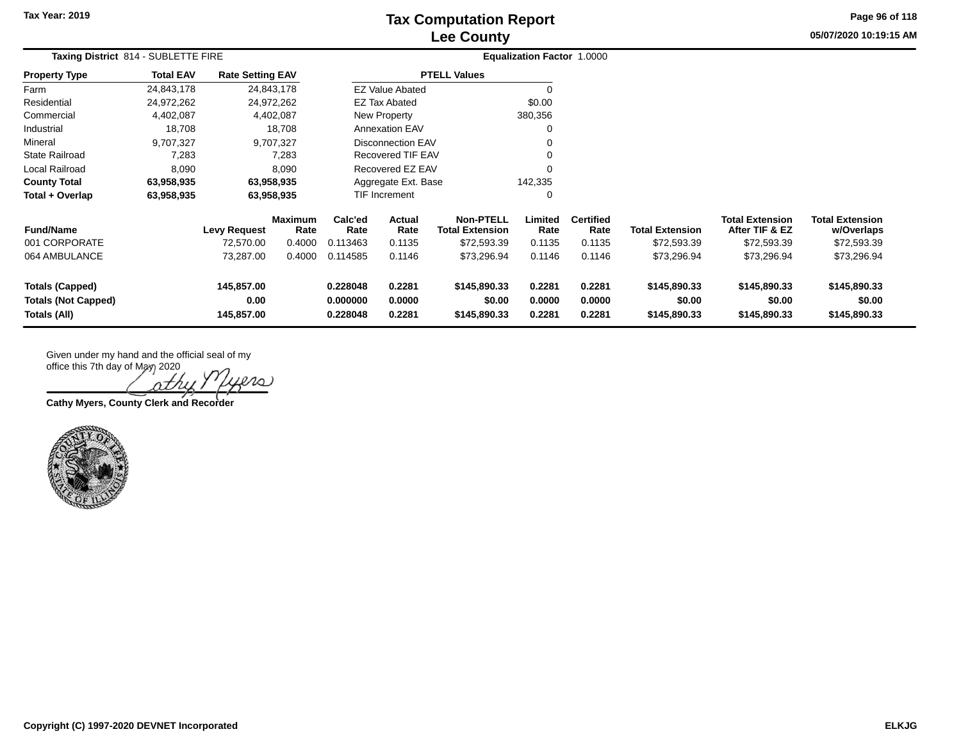## **Lee County Tax Computation Report**

**05/07/2020 10:19:15 AMPage 96 of 118**

|                                                                      | Taxing District 814 - SUBLETTE FIRE |                                  |                        |                                                                |                                          |                                        | <b>Equalization Factor 1.0000</b> |                            |                                        |                                          |                                        |  |
|----------------------------------------------------------------------|-------------------------------------|----------------------------------|------------------------|----------------------------------------------------------------|------------------------------------------|----------------------------------------|-----------------------------------|----------------------------|----------------------------------------|------------------------------------------|----------------------------------------|--|
| <b>Property Type</b>                                                 | <b>Total EAV</b>                    | <b>Rate Setting EAV</b>          |                        |                                                                |                                          | <b>PTELL Values</b>                    |                                   |                            |                                        |                                          |                                        |  |
| Farm                                                                 | 24,843,178                          |                                  | 24,843,178             |                                                                | <b>EZ Value Abated</b>                   |                                        | 0                                 |                            |                                        |                                          |                                        |  |
| Residential                                                          | 24,972,262                          |                                  | 24,972,262             |                                                                | <b>EZ Tax Abated</b>                     |                                        | \$0.00                            |                            |                                        |                                          |                                        |  |
| Commercial                                                           | 4,402,087                           |                                  | 4,402,087              |                                                                | New Property                             |                                        | 380,356                           |                            |                                        |                                          |                                        |  |
| Industrial                                                           | 18,708                              |                                  | 18,708                 |                                                                | <b>Annexation EAV</b>                    |                                        | 0                                 |                            |                                        |                                          |                                        |  |
| Mineral                                                              | 9,707,327                           |                                  | 9,707,327              | Disconnection EAV                                              |                                          |                                        | 0                                 |                            |                                        |                                          |                                        |  |
| <b>State Railroad</b>                                                | 7,283                               |                                  | 7,283                  | Recovered TIF EAV                                              |                                          |                                        | 0                                 |                            |                                        |                                          |                                        |  |
| Local Railroad                                                       | 8,090                               |                                  | 8,090                  | Recovered EZ EAV                                               |                                          |                                        | 0                                 |                            |                                        |                                          |                                        |  |
| <b>County Total</b>                                                  | 63,958,935                          |                                  | 63,958,935             |                                                                | Aggregate Ext. Base                      |                                        | 142,335                           |                            |                                        |                                          |                                        |  |
| Total + Overlap                                                      | 63,958,935                          |                                  | 63,958,935             |                                                                | TIF Increment                            |                                        | 0                                 |                            |                                        |                                          |                                        |  |
| <b>Fund/Name</b>                                                     |                                     | <b>Levy Request</b>              | <b>Maximum</b><br>Rate | Calc'ed<br>Rate                                                | Actual<br>Rate<br><b>Total Extension</b> |                                        | Limited<br>Rate                   | <b>Certified</b><br>Rate   | <b>Total Extension</b>                 | <b>Total Extension</b><br>After TIF & EZ | <b>Total Extension</b><br>w/Overlaps   |  |
| 001 CORPORATE                                                        |                                     | 72,570.00                        | 0.4000                 | 0.113463                                                       | 0.1135                                   | \$72,593.39                            | 0.1135                            | 0.1135                     | \$72,593.39                            | \$72,593.39                              | \$72,593.39                            |  |
| 064 AMBULANCE                                                        |                                     | 73,287.00                        | 0.4000                 | 0.114585                                                       | 0.1146                                   | \$73,296.94                            | 0.1146                            | 0.1146                     | \$73,296.94                            | \$73,296.94                              | \$73,296.94                            |  |
| <b>Totals (Capped)</b><br><b>Totals (Not Capped)</b><br>Totals (All) |                                     | 145,857.00<br>0.00<br>145,857.00 |                        | 0.228048<br>0.2281<br>0.0000<br>0.000000<br>0.228048<br>0.2281 |                                          | \$145,890.33<br>\$0.00<br>\$145,890.33 | 0.2281<br>0.0000<br>0.2281        | 0.2281<br>0.0000<br>0.2281 | \$145,890.33<br>\$0.00<br>\$145,890.33 | \$145,890.33<br>\$0.00<br>\$145,890.33   | \$145,890.33<br>\$0.00<br>\$145,890.33 |  |

nΣ

**Cathy Myers, County Clerk and Recorder**

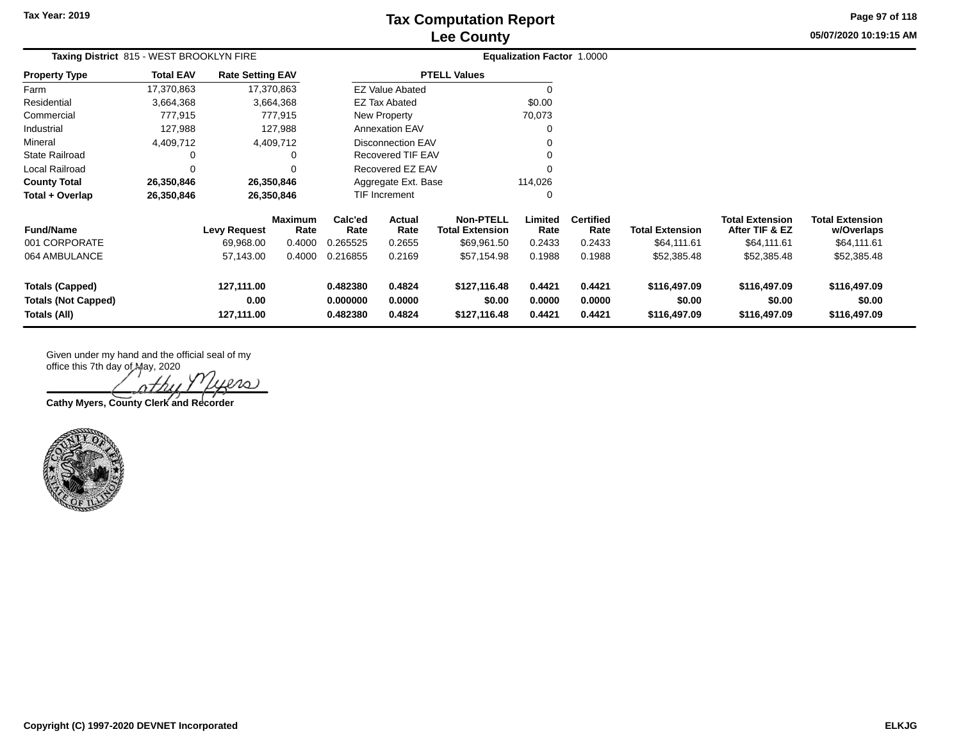## **Lee County Tax Computation Report**

**05/07/2020 10:19:15 AM Page 97 of 118**

| Taxing District 815 - WEST BROOKLYN FIRE                             |                  |                                  |                        |                                  | <b>Equalization Factor 1.0000</b> |                                            |                            |                            |                                        |                                          |                                        |  |
|----------------------------------------------------------------------|------------------|----------------------------------|------------------------|----------------------------------|-----------------------------------|--------------------------------------------|----------------------------|----------------------------|----------------------------------------|------------------------------------------|----------------------------------------|--|
| <b>Property Type</b>                                                 | <b>Total EAV</b> | <b>Rate Setting EAV</b>          |                        |                                  |                                   | <b>PTELL Values</b>                        |                            |                            |                                        |                                          |                                        |  |
| Farm                                                                 | 17,370,863       | 17,370,863                       |                        |                                  | <b>EZ Value Abated</b>            |                                            | $\Omega$                   |                            |                                        |                                          |                                        |  |
| Residential                                                          | 3,664,368        |                                  | 3,664,368              |                                  | <b>EZ Tax Abated</b>              |                                            | \$0.00                     |                            |                                        |                                          |                                        |  |
| Commercial                                                           | 777,915          |                                  | 777,915                |                                  | New Property                      |                                            | 70,073                     |                            |                                        |                                          |                                        |  |
| Industrial                                                           | 127,988          |                                  | 127,988                |                                  | <b>Annexation EAV</b>             |                                            | 0                          |                            |                                        |                                          |                                        |  |
| Mineral                                                              | 4,409,712        |                                  | 4,409,712              |                                  | <b>Disconnection EAV</b>          |                                            | 0                          |                            |                                        |                                          |                                        |  |
| State Railroad                                                       | 0                |                                  | 0                      |                                  | Recovered TIF EAV                 |                                            | 0                          |                            |                                        |                                          |                                        |  |
| Local Railroad                                                       | $\Omega$         |                                  | $\Omega$               |                                  | Recovered EZ EAV                  |                                            | 0                          |                            |                                        |                                          |                                        |  |
| <b>County Total</b>                                                  | 26,350,846       | 26,350,846                       |                        |                                  | Aggregate Ext. Base               |                                            | 114,026                    |                            |                                        |                                          |                                        |  |
| Total + Overlap                                                      | 26,350,846       | 26,350,846                       |                        |                                  | <b>TIF Increment</b>              |                                            | 0                          |                            |                                        |                                          |                                        |  |
| <b>Fund/Name</b>                                                     |                  | <b>Levy Request</b>              | <b>Maximum</b><br>Rate | Calc'ed<br>Rate                  | Actual<br>Rate                    | <b>Non-PTELL</b><br><b>Total Extension</b> | Limited<br>Rate            | <b>Certified</b><br>Rate   | <b>Total Extension</b>                 | <b>Total Extension</b><br>After TIF & EZ | <b>Total Extension</b><br>w/Overlaps   |  |
| 001 CORPORATE                                                        |                  | 69,968.00                        | 0.4000                 | 0.265525                         | 0.2655                            | \$69,961.50                                | 0.2433                     | 0.2433                     | \$64,111.61                            | \$64,111.61                              | \$64,111.61                            |  |
| 064 AMBULANCE                                                        |                  | 57,143.00                        | 0.4000                 | 0.216855                         | 0.2169                            | \$57,154.98                                | 0.1988                     | 0.1988                     | \$52,385.48                            | \$52,385.48                              | \$52,385.48                            |  |
| <b>Totals (Capped)</b><br><b>Totals (Not Capped)</b><br>Totals (All) |                  | 127,111.00<br>0.00<br>127,111.00 |                        | 0.482380<br>0.000000<br>0.482380 | 0.4824<br>0.0000<br>0.4824        | \$127,116.48<br>\$0.00<br>\$127,116.48     | 0.4421<br>0.0000<br>0.4421 | 0.4421<br>0.0000<br>0.4421 | \$116,497.09<br>\$0.00<br>\$116,497.09 | \$116,497.09<br>\$0.00<br>\$116,497.09   | \$116,497.09<br>\$0.00<br>\$116,497.09 |  |

 $\infty$ 

**Cathy Myers, County Clerk and Recorder**

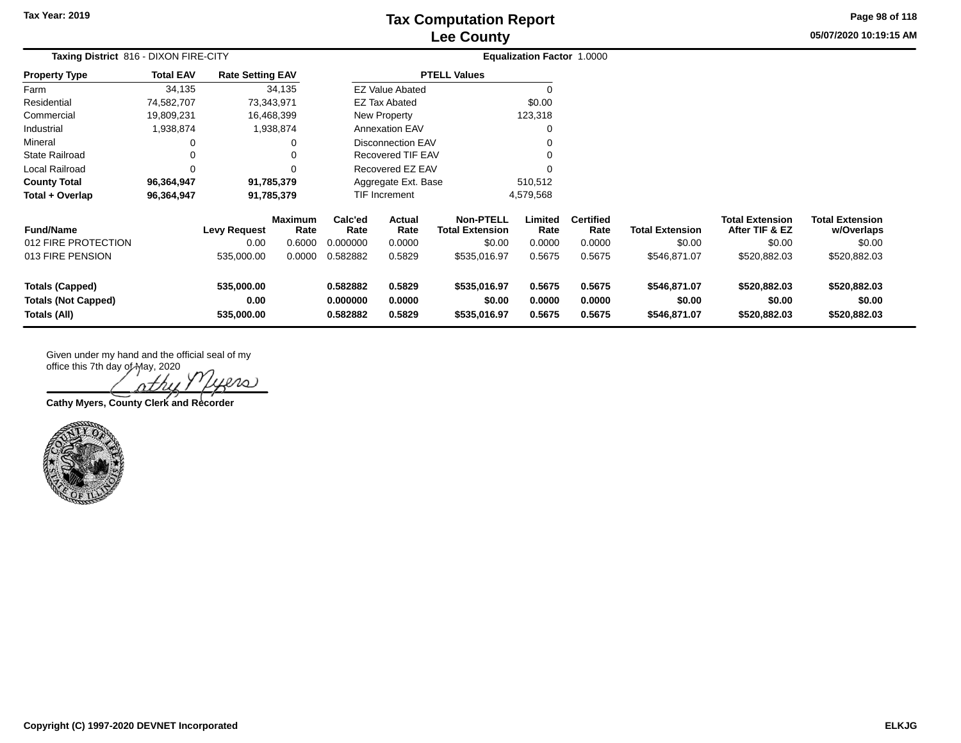$\overline{a}$ 

## **Lee County Tax Computation Report**

**05/07/2020 10:19:15 AM Page 98 of 118**

| Taxing District 816 - DIXON FIRE-CITY |                  |                         |                 | Equalization Factor 1.0000 |                          |                                            |                 |                          |                        |                                          |                                      |
|---------------------------------------|------------------|-------------------------|-----------------|----------------------------|--------------------------|--------------------------------------------|-----------------|--------------------------|------------------------|------------------------------------------|--------------------------------------|
| <b>Property Type</b>                  | <b>Total EAV</b> | <b>Rate Setting EAV</b> |                 |                            |                          | <b>PTELL Values</b>                        |                 |                          |                        |                                          |                                      |
| Farm                                  | 34,135           |                         | 34,135          |                            | <b>EZ Value Abated</b>   |                                            | $\Omega$        |                          |                        |                                          |                                      |
| Residential                           | 74,582,707       | 73,343,971              |                 |                            | EZ Tax Abated            |                                            | \$0.00          |                          |                        |                                          |                                      |
| Commercial                            | 19,809,231       | 16,468,399              |                 |                            | New Property             |                                            | 123,318         |                          |                        |                                          |                                      |
| Industrial                            | 1,938,874        |                         | 1,938,874       |                            | <b>Annexation EAV</b>    |                                            |                 |                          |                        |                                          |                                      |
| Mineral                               |                  |                         | 0               |                            | <b>Disconnection EAV</b> |                                            |                 |                          |                        |                                          |                                      |
| <b>State Railroad</b>                 |                  |                         | $\Omega$        |                            | <b>Recovered TIF EAV</b> |                                            |                 |                          |                        |                                          |                                      |
| Local Railroad                        | $\Omega$         |                         | $\Omega$        |                            | Recovered EZ EAV         |                                            |                 |                          |                        |                                          |                                      |
| <b>County Total</b>                   | 96,364,947       | 91,785,379              |                 |                            | Aggregate Ext. Base      |                                            | 510,512         |                          |                        |                                          |                                      |
| Total + Overlap                       | 96,364,947       | 91,785,379              |                 |                            | TIF Increment            |                                            | 4,579,568       |                          |                        |                                          |                                      |
| <b>Fund/Name</b>                      |                  | <b>Levy Request</b>     | Maximum<br>Rate | Calc'ed<br>Rate            | Actual<br>Rate           | <b>Non-PTELL</b><br><b>Total Extension</b> | Limited<br>Rate | <b>Certified</b><br>Rate | <b>Total Extension</b> | <b>Total Extension</b><br>After TIF & EZ | <b>Total Extension</b><br>w/Overlaps |
| 012 FIRE PROTECTION                   |                  | 0.00                    | 0.6000          | 0.000000                   | 0.0000                   | \$0.00                                     | 0.0000          | 0.0000                   | \$0.00                 | \$0.00                                   | \$0.00                               |
| 013 FIRE PENSION                      |                  | 535,000.00              | 0.0000          | 0.582882                   | 0.5829                   | \$535,016.97                               | 0.5675          | 0.5675                   | \$546,871.07           | \$520,882.03                             | \$520,882.03                         |
| <b>Totals (Capped)</b>                |                  | 535,000.00              |                 | 0.582882                   | 0.5829                   | \$535,016.97                               | 0.5675          | 0.5675                   | \$546,871.07           | \$520,882.03                             | \$520,882.03                         |
| <b>Totals (Not Capped)</b>            |                  | 0.00                    |                 | 0.000000                   | 0.0000                   | \$0.00                                     | 0.0000          | 0.0000                   | \$0.00                 | \$0.00                                   | \$0.00                               |
| Totals (All)                          |                  | 535,000.00              |                 | 0.582882                   | 0.5829                   | \$535,016.97                               | 0.5675          | 0.5675                   | \$546,871.07           | \$520,882.03                             | \$520,882.03                         |

office this 7th day of May, 2020 Lero) nth

**Cathy Myers, County Clerk and Recorder**

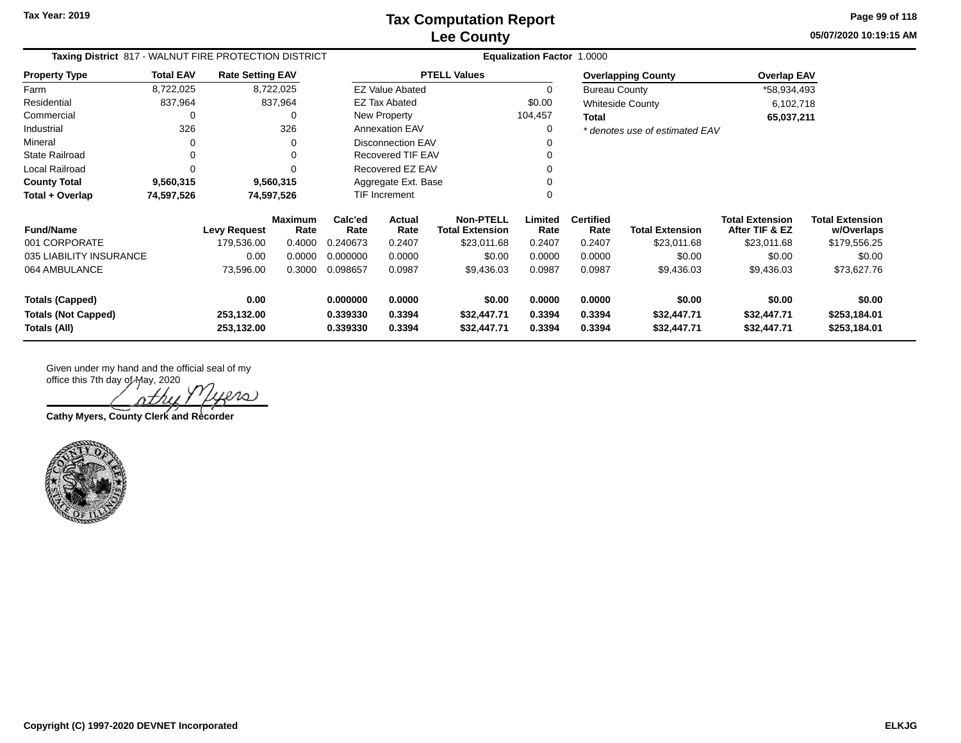**05/07/2020 10:19:15 AM Page 99 of 118**

| Taxing District 817 - WALNUT FIRE PROTECTION DISTRICT | <b>Equalization Factor 1.0000</b> |                          |                        |                      |                          |                                            |                  |                          |                                |                                          |                                      |
|-------------------------------------------------------|-----------------------------------|--------------------------|------------------------|----------------------|--------------------------|--------------------------------------------|------------------|--------------------------|--------------------------------|------------------------------------------|--------------------------------------|
| <b>Property Type</b>                                  | <b>Total EAV</b>                  | <b>Rate Setting EAV</b>  |                        |                      |                          | <b>PTELL Values</b>                        |                  |                          | <b>Overlapping County</b>      | <b>Overlap EAV</b>                       |                                      |
| Farm                                                  | 8,722,025                         |                          | 8,722,025              |                      | <b>EZ Value Abated</b>   |                                            | 0                | <b>Bureau County</b>     |                                | *58,934,493                              |                                      |
| Residential                                           | 837,964                           |                          | 837,964                |                      | <b>EZ Tax Abated</b>     |                                            | \$0.00           |                          | Whiteside County               | 6,102,718                                |                                      |
| Commercial                                            |                                   |                          | 0                      |                      | New Property             |                                            | 104,457          | Total                    |                                | 65,037,211                               |                                      |
| Industrial                                            | 326                               |                          | 326                    |                      | <b>Annexation EAV</b>    |                                            | 0                |                          | * denotes use of estimated EAV |                                          |                                      |
| Mineral                                               | $\Omega$                          |                          |                        |                      | <b>Disconnection EAV</b> |                                            |                  |                          |                                |                                          |                                      |
| <b>State Railroad</b>                                 | $\Omega$                          |                          |                        |                      | <b>Recovered TIF EAV</b> |                                            |                  |                          |                                |                                          |                                      |
| Local Railroad                                        | O                                 |                          |                        |                      | Recovered EZ EAV         |                                            |                  |                          |                                |                                          |                                      |
| <b>County Total</b>                                   | 9,560,315                         |                          | 9,560,315              |                      | Aggregate Ext. Base      |                                            |                  |                          |                                |                                          |                                      |
| Total + Overlap                                       | 74,597,526                        |                          | 74,597,526             |                      | <b>TIF Increment</b>     |                                            |                  |                          |                                |                                          |                                      |
| <b>Fund/Name</b>                                      |                                   | <b>Levy Request</b>      | <b>Maximum</b><br>Rate | Calc'ed<br>Rate      | <b>Actual</b><br>Rate    | <b>Non-PTELL</b><br><b>Total Extension</b> | Limited<br>Rate  | <b>Certified</b><br>Rate | <b>Total Extension</b>         | <b>Total Extension</b><br>After TIF & EZ | <b>Total Extension</b><br>w/Overlaps |
| 001 CORPORATE                                         |                                   | 179,536.00               | 0.4000                 | 0.240673             | 0.2407                   | \$23,011.68                                | 0.2407           | 0.2407                   | \$23,011.68                    | \$23,011.68                              | \$179,556.25                         |
| 035 LIABILITY INSURANCE                               |                                   | 0.00                     | 0.0000                 | 0.000000             | 0.0000                   | \$0.00                                     | 0.0000           | 0.0000                   | \$0.00                         | \$0.00                                   | \$0.00                               |
| 064 AMBULANCE                                         |                                   | 73,596.00                | 0.3000                 | 0.098657             | 0.0987                   | \$9,436.03                                 | 0.0987           | 0.0987                   | \$9,436.03                     | \$9,436.03                               | \$73,627.76                          |
| <b>Totals (Capped)</b>                                |                                   | 0.00                     |                        | 0.000000             | 0.0000                   | \$0.00                                     | 0.0000           | 0.0000                   | \$0.00                         | \$0.00                                   | \$0.00                               |
| <b>Totals (Not Capped)</b><br>Totals (All)            |                                   | 253,132.00<br>253,132.00 |                        | 0.339330<br>0.339330 | 0.3394<br>0.3394         | \$32,447.71<br>\$32,447.71                 | 0.3394<br>0.3394 | 0.3394<br>0.3394         | \$32,447.71<br>\$32,447.71     | \$32,447.71<br>\$32,447.71               | \$253,184.01<br>\$253,184.01         |

 $\ell\ell\omega$ 

**Cathy Myers, County Clerk and Recorder**

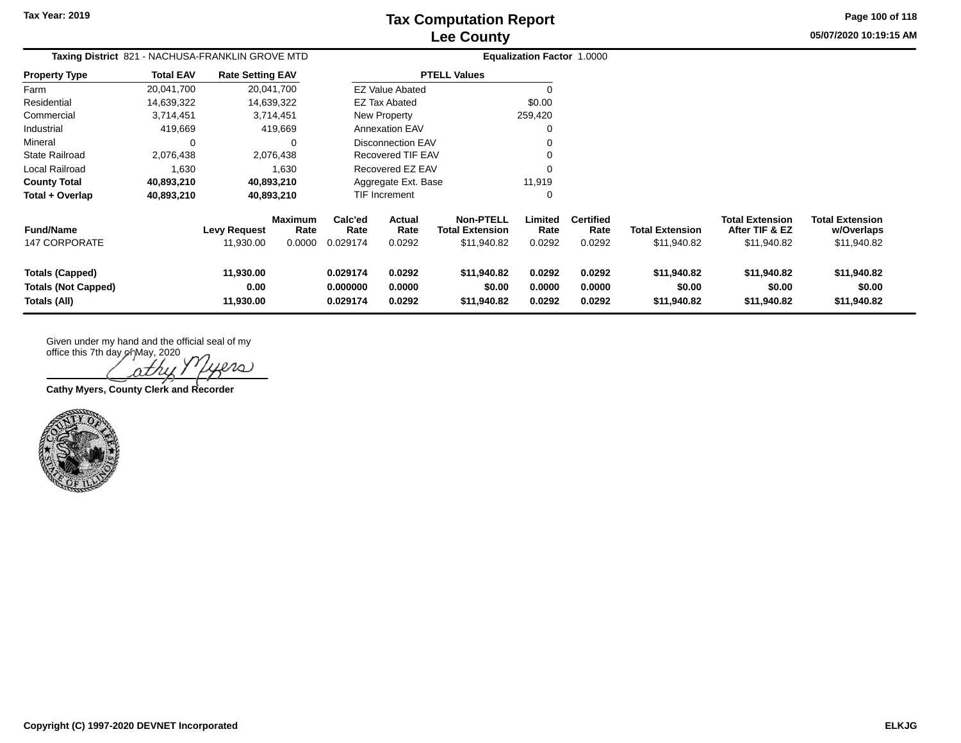**Page 100 of 118**

**05/07/2020 10:19:15 AM**

| Taxing District 821 - NACHUSA-FRANKLIN GROVE MTD              |                  |                                  |                                  |                                  | <b>Equalization Factor 1.0000</b> |                                                           |                            |                                    |                                       |                                                         |                                                     |
|---------------------------------------------------------------|------------------|----------------------------------|----------------------------------|----------------------------------|-----------------------------------|-----------------------------------------------------------|----------------------------|------------------------------------|---------------------------------------|---------------------------------------------------------|-----------------------------------------------------|
| <b>Property Type</b>                                          | <b>Total EAV</b> | <b>Rate Setting EAV</b>          |                                  |                                  |                                   | <b>PTELL Values</b>                                       |                            |                                    |                                       |                                                         |                                                     |
| Farm                                                          | 20,041,700       |                                  | 20,041,700                       |                                  | <b>EZ Value Abated</b>            |                                                           | 0                          |                                    |                                       |                                                         |                                                     |
| Residential                                                   | 14,639,322       |                                  | 14,639,322                       |                                  | EZ Tax Abated                     |                                                           | \$0.00                     |                                    |                                       |                                                         |                                                     |
| Commercial                                                    | 3,714,451        |                                  | 3,714,451                        |                                  | New Property                      |                                                           | 259,420                    |                                    |                                       |                                                         |                                                     |
| Industrial                                                    | 419,669          |                                  | 419,669                          |                                  | <b>Annexation EAV</b>             |                                                           | $\Omega$                   |                                    |                                       |                                                         |                                                     |
| Mineral                                                       | 0                |                                  | 0                                |                                  | Disconnection EAV                 |                                                           | 0                          |                                    |                                       |                                                         |                                                     |
| <b>State Railroad</b>                                         | 2,076,438        |                                  | 2,076,438                        |                                  | Recovered TIF EAV                 |                                                           | 0                          |                                    |                                       |                                                         |                                                     |
| Local Railroad                                                | 1,630            |                                  | 1,630                            |                                  | Recovered EZ EAV                  |                                                           | 0                          |                                    |                                       |                                                         |                                                     |
| <b>County Total</b>                                           | 40,893,210       |                                  | 40,893,210                       |                                  | Aggregate Ext. Base               |                                                           | 11,919                     |                                    |                                       |                                                         |                                                     |
| Total + Overlap                                               | 40,893,210       |                                  | 40,893,210                       |                                  | <b>TIF Increment</b>              |                                                           | 0                          |                                    |                                       |                                                         |                                                     |
| <b>Fund/Name</b><br><b>147 CORPORATE</b>                      |                  | <b>Levy Request</b><br>11,930.00 | <b>Maximum</b><br>Rate<br>0.0000 | Calc'ed<br>Rate<br>0.029174      | <b>Actual</b><br>Rate<br>0.0292   | <b>Non-PTELL</b><br><b>Total Extension</b><br>\$11,940.82 | Limited<br>Rate<br>0.0292  | <b>Certified</b><br>Rate<br>0.0292 | <b>Total Extension</b><br>\$11,940.82 | <b>Total Extension</b><br>After TIF & EZ<br>\$11,940.82 | <b>Total Extension</b><br>w/Overlaps<br>\$11,940.82 |
| Totals (Capped)<br><b>Totals (Not Capped)</b><br>Totals (All) |                  | 11,930.00<br>0.00<br>11,930.00   |                                  | 0.029174<br>0.000000<br>0.029174 | 0.0292<br>0.0000<br>0.0292        | \$11,940.82<br>\$0.00<br>\$11,940.82                      | 0.0292<br>0.0000<br>0.0292 | 0.0292<br>0.0000<br>0.0292         | \$11,940.82<br>\$0.00<br>\$11,940.82  | \$11,940.82<br>\$0.00<br>\$11,940.82                    | \$11,940.82<br>\$0.00<br>\$11,940.82                |

office this 7th day of May, 2020 iero nthi

**Cathy Myers, County Clerk and Recorder**

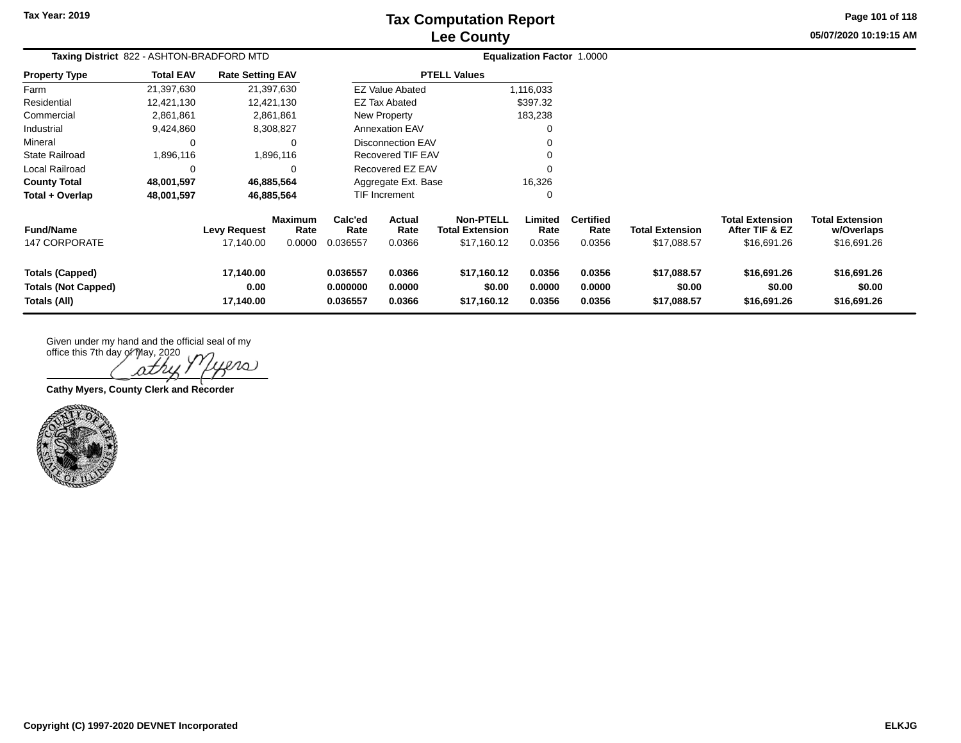# **Lee County Tax Computation Report**

**Page 101 of 118**

**05/07/2020 10:19:15 AM**

| Taxing District 822 - ASHTON-BRADFORD MTD                            |                  |                                  |                                  | Equalization Factor 1.0000       |                            |                                                           |                            |                                    |                                       |                                                         |                                                     |  |
|----------------------------------------------------------------------|------------------|----------------------------------|----------------------------------|----------------------------------|----------------------------|-----------------------------------------------------------|----------------------------|------------------------------------|---------------------------------------|---------------------------------------------------------|-----------------------------------------------------|--|
| <b>Property Type</b>                                                 | <b>Total EAV</b> | <b>Rate Setting EAV</b>          |                                  |                                  |                            | <b>PTELL Values</b>                                       |                            |                                    |                                       |                                                         |                                                     |  |
| Farm                                                                 | 21,397,630       | 21,397,630                       |                                  |                                  | <b>EZ Value Abated</b>     |                                                           | 1,116,033                  |                                    |                                       |                                                         |                                                     |  |
| Residential                                                          | 12,421,130       | 12,421,130                       |                                  |                                  | <b>EZ Tax Abated</b>       |                                                           | \$397.32                   |                                    |                                       |                                                         |                                                     |  |
| Commercial                                                           | 2,861,861        |                                  | 2,861,861                        |                                  | New Property               |                                                           | 183,238                    |                                    |                                       |                                                         |                                                     |  |
| Industrial                                                           | 9,424,860        |                                  | 8,308,827                        |                                  | <b>Annexation EAV</b>      |                                                           | 0                          |                                    |                                       |                                                         |                                                     |  |
| Mineral                                                              | $\Omega$         |                                  | 0                                |                                  | <b>Disconnection EAV</b>   |                                                           | 0                          |                                    |                                       |                                                         |                                                     |  |
| <b>State Railroad</b>                                                | 1,896,116        |                                  | 1,896,116                        |                                  | <b>Recovered TIF EAV</b>   |                                                           | 0                          |                                    |                                       |                                                         |                                                     |  |
| Local Railroad                                                       | $\Omega$         |                                  | 0                                |                                  | Recovered EZ EAV<br>0      |                                                           |                            |                                    |                                       |                                                         |                                                     |  |
| <b>County Total</b>                                                  | 48,001,597       | 46,885,564                       |                                  |                                  | Aggregate Ext. Base        |                                                           | 16,326                     |                                    |                                       |                                                         |                                                     |  |
| Total + Overlap                                                      | 48,001,597       | 46,885,564                       |                                  |                                  | TIF Increment              |                                                           | 0                          |                                    |                                       |                                                         |                                                     |  |
| <b>Fund/Name</b><br><b>147 CORPORATE</b>                             |                  | <b>Levy Request</b><br>17,140.00 | <b>Maximum</b><br>Rate<br>0.0000 | Calc'ed<br>Rate<br>0.036557      | Actual<br>Rate<br>0.0366   | <b>Non-PTELL</b><br><b>Total Extension</b><br>\$17,160.12 | Limited<br>Rate<br>0.0356  | <b>Certified</b><br>Rate<br>0.0356 | <b>Total Extension</b><br>\$17,088.57 | <b>Total Extension</b><br>After TIF & EZ<br>\$16,691.26 | <b>Total Extension</b><br>w/Overlaps<br>\$16,691.26 |  |
| <b>Totals (Capped)</b><br><b>Totals (Not Capped)</b><br>Totals (All) |                  | 17,140.00<br>0.00<br>17,140.00   |                                  | 0.036557<br>0.000000<br>0.036557 | 0.0366<br>0.0000<br>0.0366 | \$17,160.12<br>\$0.00<br>\$17,160.12                      | 0.0356<br>0.0000<br>0.0356 | 0.0356<br>0.0000<br>0.0356         | \$17,088.57<br>\$0.00<br>\$17,088.57  | \$16,691.26<br>\$0.00<br>\$16,691.26                    | \$16,691.26<br>\$0.00<br>\$16,691.26                |  |

office this 7th day of May, 2020  $\infty$ ρtΛ

**Cathy Myers, County Clerk and Recorder**

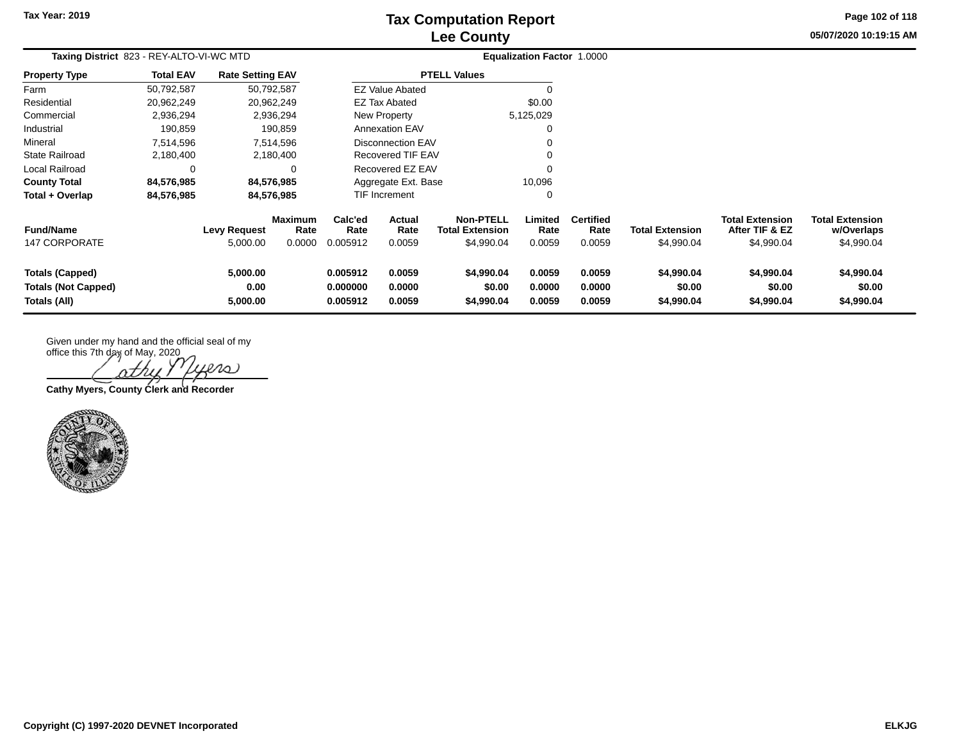# **Lee County Tax Computation Report**

**Page 102 of 118**

| 05/07/2020 10:19:15 AM |  |  |
|------------------------|--|--|
|------------------------|--|--|

| Taxing District 823 - REY-ALTO-VI-WC MTD                             |                  |                                 |                                  |                                  |                            |                                                          | Equalization Factor 1.0000 |                                    |                                      |                                                        |                                                    |  |
|----------------------------------------------------------------------|------------------|---------------------------------|----------------------------------|----------------------------------|----------------------------|----------------------------------------------------------|----------------------------|------------------------------------|--------------------------------------|--------------------------------------------------------|----------------------------------------------------|--|
| <b>Property Type</b>                                                 | <b>Total EAV</b> | <b>Rate Setting EAV</b>         |                                  |                                  |                            | <b>PTELL Values</b>                                      |                            |                                    |                                      |                                                        |                                                    |  |
| Farm                                                                 | 50,792,587       | 50,792,587                      |                                  |                                  | <b>EZ Value Abated</b>     |                                                          | 0                          |                                    |                                      |                                                        |                                                    |  |
| Residential                                                          | 20,962,249       | 20,962,249                      |                                  |                                  | <b>EZ Tax Abated</b>       |                                                          | \$0.00                     |                                    |                                      |                                                        |                                                    |  |
| Commercial                                                           | 2,936,294        |                                 | 2,936,294                        |                                  | New Property               |                                                          | 5,125,029                  |                                    |                                      |                                                        |                                                    |  |
| Industrial                                                           | 190,859          |                                 | 190,859                          |                                  | Annexation EAV             |                                                          | 0                          |                                    |                                      |                                                        |                                                    |  |
| Mineral                                                              | 7,514,596        |                                 | 7,514,596                        |                                  | <b>Disconnection EAV</b>   |                                                          | $\Omega$                   |                                    |                                      |                                                        |                                                    |  |
| <b>State Railroad</b>                                                | 2,180,400        |                                 | 2,180,400                        |                                  | <b>Recovered TIF EAV</b>   |                                                          | $\Omega$                   |                                    |                                      |                                                        |                                                    |  |
| Local Railroad                                                       |                  |                                 | $\Omega$                         |                                  | Recovered EZ EAV           |                                                          |                            |                                    |                                      |                                                        |                                                    |  |
| <b>County Total</b>                                                  | 84,576,985       | 84,576,985                      |                                  |                                  | Aggregate Ext. Base        |                                                          | 10,096                     |                                    |                                      |                                                        |                                                    |  |
| Total + Overlap                                                      | 84,576,985       | 84,576,985                      |                                  |                                  | <b>TIF Increment</b>       |                                                          | 0                          |                                    |                                      |                                                        |                                                    |  |
| <b>Fund/Name</b><br><b>147 CORPORATE</b>                             |                  | <b>Levy Request</b><br>5,000.00 | <b>Maximum</b><br>Rate<br>0.0000 | Calc'ed<br>Rate<br>0.005912      | Actual<br>Rate<br>0.0059   | <b>Non-PTELL</b><br><b>Total Extension</b><br>\$4,990.04 | Limited<br>Rate<br>0.0059  | <b>Certified</b><br>Rate<br>0.0059 | <b>Total Extension</b><br>\$4,990.04 | <b>Total Extension</b><br>After TIF & EZ<br>\$4,990.04 | <b>Total Extension</b><br>w/Overlaps<br>\$4,990.04 |  |
| <b>Totals (Capped)</b><br><b>Totals (Not Capped)</b><br>Totals (All) |                  | 5,000.00<br>0.00<br>5,000.00    |                                  | 0.005912<br>0.000000<br>0.005912 | 0.0059<br>0.0000<br>0.0059 | \$4,990.04<br>\$0.00<br>\$4,990.04                       | 0.0059<br>0.0000<br>0.0059 | 0.0059<br>0.0000<br>0.0059         | \$4,990.04<br>\$0.00<br>\$4,990.04   | \$4,990.04<br>\$0.00<br>\$4,990.04                     | \$4,990.04<br>\$0.00<br>\$4,990.04                 |  |

office this 7th day of May, 2020 ers nt

**Cathy Myers, County Clerk and Recorder**

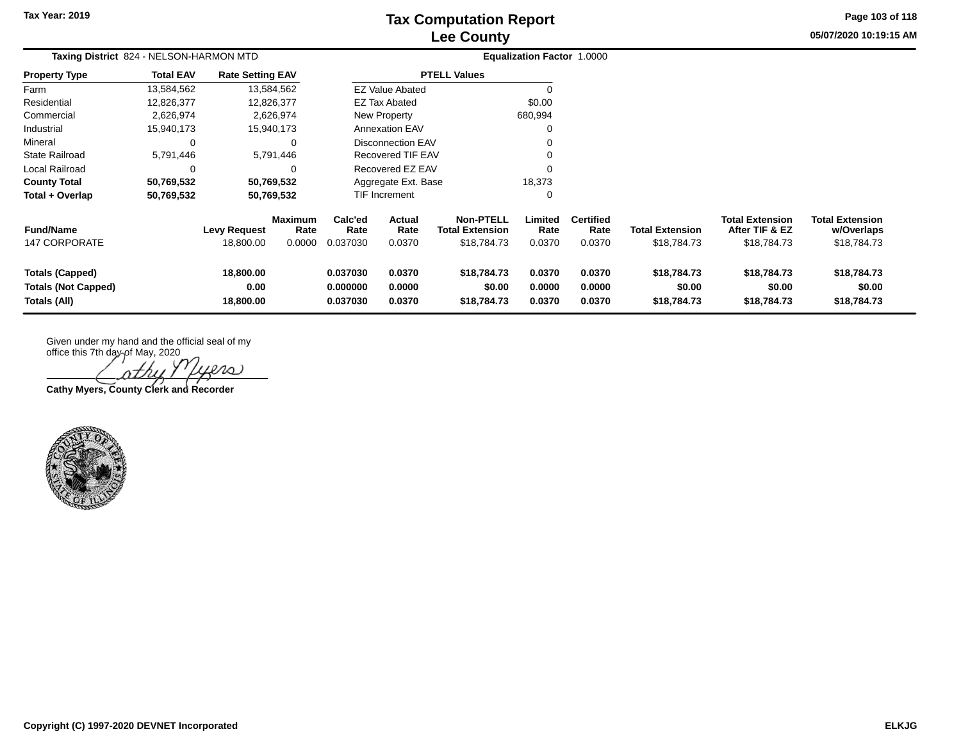## **Lee County Tax Computation Report**

**Page 103 of 118**

**05/07/2020 10:19:15 AM**

| Taxing District 824 - NELSON-HARMON MTD                       |                  |                                  |                           |                                  |                               |                                                           | Equalization Factor 1.0000 |                                    |                                       |                                                         |                                                     |  |
|---------------------------------------------------------------|------------------|----------------------------------|---------------------------|----------------------------------|-------------------------------|-----------------------------------------------------------|----------------------------|------------------------------------|---------------------------------------|---------------------------------------------------------|-----------------------------------------------------|--|
| <b>Property Type</b>                                          | <b>Total EAV</b> | <b>Rate Setting EAV</b>          |                           |                                  |                               | <b>PTELL Values</b>                                       |                            |                                    |                                       |                                                         |                                                     |  |
| Farm                                                          | 13,584,562       | 13,584,562                       |                           |                                  | <b>EZ Value Abated</b>        |                                                           | 0                          |                                    |                                       |                                                         |                                                     |  |
| Residential                                                   | 12,826,377       | 12,826,377                       |                           |                                  | EZ Tax Abated                 |                                                           | \$0.00                     |                                    |                                       |                                                         |                                                     |  |
| Commercial                                                    | 2,626,974        |                                  | 2,626,974                 |                                  | New Property                  |                                                           | 680,994                    |                                    |                                       |                                                         |                                                     |  |
| Industrial                                                    | 15,940,173       | 15,940,173                       |                           |                                  | <b>Annexation EAV</b>         |                                                           | 0                          |                                    |                                       |                                                         |                                                     |  |
| Mineral                                                       | $\Omega$         |                                  | 0                         |                                  | <b>Disconnection EAV</b>      |                                                           | 0                          |                                    |                                       |                                                         |                                                     |  |
| <b>State Railroad</b>                                         | 5,791,446        |                                  | 5,791,446                 |                                  | Recovered TIF EAV             |                                                           | 0                          |                                    |                                       |                                                         |                                                     |  |
| Local Railroad                                                | $\Omega$         |                                  | 0                         |                                  | Recovered EZ EAV              |                                                           | $\Omega$                   |                                    |                                       |                                                         |                                                     |  |
| <b>County Total</b>                                           | 50,769,532       | 50,769,532                       |                           |                                  | 18,373<br>Aggregate Ext. Base |                                                           |                            |                                    |                                       |                                                         |                                                     |  |
| Total + Overlap                                               | 50,769,532       | 50,769,532                       |                           |                                  | TIF Increment                 |                                                           | 0                          |                                    |                                       |                                                         |                                                     |  |
| <b>Fund/Name</b><br><b>147 CORPORATE</b>                      |                  | <b>Levy Request</b><br>18,800.00 | Maximum<br>Rate<br>0.0000 | Calc'ed<br>Rate<br>0.037030      | Actual<br>Rate<br>0.0370      | <b>Non-PTELL</b><br><b>Total Extension</b><br>\$18,784.73 | Limited<br>Rate<br>0.0370  | <b>Certified</b><br>Rate<br>0.0370 | <b>Total Extension</b><br>\$18,784.73 | <b>Total Extension</b><br>After TIF & EZ<br>\$18,784.73 | <b>Total Extension</b><br>w/Overlaps<br>\$18,784.73 |  |
| Totals (Capped)<br><b>Totals (Not Capped)</b><br>Totals (All) |                  | 18,800.00<br>0.00<br>18,800.00   |                           | 0.037030<br>0.000000<br>0.037030 | 0.0370<br>0.0000<br>0.0370    | \$18,784.73<br>\$0.00<br>\$18,784.73                      | 0.0370<br>0.0000<br>0.0370 | 0.0370<br>0.0000<br>0.0370         | \$18,784.73<br>\$0.00<br>\$18,784.73  | \$18,784.73<br>\$0.00<br>\$18,784.73                    | \$18,784.73<br>\$0.00<br>\$18,784.73                |  |

office this 7th day of May, 2020 iers

**Cathy Myers, County Clerk and Recorder**

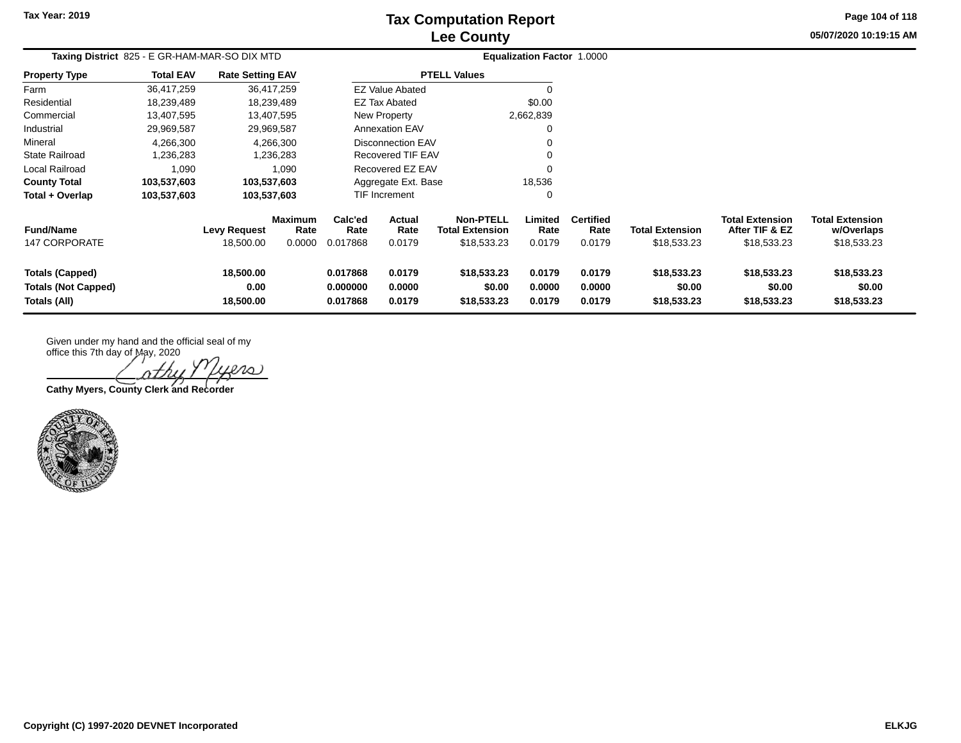## **Lee County Tax Computation Report**

**Page 104 of 118**

**05/07/2020 10:19:15 AM**

|                                          | Taxing District 825 - E GR-HAM-MAR-SO DIX MTD |                                  |                                  |                             | <b>Equalization Factor 1.0000</b> |                                                           |                           |                                    |                                       |                                                         |                                                     |  |
|------------------------------------------|-----------------------------------------------|----------------------------------|----------------------------------|-----------------------------|-----------------------------------|-----------------------------------------------------------|---------------------------|------------------------------------|---------------------------------------|---------------------------------------------------------|-----------------------------------------------------|--|
| <b>Property Type</b>                     | <b>Total EAV</b>                              | <b>Rate Setting EAV</b>          |                                  |                             |                                   | <b>PTELL Values</b>                                       |                           |                                    |                                       |                                                         |                                                     |  |
| Farm                                     | 36,417,259                                    |                                  | 36,417,259                       |                             | <b>EZ Value Abated</b>            |                                                           |                           |                                    |                                       |                                                         |                                                     |  |
| Residential                              | 18,239,489                                    |                                  | 18,239,489                       |                             | EZ Tax Abated                     |                                                           | \$0.00                    |                                    |                                       |                                                         |                                                     |  |
| Commercial                               | 13,407,595                                    |                                  | 13,407,595                       |                             | New Property                      |                                                           | 2,662,839                 |                                    |                                       |                                                         |                                                     |  |
| Industrial                               | 29,969,587                                    |                                  | 29,969,587                       |                             | <b>Annexation EAV</b>             |                                                           |                           |                                    |                                       |                                                         |                                                     |  |
| Mineral                                  | 4,266,300                                     |                                  | 4,266,300                        |                             | <b>Disconnection EAV</b>          |                                                           |                           |                                    |                                       |                                                         |                                                     |  |
| <b>State Railroad</b>                    | 1,236,283                                     |                                  | 1,236,283                        |                             | <b>Recovered TIF EAV</b>          |                                                           |                           |                                    |                                       |                                                         |                                                     |  |
| Local Railroad                           | 1,090                                         |                                  | 1,090                            |                             | Recovered EZ EAV                  |                                                           |                           |                                    |                                       |                                                         |                                                     |  |
| <b>County Total</b>                      | 103,537,603                                   |                                  | 103,537,603                      |                             | Aggregate Ext. Base               |                                                           | 18,536                    |                                    |                                       |                                                         |                                                     |  |
| Total + Overlap                          | 103,537,603                                   |                                  | 103,537,603                      |                             | TIF Increment                     |                                                           |                           |                                    |                                       |                                                         |                                                     |  |
| <b>Fund/Name</b><br><b>147 CORPORATE</b> |                                               | <b>Levy Request</b><br>18,500.00 | <b>Maximum</b><br>Rate<br>0.0000 | Calc'ed<br>Rate<br>0.017868 | Actual<br>Rate<br>0.0179          | <b>Non-PTELL</b><br><b>Total Extension</b><br>\$18,533.23 | Limited<br>Rate<br>0.0179 | <b>Certified</b><br>Rate<br>0.0179 | <b>Total Extension</b><br>\$18,533.23 | <b>Total Extension</b><br>After TIF & EZ<br>\$18,533.23 | <b>Total Extension</b><br>w/Overlaps<br>\$18,533.23 |  |
| <b>Totals (Capped)</b>                   |                                               | 18,500.00                        |                                  | 0.017868                    | 0.0179                            | \$18,533.23                                               | 0.0179                    | 0.0179                             | \$18,533.23                           | \$18,533.23                                             | \$18,533.23                                         |  |
| <b>Totals (Not Capped)</b>               |                                               | 0.00                             |                                  | 0.000000                    | 0.0000                            | \$0.00                                                    | 0.0000                    | 0.0000                             | \$0.00                                | \$0.00                                                  | \$0.00                                              |  |
| Totals (All)                             |                                               | 18,500.00                        |                                  | 0.017868                    | 0.0179                            | \$18,533.23                                               | 0.0179                    | 0.0179                             | \$18,533.23                           | \$18,533.23                                             | \$18,533.23                                         |  |

Given under my hand and the official seal of my

office this 7th day of May, 2020 ers

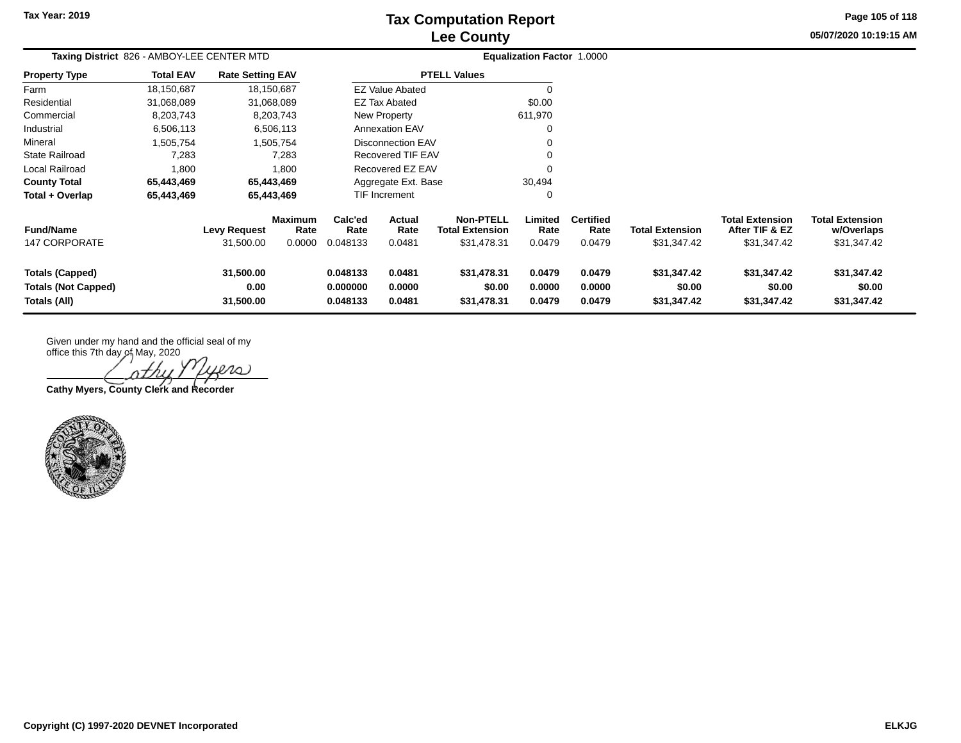## **Lee County Tax Computation Report**

**Page 105 of 118**

**05/07/2020 10:19:15 AM**

|                                                                      | Taxing District 826 - AMBOY-LEE CENTER MTD |                                  |                                  |                                  | <b>Equalization Factor 1.0000</b> |                                                    |                            |                                    |                                       |                                                         |                                                     |  |
|----------------------------------------------------------------------|--------------------------------------------|----------------------------------|----------------------------------|----------------------------------|-----------------------------------|----------------------------------------------------|----------------------------|------------------------------------|---------------------------------------|---------------------------------------------------------|-----------------------------------------------------|--|
| <b>Property Type</b>                                                 | <b>Total EAV</b>                           | <b>Rate Setting EAV</b>          |                                  |                                  |                                   | <b>PTELL Values</b>                                |                            |                                    |                                       |                                                         |                                                     |  |
| Farm                                                                 | 18,150,687                                 |                                  | 18,150,687                       |                                  | <b>EZ Value Abated</b>            |                                                    | $\Omega$                   |                                    |                                       |                                                         |                                                     |  |
| Residential                                                          | 31,068,089                                 |                                  | 31,068,089                       |                                  | <b>EZ Tax Abated</b>              |                                                    | \$0.00                     |                                    |                                       |                                                         |                                                     |  |
| Commercial                                                           | 8,203,743                                  |                                  | 8,203,743                        |                                  | New Property                      |                                                    | 611,970                    |                                    |                                       |                                                         |                                                     |  |
| Industrial                                                           | 6,506,113                                  |                                  | 6,506,113                        |                                  | <b>Annexation EAV</b>             |                                                    | 0                          |                                    |                                       |                                                         |                                                     |  |
| Mineral                                                              | 1,505,754                                  |                                  | 1,505,754                        |                                  | <b>Disconnection EAV</b>          |                                                    | 0                          |                                    |                                       |                                                         |                                                     |  |
| State Railroad                                                       | 7,283                                      |                                  | 7,283                            |                                  | <b>Recovered TIF EAV</b>          |                                                    | $\Omega$                   |                                    |                                       |                                                         |                                                     |  |
| Local Railroad                                                       | 1,800                                      |                                  | 1,800                            |                                  | Recovered EZ EAV                  |                                                    | $\Omega$                   |                                    |                                       |                                                         |                                                     |  |
| <b>County Total</b>                                                  | 65,443,469                                 |                                  | 65,443,469                       |                                  | Aggregate Ext. Base               |                                                    | 30,494                     |                                    |                                       |                                                         |                                                     |  |
| Total + Overlap                                                      | 65,443,469                                 |                                  | 65,443,469                       |                                  | <b>TIF Increment</b>              |                                                    | 0                          |                                    |                                       |                                                         |                                                     |  |
| <b>Fund/Name</b><br><b>147 CORPORATE</b>                             |                                            | <b>Levy Request</b><br>31,500.00 | <b>Maximum</b><br>Rate<br>0.0000 | Calc'ed<br>Rate<br>0.048133      | <b>Actual</b><br>Rate<br>0.0481   | Non-PTELL<br><b>Total Extension</b><br>\$31,478.31 | Limited<br>Rate<br>0.0479  | <b>Certified</b><br>Rate<br>0.0479 | <b>Total Extension</b><br>\$31,347.42 | <b>Total Extension</b><br>After TIF & EZ<br>\$31,347.42 | <b>Total Extension</b><br>w/Overlaps<br>\$31,347.42 |  |
| <b>Totals (Capped)</b><br><b>Totals (Not Capped)</b><br>Totals (All) |                                            | 31,500.00<br>0.00<br>31,500.00   |                                  | 0.048133<br>0.000000<br>0.048133 | 0.0481<br>0.0000<br>0.0481        | \$31,478.31<br>\$0.00<br>\$31,478.31               | 0.0479<br>0.0000<br>0.0479 | 0.0479<br>0.0000<br>0.0479         | \$31,347.42<br>\$0.00<br>\$31,347.42  | \$31,347.42<br>\$0.00<br>\$31,347.42                    | \$31,347.42<br>\$0.00<br>\$31,347.42                |  |

office this 7th day of May, 2020 ers

**Cathy Myers, County Clerk and Recorder**

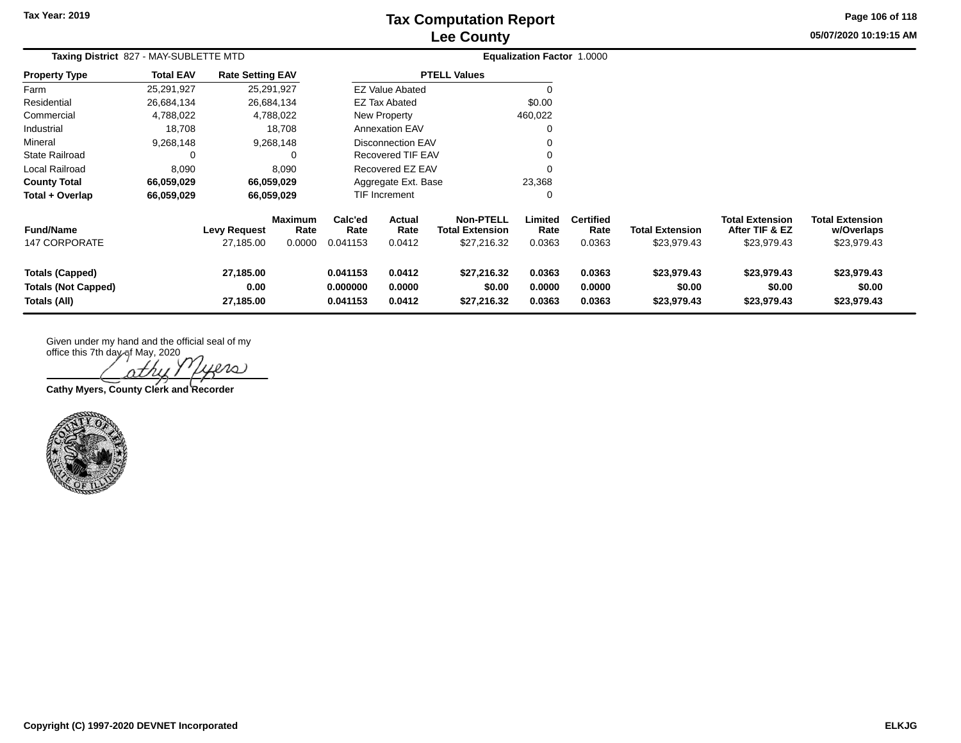## **Lee County Tax Computation Report**

**Page 106 of 118**

**05/07/2020 10:19:15 AM**

|                                   | Taxing District 827 - MAY-SUBLETTE MTD |                                  |                           |                             |                          | Equalization Factor 1.0000                                |                           |                                    |                                       |                                                         |                                                     |  |
|-----------------------------------|----------------------------------------|----------------------------------|---------------------------|-----------------------------|--------------------------|-----------------------------------------------------------|---------------------------|------------------------------------|---------------------------------------|---------------------------------------------------------|-----------------------------------------------------|--|
| <b>Property Type</b>              | <b>Total EAV</b>                       | <b>Rate Setting EAV</b>          |                           |                             |                          | <b>PTELL Values</b>                                       |                           |                                    |                                       |                                                         |                                                     |  |
| Farm                              | 25,291,927                             |                                  | 25,291,927                |                             | <b>EZ Value Abated</b>   |                                                           |                           |                                    |                                       |                                                         |                                                     |  |
| Residential                       | 26,684,134                             |                                  | 26,684,134                |                             | EZ Tax Abated            |                                                           | \$0.00                    |                                    |                                       |                                                         |                                                     |  |
| Commercial                        | 4,788,022                              |                                  | 4,788,022                 |                             | New Property             |                                                           | 460,022                   |                                    |                                       |                                                         |                                                     |  |
| Industrial                        | 18,708                                 |                                  | 18,708                    |                             | <b>Annexation EAV</b>    |                                                           | 0                         |                                    |                                       |                                                         |                                                     |  |
| Mineral                           | 9,268,148                              |                                  | 9,268,148                 |                             | <b>Disconnection EAV</b> |                                                           |                           |                                    |                                       |                                                         |                                                     |  |
| <b>State Railroad</b>             |                                        |                                  |                           |                             | Recovered TIF EAV        |                                                           |                           |                                    |                                       |                                                         |                                                     |  |
| Local Railroad                    | 8,090                                  |                                  | 8,090                     |                             | Recovered EZ EAV         |                                                           |                           |                                    |                                       |                                                         |                                                     |  |
| <b>County Total</b>               | 66,059,029                             |                                  | 66,059,029                |                             | Aggregate Ext. Base      |                                                           | 23,368                    |                                    |                                       |                                                         |                                                     |  |
| Total + Overlap                   | 66,059,029                             |                                  | 66,059,029                |                             | TIF Increment            |                                                           | ∩                         |                                    |                                       |                                                         |                                                     |  |
| <b>Fund/Name</b><br>147 CORPORATE |                                        | <b>Levy Request</b><br>27,185.00 | Maximum<br>Rate<br>0.0000 | Calc'ed<br>Rate<br>0.041153 | Actual<br>Rate<br>0.0412 | <b>Non-PTELL</b><br><b>Total Extension</b><br>\$27,216.32 | Limited<br>Rate<br>0.0363 | <b>Certified</b><br>Rate<br>0.0363 | <b>Total Extension</b><br>\$23,979.43 | <b>Total Extension</b><br>After TIF & EZ<br>\$23,979.43 | <b>Total Extension</b><br>w/Overlaps<br>\$23,979.43 |  |
|                                   |                                        |                                  |                           |                             |                          |                                                           |                           |                                    |                                       |                                                         |                                                     |  |
| <b>Totals (Capped)</b>            |                                        | 27,185.00                        |                           | 0.041153                    | 0.0412                   | \$27,216.32                                               | 0.0363                    | 0.0363                             | \$23,979.43                           | \$23,979.43                                             | \$23,979.43                                         |  |
| <b>Totals (Not Capped)</b>        |                                        | 0.00                             |                           | 0.000000                    | 0.0000                   | \$0.00                                                    | 0.0000                    | 0.0000                             | \$0.00                                | \$0.00                                                  | \$0.00                                              |  |
| Totals (All)                      |                                        | 27,185.00                        |                           | 0.041153                    | 0.0412                   | \$27,216.32                                               | 0.0363                    | 0.0363                             | \$23,979.43                           | \$23,979.43                                             | \$23,979.43                                         |  |

office this 7th day of May, 2020 iers oth

**Cathy Myers, County Clerk and Recorder**

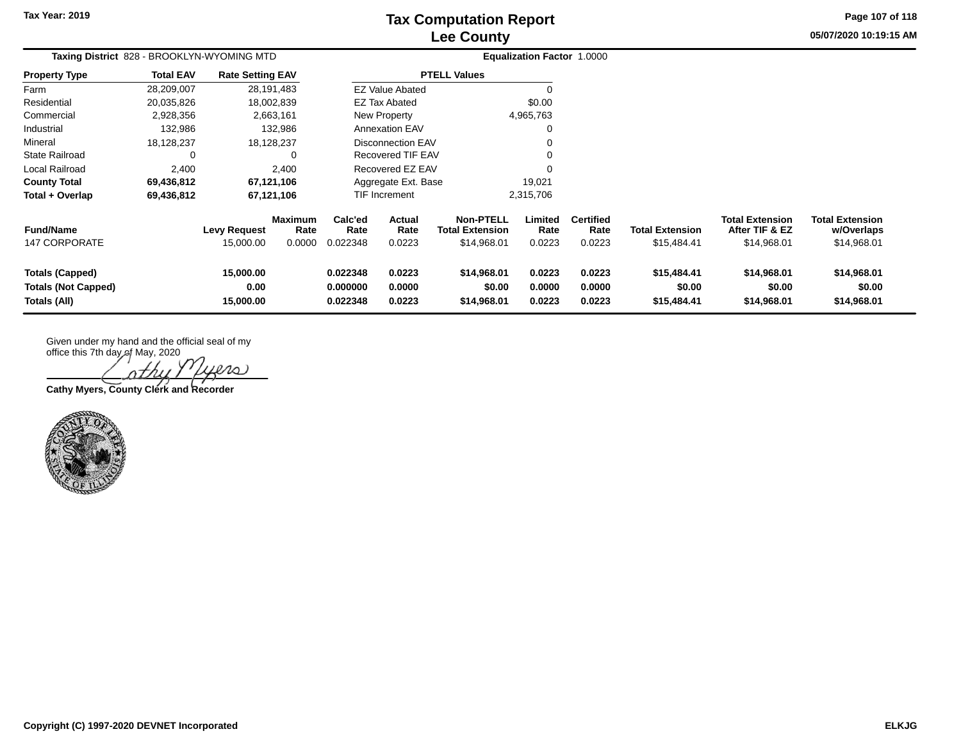## **Lee County Tax Computation Report**

**05/07/2020 10:19:15 AM Page 107 of 118**

| Taxing District 828 - BROOKLYN-WYOMING MTD                           |                  |                                |                                  | <b>Equalization Factor 1.0000</b> |                            |                                                           |                            |                                    |                                       |                                                         |                                                     |
|----------------------------------------------------------------------|------------------|--------------------------------|----------------------------------|-----------------------------------|----------------------------|-----------------------------------------------------------|----------------------------|------------------------------------|---------------------------------------|---------------------------------------------------------|-----------------------------------------------------|
| <b>Property Type</b>                                                 | <b>Total EAV</b> | <b>Rate Setting EAV</b>        |                                  |                                   |                            | <b>PTELL Values</b>                                       |                            |                                    |                                       |                                                         |                                                     |
| Farm                                                                 | 28,209,007       | 28,191,483                     |                                  |                                   | <b>EZ Value Abated</b>     |                                                           |                            |                                    |                                       |                                                         |                                                     |
| Residential                                                          | 20,035,826       | 18,002,839                     |                                  |                                   | EZ Tax Abated              |                                                           | \$0.00                     |                                    |                                       |                                                         |                                                     |
| Commercial                                                           | 2,928,356        |                                | 2,663,161                        |                                   | New Property               |                                                           | 4,965,763                  |                                    |                                       |                                                         |                                                     |
| Industrial                                                           | 132,986          |                                | 132,986                          |                                   | <b>Annexation EAV</b>      |                                                           |                            |                                    |                                       |                                                         |                                                     |
| Mineral                                                              | 18,128,237       | 18,128,237                     |                                  |                                   | Disconnection EAV          |                                                           |                            |                                    |                                       |                                                         |                                                     |
| <b>State Railroad</b>                                                | 0                |                                |                                  |                                   | Recovered TIF EAV          |                                                           |                            |                                    |                                       |                                                         |                                                     |
| Local Railroad                                                       | 2,400            |                                | 2,400                            |                                   | Recovered EZ EAV           |                                                           |                            |                                    |                                       |                                                         |                                                     |
| <b>County Total</b>                                                  | 69,436,812       | 67,121,106                     |                                  |                                   | Aggregate Ext. Base        |                                                           | 19,021                     |                                    |                                       |                                                         |                                                     |
| Total + Overlap                                                      | 69,436,812       | 67,121,106                     |                                  |                                   | TIF Increment              |                                                           | 2,315,706                  |                                    |                                       |                                                         |                                                     |
| <b>Fund/Name</b><br><b>147 CORPORATE</b>                             |                  | Levy Request<br>15,000.00      | <b>Maximum</b><br>Rate<br>0.0000 | Calc'ed<br>Rate<br>0.022348       | Actual<br>Rate<br>0.0223   | <b>Non-PTELL</b><br><b>Total Extension</b><br>\$14,968.01 | Limited<br>Rate<br>0.0223  | <b>Certified</b><br>Rate<br>0.0223 | <b>Total Extension</b><br>\$15,484.41 | <b>Total Extension</b><br>After TIF & EZ<br>\$14,968.01 | <b>Total Extension</b><br>w/Overlaps<br>\$14,968.01 |
| <b>Totals (Capped)</b><br><b>Totals (Not Capped)</b><br>Totals (All) |                  | 15,000.00<br>0.00<br>15,000.00 |                                  | 0.022348<br>0.000000<br>0.022348  | 0.0223<br>0.0000<br>0.0223 | \$14,968.01<br>\$0.00<br>\$14,968.01                      | 0.0223<br>0.0000<br>0.0223 | 0.0223<br>0.0000<br>0.0223         | \$15,484.41<br>\$0.00<br>\$15,484.41  | \$14,968.01<br>\$0.00<br>\$14,968.01                    | \$14,968.01<br>\$0.00<br>\$14,968.01                |

office this 7th day of May, 2020 iero

**Cathy Myers, County Clerk and Recorder**

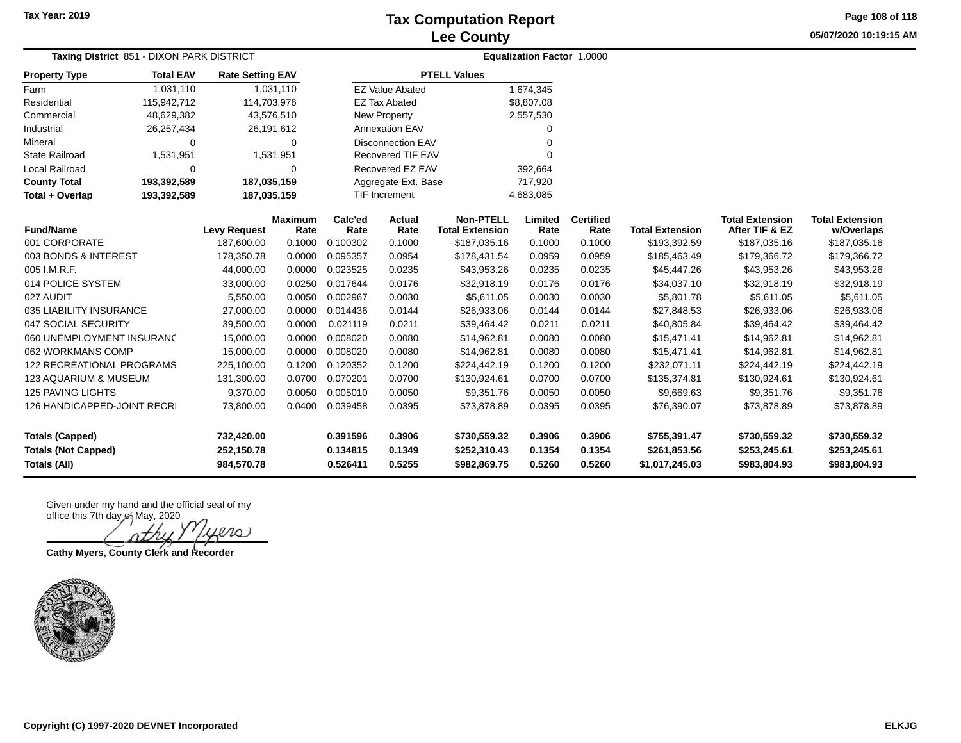**Page 108 of 118**

**05/07/2020 10:19:15 AM**

| <b>Taxing District 851 - DIXON PARK DISTRICT</b> |                        |                         |                        | <b>Equalization Factor 1.0000</b> |                |                                            |                 |                          |                        |                                          |                                      |
|--------------------------------------------------|------------------------|-------------------------|------------------------|-----------------------------------|----------------|--------------------------------------------|-----------------|--------------------------|------------------------|------------------------------------------|--------------------------------------|
| <b>Property Type</b>                             | <b>Total EAV</b>       | <b>Rate Setting EAV</b> |                        | <b>PTELL Values</b>               |                |                                            |                 |                          |                        |                                          |                                      |
| Farm                                             | 1,031,110              | 1,031,110               |                        | <b>EZ Value Abated</b>            |                |                                            | 1,674,345       |                          |                        |                                          |                                      |
| Residential<br>115,942,712                       |                        | 114,703,976             |                        | <b>EZ Tax Abated</b>              |                |                                            | \$8,807.08      |                          |                        |                                          |                                      |
| Commercial<br>48,629,382                         |                        | 43,576,510              |                        | <b>New Property</b>               |                |                                            | 2,557,530       |                          |                        |                                          |                                      |
| Industrial<br>26,257,434                         |                        | 26,191,612              |                        | <b>Annexation EAV</b>             |                |                                            | 0               |                          |                        |                                          |                                      |
| Mineral<br>0                                     |                        | $\mathbf 0$             |                        | <b>Disconnection EAV</b>          |                |                                            | O               |                          |                        |                                          |                                      |
| <b>State Railroad</b>                            | 1,531,951<br>1,531,951 |                         |                        | Recovered TIF EAV                 |                |                                            | $\Omega$        |                          |                        |                                          |                                      |
| <b>Local Railroad</b>                            | $\Omega$<br>$\Omega$   |                         |                        | Recovered EZ EAV                  |                |                                            | 392,664         |                          |                        |                                          |                                      |
| 193,392,589<br><b>County Total</b>               |                        | 187,035,159             |                        | Aggregate Ext. Base               |                |                                            | 717,920         |                          |                        |                                          |                                      |
| Total + Overlap                                  | 193,392,589            | 187,035,159             |                        | <b>TIF Increment</b>              |                |                                            | 4,683,085       |                          |                        |                                          |                                      |
| <b>Fund/Name</b>                                 |                        | <b>Levy Request</b>     | <b>Maximum</b><br>Rate | Calc'ed<br>Rate                   | Actual<br>Rate | <b>Non-PTELL</b><br><b>Total Extension</b> | Limited<br>Rate | <b>Certified</b><br>Rate | <b>Total Extension</b> | <b>Total Extension</b><br>After TIF & EZ | <b>Total Extension</b><br>w/Overlaps |
| 001 CORPORATE                                    |                        | 187,600.00              | 0.1000                 | 0.100302                          | 0.1000         | \$187,035.16                               | 0.1000          | 0.1000                   | \$193,392.59           | \$187,035.16                             | \$187,035.16                         |
| 003 BONDS & INTEREST                             |                        | 178,350.78              | 0.0000                 | 0.095357                          | 0.0954         | \$178,431.54                               | 0.0959          | 0.0959                   | \$185,463.49           | \$179,366.72                             | \$179,366.72                         |
| 005 I.M.R.F.                                     |                        | 44,000.00               | 0.0000                 | 0.023525                          | 0.0235         | \$43,953.26                                | 0.0235          | 0.0235                   | \$45,447.26            | \$43,953.26                              | \$43,953.26                          |
| 014 POLICE SYSTEM                                |                        | 33,000.00               | 0.0250                 | 0.017644                          | 0.0176         | \$32,918.19                                | 0.0176          | 0.0176                   | \$34,037.10            | \$32,918.19                              | \$32,918.19                          |
| 027 AUDIT                                        |                        | 5,550.00                | 0.0050                 | 0.002967                          | 0.0030         | \$5,611.05                                 | 0.0030          | 0.0030                   | \$5,801.78             | \$5,611.05                               | \$5,611.05                           |
| 035 LIABILITY INSURANCE                          |                        | 27,000.00               | 0.0000                 | 0.014436                          | 0.0144         | \$26,933.06                                | 0.0144          | 0.0144                   | \$27,848.53            | \$26,933.06                              | \$26,933.06                          |
| 047 SOCIAL SECURITY                              |                        | 39,500.00               | 0.0000                 | 0.021119                          | 0.0211         | \$39,464.42                                | 0.0211          | 0.0211                   | \$40,805.84            | \$39,464.42                              | \$39,464.42                          |
| 060 UNEMPLOYMENT INSURANC                        |                        | 15,000.00               | 0.0000                 | 0.008020                          | 0.0080         | \$14,962.81                                | 0.0080          | 0.0080                   | \$15,471.41            | \$14,962.81                              | \$14,962.81                          |
| 062 WORKMANS COMP                                |                        | 15,000.00               | 0.0000                 | 0.008020                          | 0.0080         | \$14,962.81                                | 0.0080          | 0.0080                   | \$15,471.41            | \$14,962.81                              | \$14,962.81                          |
| <b>122 RECREATIONAL PROGRAMS</b>                 |                        | 225,100.00              | 0.1200                 | 0.120352                          | 0.1200         | \$224,442.19                               | 0.1200          | 0.1200                   | \$232,071.11           | \$224,442.19                             | \$224,442.19                         |
| <b>123 AQUARIUM &amp; MUSEUM</b>                 |                        | 131,300.00              | 0.0700                 | 0.070201                          | 0.0700         | \$130,924.61                               | 0.0700          | 0.0700                   | \$135,374.81           | \$130,924.61                             | \$130,924.61                         |
| <b>125 PAVING LIGHTS</b>                         |                        | 9,370.00                | 0.0050                 | 0.005010                          | 0.0050         | \$9,351.76                                 | 0.0050          | 0.0050                   | \$9,669.63             | \$9,351.76                               | \$9,351.76                           |
| 126 HANDICAPPED-JOINT RECRI                      |                        | 73,800.00               | 0.0400                 | 0.039458                          | 0.0395         | \$73,878.89                                | 0.0395          | 0.0395                   | \$76,390.07            | \$73,878.89                              | \$73,878.89                          |
| <b>Totals (Capped)</b>                           |                        | 732,420.00              |                        | 0.391596                          | 0.3906         | \$730,559.32                               | 0.3906          | 0.3906                   | \$755,391.47           | \$730,559.32                             | \$730,559.32                         |
| <b>Totals (Not Capped)</b>                       |                        | 252,150.78              |                        | 0.134815                          | 0.1349         | \$252,310.43                               | 0.1354          | 0.1354                   | \$261,853.56           | \$253,245.61                             | \$253,245.61                         |
| Totals (All)                                     |                        | 984,570.78              |                        | 0.526411                          | 0.5255         | \$982,869.75                               | 0.5260          | 0.5260                   | \$1,017,245.03         | \$983,804.93                             | \$983,804.93                         |

**Lera** 

**Cathy Myers, County Clerk and Recorder**

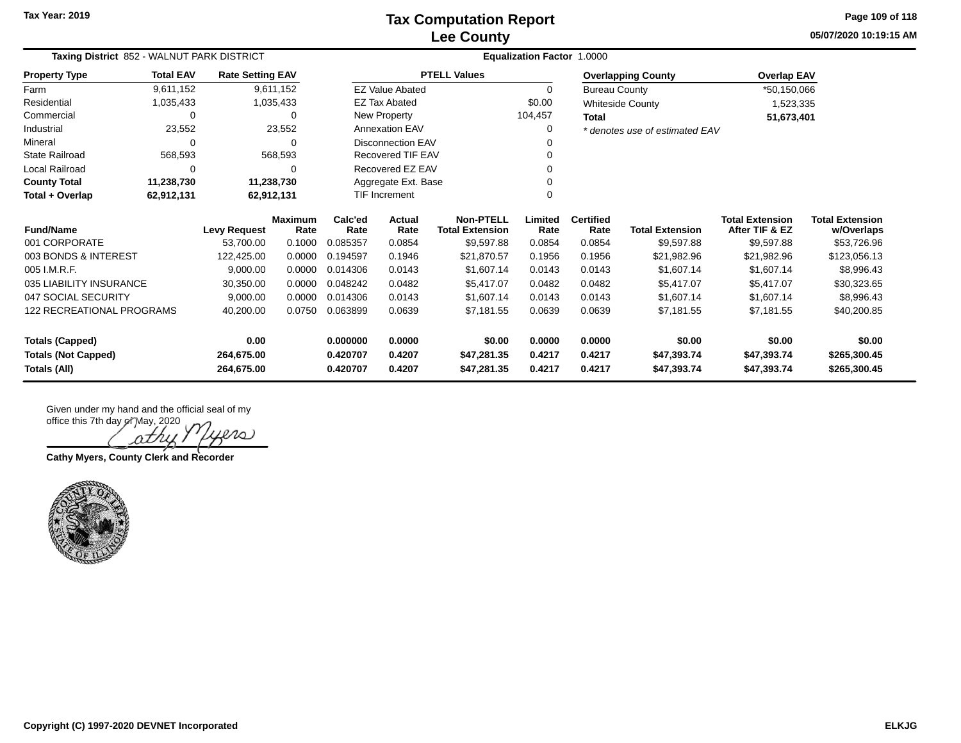**05/07/2020 10:19:15 AM Page 109 of 118**

| Taxing District 852 - WALNUT PARK DISTRICT<br><b>Rate Setting EAV</b> |                  |                     |                        | Equalization Factor 1.0000 |                           |                                            |                 |                          |                                |                                          |                                      |
|-----------------------------------------------------------------------|------------------|---------------------|------------------------|----------------------------|---------------------------|--------------------------------------------|-----------------|--------------------------|--------------------------------|------------------------------------------|--------------------------------------|
| <b>Property Type</b>                                                  | <b>Total EAV</b> |                     |                        |                            |                           | <b>PTELL Values</b>                        |                 |                          | <b>Overlapping County</b>      | <b>Overlap EAV</b>                       |                                      |
| Farm                                                                  | 9,611,152        |                     | 9,611,152              |                            | <b>EZ Value Abated</b>    |                                            | 0               | <b>Bureau County</b>     |                                | *50,150,066                              |                                      |
| Residential                                                           | 1,035,433        |                     | 1,035,433              |                            | <b>EZ Tax Abated</b>      |                                            | \$0.00          |                          | <b>Whiteside County</b>        | 1,523,335                                |                                      |
| Commercial                                                            | $\Omega$         |                     |                        |                            | New Property              |                                            | 104,457         |                          |                                | 51,673,401                               |                                      |
| Industrial                                                            | 23,552           |                     | 23,552                 |                            | <b>Annexation EAV</b>     |                                            | 0               |                          | * denotes use of estimated EAV |                                          |                                      |
| Mineral                                                               | $\Omega$         |                     |                        |                            | <b>Disconnection EAV</b>  |                                            |                 |                          |                                |                                          |                                      |
| <b>State Railroad</b>                                                 | 568,593          |                     | 568,593                |                            | <b>Recovered TIF EAV</b>  |                                            |                 |                          |                                |                                          |                                      |
| Local Railroad                                                        | $\Omega$         |                     |                        |                            | Recovered EZ EAV          |                                            |                 |                          |                                |                                          |                                      |
| <b>County Total</b>                                                   | 11,238,730       |                     | 11,238,730             |                            | Aggregate Ext. Base       |                                            |                 |                          |                                |                                          |                                      |
| Total + Overlap                                                       | 62,912,131       |                     | 62,912,131             |                            | <b>TIF Increment</b><br>0 |                                            |                 |                          |                                |                                          |                                      |
| <b>Fund/Name</b>                                                      |                  | <b>Levy Request</b> | <b>Maximum</b><br>Rate | Calc'ed<br>Rate            | Actual<br>Rate            | <b>Non-PTELL</b><br><b>Total Extension</b> | Limited<br>Rate | <b>Certified</b><br>Rate | <b>Total Extension</b>         | <b>Total Extension</b><br>After TIF & EZ | <b>Total Extension</b><br>w/Overlaps |
| 001 CORPORATE                                                         |                  | 53.700.00           | 0.1000                 | 0.085357                   | 0.0854                    | \$9,597.88                                 | 0.0854          | 0.0854                   | \$9,597.88                     | \$9,597.88                               | \$53,726.96                          |
| 003 BONDS & INTEREST                                                  |                  | 122,425.00          | 0.0000                 | 0.194597                   | 0.1946                    | \$21,870.57                                | 0.1956          | 0.1956                   | \$21,982.96                    | \$21,982.96                              | \$123,056.13                         |
| 005 I.M.R.F.                                                          |                  | 9,000.00            | 0.0000                 | 0.014306                   | 0.0143                    | \$1,607.14                                 | 0.0143          | 0.0143                   | \$1,607.14                     | \$1,607.14                               | \$8,996.43                           |
| 035 LIABILITY INSURANCE                                               |                  | 30,350.00           | 0.0000                 | 0.048242                   | 0.0482                    | \$5,417.07                                 | 0.0482          | 0.0482                   | \$5,417.07                     | \$5,417.07                               | \$30,323.65                          |
| 047 SOCIAL SECURITY                                                   |                  | 9,000.00            | 0.0000                 | 0.014306                   | 0.0143                    | \$1,607.14                                 | 0.0143          | 0.0143                   | \$1,607.14                     | \$1,607.14                               | \$8,996.43                           |
| 122 RECREATIONAL PROGRAMS                                             |                  | 40,200.00           | 0.0750                 | 0.063899                   | 0.0639                    | \$7,181.55                                 | 0.0639          | 0.0639                   | \$7,181.55                     | \$7,181.55                               | \$40,200.85                          |
| <b>Totals (Capped)</b>                                                |                  | 0.00                |                        | 0.000000                   | 0.0000                    | \$0.00                                     | 0.0000          | 0.0000                   | \$0.00                         | \$0.00                                   | \$0.00                               |
| <b>Totals (Not Capped)</b>                                            |                  | 264,675.00          |                        | 0.420707                   | 0.4207                    | \$47,281.35                                | 0.4217          | 0.4217                   | \$47,393.74                    | \$47,393.74                              | \$265,300.45                         |
| Totals (All)                                                          |                  | 264,675.00          |                        | 0.420707                   | 0.4207                    | \$47,281.35                                | 0.4217          | 0.4217                   | \$47,393.74                    | \$47,393.74                              | \$265,300.45                         |

Given under my hand and the official seal of my office this 7th day of May, 2020

Dens) ΩΖ

**Cathy Myers, County Clerk and Recorder**

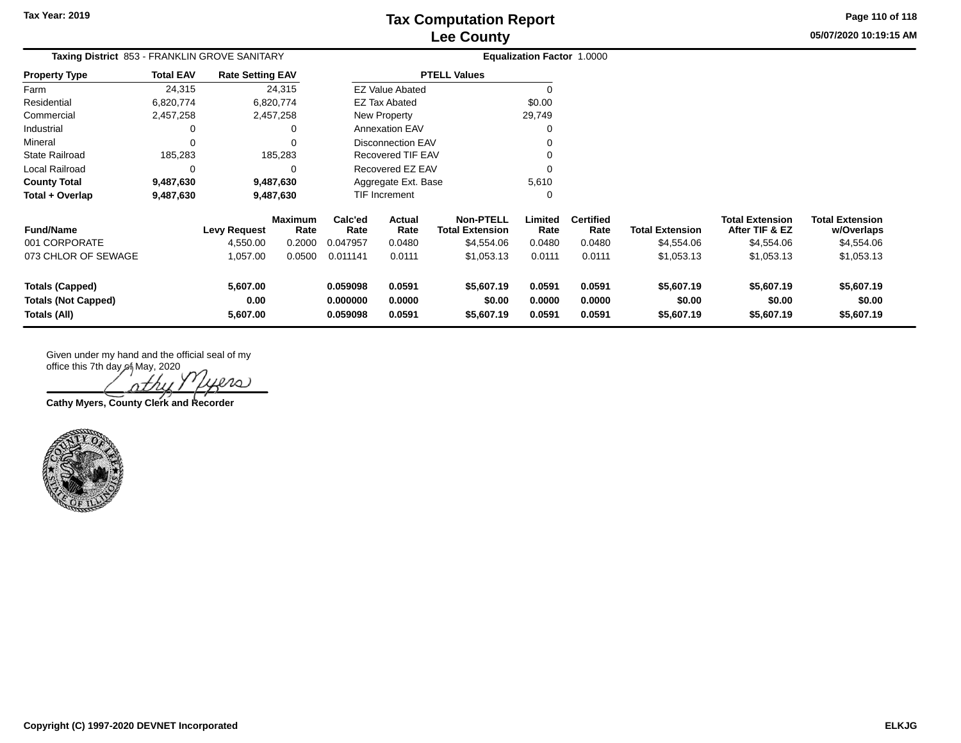**05/07/2020 10:19:15 AM Page 110 of 118**

| Taxing District 853 - FRANKLIN GROVE SANITARY |                  |                         |                        |                                   |                        |                                            | Equalization Factor 1.0000 |                          |                        |                                          |                                      |
|-----------------------------------------------|------------------|-------------------------|------------------------|-----------------------------------|------------------------|--------------------------------------------|----------------------------|--------------------------|------------------------|------------------------------------------|--------------------------------------|
| <b>Property Type</b>                          | <b>Total EAV</b> | <b>Rate Setting EAV</b> |                        |                                   |                        | <b>PTELL Values</b>                        |                            |                          |                        |                                          |                                      |
| Farm                                          | 24,315           |                         | 24,315                 |                                   | <b>EZ Value Abated</b> |                                            | $\Omega$                   |                          |                        |                                          |                                      |
| Residential                                   | 6,820,774        |                         | 6,820,774              | \$0.00<br>EZ Tax Abated<br>29,749 |                        |                                            |                            |                          |                        |                                          |                                      |
| Commercial                                    | 2,457,258        |                         | 2,457,258              |                                   | New Property           |                                            |                            |                          |                        |                                          |                                      |
| Industrial                                    |                  |                         | 0                      |                                   | <b>Annexation EAV</b>  |                                            |                            |                          |                        |                                          |                                      |
| Mineral                                       |                  |                         | $\Omega$               | <b>Disconnection EAV</b>          |                        |                                            |                            |                          |                        |                                          |                                      |
| <b>State Railroad</b>                         | 185,283          |                         | 185,283                | Recovered TIF EAV                 |                        |                                            |                            |                          |                        |                                          |                                      |
| Local Railroad                                | 0                |                         | 0                      |                                   | Recovered EZ EAV       |                                            |                            |                          |                        |                                          |                                      |
| <b>County Total</b>                           | 9,487,630        |                         | 9,487,630              |                                   | Aggregate Ext. Base    |                                            | 5,610                      |                          |                        |                                          |                                      |
| Total + Overlap                               | 9,487,630        |                         | 9,487,630              |                                   | <b>TIF Increment</b>   |                                            | <sup>-</sup>               |                          |                        |                                          |                                      |
| <b>Fund/Name</b>                              |                  | Levy Request            | <b>Maximum</b><br>Rate | Calc'ed<br>Rate                   | <b>Actual</b><br>Rate  | <b>Non-PTELL</b><br><b>Total Extension</b> | Limited<br>Rate            | <b>Certified</b><br>Rate | <b>Total Extension</b> | <b>Total Extension</b><br>After TIF & EZ | <b>Total Extension</b><br>w/Overlaps |
| 001 CORPORATE                                 |                  | 4,550.00                | 0.2000                 | 0.047957                          | 0.0480                 | \$4,554.06                                 | 0.0480                     | 0.0480                   | \$4,554.06             | \$4,554.06                               | \$4,554.06                           |
| 073 CHLOR OF SEWAGE                           |                  | 1,057.00                | 0.0500                 | 0.011141                          | 0.0111                 | \$1,053.13                                 | 0.0111                     | 0.0111                   | \$1,053.13             | \$1,053.13                               | \$1,053.13                           |
| <b>Totals (Capped)</b>                        |                  | 5,607.00                |                        | 0.059098                          | 0.0591                 | \$5,607.19                                 | 0.0591                     | 0.0591                   | \$5,607.19             | \$5,607.19                               | \$5,607.19                           |
| <b>Totals (Not Capped)</b>                    |                  | 0.00                    |                        | 0.000000                          | 0.0000                 | \$0.00                                     | 0.0000                     | 0.0000                   | \$0.00                 | \$0.00                                   | \$0.00                               |
| Totals (All)                                  |                  | 5,607.00                |                        | 0.059098                          | 0.0591                 | \$5,607.19                                 | 0.0591                     | 0.0591                   | \$5,607.19             | \$5,607.19                               | \$5,607.19                           |

 $\infty$ 

**Cathy Myers, County Clerk and Recorder**

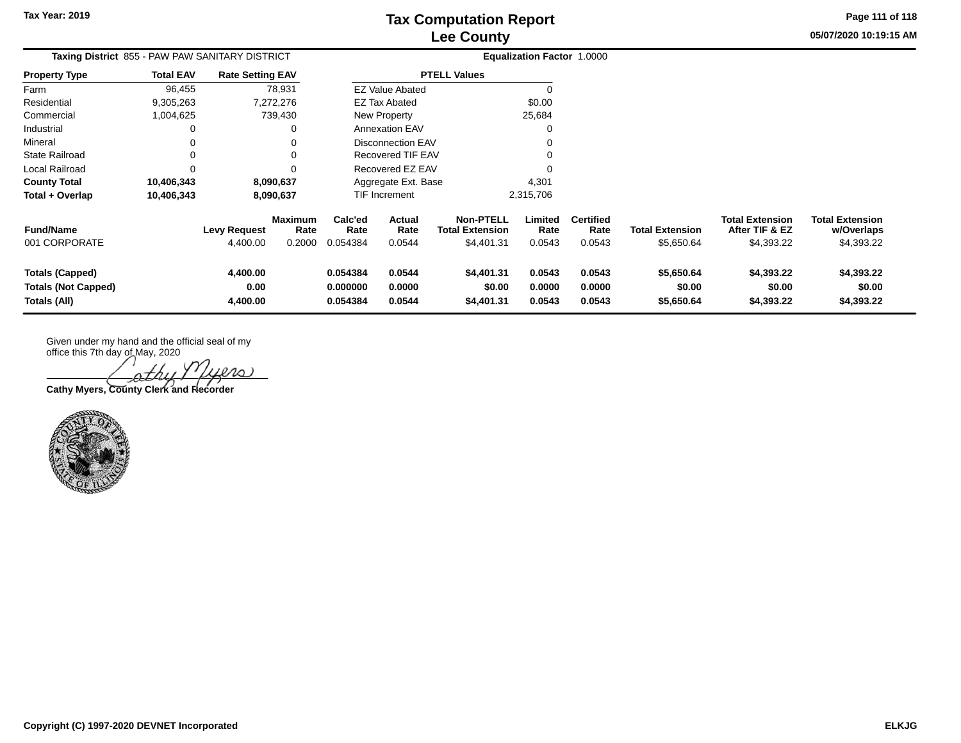**05/07/2020 10:19:15 AM Page 111 of 118**

| <b>Taxing District</b> 855 - PAW PAW SANITARY DISTRICT               |                  |                                 |                                  |                                  |                            | <b>Equalization Factor 1.0000</b>                        |                            |                                    |                                      |                                                        |                                                    |
|----------------------------------------------------------------------|------------------|---------------------------------|----------------------------------|----------------------------------|----------------------------|----------------------------------------------------------|----------------------------|------------------------------------|--------------------------------------|--------------------------------------------------------|----------------------------------------------------|
| <b>Property Type</b>                                                 | <b>Total EAV</b> | <b>Rate Setting EAV</b>         |                                  | <b>PTELL Values</b>              |                            |                                                          |                            |                                    |                                      |                                                        |                                                    |
| Farm                                                                 | 96,455           |                                 | 78,931                           |                                  | <b>EZ Value Abated</b>     |                                                          |                            |                                    |                                      |                                                        |                                                    |
| Residential                                                          | 9,305,263        |                                 | 7,272,276                        |                                  | EZ Tax Abated              |                                                          | \$0.00                     |                                    |                                      |                                                        |                                                    |
| Commercial                                                           | 1,004,625        |                                 | 739,430                          |                                  | New Property               |                                                          | 25,684                     |                                    |                                      |                                                        |                                                    |
| Industrial                                                           |                  |                                 |                                  |                                  | Annexation EAV             |                                                          |                            |                                    |                                      |                                                        |                                                    |
| Mineral                                                              |                  |                                 |                                  |                                  | <b>Disconnection EAV</b>   |                                                          |                            |                                    |                                      |                                                        |                                                    |
| State Railroad                                                       |                  |                                 |                                  |                                  | Recovered TIF EAV          |                                                          |                            |                                    |                                      |                                                        |                                                    |
| Local Railroad                                                       |                  |                                 |                                  |                                  | Recovered EZ EAV           |                                                          |                            |                                    |                                      |                                                        |                                                    |
| <b>County Total</b>                                                  | 10,406,343       |                                 | 8,090,637                        |                                  | Aggregate Ext. Base        |                                                          | 4,301                      |                                    |                                      |                                                        |                                                    |
| Total + Overlap                                                      | 10,406,343       |                                 | 8,090,637                        |                                  | <b>TIF Increment</b>       |                                                          | 2,315,706                  |                                    |                                      |                                                        |                                                    |
| <b>Fund/Name</b><br>001 CORPORATE                                    |                  | <b>Levy Request</b><br>4,400.00 | <b>Maximum</b><br>Rate<br>0.2000 | Calc'ed<br>Rate<br>0.054384      | Actual<br>Rate<br>0.0544   | <b>Non-PTELL</b><br><b>Total Extension</b><br>\$4,401.31 | Limited<br>Rate<br>0.0543  | <b>Certified</b><br>Rate<br>0.0543 | <b>Total Extension</b><br>\$5,650.64 | <b>Total Extension</b><br>After TIF & EZ<br>\$4,393.22 | <b>Total Extension</b><br>w/Overlaps<br>\$4,393.22 |
| <b>Totals (Capped)</b><br><b>Totals (Not Capped)</b><br>Totals (All) |                  | 4,400.00<br>0.00<br>4,400.00    |                                  | 0.054384<br>0.000000<br>0.054384 | 0.0544<br>0.0000<br>0.0544 | \$4,401.31<br>\$0.00<br>\$4,401.31                       | 0.0543<br>0.0000<br>0.0543 | 0.0543<br>0.0000<br>0.0543         | \$5,650.64<br>\$0.00<br>\$5,650.64   | \$4,393.22<br>\$0.00<br>\$4,393.22                     | \$4,393.22<br>\$0.00<br>\$4,393.22                 |

office this 7th day of May, 2020 uers)

**Cathy Myers, County Clerk and Recorder**

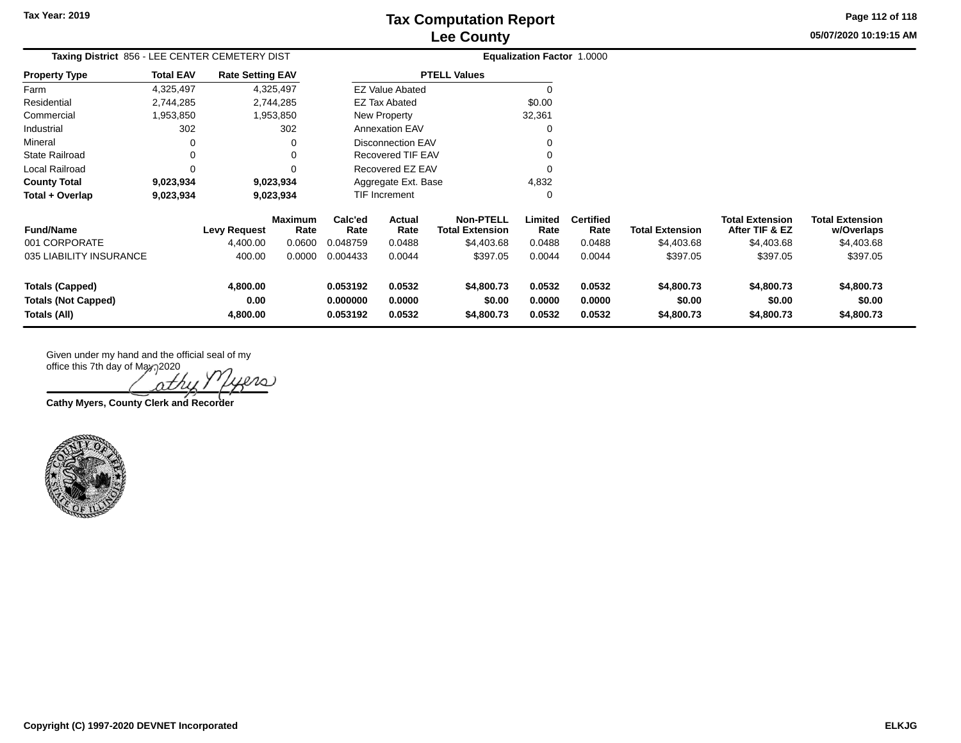**05/07/2020 10:19:15 AM Page 112 of 118**

| Taxing District 856 - LEE CENTER CEMETERY DIST |                  |                         |                        | <b>Equalization Factor 1.0000</b> |                                                   |                                            |                 |                          |                        |                                          |                                      |
|------------------------------------------------|------------------|-------------------------|------------------------|-----------------------------------|---------------------------------------------------|--------------------------------------------|-----------------|--------------------------|------------------------|------------------------------------------|--------------------------------------|
| <b>Property Type</b>                           | <b>Total EAV</b> | <b>Rate Setting EAV</b> |                        |                                   |                                                   | <b>PTELL Values</b>                        |                 |                          |                        |                                          |                                      |
| Farm                                           | 4,325,497        |                         | 4,325,497              |                                   | <b>EZ Value Abated</b>                            |                                            |                 |                          |                        |                                          |                                      |
| Residential                                    | 2,744,285        |                         | 2,744,285              |                                   | <b>EZ Tax Abated</b>                              |                                            | \$0.00          |                          |                        |                                          |                                      |
| Commercial                                     | 1,953,850        |                         | 1,953,850              |                                   | New Property                                      |                                            | 32,361          |                          |                        |                                          |                                      |
| Industrial                                     | 302              |                         | 302                    |                                   | <b>Annexation EAV</b><br><b>Disconnection EAV</b> |                                            |                 |                          |                        |                                          |                                      |
| Mineral                                        | 0                |                         | ∩                      |                                   |                                                   |                                            |                 |                          |                        |                                          |                                      |
| <b>State Railroad</b>                          | 0                |                         |                        | <b>Recovered TIF EAV</b>          |                                                   |                                            |                 |                          |                        |                                          |                                      |
| Local Railroad                                 | $\Omega$         |                         |                        |                                   | Recovered EZ EAV                                  |                                            |                 |                          |                        |                                          |                                      |
| <b>County Total</b>                            | 9,023,934        |                         | 9,023,934              |                                   | Aggregate Ext. Base                               |                                            | 4,832           |                          |                        |                                          |                                      |
| Total + Overlap                                | 9,023,934        |                         | 9,023,934              |                                   | <b>TIF Increment</b>                              |                                            | 0               |                          |                        |                                          |                                      |
| <b>Fund/Name</b>                               |                  | <b>Levy Request</b>     | <b>Maximum</b><br>Rate | Calc'ed<br>Rate                   | Actual<br>Rate                                    | <b>Non-PTELL</b><br><b>Total Extension</b> | Limited<br>Rate | <b>Certified</b><br>Rate | <b>Total Extension</b> | <b>Total Extension</b><br>After TIF & EZ | <b>Total Extension</b><br>w/Overlaps |
| 001 CORPORATE                                  |                  | 4,400.00                | 0.0600                 | 0.048759                          | 0.0488                                            | \$4,403.68                                 | 0.0488          | 0.0488                   | \$4,403.68             | \$4,403.68                               | \$4,403.68                           |
| 035 LIABILITY INSURANCE                        |                  | 400.00                  | 0.0000                 | 0.004433                          | 0.0044                                            | \$397.05                                   | 0.0044          | 0.0044                   | \$397.05               | \$397.05                                 | \$397.05                             |
| <b>Totals (Capped)</b>                         |                  | 4,800.00                |                        | 0.053192                          | 0.0532                                            | \$4,800.73                                 | 0.0532          | 0.0532                   | \$4,800.73             | \$4,800.73                               | \$4,800.73                           |
| <b>Totals (Not Capped)</b>                     |                  | 0.00                    |                        | 0.000000                          | 0.0000                                            | \$0.00                                     | 0.0000          | 0.0000                   | \$0.00                 | \$0.00                                   | \$0.00                               |
| Totals (All)                                   |                  | 4,800.00                |                        | 0.053192                          | 0.0532                                            | \$4,800.73                                 | 0.0532          | 0.0532                   | \$4,800.73             | \$4,800.73                               | \$4,800.73                           |

ΛZ

**Cathy Myers, County Clerk and Recorder**

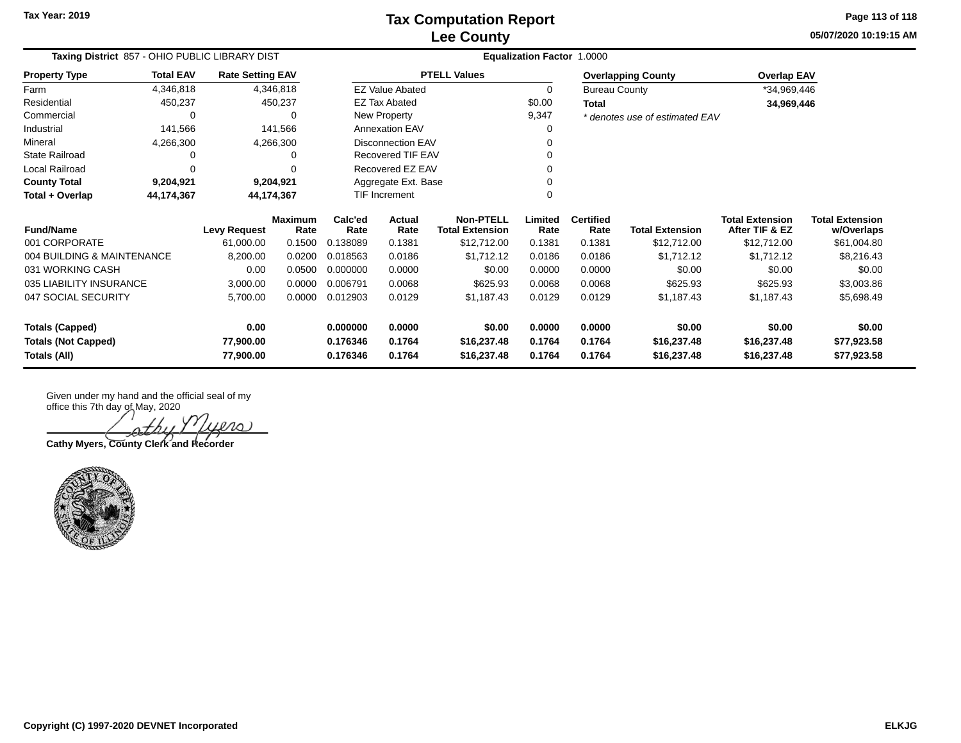**05/07/2020 10:19:15 AM Page 113 of 118**

| Taxing District 857 - OHIO PUBLIC LIBRARY DIST |                                                                       |                     |                 | Equalization Factor 1.0000 |                          |                                            |                 |                          |                                |                                          |                                      |
|------------------------------------------------|-----------------------------------------------------------------------|---------------------|-----------------|----------------------------|--------------------------|--------------------------------------------|-----------------|--------------------------|--------------------------------|------------------------------------------|--------------------------------------|
| <b>Property Type</b>                           | <b>Total EAV</b><br><b>Rate Setting EAV</b><br>4,346,818<br>4,346,818 |                     |                 |                            |                          | <b>PTELL Values</b>                        |                 |                          | <b>Overlapping County</b>      | <b>Overlap EAV</b>                       |                                      |
| Farm                                           |                                                                       |                     |                 |                            | <b>EZ Value Abated</b>   |                                            | $\Omega$        | <b>Bureau County</b>     |                                | *34,969,446                              |                                      |
| Residential                                    | 450,237                                                               |                     | 450,237         |                            | <b>EZ Tax Abated</b>     |                                            | \$0.00          | Total                    |                                | 34,969,446                               |                                      |
| Commercial                                     | $\Omega$                                                              |                     |                 | New Property               |                          |                                            | 9,347           |                          | * denotes use of estimated EAV |                                          |                                      |
| Industrial                                     | 141,566                                                               |                     | 141,566         |                            | <b>Annexation EAV</b>    |                                            | 0               |                          |                                |                                          |                                      |
| Mineral                                        | 4,266,300                                                             |                     | 4,266,300       |                            | <b>Disconnection EAV</b> |                                            |                 |                          |                                |                                          |                                      |
| <b>State Railroad</b>                          | 0                                                                     |                     |                 | Recovered TIF EAV          |                          |                                            |                 |                          |                                |                                          |                                      |
| Local Railroad                                 | $\mathbf 0$                                                           |                     |                 |                            | Recovered EZ EAV         |                                            |                 |                          |                                |                                          |                                      |
| <b>County Total</b>                            | 9,204,921                                                             |                     | 9,204,921       |                            | Aggregate Ext. Base      |                                            |                 |                          |                                |                                          |                                      |
| Total + Overlap                                | 44,174,367                                                            |                     | 44,174,367      |                            | <b>TIF Increment</b>     |                                            |                 |                          |                                |                                          |                                      |
| <b>Fund/Name</b>                               |                                                                       | <b>Levy Request</b> | Maximum<br>Rate | Calc'ed<br>Rate            | Actual<br>Rate           | <b>Non-PTELL</b><br><b>Total Extension</b> | Limited<br>Rate | <b>Certified</b><br>Rate | <b>Total Extension</b>         | <b>Total Extension</b><br>After TIF & EZ | <b>Total Extension</b><br>w/Overlaps |
| 001 CORPORATE                                  |                                                                       | 61,000.00           | 0.1500          | 0.138089                   | 0.1381                   | \$12,712.00                                | 0.1381          | 0.1381                   | \$12,712.00                    | \$12,712.00                              | \$61,004.80                          |
| 004 BUILDING & MAINTENANCE                     |                                                                       | 8,200.00            | 0.0200          | 0.018563                   | 0.0186                   | \$1,712.12                                 | 0.0186          | 0.0186                   | \$1,712.12                     | \$1,712.12                               | \$8,216.43                           |
| 031 WORKING CASH                               |                                                                       | 0.00                | 0.0500          | 0.000000                   | 0.0000                   | \$0.00                                     | 0.0000          | 0.0000                   | \$0.00                         | \$0.00                                   | \$0.00                               |
| 035 LIABILITY INSURANCE                        |                                                                       | 3,000.00            | 0.0000          | 0.006791                   | 0.0068                   | \$625.93                                   | 0.0068          | 0.0068                   | \$625.93                       | \$625.93                                 | \$3,003.86                           |
| 047 SOCIAL SECURITY                            |                                                                       | 5,700.00            | 0.0000          | 0.012903                   | 0.0129                   | \$1,187.43                                 | 0.0129          | 0.0129                   | \$1,187.43                     | \$1,187.43                               | \$5,698.49                           |
| <b>Totals (Capped)</b>                         |                                                                       | 0.00                |                 | 0.000000                   | 0.0000                   | \$0.00                                     | 0.0000          | 0.0000                   | \$0.00                         | \$0.00                                   | \$0.00                               |
| <b>Totals (Not Capped)</b>                     |                                                                       | 77,900.00           |                 | 0.176346                   | 0.1764                   | \$16,237.48                                | 0.1764          | 0.1764                   | \$16,237.48                    | \$16,237.48                              | \$77,923.58                          |
| Totals (All)                                   |                                                                       | 77,900.00           |                 | 0.176346                   | 0.1764                   | \$16,237.48                                | 0.1764          | 0.1764                   | \$16,237.48                    | \$16,237.48                              | \$77,923.58                          |

 $200$ othu

**Cathy Myers, County Clerk and Recorder**

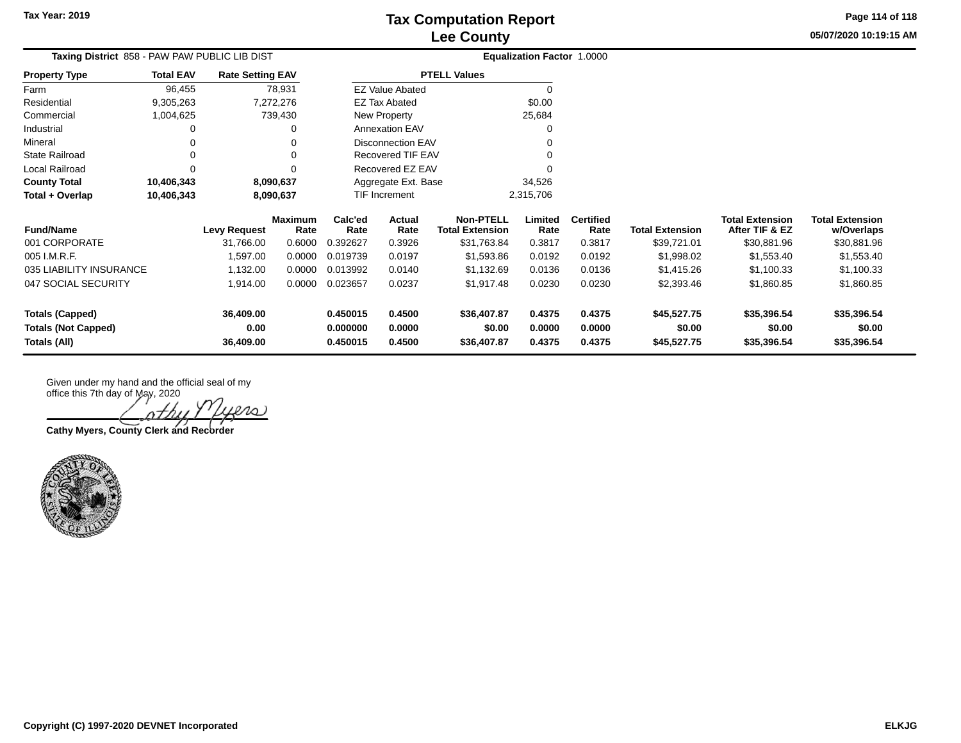**Totals (All) 36,409.00 0.450015 0.4500 \$36,407.87 0.4375 0.4375 \$45,527.75 \$35,396.54 \$35,396.54**

**05/07/2020 10:19:15 AMPage 114 of 118**

| Taxing District 858 - PAW PAW PUBLIC LIB DIST |                  |                         |                        |                 |                          |                                            | <b>Equalization Factor 1.0000</b> |                          |                        |                                          |                                      |
|-----------------------------------------------|------------------|-------------------------|------------------------|-----------------|--------------------------|--------------------------------------------|-----------------------------------|--------------------------|------------------------|------------------------------------------|--------------------------------------|
| <b>Property Type</b>                          | <b>Total EAV</b> | <b>Rate Setting EAV</b> |                        |                 |                          | <b>PTELL Values</b>                        |                                   |                          |                        |                                          |                                      |
| Farm                                          | 96,455           |                         | 78,931                 |                 | <b>EZ Value Abated</b>   |                                            |                                   |                          |                        |                                          |                                      |
| Residential                                   | 9,305,263        |                         | 7,272,276              |                 | <b>EZ Tax Abated</b>     |                                            | \$0.00                            |                          |                        |                                          |                                      |
| Commercial                                    | 1,004,625        |                         | 739,430                |                 | New Property             |                                            | 25,684                            |                          |                        |                                          |                                      |
| Industrial                                    |                  |                         | 0                      |                 | <b>Annexation EAV</b>    |                                            |                                   |                          |                        |                                          |                                      |
| Mineral                                       |                  |                         | 0                      |                 | <b>Disconnection EAV</b> |                                            |                                   |                          |                        |                                          |                                      |
| <b>State Railroad</b>                         |                  |                         | 0                      |                 | Recovered TIF EAV        |                                            |                                   |                          |                        |                                          |                                      |
| Local Railroad                                | $\Omega$         |                         | $\Omega$               |                 | Recovered EZ EAV         |                                            |                                   |                          |                        |                                          |                                      |
| <b>County Total</b>                           | 10,406,343       |                         | 8,090,637              |                 | Aggregate Ext. Base      |                                            | 34,526                            |                          |                        |                                          |                                      |
| Total + Overlap                               | 10,406,343       |                         | 8,090,637              |                 | <b>TIF Increment</b>     |                                            | 2,315,706                         |                          |                        |                                          |                                      |
| <b>Fund/Name</b>                              |                  | <b>Levy Request</b>     | <b>Maximum</b><br>Rate | Calc'ed<br>Rate | Actual<br>Rate           | <b>Non-PTELL</b><br><b>Total Extension</b> | Limited<br>Rate                   | <b>Certified</b><br>Rate | <b>Total Extension</b> | <b>Total Extension</b><br>After TIF & EZ | <b>Total Extension</b><br>w/Overlaps |
| 001 CORPORATE                                 |                  | 31,766.00               | 0.6000                 | 0.392627        | 0.3926                   | \$31,763.84                                | 0.3817                            | 0.3817                   | \$39,721.01            | \$30,881.96                              | \$30,881.96                          |
| 005 I.M.R.F.                                  |                  | 1,597.00                | 0.0000                 | 0.019739        | 0.0197                   | \$1,593.86                                 | 0.0192                            | 0.0192                   | \$1,998.02             | \$1,553.40                               | \$1,553.40                           |
| 035 LIABILITY INSURANCE                       |                  | 1,132.00                | 0.0000                 | 0.013992        | 0.0140                   | \$1,132.69                                 | 0.0136                            | 0.0136                   | \$1,415.26             | \$1,100.33                               | \$1,100.33                           |
| 047 SOCIAL SECURITY                           |                  | 1,914.00                | 0.0000                 | 0.023657        | 0.0237                   | \$1,917.48                                 | 0.0230                            | 0.0230                   | \$2,393.46             | \$1,860.85                               | \$1,860.85                           |
| <b>Totals (Capped)</b>                        |                  | 36,409.00               |                        | 0.450015        | 0.4500                   | \$36,407.87                                | 0.4375                            | 0.4375                   | \$45,527.75            | \$35,396.54                              | \$35,396.54                          |
| <b>Totals (Not Capped)</b>                    |                  | 0.00                    |                        | 0.000000        | 0.0000                   | \$0.00                                     | 0.0000                            | 0.0000                   | \$0.00                 | \$0.00                                   | \$0.00                               |

ers

**Cathy Myers, County Clerk and Recorder**

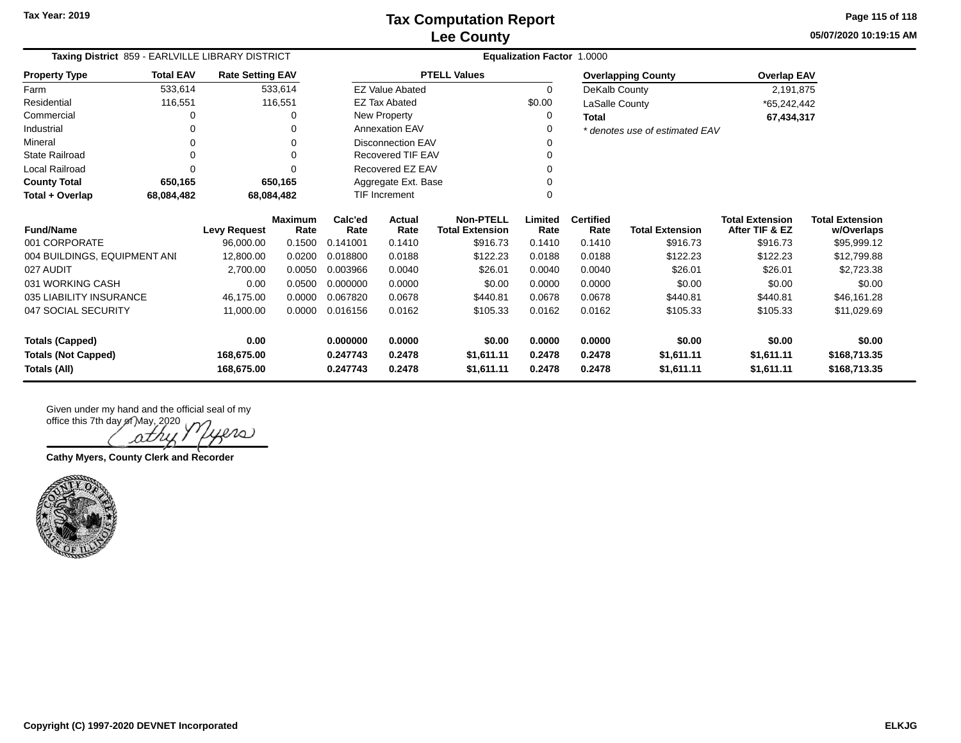**05/07/2020 10:19:15 AM Page 115 of 118**

| Taxing District 859 - EARLVILLE LIBRARY DISTRICT |                  |                         |                 | <b>Equalization Factor</b><br>1.0000 |                        |                                            |                 |                          |                                |                                          |                                      |
|--------------------------------------------------|------------------|-------------------------|-----------------|--------------------------------------|------------------------|--------------------------------------------|-----------------|--------------------------|--------------------------------|------------------------------------------|--------------------------------------|
| <b>Property Type</b>                             | <b>Total EAV</b> | <b>Rate Setting EAV</b> |                 |                                      |                        | <b>PTELL Values</b>                        |                 |                          | <b>Overlapping County</b>      | <b>Overlap EAV</b>                       |                                      |
| Farm                                             | 533,614          |                         | 533,614         |                                      | <b>EZ Value Abated</b> |                                            | 0               | DeKalb County            |                                | 2,191,875                                |                                      |
| Residential                                      | 116,551          |                         | 116,551         |                                      | <b>EZ Tax Abated</b>   |                                            | \$0.00          | LaSalle County           |                                | *65,242,442                              |                                      |
| Commercial                                       |                  |                         | 0               |                                      | New Property           |                                            | 0               | <b>Total</b>             |                                | 67,434,317                               |                                      |
| Industrial                                       | 0                |                         | O               |                                      | <b>Annexation EAV</b>  |                                            |                 |                          | * denotes use of estimated EAV |                                          |                                      |
| Mineral                                          | 0                |                         | 0               |                                      | Disconnection EAV      |                                            |                 |                          |                                |                                          |                                      |
| <b>State Railroad</b>                            | 0                |                         | ŋ               |                                      | Recovered TIF EAV      |                                            |                 |                          |                                |                                          |                                      |
| Local Railroad                                   |                  |                         |                 |                                      | Recovered EZ EAV       |                                            |                 |                          |                                |                                          |                                      |
| <b>County Total</b>                              | 650,165          |                         | 650,165         |                                      | Aggregate Ext. Base    |                                            |                 |                          |                                |                                          |                                      |
| Total + Overlap                                  | 68,084,482       |                         | 68,084,482      |                                      | TIF Increment<br>U     |                                            |                 |                          |                                |                                          |                                      |
| <b>Fund/Name</b>                                 |                  | <b>Levy Request</b>     | Maximum<br>Rate | Calc'ed<br>Rate                      | Actual<br>Rate         | <b>Non-PTELL</b><br><b>Total Extension</b> | Limited<br>Rate | <b>Certified</b><br>Rate | <b>Total Extension</b>         | <b>Total Extension</b><br>After TIF & EZ | <b>Total Extension</b><br>w/Overlaps |
| 001 CORPORATE                                    |                  | 96,000.00               | 0.1500          | 0.141001                             | 0.1410                 | \$916.73                                   | 0.1410          | 0.1410                   | \$916.73                       | \$916.73                                 | \$95,999.12                          |
| 004 BUILDINGS, EQUIPMENT ANI                     |                  | 12,800.00               | 0.0200          | 0.018800                             | 0.0188                 | \$122.23                                   | 0.0188          | 0.0188                   | \$122.23                       | \$122.23                                 | \$12,799.88                          |
| 027 AUDIT                                        |                  | 2,700.00                | 0.0050          | 0.003966                             | 0.0040                 | \$26.01                                    | 0.0040          | 0.0040                   | \$26.01                        | \$26.01                                  | \$2,723.38                           |
| 031 WORKING CASH                                 |                  | 0.00                    | 0.0500          | 0.000000                             | 0.0000                 | \$0.00                                     | 0.0000          | 0.0000                   | \$0.00                         | \$0.00                                   | \$0.00                               |
| 035 LIABILITY INSURANCE                          |                  | 46,175.00               | 0.0000          | 0.067820                             | 0.0678                 | \$440.81                                   | 0.0678          | 0.0678                   | \$440.81                       | \$440.81                                 | \$46,161.28                          |
| 047 SOCIAL SECURITY                              |                  | 11,000.00               | 0.0000          | 0.016156                             | 0.0162                 | \$105.33                                   | 0.0162          | 0.0162                   | \$105.33                       | \$105.33                                 | \$11,029.69                          |
| <b>Totals (Capped)</b>                           |                  | 0.00                    |                 | 0.000000                             | 0.0000                 | \$0.00                                     | 0.0000          | 0.0000                   | \$0.00                         | \$0.00                                   | \$0.00                               |
| <b>Totals (Not Capped)</b>                       |                  | 168,675.00              |                 | 0.247743                             | 0.2478                 | \$1,611.11                                 | 0.2478          | 0.2478                   | \$1,611.11                     | \$1,611.11                               | \$168,713.35                         |
| <b>Totals (All)</b>                              |                  | 168,675.00              |                 | 0.247743                             | 0.2478                 | \$1.611.11                                 | 0.2478          | 0.2478                   | \$1,611.11                     | \$1,611.11                               | \$168,713.35                         |

Leno)

**Cathy Myers, County Clerk and Recorder**

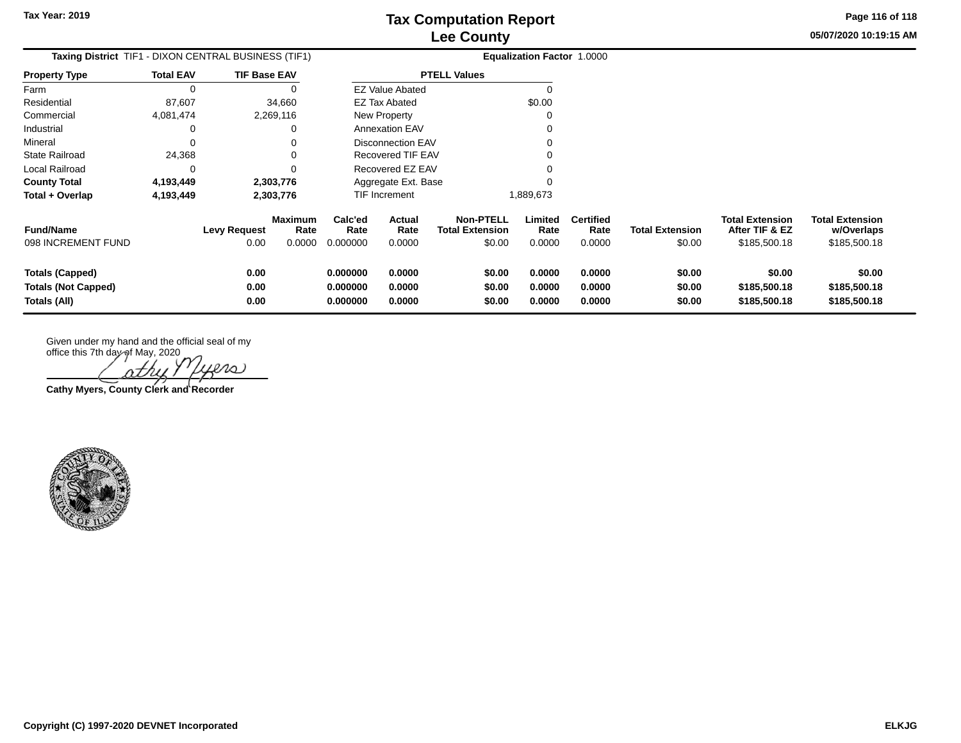**Page 116 of 118**

**05/07/2020 10:19:15 AM**

| Taxing District_TIF1 - DIXON CENTRAL BUSINESS (TIF1)                 |                  |                             |                           |                                  |                                 |                                                      | <b>Equalization Factor 1.0000</b> |                                    |                                  |                                                          |                                                      |
|----------------------------------------------------------------------|------------------|-----------------------------|---------------------------|----------------------------------|---------------------------------|------------------------------------------------------|-----------------------------------|------------------------------------|----------------------------------|----------------------------------------------------------|------------------------------------------------------|
| <b>Property Type</b>                                                 | <b>Total EAV</b> | <b>TIF Base EAV</b>         |                           |                                  |                                 | <b>PTELL Values</b>                                  |                                   |                                    |                                  |                                                          |                                                      |
| Farm                                                                 |                  |                             |                           |                                  | <b>EZ Value Abated</b>          |                                                      |                                   |                                    |                                  |                                                          |                                                      |
| Residential                                                          | 87,607           |                             | 34,660                    |                                  | EZ Tax Abated                   |                                                      | \$0.00                            |                                    |                                  |                                                          |                                                      |
| Commercial                                                           | 4,081,474        |                             | 2,269,116                 |                                  | <b>New Property</b>             |                                                      |                                   |                                    |                                  |                                                          |                                                      |
| Industrial                                                           |                  |                             |                           |                                  | <b>Annexation EAV</b>           |                                                      |                                   |                                    |                                  |                                                          |                                                      |
| Mineral                                                              |                  |                             |                           |                                  | <b>Disconnection EAV</b>        |                                                      |                                   |                                    |                                  |                                                          |                                                      |
| State Railroad                                                       | 24,368           |                             |                           |                                  | Recovered TIF EAV               |                                                      |                                   |                                    |                                  |                                                          |                                                      |
| Local Railroad                                                       |                  |                             |                           |                                  | Recovered EZ EAV                |                                                      |                                   |                                    |                                  |                                                          |                                                      |
| <b>County Total</b>                                                  | 4,193,449        |                             | 2,303,776                 |                                  | Aggregate Ext. Base             |                                                      |                                   |                                    |                                  |                                                          |                                                      |
| Total + Overlap                                                      | 4,193,449        |                             | 2,303,776                 |                                  | <b>TIF Increment</b>            |                                                      | 1,889,673                         |                                    |                                  |                                                          |                                                      |
| <b>Fund/Name</b><br>098 INCREMENT FUND                               |                  | <b>Levy Request</b><br>0.00 | Maximum<br>Rate<br>0.0000 | Calc'ed<br>Rate<br>0.000000      | <b>Actual</b><br>Rate<br>0.0000 | <b>Non-PTELL</b><br><b>Total Extension</b><br>\$0.00 | Limited<br>Rate<br>0.0000         | <b>Certified</b><br>Rate<br>0.0000 | <b>Total Extension</b><br>\$0.00 | <b>Total Extension</b><br>After TIF & EZ<br>\$185,500.18 | <b>Total Extension</b><br>w/Overlaps<br>\$185,500.18 |
| <b>Totals (Capped)</b><br><b>Totals (Not Capped)</b><br>Totals (All) |                  | 0.00<br>0.00<br>0.00        |                           | 0.000000<br>0.000000<br>0.000000 | 0.0000<br>0.0000<br>0.0000      | \$0.00<br>\$0.00<br>\$0.00                           | 0.0000<br>0.0000<br>0.0000        | 0.0000<br>0.0000<br>0.0000         | \$0.00<br>\$0.00<br>\$0.00       | \$0.00<br>\$185,500.18<br>\$185,500.18                   | \$0.00<br>\$185,500.18<br>\$185,500.18               |

office this 7th day of May, 2020 yers othu .

**Cathy Myers, County Clerk and Recorder**

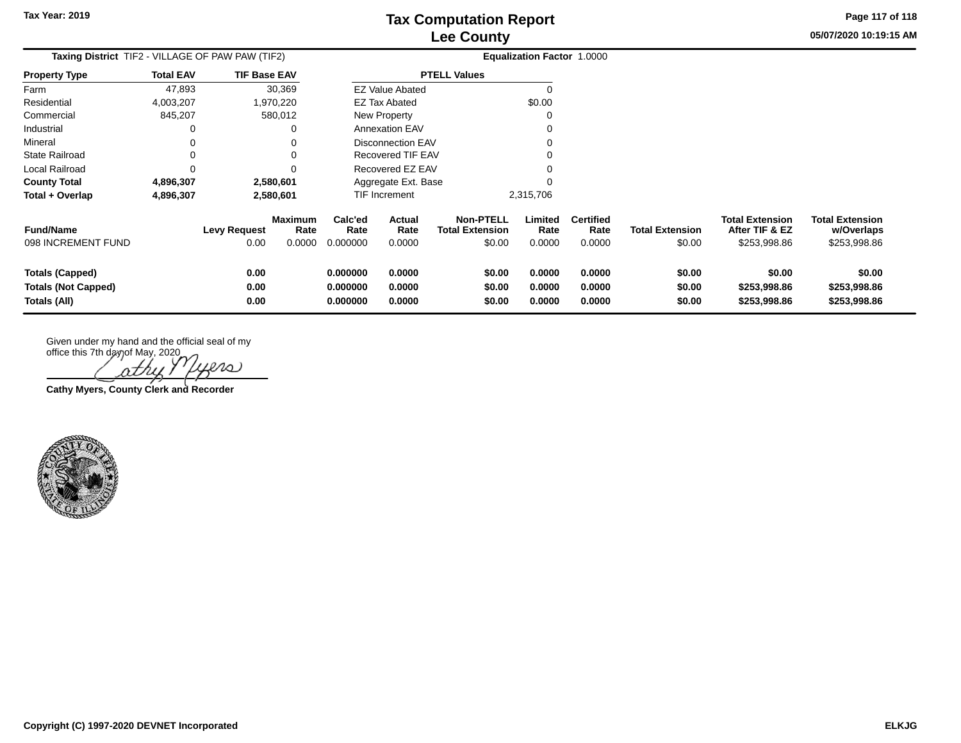**05/07/2020 10:19:15 AM Page 117 of 118**

| <b>Taxing District</b> TIF2 - VILLAGE OF PAW PAW (TIF2)              |                  |                             |                           | <b>Equalization Factor 1.0000</b> |                            |                                                      |                            |                                    |                                  |                                                          |                                                      |
|----------------------------------------------------------------------|------------------|-----------------------------|---------------------------|-----------------------------------|----------------------------|------------------------------------------------------|----------------------------|------------------------------------|----------------------------------|----------------------------------------------------------|------------------------------------------------------|
| <b>Property Type</b>                                                 | <b>Total EAV</b> | <b>TIF Base EAV</b>         |                           |                                   |                            | <b>PTELL Values</b>                                  |                            |                                    |                                  |                                                          |                                                      |
| Farm                                                                 | 47,893           |                             | 30,369                    |                                   | <b>EZ Value Abated</b>     |                                                      | 0                          |                                    |                                  |                                                          |                                                      |
| Residential                                                          | 4,003,207        |                             | 1,970,220                 |                                   | EZ Tax Abated              |                                                      | \$0.00                     |                                    |                                  |                                                          |                                                      |
| Commercial                                                           | 845,207          |                             | 580,012                   | New Property                      |                            |                                                      |                            |                                    |                                  |                                                          |                                                      |
| Industrial                                                           | 0                |                             | 0                         |                                   | Annexation EAV             |                                                      |                            |                                    |                                  |                                                          |                                                      |
| Mineral                                                              | 0                |                             | 0                         |                                   | <b>Disconnection EAV</b>   |                                                      | 0                          |                                    |                                  |                                                          |                                                      |
| <b>State Railroad</b>                                                | 0                |                             | $\Omega$                  |                                   | Recovered TIF EAV          |                                                      |                            |                                    |                                  |                                                          |                                                      |
| Local Railroad                                                       | 0                |                             | $\Omega$                  |                                   | Recovered EZ EAV           |                                                      |                            |                                    |                                  |                                                          |                                                      |
| <b>County Total</b>                                                  | 4,896,307        |                             | 2,580,601                 |                                   | Aggregate Ext. Base        |                                                      |                            |                                    |                                  |                                                          |                                                      |
| Total + Overlap                                                      | 4,896,307        |                             | 2,580,601                 |                                   | TIF Increment              |                                                      | 2,315,706                  |                                    |                                  |                                                          |                                                      |
| <b>Fund/Name</b><br>098 INCREMENT FUND                               |                  | <b>Levy Request</b><br>0.00 | Maximum<br>Rate<br>0.0000 | Calc'ed<br>Rate<br>0.000000       | Actual<br>Rate<br>0.0000   | <b>Non-PTELL</b><br><b>Total Extension</b><br>\$0.00 | Limited<br>Rate<br>0.0000  | <b>Certified</b><br>Rate<br>0.0000 | <b>Total Extension</b><br>\$0.00 | <b>Total Extension</b><br>After TIF & EZ<br>\$253,998.86 | <b>Total Extension</b><br>w/Overlaps<br>\$253,998.86 |
| <b>Totals (Capped)</b><br><b>Totals (Not Capped)</b><br>Totals (All) |                  | 0.00<br>0.00<br>0.00        |                           | 0.000000<br>0.000000<br>0.000000  | 0.0000<br>0.0000<br>0.0000 | \$0.00<br>\$0.00<br>\$0.00                           | 0.0000<br>0.0000<br>0.0000 | 0.0000<br>0.0000<br>0.0000         | \$0.00<br>\$0.00<br>\$0.00       | \$0.00<br>\$253,998.86<br>\$253,998.86                   | \$0.00<br>\$253,998.86<br>\$253,998.86               |

office this 7th day)of May, 2020 ers nth

**Cathy Myers, County Clerk and Recorder**

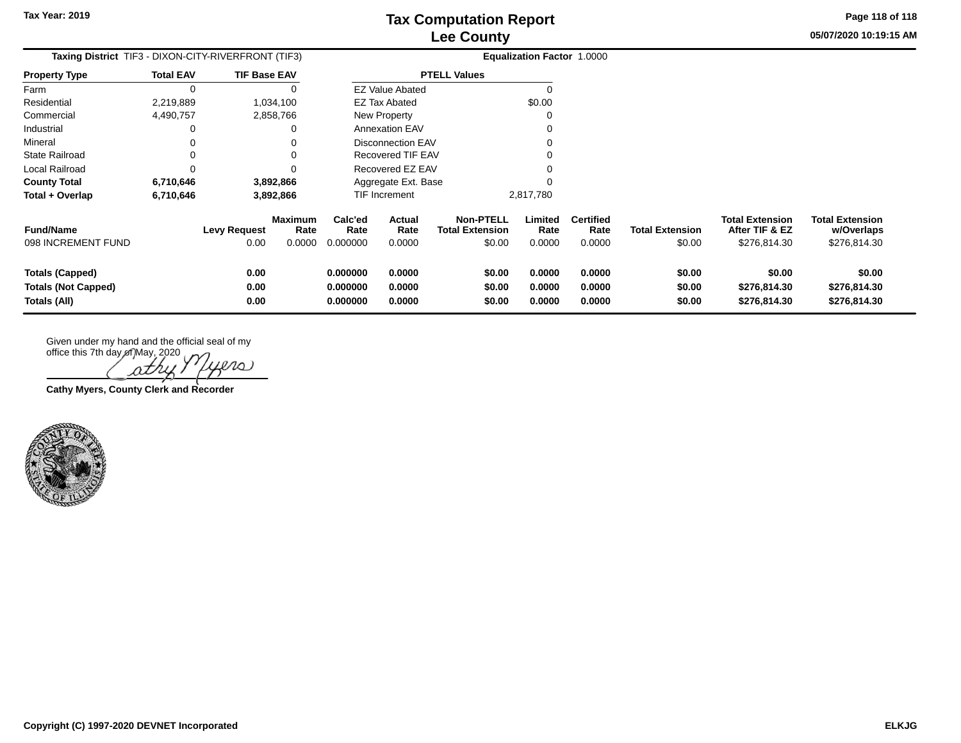**05/07/2020 10:19:15 AM Page 118 of 118**

| <b>Taxing District</b> TIF3 - DIXON-CITY-RIVERFRONT (TIF3)           |                  |                      |                                  |                                  |                            |                                                      | <b>Equalization Factor 1.0000</b> |                                    |                                  |                                                          |                                                      |
|----------------------------------------------------------------------|------------------|----------------------|----------------------------------|----------------------------------|----------------------------|------------------------------------------------------|-----------------------------------|------------------------------------|----------------------------------|----------------------------------------------------------|------------------------------------------------------|
| <b>Property Type</b>                                                 | <b>Total EAV</b> | <b>TIF Base EAV</b>  |                                  |                                  |                            | <b>PTELL Values</b>                                  |                                   |                                    |                                  |                                                          |                                                      |
| Farm                                                                 | 0                |                      |                                  |                                  | <b>EZ Value Abated</b>     |                                                      |                                   |                                    |                                  |                                                          |                                                      |
| Residential                                                          | 2,219,889        |                      | 1,034,100                        | \$0.00<br>EZ Tax Abated          |                            |                                                      |                                   |                                    |                                  |                                                          |                                                      |
| Commercial                                                           | 4,490,757        |                      | 2,858,766                        | New Property                     |                            |                                                      |                                   |                                    |                                  |                                                          |                                                      |
| Industrial                                                           |                  |                      |                                  | <b>Annexation EAV</b>            |                            |                                                      |                                   |                                    |                                  |                                                          |                                                      |
| Mineral                                                              |                  |                      |                                  |                                  | <b>Disconnection EAV</b>   |                                                      |                                   |                                    |                                  |                                                          |                                                      |
| State Railroad                                                       |                  |                      |                                  |                                  | Recovered TIF EAV          |                                                      |                                   |                                    |                                  |                                                          |                                                      |
| Local Railroad                                                       |                  |                      |                                  |                                  | Recovered EZ EAV           |                                                      |                                   |                                    |                                  |                                                          |                                                      |
| <b>County Total</b>                                                  | 6,710,646        |                      | 3,892,866                        |                                  | Aggregate Ext. Base        |                                                      |                                   |                                    |                                  |                                                          |                                                      |
| Total + Overlap                                                      | 6,710,646        |                      | 3,892,866                        |                                  | <b>TIF Increment</b>       |                                                      | 2,817,780                         |                                    |                                  |                                                          |                                                      |
| <b>Fund/Name</b><br>098 INCREMENT FUND                               |                  | Levy Request<br>0.00 | <b>Maximum</b><br>Rate<br>0.0000 | Calc'ed<br>Rate<br>0.000000      | Actual<br>Rate<br>0.0000   | <b>Non-PTELL</b><br><b>Total Extension</b><br>\$0.00 | Limited<br>Rate<br>0.0000         | <b>Certified</b><br>Rate<br>0.0000 | <b>Total Extension</b><br>\$0.00 | <b>Total Extension</b><br>After TIF & EZ<br>\$276,814.30 | <b>Total Extension</b><br>w/Overlaps<br>\$276,814.30 |
| <b>Totals (Capped)</b><br><b>Totals (Not Capped)</b><br>Totals (All) |                  | 0.00<br>0.00<br>0.00 |                                  | 0.000000<br>0.000000<br>0.000000 | 0.0000<br>0.0000<br>0.0000 | \$0.00<br>\$0.00<br>\$0.00                           | 0.0000<br>0.0000<br>0.0000        | 0.0000<br>0.0000<br>0.0000         | \$0.00<br>\$0.00<br>\$0.00       | \$0.00<br>\$276,814.30<br>\$276,814.30                   | \$0.00<br>\$276,814.30<br>\$276,814.30               |

office this 7th day of May, 2020 ers ΩΖ

**Cathy Myers, County Clerk and Recorder**

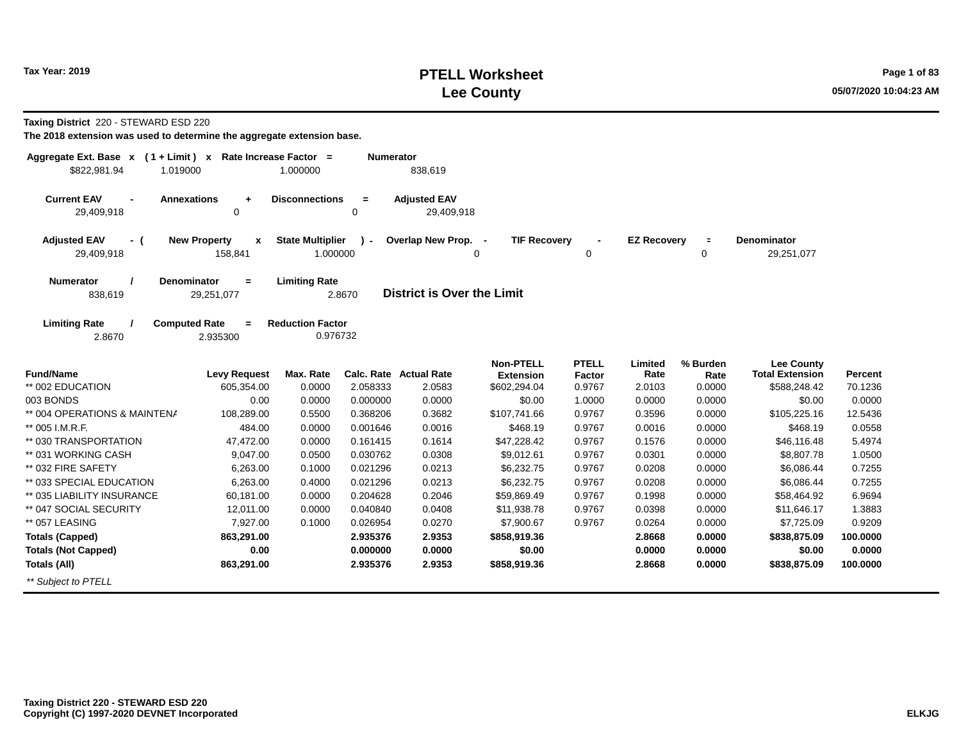#### **PTELL Worksheet Tax Year: 2019 Page 1 of 83 Lee County 05/07/2020 10:04:23 AM**

**Taxing District** 220 - STEWARD ESD 220

| Aggregate Ext. Base x (1+Limit) x Rate Increase Factor =<br>\$822,981.94<br>1.019000 |                                                | 1.000000                            | <b>Numerator</b> | 838,619                           |                                  |                  |                    |                |                                             |                           |
|--------------------------------------------------------------------------------------|------------------------------------------------|-------------------------------------|------------------|-----------------------------------|----------------------------------|------------------|--------------------|----------------|---------------------------------------------|---------------------------|
| <b>Current EAV</b><br>29,409,918                                                     | <b>Annexations</b><br>$\ddot{}$<br>$\mathbf 0$ | <b>Disconnections</b>               | $\equiv$<br>0    | <b>Adjusted EAV</b><br>29,409,918 |                                  |                  |                    |                |                                             |                           |
| <b>Adjusted EAV</b><br>- (<br>29,409,918                                             | <b>New Property</b><br>$\mathbf{x}$<br>158,841 | <b>State Multiplier</b><br>1.000000 | $\lambda$ -      | Overlap New Prop. -               | <b>TIF Recovery</b><br>0         | 0                | <b>EZ Recovery</b> | $\equiv$<br>0  | <b>Denominator</b><br>29,251,077            |                           |
| <b>Numerator</b><br>838,619                                                          | <b>Denominator</b><br>$=$<br>29,251,077        | <b>Limiting Rate</b>                | 2.8670           | <b>District is Over the Limit</b> |                                  |                  |                    |                |                                             |                           |
| <b>Limiting Rate</b><br>2.8670                                                       | <b>Computed Rate</b><br>$\equiv$<br>2.935300   | <b>Reduction Factor</b><br>0.976732 |                  |                                   |                                  |                  |                    |                |                                             |                           |
| <b>Fund/Name</b>                                                                     |                                                |                                     |                  | Calc. Rate Actual Rate            | <b>Non-PTELL</b>                 | <b>PTELL</b>     | Limited            | % Burden       | <b>Lee County</b><br><b>Total Extension</b> |                           |
| ** 002 EDUCATION                                                                     | <b>Levy Request</b><br>605.354.00              | Max. Rate<br>0.0000                 | 2.058333         | 2.0583                            | <b>Extension</b><br>\$602,294.04 | Factor<br>0.9767 | Rate<br>2.0103     | Rate<br>0.0000 | \$588,248.42                                | <b>Percent</b><br>70.1236 |
| 003 BONDS                                                                            | 0.00                                           | 0.0000                              | 0.000000         | 0.0000                            | \$0.00                           | 1.0000           | 0.0000             | 0.0000         | \$0.00                                      | 0.0000                    |
| ** 004 OPERATIONS & MAINTENA                                                         | 108,289.00                                     | 0.5500                              | 0.368206         | 0.3682                            | \$107,741.66                     | 0.9767           | 0.3596             | 0.0000         | \$105,225.16                                | 12.5436                   |
| ** 005 I.M.R.F.                                                                      | 484.00                                         | 0.0000                              | 0.001646         | 0.0016                            | \$468.19                         | 0.9767           | 0.0016             | 0.0000         | \$468.19                                    | 0.0558                    |
| ** 030 TRANSPORTATION                                                                | 47,472.00                                      | 0.0000                              | 0.161415         | 0.1614                            | \$47,228.42                      | 0.9767           | 0.1576             | 0.0000         | \$46,116.48                                 | 5.4974                    |
| ** 031 WORKING CASH                                                                  | 9,047.00                                       | 0.0500                              | 0.030762         | 0.0308                            | \$9,012.61                       | 0.9767           | 0.0301             | 0.0000         | \$8,807.78                                  | 1.0500                    |
| ** 032 FIRE SAFETY                                                                   | 6,263.00                                       | 0.1000                              | 0.021296         | 0.0213                            | \$6,232.75                       | 0.9767           | 0.0208             | 0.0000         | \$6,086.44                                  | 0.7255                    |
| ** 033 SPECIAL EDUCATION                                                             | 6,263.00                                       | 0.4000                              | 0.021296         | 0.0213                            | \$6,232.75                       | 0.9767           | 0.0208             | 0.0000         | \$6,086.44                                  | 0.7255                    |
| ** 035 LIABILITY INSURANCE                                                           | 60,181.00                                      | 0.0000                              | 0.204628         | 0.2046                            | \$59,869.49                      | 0.9767           | 0.1998             | 0.0000         | \$58,464.92                                 | 6.9694                    |
| ** 047 SOCIAL SECURITY                                                               | 12,011.00                                      | 0.0000                              | 0.040840         | 0.0408                            | \$11,938.78                      | 0.9767           | 0.0398             | 0.0000         | \$11,646.17                                 | 1.3883                    |
| ** 057 LEASING                                                                       | 7,927.00                                       | 0.1000                              | 0.026954         | 0.0270                            | \$7,900.67                       | 0.9767           | 0.0264             | 0.0000         | \$7,725.09                                  | 0.9209                    |
| <b>Totals (Capped)</b>                                                               | 863,291.00                                     |                                     | 2.935376         | 2.9353                            | \$858,919.36                     |                  | 2.8668             | 0.0000         | \$838,875.09                                | 100.0000                  |
| <b>Totals (Not Capped)</b>                                                           | 0.00                                           |                                     |                  | 0.0000                            | \$0.00                           |                  | 0.0000             | 0.0000         | \$0.00                                      | 0.0000                    |
| <b>Totals (All)</b>                                                                  | 863,291.00                                     |                                     | 2.935376         | 2.9353                            | \$858,919.36                     |                  | 2.8668             | 0.0000         | \$838,875.09                                | 100.0000                  |
| ** Subject to PTELL                                                                  |                                                |                                     |                  |                                   |                                  |                  |                    |                |                                             |                           |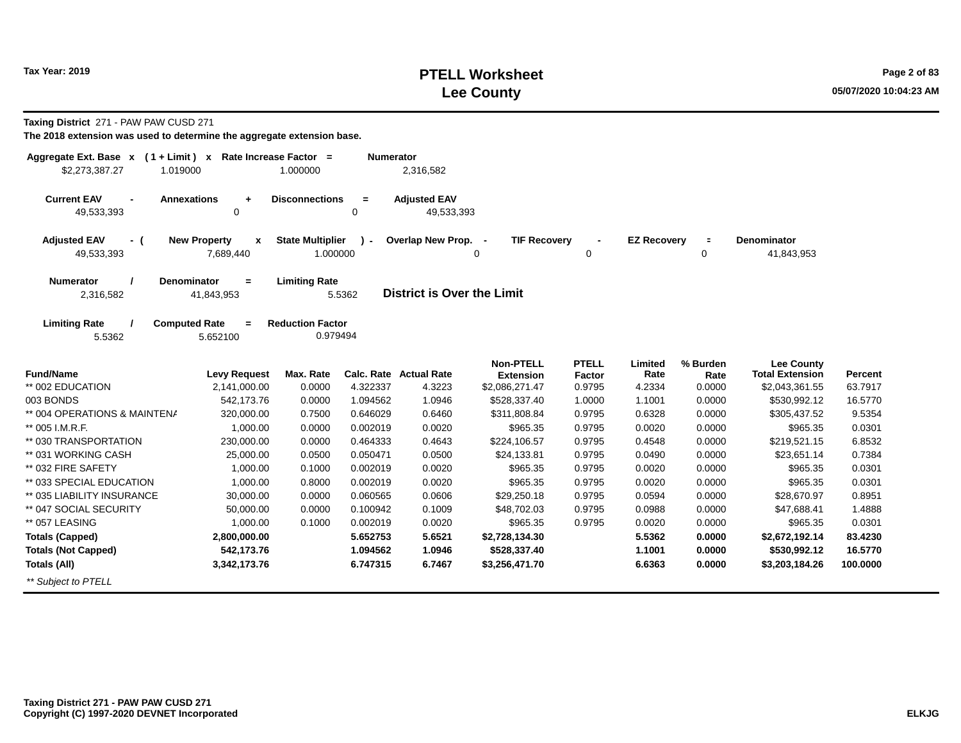**Taxing District** 271 - PAW PAW CUSD 271

| Aggregate Ext. Base $x$ (1 + Limit) $x$<br>\$2,273,387.27<br>1.019000 |                                                | Rate Increase Factor =<br>1.000000  | <b>Numerator</b> | 2,316,582                         |                                                             |                        |                    |                  |                                             |                |
|-----------------------------------------------------------------------|------------------------------------------------|-------------------------------------|------------------|-----------------------------------|-------------------------------------------------------------|------------------------|--------------------|------------------|---------------------------------------------|----------------|
| <b>Current EAV</b><br>49,533,393                                      | <b>Annexations</b><br>$\ddot{}$<br>$\mathbf 0$ | <b>Disconnections</b>               | $\equiv$<br>0    | <b>Adjusted EAV</b><br>49,533,393 |                                                             |                        |                    |                  |                                             |                |
| <b>Adjusted EAV</b><br>- (<br>49,533,393                              | <b>New Property</b><br>X<br>7,689,440          | <b>State Multiplier</b><br>1.000000 | $\mathbf{r}$     | Overlap New Prop.                 | <b>TIF Recovery</b><br>$\overline{\phantom{a}}$<br>$\Omega$ | 0                      | <b>EZ Recovery</b> | $\equiv$<br>0    | <b>Denominator</b><br>41,843,953            |                |
| <b>Numerator</b><br>2,316,582                                         | <b>Denominator</b><br>$\equiv$<br>41,843,953   | <b>Limiting Rate</b>                | 5.5362           | <b>District is Over the Limit</b> |                                                             |                        |                    |                  |                                             |                |
| <b>Limiting Rate</b><br>5.5362                                        | <b>Computed Rate</b><br>$\equiv$<br>5.652100   | <b>Reduction Factor</b><br>0.979494 |                  |                                   |                                                             |                        |                    |                  |                                             |                |
| <b>Fund/Name</b>                                                      | <b>Levy Request</b>                            | Max. Rate                           |                  | Calc. Rate Actual Rate            | <b>Non-PTELL</b><br><b>Extension</b>                        | <b>PTELL</b><br>Factor | Limited<br>Rate    | % Burden<br>Rate | <b>Lee County</b><br><b>Total Extension</b> | <b>Percent</b> |
| ** 002 EDUCATION                                                      | 2,141,000.00                                   | 0.0000                              | 4.322337         | 4.3223                            | \$2,086,271.47                                              | 0.9795                 | 4.2334             | 0.0000           | \$2,043,361.55                              | 63.7917        |
| 003 BONDS                                                             | 542,173.76                                     | 0.0000                              | 1.094562         | 1.0946                            | \$528,337.40                                                | 1.0000                 | 1.1001             | 0.0000           | \$530,992.12                                | 16.5770        |
| ** 004 OPERATIONS & MAINTENA                                          | 320,000.00                                     | 0.7500                              | 0.646029         | 0.6460                            | \$311,808.84                                                | 0.9795                 | 0.6328             | 0.0000           | \$305,437.52                                | 9.5354         |
| ** 005 I.M.R.F.                                                       | 1,000.00                                       | 0.0000                              | 0.002019         | 0.0020                            | \$965.35                                                    | 0.9795                 | 0.0020             | 0.0000           | \$965.35                                    | 0.0301         |
| ** 030 TRANSPORTATION                                                 | 230,000.00                                     | 0.0000                              | 0.464333         | 0.4643                            | \$224,106.57                                                | 0.9795                 | 0.4548             | 0.0000           | \$219,521.15                                | 6.8532         |
| ** 031 WORKING CASH                                                   | 25,000.00                                      | 0.0500                              | 0.050471         | 0.0500                            | \$24,133.81                                                 | 0.9795                 | 0.0490             | 0.0000           | \$23,651.14                                 | 0.7384         |
| ** 032 FIRE SAFETY                                                    | 1,000.00                                       | 0.1000                              | 0.002019         | 0.0020                            | \$965.35                                                    | 0.9795                 | 0.0020             | 0.0000           | \$965.35                                    | 0.0301         |
| ** 033 SPECIAL EDUCATION                                              | 1,000.00                                       | 0.8000                              | 0.002019         | 0.0020                            | \$965.35                                                    | 0.9795                 | 0.0020             | 0.0000           | \$965.35                                    | 0.0301         |
| ** 035 LIABILITY INSURANCE                                            | 30,000.00                                      | 0.0000                              | 0.060565         | 0.0606                            | \$29,250.18                                                 | 0.9795                 | 0.0594             | 0.0000           | \$28,670.97                                 | 0.8951         |
| ** 047 SOCIAL SECURITY                                                | 50,000.00                                      | 0.0000                              | 0.100942         | 0.1009                            | \$48,702.03                                                 | 0.9795                 | 0.0988             | 0.0000           | \$47,688.41                                 | 1.4888         |
| ** 057 LEASING                                                        | 1,000.00                                       | 0.1000                              | 0.002019         | 0.0020                            | \$965.35                                                    | 0.9795                 | 0.0020             | 0.0000           | \$965.35                                    | 0.0301         |
| <b>Totals (Capped)</b>                                                | 2,800,000.00                                   |                                     | 5.652753         | 5.6521                            | \$2,728,134.30                                              |                        | 5.5362             | 0.0000           | \$2,672,192.14                              | 83.4230        |
| <b>Totals (Not Capped)</b>                                            | 542,173.76                                     |                                     | 1.094562         | 1.0946                            | \$528,337.40                                                |                        | 1.1001             | 0.0000           | \$530,992.12                                | 16.5770        |
| Totals (All)                                                          | 3,342,173.76                                   |                                     | 6.747315         | 6.7467                            | \$3,256,471.70                                              |                        | 6.6363             | 0.0000           | \$3,203,184.26                              | 100.0000       |
| ** Subject to PTELL                                                   |                                                |                                     |                  |                                   |                                                             |                        |                    |                  |                                             |                |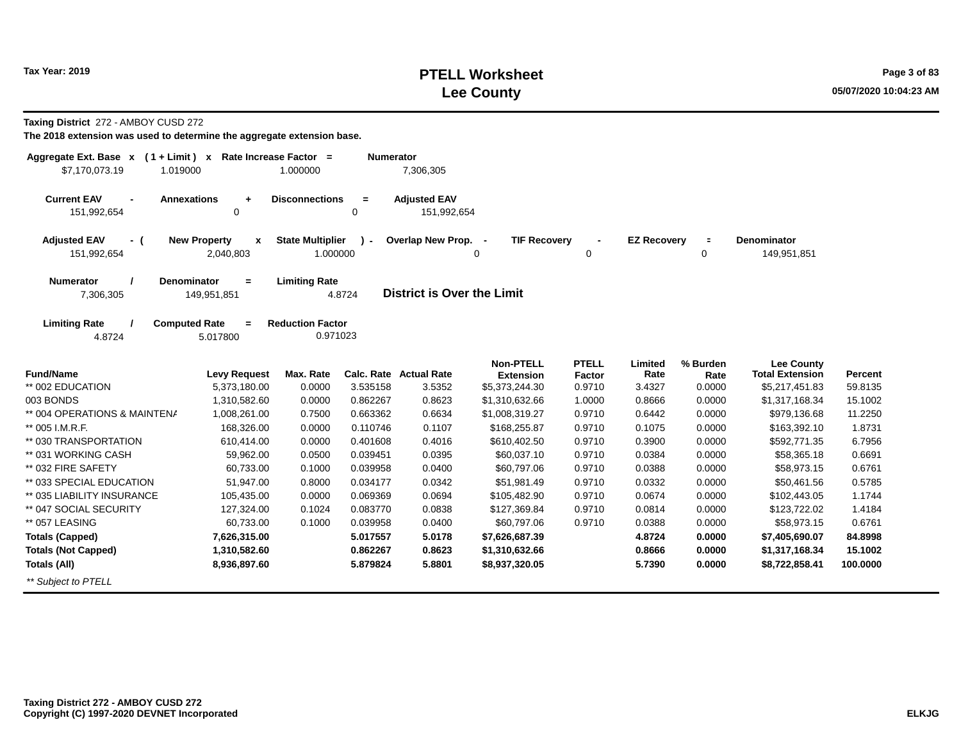#### **PTELL Worksheet Tax Year: 2019 Page 3 of 83 Lee County 05/07/2020 10:04:23 AM**

**Taxing District** 272 - AMBOY CUSD 272

| Aggregate Ext. Base $x$ (1 + Limit) $x$<br>\$7,170,073.19<br>1.019000 |                                                  | Rate Increase Factor =<br>1.000000  | <b>Numerator</b>    | 7,306,305                          |                                    |                  |                    |                |                                             |          |
|-----------------------------------------------------------------------|--------------------------------------------------|-------------------------------------|---------------------|------------------------------------|------------------------------------|------------------|--------------------|----------------|---------------------------------------------|----------|
| <b>Current EAV</b><br>$\blacksquare$<br>151,992,654                   | <b>Annexations</b><br>$\ddot{}$<br>0             | <b>Disconnections</b>               | $\blacksquare$<br>0 | <b>Adjusted EAV</b><br>151,992,654 |                                    |                  |                    |                |                                             |          |
| <b>Adjusted EAV</b><br>- (<br>151,992,654                             | <b>New Property</b><br>$\mathbf{x}$<br>2,040,803 | <b>State Multiplier</b><br>1.000000 |                     | Overlap New Prop. -                | <b>TIF Recovery</b><br>0           | 0                | <b>EZ Recovery</b> | $\equiv$<br>0  | <b>Denominator</b><br>149,951,851           |          |
| <b>Numerator</b><br>7,306,305                                         | <b>Denominator</b><br>$\equiv$<br>149,951,851    | <b>Limiting Rate</b>                | 4.8724              | <b>District is Over the Limit</b>  |                                    |                  |                    |                |                                             |          |
| <b>Limiting Rate</b><br>4.8724                                        | <b>Computed Rate</b><br>$\equiv$<br>5.017800     | <b>Reduction Factor</b><br>0.971023 |                     |                                    |                                    |                  |                    |                |                                             |          |
| <b>Fund/Name</b>                                                      |                                                  | Max. Rate                           |                     | <b>Calc. Rate Actual Rate</b>      | <b>Non-PTELL</b>                   | <b>PTELL</b>     | Limited<br>Rate    | % Burden       | <b>Lee County</b><br><b>Total Extension</b> | Percent  |
| ** 002 EDUCATION                                                      | <b>Levy Request</b><br>5,373,180.00              | 0.0000                              | 3.535158            | 3.5352                             | <b>Extension</b><br>\$5,373,244.30 | Factor<br>0.9710 | 3.4327             | Rate<br>0.0000 | \$5,217,451.83                              | 59.8135  |
| 003 BONDS                                                             | 1,310,582.60                                     | 0.0000                              | 0.862267            | 0.8623                             | \$1,310,632.66                     | 1.0000           | 0.8666             | 0.0000         | \$1,317,168.34                              | 15.1002  |
| ** 004 OPERATIONS & MAINTENA                                          | 1,008,261.00                                     | 0.7500                              | 0.663362            | 0.6634                             | \$1,008,319.27                     | 0.9710           | 0.6442             | 0.0000         | \$979,136.68                                | 11.2250  |
| ** 005 I.M.R.F.                                                       | 168,326.00                                       | 0.0000                              | 0.110746            | 0.1107                             | \$168,255.87                       | 0.9710           | 0.1075             | 0.0000         | \$163,392.10                                | 1.8731   |
| ** 030 TRANSPORTATION                                                 | 610,414.00                                       | 0.0000                              | 0.401608            | 0.4016                             | \$610,402.50                       | 0.9710           | 0.3900             | 0.0000         | \$592,771.35                                | 6.7956   |
| ** 031 WORKING CASH                                                   | 59,962.00                                        | 0.0500                              | 0.039451            | 0.0395                             | \$60,037.10                        | 0.9710           | 0.0384             | 0.0000         | \$58,365.18                                 | 0.6691   |
| ** 032 FIRE SAFETY                                                    | 60,733.00                                        | 0.1000                              | 0.039958            | 0.0400                             | \$60,797.06                        | 0.9710           | 0.0388             | 0.0000         | \$58,973.15                                 | 0.6761   |
| ** 033 SPECIAL EDUCATION                                              | 51,947.00                                        | 0.8000                              | 0.034177            | 0.0342                             | \$51,981.49                        | 0.9710           | 0.0332             | 0.0000         | \$50,461.56                                 | 0.5785   |
| ** 035 LIABILITY INSURANCE                                            | 105,435.00                                       | 0.0000                              | 0.069369            | 0.0694                             | \$105,482.90                       | 0.9710           | 0.0674             | 0.0000         | \$102,443.05                                | 1.1744   |
| ** 047 SOCIAL SECURITY                                                | 127,324.00                                       | 0.1024                              | 0.083770            | 0.0838                             | \$127,369.84                       | 0.9710           | 0.0814             | 0.0000         | \$123,722.02                                | 1.4184   |
| ** 057 LEASING                                                        | 60,733.00                                        | 0.1000                              | 0.039958            | 0.0400                             | \$60,797.06                        | 0.9710           | 0.0388             | 0.0000         | \$58,973.15                                 | 0.6761   |
| <b>Totals (Capped)</b>                                                | 7,626,315.00                                     |                                     | 5.017557            | 5.0178                             | \$7,626,687.39                     |                  | 4.8724             | 0.0000         | \$7,405,690.07                              | 84.8998  |
| <b>Totals (Not Capped)</b>                                            | 1,310,582.60                                     |                                     | 0.862267            | 0.8623                             | \$1,310,632.66                     |                  | 0.8666             | 0.0000         | \$1,317,168.34                              | 15.1002  |
| <b>Totals (All)</b>                                                   | 8,936,897.60                                     |                                     | 5.879824            | 5.8801                             | \$8,937,320.05                     |                  | 5.7390             | 0.0000         | \$8,722,858.41                              | 100.0000 |
| ** Subject to PTELL                                                   |                                                  |                                     |                     |                                    |                                    |                  |                    |                |                                             |          |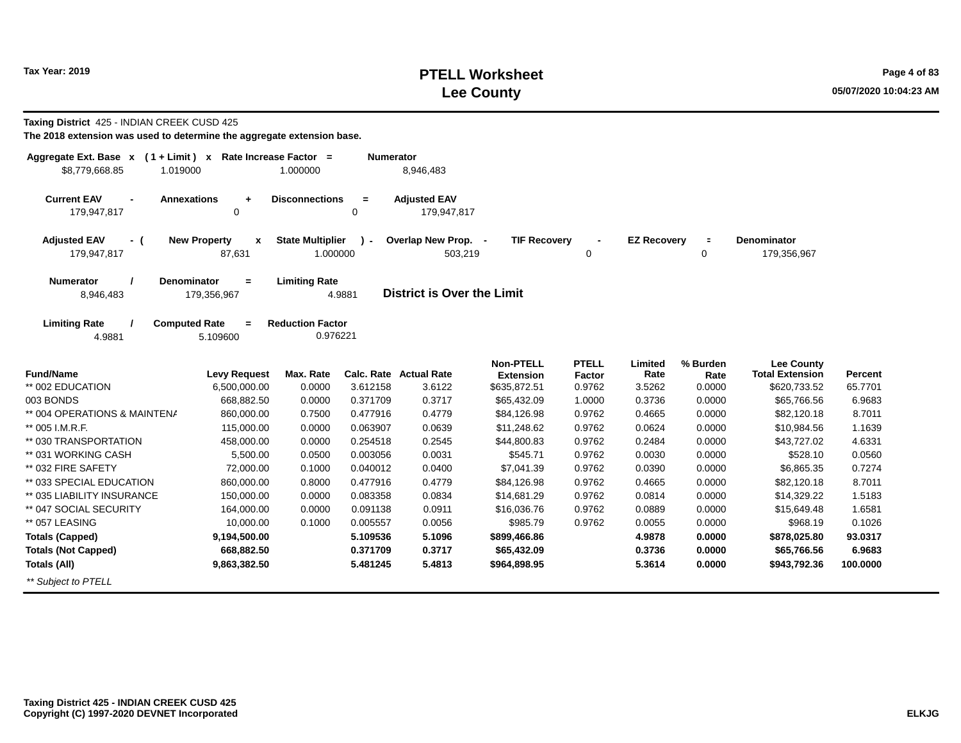#### **PTELL Worksheet Tax Year: 2019 Page 4 of 83 Lee County 05/07/2020 10:04:23 AM**

| Taxing District 425 - INDIAN CREEK CUSD 425<br>The 2018 extension was used to determine the aggregate extension base. |                                          |                                     |                  |                                    |                               |                        |                    |                     |                                             |          |
|-----------------------------------------------------------------------------------------------------------------------|------------------------------------------|-------------------------------------|------------------|------------------------------------|-------------------------------|------------------------|--------------------|---------------------|---------------------------------------------|----------|
| Aggregate Ext. Base x (1+Limit) x Rate Increase Factor =                                                              |                                          |                                     | <b>Numerator</b> |                                    |                               |                        |                    |                     |                                             |          |
| \$8,779,668.85<br>1.019000                                                                                            |                                          | 1.000000                            |                  | 8,946,483                          |                               |                        |                    |                     |                                             |          |
| <b>Current EAV</b><br>179,947,817                                                                                     | <b>Annexations</b><br>$\ddot{}$<br>0     | <b>Disconnections</b>               | $\equiv$<br>0    | <b>Adjusted EAV</b><br>179,947,817 |                               |                        |                    |                     |                                             |          |
| <b>Adjusted EAV</b><br>- (<br>179,947,817                                                                             | <b>New Property</b><br>X<br>87,631       | <b>State Multiplier</b><br>1.000000 | $\mathcal{L}$    | Overlap New Prop. -<br>503,219     | <b>TIF Recovery</b>           | 0                      | <b>EZ Recovery</b> | $\blacksquare$<br>0 | <b>Denominator</b><br>179,356,967           |          |
| <b>Numerator</b><br>8,946,483                                                                                         | <b>Denominator</b><br>$=$<br>179,356,967 | <b>Limiting Rate</b>                | 4.9881           | <b>District is Over the Limit</b>  |                               |                        |                    |                     |                                             |          |
| <b>Limiting Rate</b><br>4.9881                                                                                        | <b>Computed Rate</b><br>$=$<br>5.109600  | <b>Reduction Factor</b><br>0.976221 |                  |                                    |                               |                        |                    |                     |                                             |          |
| <b>Fund/Name</b>                                                                                                      | <b>Levy Request</b>                      | Max. Rate                           |                  | Calc. Rate Actual Rate             | Non-PTELL<br><b>Extension</b> | <b>PTELL</b><br>Factor | Limited<br>Rate    | % Burden<br>Rate    | <b>Lee County</b><br><b>Total Extension</b> | Percent  |
| ** 002 EDUCATION                                                                                                      | 6,500,000.00                             | 0.0000                              | 3.612158         | 3.6122                             | \$635,872.51                  | 0.9762                 | 3.5262             | 0.0000              | \$620,733.52                                | 65.7701  |
| 003 BONDS                                                                                                             | 668,882.50                               | 0.0000                              | 0.371709         | 0.3717                             | \$65,432.09                   | 1.0000                 | 0.3736             | 0.0000              | \$65,766.56                                 | 6.9683   |
| ** 004 OPERATIONS & MAINTENA                                                                                          | 860,000.00                               | 0.7500                              | 0.477916         | 0.4779                             | \$84,126.98                   | 0.9762                 | 0.4665             | 0.0000              | \$82,120.18                                 | 8.7011   |
| ** 005 I.M.R.F.                                                                                                       | 115,000.00                               | 0.0000                              | 0.063907         | 0.0639                             | \$11,248.62                   | 0.9762                 | 0.0624             | 0.0000              | \$10,984.56                                 | 1.1639   |
| ** 030 TRANSPORTATION                                                                                                 | 458,000.00                               | 0.0000                              | 0.254518         | 0.2545                             | \$44,800.83                   | 0.9762                 | 0.2484             | 0.0000              | \$43,727.02                                 | 4.6331   |
| ** 031 WORKING CASH                                                                                                   | 5,500.00                                 | 0.0500                              | 0.003056         | 0.0031                             | \$545.71                      | 0.9762                 | 0.0030             | 0.0000              | \$528.10                                    | 0.0560   |
| ** 032 FIRE SAFETY                                                                                                    | 72,000.00                                | 0.1000                              | 0.040012         | 0.0400                             | \$7,041.39                    | 0.9762                 | 0.0390             | 0.0000              | \$6,865.35                                  | 0.7274   |
| ** 033 SPECIAL EDUCATION                                                                                              | 860,000.00                               | 0.8000                              | 0.477916         | 0.4779                             | \$84,126.98                   | 0.9762                 | 0.4665             | 0.0000              | \$82,120.18                                 | 8.7011   |
| ** 035 LIABILITY INSURANCE                                                                                            | 150,000.00                               | 0.0000                              | 0.083358         | 0.0834                             | \$14,681.29                   | 0.9762                 | 0.0814             | 0.0000              | \$14,329.22                                 | 1.5183   |
| ** 047 SOCIAL SECURITY                                                                                                | 164,000.00                               | 0.0000                              | 0.091138         | 0.0911                             | \$16,036.76                   | 0.9762                 | 0.0889             | 0.0000              | \$15,649.48                                 | 1.6581   |
| ** 057 LEASING                                                                                                        | 10,000.00                                | 0.1000                              | 0.005557         | 0.0056                             | \$985.79                      | 0.9762                 | 0.0055             | 0.0000              | \$968.19                                    | 0.1026   |
| <b>Totals (Capped)</b>                                                                                                | 9,194,500.00                             |                                     | 5.109536         | 5.1096                             | \$899,466.86                  |                        | 4.9878             | 0.0000              | \$878,025.80                                | 93.0317  |
| <b>Totals (Not Capped)</b>                                                                                            | 668,882.50                               |                                     | 0.371709         | 0.3717                             | \$65,432.09                   |                        | 0.3736             | 0.0000              | \$65,766.56                                 | 6.9683   |
| Totals (All)                                                                                                          | 9,863,382.50                             |                                     | 5.481245         | 5.4813                             | \$964,898.95                  |                        | 5.3614             | 0.0000              | \$943,792.36                                | 100.0000 |
| ** Subject to PTELL                                                                                                   |                                          |                                     |                  |                                    |                               |                        |                    |                     |                                             |          |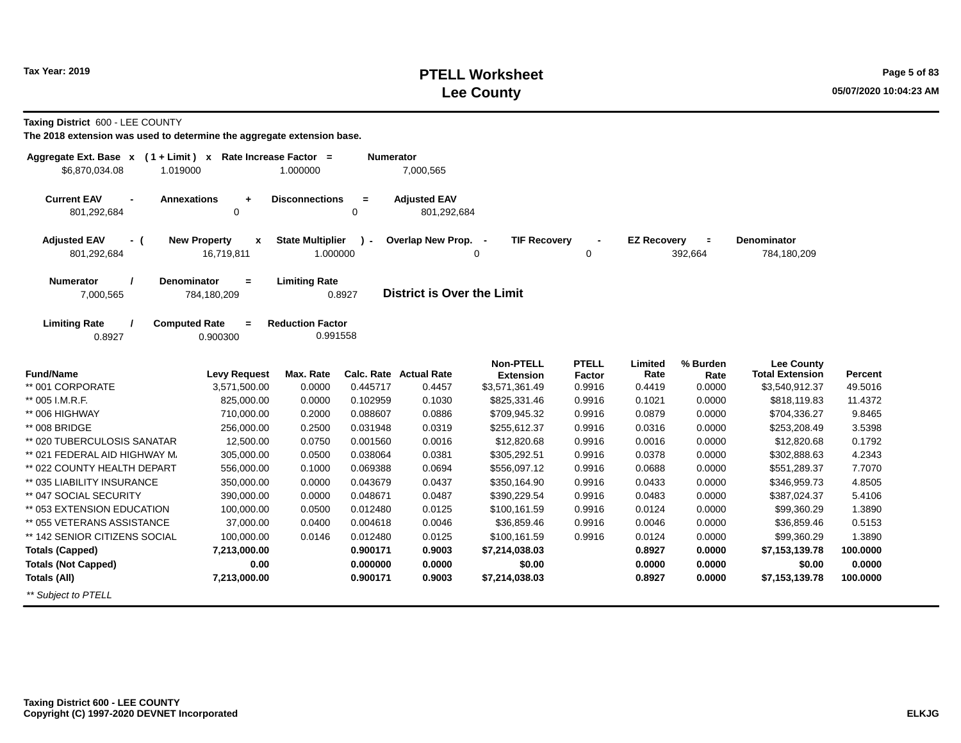### **PTELL Worksheet Tax Year: 2019 Page 5 of 83 Lee County 05/07/2020 10:04:23 AM**

**Taxing District** 600 - LEE COUNTY

| Aggregate Ext. Base $x$ (1 + Limit) x Rate Increase Factor =<br>\$6,870,034.08<br>1.019000 |                                        | 1.000000                            | <b>Numerator</b> | 7,000,565                          |                                      |                  |                    |                     |                                             |          |
|--------------------------------------------------------------------------------------------|----------------------------------------|-------------------------------------|------------------|------------------------------------|--------------------------------------|------------------|--------------------|---------------------|---------------------------------------------|----------|
| <b>Current EAV</b><br><b>Annexations</b><br>801,292,684                                    | $\ddot{}$<br>0                         | <b>Disconnections</b>               | $=$<br>0         | <b>Adjusted EAV</b><br>801,292,684 |                                      |                  |                    |                     |                                             |          |
| <b>Adjusted EAV</b><br>- (<br>801,292,684                                                  | <b>New Property</b><br>X<br>16,719,811 | <b>State Multiplier</b><br>1.000000 | $\mathbf{r}$     | Overlap New Prop. -                | <b>TIF Recovery</b><br>0             | 0                | <b>EZ Recovery</b> | $\equiv$<br>392,664 | Denominator<br>784,180,209                  |          |
| <b>Numerator</b><br><b>Denominator</b><br>7,000,565                                        | $=$<br>784,180,209                     | <b>Limiting Rate</b>                | 0.8927           | <b>District is Over the Limit</b>  |                                      |                  |                    |                     |                                             |          |
| <b>Limiting Rate</b><br><b>Computed Rate</b><br>0.8927                                     | $=$<br>0.900300                        | <b>Reduction Factor</b><br>0.991558 |                  |                                    |                                      |                  |                    |                     |                                             |          |
| <b>Fund/Name</b>                                                                           | <b>Levy Request</b>                    | Max. Rate                           |                  | Calc. Rate Actual Rate             | <b>Non-PTELL</b><br><b>Extension</b> | <b>PTELL</b>     | Limited<br>Rate    | % Burden            | <b>Lee County</b><br><b>Total Extension</b> | Percent  |
| ** 001 CORPORATE                                                                           | 3,571,500.00                           | 0.0000                              | 0.445717         | 0.4457                             | \$3,571,361.49                       | Factor<br>0.9916 | 0.4419             | Rate<br>0.0000      | \$3,540,912.37                              | 49.5016  |
| ** 005 I.M.R.F.                                                                            | 825,000.00                             | 0.0000                              | 0.102959         | 0.1030                             | \$825,331.46                         | 0.9916           | 0.1021             | 0.0000              | \$818,119.83                                | 11.4372  |
| ** 006 HIGHWAY                                                                             | 710,000.00                             | 0.2000                              | 0.088607         | 0.0886                             | \$709,945.32                         | 0.9916           | 0.0879             | 0.0000              | \$704,336.27                                | 9.8465   |
| ** 008 BRIDGE                                                                              | 256,000.00                             | 0.2500                              | 0.031948         | 0.0319                             | \$255,612.37                         | 0.9916           | 0.0316             | 0.0000              | \$253,208.49                                | 3.5398   |
| ** 020 TUBERCULOSIS SANATAR                                                                | 12,500.00                              | 0.0750                              | 0.001560         | 0.0016                             | \$12,820.68                          | 0.9916           | 0.0016             | 0.0000              | \$12,820.68                                 | 0.1792   |
| ** 021 FEDERAL AID HIGHWAY M.                                                              | 305,000.00                             | 0.0500                              | 0.038064         | 0.0381                             | \$305,292.51                         | 0.9916           | 0.0378             | 0.0000              | \$302,888.63                                | 4.2343   |
| ** 022 COUNTY HEALTH DEPART                                                                | 556,000.00                             | 0.1000                              | 0.069388         | 0.0694                             | \$556,097.12                         | 0.9916           | 0.0688             | 0.0000              | \$551,289.37                                | 7.7070   |
| ** 035 LIABILITY INSURANCE                                                                 | 350,000.00                             | 0.0000                              | 0.043679         | 0.0437                             | \$350,164.90                         | 0.9916           | 0.0433             | 0.0000              | \$346,959.73                                | 4.8505   |
| ** 047 SOCIAL SECURITY                                                                     | 390,000.00                             | 0.0000                              | 0.048671         | 0.0487                             | \$390,229.54                         | 0.9916           | 0.0483             | 0.0000              | \$387,024.37                                | 5.4106   |
| ** 053 EXTENSION EDUCATION                                                                 | 100,000.00                             | 0.0500                              | 0.012480         | 0.0125                             | \$100,161.59                         | 0.9916           | 0.0124             | 0.0000              | \$99,360.29                                 | 1.3890   |
| ** 055 VETERANS ASSISTANCE                                                                 | 37,000.00                              | 0.0400                              | 0.004618         | 0.0046                             | \$36,859.46                          | 0.9916           | 0.0046             | 0.0000              | \$36,859.46                                 | 0.5153   |
| ** 142 SENIOR CITIZENS SOCIAL                                                              | 100.000.00                             | 0.0146                              | 0.012480         | 0.0125                             | \$100,161.59                         | 0.9916           | 0.0124             | 0.0000              | \$99,360.29                                 | 1.3890   |
| <b>Totals (Capped)</b>                                                                     | 7,213,000.00                           |                                     | 0.900171         | 0.9003                             | \$7,214,038.03                       |                  | 0.8927             | 0.0000              | \$7,153,139.78                              | 100.0000 |
| <b>Totals (Not Capped)</b>                                                                 | 0.00                                   |                                     | 0.000000         | 0.0000                             | \$0.00                               |                  | 0.0000             | 0.0000              | \$0.00                                      | 0.0000   |
| <b>Totals (All)</b>                                                                        | 7,213,000.00                           |                                     | 0.900171         | 0.9003                             | \$7,214,038.03                       |                  | 0.8927             | 0.0000              | \$7,153,139.78                              | 100.0000 |
| ** Subject to PTELL                                                                        |                                        |                                     |                  |                                    |                                      |                  |                    |                     |                                             |          |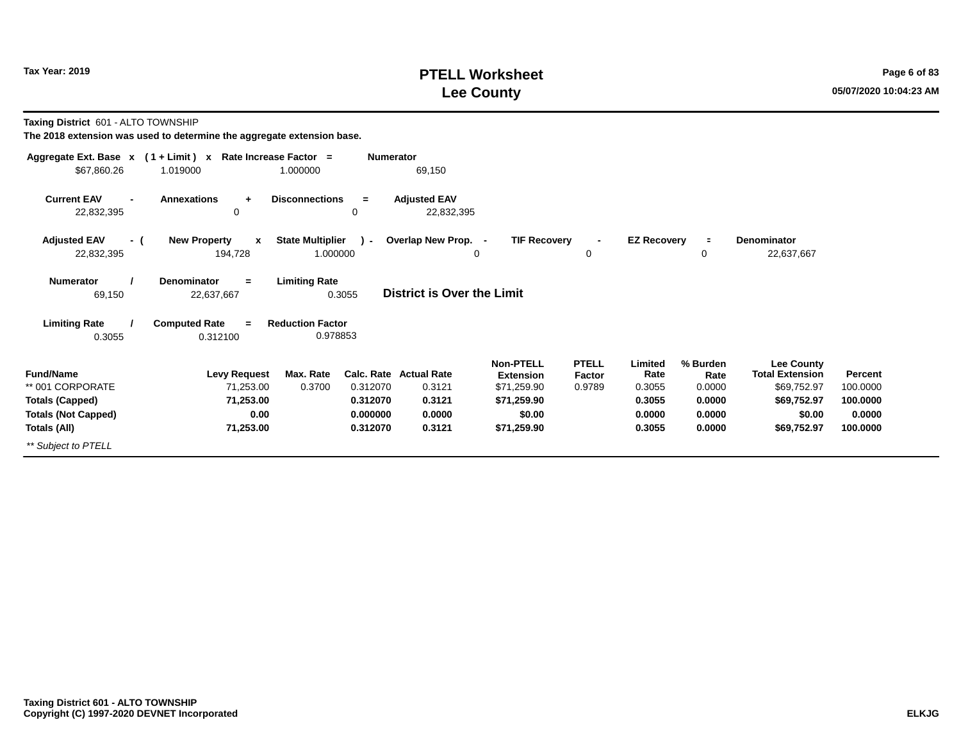#### **PTELL Worksheet Tax Year: 2019 Page 6 of 83 Lee County 05/07/2020 10:04:23 AM**

**Taxing District** 601 - ALTO TOWNSHIP

|                                                                | Aggregate Ext. Base $x$ (1 + Limit) x Rate Increase Factor = |                                                    | <b>Numerator</b>                           |                                                                    |                                  |                                     |                                      |                                                                    |                                 |
|----------------------------------------------------------------|--------------------------------------------------------------|----------------------------------------------------|--------------------------------------------|--------------------------------------------------------------------|----------------------------------|-------------------------------------|--------------------------------------|--------------------------------------------------------------------|---------------------------------|
| \$67,860.26                                                    | 1.019000                                                     | 1.000000                                           | 69,150                                     |                                                                    |                                  |                                     |                                      |                                                                    |                                 |
| <b>Current EAV</b><br>$\blacksquare$<br>22,832,395             | <b>Annexations</b><br>$\ddot{\phantom{1}}$<br>0              | <b>Disconnections</b><br>$=$<br>0                  | <b>Adjusted EAV</b><br>22,832,395          |                                                                    |                                  |                                     |                                      |                                                                    |                                 |
| <b>Adjusted EAV</b><br>- (<br>22,832,395                       | <b>New Property</b><br>$\mathbf{x}$<br>194,728               | <b>State Multiplier</b><br>$\lambda$ -<br>1.000000 | Overlap New Prop. -                        | <b>TIF Recovery</b><br>0                                           | 0                                | <b>EZ Recovery</b>                  | $\equiv$<br>0                        | <b>Denominator</b><br>22,637,667                                   |                                 |
| <b>Numerator</b><br>69,150                                     | <b>Denominator</b><br>$=$<br>22,637,667                      | <b>Limiting Rate</b><br>0.3055                     | District is Over the Limit                 |                                                                    |                                  |                                     |                                      |                                                                    |                                 |
| <b>Limiting Rate</b><br>0.3055                                 | <b>Computed Rate</b><br>$=$<br>0.312100                      | <b>Reduction Factor</b><br>0.978853                |                                            |                                                                    |                                  |                                     |                                      |                                                                    |                                 |
| <b>Fund/Name</b><br>** 001 CORPORATE<br><b>Totals (Capped)</b> | <b>Levy Request</b><br>71,253.00<br>71,253.00                | Max. Rate<br>0.3700<br>0.312070<br>0.312070        | Calc. Rate Actual Rate<br>0.3121<br>0.3121 | <b>Non-PTELL</b><br><b>Extension</b><br>\$71,259.90<br>\$71,259.90 | <b>PTELL</b><br>Factor<br>0.9789 | Limited<br>Rate<br>0.3055<br>0.3055 | % Burden<br>Rate<br>0.0000<br>0.0000 | Lee County<br><b>Total Extension</b><br>\$69,752.97<br>\$69,752.97 | Percent<br>100.0000<br>100.0000 |
| <b>Totals (Not Capped)</b>                                     | 0.00                                                         | 0.000000                                           | 0.0000                                     | \$0.00                                                             |                                  | 0.0000                              | 0.0000                               | \$0.00                                                             | 0.0000                          |
| Totals (All)                                                   | 71,253.00                                                    | 0.312070                                           | 0.3121                                     | \$71,259.90                                                        |                                  | 0.3055                              | 0.0000                               | \$69,752.97                                                        | 100.0000                        |
| ** Subject to PTELL                                            |                                                              |                                                    |                                            |                                                                    |                                  |                                     |                                      |                                                                    |                                 |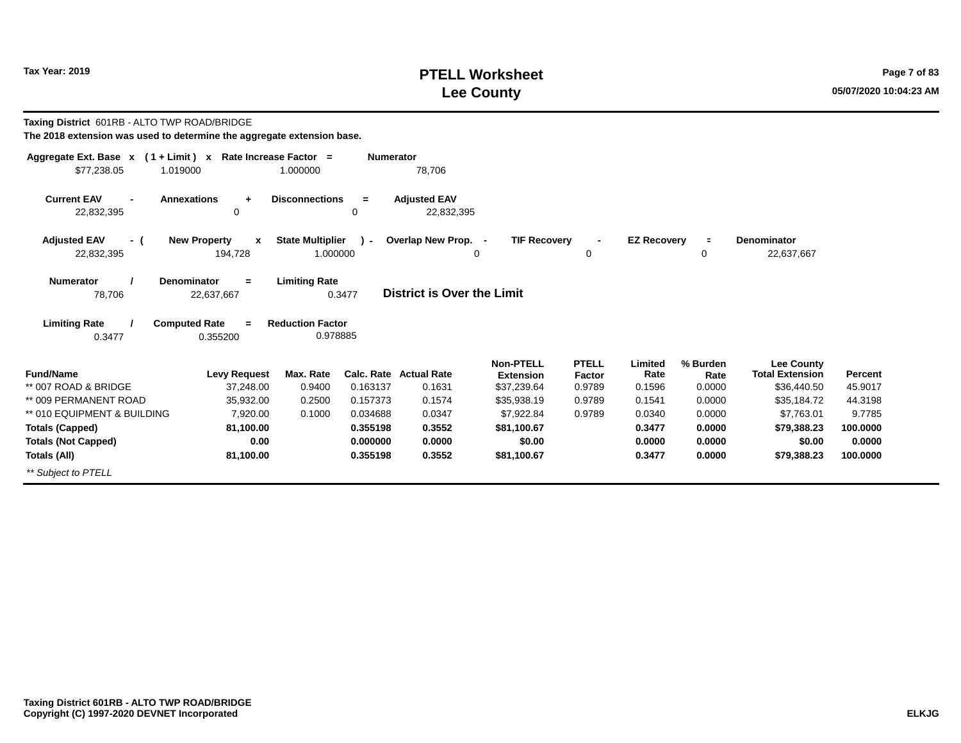### **PTELL Worksheet Tax Year: 2019 Page 7 of 83 Lee County 05/07/2020 10:04:23 AM**

| Taxing District 601RB - ALTO TWP ROAD/BRIDGE<br>The 2018 extension was used to determine the aggregate extension base. |                                                    |                                     |                  |                                   |                                      |                        |                    |                  |                                             |                |
|------------------------------------------------------------------------------------------------------------------------|----------------------------------------------------|-------------------------------------|------------------|-----------------------------------|--------------------------------------|------------------------|--------------------|------------------|---------------------------------------------|----------------|
| Aggregate Ext. Base $x$ (1 + Limit) x Rate Increase Factor =<br>\$77,238.05<br>1.019000                                |                                                    | 1.000000                            | <b>Numerator</b> | 78,706                            |                                      |                        |                    |                  |                                             |                |
| <b>Current EAV</b><br>22,832,395                                                                                       | <b>Annexations</b><br>÷<br>0                       | <b>Disconnections</b>               | $=$<br>0         | <b>Adjusted EAV</b><br>22,832,395 |                                      |                        |                    |                  |                                             |                |
| <b>Adjusted EAV</b><br>- (<br>22,832,395                                                                               | <b>New Property</b><br>$\boldsymbol{x}$<br>194,728 | <b>State Multiplier</b><br>1.000000 | $\mathbf{r}$     | Overlap New Prop. -               | <b>TIF Recovery</b><br>$\Omega$      | $\blacksquare$<br>0    | <b>EZ Recovery</b> | $\equiv$<br>0    | <b>Denominator</b><br>22,637,667            |                |
| <b>Numerator</b><br>78,706                                                                                             | <b>Denominator</b><br>$=$<br>22,637,667            | <b>Limiting Rate</b>                | 0.3477           | District is Over the Limit        |                                      |                        |                    |                  |                                             |                |
| <b>Limiting Rate</b>                                                                                                   | <b>Computed Rate</b><br>$=$                        | <b>Reduction Factor</b>             |                  |                                   |                                      |                        |                    |                  |                                             |                |
| 0.3477                                                                                                                 | 0.355200                                           | 0.978885                            |                  |                                   |                                      |                        |                    |                  |                                             |                |
| <b>Fund/Name</b>                                                                                                       | <b>Levy Request</b>                                | Max. Rate                           |                  | <b>Calc. Rate Actual Rate</b>     | <b>Non-PTELL</b><br><b>Extension</b> | <b>PTELL</b><br>Factor | Limited<br>Rate    | % Burden<br>Rate | <b>Lee County</b><br><b>Total Extension</b> | <b>Percent</b> |
| ** 007 ROAD & BRIDGE                                                                                                   | 37,248.00                                          | 0.9400                              | 0.163137         | 0.1631                            | \$37,239.64                          | 0.9789                 | 0.1596             | 0.0000           | \$36,440.50                                 | 45.9017        |
| ** 009 PERMANENT ROAD                                                                                                  | 35,932.00                                          | 0.2500                              | 0.157373         | 0.1574                            | \$35,938.19                          | 0.9789                 | 0.1541             | 0.0000           | \$35,184.72                                 | 44.3198        |
| ** 010 EQUIPMENT & BUILDING                                                                                            | 7.920.00                                           | 0.1000                              | 0.034688         | 0.0347                            | \$7,922.84                           | 0.9789                 | 0.0340             | 0.0000           | \$7,763.01                                  | 9.7785         |
| <b>Totals (Capped)</b>                                                                                                 | 81,100.00                                          |                                     | 0.355198         | 0.3552                            | \$81,100.67                          |                        | 0.3477             | 0.0000           | \$79,388.23                                 | 100.0000       |
| <b>Totals (Not Capped)</b>                                                                                             | 0.00                                               |                                     | 0.000000         | 0.0000                            | \$0.00                               |                        | 0.0000             | 0.0000           | \$0.00                                      | 0.0000         |
| Totals (All)                                                                                                           | 81,100.00                                          |                                     | 0.355198         | 0.3552                            | \$81,100.67                          |                        | 0.3477             | 0.0000           | \$79,388.23                                 | 100,0000       |
| ** Subject to PTELL                                                                                                    |                                                    |                                     |                  |                                   |                                      |                        |                    |                  |                                             |                |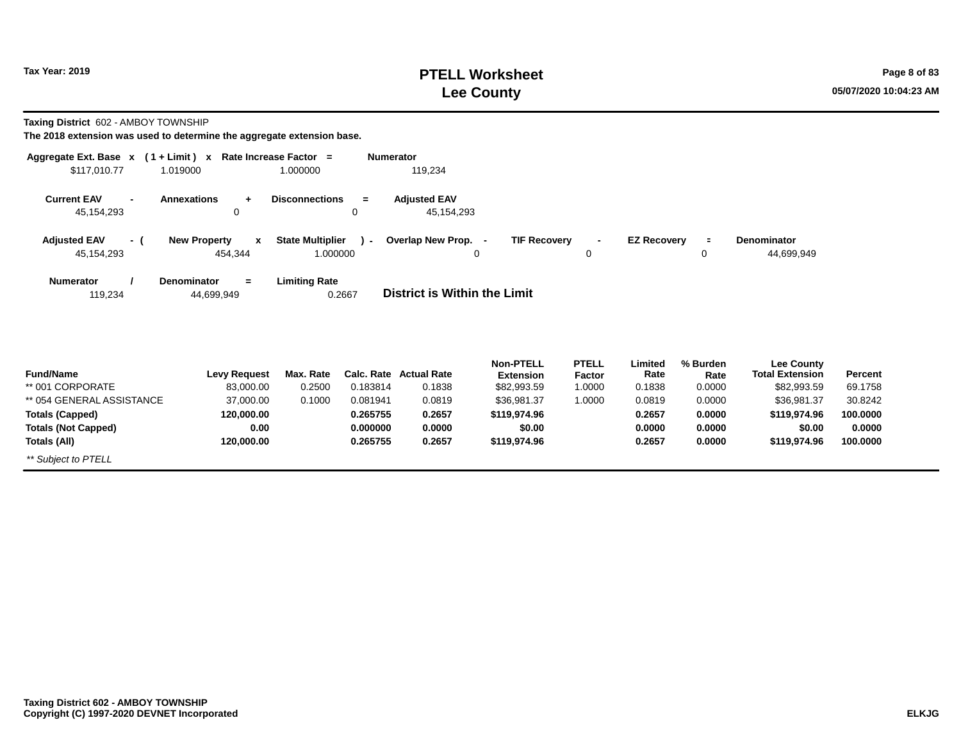#### **PTELL Worksheet Tax Year: 2019 Page 8 of 83 Lee County 05/07/2020 10:04:23 AM**

**Taxing District** 602 - AMBOY TOWNSHIP

| Aggregate Ext. Base $x$ (1 + Limit) $x$        |                                     | Rate Increase Factor =  | <b>Numerator</b> |                                     |                     |                |                    |             |                                             |          |
|------------------------------------------------|-------------------------------------|-------------------------|------------------|-------------------------------------|---------------------|----------------|--------------------|-------------|---------------------------------------------|----------|
| \$117,010.77<br>1.019000                       |                                     | 1.000000                |                  | 119,234                             |                     |                |                    |             |                                             |          |
| <b>Current EAV</b><br>$\overline{\phantom{0}}$ | Annexations<br>$+$                  | <b>Disconnections</b>   | $=$              | <b>Adjusted EAV</b>                 |                     |                |                    |             |                                             |          |
| 45,154,293                                     | 0                                   |                         | $\Omega$         | 45,154,293                          |                     |                |                    |             |                                             |          |
| <b>Adjusted EAV</b><br>- (                     | <b>New Property</b><br>$\mathbf{x}$ | <b>State Multiplier</b> | $\lambda$        | Overlap New Prop. -                 | <b>TIF Recovery</b> | $\blacksquare$ | <b>EZ Recovery</b> | $\equiv$    | <b>Denominator</b>                          |          |
| 45,154,293                                     | 454,344                             | 1.000000                |                  |                                     | $\Omega$            | $\mathbf 0$    |                    | $\mathbf 0$ | 44,699,949                                  |          |
| <b>Numerator</b>                               | Denominator<br>$=$                  | <b>Limiting Rate</b>    |                  |                                     |                     |                |                    |             |                                             |          |
| 119,234                                        | 44,699,949                          |                         | 0.2667           | <b>District is Within the Limit</b> |                     |                |                    |             |                                             |          |
|                                                |                                     |                         |                  |                                     |                     |                |                    |             |                                             |          |
|                                                |                                     |                         |                  |                                     |                     |                |                    |             |                                             |          |
|                                                |                                     |                         |                  |                                     | <b>Non-PTELL</b>    | <b>PTELL</b>   | Limited            | % Burden    |                                             |          |
| <b>Fund/Name</b>                               | <b>Levy Request</b>                 | Max. Rate               |                  | Calc. Rate Actual Rate              | <b>Extension</b>    | Factor         | Rate               | Rate        | <b>Lee County</b><br><b>Total Extension</b> | Percent  |
| ** 001 CORPORATE                               | 83,000.00                           | 0.2500                  | 0.183814         | 0.1838                              | \$82,993.59         | 1.0000         | 0.1838             | 0.0000      | \$82,993.59                                 | 69.1758  |
| ** 054 GENERAL ASSISTANCE                      | 37,000.00                           | 0.1000                  | 0.081941         | 0.0819                              | \$36,981.37         | 1.0000         | 0.0819             | 0.0000      | \$36,981.37                                 | 30.8242  |
| <b>Totals (Capped)</b>                         | 120,000.00                          |                         | 0.265755         | 0.2657                              | \$119,974.96        |                | 0.2657             | 0.0000      | \$119,974.96                                | 100.0000 |
| <b>Totals (Not Capped)</b>                     | 0.00                                |                         | 0.000000         | 0.0000                              | \$0.00              |                | 0.0000             | 0.0000      | \$0.00                                      | 0.0000   |
| Totals (All)                                   | 120,000.00                          |                         | 0.265755         | 0.2657                              | \$119,974.96        |                | 0.2657             | 0.0000      | \$119,974.96                                | 100.0000 |
| ** Subject to PTELL                            |                                     |                         |                  |                                     |                     |                |                    |             |                                             |          |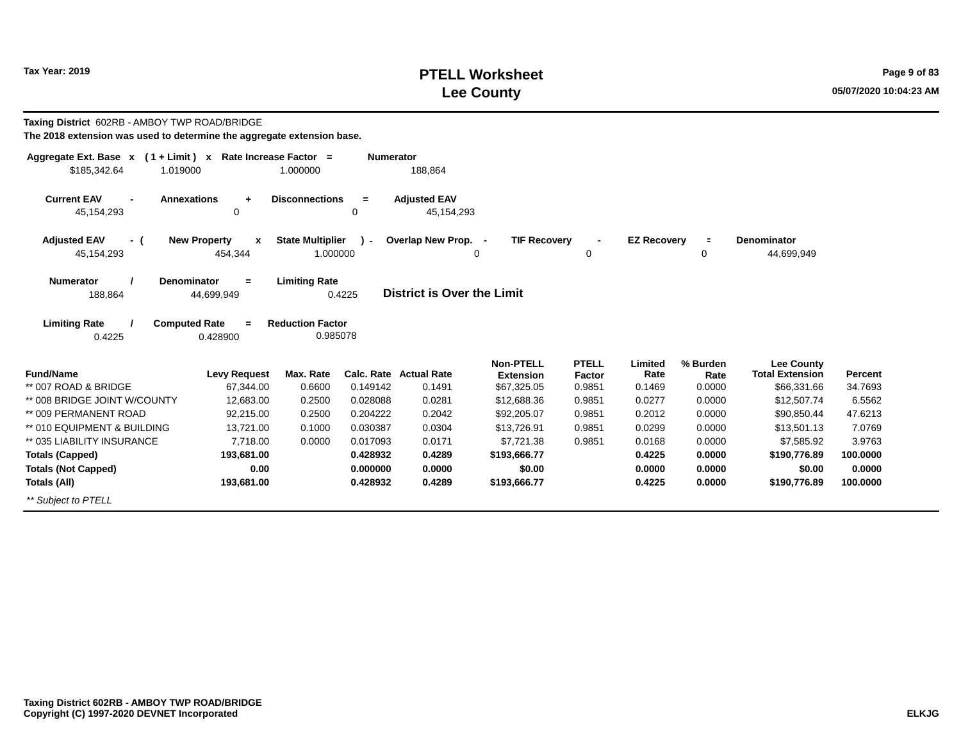## **PTELL Worksheet Tax Year: 2019 Page 9 of 83 Lee County 05/07/2020 10:04:23 AM**

| Taxing District 602RB - AMBOY TWP ROAD/BRIDGE<br>The 2018 extension was used to determine the aggregate extension base. |                                                    |                                     |                  |                                         |                                                     |                                  |                           |                            |                                                            |                    |
|-------------------------------------------------------------------------------------------------------------------------|----------------------------------------------------|-------------------------------------|------------------|-----------------------------------------|-----------------------------------------------------|----------------------------------|---------------------------|----------------------------|------------------------------------------------------------|--------------------|
| Aggregate Ext. Base $x$ (1 + Limit) x Rate Increase Factor =<br>\$185.342.64<br>1.019000                                |                                                    | 1.000000                            | <b>Numerator</b> | 188,864                                 |                                                     |                                  |                           |                            |                                                            |                    |
| <b>Current EAV</b><br><b>Annexations</b><br>45, 154, 293                                                                | ÷<br>$\Omega$                                      | <b>Disconnections</b>               | $=$<br>0         | <b>Adjusted EAV</b><br>45,154,293       |                                                     |                                  |                           |                            |                                                            |                    |
| <b>Adjusted EAV</b><br>- (<br>45,154,293                                                                                | <b>New Property</b><br>$\boldsymbol{x}$<br>454,344 | <b>State Multiplier</b><br>1.000000 | $\mathbf{r}$     | Overlap New Prop. -                     | <b>TIF Recovery</b><br>$\Omega$                     | 0                                | <b>EZ Recovery</b>        | $\equiv$<br>0              | <b>Denominator</b><br>44,699,949                           |                    |
| <b>Denominator</b><br><b>Numerator</b><br>188,864                                                                       | $=$<br>44,699,949                                  | <b>Limiting Rate</b>                | 0.4225           | <b>District is Over the Limit</b>       |                                                     |                                  |                           |                            |                                                            |                    |
| <b>Limiting Rate</b><br><b>Computed Rate</b><br>0.4225                                                                  | $=$<br>0.428900                                    | <b>Reduction Factor</b><br>0.985078 |                  |                                         |                                                     |                                  |                           |                            |                                                            |                    |
| <b>Fund/Name</b><br>** 007 ROAD & BRIDGE                                                                                | <b>Levy Request</b><br>67,344.00                   | Max. Rate<br>0.6600                 | 0.149142         | <b>Calc. Rate Actual Rate</b><br>0.1491 | <b>Non-PTELL</b><br><b>Extension</b><br>\$67,325.05 | <b>PTELL</b><br>Factor<br>0.9851 | Limited<br>Rate<br>0.1469 | % Burden<br>Rate<br>0.0000 | <b>Lee County</b><br><b>Total Extension</b><br>\$66,331.66 | Percent<br>34.7693 |
| ** 008 BRIDGE JOINT W/COUNTY                                                                                            | 12.683.00                                          | 0.2500                              | 0.028088         | 0.0281                                  | \$12,688.36                                         | 0.9851                           | 0.0277                    | 0.0000                     | \$12,507.74                                                | 6.5562             |
| ** 009 PERMANENT ROAD                                                                                                   | 92,215.00                                          | 0.2500                              | 0.204222         | 0.2042                                  | \$92,205.07                                         | 0.9851                           | 0.2012                    | 0.0000                     | \$90,850.44                                                | 47.6213            |
| ** 010 EQUIPMENT & BUILDING                                                                                             | 13,721.00                                          | 0.1000                              | 0.030387         | 0.0304                                  | \$13,726.91                                         | 0.9851                           | 0.0299                    | 0.0000                     | \$13,501.13                                                | 7.0769             |
| ** 035 LIABILITY INSURANCE                                                                                              | 7,718.00                                           | 0.0000                              | 0.017093         | 0.0171                                  | \$7,721.38                                          | 0.9851                           | 0.0168                    | 0.0000                     | \$7,585.92                                                 | 3.9763             |
| <b>Totals (Capped)</b>                                                                                                  | 193,681.00                                         |                                     | 0.428932         | 0.4289                                  | \$193,666.77                                        |                                  | 0.4225                    | 0.0000                     | \$190,776.89                                               | 100,0000           |
| <b>Totals (Not Capped)</b>                                                                                              | 0.00                                               |                                     | 0.000000         | 0.0000                                  | \$0.00                                              |                                  | 0.0000                    | 0.0000                     | \$0.00                                                     | 0.0000             |
| Totals (All)                                                                                                            | 193,681.00                                         |                                     | 0.428932         | 0.4289                                  | \$193,666.77                                        |                                  | 0.4225                    | 0.0000                     | \$190,776.89                                               | 100.0000           |
| ** Subject to PTELL                                                                                                     |                                                    |                                     |                  |                                         |                                                     |                                  |                           |                            |                                                            |                    |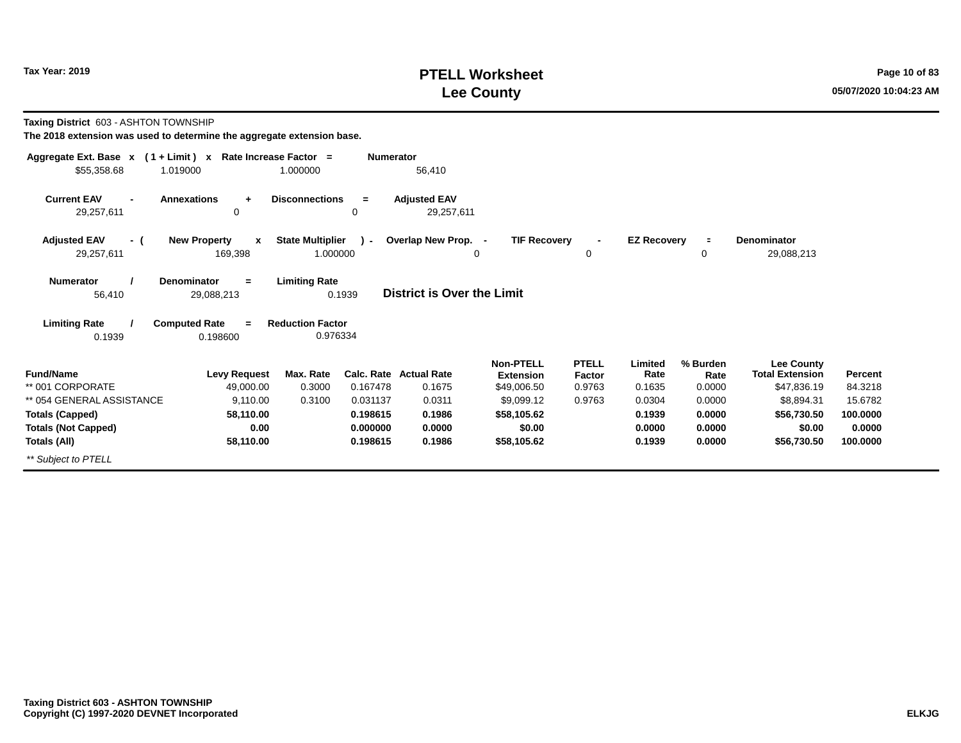### **PTELL Worksheet Tax Year: 2019 Page 10 of 83 Lee County 05/07/2020 10:04:23 AM**

**Taxing District** 603 - ASHTON TOWNSHIP

| Aggregate Ext. Base $x$ (1 + Limit) x Rate Increase Factor = |                                                |                                     | <b>Numerator</b> |                                   |                                      |                        |                    |                  |                                      |          |
|--------------------------------------------------------------|------------------------------------------------|-------------------------------------|------------------|-----------------------------------|--------------------------------------|------------------------|--------------------|------------------|--------------------------------------|----------|
| \$55,358.68                                                  | 1.019000                                       | 1.000000                            |                  | 56,410                            |                                      |                        |                    |                  |                                      |          |
| <b>Current EAV</b><br>$\overline{a}$<br>29,257,611           | <b>Annexations</b><br>$\ddot{}$<br>0           | <b>Disconnections</b>               | $=$<br>0         | <b>Adjusted EAV</b><br>29,257,611 |                                      |                        |                    |                  |                                      |          |
| <b>Adjusted EAV</b><br>- (<br>29,257,611                     | <b>New Property</b><br>$\mathbf{x}$<br>169,398 | <b>State Multiplier</b><br>1.000000 | $\lambda$ -      | Overlap New Prop. -<br>0          | <b>TIF Recovery</b>                  | 0                      | <b>EZ Recovery</b> | $\equiv$<br>0    | Denominator<br>29,088,213            |          |
| <b>Numerator</b><br>56,410                                   | <b>Denominator</b><br>$=$<br>29,088,213        | <b>Limiting Rate</b><br>0.1939      |                  | <b>District is Over the Limit</b> |                                      |                        |                    |                  |                                      |          |
| <b>Limiting Rate</b><br>0.1939                               | <b>Computed Rate</b><br>$=$<br>0.198600        | <b>Reduction Factor</b><br>0.976334 |                  |                                   |                                      |                        |                    |                  |                                      |          |
| <b>Fund/Name</b>                                             | <b>Levy Request</b>                            | Max. Rate                           |                  | <b>Calc. Rate Actual Rate</b>     | <b>Non-PTELL</b><br><b>Extension</b> | <b>PTELL</b><br>Factor | Limited<br>Rate    | % Burden<br>Rate | Lee County<br><b>Total Extension</b> | Percent  |
| ** 001 CORPORATE                                             | 49,000.00                                      | 0.3000                              | 0.167478         | 0.1675                            | \$49,006.50                          | 0.9763                 | 0.1635             | 0.0000           | \$47,836.19                          | 84.3218  |
| ** 054 GENERAL ASSISTANCE                                    | 9,110.00                                       | 0.3100                              | 0.031137         | 0.0311                            | \$9,099.12                           | 0.9763                 | 0.0304             | 0.0000           | \$8,894.31                           | 15.6782  |
| <b>Totals (Capped)</b>                                       | 58,110.00                                      |                                     | 0.198615         | 0.1986                            | \$58,105.62                          |                        | 0.1939             | 0.0000           | \$56,730.50                          | 100.0000 |
| <b>Totals (Not Capped)</b>                                   | 0.00                                           |                                     | 0.000000         | 0.0000                            | \$0.00                               |                        | 0.0000             | 0.0000           | \$0.00                               | 0.0000   |
| Totals (All)                                                 | 58,110.00                                      |                                     | 0.198615         | 0.1986                            | \$58,105.62                          |                        | 0.1939             | 0.0000           | \$56,730.50                          | 100.0000 |
| ** Subject to PTELL                                          |                                                |                                     |                  |                                   |                                      |                        |                    |                  |                                      |          |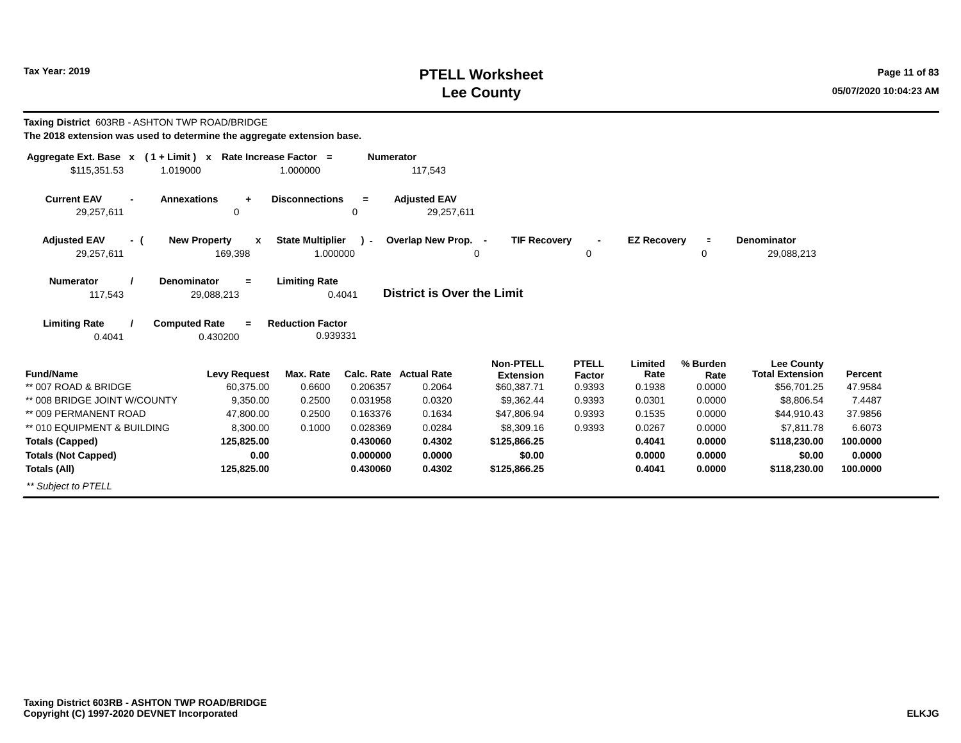## **PTELL Worksheet Tax Year: 2019 Page 11 of 83 Lee County 05/07/2020 10:04:23 AM**

| Taxing District 603RB - ASHTON TWP ROAD/BRIDGE<br>The 2018 extension was used to determine the aggregate extension base. |                                  |                         |                  |                                   |                     |                          |                    |          |                        |          |
|--------------------------------------------------------------------------------------------------------------------------|----------------------------------|-------------------------|------------------|-----------------------------------|---------------------|--------------------------|--------------------|----------|------------------------|----------|
| Aggregate Ext. Base $x$ (1 + Limit) x Rate Increase Factor =<br>\$115,351.53<br>1.019000                                 |                                  | 1.000000                | <b>Numerator</b> | 117,543                           |                     |                          |                    |          |                        |          |
|                                                                                                                          |                                  |                         |                  |                                   |                     |                          |                    |          |                        |          |
| <b>Current EAV</b><br>$\blacksquare$                                                                                     | <b>Annexations</b><br>÷          | <b>Disconnections</b>   | $=$              | <b>Adjusted EAV</b>               |                     |                          |                    |          |                        |          |
| 29,257,611                                                                                                               | 0                                |                         | $\Omega$         | 29,257,611                        |                     |                          |                    |          |                        |          |
| <b>Adjusted EAV</b><br>- (                                                                                               | <b>New Property</b><br>x         | <b>State Multiplier</b> | $\mathbf{r}$     | Overlap New Prop. -               | <b>TIF Recovery</b> | $\overline{\phantom{a}}$ | <b>EZ Recovery</b> | $\equiv$ | <b>Denominator</b>     |          |
| 29,257,611                                                                                                               | 169,398                          | 1.000000                |                  |                                   | 0                   | 0                        |                    | 0        | 29,088,213             |          |
| <b>Numerator</b>                                                                                                         | <b>Denominator</b><br>$=$        | <b>Limiting Rate</b>    |                  |                                   |                     |                          |                    |          |                        |          |
| 117,543                                                                                                                  | 29,088,213                       |                         | 0.4041           | <b>District is Over the Limit</b> |                     |                          |                    |          |                        |          |
| <b>Limiting Rate</b>                                                                                                     | <b>Computed Rate</b><br>$\equiv$ | <b>Reduction Factor</b> |                  |                                   |                     |                          |                    |          |                        |          |
| 0.4041                                                                                                                   | 0.430200                         | 0.939331                |                  |                                   |                     |                          |                    |          |                        |          |
|                                                                                                                          |                                  |                         |                  |                                   | <b>Non-PTELL</b>    | <b>PTELL</b>             | Limited            | % Burden | <b>Lee County</b>      |          |
| <b>Fund/Name</b>                                                                                                         | <b>Levy Request</b>              | Max. Rate               |                  | Calc. Rate Actual Rate            | <b>Extension</b>    | Factor                   | Rate               | Rate     | <b>Total Extension</b> | Percent  |
| ** 007 ROAD & BRIDGE                                                                                                     | 60,375.00                        | 0.6600                  | 0.206357         | 0.2064                            | \$60,387.71         | 0.9393                   | 0.1938             | 0.0000   | \$56,701.25            | 47.9584  |
| ** 008 BRIDGE JOINT W/COUNTY                                                                                             | 9.350.00                         | 0.2500                  | 0.031958         | 0.0320                            | \$9,362.44          | 0.9393                   | 0.0301             | 0.0000   | \$8,806.54             | 7.4487   |
| ** 009 PERMANENT ROAD                                                                                                    | 47,800.00                        | 0.2500                  | 0.163376         | 0.1634                            | \$47,806.94         | 0.9393                   | 0.1535             | 0.0000   | \$44,910.43            | 37.9856  |
| ** 010 EQUIPMENT & BUILDING                                                                                              | 8.300.00                         | 0.1000                  | 0.028369         | 0.0284                            | \$8,309.16          | 0.9393                   | 0.0267             | 0.0000   | \$7.811.78             | 6.6073   |
| <b>Totals (Capped)</b>                                                                                                   | 125,825.00                       |                         | 0.430060         | 0.4302                            | \$125,866.25        |                          | 0.4041             | 0.0000   | \$118,230.00           | 100.0000 |
| <b>Totals (Not Capped)</b>                                                                                               | 0.00                             |                         | 0.000000         | 0.0000                            | \$0.00              |                          | 0.0000             | 0.0000   | \$0.00                 | 0.0000   |
| Totals (All)                                                                                                             | 125,825.00                       |                         | 0.430060         | 0.4302                            | \$125,866.25        |                          | 0.4041             | 0.0000   | \$118,230.00           | 100.0000 |
| ** Subject to PTELL                                                                                                      |                                  |                         |                  |                                   |                     |                          |                    |          |                        |          |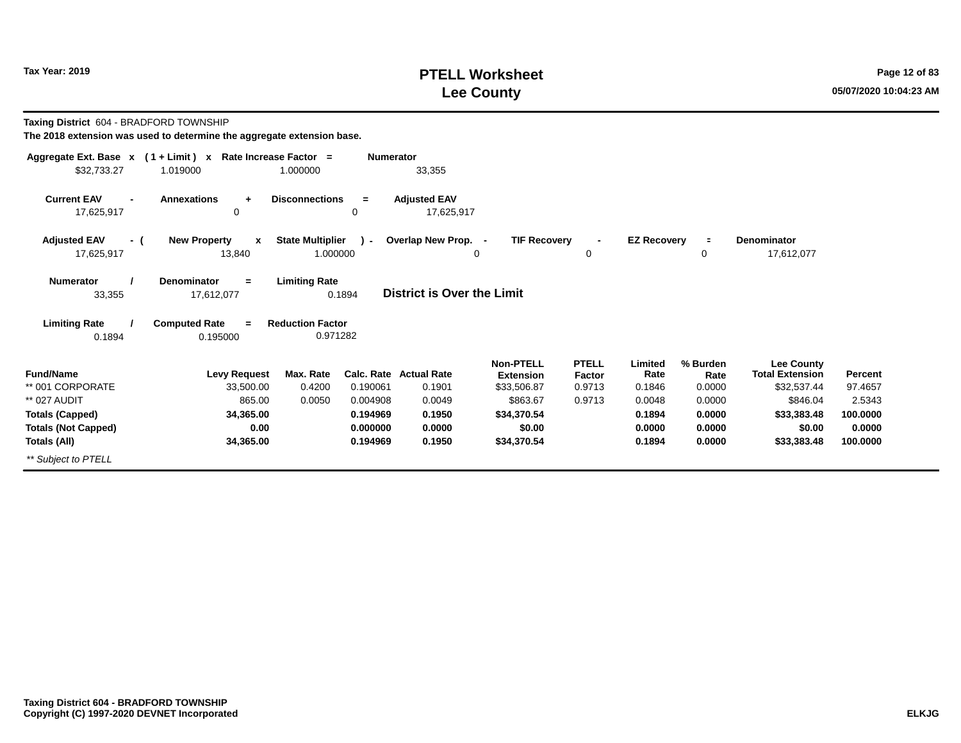### **PTELL Worksheet Tax Year: 2019 Page 12 of 83 Lee County 05/07/2020 10:04:23 AM**

**Taxing District** 604 - BRADFORD TOWNSHIP

| Aggregate Ext. Base $x$ (1 + Limit) $x$ | Rate Increase Factor =              |                         | <b>Numerator</b> |                                   |                     |              |                    |          |                        |          |
|-----------------------------------------|-------------------------------------|-------------------------|------------------|-----------------------------------|---------------------|--------------|--------------------|----------|------------------------|----------|
| \$32,733.27                             | 1.019000                            | 1.000000                |                  | 33,355                            |                     |              |                    |          |                        |          |
| <b>Current EAV</b><br>$\blacksquare$    | <b>Annexations</b><br>÷             | <b>Disconnections</b>   | $\equiv$         | <b>Adjusted EAV</b>               |                     |              |                    |          |                        |          |
| 17,625,917                              | 0                                   |                         | 0                | 17,625,917                        |                     |              |                    |          |                        |          |
| <b>Adjusted EAV</b><br>- (              | <b>New Property</b><br>$\mathbf{x}$ | <b>State Multiplier</b> | $\mathbf{r}$     | Overlap New Prop. -               | <b>TIF Recovery</b> |              | <b>EZ Recovery</b> | $\equiv$ | <b>Denominator</b>     |          |
| 17,625,917                              | 13,840                              | 1.000000                |                  | 0                                 |                     | 0            |                    | 0        | 17,612,077             |          |
| <b>Numerator</b>                        | <b>Denominator</b><br>$\equiv$      | <b>Limiting Rate</b>    |                  |                                   |                     |              |                    |          |                        |          |
| 33,355                                  | 17,612,077                          | 0.1894                  |                  | <b>District is Over the Limit</b> |                     |              |                    |          |                        |          |
| <b>Limiting Rate</b>                    | <b>Computed Rate</b><br>$=$         | <b>Reduction Factor</b> |                  |                                   |                     |              |                    |          |                        |          |
| 0.1894                                  | 0.195000                            | 0.971282                |                  |                                   |                     |              |                    |          |                        |          |
|                                         |                                     |                         |                  |                                   | <b>Non-PTELL</b>    | <b>PTELL</b> | Limited            | % Burden | <b>Lee County</b>      |          |
| <b>Fund/Name</b>                        | <b>Levy Request</b>                 | Max. Rate               |                  | Calc. Rate Actual Rate            | <b>Extension</b>    | Factor       | Rate               | Rate     | <b>Total Extension</b> | Percent  |
| ** 001 CORPORATE                        | 33,500.00                           | 0.4200                  | 0.190061         | 0.1901                            | \$33,506.87         | 0.9713       | 0.1846             | 0.0000   | \$32,537.44            | 97.4657  |
| ** 027 AUDIT                            | 865.00                              | 0.0050                  | 0.004908         | 0.0049                            | \$863.67            | 0.9713       | 0.0048             | 0.0000   | \$846.04               | 2.5343   |
| <b>Totals (Capped)</b>                  | 34,365.00                           |                         | 0.194969         | 0.1950                            | \$34,370.54         |              | 0.1894             | 0.0000   | \$33,383.48            | 100.0000 |
| <b>Totals (Not Capped)</b>              | 0.00                                |                         | 0.000000         | 0.0000                            | \$0.00              |              | 0.0000             | 0.0000   | \$0.00                 | 0.0000   |
| Totals (All)                            | 34,365.00                           |                         | 0.194969         | 0.1950                            | \$34,370.54         |              | 0.1894             | 0.0000   | \$33,383.48            | 100.0000 |
| ** Subject to PTELL                     |                                     |                         |                  |                                   |                     |              |                    |          |                        |          |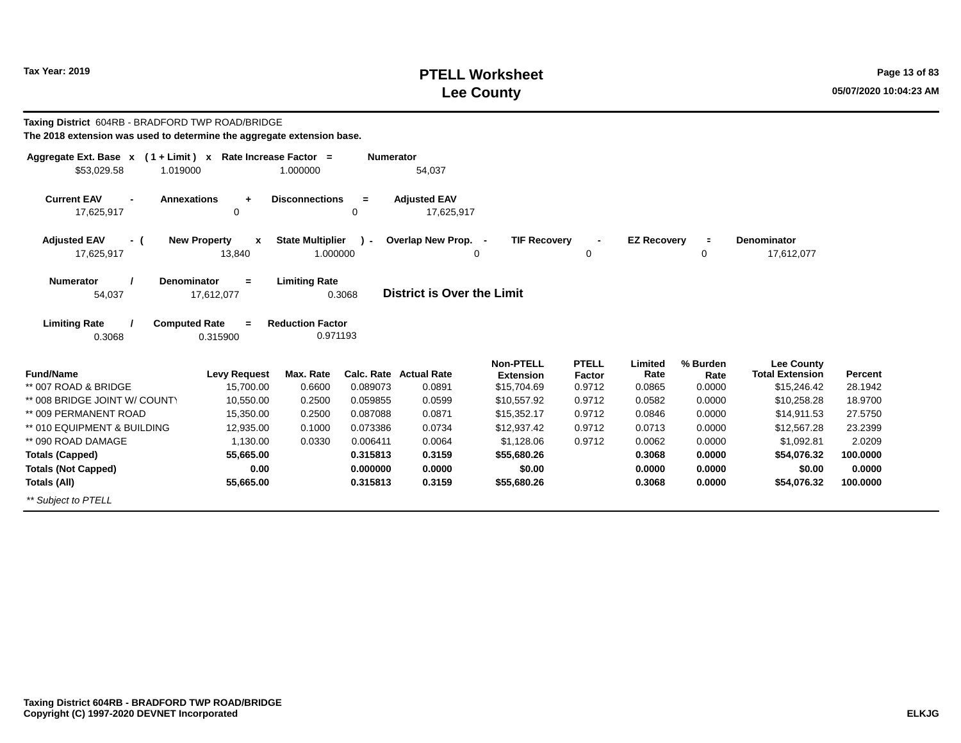## **PTELL Worksheet Tax Year: 2019 Page 13 of 83 Lee County 05/07/2020 10:04:23 AM**

| Taxing District 604RB - BRADFORD TWP ROAD/BRIDGE<br>The 2018 extension was used to determine the aggregate extension base. |                                                   |                                     |                      |                                   |                                                     |                                  |                           |                               |                                                            |                    |
|----------------------------------------------------------------------------------------------------------------------------|---------------------------------------------------|-------------------------------------|----------------------|-----------------------------------|-----------------------------------------------------|----------------------------------|---------------------------|-------------------------------|------------------------------------------------------------|--------------------|
| Aggregate Ext. Base x (1+Limit) x Rate Increase Factor =<br>\$53,029.58<br>1.019000                                        |                                                   | 1.000000                            | <b>Numerator</b>     | 54,037                            |                                                     |                                  |                           |                               |                                                            |                    |
| <b>Current EAV</b><br><b>Annexations</b><br>$\blacksquare$<br>17,625,917                                                   | $\ddot{}$<br>0                                    | <b>Disconnections</b>               | $=$<br>0             | <b>Adjusted EAV</b><br>17,625,917 |                                                     |                                  |                           |                               |                                                            |                    |
| <b>Adjusted EAV</b><br>- (<br>17,625,917                                                                                   | <b>New Property</b><br>$\boldsymbol{x}$<br>13,840 | <b>State Multiplier</b><br>1.000000 | $\mathcal{L}$        | Overlap New Prop. -               | <b>TIF Recovery</b><br>$\Omega$                     | $\mathbf 0$                      | <b>EZ Recovery</b>        | $\blacksquare$<br>$\mathbf 0$ | <b>Denominator</b><br>17,612,077                           |                    |
| <b>Numerator</b><br>Denominator<br>54,037                                                                                  | $=$<br>17,612,077                                 | <b>Limiting Rate</b>                | 0.3068               | District is Over the Limit        |                                                     |                                  |                           |                               |                                                            |                    |
| <b>Limiting Rate</b><br><b>Computed Rate</b><br>0.3068                                                                     | $=$<br>0.315900                                   | <b>Reduction Factor</b><br>0.971193 |                      |                                   |                                                     |                                  |                           |                               |                                                            |                    |
| <b>Fund/Name</b><br>** 007 ROAD & BRIDGE                                                                                   | <b>Levy Request</b><br>15,700.00                  | Max. Rate<br>0.6600                 | 0.089073             | Calc. Rate Actual Rate<br>0.0891  | <b>Non-PTELL</b><br><b>Extension</b><br>\$15,704.69 | <b>PTELL</b><br>Factor<br>0.9712 | Limited<br>Rate<br>0.0865 | % Burden<br>Rate<br>0.0000    | <b>Lee County</b><br><b>Total Extension</b><br>\$15,246.42 | Percent<br>28.1942 |
| ** 008 BRIDGE JOINT W/ COUNTY                                                                                              | 10,550.00                                         | 0.2500                              | 0.059855             | 0.0599                            | \$10,557.92                                         | 0.9712                           | 0.0582                    | 0.0000                        | \$10,258.28                                                | 18.9700            |
| ** 009 PERMANENT ROAD                                                                                                      | 15,350.00                                         | 0.2500                              | 0.087088             | 0.0871                            | \$15,352.17                                         | 0.9712                           | 0.0846                    | 0.0000                        | \$14,911.53                                                | 27.5750            |
| ** 010 EQUIPMENT & BUILDING                                                                                                | 12,935.00                                         | 0.1000                              | 0.073386             | 0.0734                            | \$12,937.42                                         | 0.9712                           | 0.0713                    | 0.0000                        | \$12,567.28                                                | 23.2399            |
| ** 090 ROAD DAMAGE                                                                                                         | 1,130.00                                          | 0.0330                              | 0.006411             | 0.0064                            | \$1,128.06                                          | 0.9712                           | 0.0062                    | 0.0000                        | \$1,092.81                                                 | 2.0209             |
| <b>Totals (Capped)</b>                                                                                                     | 55,665.00                                         |                                     | 0.315813             | 0.3159                            | \$55,680.26                                         |                                  | 0.3068                    | 0.0000                        | \$54,076.32                                                | 100,0000           |
| <b>Totals (Not Capped)</b>                                                                                                 | 0.00                                              |                                     | 0.000000<br>0.315813 | 0.0000<br>0.3159                  | \$0.00                                              |                                  | 0.0000<br>0.3068          | 0.0000<br>0.0000              | \$0.00<br>\$54,076.32                                      | 0.0000<br>100,0000 |
| Totals (All)                                                                                                               | 55,665.00                                         |                                     |                      |                                   | \$55,680.26                                         |                                  |                           |                               |                                                            |                    |
| ** Subject to PTELL                                                                                                        |                                                   |                                     |                      |                                   |                                                     |                                  |                           |                               |                                                            |                    |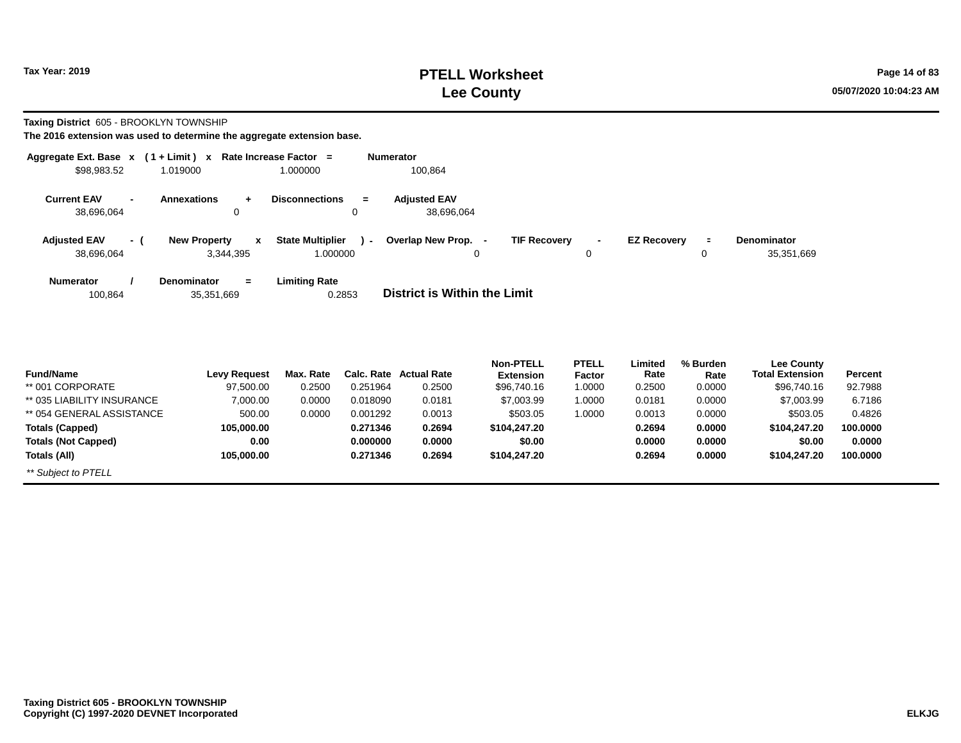### **PTELL Worksheet Tax Year: 2019 Page 14 of 83 Lee County 05/07/2020 10:04:23 AM**

**Taxing District** 605 - BROOKLYN TOWNSHIP

| Aggregate Ext. Base $x$ (1 + Limit) $x$            |                                                    | Rate Increase Factor =                                | <b>Numerator</b>                                                |                                           |                                                   |
|----------------------------------------------------|----------------------------------------------------|-------------------------------------------------------|-----------------------------------------------------------------|-------------------------------------------|---------------------------------------------------|
| \$98,983.52                                        | 1.019000                                           | 1.000000                                              | 100,864                                                         |                                           |                                                   |
| <b>Current EAV</b><br>$\blacksquare$<br>38,696,064 | <b>Annexations</b><br>$\ddot{}$<br>0               | <b>Disconnections</b><br>$=$<br>0                     | <b>Adiusted EAV</b><br>38,696,064                               |                                           |                                                   |
| <b>Adjusted EAV</b><br>- (<br>38,696,064           | <b>New Property</b><br>$\mathbf{x}$<br>3,344,395   | <b>State Multiplier</b><br>$\overline{a}$<br>1.000000 | Overlap New Prop.<br><b>TIF Recovery</b><br>$\blacksquare$<br>0 | <b>EZ Recoverv</b><br>$\blacksquare$<br>0 | <b>Denominator</b><br>$\equiv$<br>35,351,669<br>0 |
| <b>Numerator</b><br>100,864                        | <b>Denominator</b><br>$\blacksquare$<br>35,351,669 | <b>Limiting Rate</b><br>0.2853                        | District is Within the Limit                                    |                                           |                                                   |

|                            |              |           |          |                        | <b>Non-PTELL</b> | <b>PTELL</b> | Limited | % Burden | <b>Lee County</b>      |                |
|----------------------------|--------------|-----------|----------|------------------------|------------------|--------------|---------|----------|------------------------|----------------|
| <b>Fund/Name</b>           | Levy Request | Max. Rate |          | Calc. Rate Actual Rate | <b>Extension</b> | Factor       | Rate    | Rate     | <b>Total Extension</b> | <b>Percent</b> |
| ** 001 CORPORATE           | 97,500.00    | 0.2500    | 0.251964 | 0.2500                 | \$96,740.16      | 1.0000       | 0.2500  | 0.0000   | \$96,740.16            | 92.7988        |
| ** 035 LIABILITY INSURANCE | 7.000.00     | 0.0000    | 0.018090 | 0.0181                 | \$7,003.99       | 1.0000       | 0.0181  | 0.0000   | \$7,003.99             | 6.7186         |
| ** 054 GENERAL ASSISTANCE  | 500.00       | 0.0000    | 0.001292 | 0.0013                 | \$503.05         | 1.0000       | 0.0013  | 0.0000   | \$503.05               | 0.4826         |
| <b>Totals (Capped)</b>     | 105.000.00   |           | 0.271346 | 0.2694                 | \$104,247,20     |              | 0.2694  | 0.0000   | \$104.247.20           | 100.0000       |
| <b>Totals (Not Capped)</b> | 0.00         |           | 0.000000 | 0.0000                 | \$0.00           |              | 0.0000  | 0.0000   | \$0.00                 | 0.0000         |
| Totals (All)               | 105.000.00   |           | 0.271346 | 0.2694                 | \$104,247,20     |              | 0.2694  | 0.0000   | \$104.247.20           | 100.0000       |
| ** Subject to PTELL        |              |           |          |                        |                  |              |         |          |                        |                |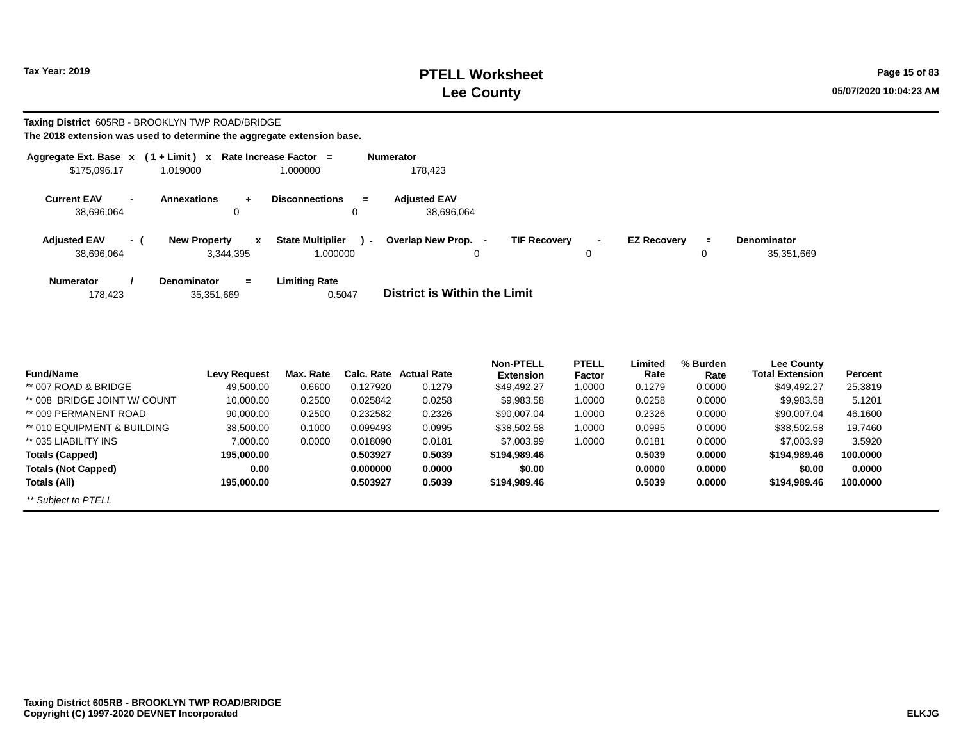## **PTELL Worksheet Tax Year: 2019 Page 15 of 83 Lee County 05/07/2020 10:04:23 AM**

#### **Taxing District** 605RB - BROOKLYN TWP ROAD/BRIDGE **The 2018 extension was used to determine the aggregate extension base.**

| Aggregate Ext. Base $x$ (1 + Limit) $x$ |                          |                                              | Rate Increase Factor =              |                | <b>Numerator</b>                  |                     |        |                    |         |                                  |
|-----------------------------------------|--------------------------|----------------------------------------------|-------------------------------------|----------------|-----------------------------------|---------------------|--------|--------------------|---------|----------------------------------|
| \$175,096.17                            |                          | 1.019000                                     | 1.000000                            |                | 178.423                           |                     |        |                    |         |                                  |
| <b>Current EAV</b><br>38,696,064        | $\overline{\phantom{0}}$ | <b>Annexations</b><br>$\ddot{}$<br>0         | <b>Disconnections</b><br>0          | $=$            | <b>Adjusted EAV</b><br>38.696.064 |                     |        |                    |         |                                  |
| <b>Adjusted EAV</b><br>38,696,064       | $-1$                     | <b>New Property</b><br>x<br>3,344,395        | <b>State Multiplier</b><br>1.000000 | $\blacksquare$ | Overlap New Prop.<br>$\sim$<br>0  | <b>TIF Recovery</b> | $\sim$ | <b>EZ Recovery</b> | Ξ.<br>0 | <b>Denominator</b><br>35,351,669 |
| <b>Numerator</b><br>178,423             |                          | <b>Denominator</b><br>$\equiv$<br>35,351,669 | Limiting Rate<br>0.5047             |                | District is Within the Limit      |                     |        |                    |         |                                  |

| <b>Fund/Name</b>             | <b>Levy Request</b> | Max. Rate | Calc. Rate | <b>Actual Rate</b> | <b>Non-PTELL</b><br><b>Extension</b> | <b>PTELL</b><br>Factor | Limited<br>Rate | % Burden<br>Rate | Lee County<br><b>Total Extension</b> | Percent  |
|------------------------------|---------------------|-----------|------------|--------------------|--------------------------------------|------------------------|-----------------|------------------|--------------------------------------|----------|
| $**$ 007 ROAD & BRIDGE       | 49,500.00           | 0.6600    | 0.127920   | 0.1279             | \$49,492.27                          | 1.0000                 | 0.1279          | 0.0000           | \$49,492.27                          | 25.3819  |
| ** 008 BRIDGE JOINT W/ COUNT | 10,000.00           | 0.2500    | 0.025842   | 0.0258             | \$9,983.58                           | 1.0000                 | 0.0258          | 0.0000           | \$9,983.58                           | 5.1201   |
| ** 009 PERMANENT ROAD        | 90.000.00           | 0.2500    | 0.232582   | 0.2326             | \$90,007.04                          | 1.0000                 | 0.2326          | 0.0000           | \$90,007.04                          | 46.1600  |
| ** 010 EQUIPMENT & BUILDING  | 38,500.00           | 0.1000    | 0.099493   | 0.0995             | \$38,502.58                          | 1.0000                 | 0.0995          | 0.0000           | \$38,502.58                          | 19.7460  |
| ** 035 LIABILITY INS         | 7,000.00            | 0.0000    | 0.018090   | 0.0181             | \$7,003.99                           | 1.0000                 | 0.0181          | 0.0000           | \$7,003.99                           | 3.5920   |
| Totals (Capped)              | 195,000.00          |           | 0.503927   | 0.5039             | \$194,989.46                         |                        | 0.5039          | 0.0000           | \$194.989.46                         | 100.0000 |
| <b>Totals (Not Capped)</b>   | 0.00                |           | 0.000000   | 0.0000             | \$0.00                               |                        | 0.0000          | 0.0000           | \$0.00                               | 0.0000   |
| Totals (All)                 | 195.000.00          |           | 0.503927   | 0.5039             | \$194,989.46                         |                        | 0.5039          | 0.0000           | \$194.989.46                         | 100.0000 |
| ** Subject to PTELL          |                     |           |            |                    |                                      |                        |                 |                  |                                      |          |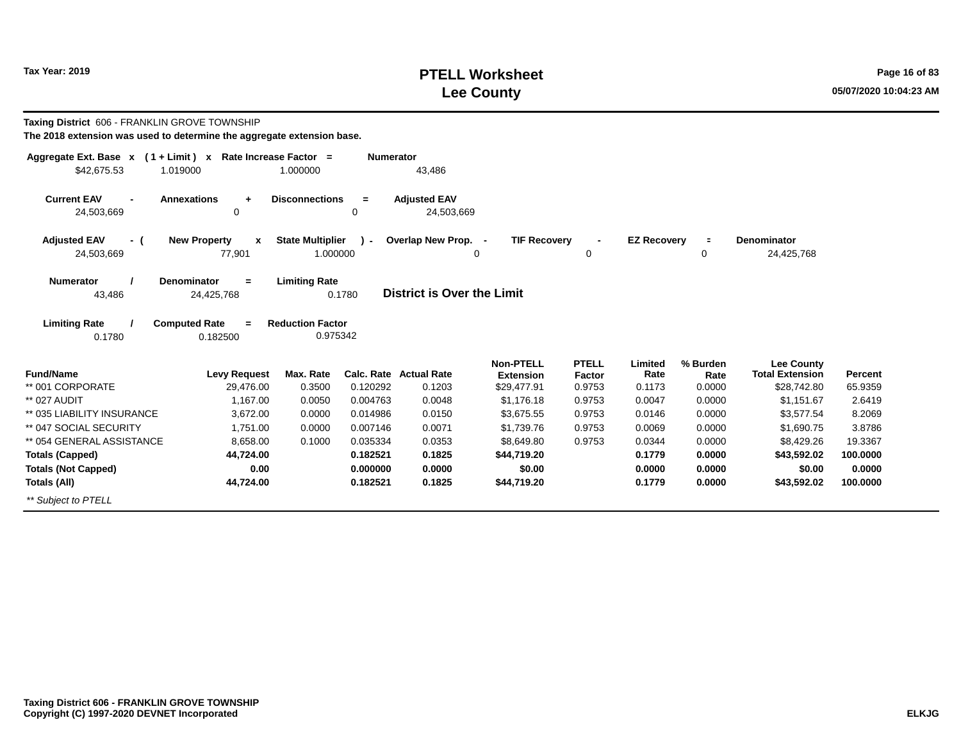## **PTELL Worksheet Tax Year: 2019 Page 16 of 83 Lee County 05/07/2020 10:04:23 AM**

| Taxing District 606 - FRANKLIN GROVE TOWNSHIP<br>The 2018 extension was used to determine the aggregate extension base. |                                         |                         |                  |                                   |                     |              |                    |          |                        |                |
|-------------------------------------------------------------------------------------------------------------------------|-----------------------------------------|-------------------------|------------------|-----------------------------------|---------------------|--------------|--------------------|----------|------------------------|----------------|
| Aggregate Ext. Base $x$ (1 + Limit) x Rate Increase Factor =                                                            |                                         |                         | <b>Numerator</b> |                                   |                     |              |                    |          |                        |                |
| \$42,675.53                                                                                                             | 1.019000                                | 1.000000                |                  | 43,486                            |                     |              |                    |          |                        |                |
| <b>Current EAV</b>                                                                                                      | <b>Annexations</b><br>÷                 | <b>Disconnections</b>   | $=$              | <b>Adjusted EAV</b>               |                     |              |                    |          |                        |                |
| 24,503,669                                                                                                              | $\Omega$                                |                         | 0                | 24,503,669                        |                     |              |                    |          |                        |                |
| <b>Adjusted EAV</b><br>- (                                                                                              | <b>New Property</b><br>$\boldsymbol{x}$ | <b>State Multiplier</b> | $\mathbf{I}$     | Overlap New Prop. -               | <b>TIF Recovery</b> |              | <b>EZ Recovery</b> | $\equiv$ | <b>Denominator</b>     |                |
| 24,503,669                                                                                                              | 77,901                                  | 1.000000                |                  |                                   | $\mathbf 0$         | 0            |                    | 0        | 24,425,768             |                |
| <b>Numerator</b>                                                                                                        | Denominator<br>$=$                      | <b>Limiting Rate</b>    |                  |                                   |                     |              |                    |          |                        |                |
| 43,486                                                                                                                  | 24,425,768                              |                         | 0.1780           | <b>District is Over the Limit</b> |                     |              |                    |          |                        |                |
| <b>Limiting Rate</b>                                                                                                    | <b>Computed Rate</b><br>$=$             | <b>Reduction Factor</b> |                  |                                   |                     |              |                    |          |                        |                |
| 0.1780                                                                                                                  | 0.182500                                | 0.975342                |                  |                                   |                     |              |                    |          |                        |                |
|                                                                                                                         |                                         |                         |                  |                                   | <b>Non-PTELL</b>    | <b>PTELL</b> | Limited            | % Burden | <b>Lee County</b>      |                |
| <b>Fund/Name</b>                                                                                                        | <b>Levy Request</b>                     | Max. Rate               |                  | <b>Calc. Rate Actual Rate</b>     | <b>Extension</b>    | Factor       | Rate               | Rate     | <b>Total Extension</b> | <b>Percent</b> |
| ** 001 CORPORATE                                                                                                        | 29,476.00                               | 0.3500                  | 0.120292         | 0.1203                            | \$29,477.91         | 0.9753       | 0.1173             | 0.0000   | \$28,742.80            | 65.9359        |
| ** 027 AUDIT                                                                                                            | 1.167.00                                | 0.0050                  | 0.004763         | 0.0048                            | \$1,176.18          | 0.9753       | 0.0047             | 0.0000   | \$1.151.67             | 2.6419         |
| ** 035 LIABILITY INSURANCE                                                                                              | 3.672.00                                | 0.0000                  | 0.014986         | 0.0150                            | \$3,675.55          | 0.9753       | 0.0146             | 0.0000   | \$3,577.54             | 8.2069         |
| ** 047 SOCIAL SECURITY                                                                                                  | 1,751.00                                | 0.0000                  | 0.007146         | 0.0071                            | \$1,739.76          | 0.9753       | 0.0069             | 0.0000   | \$1,690.75             | 3.8786         |
| ** 054 GENERAL ASSISTANCE                                                                                               | 8,658.00                                | 0.1000                  | 0.035334         | 0.0353                            | \$8,649.80          | 0.9753       | 0.0344             | 0.0000   | \$8,429.26             | 19.3367        |
| <b>Totals (Capped)</b>                                                                                                  | 44,724.00                               |                         | 0.182521         | 0.1825                            | \$44.719.20         |              | 0.1779             | 0.0000   | \$43,592.02            | 100,0000       |
| <b>Totals (Not Capped)</b>                                                                                              | 0.00                                    |                         | 0.000000         | 0.0000                            | \$0.00              |              | 0.0000             | 0.0000   | \$0.00                 | 0.0000         |
| <b>Totals (All)</b>                                                                                                     | 44,724.00                               |                         | 0.182521         | 0.1825                            | \$44,719.20         |              | 0.1779             | 0.0000   | \$43,592.02            | 100.0000       |
| ** Subject to PTELL                                                                                                     |                                         |                         |                  |                                   |                     |              |                    |          |                        |                |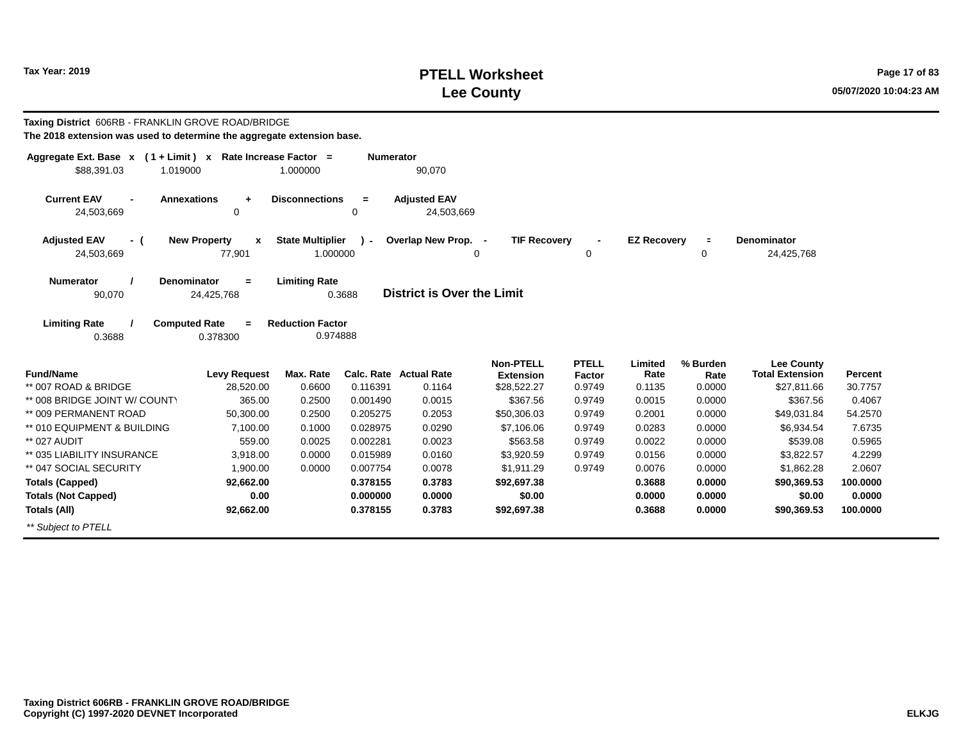## **PTELL Worksheet Tax Year: 2019 Page 17 of 83 Lee County 05/07/2020 10:04:23 AM**

| Taxing District 606RB - FRANKLIN GROVE ROAD/BRIDGE<br>The 2018 extension was used to determine the aggregate extension base. |                                         |                                     |                  |                                         |                                                     |                                  |                           |                            |                                                            |                    |
|------------------------------------------------------------------------------------------------------------------------------|-----------------------------------------|-------------------------------------|------------------|-----------------------------------------|-----------------------------------------------------|----------------------------------|---------------------------|----------------------------|------------------------------------------------------------|--------------------|
| Aggregate Ext. Base x (1+Limit) x Rate Increase Factor =<br>\$88,391.03<br>1.019000                                          |                                         | 1.000000                            | <b>Numerator</b> | 90,070                                  |                                                     |                                  |                           |                            |                                                            |                    |
| <b>Current EAV</b><br>24,503,669                                                                                             | <b>Annexations</b><br>$\ddot{}$<br>0    | <b>Disconnections</b>               | $=$<br>0         | <b>Adjusted EAV</b><br>24,503,669       |                                                     |                                  |                           |                            |                                                            |                    |
| <b>Adjusted EAV</b><br>- (<br>24,503,669                                                                                     | <b>New Property</b><br>X<br>77,901      | <b>State Multiplier</b><br>1.000000 | $\mathbf{r}$     | Overlap New Prop. -<br>$\Omega$         | <b>TIF Recovery</b>                                 | 0                                | <b>EZ Recovery</b>        | $\blacksquare$<br>0        | <b>Denominator</b><br>24,425,768                           |                    |
| <b>Numerator</b><br>90,070                                                                                                   | <b>Denominator</b><br>$=$<br>24,425,768 | <b>Limiting Rate</b><br>0.3688      |                  | <b>District is Over the Limit</b>       |                                                     |                                  |                           |                            |                                                            |                    |
| <b>Limiting Rate</b><br>0.3688                                                                                               | <b>Computed Rate</b><br>0.378300        | <b>Reduction Factor</b><br>0.974888 |                  |                                         |                                                     |                                  |                           |                            |                                                            |                    |
| <b>Fund/Name</b><br>** 007 ROAD & BRIDGE                                                                                     | <b>Levy Request</b><br>28,520.00        | Max. Rate<br>0.6600                 | 0.116391         | <b>Calc. Rate Actual Rate</b><br>0.1164 | <b>Non-PTELL</b><br><b>Extension</b><br>\$28,522.27 | <b>PTELL</b><br>Factor<br>0.9749 | Limited<br>Rate<br>0.1135 | % Burden<br>Rate<br>0.0000 | <b>Lee County</b><br><b>Total Extension</b><br>\$27,811.66 | Percent<br>30.7757 |
| ** 008 BRIDGE JOINT W/ COUNTY                                                                                                | 365.00                                  | 0.2500                              | 0.001490         | 0.0015                                  | \$367.56                                            | 0.9749                           | 0.0015                    | 0.0000                     | \$367.56                                                   | 0.4067             |
| ** 009 PERMANENT ROAD                                                                                                        | 50,300.00                               | 0.2500                              | 0.205275         | 0.2053                                  | \$50,306.03                                         | 0.9749                           | 0.2001                    | 0.0000                     | \$49,031.84                                                | 54.2570            |
| ** 010 EQUIPMENT & BUILDING                                                                                                  | 7,100.00                                | 0.1000                              | 0.028975         | 0.0290                                  | \$7,106.06                                          | 0.9749                           | 0.0283                    | 0.0000                     | \$6,934.54                                                 | 7.6735             |
| ** 027 AUDIT                                                                                                                 | 559.00                                  | 0.0025                              | 0.002281         | 0.0023                                  | \$563.58                                            | 0.9749                           | 0.0022                    | 0.0000                     | \$539.08                                                   | 0.5965             |
| ** 035 LIABILITY INSURANCE                                                                                                   | 3,918.00                                | 0.0000                              | 0.015989         | 0.0160                                  | \$3,920.59                                          | 0.9749                           | 0.0156                    | 0.0000                     | \$3,822.57                                                 | 4.2299             |
| ** 047 SOCIAL SECURITY                                                                                                       | 1,900.00                                | 0.0000                              | 0.007754         | 0.0078                                  | \$1,911.29                                          | 0.9749                           | 0.0076                    | 0.0000                     | \$1,862.28                                                 | 2.0607             |
| <b>Totals (Capped)</b>                                                                                                       | 92,662.00                               |                                     | 0.378155         | 0.3783                                  | \$92,697.38                                         |                                  | 0.3688                    | 0.0000                     | \$90,369.53                                                | 100.0000           |
| <b>Totals (Not Capped)</b>                                                                                                   | 0.00                                    |                                     | 0.000000         | 0.0000                                  | \$0.00                                              |                                  | 0.0000                    | 0.0000                     | \$0.00                                                     | 0.0000             |
| <b>Totals (All)</b>                                                                                                          | 92,662.00                               |                                     | 0.378155         | 0.3783                                  | \$92,697.38                                         |                                  | 0.3688                    | 0.0000                     | \$90,369.53                                                | 100,0000           |
| ** Subject to PTELL                                                                                                          |                                         |                                     |                  |                                         |                                                     |                                  |                           |                            |                                                            |                    |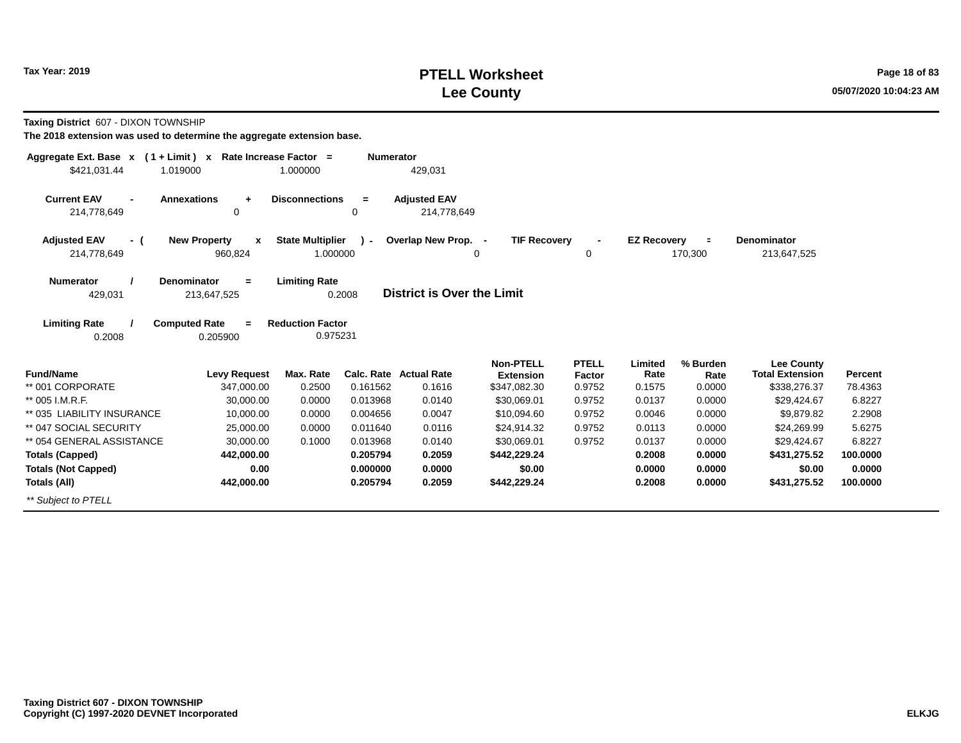### **PTELL Worksheet Tax Year: 2019 Page 18 of 83 Lee County 05/07/2020 10:04:23 AM**

**Taxing District** 607 - DIXON TOWNSHIP

| Aggregate Ext. Base $x$ (1 + Limit) $x$             | Rate Increase Factor =                              | <b>Numerator</b>                  |                                    |                                      |                        |                    |                  |                                             |          |
|-----------------------------------------------------|-----------------------------------------------------|-----------------------------------|------------------------------------|--------------------------------------|------------------------|--------------------|------------------|---------------------------------------------|----------|
| \$421,031.44<br>1.019000                            |                                                     | 1.000000                          | 429,031                            |                                      |                        |                    |                  |                                             |          |
| <b>Current EAV</b><br>$\blacksquare$<br>214,778,649 | <b>Annexations</b><br>$\ddot{}$<br>0                | <b>Disconnections</b><br>$=$<br>0 | <b>Adjusted EAV</b><br>214,778,649 |                                      |                        |                    |                  |                                             |          |
| <b>Adjusted EAV</b><br>- (                          | <b>New Property</b><br>$\mathbf{x}$                 | <b>State Multiplier</b>           | Overlap New Prop. -                | <b>TIF Recovery</b>                  |                        | <b>EZ Recovery</b> | $\equiv$         | Denominator                                 |          |
| 214,778,649                                         | 960,824                                             | 1.000000                          | 0                                  |                                      | 0                      |                    | 170,300          | 213,647,525                                 |          |
| <b>Numerator</b><br>429,031                         | <b>Denominator</b><br>$\blacksquare$<br>213,647,525 | <b>Limiting Rate</b><br>0.2008    | <b>District is Over the Limit</b>  |                                      |                        |                    |                  |                                             |          |
| <b>Limiting Rate</b>                                | <b>Computed Rate</b><br>$\equiv$                    | <b>Reduction Factor</b>           |                                    |                                      |                        |                    |                  |                                             |          |
| 0.2008                                              | 0.205900                                            | 0.975231                          |                                    |                                      |                        |                    |                  |                                             |          |
| <b>Fund/Name</b>                                    | <b>Levy Request</b>                                 | Max. Rate                         | <b>Calc. Rate Actual Rate</b>      | <b>Non-PTELL</b><br><b>Extension</b> | <b>PTELL</b><br>Factor | Limited<br>Rate    | % Burden<br>Rate | <b>Lee County</b><br><b>Total Extension</b> | Percent  |
| ** 001 CORPORATE                                    | 347,000.00                                          | 0.2500<br>0.161562                | 0.1616                             | \$347,082.30                         | 0.9752                 | 0.1575             | 0.0000           | \$338,276.37                                | 78.4363  |
| ** 005 I.M.R.F.                                     | 30,000.00                                           | 0.0000<br>0.013968                | 0.0140                             | \$30,069.01                          | 0.9752                 | 0.0137             | 0.0000           | \$29,424.67                                 | 6.8227   |
| ** 035 LIABILITY INSURANCE                          | 10,000.00                                           | 0.0000<br>0.004656                | 0.0047                             | \$10,094.60                          | 0.9752                 | 0.0046             | 0.0000           | \$9,879.82                                  | 2.2908   |
| ** 047 SOCIAL SECURITY                              | 25,000.00                                           | 0.0000<br>0.011640                | 0.0116                             | \$24,914.32                          | 0.9752                 | 0.0113             | 0.0000           | \$24,269.99                                 | 5.6275   |
| ** 054 GENERAL ASSISTANCE                           | 30,000.00                                           | 0.1000<br>0.013968                | 0.0140                             | \$30,069.01                          | 0.9752                 | 0.0137             | 0.0000           | \$29,424.67                                 | 6.8227   |
| <b>Totals (Capped)</b>                              | 442,000.00                                          | 0.205794                          | 0.2059                             | \$442,229.24                         |                        | 0.2008             | 0.0000           | \$431,275.52                                | 100.0000 |
| <b>Totals (Not Capped)</b>                          | 0.00                                                | 0.000000                          | 0.0000                             | \$0.00                               |                        | 0.0000             | 0.0000           | \$0.00                                      | 0.0000   |
| Totals (All)                                        | 442,000.00                                          | 0.205794                          | 0.2059                             | \$442,229.24                         |                        | 0.2008             | 0.0000           | \$431,275.52                                | 100.0000 |
| ** Subject to PTELL                                 |                                                     |                                   |                                    |                                      |                        |                    |                  |                                             |          |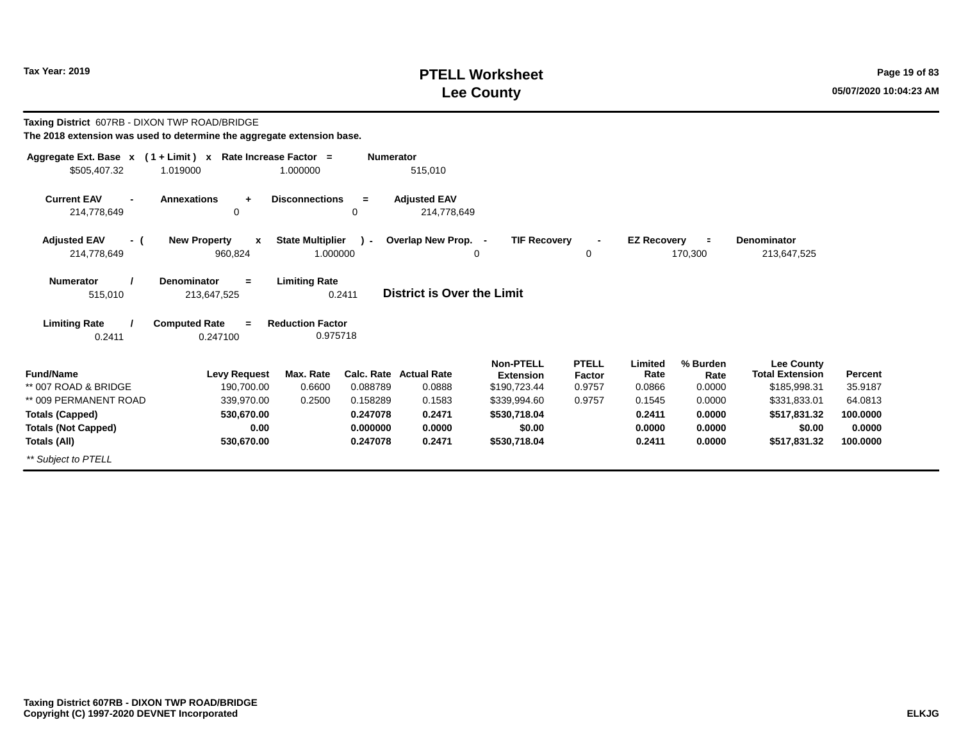## **PTELL Worksheet Tax Year: 2019 Page 19 of 83 Lee County 05/07/2020 10:04:23 AM**

| Taxing District 607RB - DIXON TWP ROAD/BRIDGE<br>The 2018 extension was used to determine the aggregate extension base. |                                                             |                                                     |                                         |                                                      |                                  |                           |                            |                                                             |                    |
|-------------------------------------------------------------------------------------------------------------------------|-------------------------------------------------------------|-----------------------------------------------------|-----------------------------------------|------------------------------------------------------|----------------------------------|---------------------------|----------------------------|-------------------------------------------------------------|--------------------|
| Aggregate Ext. Base $x$ (1 + Limit) x Rate Increase Factor =<br>\$505,407.32                                            | 1.019000                                                    | 1.000000                                            | <b>Numerator</b><br>515,010             |                                                      |                                  |                           |                            |                                                             |                    |
| <b>Current EAV</b><br>$\blacksquare$<br>214,778,649                                                                     | <b>Annexations</b><br>$+$<br>0                              | <b>Disconnections</b><br>$=$<br>$\Omega$            | <b>Adjusted EAV</b><br>214,778,649      |                                                      |                                  |                           |                            |                                                             |                    |
| <b>Adjusted EAV</b><br>- (<br>214,778,649                                                                               | <b>New Property</b><br>$\boldsymbol{\mathsf{x}}$<br>960,824 | <b>State Multiplier</b><br>$\mathbf{r}$<br>1.000000 | Overlap New Prop. -                     | <b>TIF Recovery</b><br>0                             | 0                                | <b>EZ Recovery</b>        | $\equiv$<br>170,300        | <b>Denominator</b><br>213,647,525                           |                    |
| <b>Numerator</b><br>515,010                                                                                             | Denominator<br>$=$<br>213,647,525                           | <b>Limiting Rate</b><br>0.2411                      | District is Over the Limit              |                                                      |                                  |                           |                            |                                                             |                    |
| <b>Limiting Rate</b><br>0.2411                                                                                          | <b>Computed Rate</b><br>$=$<br>0.247100                     | <b>Reduction Factor</b><br>0.975718                 |                                         |                                                      |                                  |                           |                            |                                                             |                    |
| <b>Fund/Name</b><br>** 007 ROAD & BRIDGE                                                                                | <b>Levy Request</b><br>190,700.00                           | Max. Rate<br>0.088789<br>0.6600                     | <b>Calc. Rate Actual Rate</b><br>0.0888 | <b>Non-PTELL</b><br><b>Extension</b><br>\$190,723.44 | <b>PTELL</b><br>Factor<br>0.9757 | Limited<br>Rate<br>0.0866 | % Burden<br>Rate<br>0.0000 | <b>Lee County</b><br><b>Total Extension</b><br>\$185,998.31 | Percent<br>35.9187 |
| ** 009 PERMANENT ROAD                                                                                                   | 339,970.00                                                  | 0.2500<br>0.158289                                  | 0.1583                                  | \$339,994.60                                         | 0.9757                           | 0.1545                    | 0.0000                     | \$331,833.01                                                | 64.0813            |
| <b>Totals (Capped)</b><br><b>Totals (Not Capped)</b>                                                                    | 530,670.00<br>0.00                                          | 0.247078<br>0.000000                                | 0.2471<br>0.0000                        | \$530,718.04<br>\$0.00                               |                                  | 0.2411<br>0.0000          | 0.0000<br>0.0000           | \$517,831.32<br>\$0.00                                      | 100.0000<br>0.0000 |
| Totals (All)                                                                                                            | 530,670.00                                                  | 0.247078                                            | 0.2471                                  | \$530,718.04                                         |                                  | 0.2411                    | 0.0000                     | \$517,831.32                                                | 100.0000           |
| ** Subject to PTELL                                                                                                     |                                                             |                                                     |                                         |                                                      |                                  |                           |                            |                                                             |                    |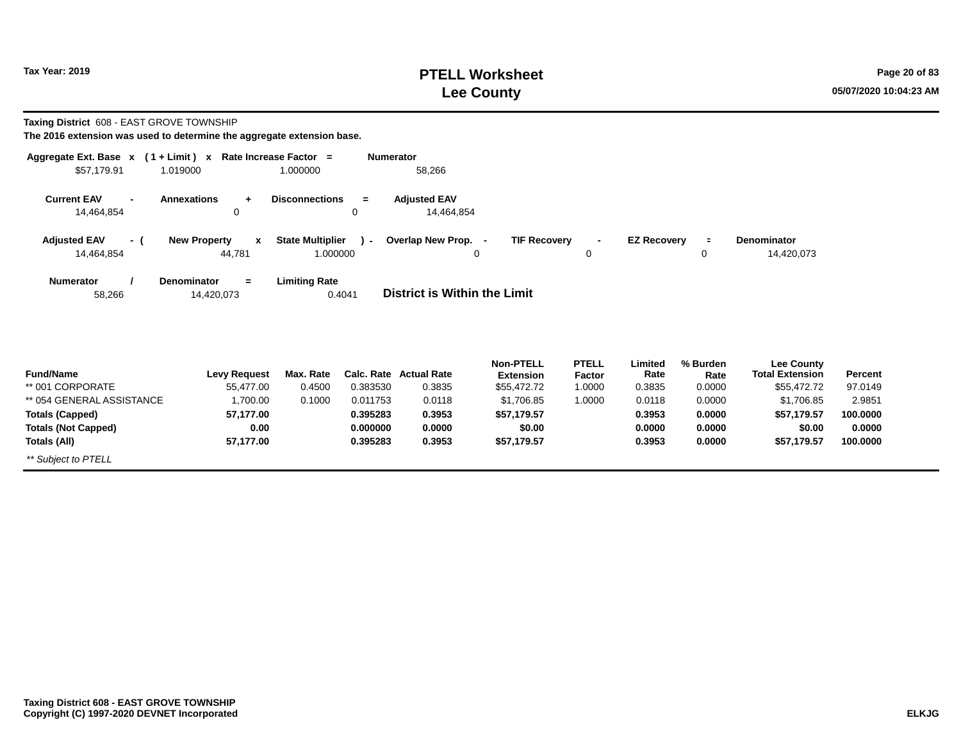**Totals (All)**

*\*\* Subject to PTELL*

#### **PTELL Worksheet Tax Year: 2019 Page 20 of 83 Lee County 05/07/2020 10:04:23 AM**

**100.0000**

**\$57,179.57**

**Taxing District** 608 - EAST GROVE TOWNSHIP

**The 2016 extension was used to determine the aggregate extension base.**

**57,177.00**

| Aggregate Ext. Base x                              | $(1 + Limit) x$                              | Rate Increase Factor =  | <b>Numerator</b>     |                                     |                                      |                        |                    |                  |                                             |          |
|----------------------------------------------------|----------------------------------------------|-------------------------|----------------------|-------------------------------------|--------------------------------------|------------------------|--------------------|------------------|---------------------------------------------|----------|
| \$57,179.91                                        | 1.019000                                     | 1.000000                |                      | 58,266                              |                                      |                        |                    |                  |                                             |          |
| <b>Current EAV</b><br>$\blacksquare$<br>14,464,854 | <b>Annexations</b><br>$\ddot{}$<br>$\Omega$  | <b>Disconnections</b>   | $\equiv$<br>$\Omega$ | <b>Adjusted EAV</b><br>14,464,854   |                                      |                        |                    |                  |                                             |          |
| <b>Adjusted EAV</b><br>- (                         | <b>New Property</b><br>$\mathbf{x}$          | <b>State Multiplier</b> | $\sim$               | Overlap New Prop. -                 | <b>TIF Recovery</b>                  | $\blacksquare$         | <b>EZ Recovery</b> | $\equiv$         | <b>Denominator</b>                          |          |
| 14,464,854                                         | 44,781                                       | 1.000000                |                      |                                     | 0                                    | 0                      |                    | 0                | 14,420,073                                  |          |
| <b>Numerator</b><br>58,266                         | <b>Denominator</b><br>$\equiv$<br>14,420,073 | <b>Limiting Rate</b>    | 0.4041               | <b>District is Within the Limit</b> |                                      |                        |                    |                  |                                             |          |
| <b>Fund/Name</b>                                   | <b>Levy Request</b>                          | Max. Rate               |                      | Calc. Rate Actual Rate              | <b>Non-PTELL</b><br><b>Extension</b> | <b>PTELL</b><br>Factor | Limited<br>Rate    | % Burden<br>Rate | <b>Lee County</b><br><b>Total Extension</b> | Percent  |
| ** 001 CORPORATE                                   | 55,477.00                                    | 0.4500                  | 0.383530             | 0.3835                              | \$55,472.72                          | 1.0000                 | 0.3835             | 0.0000           | \$55,472.72                                 | 97.0149  |
| ** 054 GENERAL ASSISTANCE                          | 1,700.00                                     | 0.1000                  | 0.011753             | 0.0118                              | \$1,706.85                           | 1.0000                 | 0.0118             | 0.0000           | \$1,706.85                                  | 2.9851   |
| <b>Totals (Capped)</b>                             | 57,177.00                                    |                         | 0.395283             | 0.3953                              | \$57,179.57                          |                        | 0.3953             | 0.0000           | \$57,179.57                                 | 100.0000 |
| <b>Totals (Not Capped)</b>                         | 0.00                                         |                         | 0.000000             | 0.0000                              | \$0.00                               |                        | 0.0000             | 0.0000           | \$0.00                                      | 0.0000   |

**0.3953**

**\$57,179.57**

**0.3953**

**0.0000**

**0.395283**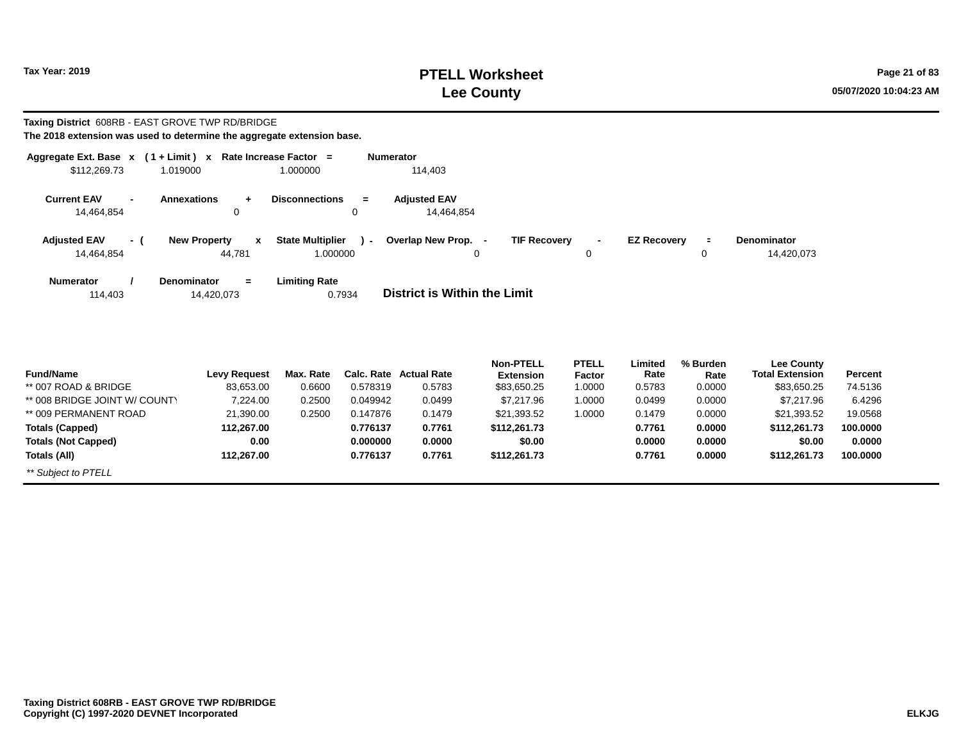## **PTELL Worksheet Tax Year: 2019 Page 21 of 83 Lee County 05/07/2020 10:04:23 AM**

#### **Taxing District** 608RB - EAST GROVE TWP RD/BRIDGE **The 2018 extension was used to determine the aggregate extension base.**

| Aggregate Ext. Base $x$ (1 + Limit) $x$ |                |                                               | Rate Increase Factor =                        | <b>Numerator</b>                                                                                                                                             |
|-----------------------------------------|----------------|-----------------------------------------------|-----------------------------------------------|--------------------------------------------------------------------------------------------------------------------------------------------------------------|
| \$112,269.73                            |                | 1.019000                                      | 1.000000                                      | 114,403                                                                                                                                                      |
| <b>Current EAV</b><br>14,464,854        | $\blacksquare$ | <b>Annexations</b><br>$\ddot{}$<br>0          | <b>Disconnections</b><br>$=$<br>0             | <b>Adiusted EAV</b><br>14,464,854                                                                                                                            |
| <b>Adjusted EAV</b><br>14,464,854       | $-$ (          | <b>New Property</b><br>$\mathbf{x}$<br>44.781 | <b>State Multiplier</b><br>$\sim$<br>1.000000 | Overlap New Prop. -<br><b>TIF Recovery</b><br><b>EZ Recovery</b><br><b>Denominator</b><br>$\blacksquare$<br>$\blacksquare$<br>$\mathbf 0$<br>14,420,073<br>0 |
| <b>Numerator</b><br>114.403             |                | <b>Denominator</b><br>$=$<br>14,420,073       | <b>Limiting Rate</b><br>0.7934                | District is Within the Limit                                                                                                                                 |

| <b>Fund/Name</b>              | <b>Levy Request</b> | Max. Rate |          | Calc. Rate Actual Rate | <b>Non-PTELL</b><br><b>Extension</b> | <b>PTELL</b><br>Factor | ∟imited<br>Rate | % Burden<br>Rate | Lee County<br><b>Total Extension</b> | <b>Percent</b> |
|-------------------------------|---------------------|-----------|----------|------------------------|--------------------------------------|------------------------|-----------------|------------------|--------------------------------------|----------------|
| ** 007 ROAD & BRIDGE          | 83,653.00           | 0.6600    | 0.578319 | 0.5783                 | \$83,650.25                          | 1.0000                 | 0.5783          | 0.0000           | \$83,650.25                          | 74.5136        |
| ** 008 BRIDGE JOINT W/ COUNTY |                     |           |          |                        |                                      |                        |                 |                  |                                      |                |
|                               | 7.224.00            | 0.2500    | 0.049942 | 0.0499                 | \$7.217.96                           | 0000.                  | 0.0499          | 0.0000           | \$7,217.96                           | 6.4296         |
| ** 009 PERMANENT ROAD         | 21,390.00           | 0.2500    | 0.147876 | 0.1479                 | \$21,393.52                          | 0000.                  | 0.1479          | 0.0000           | \$21,393.52                          | 19.0568        |
| <b>Totals (Capped)</b>        | 112.267.00          |           | 0.776137 | 0.7761                 | \$112,261.73                         |                        | 0.7761          | 0.0000           | \$112,261.73                         | 100.0000       |
| <b>Totals (Not Capped)</b>    | 0.00                |           | 0.000000 | 0.0000                 | \$0.00                               |                        | 0.0000          | 0.0000           | \$0.00                               | 0.0000         |
| Totals (All)                  | 112.267.00          |           | 0.776137 | 0.7761                 | \$112,261.73                         |                        | 0.7761          | 0.0000           | \$112,261.73                         | 100.0000       |
| ** Subject to PTELL           |                     |           |          |                        |                                      |                        |                 |                  |                                      |                |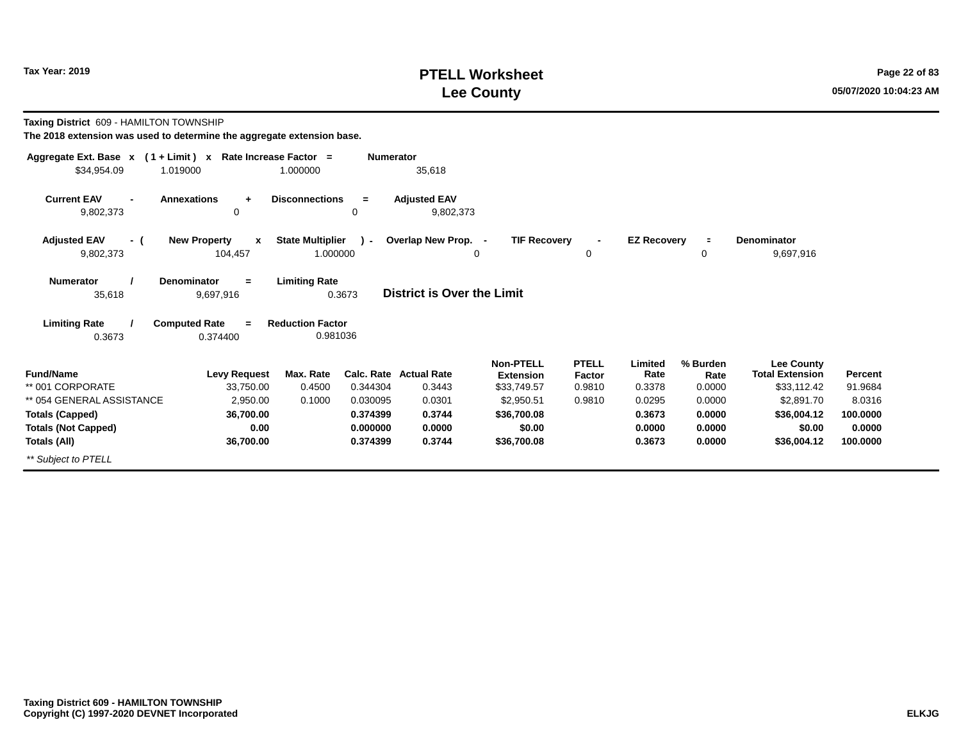#### **PTELL Worksheet Tax Year: 2019 Page 22 of 83 Lee County 05/07/2020 10:04:23 AM**

**Taxing District** 609 - HAMILTON TOWNSHIP

| Aggregate Ext. Base $x$ (1+Limit) $x$ | Rate Increase Factor =               |                         | <b>Numerator</b> |                                  |                                      |                        |                    |                  |                                             |                |
|---------------------------------------|--------------------------------------|-------------------------|------------------|----------------------------------|--------------------------------------|------------------------|--------------------|------------------|---------------------------------------------|----------------|
| \$34,954.09<br>1.019000               |                                      | 1.000000                |                  | 35,618                           |                                      |                        |                    |                  |                                             |                |
| <b>Current EAV</b><br>9,802,373       | <b>Annexations</b><br>$\ddot{}$<br>0 | <b>Disconnections</b>   | $=$<br>0         | <b>Adjusted EAV</b><br>9,802,373 |                                      |                        |                    |                  |                                             |                |
|                                       |                                      |                         |                  |                                  |                                      |                        |                    |                  |                                             |                |
| <b>Adjusted EAV</b><br>- (            | <b>New Property</b><br>$\mathbf{x}$  | <b>State Multiplier</b> | $\mathcal{L}$    | Overlap New Prop. -              | <b>TIF Recovery</b>                  |                        | <b>EZ Recovery</b> | $\blacksquare$   | <b>Denominator</b>                          |                |
| 9,802,373                             | 104,457                              | 1.000000                |                  | 0                                |                                      | $\mathbf 0$            |                    | 0                | 9,697,916                                   |                |
| <b>Numerator</b>                      | <b>Denominator</b><br>$=$            | <b>Limiting Rate</b>    |                  |                                  |                                      |                        |                    |                  |                                             |                |
| 35,618                                | 9,697,916                            |                         | 0.3673           | District is Over the Limit       |                                      |                        |                    |                  |                                             |                |
| <b>Limiting Rate</b>                  | <b>Computed Rate</b><br>$=$          | <b>Reduction Factor</b> |                  |                                  |                                      |                        |                    |                  |                                             |                |
| 0.3673                                | 0.374400                             | 0.981036                |                  |                                  |                                      |                        |                    |                  |                                             |                |
| <b>Fund/Name</b>                      | <b>Levy Request</b>                  | Max. Rate               |                  | Calc. Rate Actual Rate           | <b>Non-PTELL</b><br><b>Extension</b> | <b>PTELL</b><br>Factor | Limited<br>Rate    | % Burden<br>Rate | <b>Lee County</b><br><b>Total Extension</b> | <b>Percent</b> |
| ** 001 CORPORATE                      | 33,750.00                            | 0.4500                  | 0.344304         | 0.3443                           | \$33,749.57                          | 0.9810                 | 0.3378             | 0.0000           | \$33,112.42                                 | 91.9684        |
| ** 054 GENERAL ASSISTANCE             | 2,950.00                             | 0.1000                  | 0.030095         | 0.0301                           | \$2,950.51                           | 0.9810                 | 0.0295             | 0.0000           | \$2,891.70                                  | 8.0316         |
| <b>Totals (Capped)</b>                | 36,700.00                            |                         | 0.374399         | 0.3744                           | \$36,700.08                          |                        | 0.3673             | 0.0000           | \$36,004.12                                 | 100.0000       |
| <b>Totals (Not Capped)</b>            | 0.00                                 |                         | 0.000000         | 0.0000                           | \$0.00                               |                        | 0.0000             | 0.0000           | \$0.00                                      | 0.0000         |
| Totals (All)                          | 36,700.00                            |                         | 0.374399         | 0.3744                           | \$36,700.08                          |                        | 0.3673             | 0.0000           | \$36,004.12                                 | 100.0000       |
| ** Subject to PTELL                   |                                      |                         |                  |                                  |                                      |                        |                    |                  |                                             |                |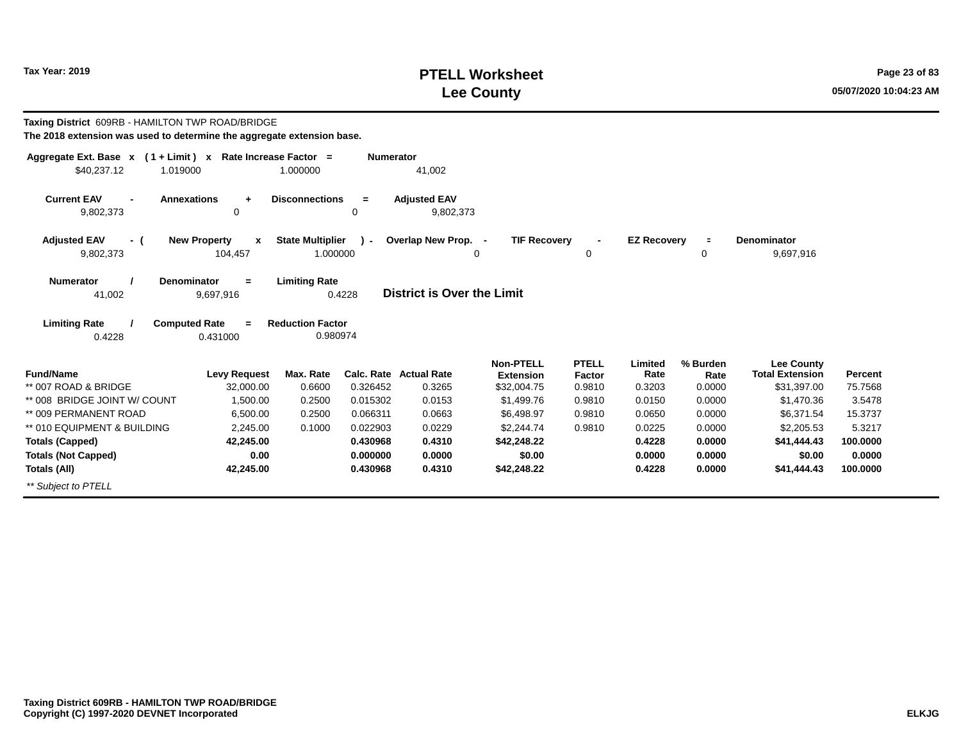## **PTELL Worksheet Tax Year: 2019 Page 23 of 83 Lee County 05/07/2020 10:04:23 AM**

| Taxing District 609RB - HAMILTON TWP ROAD/BRIDGE<br>The 2018 extension was used to determine the aggregate extension base. |                                              |                                     |                      |                                  |                                      |                        |                    |                  |                                             |                   |
|----------------------------------------------------------------------------------------------------------------------------|----------------------------------------------|-------------------------------------|----------------------|----------------------------------|--------------------------------------|------------------------|--------------------|------------------|---------------------------------------------|-------------------|
| Aggregate Ext. Base $x$ (1 + Limit) x Rate Increase Factor =                                                               |                                              |                                     | <b>Numerator</b>     |                                  |                                      |                        |                    |                  |                                             |                   |
| \$40.237.12<br>1.019000                                                                                                    |                                              | 1.000000                            |                      | 41,002                           |                                      |                        |                    |                  |                                             |                   |
| <b>Current EAV</b><br>9,802,373                                                                                            | <b>Annexations</b><br>$\ddot{}$<br>0         | <b>Disconnections</b>               | $=$<br>0             | <b>Adjusted EAV</b><br>9,802,373 |                                      |                        |                    |                  |                                             |                   |
| <b>Adjusted EAV</b><br>- (                                                                                                 | <b>New Property</b><br>$\boldsymbol{x}$      | <b>State Multiplier</b>             | $\mathcal{L}$        | Overlap New Prop. -              | <b>TIF Recovery</b>                  |                        | <b>EZ Recoverv</b> | $\equiv$         | <b>Denominator</b>                          |                   |
| 9,802,373                                                                                                                  | 104,457                                      | 1.000000                            |                      |                                  | 0                                    | 0                      |                    | 0                | 9,697,916                                   |                   |
| <b>Numerator</b><br>41,002                                                                                                 | <b>Denominator</b><br>$=$<br>9,697,916       | <b>Limiting Rate</b>                | 0.4228               | District is Over the Limit       |                                      |                        |                    |                  |                                             |                   |
| <b>Limiting Rate</b><br>0.4228                                                                                             | <b>Computed Rate</b><br>$\equiv$<br>0.431000 | <b>Reduction Factor</b><br>0.980974 |                      |                                  |                                      |                        |                    |                  |                                             |                   |
| <b>Fund/Name</b>                                                                                                           | <b>Levy Request</b>                          | Max. Rate                           |                      | <b>Calc. Rate Actual Rate</b>    | <b>Non-PTELL</b><br><b>Extension</b> | <b>PTELL</b><br>Factor | Limited<br>Rate    | % Burden<br>Rate | <b>Lee County</b><br><b>Total Extension</b> | Percent           |
| ** 007 ROAD & BRIDGE<br>** 008 BRIDGE JOINT W/ COUNT                                                                       | 32,000.00<br>1,500.00                        | 0.6600<br>0.2500                    | 0.326452<br>0.015302 | 0.3265<br>0.0153                 | \$32,004.75<br>\$1,499.76            | 0.9810<br>0.9810       | 0.3203<br>0.0150   | 0.0000<br>0.0000 | \$31,397.00<br>\$1,470.36                   | 75.7568<br>3.5478 |
| ** 009 PERMANENT ROAD                                                                                                      | 6.500.00                                     | 0.2500                              | 0.066311             | 0.0663                           | \$6.498.97                           | 0.9810                 | 0.0650             | 0.0000           | \$6.371.54                                  | 15.3737           |
| ** 010 EQUIPMENT & BUILDING                                                                                                | 2.245.00                                     | 0.1000                              | 0.022903             | 0.0229                           | \$2.244.74                           | 0.9810                 | 0.0225             | 0.0000           | \$2,205.53                                  | 5.3217            |
| <b>Totals (Capped)</b>                                                                                                     | 42.245.00                                    |                                     | 0.430968             | 0.4310                           | \$42,248.22                          |                        | 0.4228             | 0.0000           | \$41,444.43                                 | 100,0000          |
| <b>Totals (Not Capped)</b>                                                                                                 | 0.00                                         |                                     | 0.000000             | 0.0000                           | \$0.00                               |                        | 0.0000             | 0.0000           | \$0.00                                      | 0.0000            |
| <b>Totals (All)</b>                                                                                                        | 42,245.00                                    |                                     | 0.430968             | 0.4310                           | \$42,248.22                          |                        | 0.4228             | 0.0000           | \$41,444.43                                 | 100,0000          |
| ** Subject to PTELL                                                                                                        |                                              |                                     |                      |                                  |                                      |                        |                    |                  |                                             |                   |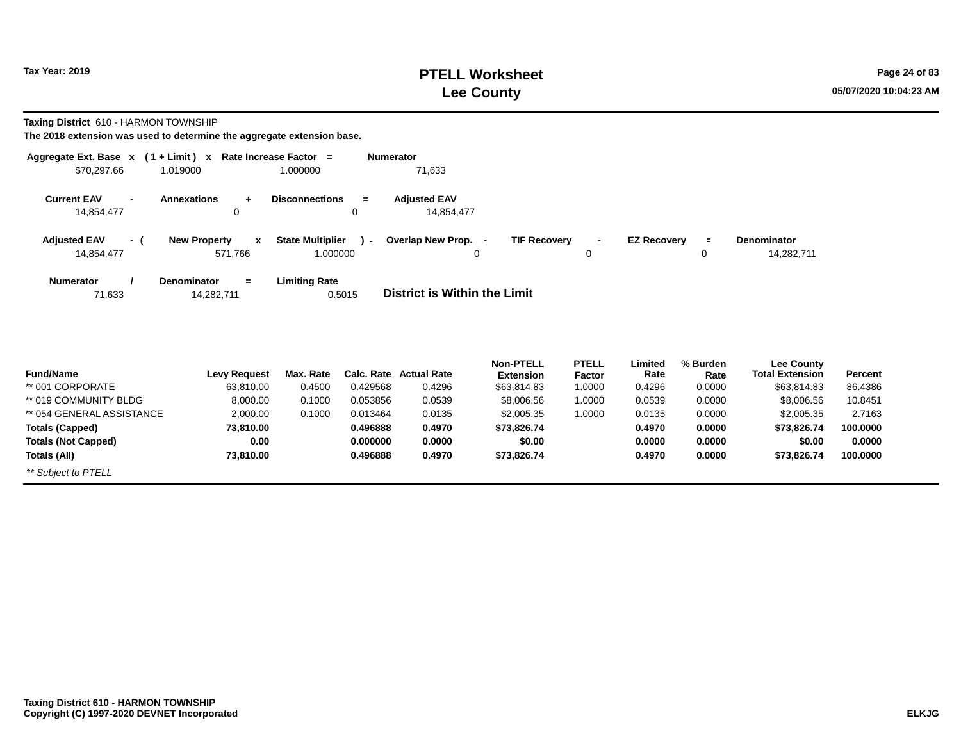#### **PTELL Worksheet Tax Year: 2019 Page 24 of 83 Lee County 05/07/2020 10:04:23 AM**

**Taxing District** 610 - HARMON TOWNSHIP

| Aggregate Ext. Base x                | $(1 + Limit)$ x Rate Increase Factor =  |                                                     | <b>Numerator</b>                                           |                                      |                                |
|--------------------------------------|-----------------------------------------|-----------------------------------------------------|------------------------------------------------------------|--------------------------------------|--------------------------------|
| \$70,297.66                          | 1.019000                                | 1.000000                                            | 71,633                                                     |                                      |                                |
| <b>Current EAV</b><br>$\blacksquare$ | <b>Annexations</b>                      | <b>Disconnections</b><br>$=$                        | <b>Adjusted EAV</b>                                        |                                      |                                |
| 14,854,477                           | 0                                       | 0                                                   | 14,854,477                                                 |                                      |                                |
| <b>Adjusted EAV</b><br>- (           | <b>New Property</b><br>$\mathbf{x}$     | <b>State Multiplier</b><br>$\overline{\phantom{a}}$ | <b>TIF Recovery</b><br>Overlap New Prop.<br>$\blacksquare$ | <b>EZ Recovery</b><br>$\blacksquare$ | <b>Denominator</b><br>$\equiv$ |
| 14,854,477                           | 571,766                                 | 1.000000                                            | 0                                                          | 0                                    | 14,282,711<br>0                |
| <b>Numerator</b><br>71,633           | <b>Denominator</b><br>$=$<br>14,282,711 | <b>Limiting Rate</b><br>0.5015                      | District is Within the Limit                               |                                      |                                |
|                                      |                                         |                                                     |                                                            |                                      |                                |

| <b>Fund/Name</b>           | <b>Levy Request</b> | Max. Rate |          | <b>Calc. Rate Actual Rate</b> | <b>Non-PTELL</b><br><b>Extension</b> | <b>PTELL</b><br>Factor | Limited<br>Rate | % Burden<br>Rate | <b>Lee County</b><br><b>Total Extension</b> | <b>Percent</b> |
|----------------------------|---------------------|-----------|----------|-------------------------------|--------------------------------------|------------------------|-----------------|------------------|---------------------------------------------|----------------|
| ** 001 CORPORATE           | 63,810.00           | 0.4500    | 0.429568 | 0.4296                        | \$63,814.83                          | 1.0000                 | 0.4296          | 0.0000           | \$63,814.83                                 | 86.4386        |
| ** 019 COMMUNITY BLDG      | 8,000.00            | 0.1000    | 0.053856 | 0.0539                        | \$8,006.56                           | 1.0000                 | 0.0539          | 0.0000           | \$8,006.56                                  | 10.8451        |
| ** 054 GENERAL ASSISTANCE  | 2,000.00            | 0.1000    | 0.013464 | 0.0135                        | \$2,005.35                           | 0000.1                 | 0.0135          | 0.0000           | \$2,005.35                                  | 2.7163         |
| <b>Totals (Capped)</b>     | 73,810.00           |           | 0.496888 | 0.4970                        | \$73.826.74                          |                        | 0.4970          | 0.0000           | \$73,826,74                                 | 100.0000       |
| <b>Totals (Not Capped)</b> | 0.00                |           | 0.000000 | 0.0000                        | \$0.00                               |                        | 0.0000          | 0.0000           | \$0.00                                      | 0.0000         |
| Totals (All)               | 73,810.00           |           | 0.496888 | 0.4970                        | \$73,826.74                          |                        | 0.4970          | 0.0000           | \$73,826.74                                 | 100.0000       |
| ** Subject to PTELL        |                     |           |          |                               |                                      |                        |                 |                  |                                             |                |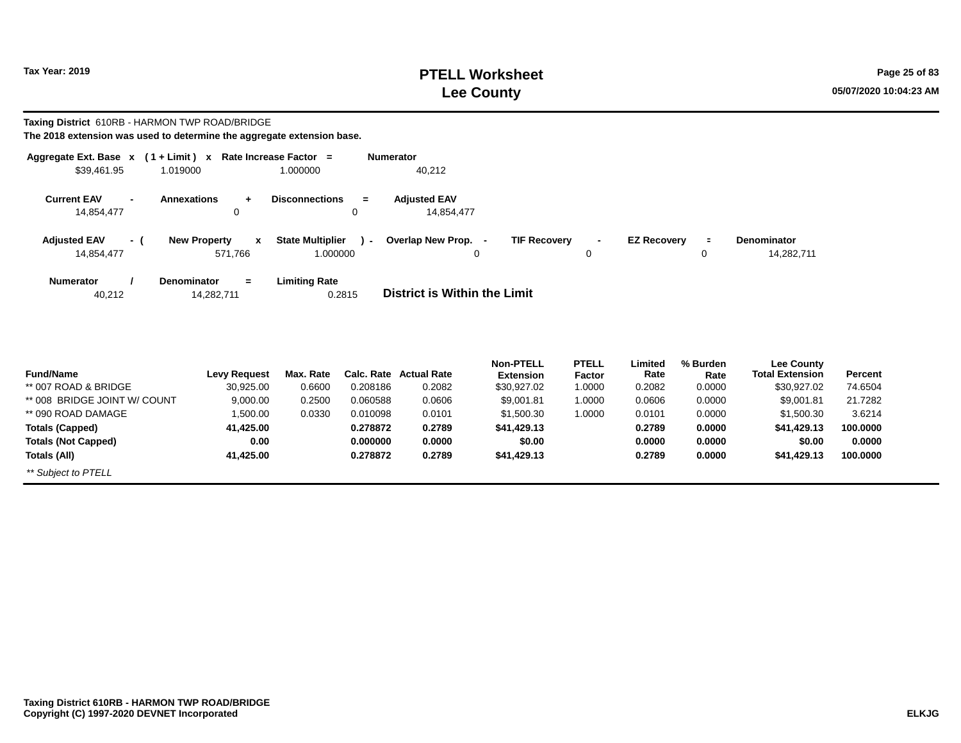## **PTELL Worksheet Tax Year: 2019 Page 25 of 83 Lee County 05/07/2020 10:04:23 AM**

**Taxing District** 610RB - HARMON TWP ROAD/BRIDGE

| Aggregate Ext. Base $x$ (1 + Limit) $x$        |                                  | Rate Increase Factor = |                                | <b>Numerator</b>                                |   |                     |        |                    |                |                    |  |
|------------------------------------------------|----------------------------------|------------------------|--------------------------------|-------------------------------------------------|---|---------------------|--------|--------------------|----------------|--------------------|--|
| \$39,461.95                                    | 1.019000                         |                        | 1.000000                       | 40,212                                          |   |                     |        |                    |                |                    |  |
| <b>Current EAV</b><br>$\overline{\phantom{0}}$ | <b>Annexations</b>               | $+$                    | <b>Disconnections</b>          | <b>Adiusted EAV</b><br>$\equiv$                 |   |                     |        |                    |                |                    |  |
| 14,854,477                                     |                                  | 0                      | 0                              | 14,854,477                                      |   |                     |        |                    |                |                    |  |
| <b>Adjusted EAV</b>                            | <b>New Property</b><br>- 1       | $\mathbf{x}$           | <b>State Multiplier</b>        | Overlap New Prop. -<br>$\overline{\phantom{0}}$ |   | <b>TIF Recovery</b> | $\sim$ | <b>EZ Recovery</b> | $\blacksquare$ | <b>Denominator</b> |  |
| 14,854,477                                     |                                  | 571.766                | 1.000000                       |                                                 | 0 |                     | 0      |                    | 0              | 14,282,711         |  |
| <b>Numerator</b><br>40,212                     | <b>Denominator</b><br>14,282,711 | $=$                    | <b>Limiting Rate</b><br>0.2815 | District is Within the Limit                    |   |                     |        |                    |                |                    |  |

|                              |                     |           |          |                        | <b>Non-PTELL</b> | <b>PTELL</b>  | Limited | % Burden | <b>Lee County</b>      |                |
|------------------------------|---------------------|-----------|----------|------------------------|------------------|---------------|---------|----------|------------------------|----------------|
| <b>Fund/Name</b>             | <b>Levy Request</b> | Max. Rate |          | Calc. Rate Actual Rate | <b>Extension</b> | <b>Factor</b> | Rate    | Rate     | <b>Total Extension</b> | <b>Percent</b> |
| ** 007 ROAD & BRIDGE         | 30,925.00           | 0.6600    | 0.208186 | 0.2082                 | \$30,927.02      | 1.0000        | 0.2082  | 0.0000   | \$30,927.02            | 74.6504        |
| ** 008 BRIDGE JOINT W/ COUNT | 9,000.00            | 0.2500    | 0.060588 | 0.0606                 | \$9,001.81       | 1.0000        | 0.0606  | 0.0000   | \$9,001.81             | 21.7282        |
| ** 090 ROAD DAMAGE           | 1,500.00            | 0.0330    | 0.010098 | 0.0101                 | \$1,500.30       | 1.0000        | 0.0101  | 0.0000   | \$1.500.30             | 3.6214         |
| Totals (Capped)              | 41.425.00           |           | 0.278872 | 0.2789                 | \$41,429.13      |               | 0.2789  | 0.0000   | \$41,429.13            | 100,0000       |
| <b>Totals (Not Capped)</b>   | 0.00                |           | 0.000000 | 0.0000                 | \$0.00           |               | 0.0000  | 0.0000   | \$0.00                 | 0.0000         |
| Totals (All)                 | 41.425.00           |           | 0.278872 | 0.2789                 | \$41,429.13      |               | 0.2789  | 0.0000   | \$41,429.13            | 100,0000       |
| ** Subject to PTELL          |                     |           |          |                        |                  |               |         |          |                        |                |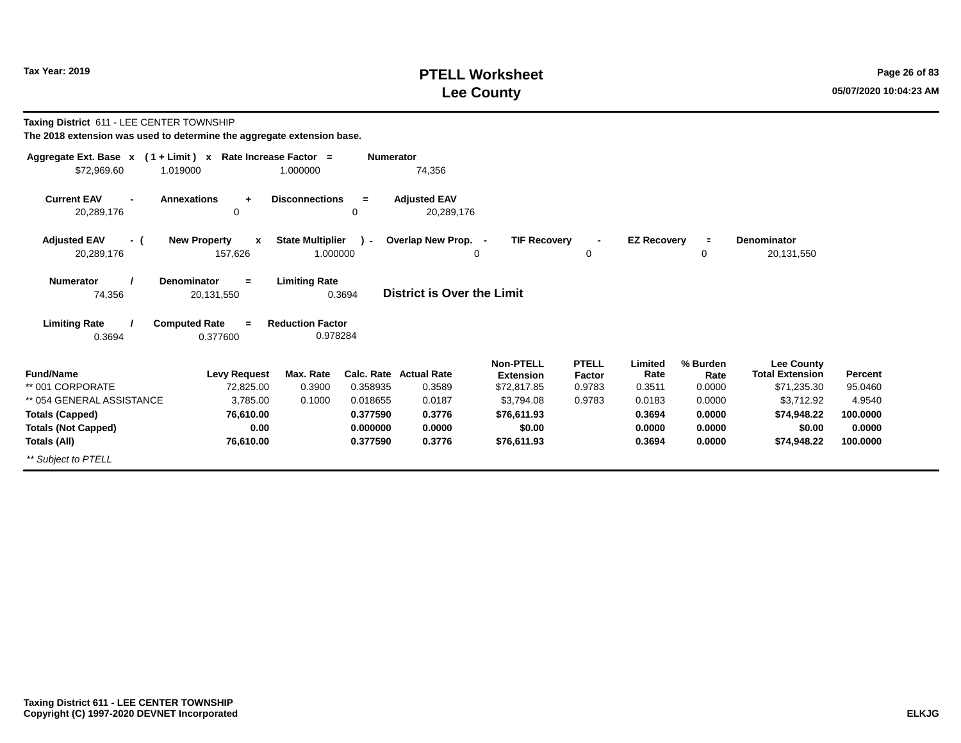#### **PTELL Worksheet Tax Year: 2019 Page 26 of 83 Lee County 05/07/2020 10:04:23 AM**

**Taxing District** 611 - LEE CENTER TOWNSHIP

| Aggregate Ext. Base $x$ (1 + Limit) x Rate Increase Factor = |                                      |                         | <b>Numerator</b> |                                   |                     |              |                    |          |                        |          |
|--------------------------------------------------------------|--------------------------------------|-------------------------|------------------|-----------------------------------|---------------------|--------------|--------------------|----------|------------------------|----------|
| \$72,969.60                                                  | 1.019000                             | 1.000000                |                  | 74,356                            |                     |              |                    |          |                        |          |
| <b>Current EAV</b><br>$\blacksquare$<br>20,289,176           | <b>Annexations</b><br>$\ddot{}$<br>0 | <b>Disconnections</b>   | $=$<br>0         | <b>Adjusted EAV</b><br>20,289,176 |                     |              |                    |          |                        |          |
|                                                              |                                      |                         |                  |                                   |                     |              |                    |          |                        |          |
| <b>Adjusted EAV</b><br>- (                                   | <b>New Property</b><br>$\mathbf{x}$  | <b>State Multiplier</b> | $\lambda$ -      | Overlap New Prop. -               | <b>TIF Recovery</b> |              | <b>EZ Recovery</b> | $\equiv$ | <b>Denominator</b>     |          |
| 20,289,176                                                   | 157,626                              | 1.000000                |                  | 0                                 |                     | 0            |                    | 0        | 20,131,550             |          |
| <b>Numerator</b>                                             | <b>Denominator</b><br>$=$            | <b>Limiting Rate</b>    |                  |                                   |                     |              |                    |          |                        |          |
| 74,356                                                       | 20,131,550                           | 0.3694                  |                  | <b>District is Over the Limit</b> |                     |              |                    |          |                        |          |
| <b>Limiting Rate</b>                                         | <b>Computed Rate</b><br>$\equiv$     | <b>Reduction Factor</b> |                  |                                   |                     |              |                    |          |                        |          |
| 0.3694                                                       | 0.377600                             | 0.978284                |                  |                                   |                     |              |                    |          |                        |          |
|                                                              |                                      |                         |                  |                                   | <b>Non-PTELL</b>    | <b>PTELL</b> | Limited            | % Burden | Lee County             |          |
| <b>Fund/Name</b>                                             | <b>Levy Request</b>                  | Max. Rate               |                  | <b>Calc. Rate Actual Rate</b>     | <b>Extension</b>    | Factor       | Rate               | Rate     | <b>Total Extension</b> | Percent  |
| ** 001 CORPORATE                                             | 72,825.00                            | 0.3900                  | 0.358935         | 0.3589                            | \$72,817.85         | 0.9783       | 0.3511             | 0.0000   | \$71,235.30            | 95.0460  |
| ** 054 GENERAL ASSISTANCE                                    | 3,785.00                             | 0.1000                  | 0.018655         | 0.0187                            | \$3,794.08          | 0.9783       | 0.0183             | 0.0000   | \$3,712.92             | 4.9540   |
| <b>Totals (Capped)</b>                                       | 76,610.00                            |                         | 0.377590         | 0.3776                            | \$76,611.93         |              | 0.3694             | 0.0000   | \$74,948.22            | 100.0000 |
| <b>Totals (Not Capped)</b>                                   | 0.00                                 |                         | 0.000000         | 0.0000                            | \$0.00              |              | 0.0000             | 0.0000   | \$0.00                 | 0.0000   |
| Totals (All)                                                 | 76,610.00                            |                         | 0.377590         | 0.3776                            | \$76,611.93         |              | 0.3694             | 0.0000   | \$74,948.22            | 100.0000 |
| ** Subject to PTELL                                          |                                      |                         |                  |                                   |                     |              |                    |          |                        |          |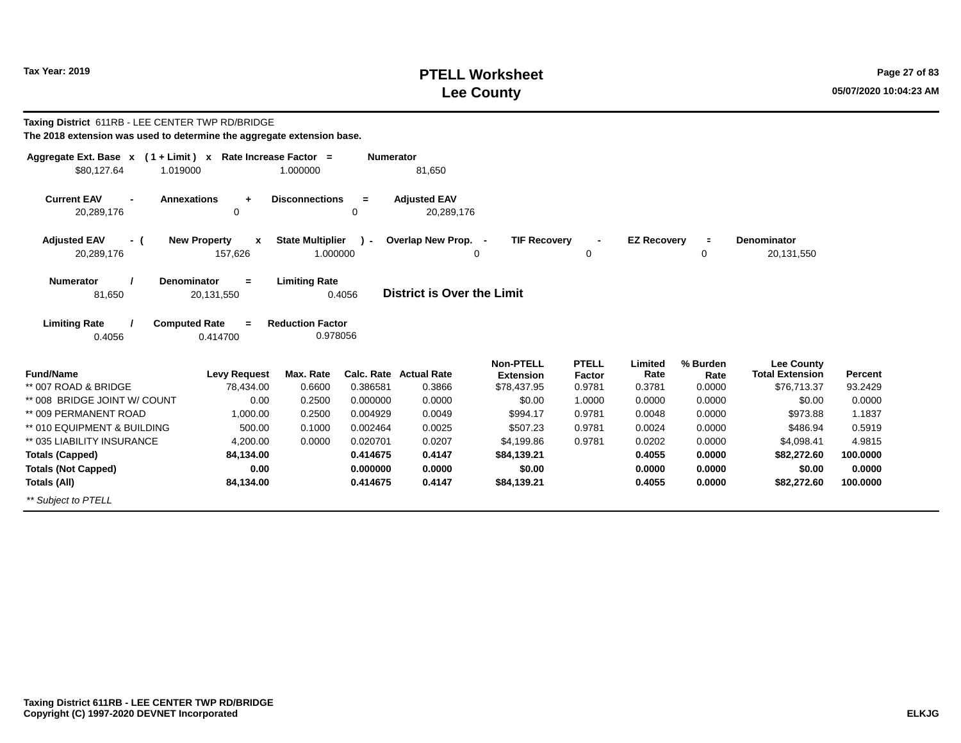# **PTELL Worksheet Tax Year: 2019 Page 27 of 83 Lee County 05/07/2020 10:04:23 AM**

| Taxing District 611RB - LEE CENTER TWP RD/BRIDGE<br>The 2018 extension was used to determine the aggregate extension base. |                                                    |                                     |                  |                                         |                                                     |                                         |                           |                            |                                                            |                    |
|----------------------------------------------------------------------------------------------------------------------------|----------------------------------------------------|-------------------------------------|------------------|-----------------------------------------|-----------------------------------------------------|-----------------------------------------|---------------------------|----------------------------|------------------------------------------------------------|--------------------|
| Aggregate Ext. Base $x$ (1 + Limit) x Rate Increase Factor =<br>\$80,127.64<br>1.019000                                    |                                                    | 1.000000                            | <b>Numerator</b> | 81,650                                  |                                                     |                                         |                           |                            |                                                            |                    |
| <b>Current EAV</b><br><b>Annexations</b><br>$\blacksquare$<br>20,289,176                                                   | $\ddot{}$<br>$\mathbf 0$                           | <b>Disconnections</b>               | $=$<br>0         | <b>Adjusted EAV</b><br>20,289,176       |                                                     |                                         |                           |                            |                                                            |                    |
| <b>Adjusted EAV</b><br>- (<br>20,289,176                                                                                   | <b>New Property</b><br>$\boldsymbol{x}$<br>157,626 | <b>State Multiplier</b><br>1.000000 | $\lambda$ -      | Overlap New Prop. -                     | <b>TIF Recovery</b><br>$\Omega$                     | 0                                       | <b>EZ Recovery</b>        | $\equiv$<br>0              | <b>Denominator</b><br>20,131,550                           |                    |
| <b>Denominator</b><br><b>Numerator</b><br>81,650                                                                           | $=$<br>20,131,550                                  | <b>Limiting Rate</b><br>0.4056      |                  | <b>District is Over the Limit</b>       |                                                     |                                         |                           |                            |                                                            |                    |
| <b>Limiting Rate</b><br><b>Computed Rate</b><br>0.4056                                                                     | $=$<br>0.414700                                    | <b>Reduction Factor</b><br>0.978056 |                  |                                         |                                                     |                                         |                           |                            |                                                            |                    |
| <b>Fund/Name</b><br>** 007 ROAD & BRIDGE                                                                                   | <b>Levy Request</b><br>78,434.00                   | Max. Rate<br>0.6600                 | 0.386581         | <b>Calc. Rate Actual Rate</b><br>0.3866 | <b>Non-PTELL</b><br><b>Extension</b><br>\$78,437.95 | <b>PTELL</b><br><b>Factor</b><br>0.9781 | Limited<br>Rate<br>0.3781 | % Burden<br>Rate<br>0.0000 | <b>Lee County</b><br><b>Total Extension</b><br>\$76,713.37 | Percent<br>93.2429 |
| ** 008 BRIDGE JOINT W/ COUNT                                                                                               | 0.00                                               | 0.2500                              | 0.000000         | 0.0000                                  | \$0.00                                              | 1.0000                                  | 0.0000                    | 0.0000                     | \$0.00                                                     | 0.0000             |
| ** 009 PERMANENT ROAD                                                                                                      | 1,000.00                                           | 0.2500                              | 0.004929         | 0.0049                                  | \$994.17                                            | 0.9781                                  | 0.0048                    | 0.0000                     | \$973.88                                                   | 1.1837             |
| ** 010 EQUIPMENT & BUILDING                                                                                                | 500.00                                             | 0.1000                              | 0.002464         | 0.0025                                  | \$507.23                                            | 0.9781                                  | 0.0024                    | 0.0000                     | \$486.94                                                   | 0.5919             |
| ** 035 LIABILITY INSURANCE                                                                                                 | 4,200.00                                           | 0.0000                              | 0.020701         | 0.0207                                  | \$4,199.86                                          | 0.9781                                  | 0.0202                    | 0.0000                     | \$4,098.41                                                 | 4.9815             |
| <b>Totals (Capped)</b>                                                                                                     | 84,134.00                                          |                                     | 0.414675         | 0.4147                                  | \$84,139.21                                         |                                         | 0.4055                    | 0.0000                     | \$82,272.60                                                | 100,0000           |
| <b>Totals (Not Capped)</b>                                                                                                 | 0.00                                               |                                     | 0.000000         | 0.0000                                  | \$0.00                                              |                                         | 0.0000                    | 0.0000                     | \$0.00                                                     | 0.0000             |
| Totals (All)                                                                                                               | 84,134.00                                          |                                     | 0.414675         | 0.4147                                  | \$84,139.21                                         |                                         | 0.4055                    | 0.0000                     | \$82,272.60                                                | 100.0000           |
| ** Subject to PTELL                                                                                                        |                                                    |                                     |                  |                                         |                                                     |                                         |                           |                            |                                                            |                    |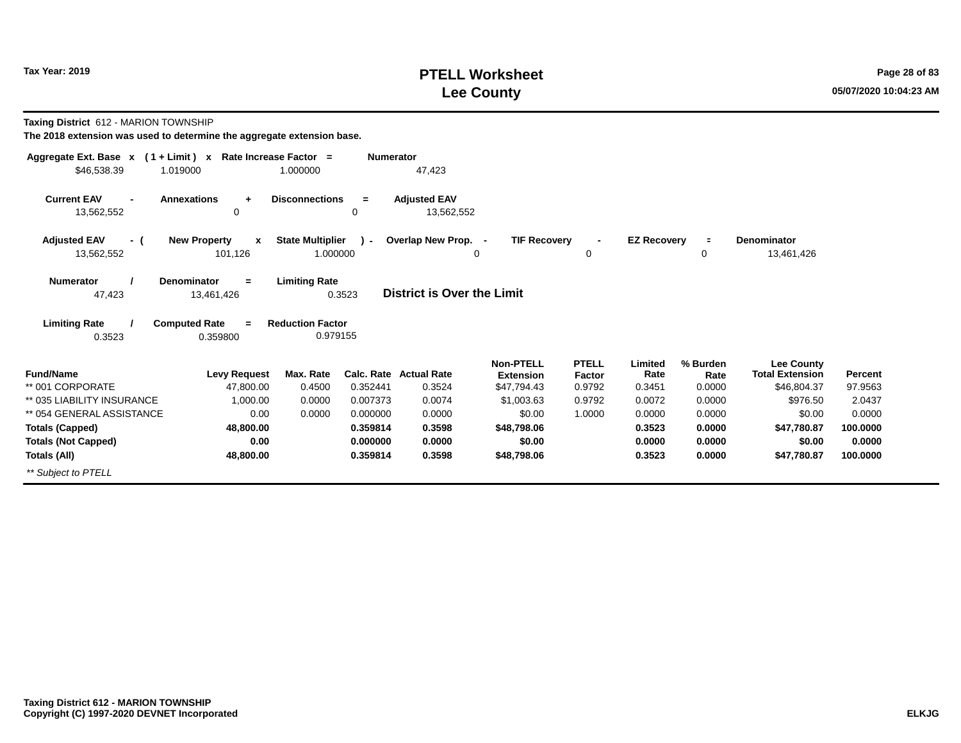# **PTELL Worksheet Tax Year: 2019 Page 28 of 83 Lee County 05/07/2020 10:04:23 AM**

**Taxing District** 612 - MARION TOWNSHIP

| Aggregate Ext. Base $x$ (1 + Limit) $x$        | Rate Increase Factor =               |                         | <b>Numerator</b> |                                   |                     |              |                    |          |                        |                |
|------------------------------------------------|--------------------------------------|-------------------------|------------------|-----------------------------------|---------------------|--------------|--------------------|----------|------------------------|----------------|
| \$46,538.39<br>1.019000                        |                                      | 1.000000                |                  | 47,423                            |                     |              |                    |          |                        |                |
| <b>Current EAV</b><br>$\overline{\phantom{0}}$ | <b>Annexations</b><br>$\ddot{}$<br>0 | <b>Disconnections</b>   | $=$<br>0         | <b>Adjusted EAV</b>               |                     |              |                    |          |                        |                |
| 13,562,552                                     |                                      |                         |                  | 13,562,552                        |                     |              |                    |          |                        |                |
| <b>Adjusted EAV</b><br>- (                     | <b>New Property</b><br>$\mathbf{x}$  | <b>State Multiplier</b> | $\mathcal{L}$    | Overlap New Prop. -               | <b>TIF Recovery</b> |              | <b>EZ Recovery</b> | $\equiv$ | Denominator            |                |
| 13,562,552                                     | 101,126                              | 1.000000                |                  |                                   | 0                   | 0            |                    | 0        | 13,461,426             |                |
| <b>Numerator</b>                               | <b>Denominator</b><br>$=$            | <b>Limiting Rate</b>    |                  |                                   |                     |              |                    |          |                        |                |
| 47,423                                         | 13,461,426                           | 0.3523                  |                  | <b>District is Over the Limit</b> |                     |              |                    |          |                        |                |
| <b>Limiting Rate</b>                           | <b>Computed Rate</b><br>$=$          | <b>Reduction Factor</b> |                  |                                   |                     |              |                    |          |                        |                |
| 0.3523                                         | 0.359800                             | 0.979155                |                  |                                   |                     |              |                    |          |                        |                |
|                                                |                                      |                         |                  |                                   | <b>Non-PTELL</b>    | <b>PTELL</b> | Limited            | % Burden | <b>Lee County</b>      |                |
| <b>Fund/Name</b>                               | <b>Levy Request</b>                  | Max. Rate               |                  | Calc. Rate Actual Rate            | <b>Extension</b>    | Factor       | Rate               | Rate     | <b>Total Extension</b> | <b>Percent</b> |
| ** 001 CORPORATE                               | 47,800.00                            | 0.4500                  | 0.352441         | 0.3524                            | \$47,794.43         | 0.9792       | 0.3451             | 0.0000   | \$46,804.37            | 97.9563        |
| ** 035 LIABILITY INSURANCE                     | 1,000.00                             | 0.0000                  | 0.007373         | 0.0074                            | \$1,003.63          | 0.9792       | 0.0072             | 0.0000   | \$976.50               | 2.0437         |
| ** 054 GENERAL ASSISTANCE                      | 0.00                                 | 0.0000                  | 0.000000         | 0.0000                            | \$0.00              | 1.0000       | 0.0000             | 0.0000   | \$0.00                 | 0.0000         |
| <b>Totals (Capped)</b>                         | 48,800.00                            |                         | 0.359814         | 0.3598                            | \$48,798.06         |              | 0.3523             | 0.0000   | \$47,780.87            | 100.0000       |
| <b>Totals (Not Capped)</b>                     | 0.00                                 |                         | 0.000000         | 0.0000                            | \$0.00              |              | 0.0000             | 0.0000   | \$0.00                 | 0.0000         |
| Totals (All)                                   | 48,800.00                            |                         | 0.359814         | 0.3598                            | \$48,798.06         |              | 0.3523             | 0.0000   | \$47,780.87            | 100.0000       |
| ** Subiect to PTELL                            |                                      |                         |                  |                                   |                     |              |                    |          |                        |                |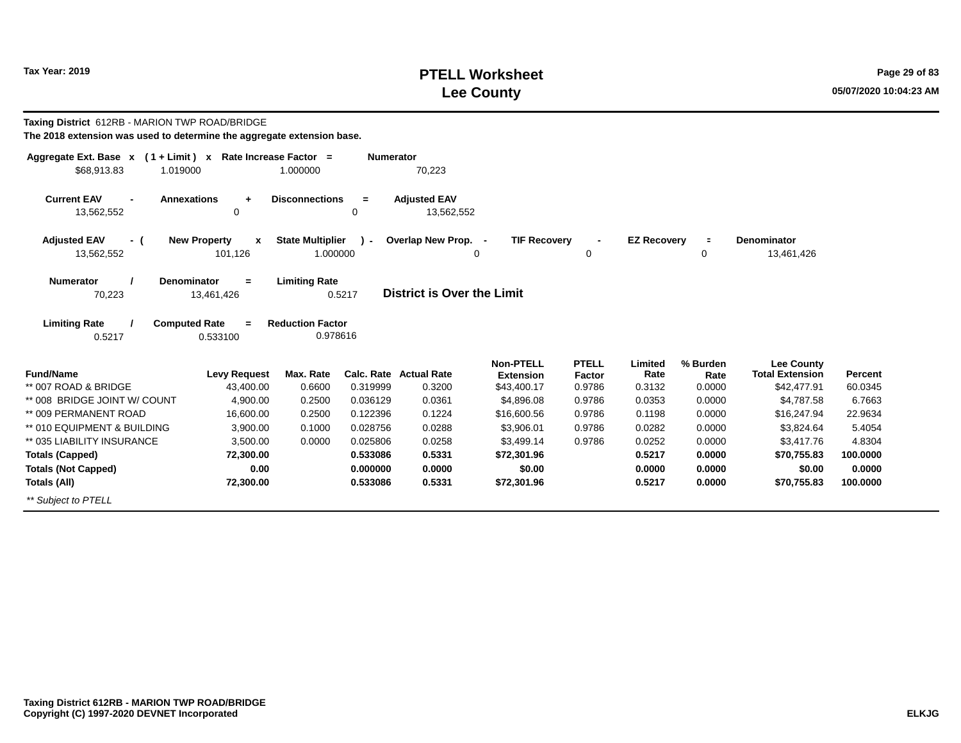### **PTELL Worksheet Tax Year: 2019 Page 29 of 83 Lee County 05/07/2020 10:04:23 AM**

| Taxing District 612RB - MARION TWP ROAD/BRIDGE<br>The 2018 extension was used to determine the aggregate extension base. |                                                |                                     |                  |                                         |                                                     |                                  |                           |                            |                                                            |                    |
|--------------------------------------------------------------------------------------------------------------------------|------------------------------------------------|-------------------------------------|------------------|-----------------------------------------|-----------------------------------------------------|----------------------------------|---------------------------|----------------------------|------------------------------------------------------------|--------------------|
| Aggregate Ext. Base $x$ (1 + Limit) x Rate Increase Factor =<br>\$68,913.83<br>1.019000                                  |                                                | 1.000000                            | <b>Numerator</b> | 70,223                                  |                                                     |                                  |                           |                            |                                                            |                    |
| <b>Current EAV</b><br><b>Annexations</b><br>13,562,552                                                                   | ÷<br>0                                         | <b>Disconnections</b>               | $=$<br>0         | <b>Adjusted EAV</b><br>13,562,552       |                                                     |                                  |                           |                            |                                                            |                    |
| <b>Adjusted EAV</b><br>- (<br>13,562,552                                                                                 | <b>New Property</b><br>$\mathbf{x}$<br>101,126 | <b>State Multiplier</b><br>1.000000 | $\overline{ }$   | Overlap New Prop. -                     | <b>TIF Recovery</b><br>0                            | 0                                | <b>EZ Recovery</b>        | $\equiv$<br>0              | <b>Denominator</b><br>13,461,426                           |                    |
| <b>Numerator</b><br><b>Denominator</b><br>70,223                                                                         | $=$<br>13,461,426                              | <b>Limiting Rate</b>                | 0.5217           | District is Over the Limit              |                                                     |                                  |                           |                            |                                                            |                    |
| <b>Limiting Rate</b><br><b>Computed Rate</b><br>0.5217                                                                   | $\equiv$<br>0.533100                           | <b>Reduction Factor</b><br>0.978616 |                  |                                         |                                                     |                                  |                           |                            |                                                            |                    |
| <b>Fund/Name</b><br>** 007 ROAD & BRIDGE                                                                                 | <b>Levy Request</b><br>43,400.00               | Max. Rate<br>0.6600                 | 0.319999         | <b>Calc. Rate Actual Rate</b><br>0.3200 | <b>Non-PTELL</b><br><b>Extension</b><br>\$43,400.17 | <b>PTELL</b><br>Factor<br>0.9786 | Limited<br>Rate<br>0.3132 | % Burden<br>Rate<br>0.0000 | <b>Lee County</b><br><b>Total Extension</b><br>\$42,477.91 | Percent<br>60.0345 |
| ** 008 BRIDGE JOINT W/ COUNT                                                                                             | 4,900.00                                       | 0.2500                              | 0.036129         | 0.0361                                  | \$4,896.08                                          | 0.9786                           | 0.0353                    | 0.0000                     | \$4,787.58                                                 | 6.7663             |
| ** 009 PERMANENT ROAD                                                                                                    | 16,600.00                                      | 0.2500                              | 0.122396         | 0.1224                                  | \$16,600.56                                         | 0.9786                           | 0.1198                    | 0.0000                     | \$16,247.94                                                | 22.9634            |
| ** 010 EQUIPMENT & BUILDING                                                                                              | 3,900.00                                       | 0.1000                              | 0.028756         | 0.0288                                  | \$3,906.01                                          | 0.9786                           | 0.0282                    | 0.0000                     | \$3,824.64                                                 | 5.4054             |
| ** 035 LIABILITY INSURANCE                                                                                               | 3,500.00                                       | 0.0000                              | 0.025806         | 0.0258                                  | \$3,499.14                                          | 0.9786                           | 0.0252                    | 0.0000                     | \$3,417.76                                                 | 4.8304             |
| <b>Totals (Capped)</b>                                                                                                   | 72,300.00                                      |                                     | 0.533086         | 0.5331                                  | \$72,301.96                                         |                                  | 0.5217                    | 0.0000                     | \$70,755.83                                                | 100.0000           |
| <b>Totals (Not Capped)</b>                                                                                               | 0.00                                           |                                     | 0.000000         | 0.0000                                  | \$0.00                                              |                                  | 0.0000                    | 0.0000                     | \$0.00                                                     | 0.0000             |
| Totals (All)                                                                                                             | 72,300.00                                      |                                     | 0.533086         | 0.5331                                  | \$72,301.96                                         |                                  | 0.5217                    | 0.0000                     | \$70,755.83                                                | 100.0000           |
| ** Subject to PTELL                                                                                                      |                                                |                                     |                  |                                         |                                                     |                                  |                           |                            |                                                            |                    |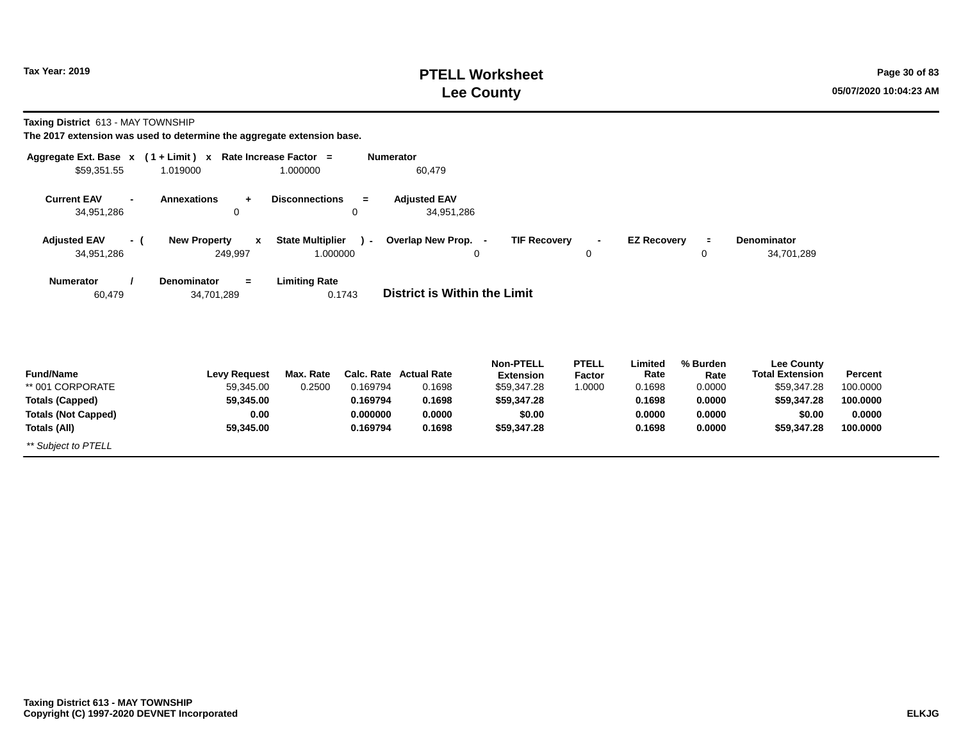# **PTELL Worksheet Tax Year: 2019 Page 30 of 83 Lee County 05/07/2020 10:04:23 AM**

**Taxing District** 613 - MAY TOWNSHIP

| Aggregate Ext. Base $x$ (1+Limit) $x$<br>\$59,351.55                                                                                    | 1.019000                                       | Rate Increase Factor =<br>1.000000  | <b>Numerator</b> | 60,479                            |                                      |                        |                    |                  |                                             |          |  |
|-----------------------------------------------------------------------------------------------------------------------------------------|------------------------------------------------|-------------------------------------|------------------|-----------------------------------|--------------------------------------|------------------------|--------------------|------------------|---------------------------------------------|----------|--|
| <b>Current EAV</b><br>$\blacksquare$<br>34,951,286                                                                                      | <b>Annexations</b><br>$\ddot{}$<br>0           | <b>Disconnections</b>               | $=$<br>0         | <b>Adjusted EAV</b><br>34,951,286 |                                      |                        |                    |                  |                                             |          |  |
| <b>Adjusted EAV</b><br>- (<br>34,951,286                                                                                                | <b>New Property</b><br>$\mathbf{x}$<br>249,997 | <b>State Multiplier</b><br>1.000000 | $\lambda$ -      | Overlap New Prop. -<br>0          | <b>TIF Recovery</b>                  | $\blacksquare$<br>0    | <b>EZ Recovery</b> | $\equiv$<br>0    | Denominator<br>34,701,289                   |          |  |
| <b>Denominator</b><br><b>Limiting Rate</b><br><b>Numerator</b><br>$=$<br>District is Within the Limit<br>34,701,289<br>0.1743<br>60,479 |                                                |                                     |                  |                                   |                                      |                        |                    |                  |                                             |          |  |
| <b>Fund/Name</b>                                                                                                                        | <b>Levy Request</b>                            | Max. Rate                           |                  | <b>Calc. Rate Actual Rate</b>     | <b>Non-PTELL</b><br><b>Extension</b> | <b>PTELL</b><br>Factor | Limited<br>Rate    | % Burden<br>Rate | <b>Lee County</b><br><b>Total Extension</b> | Percent  |  |
| ** 001 CORPORATE                                                                                                                        | 59,345.00                                      | 0.2500                              | 0.169794         | 0.1698                            | \$59,347.28                          | 1.0000                 | 0.1698             | 0.0000           | \$59,347.28                                 | 100.0000 |  |
| <b>Totals (Capped)</b>                                                                                                                  | 59,345.00                                      |                                     | 0.169794         | 0.1698                            | \$59,347.28                          |                        | 0.1698             | 0.0000           | \$59,347.28                                 | 100.0000 |  |
| <b>Totals (Not Capped)</b>                                                                                                              | 0.00                                           |                                     | 0.000000         | 0.0000                            | \$0.00                               |                        | 0.0000             | 0.0000           | \$0.00                                      | 0.0000   |  |
| Totals (All)                                                                                                                            | 59,345.00                                      |                                     | 0.169794         | 0.1698                            | \$59,347.28                          |                        | 0.1698             | 0.0000           | \$59,347.28                                 | 100.0000 |  |
| ** Subject to PTELL                                                                                                                     |                                                |                                     |                  |                                   |                                      |                        |                    |                  |                                             |          |  |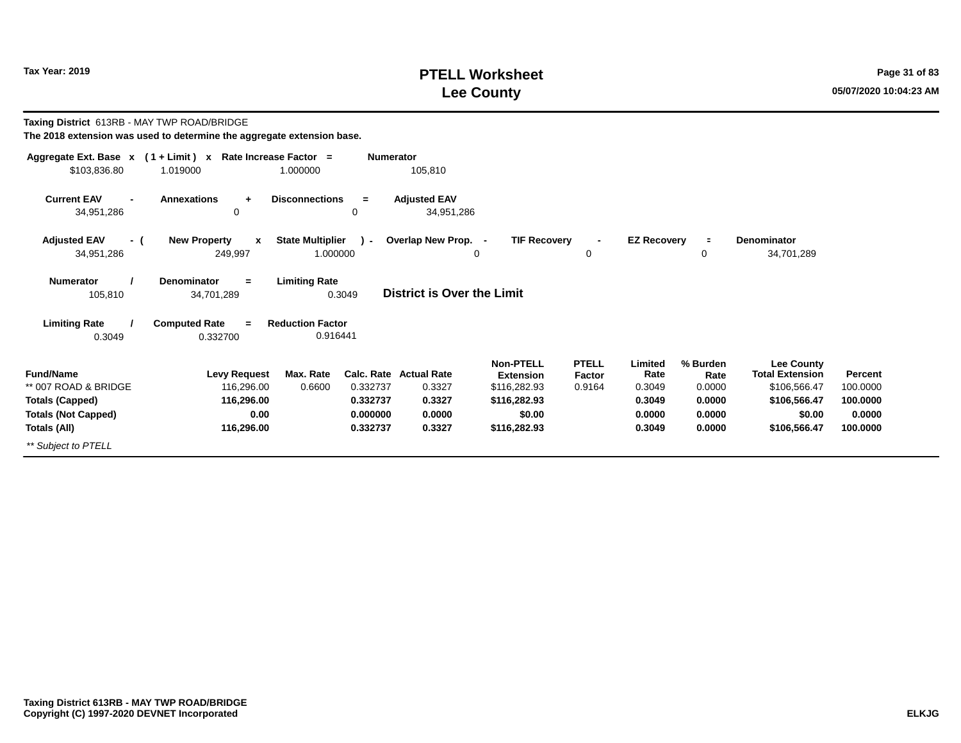# **PTELL Worksheet Tax Year: 2019 Page 31 of 83 Lee County 05/07/2020 10:04:23 AM**

| Taxing District 613RB - MAY TWP ROAD/BRIDGE                                                                             |                                                                       |                                     |                                              |                                                                       |                                                                                         |                                  |                                                         |                                                          |                                                                                                       |                                                       |
|-------------------------------------------------------------------------------------------------------------------------|-----------------------------------------------------------------------|-------------------------------------|----------------------------------------------|-----------------------------------------------------------------------|-----------------------------------------------------------------------------------------|----------------------------------|---------------------------------------------------------|----------------------------------------------------------|-------------------------------------------------------------------------------------------------------|-------------------------------------------------------|
| The 2018 extension was used to determine the aggregate extension base.                                                  |                                                                       |                                     |                                              |                                                                       |                                                                                         |                                  |                                                         |                                                          |                                                                                                       |                                                       |
| Aggregate Ext. Base x (1+Limit) x Rate Increase Factor =<br>\$103,836.80                                                | 1.019000                                                              | 1.000000                            | <b>Numerator</b>                             | 105,810                                                               |                                                                                         |                                  |                                                         |                                                          |                                                                                                       |                                                       |
| <b>Current EAV</b><br>$\blacksquare$<br>34,951,286                                                                      | <b>Annexations</b><br>$\ddot{}$<br>$\mathbf 0$                        | <b>Disconnections</b>               | $=$<br>0                                     | <b>Adjusted EAV</b><br>34,951,286                                     |                                                                                         |                                  |                                                         |                                                          |                                                                                                       |                                                       |
| <b>Adjusted EAV</b><br>- (<br>34,951,286                                                                                | <b>New Property</b><br>$\mathbf{x}$<br>249,997                        | <b>State Multiplier</b><br>1.000000 | $\mathbf{r}$                                 | Overlap New Prop. -                                                   | <b>TIF Recovery</b><br>0                                                                | 0                                | <b>EZ Recovery</b>                                      | $\equiv$<br>0                                            | <b>Denominator</b><br>34,701,289                                                                      |                                                       |
| <b>Numerator</b><br>105,810                                                                                             | <b>Denominator</b><br>$=$<br>34,701,289                               | <b>Limiting Rate</b>                | 0.3049                                       | <b>District is Over the Limit</b>                                     |                                                                                         |                                  |                                                         |                                                          |                                                                                                       |                                                       |
| <b>Limiting Rate</b><br>0.3049                                                                                          | <b>Computed Rate</b><br>$\equiv$<br>0.332700                          | <b>Reduction Factor</b><br>0.916441 |                                              |                                                                       |                                                                                         |                                  |                                                         |                                                          |                                                                                                       |                                                       |
| <b>Fund/Name</b><br>** 007 ROAD & BRIDGE<br><b>Totals (Capped)</b><br><b>Totals (Not Capped)</b><br><b>Totals (All)</b> | <b>Levy Request</b><br>116,296.00<br>116,296.00<br>0.00<br>116,296.00 | Max. Rate<br>0.6600                 | 0.332737<br>0.332737<br>0.000000<br>0.332737 | <b>Calc. Rate Actual Rate</b><br>0.3327<br>0.3327<br>0.0000<br>0.3327 | Non-PTELL<br><b>Extension</b><br>\$116,282.93<br>\$116,282.93<br>\$0.00<br>\$116,282.93 | <b>PTELL</b><br>Factor<br>0.9164 | Limited<br>Rate<br>0.3049<br>0.3049<br>0.0000<br>0.3049 | % Burden<br>Rate<br>0.0000<br>0.0000<br>0.0000<br>0.0000 | <b>Lee County</b><br><b>Total Extension</b><br>\$106,566.47<br>\$106,566.47<br>\$0.00<br>\$106,566.47 | Percent<br>100.0000<br>100.0000<br>0.0000<br>100.0000 |
| ** Subject to PTELL                                                                                                     |                                                                       |                                     |                                              |                                                                       |                                                                                         |                                  |                                                         |                                                          |                                                                                                       |                                                       |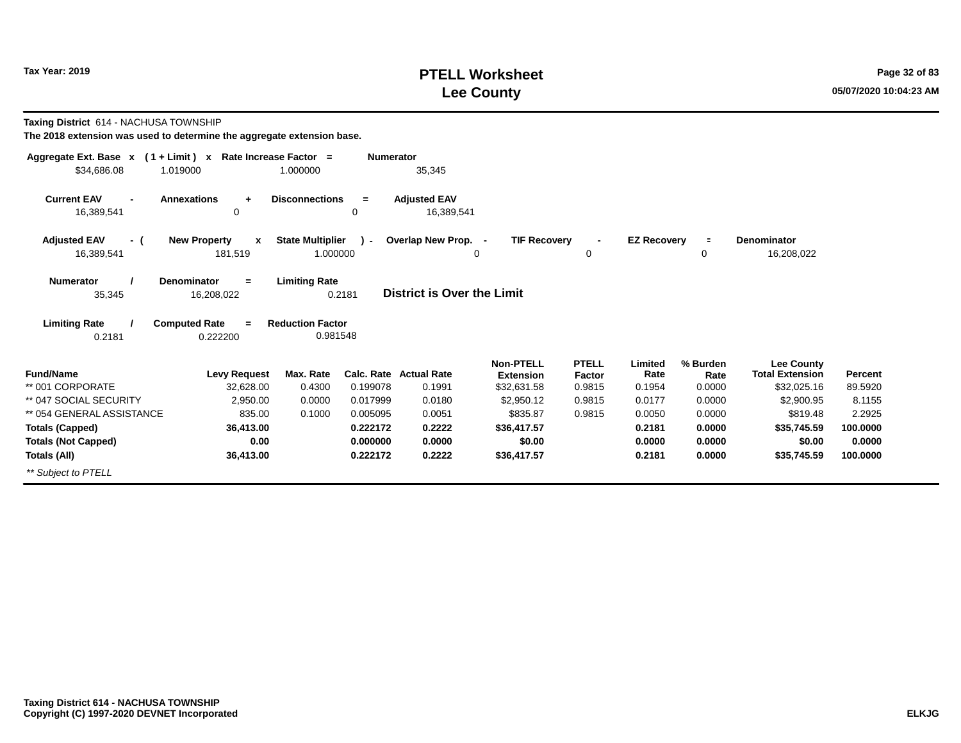# **PTELL Worksheet Tax Year: 2019 Page 32 of 83 Lee County 05/07/2020 10:04:23 AM**

**Taxing District** 614 - NACHUSA TOWNSHIP

| Aggregate Ext. Base $x$ (1 + Limit) $x$ |                                     | Rate Increase Factor =  | <b>Numerator</b> |                                   |                     |              |                    |          |                        |                |
|-----------------------------------------|-------------------------------------|-------------------------|------------------|-----------------------------------|---------------------|--------------|--------------------|----------|------------------------|----------------|
| \$34,686.08<br>1.019000                 |                                     | 1.000000                |                  | 35,345                            |                     |              |                    |          |                        |                |
| <b>Current EAV</b><br>$\blacksquare$    | <b>Annexations</b><br>$\ddot{}$     | <b>Disconnections</b>   | $\equiv$         | <b>Adjusted EAV</b>               |                     |              |                    |          |                        |                |
| 16,389,541                              | 0                                   |                         | 0                | 16,389,541                        |                     |              |                    |          |                        |                |
| <b>Adjusted EAV</b><br>- (              | <b>New Property</b><br>$\mathbf{x}$ | <b>State Multiplier</b> | $\lambda$ -      | Overlap New Prop. -               | <b>TIF Recovery</b> |              | <b>EZ Recoverv</b> | $\equiv$ | Denominator            |                |
| 16,389,541                              | 181,519                             | 1.000000                |                  |                                   | 0                   | 0            |                    | 0        | 16,208,022             |                |
| <b>Numerator</b>                        | <b>Denominator</b><br>$=$           | <b>Limiting Rate</b>    |                  |                                   |                     |              |                    |          |                        |                |
| 35,345                                  | 16,208,022                          |                         | 0.2181           | <b>District is Over the Limit</b> |                     |              |                    |          |                        |                |
| <b>Limiting Rate</b>                    | <b>Computed Rate</b><br>$=$         | <b>Reduction Factor</b> |                  |                                   |                     |              |                    |          |                        |                |
| 0.2181                                  | 0.222200                            | 0.981548                |                  |                                   |                     |              |                    |          |                        |                |
|                                         |                                     |                         |                  |                                   | <b>Non-PTELL</b>    | <b>PTELL</b> | Limited            | % Burden | <b>Lee County</b>      |                |
| <b>Fund/Name</b>                        | <b>Levy Request</b>                 | Max. Rate               |                  | <b>Calc. Rate Actual Rate</b>     | <b>Extension</b>    | Factor       | Rate               | Rate     | <b>Total Extension</b> | <b>Percent</b> |
| ** 001 CORPORATE                        | 32,628.00                           | 0.4300                  | 0.199078         | 0.1991                            | \$32,631.58         | 0.9815       | 0.1954             | 0.0000   | \$32,025.16            | 89.5920        |
| ** 047 SOCIAL SECURITY                  | 2,950.00                            | 0.0000                  | 0.017999         | 0.0180                            | \$2,950.12          | 0.9815       | 0.0177             | 0.0000   | \$2,900.95             | 8.1155         |
| ** 054 GENERAL ASSISTANCE               | 835.00                              | 0.1000                  | 0.005095         | 0.0051                            | \$835.87            | 0.9815       | 0.0050             | 0.0000   | \$819.48               | 2.2925         |
| <b>Totals (Capped)</b>                  | 36,413.00                           |                         | 0.222172         | 0.2222                            | \$36,417.57         |              | 0.2181             | 0.0000   | \$35,745.59            | 100,0000       |
| <b>Totals (Not Capped)</b>              | 0.00                                |                         | 0.000000         | 0.0000                            | \$0.00              |              | 0.0000             | 0.0000   | \$0.00                 | 0.0000         |
| Totals (All)                            | 36,413.00                           |                         | 0.222172         | 0.2222                            | \$36,417.57         |              | 0.2181             | 0.0000   | \$35,745.59            | 100.0000       |
| ** Subject to PTELL                     |                                     |                         |                  |                                   |                     |              |                    |          |                        |                |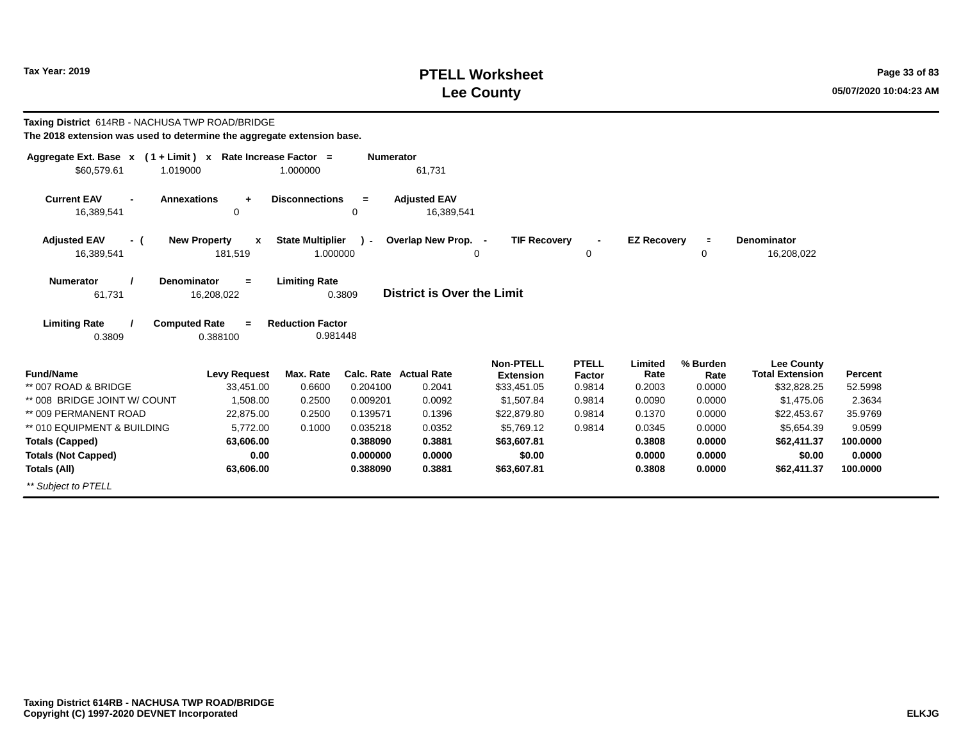# **PTELL Worksheet Tax Year: 2019 Page 33 of 83 Lee County 05/07/2020 10:04:23 AM**

| Taxing District 614RB - NACHUSA TWP ROAD/BRIDGE<br>The 2018 extension was used to determine the aggregate extension base. |                                         |                                     |                  |                                         |                                                     |                                  |                           |                            |                                                            |                    |
|---------------------------------------------------------------------------------------------------------------------------|-----------------------------------------|-------------------------------------|------------------|-----------------------------------------|-----------------------------------------------------|----------------------------------|---------------------------|----------------------------|------------------------------------------------------------|--------------------|
| Aggregate Ext. Base $x$ (1 + Limit) x Rate Increase Factor =<br>\$60,579.61<br>1.019000                                   |                                         | 1.000000                            | <b>Numerator</b> | 61,731                                  |                                                     |                                  |                           |                            |                                                            |                    |
| <b>Current EAV</b><br>16,389,541                                                                                          | <b>Annexations</b><br>$\ddot{}$<br>0    | <b>Disconnections</b>               | $=$<br>0         | <b>Adjusted EAV</b><br>16,389,541       |                                                     |                                  |                           |                            |                                                            |                    |
| <b>Adjusted EAV</b><br>- (                                                                                                | <b>New Property</b><br>$\mathbf{x}$     | <b>State Multiplier</b>             | $\mathbf{I}$     | Overlap New Prop. -                     | <b>TIF Recovery</b>                                 | $\blacksquare$                   | <b>EZ Recovery</b>        | $\equiv$                   | <b>Denominator</b>                                         |                    |
| 16,389,541                                                                                                                | 181,519                                 | 1.000000                            |                  | 0                                       |                                                     | 0                                |                           | 0                          | 16,208,022                                                 |                    |
| <b>Numerator</b><br>61,731                                                                                                | <b>Denominator</b><br>$=$<br>16,208,022 | <b>Limiting Rate</b>                | 0.3809           | <b>District is Over the Limit</b>       |                                                     |                                  |                           |                            |                                                            |                    |
| <b>Limiting Rate</b><br>0.3809                                                                                            | <b>Computed Rate</b><br>$=$<br>0.388100 | <b>Reduction Factor</b><br>0.981448 |                  |                                         |                                                     |                                  |                           |                            |                                                            |                    |
| <b>Fund/Name</b><br>** 007 ROAD & BRIDGE                                                                                  | <b>Levy Request</b><br>33,451.00        | Max. Rate<br>0.6600                 | 0.204100         | <b>Calc. Rate Actual Rate</b><br>0.2041 | <b>Non-PTELL</b><br><b>Extension</b><br>\$33,451.05 | <b>PTELL</b><br>Factor<br>0.9814 | Limited<br>Rate<br>0.2003 | % Burden<br>Rate<br>0.0000 | <b>Lee County</b><br><b>Total Extension</b><br>\$32,828.25 | Percent<br>52.5998 |
| ** 008 BRIDGE JOINT W/ COUNT                                                                                              | 1.508.00                                | 0.2500                              | 0.009201         | 0.0092                                  | \$1,507.84                                          | 0.9814                           | 0.0090                    | 0.0000                     | \$1,475.06                                                 | 2.3634             |
| ** 009 PERMANENT ROAD                                                                                                     | 22,875.00                               | 0.2500                              | 0.139571         | 0.1396                                  | \$22,879.80                                         | 0.9814                           | 0.1370                    | 0.0000                     | \$22,453.67                                                | 35.9769            |
| ** 010 EQUIPMENT & BUILDING                                                                                               | 5.772.00                                | 0.1000                              | 0.035218         | 0.0352                                  | \$5.769.12                                          | 0.9814                           | 0.0345                    | 0.0000                     | \$5.654.39                                                 | 9.0599             |
| <b>Totals (Capped)</b>                                                                                                    | 63,606.00                               |                                     | 0.388090         | 0.3881                                  | \$63,607.81                                         |                                  | 0.3808                    | 0.0000                     | \$62,411.37                                                | 100.0000           |
| <b>Totals (Not Capped)</b>                                                                                                | 0.00                                    |                                     | 0.000000         | 0.0000                                  | \$0.00                                              |                                  | 0.0000                    | 0.0000                     | \$0.00                                                     | 0.0000             |
| Totals (All)                                                                                                              | 63,606.00                               |                                     | 0.388090         | 0.3881                                  | \$63,607.81                                         |                                  | 0.3808                    | 0.0000                     | \$62,411.37                                                | 100.0000           |
| ** Subiect to PTELL                                                                                                       |                                         |                                     |                  |                                         |                                                     |                                  |                           |                            |                                                            |                    |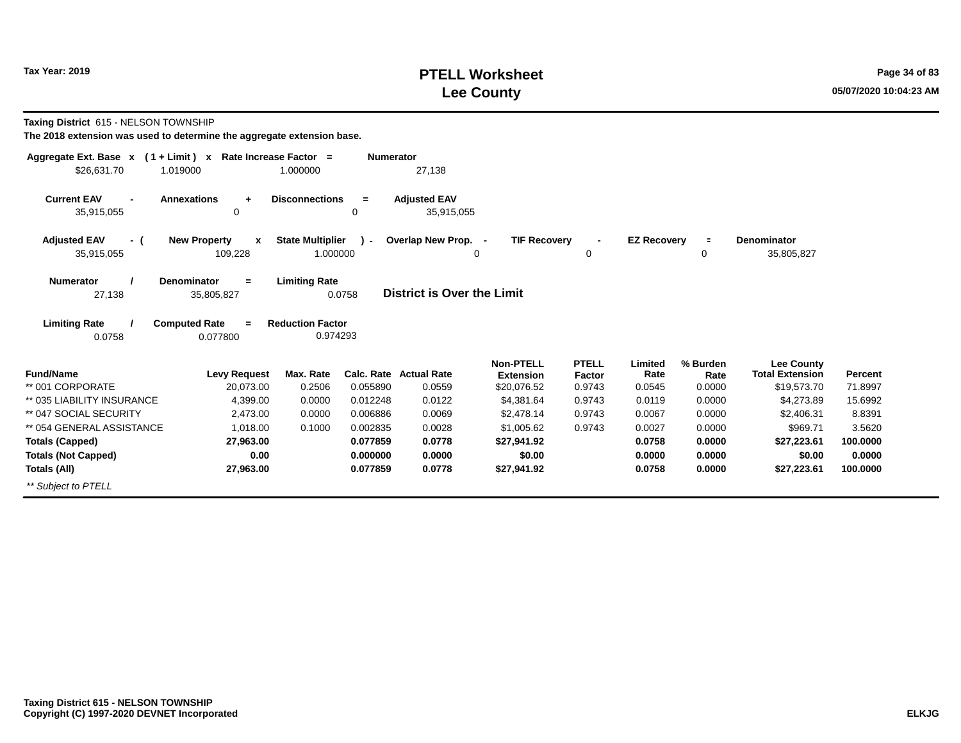# **PTELL Worksheet Tax Year: 2019 Page 34 of 83 Lee County 05/07/2020 10:04:23 AM**

**Taxing District** 615 - NELSON TOWNSHIP

| Aggregate Ext. Base $x$ (1 + Limit) $x$            | Rate Increase Factor =                         |                                     | <b>Numerator</b> |                                   |                                 |                               |                    |                |                                       |                    |
|----------------------------------------------------|------------------------------------------------|-------------------------------------|------------------|-----------------------------------|---------------------------------|-------------------------------|--------------------|----------------|---------------------------------------|--------------------|
| \$26,631.70<br>1.019000                            |                                                | 1.000000                            |                  | 27,138                            |                                 |                               |                    |                |                                       |                    |
| <b>Current EAV</b><br>$\blacksquare$<br>35,915,055 | <b>Annexations</b><br>$\ddot{}$<br>0           | <b>Disconnections</b>               | $\equiv$<br>0    | <b>Adjusted EAV</b><br>35,915,055 |                                 |                               |                    |                |                                       |                    |
| <b>Adjusted EAV</b><br>- (<br>35,915,055           | <b>New Property</b><br>$\mathbf{x}$<br>109,228 | <b>State Multiplier</b><br>1.000000 | $\mathbf{r}$     | Overlap New Prop. -               | <b>TIF Recovery</b><br>0        | $\blacksquare$<br>$\mathbf 0$ | <b>EZ Recovery</b> | $\equiv$<br>0  | <b>Denominator</b><br>35,805,827      |                    |
| <b>Numerator</b><br>27,138                         | <b>Denominator</b><br>$=$<br>35,805,827        | <b>Limiting Rate</b>                | 0.0758           | <b>District is Over the Limit</b> |                                 |                               |                    |                |                                       |                    |
| <b>Limiting Rate</b><br>0.0758                     | <b>Computed Rate</b><br>$=$<br>0.077800        | <b>Reduction Factor</b><br>0.974293 |                  |                                   |                                 |                               |                    |                |                                       |                    |
|                                                    |                                                |                                     |                  |                                   | <b>Non-PTELL</b>                | PTELL                         | Limited            | % Burden       | <b>Lee County</b>                     |                    |
| <b>Fund/Name</b><br>** 001 CORPORATE               | <b>Levy Request</b><br>20,073.00               | Max. Rate<br>0.2506                 | 0.055890         | Calc. Rate Actual Rate<br>0.0559  | <b>Extension</b><br>\$20,076.52 | Factor<br>0.9743              | Rate<br>0.0545     | Rate<br>0.0000 | <b>Total Extension</b><br>\$19,573.70 | Percent<br>71.8997 |
| ** 035 LIABILITY INSURANCE                         | 4,399.00                                       | 0.0000                              | 0.012248         | 0.0122                            | \$4,381.64                      | 0.9743                        | 0.0119             | 0.0000         | \$4,273.89                            | 15.6992            |
| ** 047 SOCIAL SECURITY                             | 2,473.00                                       | 0.0000                              | 0.006886         | 0.0069                            | \$2,478.14                      | 0.9743                        | 0.0067             | 0.0000         | \$2,406.31                            | 8.8391             |
| ** 054 GENERAL ASSISTANCE                          | 1.018.00                                       | 0.1000                              | 0.002835         | 0.0028                            | \$1,005.62                      | 0.9743                        | 0.0027             | 0.0000         | \$969.71                              | 3.5620             |
| <b>Totals (Capped)</b>                             | 27,963.00                                      |                                     | 0.077859         | 0.0778                            | \$27,941.92                     |                               | 0.0758             | 0.0000         | \$27,223.61                           | 100.0000           |
| <b>Totals (Not Capped)</b>                         | 0.00                                           |                                     | 0.000000         | 0.0000<br>0.0778                  | \$0.00                          |                               | 0.0000             | 0.0000         | \$0.00                                | 0.0000<br>100.0000 |
| Totals (All)<br>** Subject to PTELL                | 27,963.00                                      |                                     | 0.077859         |                                   | \$27,941.92                     |                               | 0.0758             | 0.0000         | \$27,223.61                           |                    |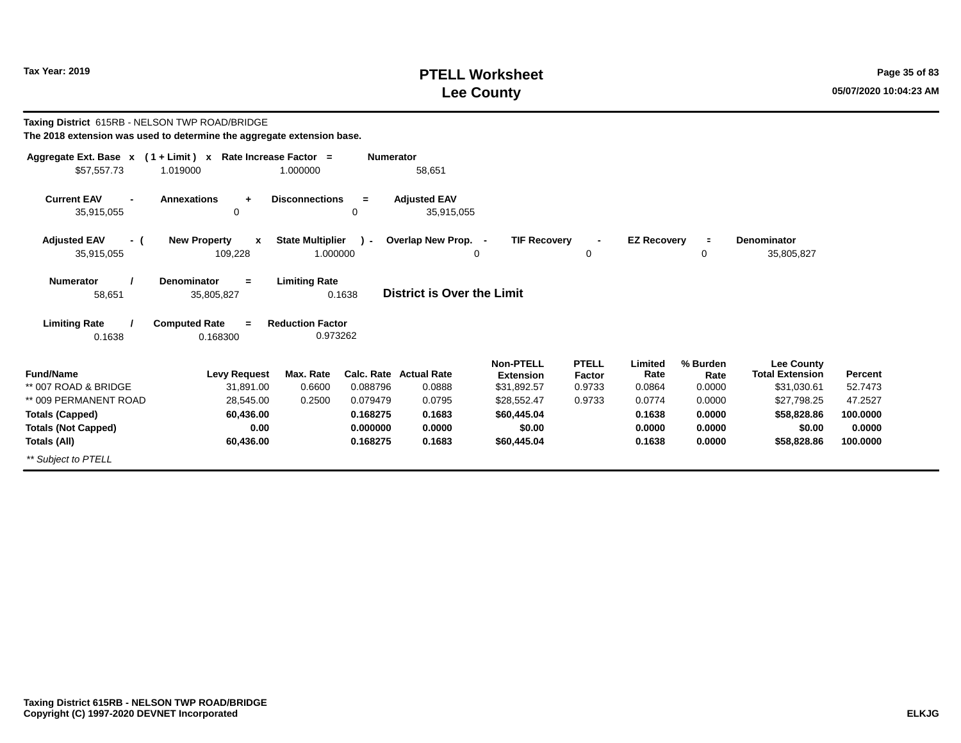# **PTELL Worksheet Tax Year: 2019 Page 35 of 83 Lee County 05/07/2020 10:04:23 AM**

| Taxing District 615RB - NELSON TWP ROAD/BRIDGE<br>The 2018 extension was used to determine the aggregate extension base. |                                              |                                     |                  |                                         |                                                     |                                  |                           |                            |                                                            |                    |
|--------------------------------------------------------------------------------------------------------------------------|----------------------------------------------|-------------------------------------|------------------|-----------------------------------------|-----------------------------------------------------|----------------------------------|---------------------------|----------------------------|------------------------------------------------------------|--------------------|
| Aggregate Ext. Base $x$ (1 + Limit) x Rate Increase Factor =<br>\$57,557.73                                              | 1.019000                                     | 1.000000                            | <b>Numerator</b> | 58,651                                  |                                                     |                                  |                           |                            |                                                            |                    |
| <b>Current EAV</b><br>35,915,055                                                                                         | <b>Annexations</b><br>$\ddot{}$<br>0         | <b>Disconnections</b>               | $=$<br>0         | <b>Adiusted EAV</b><br>35,915,055       |                                                     |                                  |                           |                            |                                                            |                    |
| <b>Adjusted EAV</b><br>- (<br>35,915,055                                                                                 | <b>New Property</b><br>X<br>109,228          | <b>State Multiplier</b><br>1.000000 | ∩ –              | Overlap New Prop. -                     | <b>TIF Recovery</b><br>0                            | 0                                | <b>EZ Recovery</b>        | $\equiv$<br>0              | <b>Denominator</b><br>35,805,827                           |                    |
| <b>Numerator</b><br>58,651                                                                                               | <b>Denominator</b><br>$=$<br>35,805,827      | <b>Limiting Rate</b><br>0.1638      |                  | <b>District is Over the Limit</b>       |                                                     |                                  |                           |                            |                                                            |                    |
| <b>Limiting Rate</b><br>0.1638                                                                                           | <b>Computed Rate</b><br>$\equiv$<br>0.168300 | <b>Reduction Factor</b><br>0.973262 |                  |                                         |                                                     |                                  |                           |                            |                                                            |                    |
| <b>Fund/Name</b><br>** 007 ROAD & BRIDGE                                                                                 | <b>Levy Request</b><br>31,891.00             | Max. Rate<br>0.6600                 | 0.088796         | <b>Calc. Rate Actual Rate</b><br>0.0888 | <b>Non-PTELL</b><br><b>Extension</b><br>\$31,892.57 | <b>PTELL</b><br>Factor<br>0.9733 | Limited<br>Rate<br>0.0864 | % Burden<br>Rate<br>0.0000 | <b>Lee County</b><br><b>Total Extension</b><br>\$31,030.61 | Percent<br>52.7473 |
| ** 009 PERMANENT ROAD                                                                                                    | 28,545.00                                    | 0.2500                              | 0.079479         | 0.0795                                  | \$28,552.47                                         | 0.9733                           | 0.0774                    | 0.0000                     | \$27,798.25                                                | 47.2527            |
| <b>Totals (Capped)</b>                                                                                                   | 60,436.00                                    |                                     | 0.168275         | 0.1683                                  | \$60,445.04                                         |                                  | 0.1638                    | 0.0000                     | \$58,828.86                                                | 100.0000           |
| <b>Totals (Not Capped)</b>                                                                                               | 0.00                                         |                                     | 0.000000         | 0.0000                                  | \$0.00                                              |                                  | 0.0000                    | 0.0000                     | \$0.00                                                     | 0.0000             |
| Totals (All)<br>** Subject to PTELL                                                                                      | 60,436.00                                    |                                     | 0.168275         | 0.1683                                  | \$60,445.04                                         |                                  | 0.1638                    | 0.0000                     | \$58,828.86                                                | 100.0000           |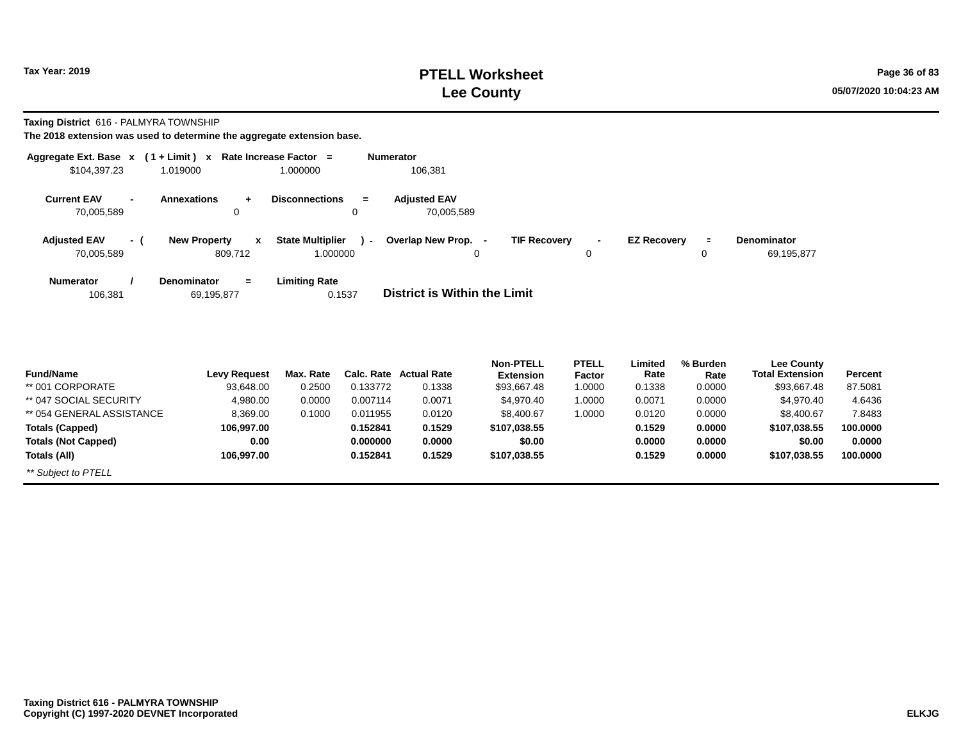# **PTELL Worksheet Tax Year: 2019 Page 36 of 83 Lee County 05/07/2020 10:04:23 AM**

**Taxing District** 616 - PALMYRA TOWNSHIP

| Aggregate Ext. Base x                | $(1 + Limit) x$                     | Rate Increase Factor =         | Numerator                                  |                                      |                                |            |
|--------------------------------------|-------------------------------------|--------------------------------|--------------------------------------------|--------------------------------------|--------------------------------|------------|
| \$104,397.23                         | 1.019000                            | 1.000000                       | 106,381                                    |                                      |                                |            |
| <b>Current EAV</b><br>$\blacksquare$ | <b>Annexations</b><br>÷             | <b>Disconnections</b><br>$=$   | <b>Adjusted EAV</b>                        |                                      |                                |            |
| 70,005,589                           | 0                                   | 0                              | 70,005,589                                 |                                      |                                |            |
| <b>Adjusted EAV</b><br>- (           | <b>New Property</b><br>$\mathbf{x}$ | <b>State Multiplier</b><br>. ( | Overlap New Prop. -<br><b>TIF Recovery</b> | <b>EZ Recovery</b><br>$\blacksquare$ | <b>Denominator</b><br>$\equiv$ |            |
| 70,005,589                           | 809,712                             | 1.000000                       | 0                                          | 0                                    | 0                              | 69,195,877 |
| <b>Numerator</b>                     | Denominator<br>$=$                  | <b>Limiting Rate</b><br>0.1537 | District is Within the Limit               |                                      |                                |            |
| 106,381                              | 69,195,877                          |                                |                                            |                                      |                                |            |

| <b>Fund/Name</b>           | <b>Levy Request</b> | Max. Rate |          | Calc. Rate Actual Rate | <b>Non-PTELL</b><br><b>Extension</b> | <b>PTELL</b><br>Factor | Limited<br>Rate | % Burden<br>Rate | <b>Lee County</b><br>Total Extension | <b>Percent</b> |
|----------------------------|---------------------|-----------|----------|------------------------|--------------------------------------|------------------------|-----------------|------------------|--------------------------------------|----------------|
| ** 001 CORPORATE           | 93,648.00           | 0.2500    | 0.133772 | 0.1338                 | \$93,667.48                          | 1.0000                 | 0.1338          | 0.0000           | \$93,667.48                          | 87.5081        |
| ** 047 SOCIAL SECURITY     | 4,980.00            | 0.0000    | 0.007114 | 0.0071                 | \$4,970.40                           | 1.0000                 | 0.0071          | 0.0000           | \$4.970.40                           | 4.6436         |
| ** 054 GENERAL ASSISTANCE  | 8,369.00            | 0.1000    | 0.011955 | 0.0120                 | \$8,400.67                           | 0000.                  | 0.0120          | 0.0000           | \$8,400.67                           | 7.8483         |
| <b>Totals (Capped)</b>     | 106,997.00          |           | 0.152841 | 0.1529                 | \$107,038.55                         |                        | 0.1529          | 0.0000           | \$107,038.55                         | 100.0000       |
| <b>Totals (Not Capped)</b> | 0.00                |           | 0.000000 | 0.0000                 | \$0.00                               |                        | 0.0000          | 0.0000           | \$0.00                               | 0.0000         |
| Totals (All)               | 106.997.00          |           | 0.152841 | 0.1529                 | \$107,038.55                         |                        | 0.1529          | 0.0000           | \$107,038.55                         | 100.0000       |
| ** Subject to PTELL        |                     |           |          |                        |                                      |                        |                 |                  |                                      |                |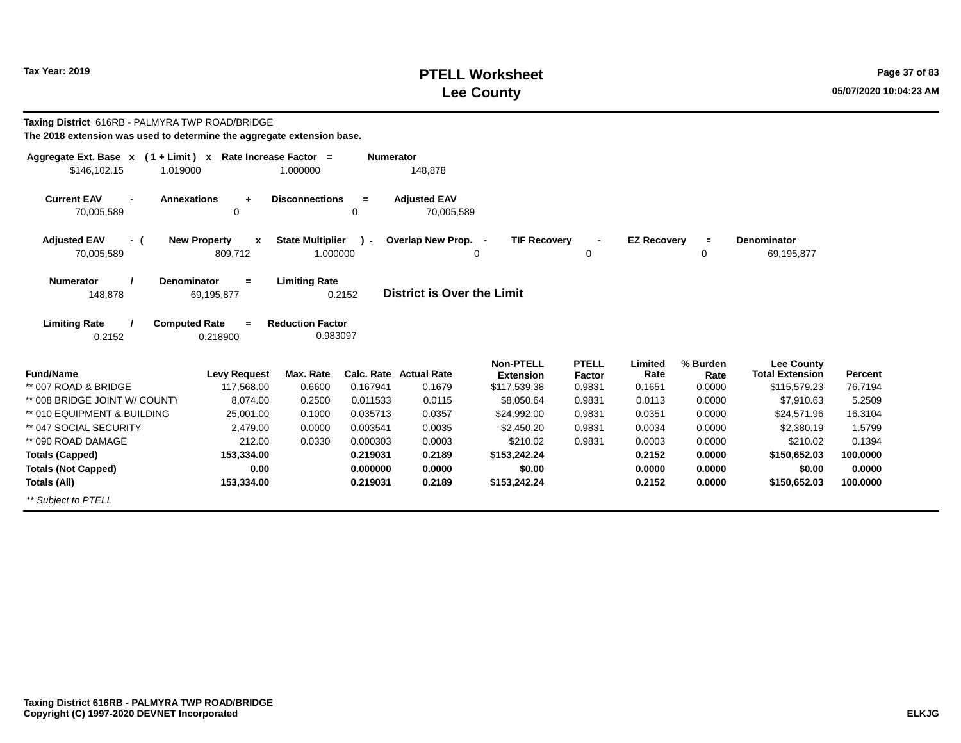# **PTELL Worksheet Tax Year: 2019 Page 37 of 83 Lee County 05/07/2020 10:04:23 AM**

| Taxing District 616RB - PALMYRA TWP ROAD/BRIDGE<br>The 2018 extension was used to determine the aggregate extension base. |                                                    |                                     |                      |                                   |                                      |                        |                    |                  |                                             |                  |
|---------------------------------------------------------------------------------------------------------------------------|----------------------------------------------------|-------------------------------------|----------------------|-----------------------------------|--------------------------------------|------------------------|--------------------|------------------|---------------------------------------------|------------------|
| Aggregate Ext. Base x (1+Limit) x Rate Increase Factor =<br>\$146,102.15<br>1.019000                                      |                                                    | 1.000000                            | <b>Numerator</b>     | 148,878                           |                                      |                        |                    |                  |                                             |                  |
| <b>Current EAV</b><br><b>Annexations</b><br>70,005,589                                                                    | $\ddot{}$<br>0                                     | <b>Disconnections</b>               | $=$<br>0             | <b>Adjusted EAV</b><br>70,005,589 |                                      |                        |                    |                  |                                             |                  |
| <b>Adjusted EAV</b><br>- (<br>70,005,589                                                                                  | <b>New Property</b><br>$\boldsymbol{x}$<br>809,712 | <b>State Multiplier</b><br>1.000000 | $\lambda$            | Overlap New Prop. -               | <b>TIF Recovery</b><br>$\Omega$      | $\mathbf 0$            | <b>EZ Recovery</b> | $\equiv$<br>0    | Denominator<br>69,195,877                   |                  |
| <b>Numerator</b><br>Denominator<br>148,878                                                                                | $=$<br>69,195,877                                  | <b>Limiting Rate</b>                | 0.2152               | <b>District is Over the Limit</b> |                                      |                        |                    |                  |                                             |                  |
| <b>Limiting Rate</b><br><b>Computed Rate</b><br>0.2152                                                                    | $=$<br>0.218900                                    | <b>Reduction Factor</b><br>0.983097 |                      |                                   |                                      |                        |                    |                  |                                             |                  |
| <b>Fund/Name</b>                                                                                                          | <b>Levy Request</b>                                | Max. Rate                           |                      | <b>Calc. Rate Actual Rate</b>     | <b>Non-PTELL</b><br><b>Extension</b> | <b>PTELL</b><br>Factor | Limited<br>Rate    | % Burden<br>Rate | <b>Lee County</b><br><b>Total Extension</b> | Percent          |
| ** 007 ROAD & BRIDGE                                                                                                      | 117,568.00                                         | 0.6600                              | 0.167941             | 0.1679                            | \$117,539.38                         | 0.9831                 | 0.1651             | 0.0000           | \$115,579.23                                | 76.7194          |
| ** 008 BRIDGE JOINT W/ COUNTY                                                                                             | 8,074.00                                           | 0.2500                              | 0.011533             | 0.0115                            | \$8,050.64                           | 0.9831                 | 0.0113             | 0.0000           | \$7,910.63                                  | 5.2509           |
| ** 010 EQUIPMENT & BUILDING<br>** 047 SOCIAL SECURITY                                                                     | 25,001.00                                          | 0.1000<br>0.0000                    | 0.035713<br>0.003541 | 0.0357<br>0.0035                  | \$24,992.00                          | 0.9831<br>0.9831       | 0.0351<br>0.0034   | 0.0000<br>0.0000 | \$24,571.96                                 | 16.3104          |
| ** 090 ROAD DAMAGE                                                                                                        | 2,479.00<br>212.00                                 |                                     | 0.000303             | 0.0003                            | \$2,450.20<br>\$210.02               |                        | 0.0003             | 0.0000           | \$2,380.19                                  | 1.5799<br>0.1394 |
|                                                                                                                           | 153,334.00                                         | 0.0330                              | 0.219031             | 0.2189                            | \$153,242.24                         | 0.9831                 | 0.2152             | 0.0000           | \$210.02<br>\$150,652.03                    | 100.0000         |
| <b>Totals (Capped)</b>                                                                                                    | 0.00                                               |                                     | 0.000000             | 0.0000                            | \$0.00                               |                        | 0.0000             | 0.0000           | \$0.00                                      | 0.0000           |
| <b>Totals (Not Capped)</b><br>Totals (All)                                                                                | 153,334.00                                         |                                     | 0.219031             | 0.2189                            | \$153,242.24                         |                        | 0.2152             | 0.0000           | \$150,652.03                                | 100.0000         |
| ** Subject to PTELL                                                                                                       |                                                    |                                     |                      |                                   |                                      |                        |                    |                  |                                             |                  |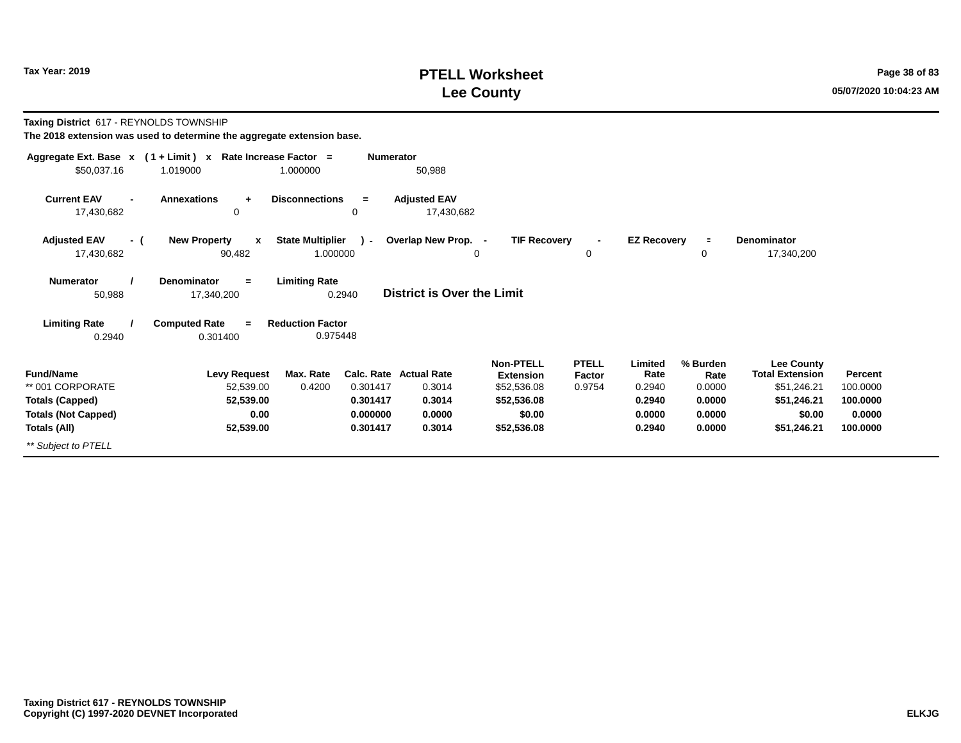# **PTELL Worksheet Tax Year: 2019 Page 38 of 83 Lee County 05/07/2020 10:04:23 AM**

**Taxing District** 617 - REYNOLDS TOWNSHIP

| Aggregate Ext. Base $x$ (1 + Limit) $x$                      | Rate Increase Factor =                        |                                                     | <b>Numerator</b>                  |                                                     |                                  |                           |                            |                                                     |                     |
|--------------------------------------------------------------|-----------------------------------------------|-----------------------------------------------------|-----------------------------------|-----------------------------------------------------|----------------------------------|---------------------------|----------------------------|-----------------------------------------------------|---------------------|
| \$50,037.16                                                  | 1.019000                                      | 1.000000                                            | 50,988                            |                                                     |                                  |                           |                            |                                                     |                     |
| <b>Current EAV</b><br>$\overline{\phantom{0}}$<br>17,430,682 | <b>Annexations</b><br>÷<br>0                  | <b>Disconnections</b><br>$=$<br>0                   | <b>Adjusted EAV</b><br>17,430,682 |                                                     |                                  |                           |                            |                                                     |                     |
| <b>Adjusted EAV</b><br>- (<br>17,430,682                     | <b>New Property</b><br>$\mathbf{x}$<br>90,482 | <b>State Multiplier</b><br>$\mathbf{r}$<br>1.000000 | Overlap New Prop. -<br>0          | <b>TIF Recovery</b>                                 | 0                                | <b>EZ Recovery</b>        | $\equiv$<br>0              | <b>Denominator</b><br>17,340,200                    |                     |
| <b>Numerator</b><br>50,988                                   | <b>Denominator</b><br>$\equiv$<br>17,340,200  | <b>Limiting Rate</b><br>0.2940                      | District is Over the Limit        |                                                     |                                  |                           |                            |                                                     |                     |
| <b>Limiting Rate</b><br>0.2940                               | <b>Computed Rate</b><br>$=$<br>0.301400       | <b>Reduction Factor</b><br>0.975448                 |                                   |                                                     |                                  |                           |                            |                                                     |                     |
| <b>Fund/Name</b><br>** 001 CORPORATE                         | <b>Levy Request</b><br>52,539.00              | Max. Rate<br>0.4200<br>0.301417                     | Calc. Rate Actual Rate<br>0.3014  | <b>Non-PTELL</b><br><b>Extension</b><br>\$52,536.08 | <b>PTELL</b><br>Factor<br>0.9754 | Limited<br>Rate<br>0.2940 | % Burden<br>Rate<br>0.0000 | Lee County<br><b>Total Extension</b><br>\$51,246.21 | Percent<br>100.0000 |
| <b>Totals (Capped)</b>                                       | 52,539.00                                     | 0.301417                                            | 0.3014                            | \$52,536.08                                         |                                  | 0.2940                    | 0.0000                     | \$51,246.21                                         | 100.0000            |
| <b>Totals (Not Capped)</b>                                   | 0.00                                          | 0.000000                                            | 0.0000                            | \$0.00                                              |                                  | 0.0000                    | 0.0000                     | \$0.00                                              | 0.0000              |
| Totals (All)                                                 | 52,539.00                                     | 0.301417                                            | 0.3014                            | \$52,536.08                                         |                                  | 0.2940                    | 0.0000                     | \$51,246.21                                         | 100.0000            |
| ** Subject to PTELL                                          |                                               |                                                     |                                   |                                                     |                                  |                           |                            |                                                     |                     |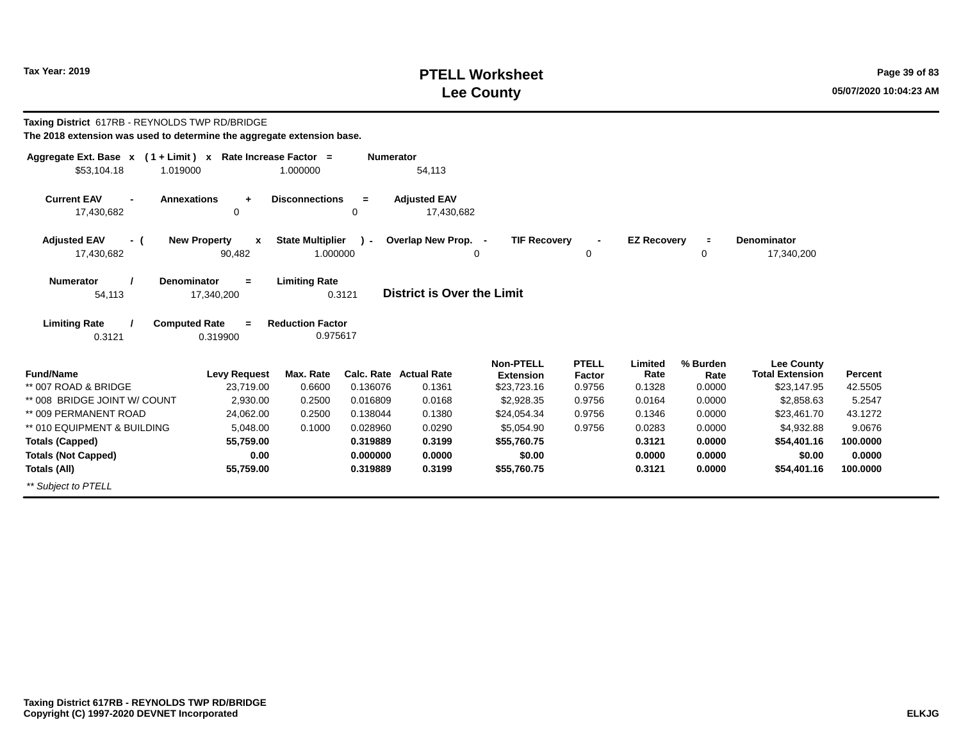# **PTELL Worksheet Tax Year: 2019 Page 39 of 83 Lee County 05/07/2020 10:04:23 AM**

| Taxing District 617RB - REYNOLDS TWP RD/BRIDGE<br>The 2018 extension was used to determine the aggregate extension base. |                                    |                                     |                  |                                   |                                                     |                                         |                           |                            |                                                            |                    |
|--------------------------------------------------------------------------------------------------------------------------|------------------------------------|-------------------------------------|------------------|-----------------------------------|-----------------------------------------------------|-----------------------------------------|---------------------------|----------------------------|------------------------------------------------------------|--------------------|
| Aggregate Ext. Base $x$ (1 + Limit) x Rate Increase Factor =<br>\$53.104.18<br>1.019000                                  |                                    | 1.000000                            | <b>Numerator</b> | 54,113                            |                                                     |                                         |                           |                            |                                                            |                    |
| <b>Current EAV</b><br><b>Annexations</b><br>$\blacksquare$<br>17,430,682                                                 | $\ddot{}$<br>$\mathbf 0$           | <b>Disconnections</b>               | $=$<br>$\Omega$  | <b>Adjusted EAV</b><br>17,430,682 |                                                     |                                         |                           |                            |                                                            |                    |
| <b>Adjusted EAV</b><br>- (<br>17,430,682                                                                                 | <b>New Property</b><br>x<br>90,482 | <b>State Multiplier</b><br>1.000000 | $\mathbf{r}$     | Overlap New Prop. -<br>0          | <b>TIF Recovery</b>                                 | $\overline{\phantom{a}}$<br>0           | <b>EZ Recovery</b>        | $\equiv$<br>0              | <b>Denominator</b><br>17,340,200                           |                    |
| <b>Numerator</b><br><b>Denominator</b><br>54,113                                                                         | $\equiv$<br>17,340,200             | <b>Limiting Rate</b>                | 0.3121           | <b>District is Over the Limit</b> |                                                     |                                         |                           |                            |                                                            |                    |
| <b>Limiting Rate</b><br><b>Computed Rate</b><br>0.3121                                                                   | $\equiv$<br>0.319900               | <b>Reduction Factor</b><br>0.975617 |                  |                                   |                                                     |                                         |                           |                            |                                                            |                    |
| <b>Fund/Name</b><br>** 007 ROAD & BRIDGE                                                                                 | <b>Levy Request</b><br>23,719.00   | Max. Rate<br>0.6600                 | 0.136076         | Calc. Rate Actual Rate<br>0.1361  | <b>Non-PTELL</b><br><b>Extension</b><br>\$23,723.16 | <b>PTELL</b><br><b>Factor</b><br>0.9756 | Limited<br>Rate<br>0.1328 | % Burden<br>Rate<br>0.0000 | <b>Lee County</b><br><b>Total Extension</b><br>\$23,147.95 | Percent<br>42.5505 |
| ** 008 BRIDGE JOINT W/ COUNT                                                                                             | 2.930.00                           | 0.2500                              | 0.016809         | 0.0168                            | \$2,928.35                                          | 0.9756                                  | 0.0164                    | 0.0000                     | \$2,858.63                                                 | 5.2547             |
| ** 009 PERMANENT ROAD                                                                                                    | 24.062.00                          | 0.2500                              | 0.138044         | 0.1380                            | \$24,054.34                                         | 0.9756                                  | 0.1346                    | 0.0000                     | \$23,461.70                                                | 43.1272            |
| ** 010 EQUIPMENT & BUILDING                                                                                              | 5,048.00                           | 0.1000                              | 0.028960         | 0.0290                            | \$5,054.90                                          | 0.9756                                  | 0.0283                    | 0.0000                     | \$4,932.88                                                 | 9.0676             |
| <b>Totals (Capped)</b>                                                                                                   | 55,759.00                          |                                     | 0.319889         | 0.3199                            | \$55,760.75                                         |                                         | 0.3121                    | 0.0000                     | \$54,401.16                                                | 100,0000           |
| <b>Totals (Not Capped)</b>                                                                                               | 0.00                               |                                     | 0.000000         | 0.0000                            | \$0.00                                              |                                         | 0.0000                    | 0.0000                     | \$0.00                                                     | 0.0000             |
| Totals (All)                                                                                                             | 55,759.00                          |                                     | 0.319889         | 0.3199                            | \$55,760.75                                         |                                         | 0.3121                    | 0.0000                     | \$54,401.16                                                | 100,0000           |
| ** Subject to PTELL                                                                                                      |                                    |                                     |                  |                                   |                                                     |                                         |                           |                            |                                                            |                    |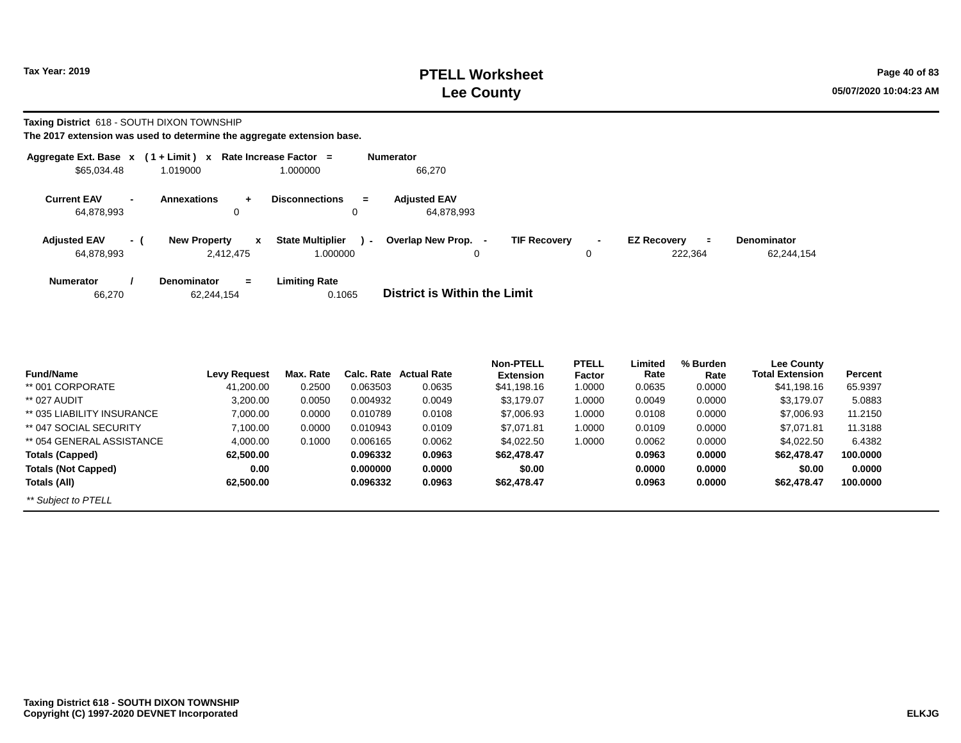# **PTELL Worksheet Tax Year: 2019 Page 40 of 83 Lee County 05/07/2020 10:04:23 AM**

**Taxing District** 618 - SOUTH DIXON TOWNSHIP

| Aggregate Ext. Base x             |        | $(1 + Limit) x$                         | Rate Increase Factor =                        | <b>Numerator</b>                                                                                                               |
|-----------------------------------|--------|-----------------------------------------|-----------------------------------------------|--------------------------------------------------------------------------------------------------------------------------------|
| \$65,034.48                       |        | 1.019000                                | 1.000000                                      | 66,270                                                                                                                         |
| <b>Current EAV</b><br>64,878,993  | $\sim$ | <b>Annexations</b><br>÷<br>0            | <b>Disconnections</b><br>$=$<br>0             | <b>Adiusted EAV</b><br>64.878.993                                                                                              |
| <b>Adjusted EAV</b><br>64,878,993 | - (    | <b>New Property</b><br>X<br>2.412.475   | <b>State Multiplier</b><br>$\sim$<br>1.000000 | Overlap New Prop. -<br><b>TIF Recovery</b><br><b>EZ Recovery</b><br><b>Denominator</b><br>Ξ<br>222.364<br>62,244,154<br>0<br>0 |
| <b>Numerator</b><br>66,270        |        | <b>Denominator</b><br>$=$<br>62,244,154 | <b>Limiting Rate</b><br>0.1065                | District is Within the Limit                                                                                                   |

| <b>Fund/Name</b>           | <b>Levy Request</b> | Max. Rate | Calc. Rate | <b>Actual Rate</b> | <b>Non-PTELL</b><br><b>Extension</b> | <b>PTELL</b><br>Factor | Limited<br>Rate | % Burden<br>Rate | Lee County<br><b>Total Extension</b> | Percent  |
|----------------------------|---------------------|-----------|------------|--------------------|--------------------------------------|------------------------|-----------------|------------------|--------------------------------------|----------|
| ** 001 CORPORATE           | 41,200.00           | 0.2500    | 0.063503   | 0.0635             | \$41,198.16                          | 1.0000                 | 0.0635          | 0.0000           | \$41,198.16                          | 65.9397  |
| ** 027 AUDIT               | 3,200.00            | 0.0050    | 0.004932   | 0.0049             | \$3,179.07                           | 1.0000                 | 0.0049          | 0.0000           | \$3,179.07                           | 5.0883   |
| ** 035 LIABILITY INSURANCE | 7,000.00            | 0.0000    | 0.010789   | 0.0108             | \$7,006.93                           | 1.0000                 | 0.0108          | 0.0000           | \$7,006.93                           | 11.2150  |
| ** 047 SOCIAL SECURITY     | 7,100.00            | 0.0000    | 0.010943   | 0.0109             | \$7.071.81                           | 1.0000                 | 0.0109          | 0.0000           | \$7.071.81                           | 11.3188  |
| ** 054 GENERAL ASSISTANCE  | 4,000.00            | 0.1000    | 0.006165   | 0.0062             | \$4.022.50                           | 1.0000                 | 0.0062          | 0.0000           | \$4,022.50                           | 6.4382   |
| <b>Totals (Capped)</b>     | 62,500.00           |           | 0.096332   | 0.0963             | \$62,478,47                          |                        | 0.0963          | 0.0000           | \$62,478.47                          | 100.0000 |
| <b>Totals (Not Capped)</b> | 0.00                |           | 0.000000   | 0.0000             | \$0.00                               |                        | 0.0000          | 0.0000           | \$0.00                               | 0.0000   |
| Totals (All)               | 62,500.00           |           | 0.096332   | 0.0963             | \$62,478.47                          |                        | 0.0963          | 0.0000           | \$62,478.47                          | 100.0000 |
| ** Subject to PTELL        |                     |           |            |                    |                                      |                        |                 |                  |                                      |          |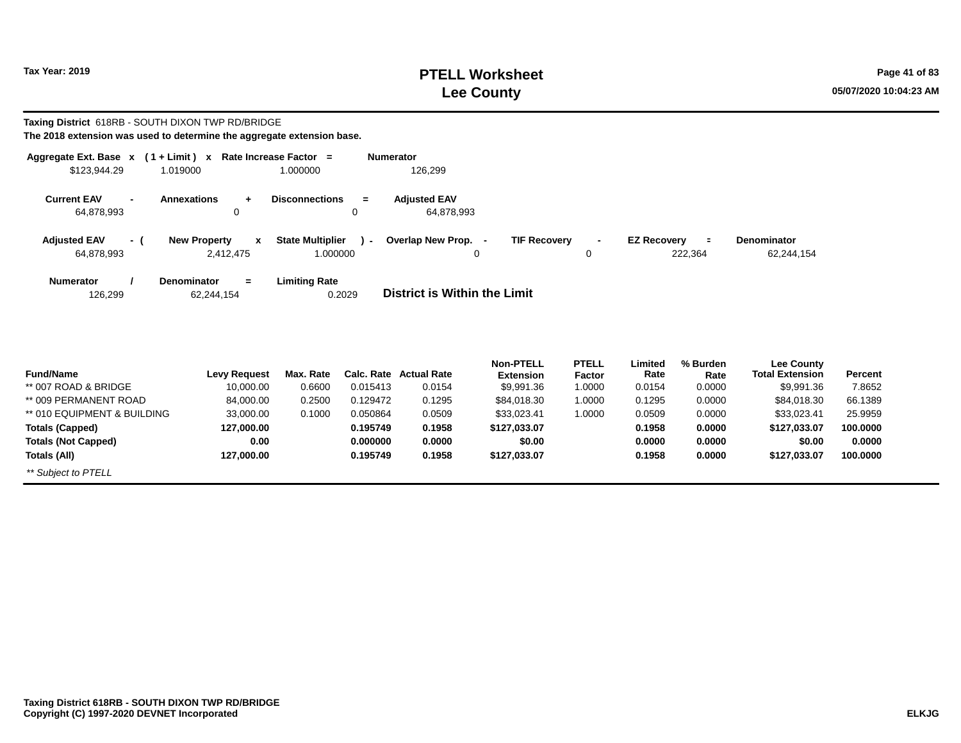# **PTELL Worksheet Tax Year: 2019 Page 41 of 83 Lee County 05/07/2020 10:04:23 AM**

#### **Taxing District** 618RB - SOUTH DIXON TWP RD/BRIDGE **The 2018 extension was used to determine the aggregate extension base.**

|                                   |                | Aggregate Ext. Base $x$ (1 + Limit) x Rate Increase Factor = |                                               | <b>Numerator</b>                                                                                                                                         |
|-----------------------------------|----------------|--------------------------------------------------------------|-----------------------------------------------|----------------------------------------------------------------------------------------------------------------------------------------------------------|
| \$123,944.29                      |                | 1.019000                                                     | 1.000000                                      | 126,299                                                                                                                                                  |
| <b>Current EAV</b><br>64,878,993  | $\blacksquare$ | <b>Annexations</b><br>0                                      | <b>Disconnections</b><br>$=$<br>$\mathbf 0$   | <b>Adjusted EAV</b><br>64,878,993                                                                                                                        |
| <b>Adjusted EAV</b><br>64,878,993 | - (            | <b>New Property</b><br>$\mathbf{x}$<br>2,412,475             | <b>State Multiplier</b><br>$\sim$<br>1.000000 | Overlap New Prop.<br><b>TIF Recovery</b><br><b>EZ Recovery</b><br>Denominator<br>$\sim$<br>$\equiv$<br>$\blacksquare$<br>222,364<br>62,244,154<br>0<br>0 |
| <b>Numerator</b><br>126,299       |                | <b>Denominator</b><br>$=$<br>62,244,154                      | <b>Limiting Rate</b><br>0.2029                | District is Within the Limit                                                                                                                             |
|                                   |                |                                                              |                                               |                                                                                                                                                          |

| <b>Fund/Name</b>            | <b>Levy Request</b> | Max. Rate |          | <b>Calc. Rate Actual Rate</b> | <b>Non-PTELL</b><br><b>Extension</b> | <b>PTELL</b><br>Factor | Limited<br>Rate | % Burden<br>Rate | Lee County<br><b>Total Extension</b> | Percent  |
|-----------------------------|---------------------|-----------|----------|-------------------------------|--------------------------------------|------------------------|-----------------|------------------|--------------------------------------|----------|
| ** 007 ROAD & BRIDGE        | 10,000.00           | 0.6600    | 0.015413 | 0.0154                        | \$9,991.36                           | 1.0000                 | 0.0154          | 0.0000           | \$9,991.36                           | 7.8652   |
|                             |                     |           |          |                               |                                      |                        |                 |                  |                                      |          |
| ** 009 PERMANENT ROAD       | 84,000.00           | 0.2500    | 0.129472 | 0.1295                        | \$84,018.30                          | 1.0000                 | 0.1295          | 0.0000           | \$84.018.30                          | 66.1389  |
| ** 010 EQUIPMENT & BUILDING | 33,000.00           | 0.1000    | 0.050864 | 0.0509                        | \$33,023.41                          | 1.0000                 | 0.0509          | 0.0000           | \$33,023.41                          | 25.9959  |
| <b>Totals (Capped)</b>      | 127,000.00          |           | 0.195749 | 0.1958                        | \$127,033.07                         |                        | 0.1958          | 0.0000           | \$127,033.07                         | 100.0000 |
| <b>Totals (Not Capped)</b>  | 0.00                |           | 0.000000 | 0.0000                        | \$0.00                               |                        | 0.0000          | 0.0000           | \$0.00                               | 0.0000   |
| Totals (All)                | 127.000.00          |           | 0.195749 | 0.1958                        | \$127,033.07                         |                        | 0.1958          | 0.0000           | \$127,033.07                         | 100.0000 |
| ** Subject to PTELL         |                     |           |          |                               |                                      |                        |                 |                  |                                      |          |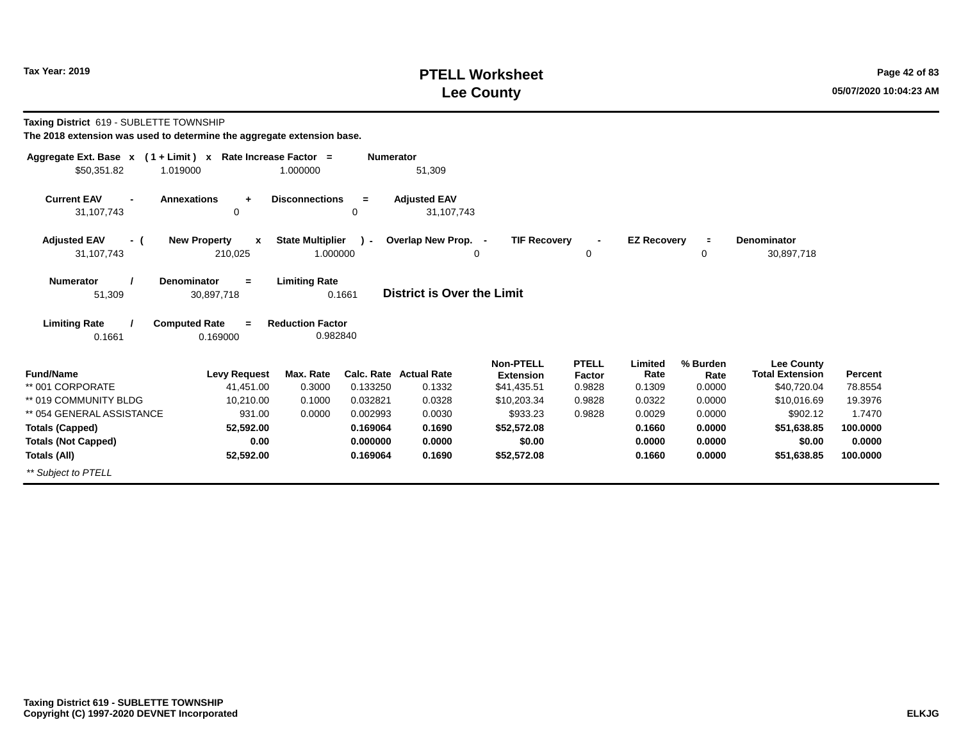# **PTELL Worksheet Tax Year: 2019 Page 42 of 83 Lee County 05/07/2020 10:04:23 AM**

| Taxing District 619 - SUBLETTE TOWNSHIP |  |
|-----------------------------------------|--|
|-----------------------------------------|--|

| Aggregate Ext. Base $x$ (1 + Limit) $x$ | Rate Increase Factor =              |                         | <b>Numerator</b> |                            |                     |                |                    |          |                        |          |
|-----------------------------------------|-------------------------------------|-------------------------|------------------|----------------------------|---------------------|----------------|--------------------|----------|------------------------|----------|
| \$50,351.82<br>1.019000                 |                                     | 1.000000                |                  | 51,309                     |                     |                |                    |          |                        |          |
| <b>Current EAV</b><br>$\blacksquare$    | <b>Annexations</b><br>$\ddot{}$     | <b>Disconnections</b>   | $\equiv$         | <b>Adjusted EAV</b>        |                     |                |                    |          |                        |          |
| 31,107,743                              | 0                                   |                         | 0                | 31,107,743                 |                     |                |                    |          |                        |          |
| <b>Adjusted EAV</b><br>- (              | <b>New Property</b><br>$\mathbf{x}$ | <b>State Multiplier</b> | $\lambda$        | Overlap New Prop. -        | <b>TIF Recovery</b> | $\blacksquare$ | <b>EZ Recovery</b> | $\equiv$ | <b>Denominator</b>     |          |
| 31,107,743                              | 210,025                             | 1.000000                |                  |                            | 0                   | 0              |                    | 0        | 30,897,718             |          |
| <b>Numerator</b>                        | <b>Denominator</b><br>$=$           | <b>Limiting Rate</b>    |                  |                            |                     |                |                    |          |                        |          |
| 51,309                                  | 30,897,718                          |                         | 0.1661           | District is Over the Limit |                     |                |                    |          |                        |          |
|                                         |                                     |                         |                  |                            |                     |                |                    |          |                        |          |
| <b>Limiting Rate</b>                    | <b>Computed Rate</b><br>$=$         | <b>Reduction Factor</b> |                  |                            |                     |                |                    |          |                        |          |
| 0.1661                                  | 0.169000                            | 0.982840                |                  |                            |                     |                |                    |          |                        |          |
|                                         |                                     |                         |                  |                            | <b>Non-PTELL</b>    | <b>PTELL</b>   | Limited            | % Burden | <b>Lee County</b>      |          |
| <b>Fund/Name</b>                        | <b>Levy Request</b>                 | Max. Rate               |                  | Calc. Rate Actual Rate     | <b>Extension</b>    | Factor         | Rate               | Rate     | <b>Total Extension</b> | Percent  |
| ** 001 CORPORATE                        | 41,451.00                           | 0.3000                  | 0.133250         | 0.1332                     | \$41,435.51         | 0.9828         | 0.1309             | 0.0000   | \$40,720.04            | 78.8554  |
| ** 019 COMMUNITY BLDG                   | 10,210.00                           | 0.1000                  | 0.032821         | 0.0328                     | \$10,203.34         | 0.9828         | 0.0322             | 0.0000   | \$10,016.69            | 19.3976  |
| ** 054 GENERAL ASSISTANCE               | 931.00                              | 0.0000                  | 0.002993         | 0.0030                     | \$933.23            | 0.9828         | 0.0029             | 0.0000   | \$902.12               | 1.7470   |
| <b>Totals (Capped)</b>                  | 52,592.00                           |                         | 0.169064         | 0.1690                     | \$52,572.08         |                | 0.1660             | 0.0000   | \$51,638.85            | 100.0000 |
| <b>Totals (Not Capped)</b>              | 0.00                                |                         | 0.000000         | 0.0000                     | \$0.00              |                | 0.0000             | 0.0000   | \$0.00                 | 0.0000   |
| Totals (All)                            | 52,592.00                           |                         | 0.169064         | 0.1690                     | \$52,572.08         |                | 0.1660             | 0.0000   | \$51,638.85            | 100.0000 |
| ** Subject to PTELL                     |                                     |                         |                  |                            |                     |                |                    |          |                        |          |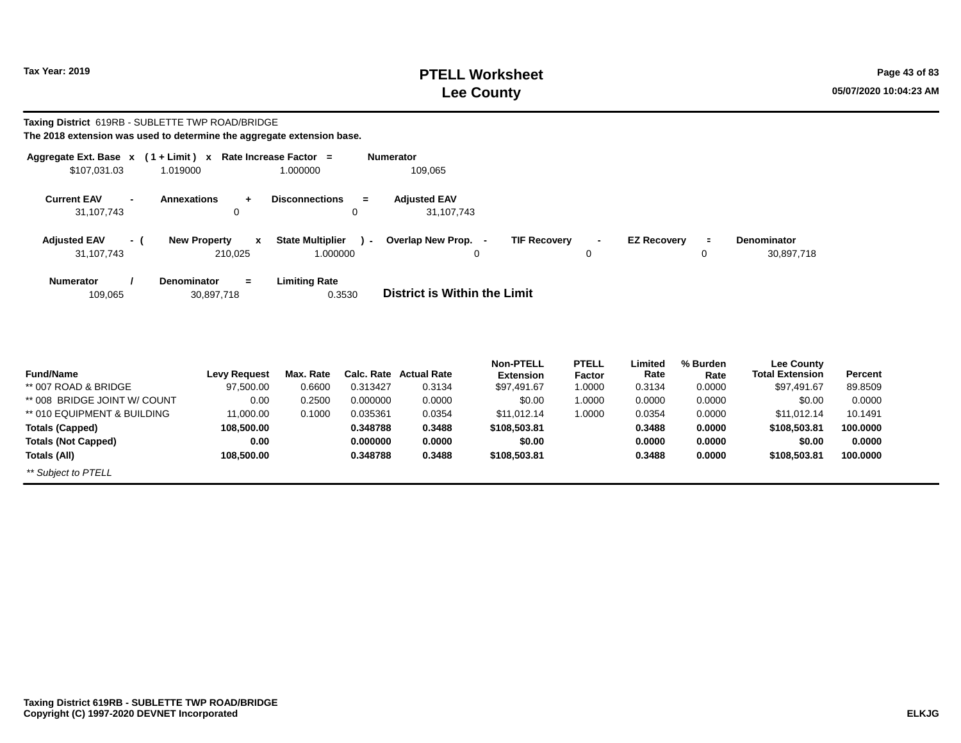# **PTELL Worksheet Tax Year: 2019 Page 43 of 83 Lee County 05/07/2020 10:04:23 AM**

#### **Taxing District** 619RB - SUBLETTE TWP ROAD/BRIDGE **The 2018 extension was used to determine the aggregate extension base.**

| Aggregate Ext. Base $x$ (1+Limit) $x$              |                                                       | Rate Increase Factor =                                          | Numerator                                                 |                                           |                                                   |
|----------------------------------------------------|-------------------------------------------------------|-----------------------------------------------------------------|-----------------------------------------------------------|-------------------------------------------|---------------------------------------------------|
| \$107,031.03                                       | 1.019000                                              | 1.000000                                                        | 109,065                                                   |                                           |                                                   |
| <b>Current EAV</b><br>$\blacksquare$<br>31,107,743 | <b>Annexations</b><br>$+$<br>0                        | <b>Disconnections</b><br>$\equiv$<br>0                          | <b>Adjusted EAV</b><br>31,107,743                         |                                           |                                                   |
| <b>Adjusted EAV</b><br>31,107,743                  | <b>New Property</b><br>$\mathbf{x}$<br>- (<br>210.025 | <b>State Multiplier</b><br>$\overline{\phantom{0}}$<br>1.000000 | Overlap New Prop. -<br><b>TIF Recovery</b><br>$\mathbf 0$ | <b>EZ Recovery</b><br>$\blacksquare$<br>0 | <b>Denominator</b><br>$\equiv$<br>30,897,718<br>0 |
| <b>Numerator</b><br>109,065                        | <b>Denominator</b><br>$=$<br>30,897,718               | <b>Limiting Rate</b><br>0.3530                                  | District is Within the Limit                              |                                           |                                                   |
|                                                    |                                                       |                                                                 |                                                           |                                           |                                                   |

| <b>Fund/Name</b>             | Levv Reauest | Max. Rate |          | <b>Calc. Rate Actual Rate</b> | <b>Non-PTELL</b><br><b>Extension</b> | <b>PTELL</b><br>Factor | Limited<br>Rate | % Burden<br>Rate | <b>Lee County</b><br><b>Total Extension</b> | Percent  |
|------------------------------|--------------|-----------|----------|-------------------------------|--------------------------------------|------------------------|-----------------|------------------|---------------------------------------------|----------|
| ** 007 ROAD & BRIDGE         | 97,500.00    | 0.6600    | 0.313427 | 0.3134                        | \$97,491.67                          | 1.0000                 | 0.3134          | 0.0000           | \$97,491.67                                 | 89.8509  |
| ** 008 BRIDGE JOINT W/ COUNT | 0.00         | 0.2500    | 0.000000 | 0.0000                        | \$0.00                               | 1.0000                 | 0.0000          | 0.0000           | \$0.00                                      | 0.0000   |
| ** 010 EQUIPMENT & BUILDING  | 11.000.00    | 0.1000    | 0.035361 | 0.0354                        | \$11.012.14                          | 1.0000                 | 0.0354          | 0.0000           | \$11.012.14                                 | 10.1491  |
| <b>Totals (Capped)</b>       | 108,500.00   |           | 0.348788 | 0.3488                        | \$108,503.81                         |                        | 0.3488          | 0.0000           | \$108,503.81                                | 100.0000 |
| <b>Totals (Not Capped)</b>   | 0.00         |           | 0.000000 | 0.0000                        | \$0.00                               |                        | 0.0000          | 0.0000           | \$0.00                                      | 0.0000   |
| Totals (All)                 | 108,500.00   |           | 0.348788 | 0.3488                        | \$108,503.81                         |                        | 0.3488          | 0.0000           | \$108,503.81                                | 100.0000 |
| ** Subject to PTELL          |              |           |          |                               |                                      |                        |                 |                  |                                             |          |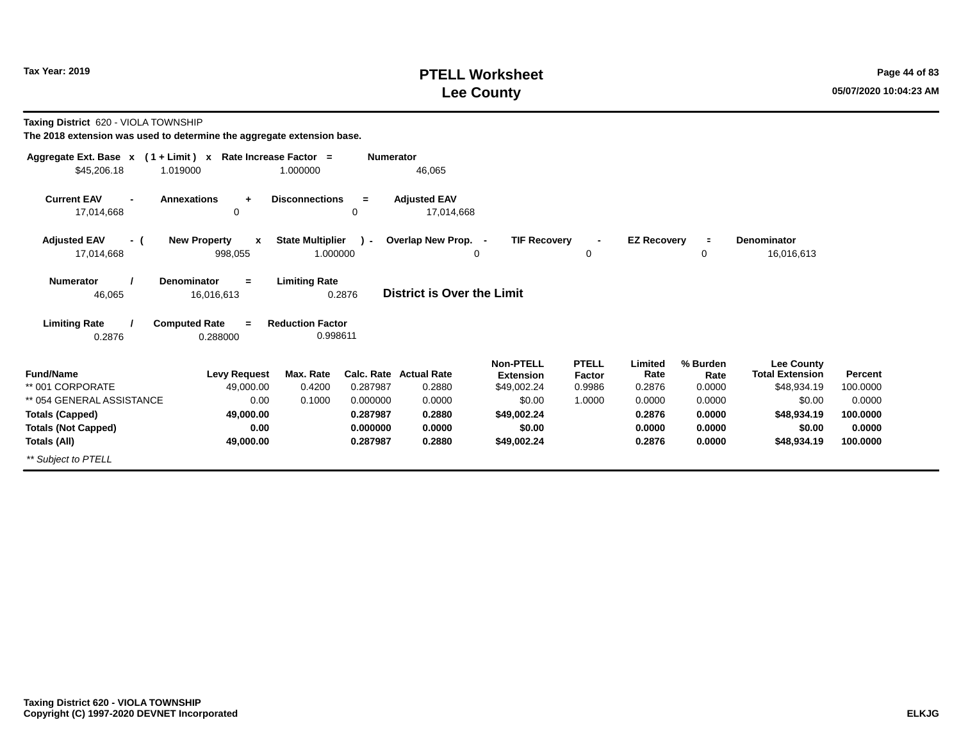# **PTELL Worksheet Tax Year: 2019 Page 44 of 83 Lee County 05/07/2020 10:04:23 AM**

**Taxing District** 620 - VIOLA TOWNSHIP

| Aggregate Ext. Base $x$ (1 + Limit) $x$ |                                     | Rate Increase Factor =  | <b>Numerator</b> |                                   |                     |              |                    |                |                        |          |
|-----------------------------------------|-------------------------------------|-------------------------|------------------|-----------------------------------|---------------------|--------------|--------------------|----------------|------------------------|----------|
| \$45,206.18                             | 1.019000                            | 1.000000                |                  | 46,065                            |                     |              |                    |                |                        |          |
| <b>Current EAV</b><br>$\blacksquare$    | <b>Annexations</b><br>$\ddot{}$     | <b>Disconnections</b>   | $=$              | <b>Adjusted EAV</b>               |                     |              |                    |                |                        |          |
| 17,014,668                              | 0                                   |                         | 0                | 17,014,668                        |                     |              |                    |                |                        |          |
| <b>Adjusted EAV</b><br>- (              | <b>New Property</b><br>$\mathbf{x}$ | <b>State Multiplier</b> | $\mathcal{L}$    | Overlap New Prop. -               | <b>TIF Recovery</b> |              | <b>EZ Recovery</b> | $\blacksquare$ | <b>Denominator</b>     |          |
| 17,014,668                              | 998,055                             | 1.000000                |                  |                                   | 0                   | 0            |                    | 0              | 16,016,613             |          |
| <b>Numerator</b>                        | <b>Denominator</b><br>$=$           | <b>Limiting Rate</b>    |                  |                                   |                     |              |                    |                |                        |          |
| 46,065                                  | 16,016,613                          |                         | 0.2876           | <b>District is Over the Limit</b> |                     |              |                    |                |                        |          |
| <b>Limiting Rate</b>                    | <b>Computed Rate</b><br>$=$         | <b>Reduction Factor</b> |                  |                                   |                     |              |                    |                |                        |          |
| 0.2876                                  | 0.288000                            | 0.998611                |                  |                                   |                     |              |                    |                |                        |          |
|                                         |                                     |                         |                  |                                   | <b>Non-PTELL</b>    | <b>PTELL</b> | Limited            | % Burden       | <b>Lee County</b>      |          |
| <b>Fund/Name</b>                        | <b>Levy Request</b>                 | Max. Rate               |                  | Calc. Rate Actual Rate            | <b>Extension</b>    | Factor       | Rate               | Rate           | <b>Total Extension</b> | Percent  |
| ** 001 CORPORATE                        | 49,000.00                           | 0.4200                  | 0.287987         | 0.2880                            | \$49,002.24         | 0.9986       | 0.2876             | 0.0000         | \$48,934.19            | 100.0000 |
| ** 054 GENERAL ASSISTANCE               | 0.00                                | 0.1000                  | 0.000000         | 0.0000                            | \$0.00              | 1.0000       | 0.0000             | 0.0000         | \$0.00                 | 0.0000   |
| <b>Totals (Capped)</b>                  | 49,000.00                           |                         | 0.287987         | 0.2880                            | \$49,002.24         |              | 0.2876             | 0.0000         | \$48,934.19            | 100.0000 |
| <b>Totals (Not Capped)</b>              | 0.00                                |                         | 0.000000         | 0.0000                            | \$0.00              |              | 0.0000             | 0.0000         | \$0.00                 | 0.0000   |
| Totals (All)                            | 49,000.00                           |                         | 0.287987         | 0.2880                            | \$49,002.24         |              | 0.2876             | 0.0000         | \$48,934.19            | 100.0000 |
| ** Subject to PTELL                     |                                     |                         |                  |                                   |                     |              |                    |                |                        |          |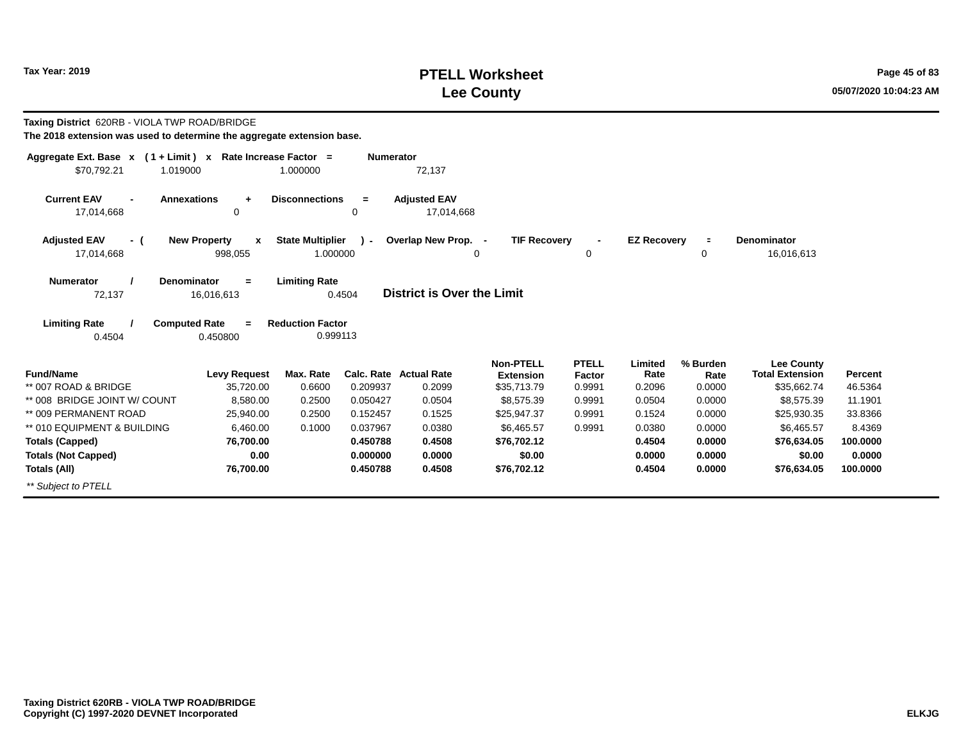# **PTELL Worksheet Tax Year: 2019 Page 45 of 83 Lee County 05/07/2020 10:04:23 AM**

| Taxing District 620RB - VIOLA TWP ROAD/BRIDGE<br>The 2018 extension was used to determine the aggregate extension base. |                                                                                       |                                                             |                  |                                         |                                                     |                                  |                           |                            |                                                            |                    |
|-------------------------------------------------------------------------------------------------------------------------|---------------------------------------------------------------------------------------|-------------------------------------------------------------|------------------|-----------------------------------------|-----------------------------------------------------|----------------------------------|---------------------------|----------------------------|------------------------------------------------------------|--------------------|
| Aggregate Ext. Base $x$ (1 + Limit) x Rate Increase Factor =                                                            |                                                                                       |                                                             | <b>Numerator</b> |                                         |                                                     |                                  |                           |                            |                                                            |                    |
| \$70.792.21<br>1.019000                                                                                                 |                                                                                       | 1.000000                                                    |                  | 72,137                                  |                                                     |                                  |                           |                            |                                                            |                    |
| <b>Current EAV</b><br>$\blacksquare$<br>17,014,668                                                                      | <b>Annexations</b><br>$\ddot{}$<br>$\mathbf 0$                                        | <b>Disconnections</b>                                       | $=$<br>$\Omega$  | <b>Adjusted EAV</b><br>17,014,668       |                                                     |                                  |                           |                            |                                                            |                    |
| <b>Adjusted EAV</b><br>- (                                                                                              | <b>New Property</b><br>x                                                              | <b>State Multiplier</b>                                     | $\mathbf{r}$     | Overlap New Prop. -                     | <b>TIF Recovery</b>                                 | $\overline{\phantom{a}}$         | <b>EZ Recovery</b>        | $\equiv$                   | Denominator                                                |                    |
| 17,014,668                                                                                                              | 998,055                                                                               | 1.000000                                                    |                  | 0                                       |                                                     | 0                                |                           | 0                          | 16,016,613                                                 |                    |
| <b>Numerator</b><br>72,137<br><b>Limiting Rate</b><br>0.4504                                                            | Denominator<br>$\equiv$<br>16,016,613<br><b>Computed Rate</b><br>$\equiv$<br>0.450800 | <b>Limiting Rate</b><br><b>Reduction Factor</b><br>0.999113 | 0.4504           | <b>District is Over the Limit</b>       |                                                     |                                  |                           |                            |                                                            |                    |
| <b>Fund/Name</b><br>** 007 ROAD & BRIDGE                                                                                | <b>Levy Request</b><br>35,720.00                                                      | Max. Rate<br>0.6600                                         | 0.209937         | <b>Calc. Rate Actual Rate</b><br>0.2099 | <b>Non-PTELL</b><br><b>Extension</b><br>\$35,713.79 | <b>PTELL</b><br>Factor<br>0.9991 | Limited<br>Rate<br>0.2096 | % Burden<br>Rate<br>0.0000 | <b>Lee County</b><br><b>Total Extension</b><br>\$35,662.74 | Percent<br>46.5364 |
| ** 008 BRIDGE JOINT W/ COUNT                                                                                            | 8,580.00                                                                              | 0.2500                                                      | 0.050427         | 0.0504                                  | \$8,575.39                                          | 0.9991                           | 0.0504                    | 0.0000                     | \$8,575.39                                                 | 11.1901            |
| ** 009 PERMANENT ROAD                                                                                                   | 25,940.00                                                                             | 0.2500                                                      | 0.152457         | 0.1525                                  | \$25,947.37                                         | 0.9991                           | 0.1524                    | 0.0000                     | \$25,930.35                                                | 33.8366            |
| ** 010 EQUIPMENT & BUILDING                                                                                             | 6.460.00                                                                              | 0.1000                                                      | 0.037967         | 0.0380                                  | \$6,465.57                                          | 0.9991                           | 0.0380                    | 0.0000                     | \$6.465.57                                                 | 8.4369             |
| <b>Totals (Capped)</b>                                                                                                  | 76,700.00                                                                             |                                                             | 0.450788         | 0.4508                                  | \$76,702.12                                         |                                  | 0.4504                    | 0.0000                     | \$76,634.05                                                | 100,0000           |
| <b>Totals (Not Capped)</b>                                                                                              | 0.00                                                                                  |                                                             | 0.000000         | 0.0000                                  | \$0.00                                              |                                  | 0.0000                    | 0.0000                     | \$0.00                                                     | 0.0000             |
| Totals (All)                                                                                                            | 76,700.00                                                                             |                                                             | 0.450788         | 0.4508                                  | \$76,702.12                                         |                                  | 0.4504                    | 0.0000                     | \$76,634.05                                                | 100,0000           |
| ** Subject to PTELL                                                                                                     |                                                                                       |                                                             |                  |                                         |                                                     |                                  |                           |                            |                                                            |                    |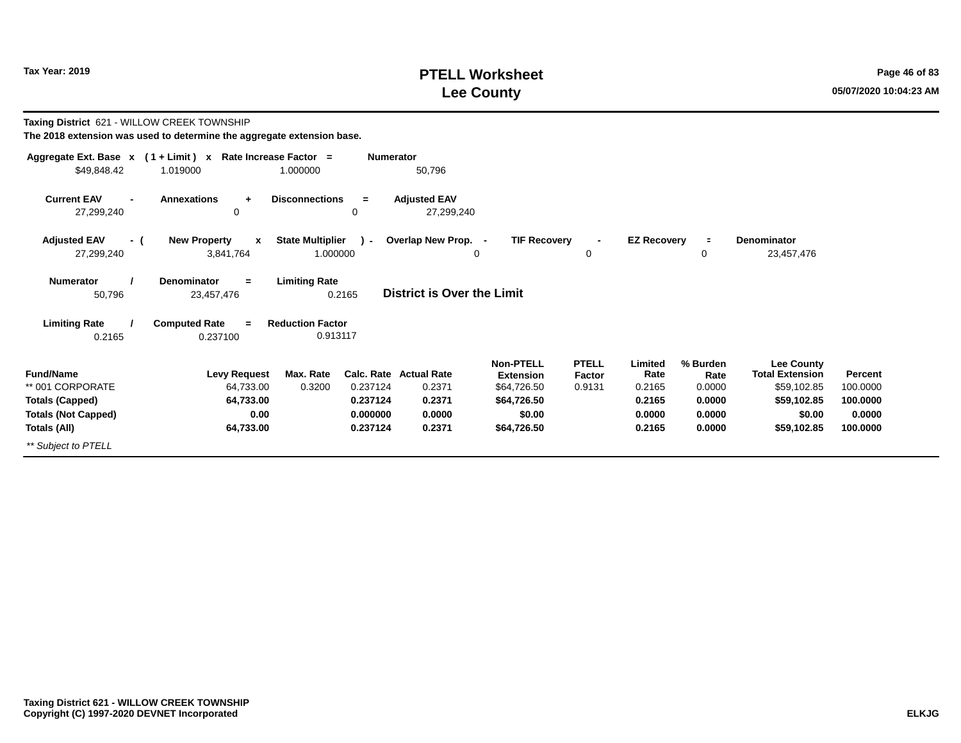# **PTELL Worksheet Tax Year: 2019 Page 46 of 83 Lee County 05/07/2020 10:04:23 AM**

| Taxing District 621 - WILLOW CREEK TOWNSHIP          | The 2018 extension was used to determine the aggregate extension base. |                                     |                      |                                   |                                      |                        |                    |                  |                                             |                    |
|------------------------------------------------------|------------------------------------------------------------------------|-------------------------------------|----------------------|-----------------------------------|--------------------------------------|------------------------|--------------------|------------------|---------------------------------------------|--------------------|
| \$49,848.42                                          | Aggregate Ext. Base x (1+Limit) x Rate Increase Factor =<br>1.019000   | 1.000000                            | <b>Numerator</b>     | 50,796                            |                                      |                        |                    |                  |                                             |                    |
| <b>Current EAV</b><br>27,299,240                     | <b>Annexations</b><br>$\ddot{}$<br>0                                   | <b>Disconnections</b><br>0          | $=$                  | <b>Adjusted EAV</b><br>27,299,240 |                                      |                        |                    |                  |                                             |                    |
| <b>Adjusted EAV</b><br>- (<br>27,299,240             | <b>New Property</b><br>X<br>3,841,764                                  | <b>State Multiplier</b><br>1.000000 | $\sim$               | Overlap New Prop. -               | <b>TIF Recoverv</b><br>0             | 0                      | <b>EZ Recovery</b> | $\equiv$<br>0    | <b>Denominator</b><br>23,457,476            |                    |
| <b>Numerator</b><br>50,796                           | <b>Denominator</b><br>$=$<br>23,457,476                                | <b>Limiting Rate</b><br>0.2165      |                      | <b>District is Over the Limit</b> |                                      |                        |                    |                  |                                             |                    |
| <b>Limiting Rate</b><br>0.2165                       | <b>Computed Rate</b><br>$\equiv$<br>0.237100                           | <b>Reduction Factor</b><br>0.913117 |                      |                                   |                                      |                        |                    |                  |                                             |                    |
| <b>Fund/Name</b>                                     | <b>Levy Request</b>                                                    | Max. Rate                           |                      | <b>Calc. Rate Actual Rate</b>     | <b>Non-PTELL</b><br><b>Extension</b> | <b>PTELL</b><br>Factor | Limited<br>Rate    | % Burden<br>Rate | <b>Lee County</b><br><b>Total Extension</b> | Percent            |
| ** 001 CORPORATE                                     | 64,733.00                                                              | 0.3200                              | 0.237124             | 0.2371                            | \$64,726.50                          | 0.9131                 | 0.2165             | 0.0000           | \$59,102.85                                 | 100.0000           |
| <b>Totals (Capped)</b><br><b>Totals (Not Capped)</b> | 64,733.00<br>0.00                                                      |                                     | 0.237124<br>0.000000 | 0.2371<br>0.0000                  | \$64,726.50<br>\$0.00                |                        | 0.2165<br>0.0000   | 0.0000<br>0.0000 | \$59,102.85<br>\$0.00                       | 100.0000<br>0.0000 |
| Totals (All)                                         | 64,733.00                                                              |                                     | 0.237124             | 0.2371                            | \$64,726.50                          |                        | 0.2165             | 0.0000           | \$59,102.85                                 | 100.0000           |
| ** Subject to PTELL                                  |                                                                        |                                     |                      |                                   |                                      |                        |                    |                  |                                             |                    |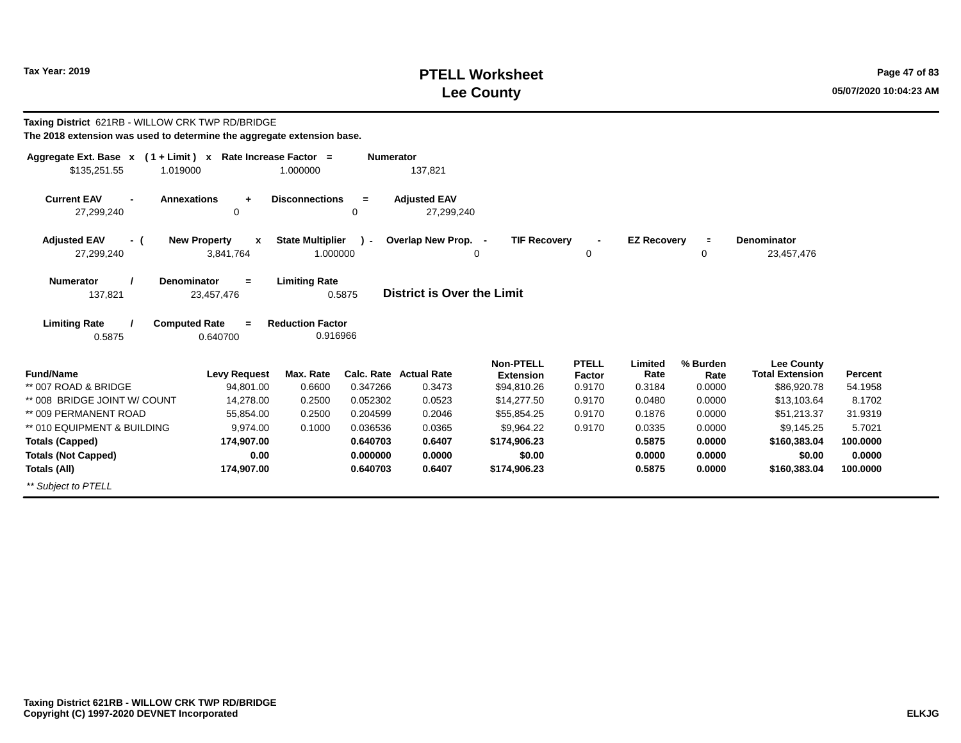# **PTELL Worksheet Tax Year: 2019 Page 47 of 83 Lee County 05/07/2020 10:04:23 AM**

| Taxing District 621RB - WILLOW CRK TWP RD/BRIDGE<br>The 2018 extension was used to determine the aggregate extension base. |                                         |                                     |                  |                                   |                                      |                        |                    |                  |                                             |                |
|----------------------------------------------------------------------------------------------------------------------------|-----------------------------------------|-------------------------------------|------------------|-----------------------------------|--------------------------------------|------------------------|--------------------|------------------|---------------------------------------------|----------------|
| Aggregate Ext. Base $x$ (1 + Limit) x Rate Increase Factor =                                                               |                                         |                                     | <b>Numerator</b> |                                   |                                      |                        |                    |                  |                                             |                |
| \$135,251.55<br>1.019000                                                                                                   |                                         | 1.000000                            |                  | 137,821                           |                                      |                        |                    |                  |                                             |                |
| <b>Current EAV</b><br><b>Annexations</b><br>27,299,240                                                                     | $\ddot{}$<br>0                          | <b>Disconnections</b>               | $=$<br>0         | <b>Adjusted EAV</b><br>27,299,240 |                                      |                        |                    |                  |                                             |                |
| <b>Adjusted EAV</b><br>- (                                                                                                 | <b>New Property</b><br>$\mathbf{x}$     | <b>State Multiplier</b>             | $\mathbf{r}$     | Overlap New Prop. -               | <b>TIF Recovery</b>                  | $\blacksquare$         | <b>EZ Recovery</b> | $\equiv$         | Denominator                                 |                |
| 27,299,240                                                                                                                 | 3,841,764                               | 1.000000                            |                  |                                   | 0                                    | 0                      |                    | 0                | 23,457,476                                  |                |
| <b>Numerator</b><br>137,821                                                                                                | <b>Denominator</b><br>$=$<br>23,457,476 | <b>Limiting Rate</b>                | 0.5875           | District is Over the Limit        |                                      |                        |                    |                  |                                             |                |
| <b>Limiting Rate</b><br>0.5875                                                                                             | <b>Computed Rate</b><br>$=$<br>0.640700 | <b>Reduction Factor</b><br>0.916966 |                  |                                   |                                      |                        |                    |                  |                                             |                |
| <b>Fund/Name</b>                                                                                                           | <b>Levy Request</b>                     | Max. Rate                           |                  | <b>Calc. Rate Actual Rate</b>     | <b>Non-PTELL</b><br><b>Extension</b> | <b>PTELL</b><br>Factor | Limited<br>Rate    | % Burden<br>Rate | <b>Lee County</b><br><b>Total Extension</b> | <b>Percent</b> |
| ** 007 ROAD & BRIDGE                                                                                                       | 94,801.00                               | 0.6600                              | 0.347266         | 0.3473                            | \$94,810.26                          | 0.9170                 | 0.3184             | 0.0000           | \$86,920.78                                 | 54.1958        |
| ** 008 BRIDGE JOINT W/ COUNT                                                                                               | 14,278.00                               | 0.2500                              | 0.052302         | 0.0523                            | \$14,277.50                          | 0.9170                 | 0.0480             | 0.0000           | \$13,103.64                                 | 8.1702         |
| ** 009 PERMANENT ROAD                                                                                                      | 55,854.00                               | 0.2500                              | 0.204599         | 0.2046                            | \$55,854.25                          | 0.9170                 | 0.1876             | 0.0000           | \$51,213.37                                 | 31.9319        |
| ** 010 EQUIPMENT & BUILDING                                                                                                | 9.974.00                                | 0.1000                              | 0.036536         | 0.0365                            | \$9,964.22                           | 0.9170                 | 0.0335             | 0.0000           | \$9,145.25                                  | 5.7021         |
| <b>Totals (Capped)</b>                                                                                                     | 174,907.00                              |                                     | 0.640703         | 0.6407                            | \$174,906.23                         |                        | 0.5875             | 0.0000           | \$160,383.04                                | 100.0000       |
| <b>Totals (Not Capped)</b>                                                                                                 | 0.00                                    |                                     | 0.000000         | 0.0000                            | \$0.00                               |                        | 0.0000             | 0.0000           | \$0.00                                      | 0.0000         |
| Totals (All)                                                                                                               | 174,907.00                              |                                     | 0.640703         | 0.6407                            | \$174,906.23                         |                        | 0.5875             | 0.0000           | \$160,383.04                                | 100.0000       |
| ** Subject to PTELL                                                                                                        |                                         |                                     |                  |                                   |                                      |                        |                    |                  |                                             |                |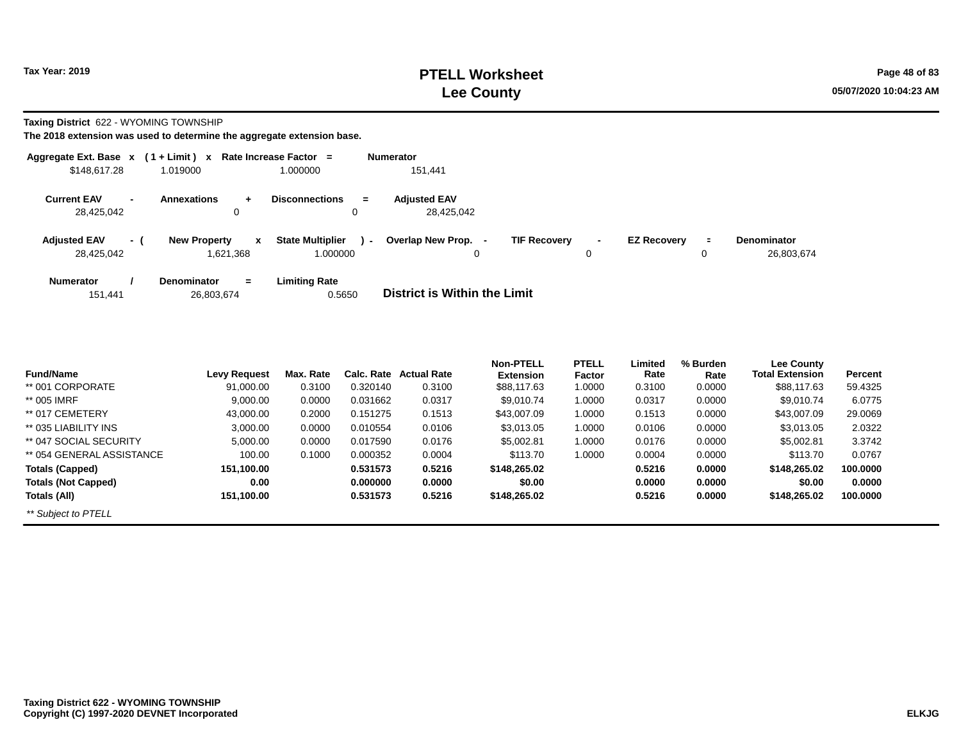**Taxing District** 622 - WYOMING TOWNSHIP

| Aggregate Ext. Base $x$ (1 + Limit) $x$ |                |                                                 | Rate Increase Factor =                        | <b>Numerator</b>                                                                                                                  |
|-----------------------------------------|----------------|-------------------------------------------------|-----------------------------------------------|-----------------------------------------------------------------------------------------------------------------------------------|
| \$148,617.28                            |                | 1.019000                                        | 1.000000                                      | 151,441                                                                                                                           |
| <b>Current EAV</b><br>28,425,042        | $\blacksquare$ | <b>Annexations</b><br>$\ddot{\phantom{1}}$<br>0 | <b>Disconnections</b><br>$=$                  | <b>Adiusted EAV</b><br>28.425.042                                                                                                 |
| <b>Adjusted EAV</b><br>28,425,042       | $-1$           | <b>New Property</b><br>$\mathbf x$<br>1,621,368 | <b>State Multiplier</b><br>$\sim$<br>1.000000 | Overlap New Prop. -<br><b>TIF Recovery</b><br><b>EZ Recovery</b><br><b>Denominator</b><br>÷.<br>$\blacksquare$<br>26,803,674<br>0 |
| <b>Numerator</b><br>151,441             |                | <b>Denominator</b><br>$=$<br>26,803,674         | <b>Limiting Rate</b><br>0.5650                | District is Within the Limit                                                                                                      |

| <b>Fund/Name</b>           | <b>Levy Request</b> | Max. Rate | Calc. Rate | <b>Actual Rate</b> | <b>Non-PTELL</b><br><b>Extension</b> | <b>PTELL</b><br>Factor | Limited<br>Rate | % Burden<br>Rate | <b>Lee County</b><br><b>Total Extension</b> | Percent  |
|----------------------------|---------------------|-----------|------------|--------------------|--------------------------------------|------------------------|-----------------|------------------|---------------------------------------------|----------|
| ** 001 CORPORATE           | 91.000.00           | 0.3100    | 0.320140   | 0.3100             | \$88,117.63                          | 1.0000                 | 0.3100          | 0.0000           | \$88,117,63                                 | 59.4325  |
| ** 005 IMRF                | 9.000.00            | 0.0000    | 0.031662   | 0.0317             | \$9.010.74                           | 1.0000                 | 0.0317          | 0.0000           | \$9,010.74                                  | 6.0775   |
| ** 017 CEMETERY            | 43.000.00           | 0.2000    | 0.151275   | 0.1513             | \$43,007.09                          | 1.0000                 | 0.1513          | 0.0000           | \$43,007.09                                 | 29,0069  |
| ** 035 LIABILITY INS       | 3,000.00            | 0.0000    | 0.010554   | 0.0106             | \$3.013.05                           | 1.0000                 | 0.0106          | 0.0000           | \$3.013.05                                  | 2.0322   |
| ** 047 SOCIAL SECURITY     | 5,000.00            | 0.0000    | 0.017590   | 0.0176             | \$5,002.81                           | 1.0000                 | 0.0176          | 0.0000           | \$5,002.81                                  | 3.3742   |
| ** 054 GENERAL ASSISTANCE  | 100.00              | 0.1000    | 0.000352   | 0.0004             | \$113.70                             | 1.0000                 | 0.0004          | 0.0000           | \$113.70                                    | 0.0767   |
| <b>Totals (Capped)</b>     | 151,100.00          |           | 0.531573   | 0.5216             | \$148,265.02                         |                        | 0.5216          | 0.0000           | \$148,265.02                                | 100.0000 |
| <b>Totals (Not Capped)</b> | 0.00                |           | 0.000000   | 0.0000             | \$0.00                               |                        | 0.0000          | 0.0000           | \$0.00                                      | 0.0000   |
| Totals (All)               | 151,100.00          |           | 0.531573   | 0.5216             | \$148,265,02                         |                        | 0.5216          | 0.0000           | \$148,265,02                                | 100.0000 |
| ** Subject to PTELL        |                     |           |            |                    |                                      |                        |                 |                  |                                             |          |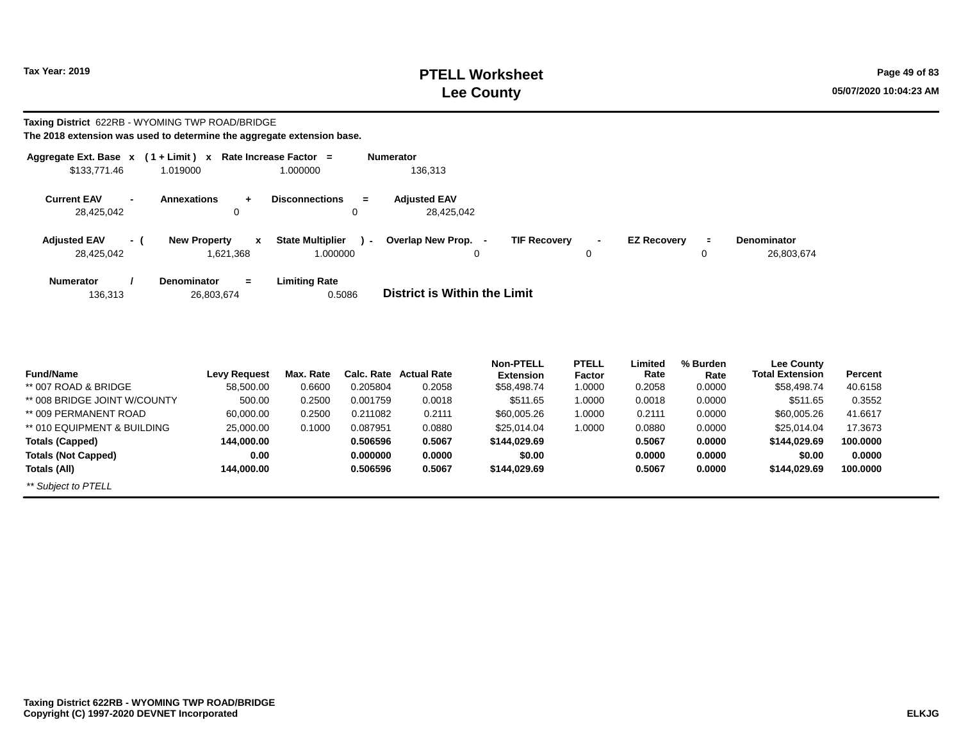# **PTELL Worksheet Tax Year: 2019 Page 49 of 83 Lee County 05/07/2020 10:04:23 AM**

#### **Taxing District** 622RB - WYOMING TWP ROAD/BRIDGE **The 2018 extension was used to determine the aggregate extension base.**

|                                   |     | Aggregate Ext. Base $x$ (1 + Limit) $x$ Rate Increase Factor = |                                                     |        | <b>Numerator</b>                         |                     |        |                    |         |                                  |
|-----------------------------------|-----|----------------------------------------------------------------|-----------------------------------------------------|--------|------------------------------------------|---------------------|--------|--------------------|---------|----------------------------------|
| \$133,771.46                      |     | 1.019000                                                       | 1.000000                                            |        | 136,313                                  |                     |        |                    |         |                                  |
| <b>Current EAV</b><br>28.425.042  |     | <b>Annexations</b><br>$\ddot{}$<br>0                           | <b>Disconnections</b><br>0                          | $=$    | <b>Adiusted EAV</b><br>28.425.042        |                     |        |                    |         |                                  |
| <b>Adjusted EAV</b><br>28.425.042 | - ( | <b>New Property</b><br>1.621.368                               | <b>State Multiplier</b><br>$\mathbf{x}$<br>1.000000 | $\sim$ | Overlap New Prop.<br>$\blacksquare$<br>0 | <b>TIF Recovery</b> | $\sim$ | <b>EZ Recovery</b> | Ξ.<br>0 | <b>Denominator</b><br>26,803,674 |
| <b>Numerator</b><br>136,313       |     | <b>Denominator</b><br>$=$<br>26,803,674                        | <b>Limiting Rate</b><br>0.5086                      |        | District is Within the Limit             |                     |        |                    |         |                                  |

| <b>Fund/Name</b>             | <b>Levy Request</b> | Max. Rate | Calc. Rate | <b>Actual Rate</b> | <b>Non-PTELL</b><br><b>Extension</b> | <b>PTELL</b><br>Factor | Limited<br>Rate | % Burden<br>Rate | <b>Lee County</b><br><b>Total Extension</b> | <b>Percent</b> |
|------------------------------|---------------------|-----------|------------|--------------------|--------------------------------------|------------------------|-----------------|------------------|---------------------------------------------|----------------|
| ** 007 ROAD & BRIDGE         | 58,500.00           | 0.6600    | 0.205804   | 0.2058             | \$58,498.74                          | 1.0000                 | 0.2058          | 0.0000           | \$58,498.74                                 | 40.6158        |
| ** 008 BRIDGE JOINT W/COUNTY | 500.00              | 0.2500    | 0.001759   | 0.0018             | \$511.65                             | 1.0000                 | 0.0018          | 0.0000           | \$511.65                                    | 0.3552         |
| ** 009 PERMANENT ROAD        | 60.000.00           | 0.2500    | 0.211082   | 0.2111             | \$60,005.26                          | 1.0000                 | 0.2111          | 0.0000           | \$60,005.26                                 | 41.6617        |
| ** 010 EQUIPMENT & BUILDING  | 25,000.00           | 0.1000    | 0.087951   | 0.0880             | \$25.014.04                          | 1.0000                 | 0.0880          | 0.0000           | \$25.014.04                                 | 17.3673        |
| Totals (Capped)              | 144,000.00          |           | 0.506596   | 0.5067             | \$144,029.69                         |                        | 0.5067          | 0.0000           | \$144.029.69                                | 100.0000       |
| <b>Totals (Not Capped)</b>   | 0.00                |           | 0.000000   | 0.0000             | \$0.00                               |                        | 0.0000          | 0.0000           | \$0.00                                      | 0.0000         |
| Totals (All)                 | 144.000.00          |           | 0.506596   | 0.5067             | \$144.029.69                         |                        | 0.5067          | 0.0000           | \$144.029.69                                | 100.0000       |
| ** Subject to PTELL          |                     |           |            |                    |                                      |                        |                 |                  |                                             |                |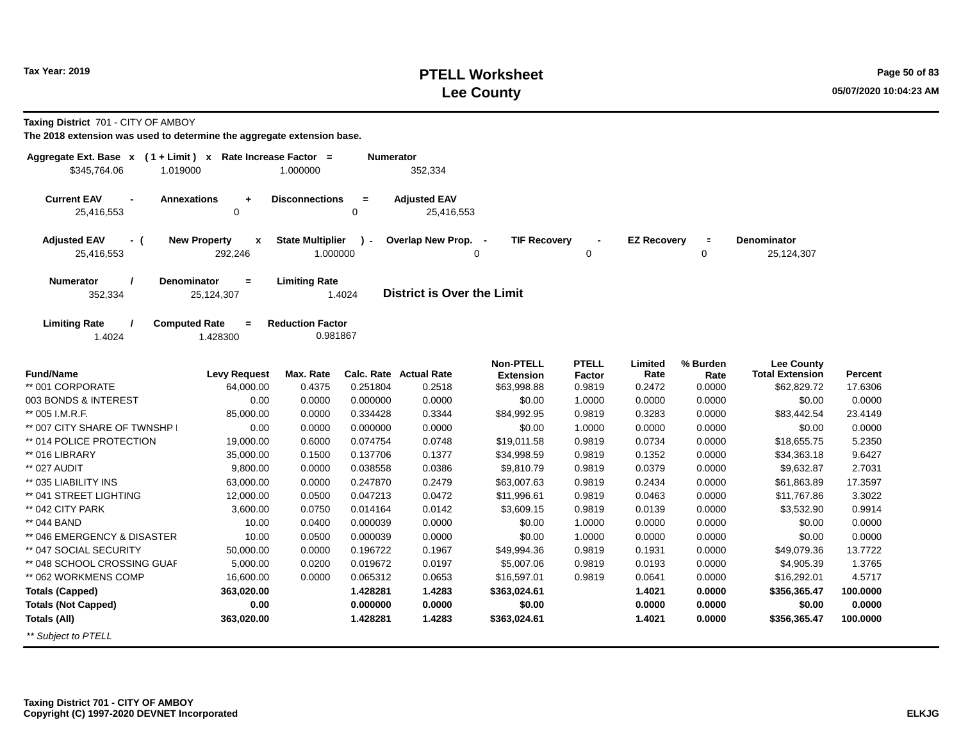### **PTELL Worksheet Tax Year: 2019 Page 50 of 83 Lee County 05/07/2020 10:04:23 AM**

**Taxing District** 701 - CITY OF AMBOY

| Aggregate Ext. Base $x$ (1 + Limit) x Rate Increase Factor =<br>\$345,764.06<br>1.019000 |                                                | 1.000000                            | Numerator    | 352,334                           |                                      |                        |                    |                  |                                             |          |
|------------------------------------------------------------------------------------------|------------------------------------------------|-------------------------------------|--------------|-----------------------------------|--------------------------------------|------------------------|--------------------|------------------|---------------------------------------------|----------|
| <b>Current EAV</b><br>$\blacksquare$<br>25,416,553                                       | <b>Annexations</b><br>$\ddot{}$<br>0           | <b>Disconnections</b>               | $=$<br>0     | <b>Adjusted EAV</b><br>25,416,553 |                                      |                        |                    |                  |                                             |          |
| <b>Adjusted EAV</b><br>- (<br>25,416,553                                                 | <b>New Property</b><br>$\mathbf{x}$<br>292,246 | <b>State Multiplier</b><br>1.000000 | $\mathbf{r}$ | Overlap New Prop. -<br>0          | <b>TIF Recovery</b>                  | 0                      | <b>EZ Recovery</b> | $\equiv$<br>0    | <b>Denominator</b><br>25,124,307            |          |
| Numerator<br>352,334                                                                     | Denominator<br>$\blacksquare$<br>25,124,307    | <b>Limiting Rate</b>                | 1.4024       | <b>District is Over the Limit</b> |                                      |                        |                    |                  |                                             |          |
| <b>Limiting Rate</b><br>1.4024                                                           | <b>Computed Rate</b><br>$=$<br>1.428300        | <b>Reduction Factor</b><br>0.981867 |              |                                   |                                      |                        |                    |                  |                                             |          |
| <b>Fund/Name</b>                                                                         | <b>Levy Request</b>                            | Max. Rate                           |              | Calc. Rate Actual Rate            | <b>Non-PTELL</b><br><b>Extension</b> | <b>PTELL</b><br>Factor | Limited<br>Rate    | % Burden<br>Rate | <b>Lee County</b><br><b>Total Extension</b> | Percent  |
| ** 001 CORPORATE                                                                         | 64,000.00                                      | 0.4375                              | 0.251804     | 0.2518                            | \$63,998.88                          | 0.9819                 | 0.2472             | 0.0000           | \$62,829.72                                 | 17.6306  |
| 003 BONDS & INTEREST                                                                     | 0.00                                           | 0.0000                              | 0.000000     | 0.0000                            | \$0.00                               | 1.0000                 | 0.0000             | 0.0000           | \$0.00                                      | 0.0000   |
| ** 005 I.M.R.F.                                                                          | 85,000.00                                      | 0.0000                              | 0.334428     | 0.3344                            | \$84,992.95                          | 0.9819                 | 0.3283             | 0.0000           | \$83,442.54                                 | 23.4149  |
| ** 007 CITY SHARE OF TWNSHP                                                              | 0.00                                           | 0.0000                              | 0.000000     | 0.0000                            | \$0.00                               | 1.0000                 | 0.0000             | 0.0000           | \$0.00                                      | 0.0000   |
| ** 014 POLICE PROTECTION                                                                 | 19,000.00                                      | 0.6000                              | 0.074754     | 0.0748                            | \$19,011.58                          | 0.9819                 | 0.0734             | 0.0000           | \$18,655.75                                 | 5.2350   |
| ** 016 LIBRARY                                                                           | 35,000.00                                      | 0.1500                              | 0.137706     | 0.1377                            | \$34,998.59                          | 0.9819                 | 0.1352             | 0.0000           | \$34,363.18                                 | 9.6427   |
| ** 027 AUDIT                                                                             | 9,800.00                                       | 0.0000                              | 0.038558     | 0.0386                            | \$9,810.79                           | 0.9819                 | 0.0379             | 0.0000           | \$9,632.87                                  | 2.7031   |
| ** 035 LIABILITY INS                                                                     | 63,000.00                                      | 0.0000                              | 0.247870     | 0.2479                            | \$63,007.63                          | 0.9819                 | 0.2434             | 0.0000           | \$61,863.89                                 | 17.3597  |
| ** 041 STREET LIGHTING                                                                   | 12,000.00                                      | 0.0500                              | 0.047213     | 0.0472                            | \$11,996.61                          | 0.9819                 | 0.0463             | 0.0000           | \$11,767.86                                 | 3.3022   |
| ** 042 CITY PARK                                                                         | 3,600.00                                       | 0.0750                              | 0.014164     | 0.0142                            | \$3,609.15                           | 0.9819                 | 0.0139             | 0.0000           | \$3,532.90                                  | 0.9914   |
| ** 044 BAND                                                                              | 10.00                                          | 0.0400                              | 0.000039     | 0.0000                            | \$0.00                               | 1.0000                 | 0.0000             | 0.0000           | \$0.00                                      | 0.0000   |
| ** 046 EMERGENCY & DISASTER                                                              | 10.00                                          | 0.0500                              | 0.000039     | 0.0000                            | \$0.00                               | 1.0000                 | 0.0000             | 0.0000           | \$0.00                                      | 0.0000   |
| ** 047 SOCIAL SECURITY                                                                   | 50,000.00                                      | 0.0000                              | 0.196722     | 0.1967                            | \$49,994.36                          | 0.9819                 | 0.1931             | 0.0000           | \$49,079.36                                 | 13.7722  |
| ** 048 SCHOOL CROSSING GUAF                                                              | 5,000.00                                       | 0.0200                              | 0.019672     | 0.0197                            | \$5,007.06                           | 0.9819                 | 0.0193             | 0.0000           | \$4,905.39                                  | 1.3765   |
| ** 062 WORKMENS COMP                                                                     | 16,600.00                                      | 0.0000                              | 0.065312     | 0.0653                            | \$16,597.01                          | 0.9819                 | 0.0641             | 0.0000           | \$16,292.01                                 | 4.5717   |
| <b>Totals (Capped)</b>                                                                   | 363,020.00                                     |                                     | 1.428281     | 1.4283                            | \$363,024.61                         |                        | 1.4021             | 0.0000           | \$356,365.47                                | 100.0000 |
| <b>Totals (Not Capped)</b>                                                               | 0.00                                           |                                     | 0.000000     | 0.0000                            | \$0.00                               |                        | 0.0000             | 0.0000           | \$0.00                                      | 0.0000   |
| Totals (All)                                                                             | 363,020.00                                     |                                     | 1.428281     | 1.4283                            | \$363,024.61                         |                        | 1.4021             | 0.0000           | \$356,365.47                                | 100.0000 |
| ** Subject to PTELL                                                                      |                                                |                                     |              |                                   |                                      |                        |                    |                  |                                             |          |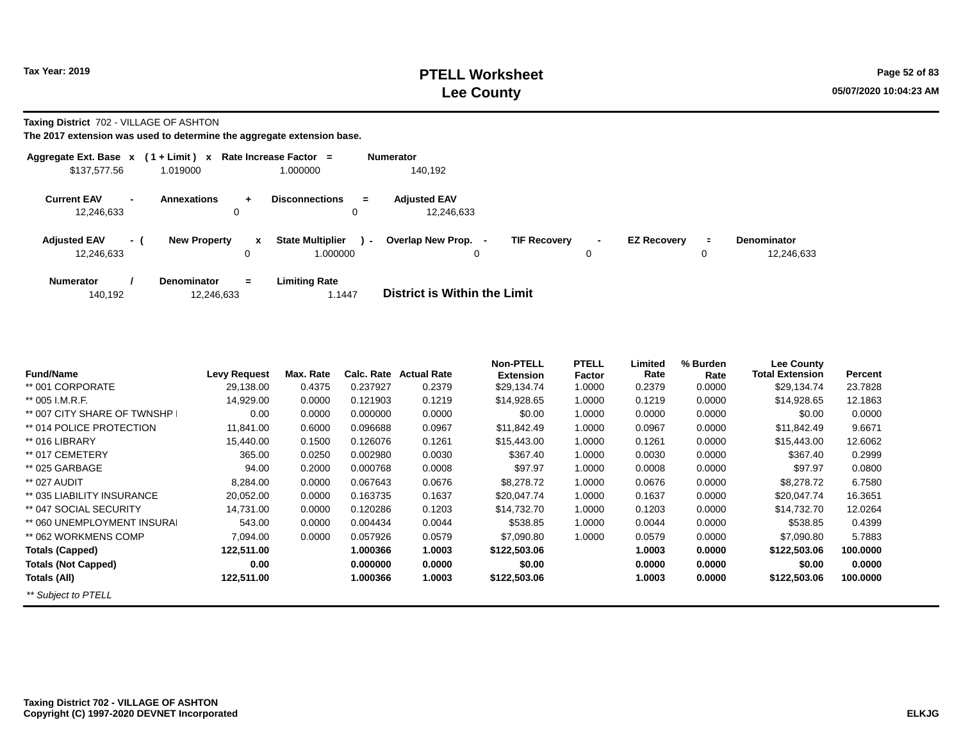**Taxing District** 702 - VILLAGE OF ASHTON

| Aggregate Ext. Base $x$ (1 + Limit) $x$ |                          |                                  |                      | Rate Increase Factor =                        | <b>Numerator</b>                  |                     |                     |                    |               |                                  |
|-----------------------------------------|--------------------------|----------------------------------|----------------------|-----------------------------------------------|-----------------------------------|---------------------|---------------------|--------------------|---------------|----------------------------------|
| \$137,577.56                            |                          | 1.019000                         |                      | 1.000000                                      | 140.192                           |                     |                     |                    |               |                                  |
| <b>Current EAV</b><br>12,246,633        | $\overline{\phantom{0}}$ | <b>Annexations</b><br>0          | $\ddot{\phantom{1}}$ | <b>Disconnections</b><br>$=$<br>0             | <b>Adiusted EAV</b><br>12.246.633 |                     |                     |                    |               |                                  |
| <b>Adjusted EAV</b><br>12,246,633       | - (                      | <b>New Property</b>              | $\mathbf{x}$<br>0    | <b>State Multiplier</b><br>$\sim$<br>1.000000 | Overlap New Prop.<br>0            | <b>TIF Recovery</b> | $\blacksquare$<br>0 | <b>EZ Recovery</b> | $\equiv$<br>0 | <b>Denominator</b><br>12,246,633 |
| <b>Numerator</b><br>140,192             |                          | <b>Denominator</b><br>12,246,633 | $=$                  | <b>Limiting Rate</b><br>1.1447                | District is Within the Limit      |                     |                     |                    |               |                                  |

| <b>Fund/Name</b>            | <b>Levy Request</b> | Max. Rate | Calc. Rate | <b>Actual Rate</b> | <b>Non-PTELL</b><br><b>Extension</b> | <b>PTELL</b><br>Factor | Limited<br>Rate | % Burden<br>Rate | Lee County<br><b>Total Extension</b> | Percent  |
|-----------------------------|---------------------|-----------|------------|--------------------|--------------------------------------|------------------------|-----------------|------------------|--------------------------------------|----------|
| ** 001 CORPORATE            | 29,138.00           | 0.4375    | 0.237927   | 0.2379             | \$29,134.74                          | 1.0000                 | 0.2379          | 0.0000           | \$29,134.74                          | 23.7828  |
| ** 005 I.M.R.F.             |                     |           | 0.121903   | 0.1219             |                                      | 1.0000                 | 0.1219          |                  |                                      |          |
|                             | 14,929.00           | 0.0000    |            |                    | \$14,928.65                          |                        |                 | 0.0000           | \$14,928.65                          | 12.1863  |
| ** 007 CITY SHARE OF TWNSHP | 0.00                | 0.0000    | 0.000000   | 0.0000             | \$0.00                               | 1.0000                 | 0.0000          | 0.0000           | \$0.00                               | 0.0000   |
| ** 014 POLICE PROTECTION    | 11.841.00           | 0.6000    | 0.096688   | 0.0967             | \$11.842.49                          | 1.0000                 | 0.0967          | 0.0000           | \$11.842.49                          | 9.6671   |
| ** 016 LIBRARY              | 15,440.00           | 0.1500    | 0.126076   | 0.1261             | \$15,443.00                          | 1.0000                 | 0.1261          | 0.0000           | \$15,443.00                          | 12.6062  |
| ** 017 CEMETERY             | 365.00              | 0.0250    | 0.002980   | 0.0030             | \$367.40                             | 1.0000                 | 0.0030          | 0.0000           | \$367.40                             | 0.2999   |
| ** 025 GARBAGE              | 94.00               | 0.2000    | 0.000768   | 0.0008             | \$97.97                              | 1.0000                 | 0.0008          | 0.0000           | \$97.97                              | 0.0800   |
| ** 027 AUDIT                | 8,284.00            | 0.0000    | 0.067643   | 0.0676             | \$8,278.72                           | 1.0000                 | 0.0676          | 0.0000           | \$8,278.72                           | 6.7580   |
| ** 035 LIABILITY INSURANCE  | 20,052.00           | 0.0000    | 0.163735   | 0.1637             | \$20,047.74                          | 1.0000                 | 0.1637          | 0.0000           | \$20,047.74                          | 16.3651  |
| ** 047 SOCIAL SECURITY      | 14,731.00           | 0.0000    | 0.120286   | 0.1203             | \$14,732.70                          | 1.0000                 | 0.1203          | 0.0000           | \$14,732.70                          | 12.0264  |
| ** 060 UNEMPLOYMENT INSURAL | 543.00              | 0.0000    | 0.004434   | 0.0044             | \$538.85                             | 1.0000                 | 0.0044          | 0.0000           | \$538.85                             | 0.4399   |
| ** 062 WORKMENS COMP        | 7.094.00            | 0.0000    | 0.057926   | 0.0579             | \$7,090.80                           | 1.0000                 | 0.0579          | 0.0000           | \$7,090.80                           | 5.7883   |
| <b>Totals (Capped)</b>      | 122,511.00          |           | 1.000366   | 1.0003             | \$122,503.06                         |                        | 1.0003          | 0.0000           | \$122,503,06                         | 100.0000 |
| <b>Totals (Not Capped)</b>  | 0.00                |           | 0.000000   | 0.0000             | \$0.00                               |                        | 0.0000          | 0.0000           | \$0.00                               | 0.0000   |
| Totals (All)                | 122,511.00          |           | 1.000366   | 1.0003             | \$122,503.06                         |                        | 1.0003          | 0.0000           | \$122,503.06                         | 100,0000 |
| ** Subject to PTELL         |                     |           |            |                    |                                      |                        |                 |                  |                                      |          |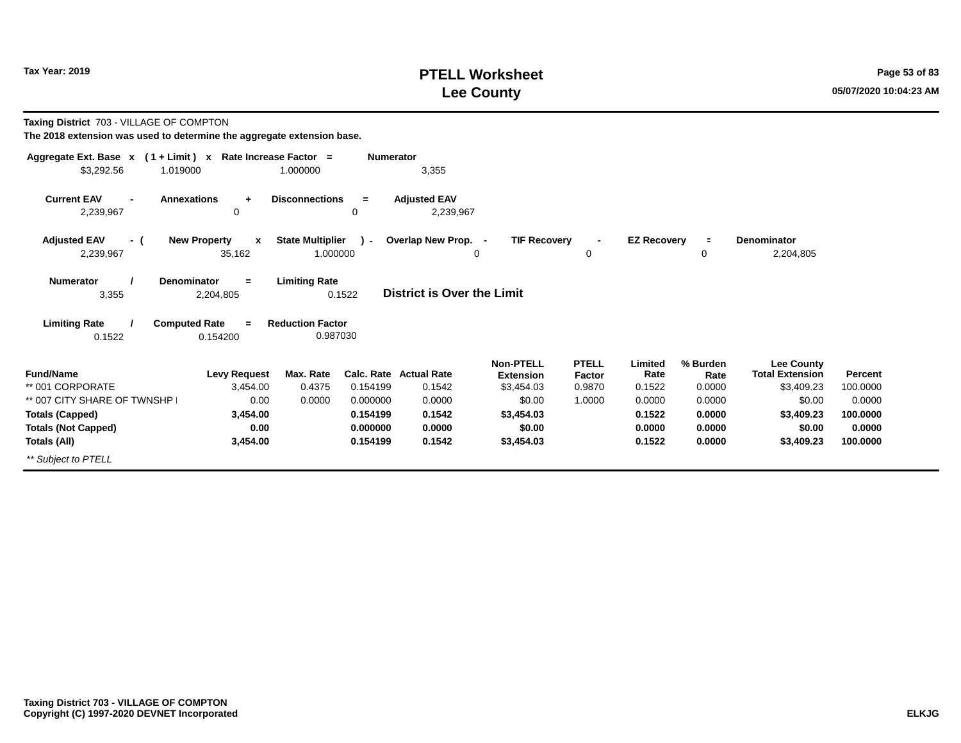### **PTELL Worksheet Tax Year: 2019 Page 53 of 83 Lee County 05/07/2020 10:04:23 AM**

| Taxing District 703 - VILLAGE OF COMPTON<br>The 2018 extension was used to determine the aggregate extension base. |                                               |                                     |                  |                                         |                                                    |                                  |                           |                            |                                                           |                     |
|--------------------------------------------------------------------------------------------------------------------|-----------------------------------------------|-------------------------------------|------------------|-----------------------------------------|----------------------------------------------------|----------------------------------|---------------------------|----------------------------|-----------------------------------------------------------|---------------------|
| Aggregate Ext. Base $x$ (1 + Limit) x Rate Increase Factor =<br>\$3,292.56<br>1.019000                             |                                               | 1.000000                            | <b>Numerator</b> | 3,355                                   |                                                    |                                  |                           |                            |                                                           |                     |
| <b>Current EAV</b><br>2,239,967                                                                                    | <b>Annexations</b><br>$\ddot{}$<br>0          | <b>Disconnections</b>               | $=$<br>$\Omega$  | <b>Adjusted EAV</b><br>2,239,967        |                                                    |                                  |                           |                            |                                                           |                     |
| <b>Adjusted EAV</b><br>- (<br>2,239,967                                                                            | <b>New Property</b><br>$\mathbf{x}$<br>35,162 | <b>State Multiplier</b><br>1.000000 | $\lambda$        | Overlap New Prop. -                     | <b>TIF Recovery</b><br>0                           | 0                                | <b>EZ Recovery</b>        | $\equiv$<br>0              | <b>Denominator</b><br>2,204,805                           |                     |
| <b>Numerator</b><br>3,355                                                                                          | Denominator<br>$=$<br>2,204,805               | <b>Limiting Rate</b>                | 0.1522           | <b>District is Over the Limit</b>       |                                                    |                                  |                           |                            |                                                           |                     |
| <b>Limiting Rate</b>                                                                                               | <b>Computed Rate</b><br>$\equiv$              | <b>Reduction Factor</b>             |                  |                                         |                                                    |                                  |                           |                            |                                                           |                     |
| 0.1522                                                                                                             | 0.154200                                      | 0.987030                            |                  |                                         |                                                    |                                  |                           |                            |                                                           |                     |
| <b>Fund/Name</b><br>** 001 CORPORATE                                                                               | <b>Levy Request</b><br>3.454.00               | Max. Rate<br>0.4375                 | 0.154199         | <b>Calc. Rate Actual Rate</b><br>0.1542 | <b>Non-PTELL</b><br><b>Extension</b><br>\$3,454.03 | <b>PTELL</b><br>Factor<br>0.9870 | Limited<br>Rate<br>0.1522 | % Burden<br>Rate<br>0.0000 | <b>Lee County</b><br><b>Total Extension</b><br>\$3,409.23 | Percent<br>100.0000 |
| ** 007 CITY SHARE OF TWNSHP                                                                                        | 0.00                                          | 0.0000                              | 0.000000         | 0.0000                                  | \$0.00                                             | 1.0000                           | 0.0000                    | 0.0000                     | \$0.00                                                    | 0.0000              |
| <b>Totals (Capped)</b>                                                                                             | 3,454.00                                      |                                     | 0.154199         | 0.1542                                  | \$3,454.03                                         |                                  | 0.1522                    | 0.0000                     | \$3,409.23                                                | 100.0000            |
| <b>Totals (Not Capped)</b>                                                                                         | 0.00                                          |                                     | 0.000000         | 0.0000                                  | \$0.00                                             |                                  | 0.0000                    | 0.0000                     | \$0.00                                                    | 0.0000              |
| <b>Totals (All)</b>                                                                                                | 3,454.00                                      |                                     | 0.154199         | 0.1542                                  | \$3,454.03                                         |                                  | 0.1522                    | 0.0000                     | \$3,409.23                                                | 100.0000            |
| ** Subject to PTELL                                                                                                |                                               |                                     |                  |                                         |                                                    |                                  |                           |                            |                                                           |                     |
|                                                                                                                    |                                               |                                     |                  |                                         |                                                    |                                  |                           |                            |                                                           |                     |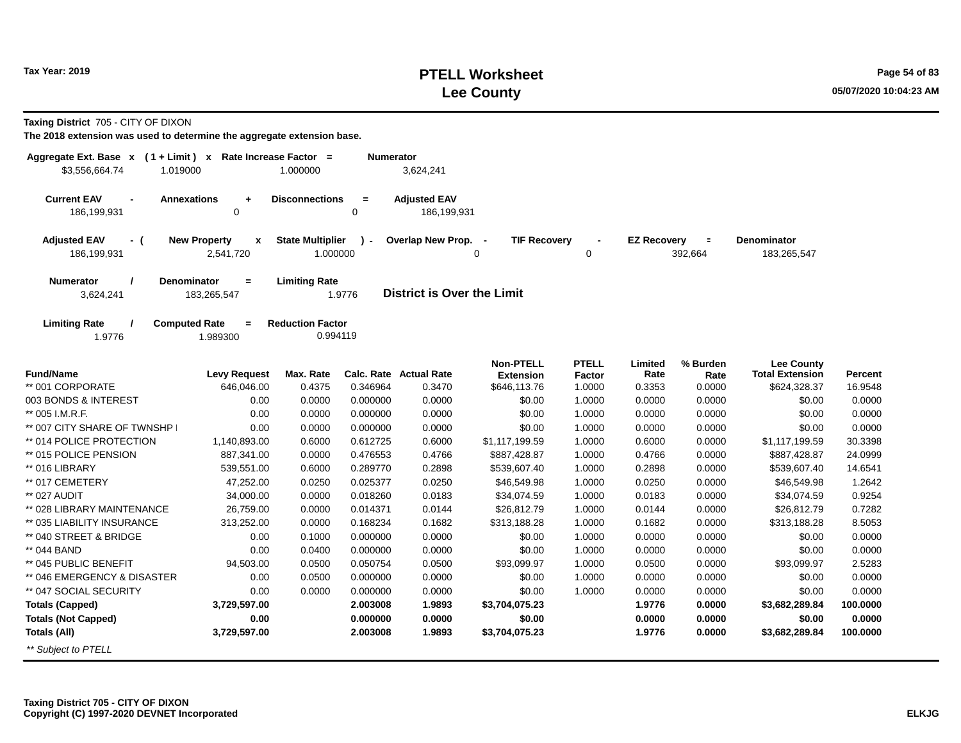### **PTELL Worksheet Tax Year: 2019 Page 54 of 83 Lee County 05/07/2020 10:04:23 AM**

**Taxing District** 705 - CITY OF DIXON

| Aggregate Ext. Base $x$ (1 + Limit) x Rate Increase Factor =<br>\$3,556,664.74<br>1.019000 |                                                  | 1.000000                            | Numerator          | 3,624,241                          |                                      |                        |                    |                     |                                             |          |
|--------------------------------------------------------------------------------------------|--------------------------------------------------|-------------------------------------|--------------------|------------------------------------|--------------------------------------|------------------------|--------------------|---------------------|---------------------------------------------|----------|
|                                                                                            |                                                  |                                     |                    |                                    |                                      |                        |                    |                     |                                             |          |
| <b>Current EAV</b><br>186,199,931                                                          | <b>Annexations</b><br>$\ddot{}$<br>$\mathbf 0$   | <b>Disconnections</b>               | $=$<br>$\mathbf 0$ | <b>Adjusted EAV</b><br>186,199,931 |                                      |                        |                    |                     |                                             |          |
| <b>Adjusted EAV</b><br>- (<br>186,199,931                                                  | <b>New Property</b><br>$\mathbf{x}$<br>2,541,720 | <b>State Multiplier</b><br>1.000000 | $\lambda$ -        | Overlap New Prop. -                | <b>TIF Recovery</b><br>0             | 0                      | <b>EZ Recovery</b> | $\equiv$<br>392,664 | <b>Denominator</b><br>183,265,547           |          |
| Numerator<br>3,624,241                                                                     | Denominator<br>$\equiv$<br>183,265,547           | <b>Limiting Rate</b>                | 1.9776             | <b>District is Over the Limit</b>  |                                      |                        |                    |                     |                                             |          |
| <b>Limiting Rate</b><br>1.9776                                                             | <b>Computed Rate</b><br>$=$<br>1.989300          | <b>Reduction Factor</b><br>0.994119 |                    |                                    |                                      |                        |                    |                     |                                             |          |
| <b>Fund/Name</b>                                                                           | <b>Levy Request</b>                              | Max. Rate                           |                    | Calc. Rate Actual Rate             | <b>Non-PTELL</b><br><b>Extension</b> | <b>PTELL</b><br>Factor | Limited<br>Rate    | % Burden<br>Rate    | <b>Lee County</b><br><b>Total Extension</b> | Percent  |
| ** 001 CORPORATE                                                                           | 646,046.00                                       | 0.4375                              | 0.346964           | 0.3470                             | \$646,113.76                         | 1.0000                 | 0.3353             | 0.0000              | \$624,328.37                                | 16.9548  |
| 003 BONDS & INTEREST                                                                       | 0.00                                             | 0.0000                              | 0.000000           | 0.0000                             | \$0.00                               | 1.0000                 | 0.0000             | 0.0000              | \$0.00                                      | 0.0000   |
| ** 005 I.M.R.F.                                                                            | 0.00                                             | 0.0000                              | 0.000000           | 0.0000                             | \$0.00                               | 1.0000                 | 0.0000             | 0.0000              | \$0.00                                      | 0.0000   |
| ** 007 CITY SHARE OF TWNSHP                                                                | 0.00                                             | 0.0000                              | 0.000000           | 0.0000                             | \$0.00                               | 1.0000                 | 0.0000             | 0.0000              | \$0.00                                      | 0.0000   |
| ** 014 POLICE PROTECTION                                                                   | 1,140,893.00                                     | 0.6000                              | 0.612725           | 0.6000                             | \$1,117,199.59                       | 1.0000                 | 0.6000             | 0.0000              | \$1,117,199.59                              | 30.3398  |
| ** 015 POLICE PENSION                                                                      | 887,341.00                                       | 0.0000                              | 0.476553           | 0.4766                             | \$887,428.87                         | 1.0000                 | 0.4766             | 0.0000              | \$887,428.87                                | 24.0999  |
| ** 016 LIBRARY                                                                             | 539,551.00                                       | 0.6000                              | 0.289770           | 0.2898                             | \$539,607.40                         | 1.0000                 | 0.2898             | 0.0000              | \$539,607.40                                | 14.6541  |
| ** 017 CEMETERY                                                                            | 47,252.00                                        | 0.0250                              | 0.025377           | 0.0250                             | \$46,549.98                          | 1.0000                 | 0.0250             | 0.0000              | \$46,549.98                                 | 1.2642   |
| ** 027 AUDIT                                                                               | 34,000.00                                        | 0.0000                              | 0.018260           | 0.0183                             | \$34,074.59                          | 1.0000                 | 0.0183             | 0.0000              | \$34,074.59                                 | 0.9254   |
| ** 028 LIBRARY MAINTENANCE                                                                 | 26,759.00                                        | 0.0000                              | 0.014371           | 0.0144                             | \$26,812.79                          | 1.0000                 | 0.0144             | 0.0000              | \$26,812.79                                 | 0.7282   |
| ** 035 LIABILITY INSURANCE                                                                 | 313,252.00                                       | 0.0000                              | 0.168234           | 0.1682                             | \$313,188.28                         | 1.0000                 | 0.1682             | 0.0000              | \$313,188.28                                | 8.5053   |
| ** 040 STREET & BRIDGE                                                                     | 0.00                                             | 0.1000                              | 0.000000           | 0.0000                             | \$0.00                               | 1.0000                 | 0.0000             | 0.0000              | \$0.00                                      | 0.0000   |
| ** 044 BAND                                                                                | 0.00                                             | 0.0400                              | 0.000000           | 0.0000                             | \$0.00                               | 1.0000                 | 0.0000             | 0.0000              | \$0.00                                      | 0.0000   |
| ** 045 PUBLIC BENEFIT                                                                      | 94,503.00                                        | 0.0500                              | 0.050754           | 0.0500                             | \$93,099.97                          | 1.0000                 | 0.0500             | 0.0000              | \$93,099.97                                 | 2.5283   |
| ** 046 EMERGENCY & DISASTER                                                                | 0.00                                             | 0.0500                              | 0.000000           | 0.0000                             | \$0.00                               | 1.0000                 | 0.0000             | 0.0000              | \$0.00                                      | 0.0000   |
| ** 047 SOCIAL SECURITY                                                                     | 0.00                                             | 0.0000                              | 0.000000           | 0.0000                             | \$0.00                               | 1.0000                 | 0.0000             | 0.0000              | \$0.00                                      | 0.0000   |
| <b>Totals (Capped)</b>                                                                     | 3,729,597.00                                     |                                     | 2.003008           | 1.9893                             | \$3,704,075.23                       |                        | 1.9776             | 0.0000              | \$3,682,289.84                              | 100.0000 |
| <b>Totals (Not Capped)</b>                                                                 | 0.00                                             |                                     | 0.000000           | 0.0000                             | \$0.00                               |                        | 0.0000             | 0.0000              | \$0.00                                      | 0.0000   |
| <b>Totals (All)</b>                                                                        | 3,729,597.00                                     |                                     | 2.003008           | 1.9893                             | \$3,704,075.23                       |                        | 1.9776             | 0.0000              | \$3,682,289.84                              | 100.0000 |
| ** Subject to PTELL                                                                        |                                                  |                                     |                    |                                    |                                      |                        |                    |                     |                                             |          |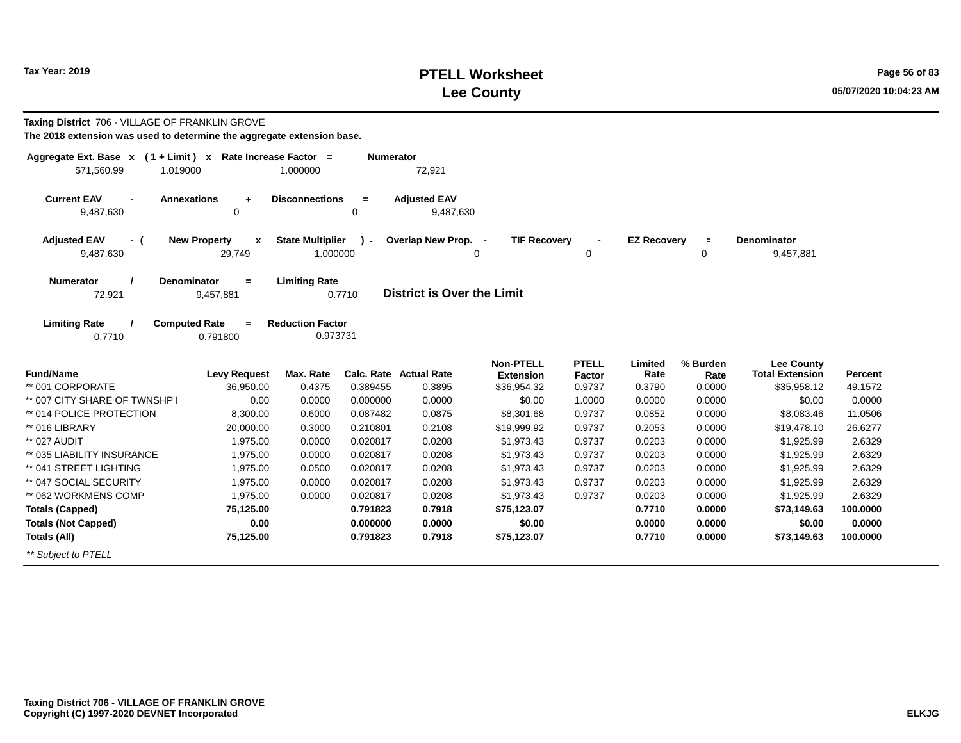### **PTELL Worksheet Tax Year: 2019 Page 56 of 83 Lee County 05/07/2020 10:04:23 AM**

| Taxing District 706 - VILLAGE OF FRANKLIN GROVE                        |                                     |                         |                  |                                   |                                      |                        |                    |                  |                                             |          |
|------------------------------------------------------------------------|-------------------------------------|-------------------------|------------------|-----------------------------------|--------------------------------------|------------------------|--------------------|------------------|---------------------------------------------|----------|
| The 2018 extension was used to determine the aggregate extension base. |                                     |                         |                  |                                   |                                      |                        |                    |                  |                                             |          |
| Aggregate Ext. Base $x$ (1 + Limit) x Rate Increase Factor =           |                                     |                         | <b>Numerator</b> |                                   |                                      |                        |                    |                  |                                             |          |
| \$71,560.99<br>1.019000                                                |                                     | 1.000000                |                  | 72,921                            |                                      |                        |                    |                  |                                             |          |
| <b>Current EAV</b><br><b>Annexations</b>                               | $\ddot{}$                           | <b>Disconnections</b>   | $\equiv$         | <b>Adjusted EAV</b>               |                                      |                        |                    |                  |                                             |          |
| 9,487,630                                                              | 0                                   |                         | 0                | 9,487,630                         |                                      |                        |                    |                  |                                             |          |
| <b>Adjusted EAV</b><br>- (                                             | <b>New Property</b><br>$\mathbf{x}$ | <b>State Multiplier</b> | $\mathbf{r}$     | Overlap New Prop. -               | <b>TIF Recovery</b>                  |                        | <b>EZ Recovery</b> | $\equiv$         | <b>Denominator</b>                          |          |
| 9,487,630                                                              | 29,749                              | 1.000000                |                  | 0                                 |                                      | 0                      |                    | 0                | 9,457,881                                   |          |
| Numerator<br><b>Denominator</b>                                        | $=$                                 | <b>Limiting Rate</b>    |                  |                                   |                                      |                        |                    |                  |                                             |          |
| 72,921                                                                 | 9,457,881                           |                         | 0.7710           | <b>District is Over the Limit</b> |                                      |                        |                    |                  |                                             |          |
| <b>Limiting Rate</b><br><b>Computed Rate</b>                           |                                     | <b>Reduction Factor</b> |                  |                                   |                                      |                        |                    |                  |                                             |          |
| 0.7710                                                                 | $=$<br>0.791800                     | 0.973731                |                  |                                   |                                      |                        |                    |                  |                                             |          |
|                                                                        |                                     |                         |                  |                                   |                                      |                        |                    |                  |                                             |          |
| <b>Fund/Name</b>                                                       | <b>Levy Request</b>                 | Max. Rate               |                  | <b>Calc. Rate Actual Rate</b>     | <b>Non-PTELL</b><br><b>Extension</b> | <b>PTELL</b><br>Factor | Limited<br>Rate    | % Burden<br>Rate | <b>Lee County</b><br><b>Total Extension</b> | Percent  |
| ** 001 CORPORATE                                                       | 36,950.00                           | 0.4375                  | 0.389455         | 0.3895                            | \$36,954.32                          | 0.9737                 | 0.3790             | 0.0000           | \$35,958.12                                 | 49.1572  |
| ** 007 CITY SHARE OF TWNSHP                                            | 0.00                                | 0.0000                  | 0.000000         | 0.0000                            | \$0.00                               | 1.0000                 | 0.0000             | 0.0000           | \$0.00                                      | 0.0000   |
| ** 014 POLICE PROTECTION                                               | 8,300.00                            | 0.6000                  | 0.087482         | 0.0875                            | \$8,301.68                           | 0.9737                 | 0.0852             | 0.0000           | \$8,083.46                                  | 11.0506  |
| ** 016 LIBRARY                                                         | 20,000.00                           | 0.3000                  | 0.210801         | 0.2108                            | \$19,999.92                          | 0.9737                 | 0.2053             | 0.0000           | \$19,478.10                                 | 26.6277  |
| ** 027 AUDIT                                                           | 1,975.00                            | 0.0000                  | 0.020817         | 0.0208                            | \$1,973.43                           | 0.9737                 | 0.0203             | 0.0000           | \$1,925.99                                  | 2.6329   |
| ** 035 LIABILITY INSURANCE                                             | 1,975.00                            | 0.0000                  | 0.020817         | 0.0208                            | \$1,973.43                           | 0.9737                 | 0.0203             | 0.0000           | \$1,925.99                                  | 2.6329   |
| ** 041 STREET LIGHTING                                                 | 1,975.00                            | 0.0500                  | 0.020817         | 0.0208                            | \$1,973.43                           | 0.9737                 | 0.0203             | 0.0000           | \$1,925.99                                  | 2.6329   |
| ** 047 SOCIAL SECURITY                                                 | 1,975.00                            | 0.0000                  | 0.020817         | 0.0208                            | \$1,973.43                           | 0.9737                 | 0.0203             | 0.0000           | \$1,925.99                                  | 2.6329   |
| ** 062 WORKMENS COMP                                                   | 1,975.00                            | 0.0000                  | 0.020817         | 0.0208                            | \$1,973.43                           | 0.9737                 | 0.0203             | 0.0000           | \$1,925.99                                  | 2.6329   |
| <b>Totals (Capped)</b>                                                 | 75,125.00                           |                         | 0.791823         | 0.7918                            | \$75,123.07                          |                        | 0.7710             | 0.0000           | \$73,149.63                                 | 100.0000 |
| <b>Totals (Not Capped)</b>                                             | 0.00                                |                         | 0.000000         | 0.0000                            | \$0.00                               |                        | 0.0000             | 0.0000           | \$0.00                                      | 0.0000   |
| <b>Totals (All)</b>                                                    | 75,125.00                           |                         | 0.791823         | 0.7918                            | \$75,123.07                          |                        | 0.7710             | 0.0000           | \$73,149.63                                 | 100.0000 |
| ** Subiect to PTELL                                                    |                                     |                         |                  |                                   |                                      |                        |                    |                  |                                             |          |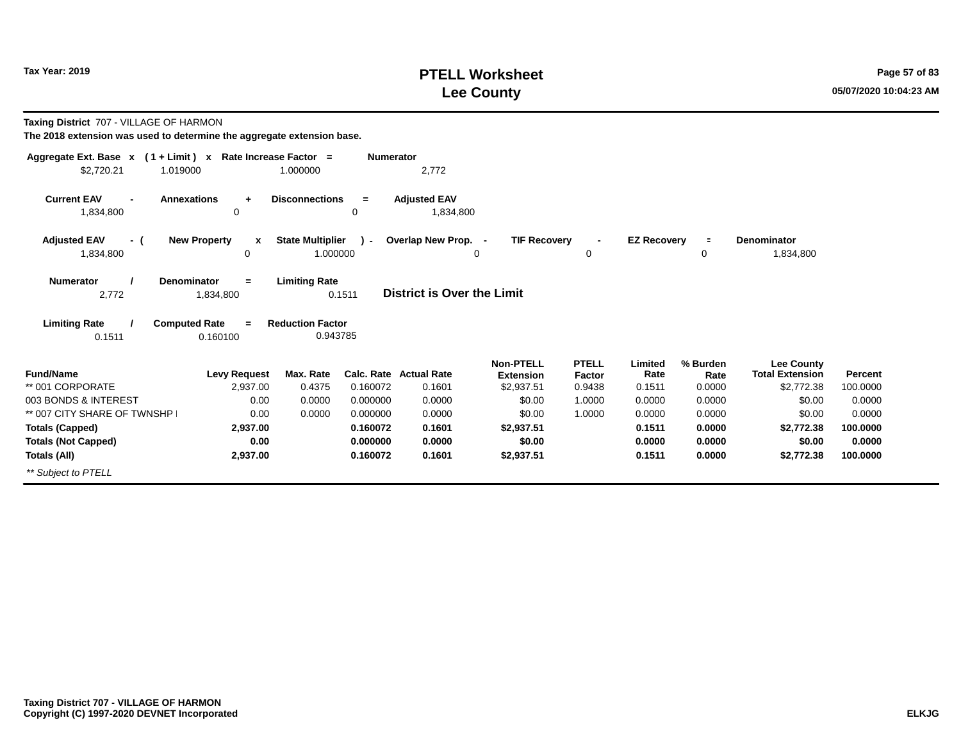### **PTELL Worksheet Tax Year: 2019 Page 57 of 83 Lee County 05/07/2020 10:04:23 AM**

| Taxing District 707 - VILLAGE OF HARMON<br>The 2018 extension was used to determine the aggregate extension base. |                                                                |                                                 |                  |                                   |                                      |                        |                    |                  |                                             |                |
|-------------------------------------------------------------------------------------------------------------------|----------------------------------------------------------------|-------------------------------------------------|------------------|-----------------------------------|--------------------------------------|------------------------|--------------------|------------------|---------------------------------------------|----------------|
| Aggregate Ext. Base $x$ (1 + Limit) x Rate Increase Factor =                                                      |                                                                |                                                 | <b>Numerator</b> |                                   |                                      |                        |                    |                  |                                             |                |
| \$2.720.21<br>1.019000                                                                                            |                                                                | 1.000000                                        |                  | 2,772                             |                                      |                        |                    |                  |                                             |                |
| <b>Current EAV</b><br>1,834,800                                                                                   | <b>Annexations</b><br>÷<br>0                                   | <b>Disconnections</b>                           | $=$<br>0         | <b>Adjusted EAV</b><br>1,834,800  |                                      |                        |                    |                  |                                             |                |
| <b>Adjusted EAV</b><br>- (                                                                                        | <b>New Property</b><br>$\mathbf{x}$                            | <b>State Multiplier</b>                         | $\mathcal{L}$    | Overlap New Prop. -               | <b>TIF Recoverv</b>                  | $\blacksquare$         | <b>EZ Recovery</b> | $\equiv$         | <b>Denominator</b>                          |                |
| 1,834,800                                                                                                         | $\mathbf 0$                                                    | 1.000000                                        |                  |                                   | $\Omega$                             | 0                      |                    | 0                | 1,834,800                                   |                |
| <b>Numerator</b><br>2,772<br><b>Limiting Rate</b>                                                                 | Denominator<br>$=$<br>1,834,800<br><b>Computed Rate</b><br>$=$ | <b>Limiting Rate</b><br><b>Reduction Factor</b> | 0.1511           | <b>District is Over the Limit</b> |                                      |                        |                    |                  |                                             |                |
| 0.1511                                                                                                            | 0.160100                                                       | 0.943785                                        |                  |                                   |                                      |                        |                    |                  |                                             |                |
| <b>Fund/Name</b>                                                                                                  | <b>Levy Request</b>                                            | Max. Rate                                       |                  | <b>Calc. Rate Actual Rate</b>     | <b>Non-PTELL</b><br><b>Extension</b> | <b>PTELL</b><br>Factor | Limited<br>Rate    | % Burden<br>Rate | <b>Lee County</b><br><b>Total Extension</b> | <b>Percent</b> |
| ** 001 CORPORATE                                                                                                  | 2.937.00                                                       | 0.4375                                          | 0.160072         | 0.1601                            | \$2,937.51                           | 0.9438                 | 0.1511             | 0.0000           | \$2,772.38                                  | 100.0000       |
| 003 BONDS & INTEREST                                                                                              | 0.00                                                           | 0.0000                                          | 0.000000         | 0.0000                            | \$0.00                               | 1.0000                 | 0.0000             | 0.0000           | \$0.00                                      | 0.0000         |
| ** 007 CITY SHARE OF TWNSHP                                                                                       | 0.00                                                           | 0.0000                                          | 0.000000         | 0.0000                            | \$0.00                               | 1.0000                 | 0.0000             | 0.0000           | \$0.00                                      | 0.0000         |
| <b>Totals (Capped)</b>                                                                                            | 2,937.00                                                       |                                                 | 0.160072         | 0.1601                            | \$2,937.51                           |                        | 0.1511             | 0.0000           | \$2,772.38                                  | 100,0000       |
| <b>Totals (Not Capped)</b>                                                                                        | 0.00                                                           |                                                 | 0.000000         | 0.0000                            | \$0.00                               |                        | 0.0000             | 0.0000           | \$0.00                                      | 0.0000         |
| Totals (All)                                                                                                      | 2,937.00                                                       |                                                 | 0.160072         | 0.1601                            | \$2,937.51                           |                        | 0.1511             | 0.0000           | \$2,772.38                                  | 100,0000       |
| ** Subject to PTELL                                                                                               |                                                                |                                                 |                  |                                   |                                      |                        |                    |                  |                                             |                |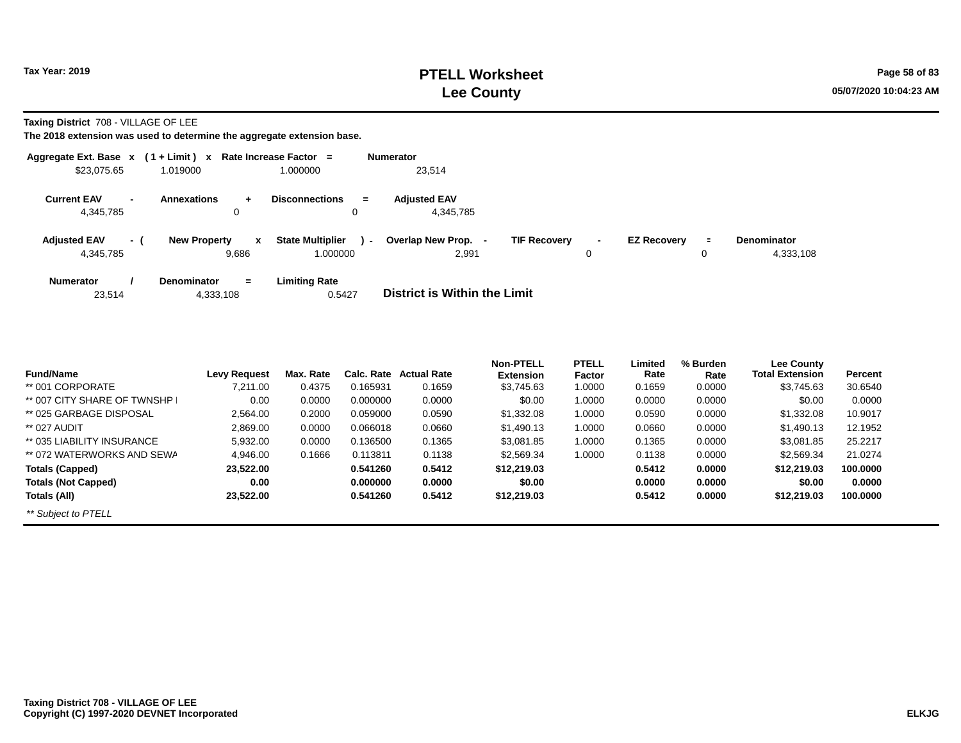**Taxing District** 708 - VILLAGE OF LEE

|                                  |                          | Aggregate Ext. Base $x$ (1 + Limit) x Rate Increase Factor = |                                               | <b>Numerator</b>                                  |                     |                    |                     |                                 |
|----------------------------------|--------------------------|--------------------------------------------------------------|-----------------------------------------------|---------------------------------------------------|---------------------|--------------------|---------------------|---------------------------------|
| \$23.075.65                      |                          | 1.019000                                                     | 1.000000                                      | 23.514                                            |                     |                    |                     |                                 |
| <b>Current EAV</b><br>4,345,785  | $\overline{\phantom{a}}$ | <b>Annexations</b><br>÷.<br>$\Omega$                         | <b>Disconnections</b><br>$=$<br>0             | <b>Adiusted EAV</b><br>4,345,785                  |                     |                    |                     |                                 |
| <b>Adjusted EAV</b><br>4,345,785 | - (                      | <b>New Property</b><br>x<br>9,686                            | <b>State Multiplier</b><br>$\sim$<br>1.000000 | <b>TIF Recovery</b><br>Overlap New Prop.<br>2,991 | $\blacksquare$<br>0 | <b>EZ Recovery</b> | $\blacksquare$<br>0 | <b>Denominator</b><br>4,333,108 |
| <b>Numerator</b><br>23.514       |                          | <b>Denominator</b><br>$\equiv$<br>4,333,108                  | <b>Limiting Rate</b><br>0.5427                | <b>District is Within the Limit</b>               |                     |                    |                     |                                 |

|                             |                     |           |            |                    | <b>Non-PTELL</b> | <b>PTELL</b> | Limited | % Burden | <b>Lee County</b>      |          |
|-----------------------------|---------------------|-----------|------------|--------------------|------------------|--------------|---------|----------|------------------------|----------|
| <b>Fund/Name</b>            | <b>Levy Request</b> | Max. Rate | Calc. Rate | <b>Actual Rate</b> | <b>Extension</b> | Factor       | Rate    | Rate     | <b>Total Extension</b> | Percent  |
| ** 001 CORPORATE            | 7.211.00            | 0.4375    | 0.165931   | 0.1659             | \$3,745.63       | 1.0000       | 0.1659  | 0.0000   | \$3,745.63             | 30.6540  |
| ** 007 CITY SHARE OF TWNSHP | 0.00                | 0.0000    | 0.000000   | 0.0000             | \$0.00           | 1.0000       | 0.0000  | 0.0000   | \$0.00                 | 0.0000   |
| ** 025 GARBAGE DISPOSAL     | 2.564.00            | 0.2000    | 0.059000   | 0.0590             | \$1.332.08       | 1.0000       | 0.0590  | 0.0000   | \$1.332.08             | 10.9017  |
| ** 027 AUDIT                | 2,869.00            | 0.0000    | 0.066018   | 0.0660             | \$1,490.13       | 1.0000       | 0.0660  | 0.0000   | \$1.490.13             | 12.1952  |
| ** 035 LIABILITY INSURANCE  | 5,932.00            | 0.0000    | 0.136500   | 0.1365             | \$3.081.85       | 1.0000       | 0.1365  | 0.0000   | \$3.081.85             | 25.2217  |
| ** 072 WATERWORKS AND SEWA  | 4.946.00            | 0.1666    | 0.113811   | 0.1138             | \$2.569.34       | 1.0000       | 0.1138  | 0.0000   | \$2,569.34             | 21.0274  |
| <b>Totals (Capped)</b>      | 23.522.00           |           | 0.541260   | 0.5412             | \$12,219.03      |              | 0.5412  | 0.0000   | \$12,219.03            | 100.0000 |
| <b>Totals (Not Capped)</b>  | 0.00                |           | 0.000000   | 0.0000             | \$0.00           |              | 0.0000  | 0.0000   | \$0.00                 | 0.0000   |
| Totals (All)                | 23.522.00           |           | 0.541260   | 0.5412             | \$12,219.03      |              | 0.5412  | 0.0000   | \$12,219.03            | 100.0000 |
| ** Subject to PTELL         |                     |           |            |                    |                  |              |         |          |                        |          |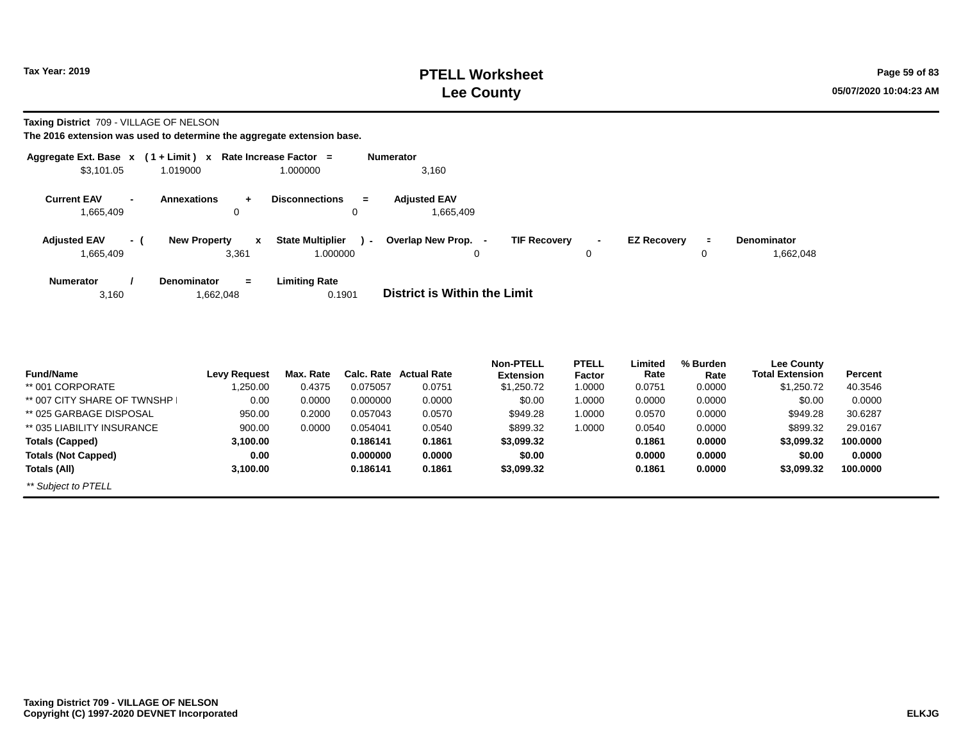**Taxing District** 709 - VILLAGE OF NELSON

| Aggregate Ext. Base $x$ (1+Limit) $x$ |                          |                                              | Rate Increase Factor =                        | <b>Numerator</b>                                                                                                                   |
|---------------------------------------|--------------------------|----------------------------------------------|-----------------------------------------------|------------------------------------------------------------------------------------------------------------------------------------|
| \$3,101.05                            |                          | 1.019000                                     | 1.000000                                      | 3,160                                                                                                                              |
| <b>Current EAV</b><br>1,665,409       | $\overline{\phantom{0}}$ | <b>Annexations</b><br>÷.<br>0                | <b>Disconnections</b><br>$=$<br>0             | <b>Adiusted EAV</b><br>1,665,409                                                                                                   |
| <b>Adjusted EAV</b><br>1,665,409      | - (                      | <b>New Property</b><br>$\mathbf{x}$<br>3,361 | <b>State Multiplier</b><br>$\sim$<br>1.000000 | Overlap New Prop. -<br><b>TIF Recovery</b><br><b>EZ Recovery</b><br><b>Denominator</b><br>Ξ.<br>$\sim$<br>1,662,048<br>0<br>0<br>0 |
| <b>Numerator</b><br>3,160             |                          | <b>Denominator</b><br>$\equiv$<br>1,662,048  | <b>Limiting Rate</b><br>0.1901                | <b>District is Within the Limit</b>                                                                                                |

| <b>Fund/Name</b>            | <b>Levy Request</b> | Max. Rate | Calc. Rate | <b>Actual Rate</b> | <b>Non-PTELL</b><br><b>Extension</b> | <b>PTELL</b><br>Factor | Limited<br>Rate | % Burden<br>Rate | Lee County<br><b>Total Extension</b> | <b>Percent</b> |
|-----------------------------|---------------------|-----------|------------|--------------------|--------------------------------------|------------------------|-----------------|------------------|--------------------------------------|----------------|
| ** 001 CORPORATE            | ,250.00             | 0.4375    | 0.075057   | 0.0751             | \$1,250.72                           | 1.0000                 | 0.0751          | 0.0000           | \$1,250.72                           | 40.3546        |
| ** 007 CITY SHARE OF TWNSHP | 0.00                | 0.0000    | 0.000000   | 0.0000             | \$0.00                               | 1.0000                 | 0.0000          | 0.0000           | \$0.00                               | 0.0000         |
| ** 025 GARBAGE DISPOSAL     | 950.00              | 0.2000    | 0.057043   | 0.0570             | \$949.28                             | 1.0000                 | 0.0570          | 0.0000           | \$949.28                             | 30.6287        |
| ** 035 LIABILITY INSURANCE  | 900.00              | 0.0000    | 0.054041   | 0.0540             | \$899.32                             | 1.0000                 | 0.0540          | 0.0000           | \$899.32                             | 29.0167        |
| <b>Totals (Capped)</b>      | 3,100.00            |           | 0.186141   | 0.1861             | \$3,099.32                           |                        | 0.1861          | 0.0000           | \$3,099.32                           | 100.0000       |
| <b>Totals (Not Capped)</b>  | 0.00                |           | 0.000000   | 0.0000             | \$0.00                               |                        | 0.0000          | 0.0000           | \$0.00                               | 0.0000         |
| Totals (All)                | 3,100.00            |           | 0.186141   | 0.1861             | \$3,099.32                           |                        | 0.1861          | 0.0000           | \$3,099.32                           | 100.0000       |
| ** Subject to PTELL         |                     |           |            |                    |                                      |                        |                 |                  |                                      |                |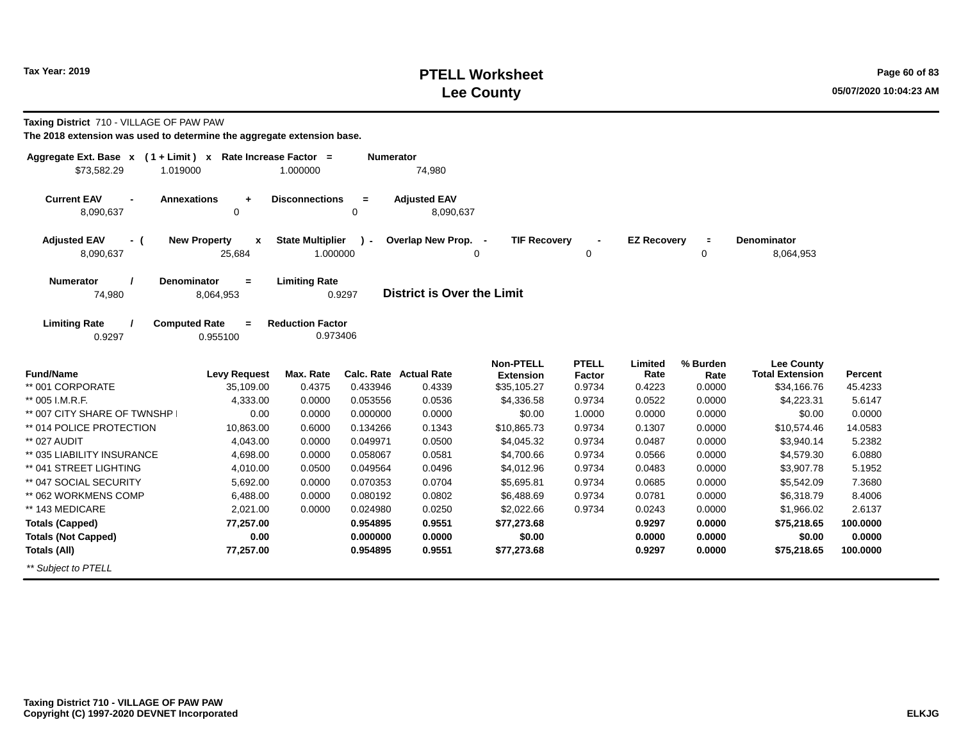**Taxing District** 710 - VILLAGE OF PAW PAW

**The 2018 extension was used to determine the aggregate extension base.**

**Denominator**

8,064,953

| \$73,582.29                      |                | Aggregate Ext. Base x (1+Limit) x Rate Increase Factor =<br>1.019000 | 1.000000                                            | <b>Numerator</b><br>74.980        |                     |                     |                    |                     |
|----------------------------------|----------------|----------------------------------------------------------------------|-----------------------------------------------------|-----------------------------------|---------------------|---------------------|--------------------|---------------------|
| <b>Current EAV</b><br>8,090,637  | $\blacksquare$ | <b>Annexations</b><br>÷<br>0                                         | <b>Disconnections</b><br>$\equiv$<br>0              | <b>Adjusted EAV</b><br>8,090,637  |                     |                     |                    |                     |
| <b>Adjusted EAV</b><br>8,090,637 | - (            | <b>New Property</b><br>$\mathbf{x}$<br>25.684                        | <b>State Multiplier</b><br>$\mathbf{r}$<br>1.000000 | Overlap New Prop. -<br>0          | <b>TIF Recovery</b> | $\blacksquare$<br>0 | <b>EZ Recovery</b> | 0                   |
| <b>Numerator</b><br>74,980       |                | <b>Denominator</b><br>$=$<br>8,064,953                               | <b>Limiting Rate</b><br>0.9297                      | <b>District is Over the Limit</b> |                     |                     |                    |                     |
| <b>Limiting Rate</b><br>0.9297   |                | <b>Computed Rate</b><br>$=$<br>0.955100                              | <b>Reduction Factor</b><br>0.973406                 |                                   |                     |                     |                    |                     |
|                                  |                |                                                                      |                                                     |                                   | Non-DTELL           | <b>DTELL</b>        | l imitad           | $0/$ D <sub>i</sub> |

| <b>Fund/Name</b>            | <b>Levy Request</b> | Max. Rate | Calc. Rate | <b>Actual Rate</b> | <b>Non-PTELL</b><br><b>Extension</b> | <b>PTELL</b><br>Factor | Limited<br>Rate | % Burden<br>Rate | <b>Lee County</b><br><b>Total Extension</b> | Percent  |
|-----------------------------|---------------------|-----------|------------|--------------------|--------------------------------------|------------------------|-----------------|------------------|---------------------------------------------|----------|
| ** 001 CORPORATE            | 35,109.00           | 0.4375    | 0.433946   | 0.4339             | \$35,105.27                          | 0.9734                 | 0.4223          | 0.0000           | \$34,166.76                                 | 45.4233  |
|                             |                     |           |            |                    |                                      |                        |                 |                  |                                             |          |
| ** 005 I.M.R.F.             | 4,333.00            | 0.0000    | 0.053556   | 0.0536             | \$4,336.58                           | 0.9734                 | 0.0522          | 0.0000           | \$4,223.31                                  | 5.6147   |
| ** 007 CITY SHARE OF TWNSHP | 0.00                | 0.0000    | 0.000000   | 0.0000             | \$0.00                               | 1.0000                 | 0.0000          | 0.0000           | \$0.00                                      | 0.0000   |
| ** 014 POLICE PROTECTION    | 10.863.00           | 0.6000    | 0.134266   | 0.1343             | \$10.865.73                          | 0.9734                 | 0.1307          | 0.0000           | \$10.574.46                                 | 14.0583  |
| ** 027 AUDIT                | 4,043.00            | 0.0000    | 0.049971   | 0.0500             | \$4,045.32                           | 0.9734                 | 0.0487          | 0.0000           | \$3,940.14                                  | 5.2382   |
| ** 035 LIABILITY INSURANCE  | 4,698.00            | 0.0000    | 0.058067   | 0.0581             | \$4,700.66                           | 0.9734                 | 0.0566          | 0.0000           | \$4,579.30                                  | 6.0880   |
| ** 041 STREET LIGHTING      | 4.010.00            | 0.0500    | 0.049564   | 0.0496             | \$4,012.96                           | 0.9734                 | 0.0483          | 0.0000           | \$3,907.78                                  | 5.1952   |
| ** 047 SOCIAL SECURITY      | 5,692.00            | 0.0000    | 0.070353   | 0.0704             | \$5,695.81                           | 0.9734                 | 0.0685          | 0.0000           | \$5,542.09                                  | 7.3680   |
| ** 062 WORKMENS COMP        | 6,488.00            | 0.0000    | 0.080192   | 0.0802             | \$6,488.69                           | 0.9734                 | 0.0781          | 0.0000           | \$6,318.79                                  | 8.4006   |
| ** 143 MEDICARE             | 2.021.00            | 0.0000    | 0.024980   | 0.0250             | \$2,022.66                           | 0.9734                 | 0.0243          | 0.0000           | \$1,966.02                                  | 2.6137   |
| <b>Totals (Capped)</b>      | 77,257.00           |           | 0.954895   | 0.9551             | \$77,273.68                          |                        | 0.9297          | 0.0000           | \$75.218.65                                 | 100,0000 |
| <b>Totals (Not Capped)</b>  | 0.00                |           | 0.000000   | 0.0000             | \$0.00                               |                        | 0.0000          | 0.0000           | \$0.00                                      | 0.0000   |
| Totals (All)                | 77,257.00           |           | 0.954895   | 0.9551             | \$77,273.68                          |                        | 0.9297          | 0.0000           | \$75,218.65                                 | 100,0000 |
| ** Subject to PTELL         |                     |           |            |                    |                                      |                        |                 |                  |                                             |          |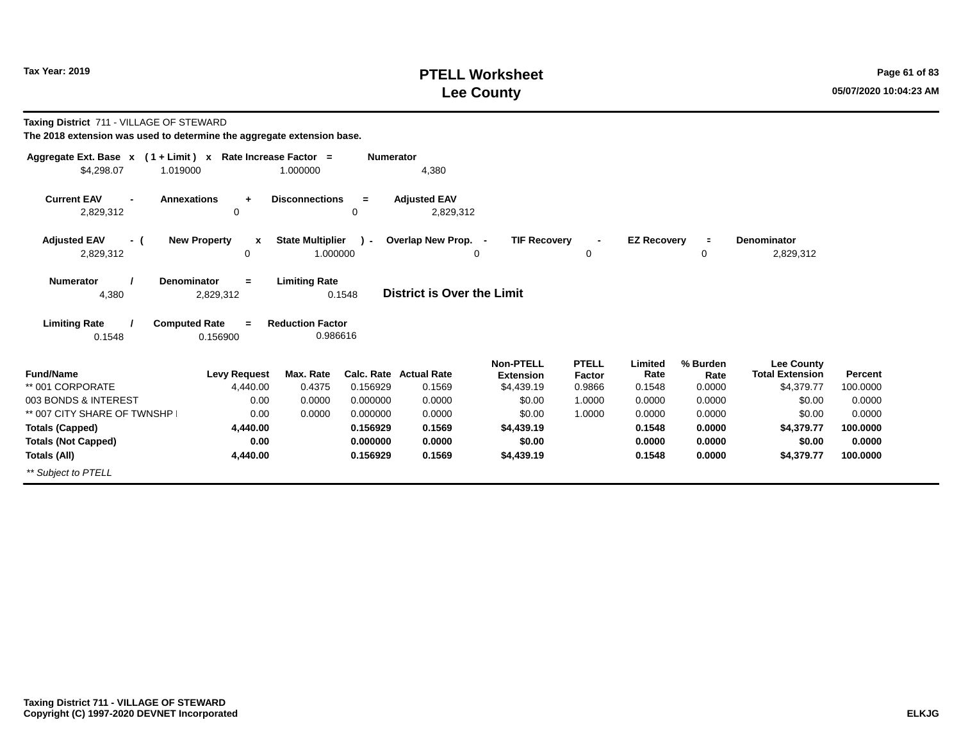# **PTELL Worksheet Tax Year: 2019 Page 61 of 83 Lee County 05/07/2020 10:04:23 AM**

| Taxing District 711 - VILLAGE OF STEWARD<br>The 2018 extension was used to determine the aggregate extension base. |                                                                                |                                     |                  |                                   |                                      |                        |                    |                     |                                             |          |  |  |  |  |
|--------------------------------------------------------------------------------------------------------------------|--------------------------------------------------------------------------------|-------------------------------------|------------------|-----------------------------------|--------------------------------------|------------------------|--------------------|---------------------|---------------------------------------------|----------|--|--|--|--|
| Aggregate Ext. Base x (1+Limit) x Rate Increase Factor =<br>\$4,298.07<br>1.019000                                 |                                                                                | 1.000000                            | <b>Numerator</b> | 4,380                             |                                      |                        |                    |                     |                                             |          |  |  |  |  |
| <b>Current EAV</b><br>2,829,312                                                                                    | <b>Annexations</b><br>$\ddot{}$<br>0                                           | <b>Disconnections</b>               | $=$<br>0         | <b>Adjusted EAV</b><br>2,829,312  |                                      |                        |                    |                     |                                             |          |  |  |  |  |
| <b>Adjusted EAV</b><br>- (<br>2,829,312                                                                            | <b>New Property</b><br>X<br>$\Omega$                                           | <b>State Multiplier</b><br>1.000000 | ۔ ۱              | Overlap New Prop. -               | <b>TIF Recovery</b><br>0             | $\mathbf 0$            | <b>EZ Recovery</b> | $\blacksquare$<br>0 | <b>Denominator</b><br>2,829,312             |          |  |  |  |  |
| <b>Numerator</b><br>4,380                                                                                          | <b>Denominator</b><br>$=$<br>2,829,312                                         | <b>Limiting Rate</b>                | 0.1548           | <b>District is Over the Limit</b> |                                      |                        |                    |                     |                                             |          |  |  |  |  |
| <b>Limiting Rate</b><br>0.1548                                                                                     | <b>Computed Rate</b><br><b>Reduction Factor</b><br>$=$<br>0.986616<br>0.156900 |                                     |                  |                                   |                                      |                        |                    |                     |                                             |          |  |  |  |  |
| <b>Fund/Name</b>                                                                                                   | <b>Levy Request</b>                                                            | Max. Rate                           | Calc. Rate       | <b>Actual Rate</b>                | <b>Non-PTELL</b><br><b>Extension</b> | <b>PTELL</b><br>Factor | Limited<br>Rate    | % Burden<br>Rate    | <b>Lee County</b><br><b>Total Extension</b> | Percent  |  |  |  |  |
| ** 001 CORPORATE                                                                                                   | 4,440.00                                                                       | 0.4375                              | 0.156929         | 0.1569                            | \$4,439.19                           | 0.9866                 | 0.1548             | 0.0000              | \$4,379.77                                  | 100.0000 |  |  |  |  |
| 003 BONDS & INTEREST                                                                                               | 0.00                                                                           | 0.0000                              | 0.000000         | 0.0000                            | \$0.00                               | 1.0000                 | 0.0000             | 0.0000              | \$0.00                                      | 0.0000   |  |  |  |  |
| ** 007 CITY SHARE OF TWNSHP                                                                                        | 0.00                                                                           | 0.0000                              | 0.000000         | 0.0000                            | \$0.00                               | 1.0000                 | 0.0000             | 0.0000              | \$0.00                                      | 0.0000   |  |  |  |  |
| <b>Totals (Capped)</b>                                                                                             | 4,440.00                                                                       |                                     | 0.156929         | 0.1569                            | \$4,439.19                           |                        | 0.1548             | 0.0000              | \$4,379.77                                  | 100.0000 |  |  |  |  |
| <b>Totals (Not Capped)</b>                                                                                         | 0.00                                                                           |                                     | 0.000000         | 0.0000                            | \$0.00                               |                        | 0.0000             | 0.0000              | \$0.00                                      | 0.0000   |  |  |  |  |
| Totals (All)                                                                                                       | 4,440.00                                                                       |                                     | 0.156929         | 0.1569                            | \$4,439.19                           |                        | 0.1548             | 0.0000              | \$4,379.77                                  | 100.0000 |  |  |  |  |
| ** Subject to PTELL                                                                                                |                                                                                |                                     |                  |                                   |                                      |                        |                    |                     |                                             |          |  |  |  |  |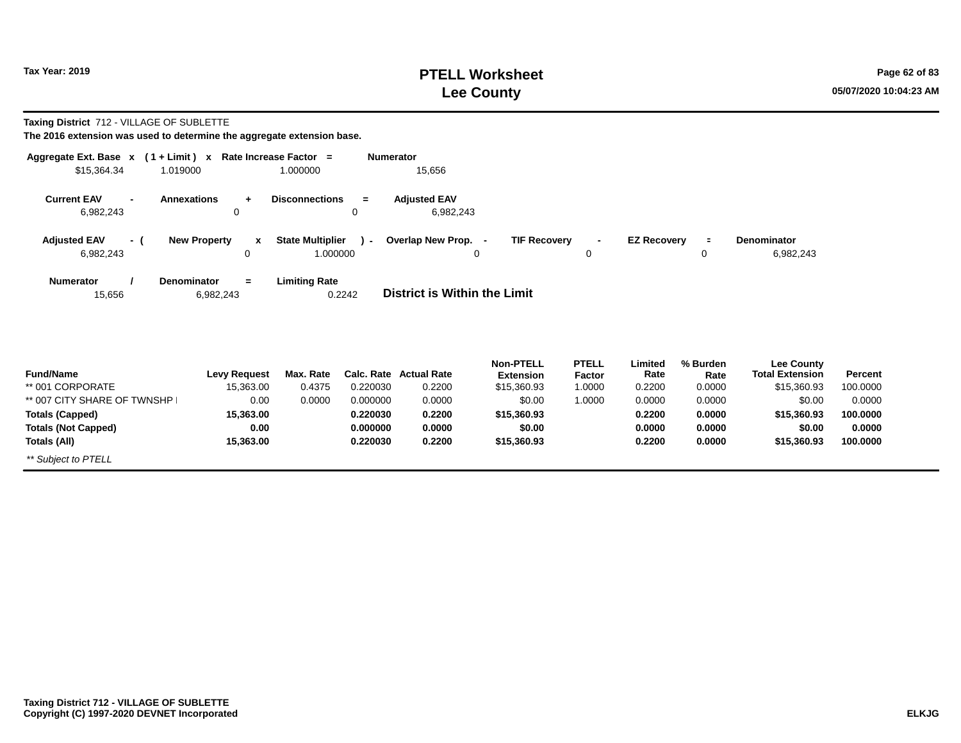### **PTELL Worksheet Tax Year: 2019 Page 62 of 83 Lee County 05/07/2020 10:04:23 AM**

### **Taxing District** 712 - VILLAGE OF SUBLETTE

| Aggregate Ext. Base $x$ (1 + Limit) $x$ Rate Increase Factor = |                                                |                                         | <b>Numerator</b>                        |                                       |                                |             |
|----------------------------------------------------------------|------------------------------------------------|-----------------------------------------|-----------------------------------------|---------------------------------------|--------------------------------|-------------|
| \$15,364.34                                                    | 1.019000                                       | 1.000000                                | 15,656                                  |                                       |                                |             |
| <b>Current EAV</b><br>6,982,243                                | <b>Annexations</b><br>$\overline{\phantom{a}}$ | <b>Disconnections</b><br>÷.<br>0<br>0   | <b>Adjusted EAV</b><br>$=$<br>6,982,243 |                                       |                                |             |
| <b>Adjusted EAV</b>                                            | <b>New Property</b><br>- (                     | <b>State Multiplier</b><br>$\mathbf{x}$ | Overlap New Prop. -<br>$\sim$           | <b>TIF Recovery</b><br>$\blacksquare$ | <b>EZ Recovery</b><br>$\equiv$ | Denominator |
| 6,982,243                                                      |                                                | 1.000000<br>0                           | 0                                       | 0                                     | 0                              | 6,982,243   |
| <b>Numerator</b><br>15,656                                     | <b>Denominator</b><br>6,982,243                | <b>Limiting Rate</b><br>$=$<br>0.2242   | District is Within the Limit            |                                       |                                |             |
|                                                                |                                                |                                         |                                         |                                       |                                |             |

|                             |                     |           |          |                               | <b>Non-PTELL</b> | <b>PTELL</b> | Limited | % Burden | <b>Lee County</b>      |          |
|-----------------------------|---------------------|-----------|----------|-------------------------------|------------------|--------------|---------|----------|------------------------|----------|
| <b>Fund/Name</b>            | <b>Levy Request</b> | Max. Rate |          | <b>Calc. Rate Actual Rate</b> | <b>Extension</b> | Factor       | Rate    | Rate     | <b>Total Extension</b> | Percent  |
| ** 001 CORPORATE            | 15.363.00           | 0.4375    | 0.220030 | 0.2200                        | \$15,360.93      | 1.0000       | 0.2200  | 0.0000   | \$15,360.93            | 100.0000 |
| ** 007 CITY SHARE OF TWNSHP | 0.00                | 0.0000    | 0.000000 | 0.0000                        | \$0.00           | 1.0000       | 0.0000  | 0.0000   | \$0.00                 | 0.0000   |
| <b>Totals (Capped)</b>      | 15.363.00           |           | 0.220030 | 0.2200                        | \$15,360.93      |              | 0.2200  | 0.0000   | \$15.360.93            | 100.0000 |
| <b>Totals (Not Capped)</b>  | 0.00                |           | 0.000000 | 0.0000                        | \$0.00           |              | 0.0000  | 0.0000   | \$0.00                 | 0.0000   |
| Totals (All)                | 15.363.00           |           | 0.220030 | 0.2200                        | \$15,360.93      |              | 0.2200  | 0.0000   | \$15,360.93            | 100.0000 |
| ** Subject to PTELL         |                     |           |          |                               |                  |              |         |          |                        |          |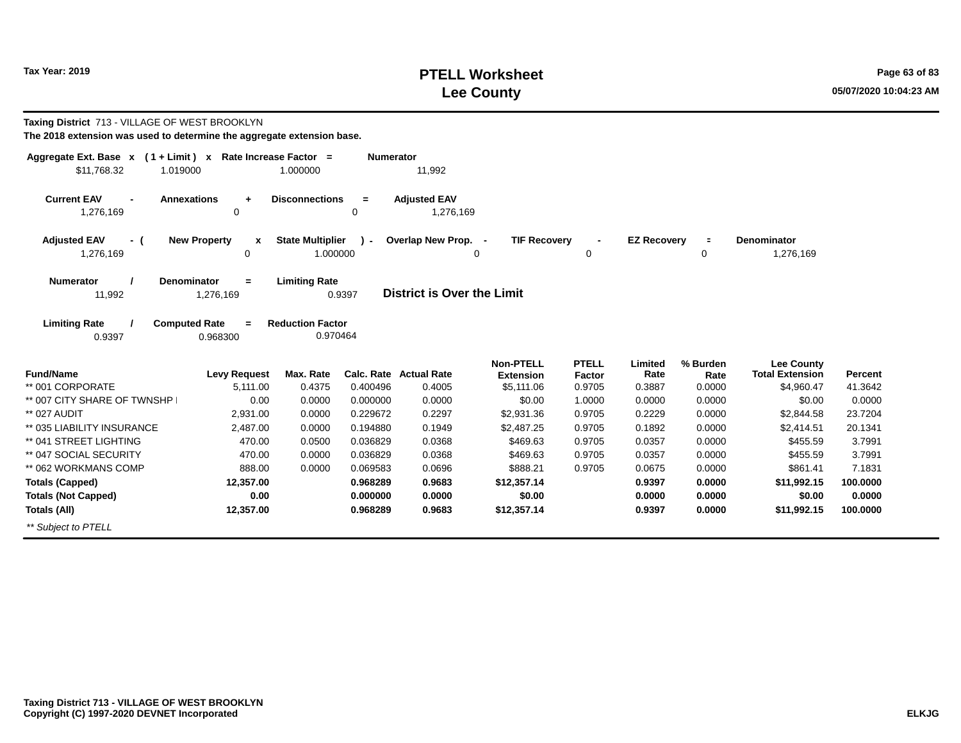#### **PTELL Worksheet Tax Year: 2019 Page 63 of 83 Lee County 05/07/2020 10:04:23 AM**

| Taxing District 713 - VILLAGE OF WEST BROOKLYN<br>The 2018 extension was used to determine the aggregate extension base. |                                              |                                     |                      |                                   |                                      |                        |                    |                  |                                             |                    |
|--------------------------------------------------------------------------------------------------------------------------|----------------------------------------------|-------------------------------------|----------------------|-----------------------------------|--------------------------------------|------------------------|--------------------|------------------|---------------------------------------------|--------------------|
| Aggregate Ext. Base x (1+Limit) x Rate Increase Factor =<br>\$11,768.32                                                  | 1.019000                                     | 1.000000                            | Numerator            | 11,992                            |                                      |                        |                    |                  |                                             |                    |
| <b>Current EAV</b><br>$\blacksquare$<br>1,276,169                                                                        | <b>Annexations</b><br>÷<br>$\mathbf 0$       | <b>Disconnections</b>               | $=$<br>$\Omega$      | <b>Adjusted EAV</b><br>1,276,169  |                                      |                        |                    |                  |                                             |                    |
| <b>Adjusted EAV</b><br>- (<br>1,276,169                                                                                  | <b>New Property</b><br>x<br>0                | <b>State Multiplier</b><br>1.000000 | $\lambda$ -          | Overlap New Prop. -<br>0          | <b>TIF Recovery</b>                  | 0                      | <b>EZ Recovery</b> | $\equiv$<br>0    | <b>Denominator</b><br>1,276,169             |                    |
| <b>Numerator</b><br>11,992                                                                                               | <b>Denominator</b><br>$=$<br>1,276,169       | <b>Limiting Rate</b>                | 0.9397               | <b>District is Over the Limit</b> |                                      |                        |                    |                  |                                             |                    |
| <b>Limiting Rate</b><br>0.9397                                                                                           | <b>Computed Rate</b><br>$\equiv$<br>0.968300 | <b>Reduction Factor</b><br>0.970464 |                      |                                   |                                      |                        |                    |                  |                                             |                    |
| <b>Fund/Name</b>                                                                                                         | <b>Levy Request</b>                          | Max. Rate                           | Calc. Rate           | <b>Actual Rate</b>                | <b>Non-PTELL</b><br><b>Extension</b> | <b>PTELL</b><br>Factor | Limited<br>Rate    | % Burden<br>Rate | <b>Lee County</b><br><b>Total Extension</b> | Percent            |
| ** 001 CORPORATE                                                                                                         | 5.111.00                                     | 0.4375                              | 0.400496             | 0.4005                            | \$5,111.06                           | 0.9705                 | 0.3887             | 0.0000           | \$4,960.47                                  | 41.3642            |
| ** 007 CITY SHARE OF TWNSHP                                                                                              | 0.00                                         | 0.0000                              | 0.000000             | 0.0000                            | \$0.00                               | 1.0000                 | 0.0000             | 0.0000           | \$0.00                                      | 0.0000             |
| ** 027 AUDIT                                                                                                             | 2,931.00                                     | 0.0000                              | 0.229672             | 0.2297                            | \$2,931.36                           | 0.9705                 | 0.2229             | 0.0000           | \$2,844.58                                  | 23.7204            |
| ** 035 LIABILITY INSURANCE                                                                                               | 2,487.00                                     | 0.0000                              | 0.194880             | 0.1949                            | \$2,487.25                           | 0.9705                 | 0.1892             | 0.0000           | \$2,414.51                                  | 20.1341            |
| ** 041 STREET LIGHTING                                                                                                   | 470.00                                       | 0.0500                              | 0.036829             | 0.0368                            | \$469.63                             | 0.9705                 | 0.0357             | 0.0000           | \$455.59                                    | 3.7991             |
| ** 047 SOCIAL SECURITY                                                                                                   | 470.00                                       | 0.0000                              | 0.036829             | 0.0368                            | \$469.63                             | 0.9705                 | 0.0357             | 0.0000           | \$455.59                                    | 3.7991             |
| ** 062 WORKMANS COMP                                                                                                     | 888.00                                       | 0.0000                              | 0.069583             | 0.0696                            | \$888.21                             | 0.9705                 | 0.0675             | 0.0000           | \$861.41                                    | 7.1831             |
| <b>Totals (Capped)</b>                                                                                                   | 12,357.00                                    |                                     | 0.968289             | 0.9683                            | \$12,357.14                          |                        | 0.9397             | 0.0000           | \$11,992.15                                 | 100.0000           |
| <b>Totals (Not Capped)</b><br><b>Totals (All)</b>                                                                        | 0.00<br>12,357.00                            |                                     | 0.000000<br>0.968289 | 0.0000<br>0.9683                  | \$0.00<br>\$12,357.14                |                        | 0.0000<br>0.9397   | 0.0000<br>0.0000 | \$0.00<br>\$11,992.15                       | 0.0000<br>100.0000 |
| ** Subject to PTELL                                                                                                      |                                              |                                     |                      |                                   |                                      |                        |                    |                  |                                             |                    |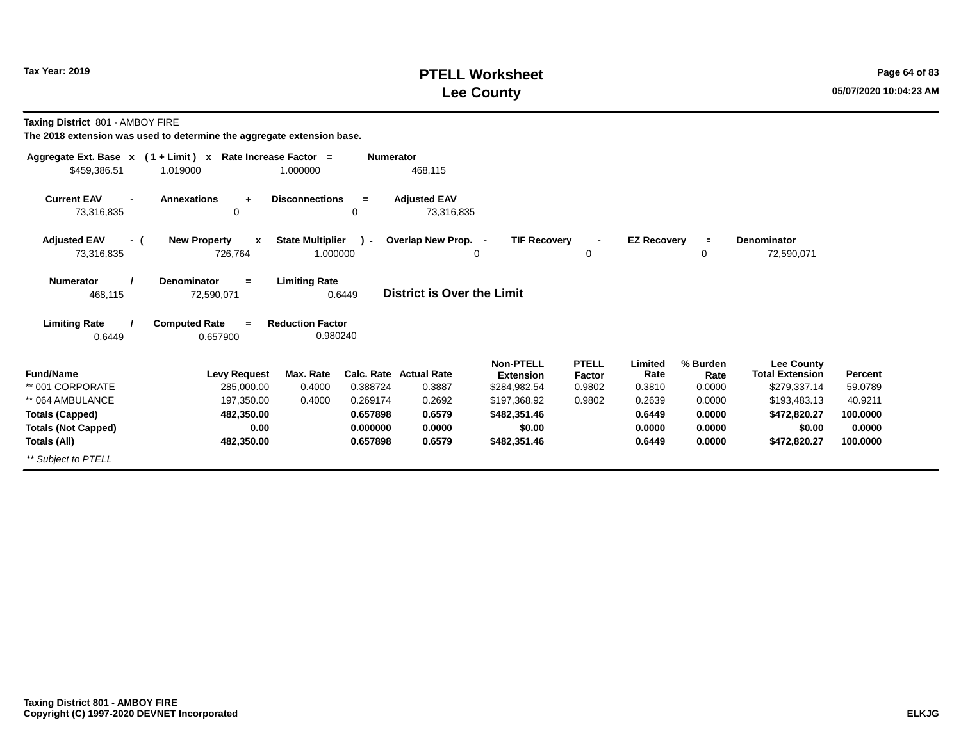### **PTELL Worksheet Tax Year: 2019 Page 64 of 83 Lee County 05/07/2020 10:04:23 AM**

**Taxing District** 801 - AMBOY FIRE

|                                  | Aggregate Ext. Base x (1+Limit) x Rate Increase Factor = |                                | <b>Numerator</b> |                                   |                                      |                        |                    |                  |                                      |          |
|----------------------------------|----------------------------------------------------------|--------------------------------|------------------|-----------------------------------|--------------------------------------|------------------------|--------------------|------------------|--------------------------------------|----------|
| \$459,386.51                     | 1.019000                                                 | 1.000000                       |                  | 468,115                           |                                      |                        |                    |                  |                                      |          |
| <b>Current EAV</b><br>73,316,835 | <b>Annexations</b><br>$\ddot{}$<br>0                     | <b>Disconnections</b>          | $=$<br>0         | <b>Adjusted EAV</b><br>73,316,835 |                                      |                        |                    |                  |                                      |          |
| <b>Adjusted EAV</b><br>- (       | <b>New Property</b><br>$\mathbf{x}$                      | <b>State Multiplier</b>        | $\mathcal{L}$    | Overlap New Prop. -               | <b>TIF Recovery</b>                  |                        | <b>EZ Recovery</b> | $\equiv$         | Denominator                          |          |
| 73,316,835                       | 726,764                                                  | 1.000000                       |                  |                                   | 0                                    | 0                      |                    | 0                | 72,590,071                           |          |
| <b>Numerator</b><br>468,115      | <b>Denominator</b><br>$=$<br>72,590,071                  | <b>Limiting Rate</b><br>0.6449 |                  | <b>District is Over the Limit</b> |                                      |                        |                    |                  |                                      |          |
| <b>Limiting Rate</b>             | <b>Computed Rate</b><br>$\equiv$                         | <b>Reduction Factor</b>        |                  |                                   |                                      |                        |                    |                  |                                      |          |
| 0.6449                           | 0.657900                                                 | 0.980240                       |                  |                                   |                                      |                        |                    |                  |                                      |          |
| <b>Fund/Name</b>                 | <b>Levy Request</b>                                      | Max. Rate                      |                  | Calc. Rate Actual Rate            | <b>Non-PTELL</b><br><b>Extension</b> | <b>PTELL</b><br>Factor | Limited<br>Rate    | % Burden<br>Rate | Lee County<br><b>Total Extension</b> | Percent  |
| ** 001 CORPORATE                 | 285,000.00                                               | 0.4000                         | 0.388724         | 0.3887                            | \$284,982.54                         | 0.9802                 | 0.3810             | 0.0000           | \$279,337.14                         | 59.0789  |
| ** 064 AMBULANCE                 | 197,350.00                                               | 0.4000                         | 0.269174         | 0.2692                            | \$197,368.92                         | 0.9802                 | 0.2639             | 0.0000           | \$193,483.13                         | 40.9211  |
| <b>Totals (Capped)</b>           | 482,350.00                                               |                                | 0.657898         | 0.6579                            | \$482,351.46                         |                        | 0.6449             | 0.0000           | \$472,820.27                         | 100.0000 |
| <b>Totals (Not Capped)</b>       | 0.00                                                     |                                | 0.000000         | 0.0000                            | \$0.00                               |                        | 0.0000             | 0.0000           | \$0.00                               | 0.0000   |
| Totals (All)                     | 482,350.00                                               |                                | 0.657898         | 0.6579                            | \$482,351.46                         |                        | 0.6449             | 0.0000           | \$472,820.27                         | 100.0000 |
| ** Subject to PTELL              |                                                          |                                |                  |                                   |                                      |                        |                    |                  |                                      |          |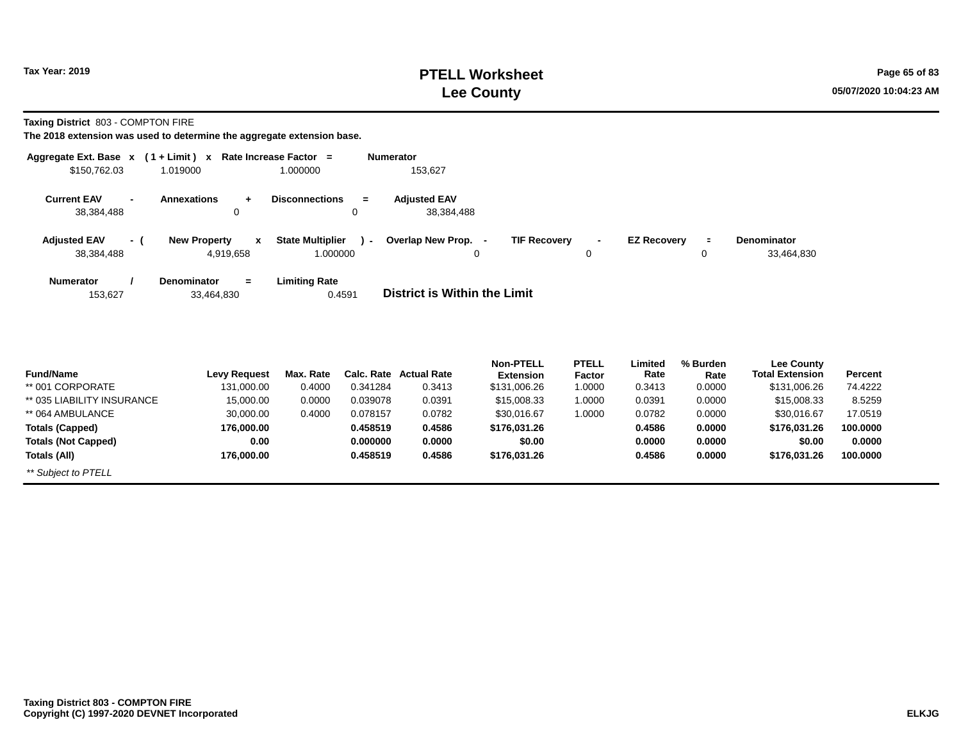### **PTELL Worksheet Tax Year: 2019 Page 65 of 83 Lee County 05/07/2020 10:04:23 AM**

**Taxing District** 803 - COMPTON FIRE

| \$150,762.03                                                 | Aggregate Ext. Base $x$ (1 + Limit) x Rate Increase Factor =<br>1.019000 | 1.000000                     | <b>Numerator</b><br>153,627       |                     |              |                    |          |                   |
|--------------------------------------------------------------|--------------------------------------------------------------------------|------------------------------|-----------------------------------|---------------------|--------------|--------------------|----------|-------------------|
|                                                              |                                                                          |                              |                                   |                     |              |                    |          |                   |
| <b>Current EAV</b><br>$\overline{\phantom{a}}$<br>38,384,488 | <b>Annexations</b><br>$+$                                                | <b>Disconnections</b><br>$=$ | <b>Adjusted EAV</b><br>38,384,488 |                     |              |                    |          |                   |
|                                                              | 0                                                                        | 0                            |                                   |                     |              |                    |          |                   |
| <b>Adjusted EAV</b><br>- (                                   | <b>New Property</b><br>$\mathbf{x}$                                      | <b>State Multiplier</b>      | ) - Overlap New Prop. -           | <b>TIF Recovery</b> | $\sim$       | <b>EZ Recovery</b> | $\equiv$ | Denominator       |
| 38,384,488                                                   | 4,919,658                                                                | 1.000000                     | 0                                 |                     | 0            |                    | 0        | 33,464,830        |
| <b>Numerator</b>                                             | <b>Denominator</b><br>$\equiv$                                           | <b>Limiting Rate</b>         |                                   |                     |              |                    |          |                   |
| 153,627                                                      | 33,464,830                                                               | 0.4591                       | District is Within the Limit      |                     |              |                    |          |                   |
|                                                              |                                                                          |                              |                                   |                     |              |                    |          |                   |
|                                                              |                                                                          |                              |                                   |                     |              |                    |          |                   |
|                                                              |                                                                          |                              |                                   | <b>Non-PTELL</b>    | <b>PTELL</b> | Limited            | % Burden | <b>Lee County</b> |

| <b>Fund/Name</b>           | Levy Request | Max. Rate | Calc. Rate | Actual Rate | .<br><b>Extension</b> | .<br><b>Factor</b> | --------<br>Rate | Rate   | <b>Total Extension</b> | Percent  |
|----------------------------|--------------|-----------|------------|-------------|-----------------------|--------------------|------------------|--------|------------------------|----------|
| ** 001 CORPORATE           | 131.000.00   | 0.4000    | 0.341284   | 0.3413      | \$131,006.26          | 1.0000             | 0.3413           | 0.0000 | \$131,006.26           | 74.4222  |
| ** 035 LIABILITY INSURANCE | 15,000.00    | 0.0000    | 0.039078   | 0.0391      | \$15,008.33           | 1.0000             | 0.0391           | 0.0000 | \$15,008.33            | 8.5259   |
| ** 064 AMBULANCE           | 30,000.00    | 0.4000    | 0.078157   | 0.0782      | \$30,016.67           | 1.0000             | 0.0782           | 0.0000 | \$30.016.67            | 17.0519  |
| <b>Totals (Capped)</b>     | 176.000.00   |           | 0.458519   | 0.4586      | \$176.031.26          |                    | 0.4586           | 0.0000 | \$176,031.26           | 100,0000 |
| <b>Totals (Not Capped)</b> | 0.00         |           | 0.000000   | 0.0000      | \$0.00                |                    | 0.0000           | 0.0000 | \$0.00                 | 0.0000   |
| Totals (All)               | 176.000.00   |           | 0.458519   | 0.4586      | \$176,031.26          |                    | 0.4586           | 0.0000 | \$176,031.26           | 100,0000 |
| ** Subject to PTELL        |              |           |            |             |                       |                    |                  |        |                        |          |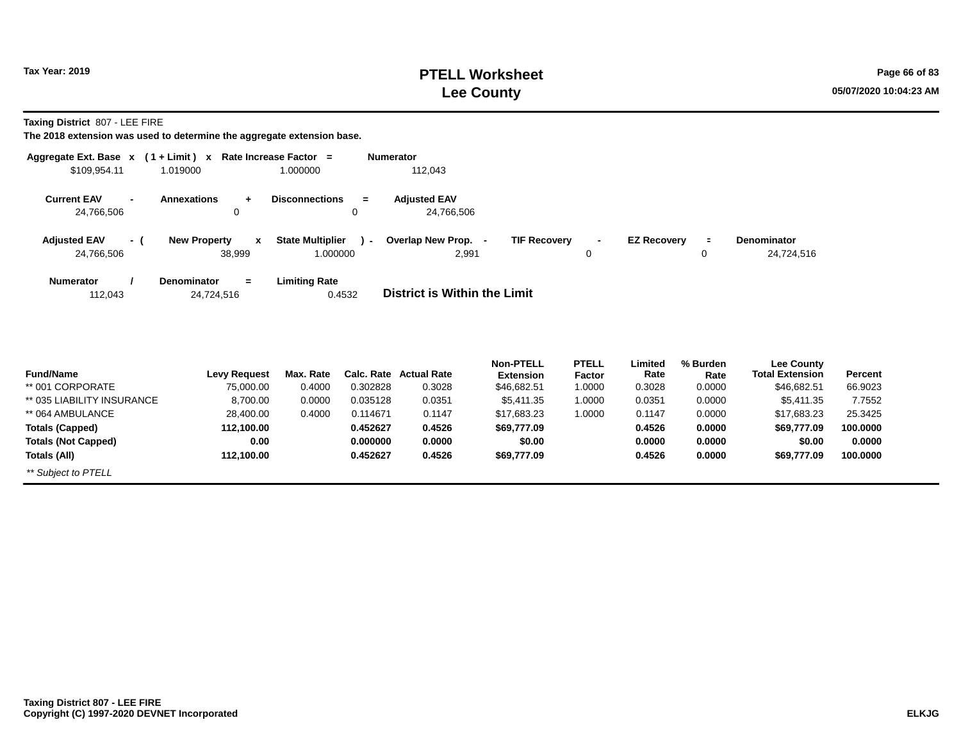### **PTELL Worksheet Tax Year: 2019 Page 66 of 83 Lee County 05/07/2020 10:04:23 AM**

**Taxing District** 807 - LEE FIRE

| \$109,954.11                             | Aggregate Ext. Base x (1+Limit) x Rate Increase Factor =<br>1.019000<br>1.000000     | <b>Numerator</b><br>112,043                   |                     |                                                      |                                   |                                      |                       |
|------------------------------------------|--------------------------------------------------------------------------------------|-----------------------------------------------|---------------------|------------------------------------------------------|-----------------------------------|--------------------------------------|-----------------------|
| <b>Current EAV</b><br>24,766,506         | <b>Disconnections</b><br><b>Annexations</b><br>0                                     | <b>Adjusted EAV</b><br>$=$<br>24,766,506<br>0 |                     |                                                      |                                   |                                      |                       |
| <b>Adjusted EAV</b><br>- (<br>24,766,506 | <b>State Multiplier</b><br><b>New Property</b><br>$\mathbf{x}$<br>38,999<br>1.000000 | Overlap New Prop. -<br>$\sim$<br>2,991        | <b>TIF Recovery</b> | <b>EZ Recovery</b><br>$\blacksquare$<br>0            | $\blacksquare$<br>0               | Denominator<br>24,724,516            |                       |
| <b>Numerator</b><br>112,043              | <b>Limiting Rate</b><br><b>Denominator</b><br>$\equiv$<br>24,724,516                 | <b>District is Within the Limit</b><br>0.4532 |                     |                                                      |                                   |                                      |                       |
| <b>E</b> und <b>hian</b> s               | Lais Damisat                                                                         | May Bata Cale Bata Astual Bata                | <b>Non-PTELL</b>    | <b>PTELL</b><br>Limited<br>Data.<br><b>Provident</b> | % Burden<br><b>P</b> - <b>1</b> - | <b>Lee County</b><br>Tatal Evtension | <b>D</b> <sub>2</sub> |

| <b>Fund/Name</b>           | <b>Levy Request</b> | Max. Rate |          | <b>Calc. Rate Actual Rate</b> | <b>Extension</b> | <b>Factor</b> | Rate   | Rate   | --- ------<br><b>Total Extension</b> | <b>Percent</b> |
|----------------------------|---------------------|-----------|----------|-------------------------------|------------------|---------------|--------|--------|--------------------------------------|----------------|
| ** 001 CORPORATE           | 75,000.00           | 0.4000    | 0.302828 | 0.3028                        | \$46,682.51      | 0000. ا       | 0.3028 | 0.0000 | \$46,682.51                          | 66.9023        |
| ** 035 LIABILITY INSURANCE | 8.700.00            | 0.0000    | 0.035128 | 0.0351                        | \$5.411.35       | 0000.         | 0.0351 | 0.0000 | \$5.411.35                           | 7.7552         |
| ** 064 AMBULANCE           | 28,400.00           | 0.4000    | 0.114671 | 0.1147                        | \$17.683.23      | .0000         | 0.1147 | 0.0000 | \$17.683.23                          | 25.3425        |
| <b>Totals (Capped)</b>     | 112,100.00          |           | 0.452627 | 0.4526                        | \$69,777.09      |               | 0.4526 | 0.0000 | \$69,777.09                          | 100.0000       |
| <b>Totals (Not Capped)</b> | 0.00                |           | 0.000000 | 0.0000                        | \$0.00           |               | 0.0000 | 0.0000 | \$0.00                               | 0.0000         |
| Totals (All)               | 112.100.00          |           | 0.452627 | 0.4526                        | \$69,777.09      |               | 0.4526 | 0.0000 | \$69,777.09                          | 100.0000       |
| ** Subject to PTELL        |                     |           |          |                               |                  |               |        |        |                                      |                |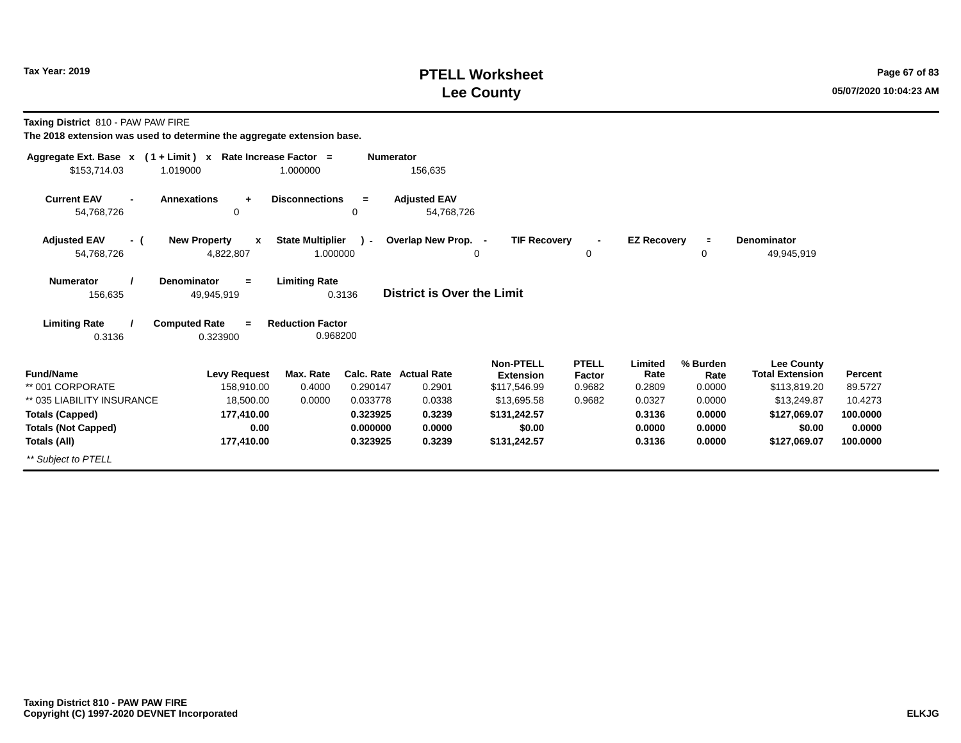### **PTELL Worksheet Tax Year: 2019 Page 67 of 83 Lee County 05/07/2020 10:04:23 AM**

**Taxing District** 810 - PAW PAW FIRE

| Aggregate Ext. Base $x$ (1 + Limit) x Rate Increase Factor = |                                                  |                                     | <b>Numerator</b> |                                   |                                      |                        |                    |                  |                                             |          |
|--------------------------------------------------------------|--------------------------------------------------|-------------------------------------|------------------|-----------------------------------|--------------------------------------|------------------------|--------------------|------------------|---------------------------------------------|----------|
| \$153,714.03                                                 | 1.019000                                         | 1.000000                            |                  | 156,635                           |                                      |                        |                    |                  |                                             |          |
| <b>Current EAV</b><br>$\blacksquare$<br>54,768,726           | <b>Annexations</b><br>$\ddot{}$<br>0             | <b>Disconnections</b>               | $=$<br>0         | <b>Adjusted EAV</b><br>54,768,726 |                                      |                        |                    |                  |                                             |          |
| <b>Adjusted EAV</b><br>- (<br>54,768,726                     | <b>New Property</b><br>$\mathbf{x}$<br>4,822,807 | <b>State Multiplier</b><br>1.000000 | $\mathcal{L}$    | Overlap New Prop. -               | <b>TIF Recovery</b><br>0             | 0                      | <b>EZ Recovery</b> | $\equiv$<br>0    | <b>Denominator</b><br>49,945,919            |          |
| <b>Numerator</b><br>156,635                                  | <b>Denominator</b><br>$=$<br>49,945,919          | <b>Limiting Rate</b>                | 0.3136           | <b>District is Over the Limit</b> |                                      |                        |                    |                  |                                             |          |
| <b>Limiting Rate</b><br>0.3136                               | <b>Computed Rate</b><br>$=$<br>0.323900          | <b>Reduction Factor</b><br>0.968200 |                  |                                   |                                      |                        |                    |                  |                                             |          |
| <b>Fund/Name</b>                                             | <b>Levy Request</b>                              | Max. Rate                           |                  | Calc. Rate Actual Rate            | <b>Non-PTELL</b><br><b>Extension</b> | <b>PTELL</b><br>Factor | Limited<br>Rate    | % Burden<br>Rate | <b>Lee County</b><br><b>Total Extension</b> | Percent  |
| ** 001 CORPORATE                                             | 158,910.00                                       | 0.4000                              | 0.290147         | 0.2901                            | \$117,546.99                         | 0.9682                 | 0.2809             | 0.0000           | \$113,819.20                                | 89.5727  |
| ** 035 LIABILITY INSURANCE                                   | 18,500.00                                        | 0.0000                              | 0.033778         | 0.0338                            | \$13,695.58                          | 0.9682                 | 0.0327             | 0.0000           | \$13,249.87                                 | 10.4273  |
| <b>Totals (Capped)</b>                                       | 177,410.00                                       |                                     | 0.323925         | 0.3239                            | \$131,242.57                         |                        | 0.3136             | 0.0000           | \$127,069.07                                | 100.0000 |
| <b>Totals (Not Capped)</b>                                   | 0.00                                             |                                     | 0.000000         | 0.0000                            | \$0.00                               |                        | 0.0000             | 0.0000           | \$0.00                                      | 0.0000   |
| Totals (All)                                                 | 177,410.00                                       |                                     | 0.323925         | 0.3239                            | \$131,242.57                         |                        | 0.3136             | 0.0000           | \$127,069.07                                | 100.0000 |
| ** Subject to PTELL                                          |                                                  |                                     |                  |                                   |                                      |                        |                    |                  |                                             |          |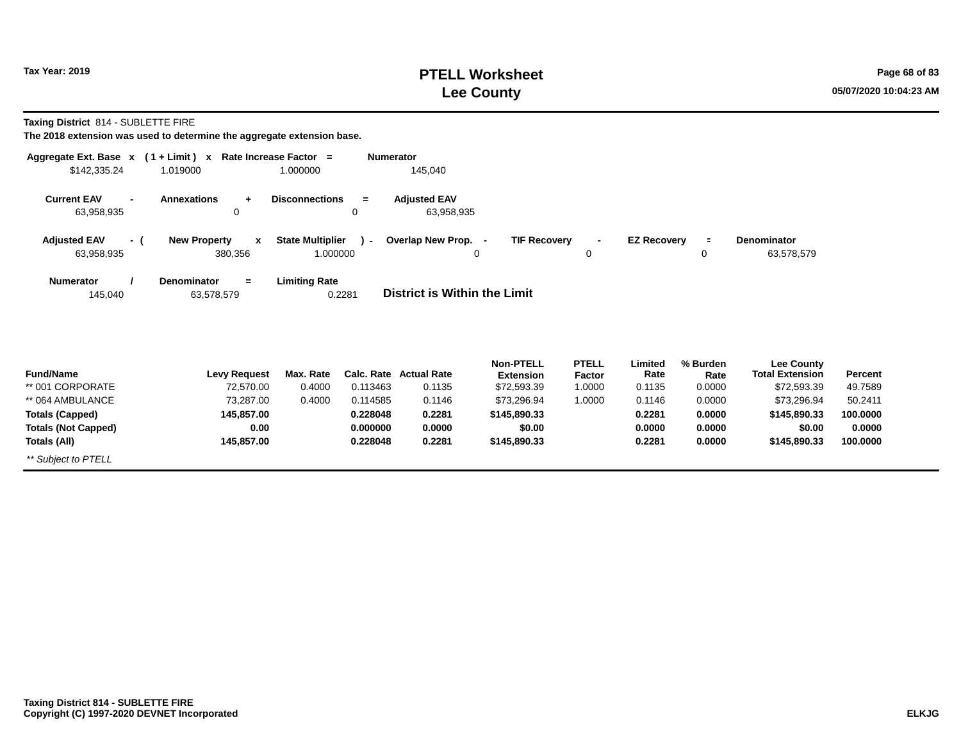### **PTELL Worksheet Tax Year: 2019 Page 68 of 83 Lee County 05/07/2020 10:04:23 AM**

**Taxing District** 814 - SUBLETTE FIRE

| Aggregate Ext. Base $x$ (1 + Limit) $x$            |                                         | Rate Increase Factor =  | <b>Numerator</b> |                                   |                                      |                        |                    |                  |                                             |          |
|----------------------------------------------------|-----------------------------------------|-------------------------|------------------|-----------------------------------|--------------------------------------|------------------------|--------------------|------------------|---------------------------------------------|----------|
| \$142,335.24                                       | 1.019000                                | 1.000000                |                  | 145,040                           |                                      |                        |                    |                  |                                             |          |
| <b>Current EAV</b><br>$\blacksquare$<br>63,958,935 | <b>Annexations</b><br>$\ddot{}$<br>0    | <b>Disconnections</b>   | $=$<br>0         | <b>Adjusted EAV</b><br>63,958,935 |                                      |                        |                    |                  |                                             |          |
| <b>Adjusted EAV</b><br>- (                         | <b>New Property</b><br>$\mathbf{x}$     | <b>State Multiplier</b> | $\lambda$        | Overlap New Prop. -               | <b>TIF Recovery</b>                  |                        | <b>EZ Recovery</b> | $\equiv$         | Denominator                                 |          |
| 63,958,935                                         | 380,356                                 | 1.000000                |                  |                                   | 0                                    | $\Omega$               |                    | 0                | 63,578,579                                  |          |
| <b>Numerator</b><br>145,040                        | <b>Denominator</b><br>$=$<br>63,578,579 | <b>Limiting Rate</b>    | 0.2281           | District is Within the Limit      |                                      |                        |                    |                  |                                             |          |
| <b>Fund/Name</b>                                   | <b>Levy Request</b>                     | Max. Rate               |                  | Calc. Rate Actual Rate            | <b>Non-PTELL</b><br><b>Extension</b> | <b>PTELL</b><br>Factor | Limited<br>Rate    | % Burden<br>Rate | <b>Lee County</b><br><b>Total Extension</b> | Percent  |
| ** 001 CORPORATE                                   | 72,570.00                               | 0.4000                  | 0.113463         | 0.1135                            | \$72,593.39                          | 1.0000                 | 0.1135             | 0.0000           | \$72,593.39                                 | 49.7589  |
| ** 064 AMBULANCE                                   | 73,287.00                               | 0.4000                  | 0.114585         | 0.1146                            | \$73,296.94                          | 1.0000                 | 0.1146             | 0.0000           | \$73,296.94                                 | 50.2411  |
| <b>Totals (Capped)</b>                             | 145,857.00                              |                         | 0.228048         | 0.2281                            | \$145,890.33                         |                        | 0.2281             | 0.0000           | \$145,890.33                                | 100.0000 |
| <b>Totals (Not Capped)</b>                         | 0.00                                    |                         | 0.000000         | 0.0000                            | \$0.00                               |                        | 0.0000             | 0.0000           | \$0.00                                      | 0.0000   |
| Totals (All)                                       | 145,857.00                              |                         | 0.228048         | 0.2281                            | \$145,890.33                         |                        | 0.2281             | 0.0000           | \$145,890.33                                | 100.0000 |
| ** Subject to PTELL                                |                                         |                         |                  |                                   |                                      |                        |                    |                  |                                             |          |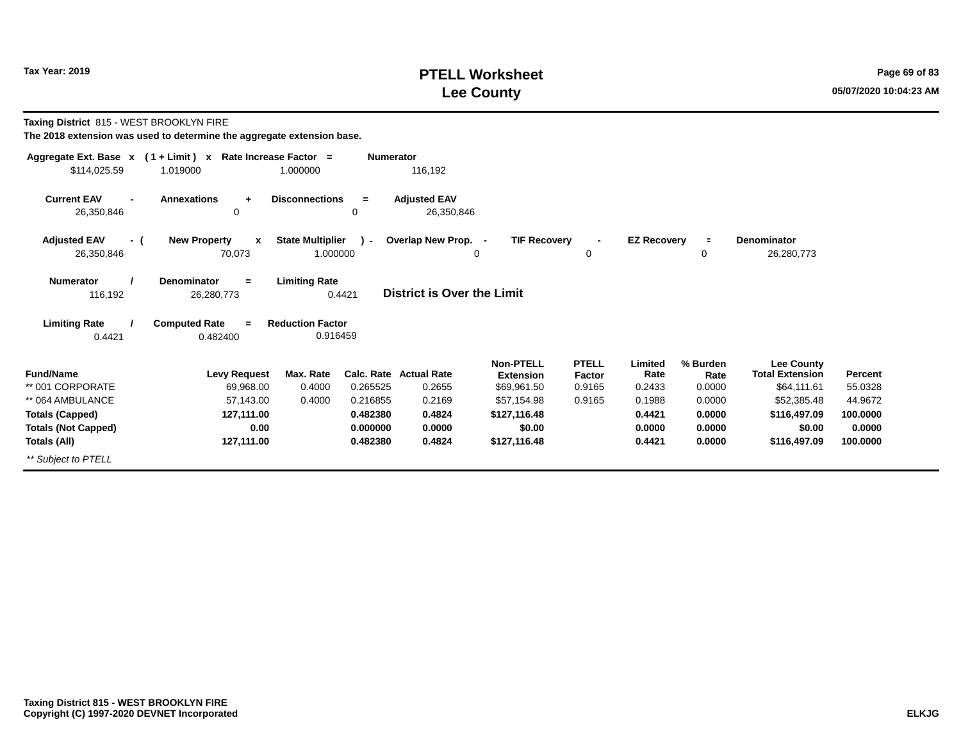### **PTELL Worksheet Tax Year: 2019 Page 69 of 83 Lee County 05/07/2020 10:04:23 AM**

**Taxing District** 815 - WEST BROOKLYN FIRE

|                                  | Aggregate Ext. Base $x$ (1 + Limit) x Rate Increase Factor = |                                     | <b>Numerator</b> |                                   |                                      |                        |                    |                  |                                      |          |
|----------------------------------|--------------------------------------------------------------|-------------------------------------|------------------|-----------------------------------|--------------------------------------|------------------------|--------------------|------------------|--------------------------------------|----------|
| \$114,025.59                     | 1.019000                                                     | 1.000000                            |                  | 116,192                           |                                      |                        |                    |                  |                                      |          |
| <b>Current EAV</b><br>26,350,846 | <b>Annexations</b><br>$\ddot{}$<br>0                         | <b>Disconnections</b>               | $=$<br>0         | <b>Adjusted EAV</b><br>26,350,846 |                                      |                        |                    |                  |                                      |          |
|                                  |                                                              |                                     |                  |                                   |                                      |                        |                    |                  |                                      |          |
| <b>Adjusted EAV</b><br>- (       | <b>New Property</b><br>x                                     | <b>State Multiplier</b>             | $\mathcal{L}$    | Overlap New Prop. -               | <b>TIF Recovery</b>                  |                        | <b>EZ Recovery</b> | $\blacksquare$   | Denominator                          |          |
| 26,350,846                       | 70,073                                                       | 1.000000                            |                  |                                   | 0                                    | 0                      |                    | 0                | 26,280,773                           |          |
| <b>Numerator</b><br>116,192      | <b>Denominator</b><br>$=$<br>26,280,773                      | <b>Limiting Rate</b>                | 0.4421           | <b>District is Over the Limit</b> |                                      |                        |                    |                  |                                      |          |
| <b>Limiting Rate</b><br>0.4421   | <b>Computed Rate</b><br>$=$<br>0.482400                      | <b>Reduction Factor</b><br>0.916459 |                  |                                   |                                      |                        |                    |                  |                                      |          |
| <b>Fund/Name</b>                 | <b>Levy Request</b>                                          | Max. Rate                           |                  | Calc. Rate Actual Rate            | <b>Non-PTELL</b><br><b>Extension</b> | <b>PTELL</b><br>Factor | Limited<br>Rate    | % Burden<br>Rate | Lee County<br><b>Total Extension</b> | Percent  |
| ** 001 CORPORATE                 | 69,968.00                                                    | 0.4000                              | 0.265525         | 0.2655                            | \$69,961.50                          | 0.9165                 | 0.2433             | 0.0000           | \$64,111.61                          | 55.0328  |
| ** 064 AMBULANCE                 | 57,143.00                                                    | 0.4000                              | 0.216855         | 0.2169                            | \$57.154.98                          | 0.9165                 | 0.1988             | 0.0000           | \$52,385.48                          | 44.9672  |
| <b>Totals (Capped)</b>           | 127,111.00                                                   |                                     | 0.482380         | 0.4824                            | \$127,116.48                         |                        | 0.4421             | 0.0000           | \$116,497.09                         | 100.0000 |
| <b>Totals (Not Capped)</b>       | 0.00                                                         |                                     | 0.000000         | 0.0000                            | \$0.00                               |                        | 0.0000             | 0.0000           | \$0.00                               | 0.0000   |
| Totals (All)                     | 127,111.00                                                   |                                     | 0.482380         | 0.4824                            | \$127,116.48                         |                        | 0.4421             | 0.0000           | \$116,497.09                         | 100.0000 |
| ** Subject to PTELL              |                                                              |                                     |                  |                                   |                                      |                        |                    |                  |                                      |          |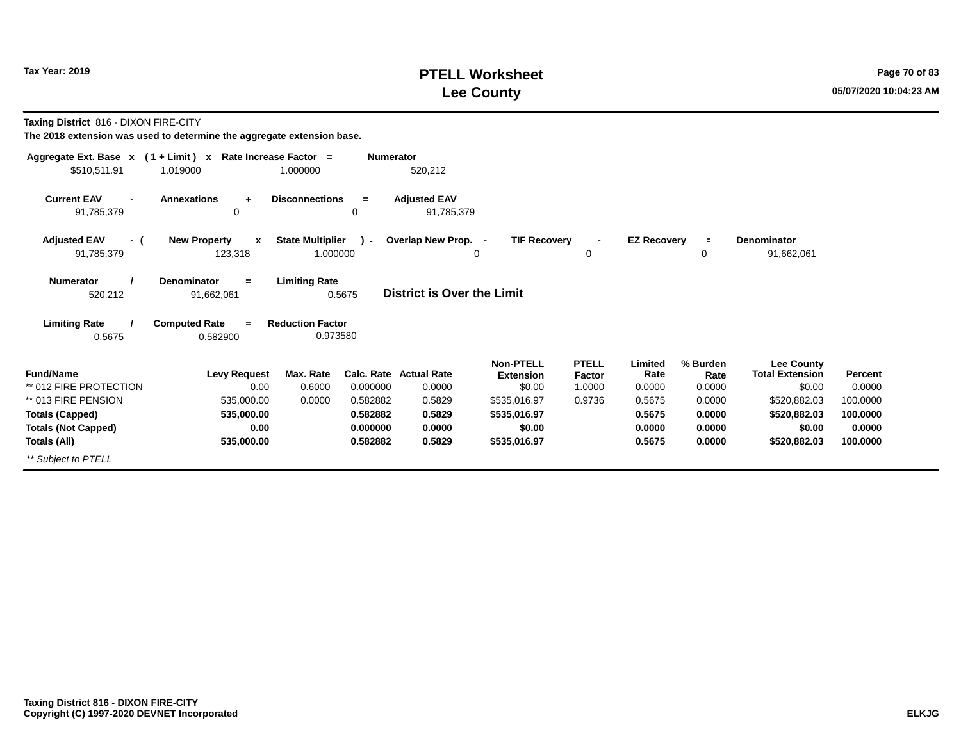### **PTELL Worksheet Tax Year: 2019 Page 70 of 83 Lee County 05/07/2020 10:04:23 AM**

**Taxing District** 816 - DIXON FIRE-CITY

| Aggregate Ext. Base $x$ (1 + Limit) x Rate Increase Factor = |                                                |                                     | <b>Numerator</b> |                                   |                                      |                        |                    |                  |                                             |          |
|--------------------------------------------------------------|------------------------------------------------|-------------------------------------|------------------|-----------------------------------|--------------------------------------|------------------------|--------------------|------------------|---------------------------------------------|----------|
| \$510,511.91                                                 | 1.019000                                       | 1.000000                            |                  | 520,212                           |                                      |                        |                    |                  |                                             |          |
| <b>Current EAV</b><br>91,785,379                             | <b>Annexations</b><br>$\ddot{}$<br>0           | <b>Disconnections</b>               | $\equiv$<br>0    | <b>Adjusted EAV</b><br>91,785,379 |                                      |                        |                    |                  |                                             |          |
| <b>Adjusted EAV</b><br>- (<br>91,785,379                     | <b>New Property</b><br>$\mathbf{x}$<br>123,318 | <b>State Multiplier</b><br>1.000000 | $\mathcal{L}$    | Overlap New Prop. -               | <b>TIF Recovery</b><br>0             | $\blacksquare$<br>0    | <b>EZ Recovery</b> | $\equiv$<br>0    | <b>Denominator</b><br>91,662,061            |          |
| <b>Numerator</b><br>520,212                                  | <b>Denominator</b><br>$=$<br>91,662,061        | <b>Limiting Rate</b>                | 0.5675           | District is Over the Limit        |                                      |                        |                    |                  |                                             |          |
| <b>Limiting Rate</b><br>0.5675                               | <b>Computed Rate</b><br>$=$<br>0.582900        | <b>Reduction Factor</b><br>0.973580 |                  |                                   |                                      |                        |                    |                  |                                             |          |
| <b>Fund/Name</b>                                             | <b>Levy Request</b>                            | Max. Rate                           |                  | Calc. Rate Actual Rate            | <b>Non-PTELL</b><br><b>Extension</b> | <b>PTELL</b><br>Factor | Limited<br>Rate    | % Burden<br>Rate | <b>Lee County</b><br><b>Total Extension</b> | Percent  |
| ** 012 FIRE PROTECTION                                       | 0.00                                           | 0.6000                              | 0.000000         | 0.0000                            | \$0.00                               | 1.0000                 | 0.0000             | 0.0000           | \$0.00                                      | 0.0000   |
| ** 013 FIRE PENSION                                          | 535,000.00                                     | 0.0000                              | 0.582882         | 0.5829                            | \$535,016.97                         | 0.9736                 | 0.5675             | 0.0000           | \$520,882.03                                | 100.0000 |
| <b>Totals (Capped)</b>                                       | 535,000.00                                     |                                     | 0.582882         | 0.5829                            | \$535,016.97                         |                        | 0.5675             | 0.0000           | \$520,882.03                                | 100.0000 |
| <b>Totals (Not Capped)</b>                                   | 0.00                                           |                                     | 0.000000         | 0.0000                            | \$0.00                               |                        | 0.0000             | 0.0000           | \$0.00                                      | 0.0000   |
| Totals (All)                                                 | 535,000.00                                     |                                     | 0.582882         | 0.5829                            | \$535,016.97                         |                        | 0.5675             | 0.0000           | \$520,882.03                                | 100.0000 |
| ** Subject to PTELL                                          |                                                |                                     |                  |                                   |                                      |                        |                    |                  |                                             |          |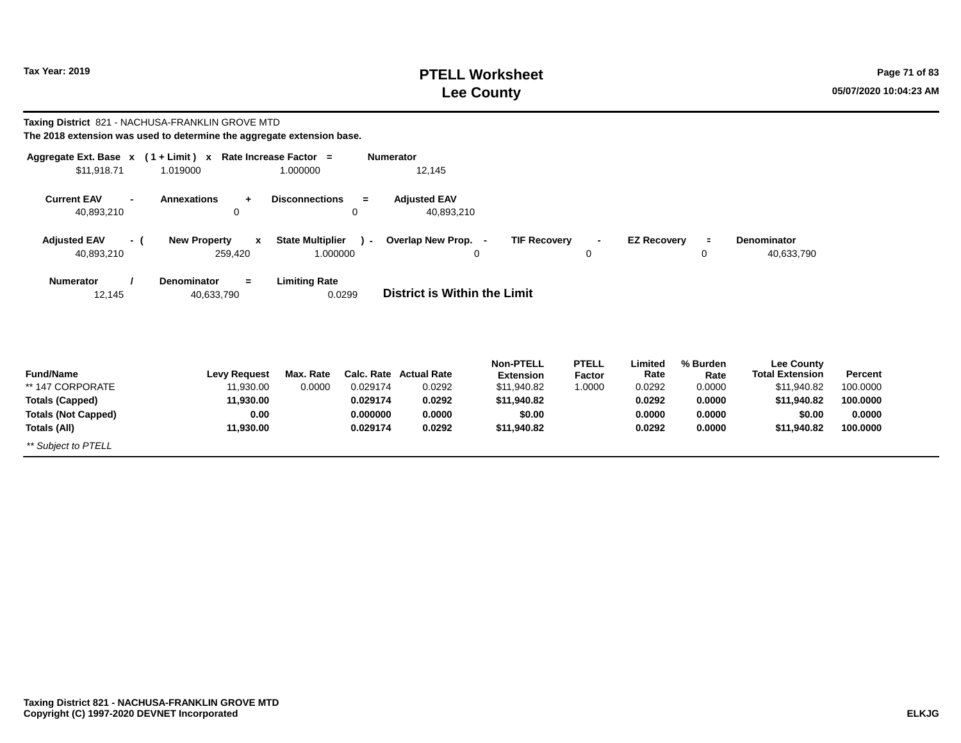## **PTELL Worksheet Tax Year: 2019 Page 71 of 83 Lee County 05/07/2020 10:04:23 AM**

| Taxing District 821 - NACHUSA-FRANKLIN GROVE MTD                       |                                                              |                                     |                        |                                     |                                                     |                                  |                           |                            |                                                            |                     |
|------------------------------------------------------------------------|--------------------------------------------------------------|-------------------------------------|------------------------|-------------------------------------|-----------------------------------------------------|----------------------------------|---------------------------|----------------------------|------------------------------------------------------------|---------------------|
| The 2018 extension was used to determine the aggregate extension base. |                                                              |                                     |                        |                                     |                                                     |                                  |                           |                            |                                                            |                     |
|                                                                        | Aggregate Ext. Base $x$ (1 + Limit) x Rate Increase Factor = |                                     | <b>Numerator</b>       |                                     |                                                     |                                  |                           |                            |                                                            |                     |
| \$11,918.71                                                            | 1.019000                                                     | 1.000000                            |                        | 12,145                              |                                                     |                                  |                           |                            |                                                            |                     |
| <b>Current EAV</b><br>$\blacksquare$<br>40,893,210                     | <b>Annexations</b><br>$\ddot{}$<br>0                         | <b>Disconnections</b>               | $\equiv$<br>$\Omega$   | <b>Adiusted EAV</b><br>40,893,210   |                                                     |                                  |                           |                            |                                                            |                     |
| <b>Adjusted EAV</b><br>- (<br>40,893,210                               | <b>New Property</b><br>$\mathbf{x}$<br>259,420               | <b>State Multiplier</b><br>1.000000 | $\mathcal{L}$          | Overlap New Prop. -                 | <b>TIF Recovery</b><br>0                            | 0                                | <b>EZ Recovery</b>        | $\equiv$<br>0              | Denominator<br>40,633,790                                  |                     |
| <b>Numerator</b><br>12,145                                             | <b>Denominator</b><br>$=$<br>40,633,790                      | <b>Limiting Rate</b>                | 0.0299                 | <b>District is Within the Limit</b> |                                                     |                                  |                           |                            |                                                            |                     |
| <b>Fund/Name</b><br>** 147 CORPORATE                                   | <b>Levy Request</b><br>11,930.00                             | Max. Rate<br>0.0000                 | Calc. Rate<br>0.029174 | <b>Actual Rate</b><br>0.0292        | <b>Non-PTELL</b><br><b>Extension</b><br>\$11,940.82 | <b>PTELL</b><br>Factor<br>1.0000 | Limited<br>Rate<br>0.0292 | % Burden<br>Rate<br>0.0000 | <b>Lee County</b><br><b>Total Extension</b><br>\$11,940.82 | Percent<br>100.0000 |
| <b>Totals (Capped)</b>                                                 | 11,930.00                                                    |                                     | 0.029174               | 0.0292                              | \$11,940.82                                         |                                  | 0.0292                    | 0.0000                     | \$11,940.82                                                | 100.0000            |
| <b>Totals (Not Capped)</b><br>Totals (All)                             | 0.00<br>11,930.00                                            |                                     | 0.000000<br>0.029174   | 0.0000<br>0.0292                    | \$0.00<br>\$11,940.82                               |                                  | 0.0000<br>0.0292          | 0.0000<br>0.0000           | \$0.00<br>\$11,940.82                                      | 0.0000<br>100.0000  |
| ** Subject to PTELL                                                    |                                                              |                                     |                        |                                     |                                                     |                                  |                           |                            |                                                            |                     |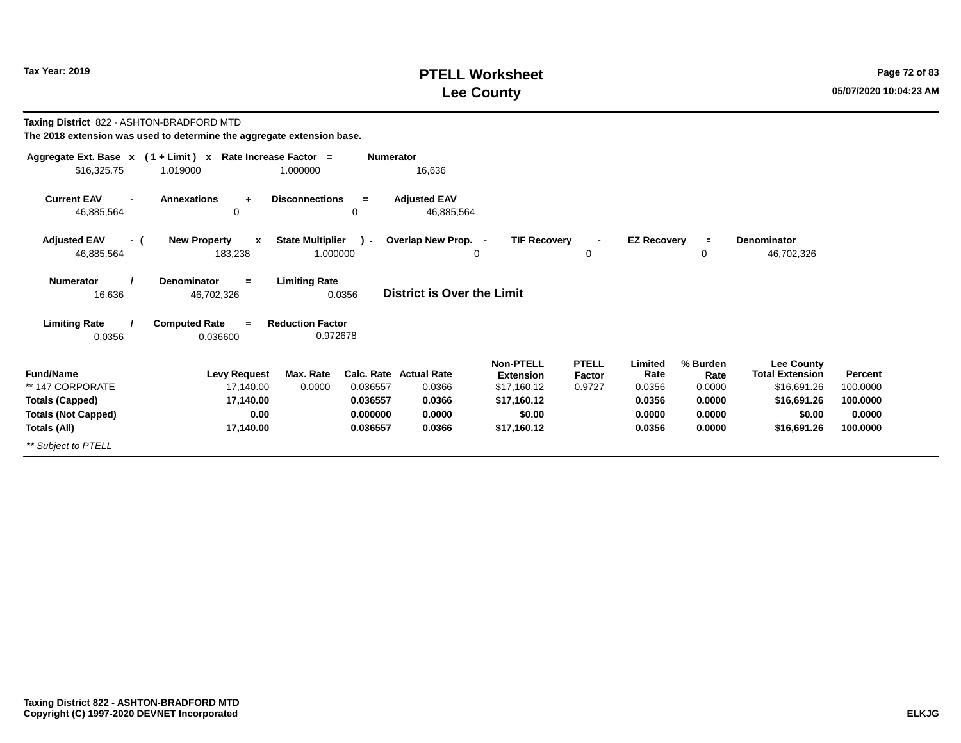### **PTELL Worksheet Tax Year: 2019 Page 72 of 83 Lee County 05/07/2020 10:04:23 AM**

**Taxing District** 822 - ASHTON-BRADFORD MTD **Aggregate Ext. Base <sup>x</sup> <sup>x</sup> Rate Increase Factor <sup>=</sup> Numerator ( 1 + Limit )** 1.000000 $$16,325.75$  1.019000 **The 2018 extension was used to determine the aggregate extension base.**

| \$16,325.75                                        | 1.019000                                       | 1.000000                                            | 16,636                            |                                      |                        |                    |                  |                                             |          |
|----------------------------------------------------|------------------------------------------------|-----------------------------------------------------|-----------------------------------|--------------------------------------|------------------------|--------------------|------------------|---------------------------------------------|----------|
| <b>Current EAV</b><br>$\blacksquare$<br>46,885,564 | <b>Annexations</b><br>$\ddot{}$<br>0           | <b>Disconnections</b><br>$=$<br>0                   | <b>Adjusted EAV</b><br>46,885,564 |                                      |                        |                    |                  |                                             |          |
| <b>Adjusted EAV</b><br>- (<br>46,885,564           | <b>New Property</b><br>$\mathbf{x}$<br>183,238 | <b>State Multiplier</b><br>$\mathbf{r}$<br>1.000000 | Overlap New Prop. -<br>0          | <b>TIF Recovery</b>                  | $\blacksquare$<br>0    | <b>EZ Recovery</b> | ÷<br>0           | <b>Denominator</b><br>46,702,326            |          |
| <b>Numerator</b><br>16,636                         | <b>Denominator</b><br>$=$<br>46,702,326        | <b>Limiting Rate</b><br>0.0356                      | <b>District is Over the Limit</b> |                                      |                        |                    |                  |                                             |          |
| <b>Limiting Rate</b><br>0.0356                     | <b>Computed Rate</b><br>$=$<br>0.036600        | <b>Reduction Factor</b><br>0.972678                 |                                   |                                      |                        |                    |                  |                                             |          |
| <b>Fund/Name</b>                                   | <b>Levy Request</b>                            | Max. Rate                                           | <b>Calc. Rate Actual Rate</b>     | <b>Non-PTELL</b><br><b>Extension</b> | <b>PTELL</b><br>Factor | Limited<br>Rate    | % Burden<br>Rate | <b>Lee County</b><br><b>Total Extension</b> | Percent  |
| ** 147 CORPORATE                                   | 17,140.00                                      | 0.0000<br>0.036557                                  | 0.0366                            | \$17,160.12                          | 0.9727                 | 0.0356             | 0.0000           | \$16,691.26                                 | 100.0000 |
| <b>Totals (Capped)</b>                             | 17,140.00                                      | 0.036557                                            | 0.0366                            | \$17,160.12                          |                        | 0.0356             | 0.0000           | \$16,691.26                                 | 100.0000 |
| <b>Totals (Not Capped)</b>                         | 0.00                                           | 0.000000                                            | 0.0000                            | \$0.00                               |                        | 0.0000             | 0.0000           | \$0.00                                      | 0.0000   |
| Totals (All)                                       | 17,140.00                                      | 0.036557                                            | 0.0366                            | \$17,160.12                          |                        | 0.0356             | 0.0000           | \$16,691.26                                 | 100.0000 |
| ** Subject to PTELL                                |                                                |                                                     |                                   |                                      |                        |                    |                  |                                             |          |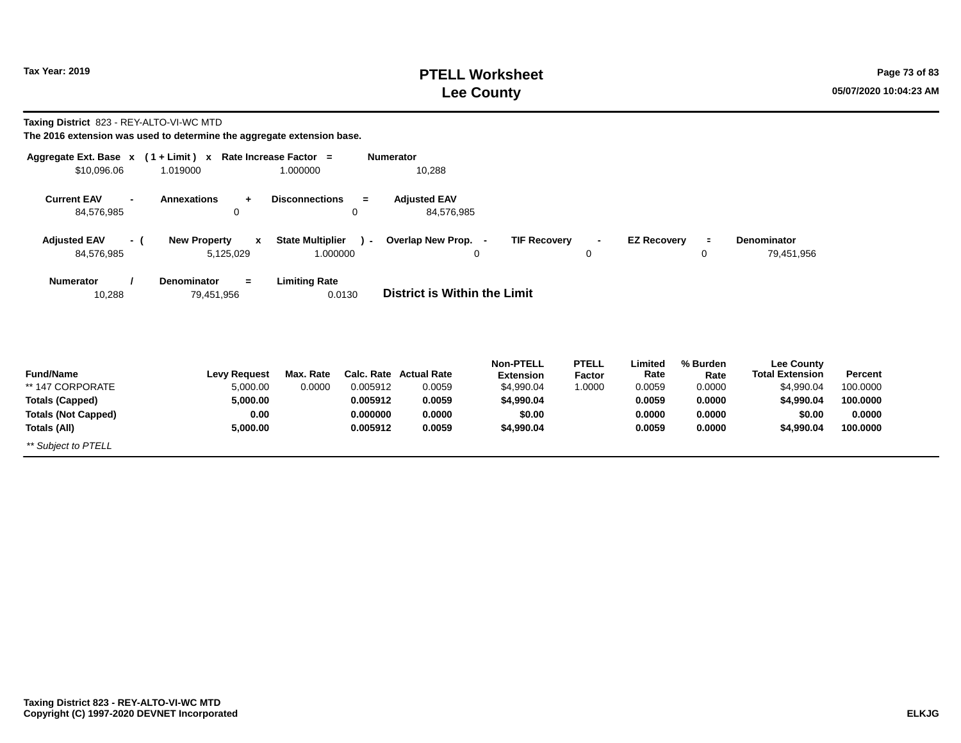## **PTELL Worksheet Tax Year: 2019 Page 73 of 83 Lee County 05/07/2020 10:04:23 AM**

**Taxing District** 823 - REY-ALTO-VI-WC MTD

| Aggregate Ext. Base $x$ (1 + Limit) $x$<br>\$10,096.06 | 1.019000                                         | Rate Increase Factor =<br>1.000000  | <b>Numerator</b> | 10,288                            |                                      |                        |                    |                  |                                             |          |
|--------------------------------------------------------|--------------------------------------------------|-------------------------------------|------------------|-----------------------------------|--------------------------------------|------------------------|--------------------|------------------|---------------------------------------------|----------|
| <b>Current EAV</b><br>$\blacksquare$<br>84,576,985     | <b>Annexations</b><br>$\ddot{}$<br>0             | <b>Disconnections</b>               | $=$<br>0         | <b>Adjusted EAV</b><br>84,576,985 |                                      |                        |                    |                  |                                             |          |
| <b>Adjusted EAV</b><br>- (<br>84,576,985               | <b>New Property</b><br>$\mathbf{x}$<br>5,125,029 | <b>State Multiplier</b><br>1.000000 | $\mathcal{L}$    | Overlap New Prop. -<br>0          | <b>TIF Recovery</b>                  | $\blacksquare$<br>0    | <b>EZ Recovery</b> | $\equiv$<br>0    | <b>Denominator</b><br>79,451,956            |          |
| <b>Numerator</b><br>10,288                             | Denominator<br>$=$<br>79,451,956                 | <b>Limiting Rate</b>                | 0.0130           | District is Within the Limit      |                                      |                        |                    |                  |                                             |          |
| <b>Fund/Name</b>                                       | <b>Levy Request</b>                              | Max. Rate                           |                  | Calc. Rate Actual Rate            | <b>Non-PTELL</b><br><b>Extension</b> | <b>PTELL</b><br>Factor | Limited<br>Rate    | % Burden<br>Rate | <b>Lee County</b><br><b>Total Extension</b> | Percent  |
| ** 147 CORPORATE                                       | 5,000.00                                         | 0.0000                              | 0.005912         | 0.0059                            | \$4,990.04                           | 1.0000                 | 0.0059             | 0.0000           | \$4,990.04                                  | 100.0000 |
| <b>Totals (Capped)</b>                                 | 5,000.00                                         |                                     | 0.005912         | 0.0059                            | \$4,990.04                           |                        | 0.0059             | 0.0000           | \$4,990.04                                  | 100.0000 |
| <b>Totals (Not Capped)</b>                             | 0.00                                             |                                     | 0.000000         | 0.0000                            | \$0.00                               |                        | 0.0000             | 0.0000           | \$0.00                                      | 0.0000   |
| Totals (All)                                           | 5,000.00                                         |                                     | 0.005912         | 0.0059                            | \$4,990.04                           |                        | 0.0059             | 0.0000           | \$4,990.04                                  | 100.0000 |
| ** Subject to PTELL                                    |                                                  |                                     |                  |                                   |                                      |                        |                    |                  |                                             |          |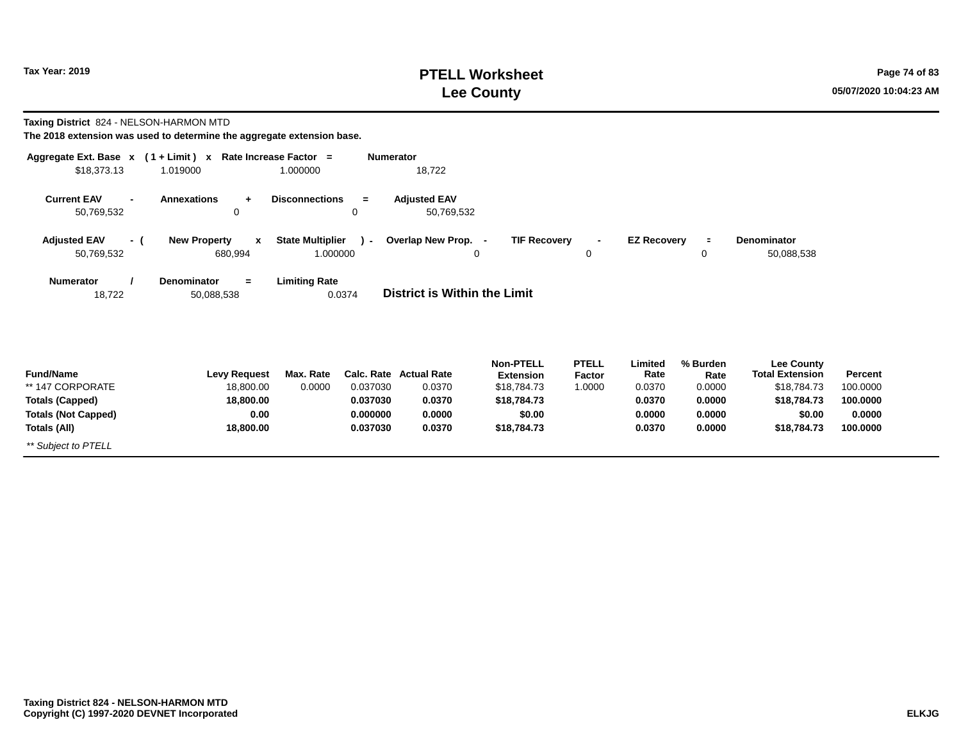## **PTELL Worksheet Tax Year: 2019 Page 74 of 83 Lee County 05/07/2020 10:04:23 AM**

**Taxing District** 824 - NELSON-HARMON MTD

| Aggregate Ext. Base $x$ (1 + Limit) x Rate Increase Factor =<br>\$18,373.13 | 1.019000                                       | 1.000000                            | <b>Numerator</b> | 18,722                              |                                      |                        |                    |                  |                                      |          |
|-----------------------------------------------------------------------------|------------------------------------------------|-------------------------------------|------------------|-------------------------------------|--------------------------------------|------------------------|--------------------|------------------|--------------------------------------|----------|
| <b>Current EAV</b><br>$\blacksquare$<br>50,769,532                          | <b>Annexations</b><br>$\ddot{+}$<br>0          | <b>Disconnections</b>               | $=$<br>0         | <b>Adjusted EAV</b><br>50,769,532   |                                      |                        |                    |                  |                                      |          |
| <b>Adjusted EAV</b><br>- (<br>50,769,532                                    | <b>New Property</b><br>$\mathbf{x}$<br>680,994 | <b>State Multiplier</b><br>1.000000 | $\lambda$ -      | Overlap New Prop. -<br>0            | <b>TIF Recovery</b>                  | $\blacksquare$<br>0    | <b>EZ Recovery</b> | $\equiv$<br>0    | Denominator<br>50,088,538            |          |
| <b>Numerator</b><br>18,722                                                  | <b>Denominator</b><br>$=$<br>50,088,538        | <b>Limiting Rate</b>                | 0.0374           | <b>District is Within the Limit</b> |                                      |                        |                    |                  |                                      |          |
| <b>Fund/Name</b>                                                            | <b>Levy Request</b>                            | Max. Rate                           |                  | <b>Calc. Rate Actual Rate</b>       | <b>Non-PTELL</b><br><b>Extension</b> | <b>PTELL</b><br>Factor | Limited<br>Rate    | % Burden<br>Rate | Lee County<br><b>Total Extension</b> | Percent  |
| ** 147 CORPORATE                                                            | 18,800.00                                      | 0.0000                              | 0.037030         | 0.0370                              | \$18,784.73                          | 1.0000                 | 0.0370             | 0.0000           | \$18,784.73                          | 100.0000 |
| <b>Totals (Capped)</b>                                                      | 18,800.00                                      |                                     | 0.037030         | 0.0370                              | \$18,784.73                          |                        | 0.0370             | 0.0000           | \$18,784.73                          | 100.0000 |
| <b>Totals (Not Capped)</b>                                                  | 0.00                                           |                                     | 0.000000         | 0.0000                              | \$0.00                               |                        | 0.0000             | 0.0000           | \$0.00                               | 0.0000   |
| Totals (All)                                                                | 18,800.00                                      |                                     | 0.037030         | 0.0370                              | \$18,784.73                          |                        | 0.0370             | 0.0000           | \$18,784.73                          | 100.0000 |
| ** Subject to PTELL                                                         |                                                |                                     |                  |                                     |                                      |                        |                    |                  |                                      |          |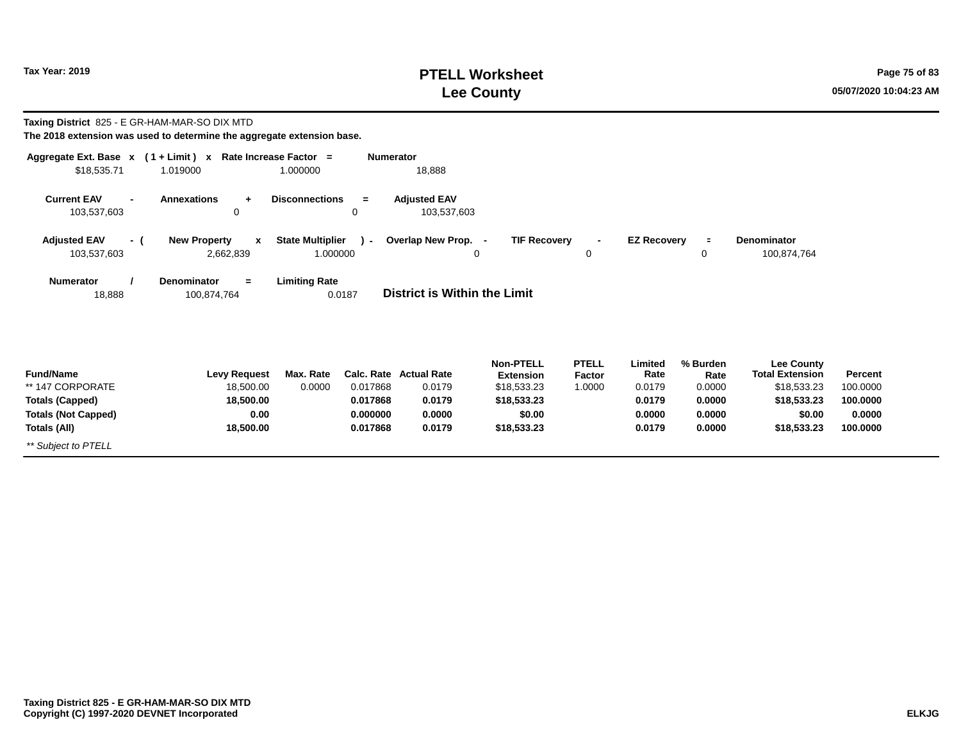## **PTELL Worksheet Tax Year: 2019 Page 75 of 83 Lee County 05/07/2020 10:04:23 AM**

| <b>Taxing District</b> 825 - E GR-HAM-MAR-SO DIX MTD<br>The 2018 extension was used to determine the aggregate extension base. |                                   |                           |                                     |                      |                                     |                                      |                        |                    |                  |                                             |                      |
|--------------------------------------------------------------------------------------------------------------------------------|-----------------------------------|---------------------------|-------------------------------------|----------------------|-------------------------------------|--------------------------------------|------------------------|--------------------|------------------|---------------------------------------------|----------------------|
| Aggregate Ext. Base $x$ (1 + Limit) x Rate Increase Factor =<br>\$18,535.71                                                    | 1.019000                          |                           | 1.000000                            | <b>Numerator</b>     | 18,888                              |                                      |                        |                    |                  |                                             |                      |
| <b>Current EAV</b><br>103,537,603                                                                                              | <b>Annexations</b>                | $+$<br>0                  | <b>Disconnections</b>               | $=$<br>$\mathbf 0$   | <b>Adjusted EAV</b><br>103,537,603  |                                      |                        |                    |                  |                                             |                      |
| <b>Adjusted EAV</b><br>103,537,603                                                                                             | <b>New Property</b><br>- (        | $\mathbf{x}$<br>2,662,839 | <b>State Multiplier</b><br>1.000000 | $\mathbf{r}$         | Overlap New Prop. -                 | <b>TIF Recovery</b><br>0             | 0                      | <b>EZ Recovery</b> | $\equiv$<br>0    | <b>Denominator</b><br>100,874,764           |                      |
| <b>Numerator</b><br>18,888                                                                                                     | <b>Denominator</b><br>100,874,764 | $=$                       | <b>Limiting Rate</b>                | 0.0187               | <b>District is Within the Limit</b> |                                      |                        |                    |                  |                                             |                      |
| <b>Fund/Name</b>                                                                                                               |                                   | <b>Levy Request</b>       | Max. Rate                           | Calc. Rate           | <b>Actual Rate</b>                  | <b>Non-PTELL</b><br><b>Extension</b> | <b>PTELL</b><br>Factor | Limited<br>Rate    | % Burden<br>Rate | <b>Lee County</b><br><b>Total Extension</b> | Percent              |
| ** 147 CORPORATE<br><b>Totals (Capped)</b>                                                                                     |                                   | 18,500.00<br>18,500.00    | 0.0000                              | 0.017868<br>0.017868 | 0.0179<br>0.0179                    | \$18,533.23<br>\$18,533.23           | 1.0000                 | 0.0179<br>0.0179   | 0.0000<br>0.0000 | \$18,533.23<br>\$18,533.23                  | 100.0000<br>100.0000 |
| <b>Totals (Not Capped)</b>                                                                                                     |                                   | 0.00                      |                                     | 0.000000             | 0.0000                              | \$0.00                               |                        | 0.0000             | 0.0000           | \$0.00                                      | 0.0000               |
| Totals (All)                                                                                                                   |                                   | 18,500.00                 |                                     | 0.017868             | 0.0179                              | \$18,533.23                          |                        | 0.0179             | 0.0000           | \$18,533.23                                 | 100.0000             |
| ** Subject to PTELL                                                                                                            |                                   |                           |                                     |                      |                                     |                                      |                        |                    |                  |                                             |                      |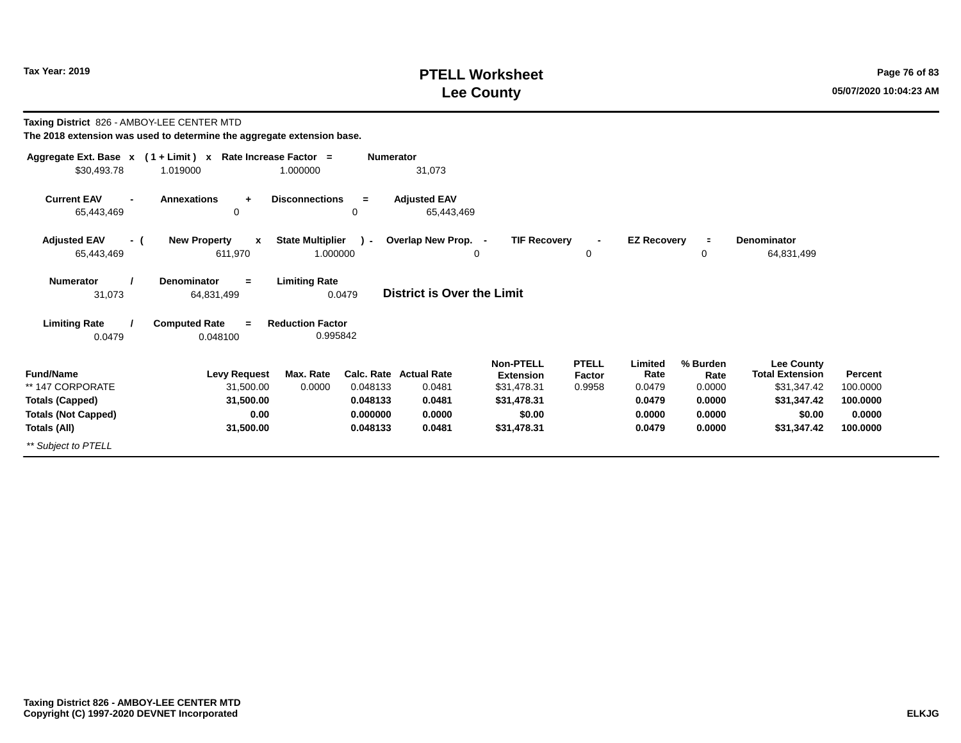$\overline{\phantom{0}}$ 

## **PTELL Worksheet Tax Year: 2019 Page 76 of 83 Lee County 05/07/2020 10:04:23 AM**

| Taxing District 826 - AMBOY-LEE CENTER MTD | The 2018 extension was used to determine the aggregate extension base.   |                                     |                  |                                   |                               |                        |                    |                  |                                             |          |
|--------------------------------------------|--------------------------------------------------------------------------|-------------------------------------|------------------|-----------------------------------|-------------------------------|------------------------|--------------------|------------------|---------------------------------------------|----------|
| \$30.493.78                                | Aggregate Ext. Base $x$ (1 + Limit) x Rate Increase Factor =<br>1.019000 | 1.000000                            | <b>Numerator</b> | 31,073                            |                               |                        |                    |                  |                                             |          |
| <b>Current EAV</b><br>65,443,469           | <b>Annexations</b><br>$\ddot{}$<br>$\mathbf 0$                           | <b>Disconnections</b>               | $\equiv$<br>0    | <b>Adjusted EAV</b><br>65,443,469 |                               |                        |                    |                  |                                             |          |
| <b>Adjusted EAV</b><br>- (                 | <b>New Property</b><br>$\mathbf{x}$                                      | <b>State Multiplier</b>             | $\sim$           | Overlap New Prop. -               | <b>TIF Recovery</b>           |                        | <b>EZ Recovery</b> | $\equiv$         | <b>Denominator</b>                          |          |
| 65,443,469                                 | 611,970                                                                  | 1.000000                            |                  |                                   | 0                             | 0                      |                    | 0                | 64,831,499                                  |          |
| <b>Numerator</b><br>31,073                 | <b>Denominator</b><br>$\equiv$<br>64,831,499                             | <b>Limiting Rate</b>                | 0.0479           | <b>District is Over the Limit</b> |                               |                        |                    |                  |                                             |          |
| <b>Limiting Rate</b><br>0.0479             | <b>Computed Rate</b><br>$=$<br>0.048100                                  | <b>Reduction Factor</b><br>0.995842 |                  |                                   |                               |                        |                    |                  |                                             |          |
| <b>Fund/Name</b>                           | <b>Levy Request</b>                                                      | Max. Rate                           |                  | <b>Calc. Rate Actual Rate</b>     | <b>Non-PTELL</b><br>Extension | <b>PTELL</b><br>Factor | Limited<br>Rate    | % Burden<br>Rate | <b>Lee County</b><br><b>Total Extension</b> | Percent  |
| ** 147 CORPORATE                           | 31.500.00                                                                | 0.0000                              | 0.048133         | 0.0481                            | \$31,478.31                   | 0.9958                 | 0.0479             | 0.0000           | \$31,347.42                                 | 100.0000 |
| <b>Totals (Capped)</b>                     | 31.500.00                                                                |                                     | 0.048133         | 0.0481                            | \$31,478.31                   |                        | 0.0479             | 0.0000           | \$31,347.42                                 | 100.0000 |
| <b>Totals (Not Capped)</b>                 | 0.00                                                                     |                                     | 0.000000         | 0.0000                            | \$0.00                        |                        | 0.0000             | 0.0000           | \$0.00                                      | 0.0000   |
| Totals (All)                               | 31,500.00                                                                |                                     | 0.048133         | 0.0481                            | \$31,478.31                   |                        | 0.0479             | 0.0000           | \$31,347.42                                 | 100.0000 |
| ** Subject to PTELL                        |                                                                          |                                     |                  |                                   |                               |                        |                    |                  |                                             |          |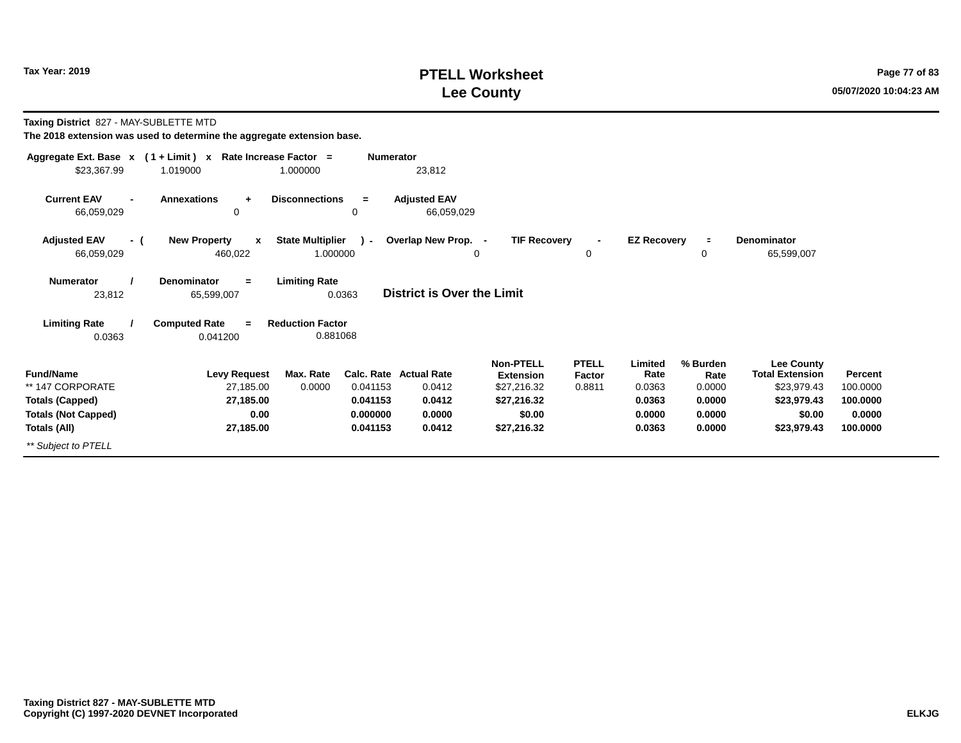### **PTELL Worksheet Tax Year: 2019 Page 77 of 83 Lee County 05/07/2020 10:04:23 AM**

**Taxing District** 827 - MAY-SUBLETTE MTD

| Aggregate Ext. Base $x$ (1 + Limit) $x$                      | Rate Increase Factor =                         | <b>Numerator</b>                                   |                                         |                                                     |                                  |                           |                            |                                                     |                     |
|--------------------------------------------------------------|------------------------------------------------|----------------------------------------------------|-----------------------------------------|-----------------------------------------------------|----------------------------------|---------------------------|----------------------------|-----------------------------------------------------|---------------------|
| \$23,367.99                                                  | 1.019000                                       | 1.000000                                           | 23,812                                  |                                                     |                                  |                           |                            |                                                     |                     |
| <b>Current EAV</b><br>$\overline{\phantom{0}}$<br>66,059,029 | <b>Annexations</b><br>÷<br>0                   | <b>Disconnections</b><br>$=$<br>0                  | <b>Adjusted EAV</b><br>66,059,029       |                                                     |                                  |                           |                            |                                                     |                     |
| <b>Adjusted EAV</b><br>- (<br>66,059,029                     | <b>New Property</b><br>$\mathbf{x}$<br>460,022 | <b>State Multiplier</b><br>$\lambda$ -<br>1.000000 | Overlap New Prop. -<br>0                | <b>TIF Recovery</b>                                 | $\blacksquare$<br>0              | <b>EZ Recovery</b>        | $\equiv$<br>0              | Denominator<br>65,599,007                           |                     |
| <b>Numerator</b><br>23,812                                   | <b>Denominator</b><br>$=$<br>65,599,007        | <b>Limiting Rate</b><br>0.0363                     | District is Over the Limit              |                                                     |                                  |                           |                            |                                                     |                     |
| <b>Limiting Rate</b><br>0.0363                               | <b>Computed Rate</b><br>$=$<br>0.041200        | <b>Reduction Factor</b><br>0.881068                |                                         |                                                     |                                  |                           |                            |                                                     |                     |
| <b>Fund/Name</b><br>** 147 CORPORATE                         | <b>Levy Request</b><br>27,185.00               | Max. Rate<br>0.0000<br>0.041153                    | <b>Calc. Rate Actual Rate</b><br>0.0412 | <b>Non-PTELL</b><br><b>Extension</b><br>\$27,216.32 | <b>PTELL</b><br>Factor<br>0.8811 | Limited<br>Rate<br>0.0363 | % Burden<br>Rate<br>0.0000 | Lee County<br><b>Total Extension</b><br>\$23,979.43 | Percent<br>100.0000 |
| <b>Totals (Capped)</b>                                       | 27,185.00                                      | 0.041153                                           | 0.0412                                  | \$27,216.32                                         |                                  | 0.0363                    | 0.0000                     | \$23,979.43                                         | 100.0000            |
| <b>Totals (Not Capped)</b>                                   | 0.00                                           | 0.000000                                           | 0.0000                                  | \$0.00                                              |                                  | 0.0000                    | 0.0000                     | \$0.00                                              | 0.0000              |
| Totals (All)                                                 | 27,185.00                                      | 0.041153                                           | 0.0412                                  | \$27,216.32                                         |                                  | 0.0363                    | 0.0000                     | \$23,979.43                                         | 100.0000            |
| ** Subject to PTELL                                          |                                                |                                                    |                                         |                                                     |                                  |                           |                            |                                                     |                     |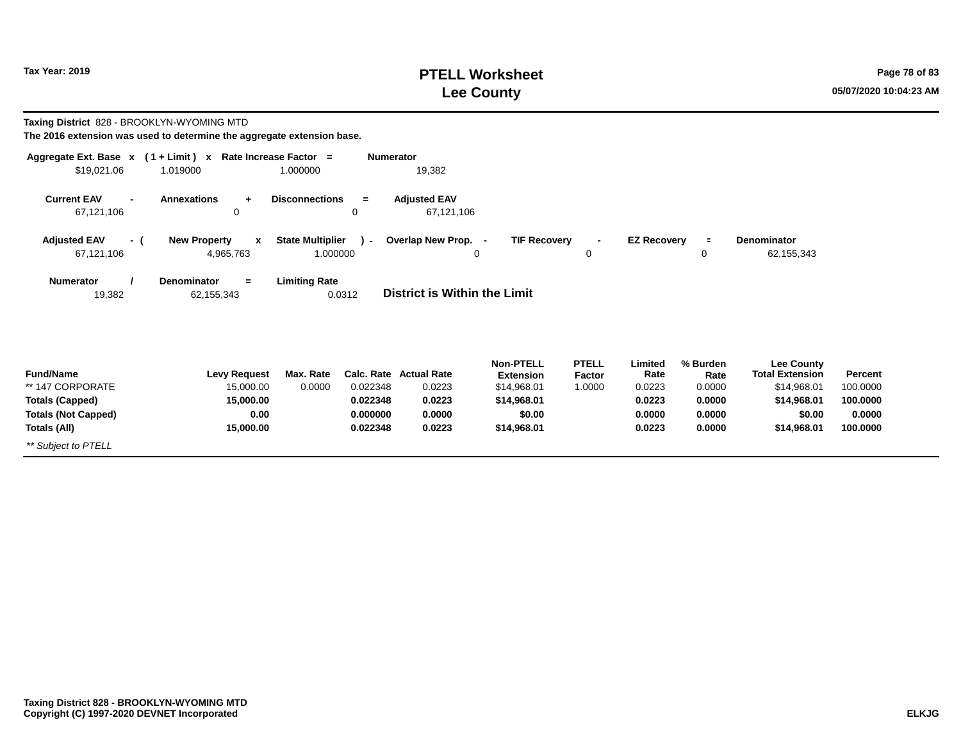**Taxing District** 828 - BROOKLYN-WYOMING MTD

## **PTELL Worksheet Tax Year: 2019 Page 78 of 83 Lee County 05/07/2020 10:04:23 AM**

| The 2016 extension was used to determine the aggregate extension base.                                       |                                                                    |                                     |                                              |                                                                |                                                                                             |                                  |                                                         |                                                          |                                                                                                    |                                                       |
|--------------------------------------------------------------------------------------------------------------|--------------------------------------------------------------------|-------------------------------------|----------------------------------------------|----------------------------------------------------------------|---------------------------------------------------------------------------------------------|----------------------------------|---------------------------------------------------------|----------------------------------------------------------|----------------------------------------------------------------------------------------------------|-------------------------------------------------------|
| Aggregate Ext. Base $x$ (1 + Limit) x Rate Increase Factor =<br>\$19,021.06                                  | 1.019000                                                           | 1.000000                            | <b>Numerator</b>                             | 19,382                                                         |                                                                                             |                                  |                                                         |                                                          |                                                                                                    |                                                       |
| <b>Current EAV</b><br>$\blacksquare$<br>67,121,106                                                           | <b>Annexations</b><br>$\ddot{}$<br>0                               | <b>Disconnections</b>               | $=$<br>0                                     | <b>Adjusted EAV</b><br>67,121,106                              |                                                                                             |                                  |                                                         |                                                          |                                                                                                    |                                                       |
| <b>Adjusted EAV</b><br>- (<br>67,121,106                                                                     | <b>New Property</b><br>$\mathbf{x}$<br>4,965,763                   | <b>State Multiplier</b><br>1.000000 | $\lambda$                                    | Overlap New Prop. -                                            | <b>TIF Recovery</b><br>0                                                                    | $\overline{\phantom{a}}$<br>0    | <b>EZ Recovery</b>                                      | $\equiv$<br>0                                            | <b>Denominator</b><br>62,155,343                                                                   |                                                       |
| <b>Numerator</b><br>19,382                                                                                   | <b>Denominator</b><br>$=$<br>62,155,343                            | <b>Limiting Rate</b>                | 0.0312                                       | District is Within the Limit                                   |                                                                                             |                                  |                                                         |                                                          |                                                                                                    |                                                       |
| <b>Fund/Name</b><br>** 147 CORPORATE<br><b>Totals (Capped)</b><br><b>Totals (Not Capped)</b><br>Totals (All) | <b>Levy Request</b><br>15,000.00<br>15,000.00<br>0.00<br>15,000.00 | Max. Rate<br>0.0000                 | 0.022348<br>0.022348<br>0.000000<br>0.022348 | Calc. Rate Actual Rate<br>0.0223<br>0.0223<br>0.0000<br>0.0223 | <b>Non-PTELL</b><br><b>Extension</b><br>\$14,968.01<br>\$14,968.01<br>\$0.00<br>\$14,968.01 | <b>PTELL</b><br>Factor<br>1.0000 | Limited<br>Rate<br>0.0223<br>0.0223<br>0.0000<br>0.0223 | % Burden<br>Rate<br>0.0000<br>0.0000<br>0.0000<br>0.0000 | <b>Lee County</b><br><b>Total Extension</b><br>\$14,968.01<br>\$14,968.01<br>\$0.00<br>\$14,968.01 | Percent<br>100.0000<br>100.0000<br>0.0000<br>100.0000 |
| ** Subject to PTELL                                                                                          |                                                                    |                                     |                                              |                                                                |                                                                                             |                                  |                                                         |                                                          |                                                                                                    |                                                       |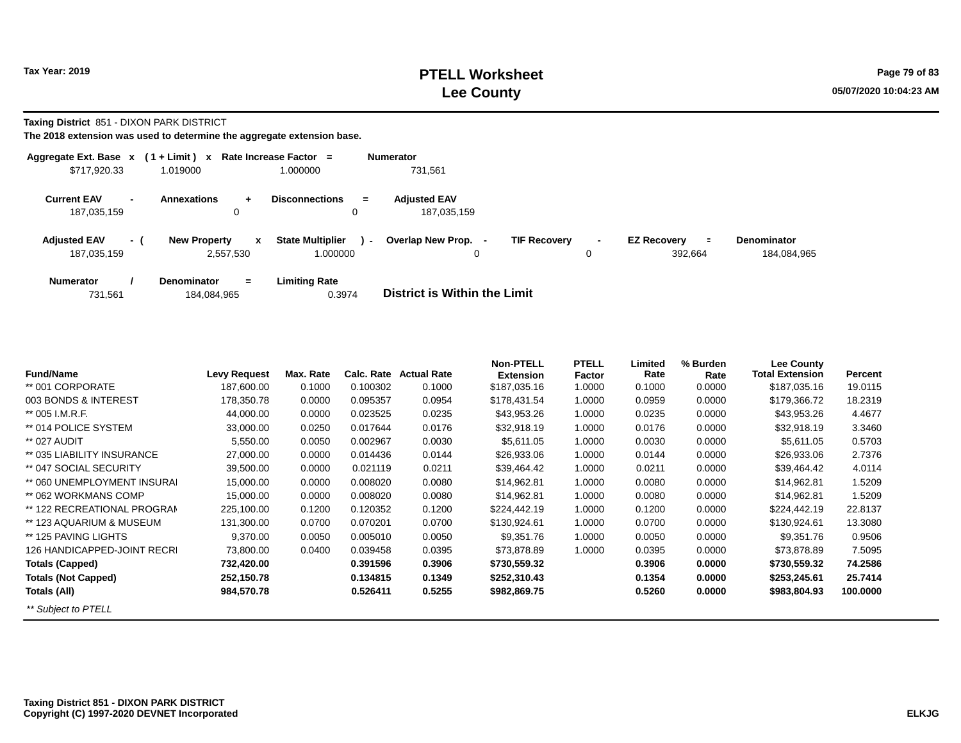**Taxing District** 851 - DIXON PARK DISTRICT

| Aggregate Ext. Base x              |                          | $(1 + Limit)$ x                                 | Rate Increase Factor =                        | <b>Numerator</b>                              |                     |                                           |                                   |
|------------------------------------|--------------------------|-------------------------------------------------|-----------------------------------------------|-----------------------------------------------|---------------------|-------------------------------------------|-----------------------------------|
| \$717,920.33                       |                          | 1.019000                                        | 1.000000                                      | 731,561                                       |                     |                                           |                                   |
| <b>Current EAV</b><br>187,035,159  | $\overline{\phantom{0}}$ | <b>Annexations</b><br>$\ddot{\phantom{1}}$<br>0 | <b>Disconnections</b><br>$=$<br>0             | <b>Adiusted EAV</b><br>187.035.159            |                     |                                           |                                   |
| <b>Adjusted EAV</b><br>187,035,159 | - (                      | <b>New Property</b><br>x<br>2,557,530           | <b>State Multiplier</b><br>$\sim$<br>1.000000 | Overlap New Prop.<br><b>TIF Recovery</b><br>0 | $\blacksquare$<br>0 | <b>EZ Recovery</b><br>$\equiv$<br>392,664 | <b>Denominator</b><br>184,084,965 |
| <b>Numerator</b><br>731,561        |                          | <b>Denominator</b><br>$=$<br>184,084,965        | <b>Limiting Rate</b><br>0.3974                | District is Within the Limit                  |                     |                                           |                                   |

| <b>Fund/Name</b>            | <b>Levy Request</b> | Max. Rate | Calc. Rate | <b>Actual Rate</b> | <b>Non-PTELL</b><br><b>Extension</b> | <b>PTELL</b><br>Factor | Limited<br>Rate | % Burden<br>Rate | Lee County<br><b>Total Extension</b> | Percent  |
|-----------------------------|---------------------|-----------|------------|--------------------|--------------------------------------|------------------------|-----------------|------------------|--------------------------------------|----------|
| ** 001 CORPORATE            | 187,600.00          | 0.1000    | 0.100302   | 0.1000             | \$187,035.16                         | 1.0000                 | 0.1000          | 0.0000           | \$187,035.16                         | 19.0115  |
| 003 BONDS & INTEREST        | 178,350.78          | 0.0000    | 0.095357   | 0.0954             | \$178,431.54                         | 1.0000                 | 0.0959          | 0.0000           | \$179,366.72                         | 18.2319  |
| ** 005 I.M.R.F.             | 44,000.00           | 0.0000    | 0.023525   | 0.0235             | \$43,953.26                          | 1.0000                 | 0.0235          | 0.0000           | \$43,953.26                          | 4.4677   |
| ** 014 POLICE SYSTEM        | 33,000.00           | 0.0250    | 0.017644   | 0.0176             | \$32,918.19                          | 1.0000                 | 0.0176          | 0.0000           | \$32,918.19                          | 3.3460   |
| ** 027 AUDIT                | 5,550.00            | 0.0050    | 0.002967   | 0.0030             | \$5,611.05                           | 1.0000                 | 0.0030          | 0.0000           | \$5,611.05                           | 0.5703   |
| ** 035 LIABILITY INSURANCE  | 27,000.00           | 0.0000    | 0.014436   | 0.0144             | \$26,933.06                          | 1.0000                 | 0.0144          | 0.0000           | \$26,933.06                          | 2.7376   |
| ** 047 SOCIAL SECURITY      | 39,500.00           | 0.0000    | 0.021119   | 0.0211             | \$39,464.42                          | 1.0000                 | 0.0211          | 0.0000           | \$39,464.42                          | 4.0114   |
| ** 060 UNEMPLOYMENT INSURAL | 15,000.00           | 0.0000    | 0.008020   | 0.0080             | \$14,962.81                          | 1.0000                 | 0.0080          | 0.0000           | \$14,962.81                          | 1.5209   |
| ** 062 WORKMANS COMP        | 15,000.00           | 0.0000    | 0.008020   | 0.0080             | \$14,962.81                          | 1.0000                 | 0.0080          | 0.0000           | \$14,962.81                          | 1.5209   |
| ** 122 RECREATIONAL PROGRAM | 225,100.00          | 0.1200    | 0.120352   | 0.1200             | \$224,442.19                         | 1.0000                 | 0.1200          | 0.0000           | \$224,442.19                         | 22.8137  |
| ** 123 AQUARIUM & MUSEUM    | 131,300.00          | 0.0700    | 0.070201   | 0.0700             | \$130,924.61                         | 1.0000                 | 0.0700          | 0.0000           | \$130,924.61                         | 13.3080  |
| ** 125 PAVING LIGHTS        | 9,370.00            | 0.0050    | 0.005010   | 0.0050             | \$9.351.76                           | 1.0000                 | 0.0050          | 0.0000           | \$9,351.76                           | 0.9506   |
| 126 HANDICAPPED-JOINT RECRI | 73,800.00           | 0.0400    | 0.039458   | 0.0395             | \$73,878.89                          | 1.0000                 | 0.0395          | 0.0000           | \$73,878.89                          | 7.5095   |
| <b>Totals (Capped)</b>      | 732,420.00          |           | 0.391596   | 0.3906             | \$730,559.32                         |                        | 0.3906          | 0.0000           | \$730,559.32                         | 74.2586  |
| <b>Totals (Not Capped)</b>  | 252,150.78          |           | 0.134815   | 0.1349             | \$252,310.43                         |                        | 0.1354          | 0.0000           | \$253,245.61                         | 25.7414  |
| Totals (All)                | 984,570.78          |           | 0.526411   | 0.5255             | \$982,869.75                         |                        | 0.5260          | 0.0000           | \$983,804.93                         | 100.0000 |
| ** Subject to PTELL         |                     |           |            |                    |                                      |                        |                 |                  |                                      |          |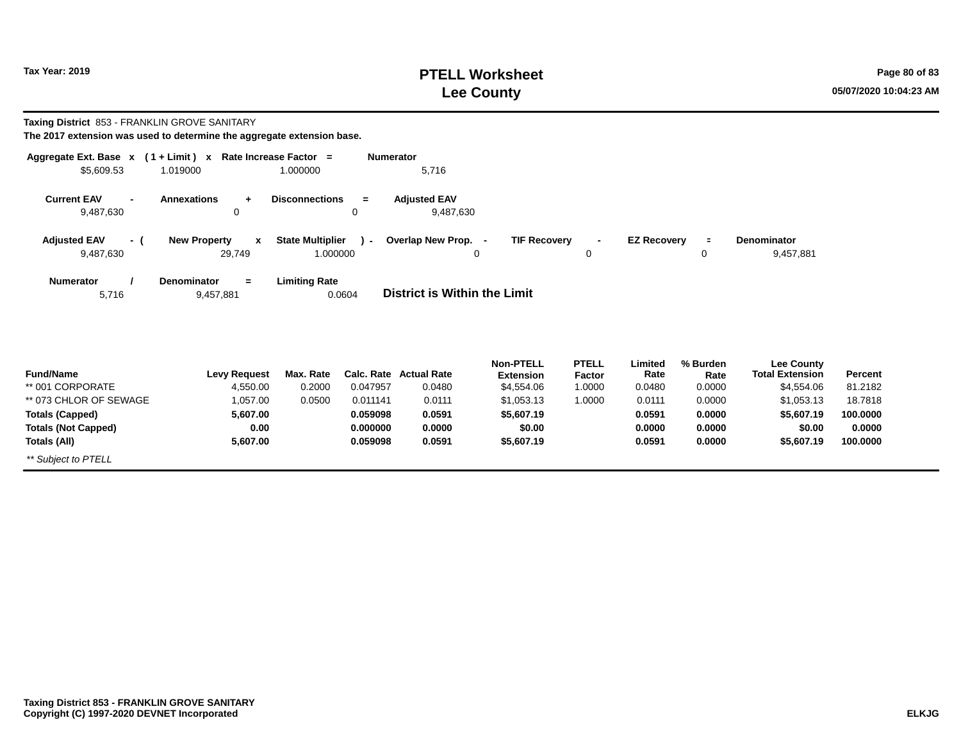### **PTELL Worksheet Tax Year: 2019 Page 80 of 83 Lee County 05/07/2020 10:04:23 AM**

# **Taxing District** 853 - FRANKLIN GROVE SANITARY

| Aggregate Ext. Base $x$ (1 + Limit) x Rate Increase Factor =<br>\$5,609.53 | 1.019000                                      | 1.000000                            | <b>Numerator</b><br>5,716           |                     |              |                    |               |                             |  |
|----------------------------------------------------------------------------|-----------------------------------------------|-------------------------------------|-------------------------------------|---------------------|--------------|--------------------|---------------|-----------------------------|--|
| <b>Current EAV</b><br>9,487,630                                            | <b>Annexations</b><br>0                       | <b>Disconnections</b><br>$=$<br>0   | <b>Adjusted EAV</b><br>9,487,630    |                     |              |                    |               |                             |  |
| <b>Adjusted EAV</b><br>- (<br>9,487,630                                    | <b>New Property</b><br>$\mathbf{x}$<br>29,749 | <b>State Multiplier</b><br>1.000000 | ) - Overlap New Prop. -<br>0        | <b>TIF Recovery</b> | $\sim$<br>0  | <b>EZ Recovery</b> | $\equiv$<br>0 | Denominator<br>9,457,881    |  |
| <b>Numerator</b><br>5,716                                                  | Denominator<br>$=$<br>9,457,881               | <b>Limiting Rate</b><br>0.0604      | <b>District is Within the Limit</b> |                     |              |                    |               |                             |  |
|                                                                            |                                               |                                     | .                                   | <b>Non-PTELL</b>    | <b>PTELL</b> | Limited            | % Burden      | <b>Lee County</b><br>______ |  |

| <b>Fund/Name</b>           | <b>Levy Request</b> | Max. Rate |          | Calc. Rate Actual Rate | .<br><b>Extension</b> | .<br><b>Factor</b> | -------<br>Rate | ,,,,,,,,,,,<br>Rate | ---------<br><b>Total Extension</b> | <b>Percent</b> |
|----------------------------|---------------------|-----------|----------|------------------------|-----------------------|--------------------|-----------------|---------------------|-------------------------------------|----------------|
| ** 001 CORPORATE           | 4.550.00            | 0.2000    | 0.047957 | 0.0480                 | \$4,554.06            | 1.0000             | 0.0480          | 0.0000              | \$4,554.06                          | 81.2182        |
| ** 073 CHLOR OF SEWAGE     | 1,057.00            | 0.0500    | 0.011141 | 0.0111                 | \$1,053.13            | 1.0000             | 0.0111          | 0.0000              | \$1,053.13                          | 18.7818        |
| <b>Totals (Capped)</b>     | 5.607.00            |           | 0.059098 | 0.0591                 | \$5,607.19            |                    | 0.0591          | 0.0000              | \$5,607.19                          | 100.0000       |
| <b>Totals (Not Capped)</b> | 0.00                |           | 0.000000 | 0.0000                 | \$0.00                |                    | 0.0000          | 0.0000              | \$0.00                              | 0.0000         |
| Totals (All)               | 5.607.00            |           | 0.059098 | 0.0591                 | \$5,607.19            |                    | 0.0591          | 0.0000              | \$5,607.19                          | 100.0000       |
| ** Subject to PTELL        |                     |           |          |                        |                       |                    |                 |                     |                                     |                |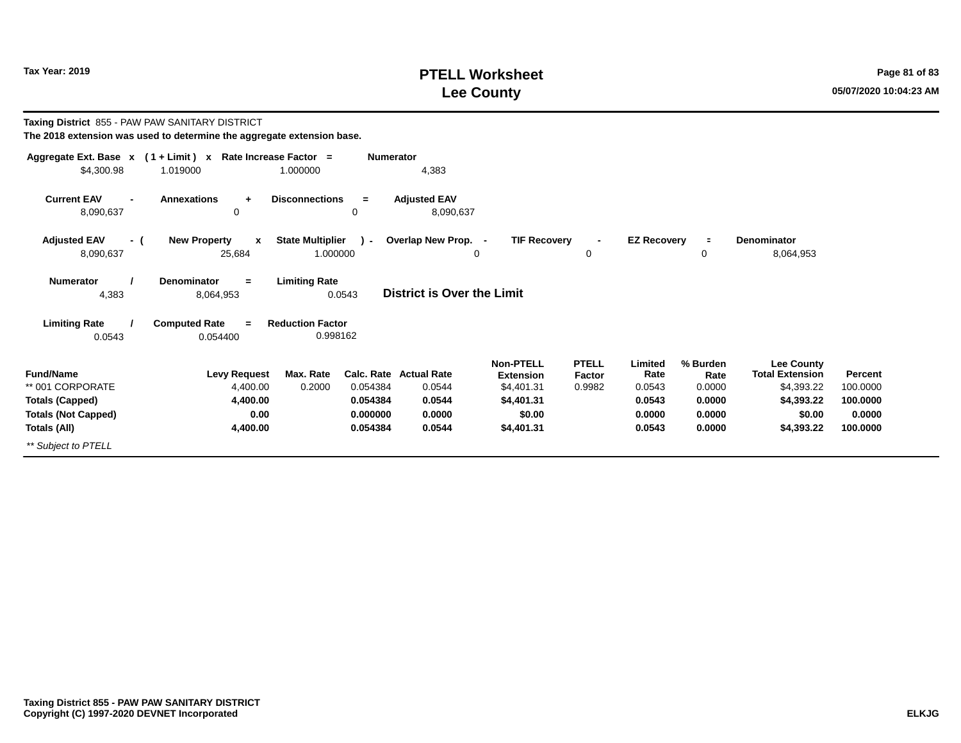## **PTELL Worksheet Tax Year: 2019 Page 81 of 83 Lee County 05/07/2020 10:04:23 AM**

| Taxing District 855 - PAW PAW SANITARY DISTRICT                                                              | The 2018 extension was used to determine the aggregate extension base.   |                                                                                   |                                                            |                                                                                          |                                  |                                                         |                                                          |                                                                                                 |                                                       |
|--------------------------------------------------------------------------------------------------------------|--------------------------------------------------------------------------|-----------------------------------------------------------------------------------|------------------------------------------------------------|------------------------------------------------------------------------------------------|----------------------------------|---------------------------------------------------------|----------------------------------------------------------|-------------------------------------------------------------------------------------------------|-------------------------------------------------------|
| \$4,300.98                                                                                                   | Aggregate Ext. Base $x$ (1 + Limit) x Rate Increase Factor =<br>1.019000 | <b>Numerator</b><br>1.000000                                                      | 4,383                                                      |                                                                                          |                                  |                                                         |                                                          |                                                                                                 |                                                       |
| <b>Current EAV</b><br>8,090,637                                                                              | <b>Annexations</b><br>$\ddot{}$<br>$\mathbf 0$                           | <b>Disconnections</b><br>$=$<br>0                                                 | <b>Adjusted EAV</b><br>8,090,637                           |                                                                                          |                                  |                                                         |                                                          |                                                                                                 |                                                       |
| <b>Adjusted EAV</b><br>- (<br>8,090,637                                                                      | <b>New Property</b><br>$\boldsymbol{x}$<br>25,684                        | <b>State Multiplier</b><br>. (<br>1.000000                                        | Overlap New Prop. -<br>0                                   | <b>TIF Recovery</b>                                                                      | 0                                | <b>EZ Recovery</b>                                      | $\equiv$<br>0                                            | Denominator<br>8,064,953                                                                        |                                                       |
| <b>Numerator</b><br>4,383                                                                                    | <b>Denominator</b><br>$=$<br>8,064,953                                   | <b>Limiting Rate</b><br>0.0543                                                    | <b>District is Over the Limit</b>                          |                                                                                          |                                  |                                                         |                                                          |                                                                                                 |                                                       |
| <b>Limiting Rate</b><br>0.0543                                                                               | <b>Computed Rate</b><br>$\equiv$<br>0.054400                             | <b>Reduction Factor</b><br>0.998162                                               |                                                            |                                                                                          |                                  |                                                         |                                                          |                                                                                                 |                                                       |
| <b>Fund/Name</b><br>** 001 CORPORATE<br><b>Totals (Capped)</b><br><b>Totals (Not Capped)</b><br>Totals (All) | <b>Levy Request</b><br>4,400.00<br>4,400.00<br>0.00<br>4,400.00          | Max. Rate<br>Calc. Rate<br>0.2000<br>0.054384<br>0.054384<br>0.000000<br>0.054384 | <b>Actual Rate</b><br>0.0544<br>0.0544<br>0.0000<br>0.0544 | <b>Non-PTELL</b><br><b>Extension</b><br>\$4,401.31<br>\$4,401.31<br>\$0.00<br>\$4,401.31 | <b>PTELL</b><br>Factor<br>0.9982 | Limited<br>Rate<br>0.0543<br>0.0543<br>0.0000<br>0.0543 | % Burden<br>Rate<br>0.0000<br>0.0000<br>0.0000<br>0.0000 | <b>Lee County</b><br><b>Total Extension</b><br>\$4,393.22<br>\$4,393.22<br>\$0.00<br>\$4,393.22 | Percent<br>100.0000<br>100.0000<br>0.0000<br>100.0000 |
| ** Subject to PTELL                                                                                          |                                                                          |                                                                                   |                                                            |                                                                                          |                                  |                                                         |                                                          |                                                                                                 |                                                       |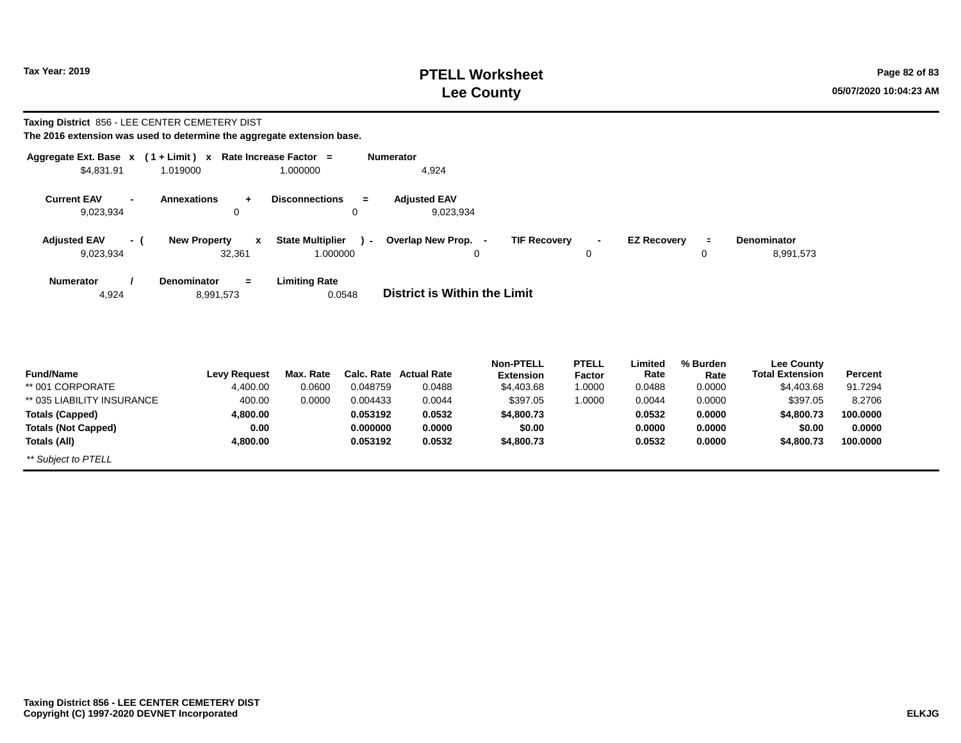**Totals (All)**

*\*\* Subject to PTELL*

### **PTELL Worksheet Tax Year: 2019 Page 82 of 83 Lee County 05/07/2020 10:04:23 AM**

**100.0000**

**\$4,800.73**

# **Taxing District** 856 - LEE CENTER CEMETERY DIST

**4,800.00**

| Aggregate Ext. Base $x$ (1 + Limit) x Rate Increase Factor = |                                     |                                | <b>Numerator</b> |                                     |                                      |                        |                    |                  |                                             |                |
|--------------------------------------------------------------|-------------------------------------|--------------------------------|------------------|-------------------------------------|--------------------------------------|------------------------|--------------------|------------------|---------------------------------------------|----------------|
| \$4,831.91                                                   | 1.019000                            | 1.000000                       |                  | 4,924                               |                                      |                        |                    |                  |                                             |                |
| <b>Current EAV</b><br>9,023,934                              | <b>Annexations</b><br>÷<br>0        | <b>Disconnections</b><br>0     | $=$              | <b>Adjusted EAV</b><br>9,023,934    |                                      |                        |                    |                  |                                             |                |
| <b>Adjusted EAV</b><br>- (                                   | <b>New Property</b><br>$\mathbf{x}$ | <b>State Multiplier</b>        | $\sim$           | Overlap New Prop. -                 | <b>TIF Recovery</b>                  | $\blacksquare$         | <b>EZ Recovery</b> | $\equiv$         | Denominator                                 |                |
| 9,023,934                                                    | 32,361                              | 1.000000                       |                  | 0                                   |                                      | 0                      |                    | 0                | 8,991,573                                   |                |
| <b>Numerator</b><br>4,924                                    | Denominator<br>$=$<br>8,991,573     | <b>Limiting Rate</b><br>0.0548 |                  | <b>District is Within the Limit</b> |                                      |                        |                    |                  |                                             |                |
| <b>Fund/Name</b>                                             | <b>Levy Request</b>                 | Max. Rate                      |                  | <b>Calc. Rate Actual Rate</b>       | <b>Non-PTELL</b><br><b>Extension</b> | <b>PTELL</b><br>Factor | Limited<br>Rate    | % Burden<br>Rate | <b>Lee County</b><br><b>Total Extension</b> | <b>Percent</b> |
| ** 001 CORPORATE                                             | 4,400.00                            | 0.0600                         | 0.048759         | 0.0488                              | \$4,403.68                           | 1.0000                 | 0.0488             | 0.0000           | \$4,403.68                                  | 91.7294        |
| ** 035 LIABILITY INSURANCE                                   | 400.00                              | 0.0000                         | 0.004433         | 0.0044                              | \$397.05                             | 1.0000                 | 0.0044             | 0.0000           | \$397.05                                    | 8.2706         |
| <b>Totals (Capped)</b>                                       | 4,800.00                            |                                | 0.053192         | 0.0532                              | \$4,800.73                           |                        | 0.0532             | 0.0000           | \$4,800.73                                  | 100.0000       |
| <b>Totals (Not Capped)</b>                                   | 0.00                                |                                | 0.000000         | 0.0000                              | \$0.00                               |                        | 0.0000             | 0.0000           | \$0.00                                      | 0.0000         |

**0.0532**

**\$4,800.73**

**0.0532**

**0.0000**

**0.053192**